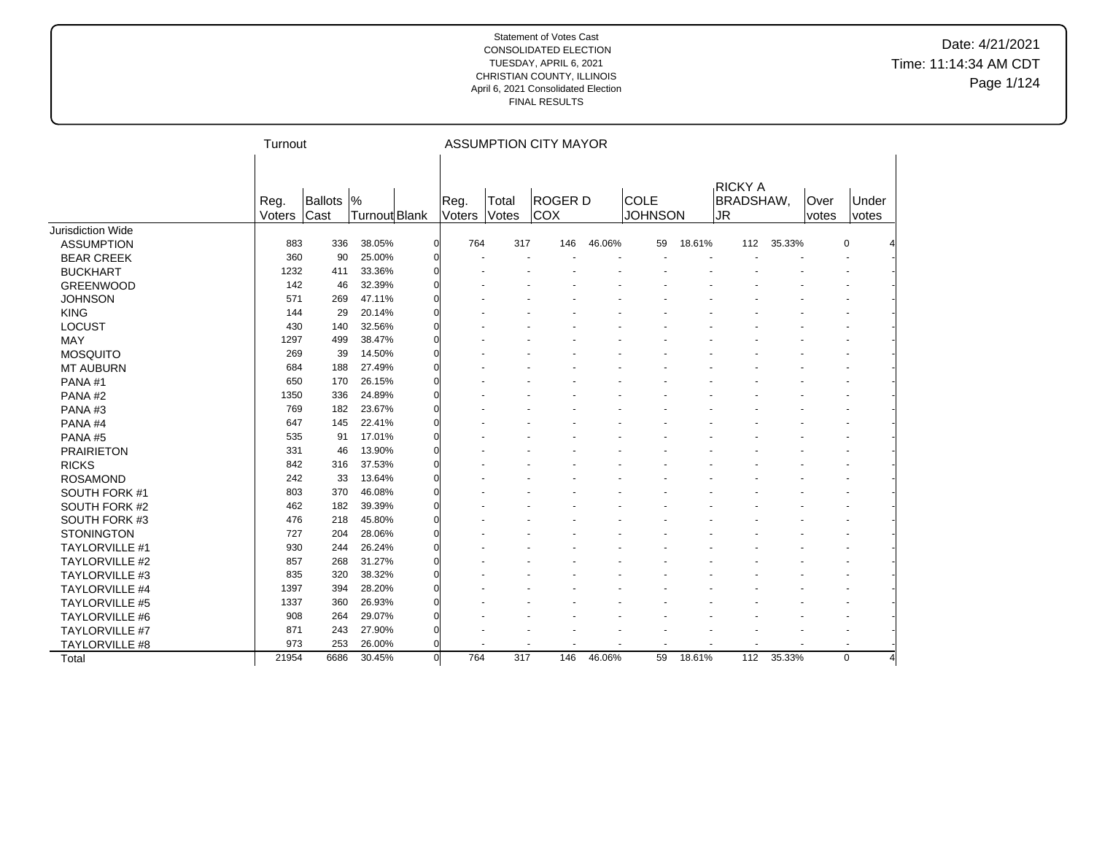# Date: 4/21/2021 Time: 11:14:34 AM CDT Page 1/124

|                       | Turnout        |                    |               |          |                       |                | <b>ASSUMPTION CITY MAYOR</b> |        |                               |        |                                            |        |               |                |
|-----------------------|----------------|--------------------|---------------|----------|-----------------------|----------------|------------------------------|--------|-------------------------------|--------|--------------------------------------------|--------|---------------|----------------|
|                       | Reg.<br>Voters | Ballots  %<br>Cast | Turnout Blank |          | Reg.<br>Voters        | Total<br>Votes | <b>ROGERD</b><br><b>COX</b>  |        | <b>COLE</b><br><b>JOHNSON</b> |        | <b>RICKY A</b><br><b>BRADSHAW,</b><br>IJR. |        | Over<br>votes | Under<br>votes |
| Jurisdiction Wide     |                |                    |               |          |                       |                |                              |        |                               |        |                                            |        |               |                |
| <b>ASSUMPTION</b>     | 883            | 336                | 38.05%        |          | $\overline{0}$<br>764 | 317            | 146                          | 46.06% | 59                            | 18.61% | 112                                        | 35.33% |               | $\mathbf 0$    |
| <b>BEAR CREEK</b>     | 360            | 90                 | 25.00%        | $\Omega$ |                       |                |                              |        |                               |        |                                            |        |               |                |
| <b>BUCKHART</b>       | 1232           | 411                | 33.36%        | $\Omega$ |                       |                |                              |        |                               |        |                                            |        |               |                |
| <b>GREENWOOD</b>      | 142            | 46                 | 32.39%        | $\Omega$ |                       |                |                              |        |                               |        |                                            |        |               |                |
| <b>JOHNSON</b>        | 571            | 269                | 47.11%        | 0        |                       |                |                              |        |                               |        |                                            |        |               |                |
| <b>KING</b>           | 144            | 29                 | 20.14%        | $\Omega$ |                       |                |                              |        |                               |        |                                            |        |               |                |
| LOCUST                | 430            | 140                | 32.56%        | 0        |                       |                |                              |        |                               |        |                                            |        |               |                |
| <b>MAY</b>            | 1297           | 499                | 38.47%        | $\Omega$ |                       |                |                              |        |                               |        |                                            |        |               |                |
| <b>MOSQUITO</b>       | 269            | 39                 | 14.50%        | 0        |                       |                |                              |        |                               |        |                                            |        |               |                |
| <b>MT AUBURN</b>      | 684            | 188                | 27.49%        | $\Omega$ |                       |                |                              |        |                               |        |                                            |        |               |                |
| PANA#1                | 650            | 170                | 26.15%        | $\Omega$ |                       |                |                              |        |                               |        |                                            |        |               |                |
| PANA#2                | 1350           | 336                | 24.89%        | $\Omega$ |                       |                |                              |        |                               |        |                                            |        |               |                |
| PANA#3                | 769            | 182                | 23.67%        | 0        |                       |                |                              |        |                               |        |                                            |        |               |                |
| PANA#4                | 647            | 145                | 22.41%        | 0        |                       |                |                              |        |                               |        |                                            |        |               |                |
| PANA#5                | 535            | 91                 | 17.01%        | 0        |                       |                |                              |        |                               |        |                                            |        |               |                |
| <b>PRAIRIETON</b>     | 331            | 46                 | 13.90%        | 0        |                       |                |                              |        |                               |        |                                            |        |               |                |
| <b>RICKS</b>          | 842            | 316                | 37.53%        | 0        |                       |                |                              |        |                               |        |                                            |        |               |                |
| <b>ROSAMOND</b>       | 242            | 33                 | 13.64%        | $\Omega$ |                       |                |                              |        |                               |        |                                            |        |               |                |
| SOUTH FORK #1         | 803            | 370                | 46.08%        | $\Omega$ |                       |                |                              |        |                               |        |                                            |        |               |                |
| SOUTH FORK #2         | 462            | 182                | 39.39%        | 0        |                       |                |                              |        |                               |        |                                            |        |               |                |
| SOUTH FORK #3         | 476            | 218                | 45.80%        | $\Omega$ |                       |                |                              |        |                               |        |                                            |        |               |                |
| <b>STONINGTON</b>     | 727            | 204                | 28.06%        | 0        |                       |                |                              |        |                               |        |                                            |        |               |                |
| <b>TAYLORVILLE #1</b> | 930            | 244                | 26.24%        | 0        |                       |                |                              |        |                               |        |                                            |        |               |                |
| <b>TAYLORVILLE #2</b> | 857            | 268                | 31.27%        | 0        |                       |                |                              |        |                               |        |                                            |        |               |                |
| <b>TAYLORVILLE #3</b> | 835            | 320                | 38.32%        | 0        |                       |                |                              |        |                               |        |                                            |        |               |                |
| <b>TAYLORVILLE #4</b> | 1397           | 394                | 28.20%        | 0        |                       |                |                              |        |                               |        |                                            |        |               |                |
| <b>TAYLORVILLE #5</b> | 1337           | 360                | 26.93%        | 0        |                       |                |                              |        |                               |        |                                            |        |               |                |
| <b>TAYLORVILLE #6</b> | 908            | 264                | 29.07%        | $\Omega$ |                       |                |                              |        |                               |        |                                            |        |               |                |
| TAYLORVILLE #7        | 871            | 243                | 27.90%        | $\Omega$ |                       |                |                              |        |                               |        |                                            |        |               |                |
| TAYLORVILLE #8        | 973            | 253                | 26.00%        | 0        |                       |                | $\overline{a}$               |        |                               |        |                                            |        |               |                |
| Total                 | 21954          | 6686               | 30.45%        |          | $\mathbf{0}$<br>764   | 317            | 146                          | 46.06% | 59                            | 18.61% | 112                                        | 35.33% |               | $\mathbf 0$    |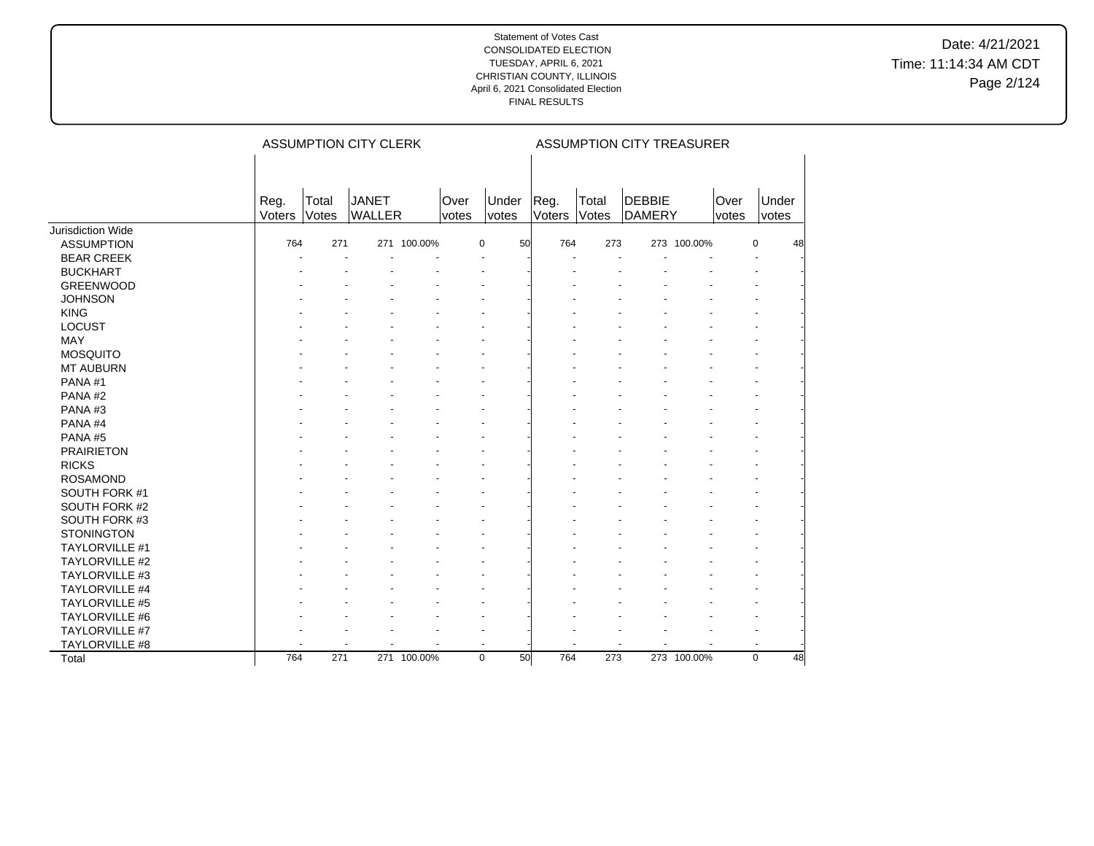|                       |                |                | <b>ASSUMPTION CITY CLERK</b> |             |                      |                |                |                | <b>ASSUMPTION CITY TREASURER</b> |             |               |                       |
|-----------------------|----------------|----------------|------------------------------|-------------|----------------------|----------------|----------------|----------------|----------------------------------|-------------|---------------|-----------------------|
|                       | Reg.<br>Voters | Total<br>Votes | <b>JANET</b><br>WALLER       |             | Over<br><i>votes</i> | Under<br>votes | Reg.<br>Voters | Total<br>Votes | <b>DEBBIE</b><br><b>DAMERY</b>   |             | Over<br>votes | Under<br><i>votes</i> |
| Jurisdiction Wide     |                |                |                              |             |                      |                |                |                |                                  |             |               |                       |
| <b>ASSUMPTION</b>     | 764            | 271            |                              | 271 100.00% | 0                    | 50             | 764            | 273            |                                  | 273 100.00% |               | $\pmb{0}$<br>48       |
| <b>BEAR CREEK</b>     |                |                |                              |             |                      |                |                |                |                                  |             |               |                       |
| <b>BUCKHART</b>       |                |                |                              |             |                      |                |                |                |                                  |             |               |                       |
| <b>GREENWOOD</b>      |                |                |                              |             |                      |                |                |                |                                  |             |               |                       |
| <b>JOHNSON</b>        |                |                |                              |             |                      |                |                |                |                                  |             |               |                       |
| <b>KING</b>           |                |                |                              |             |                      |                |                |                |                                  |             |               |                       |
| LOCUST                |                |                |                              |             |                      |                |                |                |                                  |             |               |                       |
| <b>MAY</b>            |                |                |                              |             |                      |                |                |                |                                  |             |               |                       |
| <b>MOSQUITO</b>       |                |                |                              |             |                      |                |                |                |                                  |             |               |                       |
| <b>MT AUBURN</b>      |                |                |                              |             |                      |                |                |                |                                  |             |               |                       |
| PANA#1                |                |                |                              |             |                      |                |                |                |                                  |             |               |                       |
| PANA#2                |                |                |                              |             |                      |                |                |                |                                  |             |               |                       |
| PANA#3                |                |                |                              |             |                      |                |                |                |                                  |             |               |                       |
| PANA#4                |                |                |                              |             |                      |                |                |                |                                  |             |               |                       |
| PANA#5                |                |                |                              |             |                      |                |                |                |                                  |             |               |                       |
| <b>PRAIRIETON</b>     |                |                |                              |             |                      |                |                |                |                                  |             |               |                       |
| <b>RICKS</b>          |                |                |                              |             |                      |                |                |                |                                  |             |               |                       |
| <b>ROSAMOND</b>       |                |                |                              |             |                      |                |                |                |                                  |             |               |                       |
| SOUTH FORK #1         |                |                |                              |             |                      |                |                |                |                                  |             |               |                       |
| SOUTH FORK #2         |                |                |                              |             |                      |                |                |                |                                  |             |               |                       |
| SOUTH FORK #3         |                |                |                              |             |                      |                |                |                |                                  |             |               |                       |
| <b>STONINGTON</b>     |                |                |                              |             |                      |                |                |                |                                  |             |               |                       |
| TAYLORVILLE #1        |                |                |                              |             |                      |                |                |                |                                  |             |               |                       |
| <b>TAYLORVILLE #2</b> |                |                |                              |             |                      |                |                |                |                                  |             |               |                       |
| TAYLORVILLE #3        |                |                |                              |             |                      |                |                |                |                                  |             |               |                       |
| <b>TAYLORVILLE #4</b> |                |                |                              |             |                      |                |                |                |                                  |             |               |                       |
| <b>TAYLORVILLE #5</b> |                |                |                              |             |                      |                |                |                |                                  |             |               |                       |
| TAYLORVILLE #6        |                |                |                              |             |                      |                |                |                |                                  |             |               |                       |
| TAYLORVILLE #7        |                |                |                              |             |                      |                |                |                |                                  |             |               |                       |
| TAYLORVILLE #8        |                |                |                              |             | $\blacksquare$       |                |                |                |                                  |             |               |                       |
| Total                 | 764            | 271            |                              | 271 100.00% | $\mathbf 0$          | 50             | 764            | 273            |                                  | 273 100.00% |               | $\Omega$<br>48        |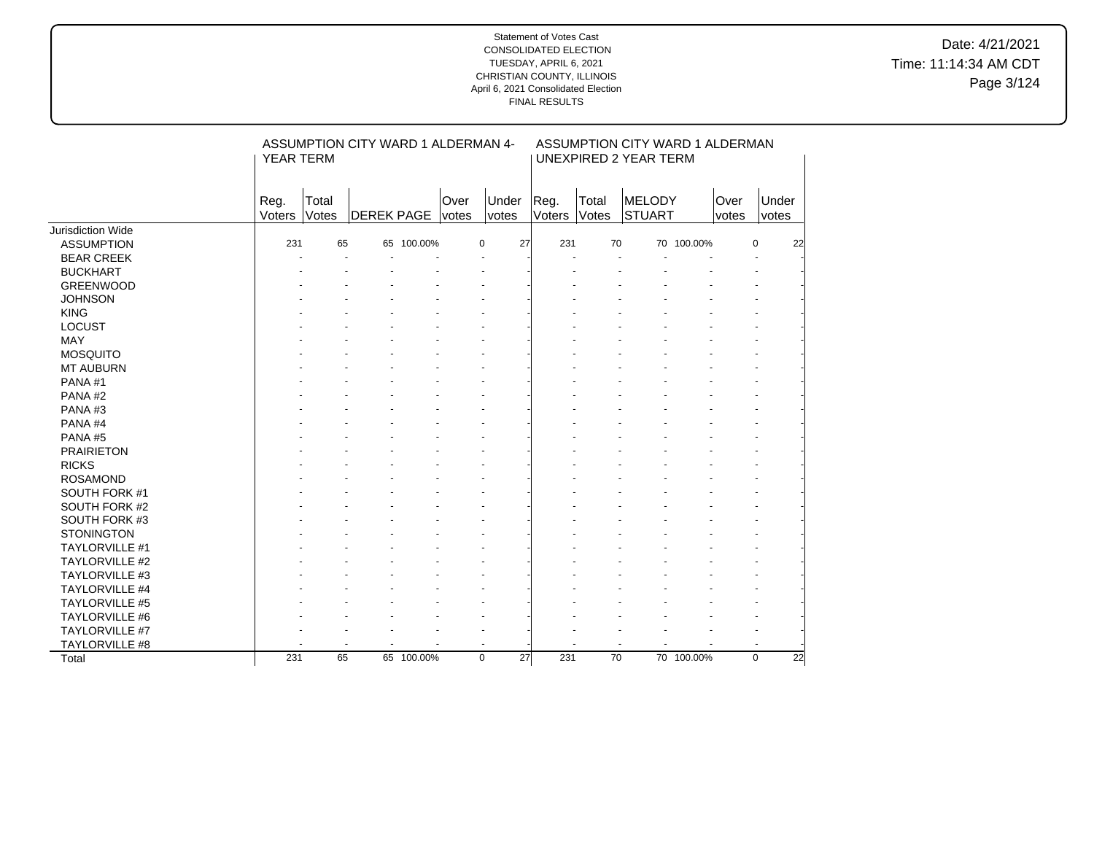Date: 4/21/2021 Time: 11:14:34 AM CDT Page 3/124

|                       | <b>YEAR TERM</b> |                      | ASSUMPTION CITY WARD 1 ALDERMAN 4- |            |                      |                       | <b>UNEXPIRED 2 YEAR TERM</b> | ASSUMPTION CITY WARD 1 ALDERMAN |                         |            |                      |                          |
|-----------------------|------------------|----------------------|------------------------------------|------------|----------------------|-----------------------|------------------------------|---------------------------------|-------------------------|------------|----------------------|--------------------------|
|                       | Reg.<br>Voters   | Total<br>Votes       | DEREK PAGE                         |            | Over<br><i>votes</i> | Under<br><i>votes</i> | Reg.<br>Voters               | Total<br>Votes                  | MELODY<br><b>STUART</b> |            | Over<br><i>votes</i> | Under<br>votes           |
| Jurisdiction Wide     |                  |                      |                                    |            |                      |                       |                              |                                 |                         |            |                      |                          |
| <b>ASSUMPTION</b>     | 231              | 65                   |                                    | 65 100.00% | 0                    | 27                    | 231                          | 70                              |                         | 70 100.00% |                      | 0<br>22                  |
| <b>BEAR CREEK</b>     |                  | $\ddot{\phantom{1}}$ |                                    |            |                      |                       |                              |                                 |                         |            |                      | $\overline{\phantom{a}}$ |
| <b>BUCKHART</b>       |                  |                      |                                    |            |                      |                       |                              |                                 |                         |            |                      |                          |
| <b>GREENWOOD</b>      |                  |                      |                                    |            |                      |                       |                              |                                 |                         |            |                      |                          |
| <b>JOHNSON</b>        |                  |                      |                                    |            |                      |                       |                              |                                 |                         |            |                      |                          |
| <b>KING</b>           |                  |                      |                                    |            |                      |                       |                              |                                 |                         |            |                      |                          |
| <b>LOCUST</b>         |                  |                      |                                    |            |                      |                       |                              |                                 |                         |            |                      |                          |
| <b>MAY</b>            |                  |                      |                                    |            |                      |                       |                              |                                 |                         |            |                      |                          |
| <b>MOSQUITO</b>       |                  |                      |                                    |            |                      |                       |                              |                                 |                         |            |                      |                          |
| <b>MT AUBURN</b>      |                  |                      |                                    |            |                      |                       |                              |                                 |                         |            |                      |                          |
| PANA#1                |                  |                      |                                    |            |                      |                       |                              |                                 |                         |            |                      |                          |
| PANA#2                |                  |                      |                                    |            |                      |                       |                              |                                 |                         |            |                      |                          |
| PANA#3                |                  |                      |                                    |            |                      |                       |                              |                                 |                         |            |                      |                          |
| PANA#4                |                  |                      |                                    |            |                      |                       |                              |                                 |                         |            |                      |                          |
| PANA#5                |                  |                      |                                    |            |                      |                       |                              |                                 |                         |            |                      |                          |
| <b>PRAIRIETON</b>     |                  |                      |                                    |            |                      |                       |                              |                                 |                         |            |                      |                          |
| <b>RICKS</b>          |                  |                      |                                    |            |                      |                       |                              |                                 |                         |            |                      |                          |
| <b>ROSAMOND</b>       |                  |                      |                                    |            |                      |                       |                              |                                 |                         |            |                      |                          |
| SOUTH FORK #1         |                  |                      |                                    |            |                      |                       |                              |                                 |                         |            |                      |                          |
| SOUTH FORK #2         |                  |                      |                                    |            |                      |                       |                              |                                 |                         |            |                      |                          |
| SOUTH FORK #3         |                  |                      |                                    |            |                      |                       |                              |                                 |                         |            |                      |                          |
| <b>STONINGTON</b>     |                  |                      |                                    |            |                      |                       |                              |                                 |                         |            |                      |                          |
| TAYLORVILLE #1        |                  |                      |                                    |            |                      |                       |                              |                                 |                         |            |                      |                          |
| <b>TAYLORVILLE #2</b> |                  |                      |                                    |            |                      |                       |                              |                                 |                         |            |                      |                          |
| TAYLORVILLE #3        |                  |                      |                                    |            |                      |                       |                              |                                 |                         |            |                      |                          |
| <b>TAYLORVILLE #4</b> |                  |                      |                                    |            |                      |                       |                              |                                 |                         |            |                      |                          |
| <b>TAYLORVILLE #5</b> |                  |                      |                                    |            |                      |                       |                              |                                 |                         |            |                      |                          |
| TAYLORVILLE #6        |                  |                      |                                    |            |                      |                       |                              |                                 |                         |            |                      |                          |
| TAYLORVILLE #7        |                  |                      |                                    |            |                      |                       |                              |                                 |                         |            |                      |                          |
| TAYLORVILLE #8        |                  |                      |                                    |            | $\blacksquare$       |                       |                              |                                 |                         |            |                      |                          |
| Total                 | 231              | 65                   |                                    | 65 100.00% | $\mathbf 0$          | 27                    | 231                          | $\overline{70}$                 |                         | 70 100.00% | $\Omega$             | $\overline{22}$          |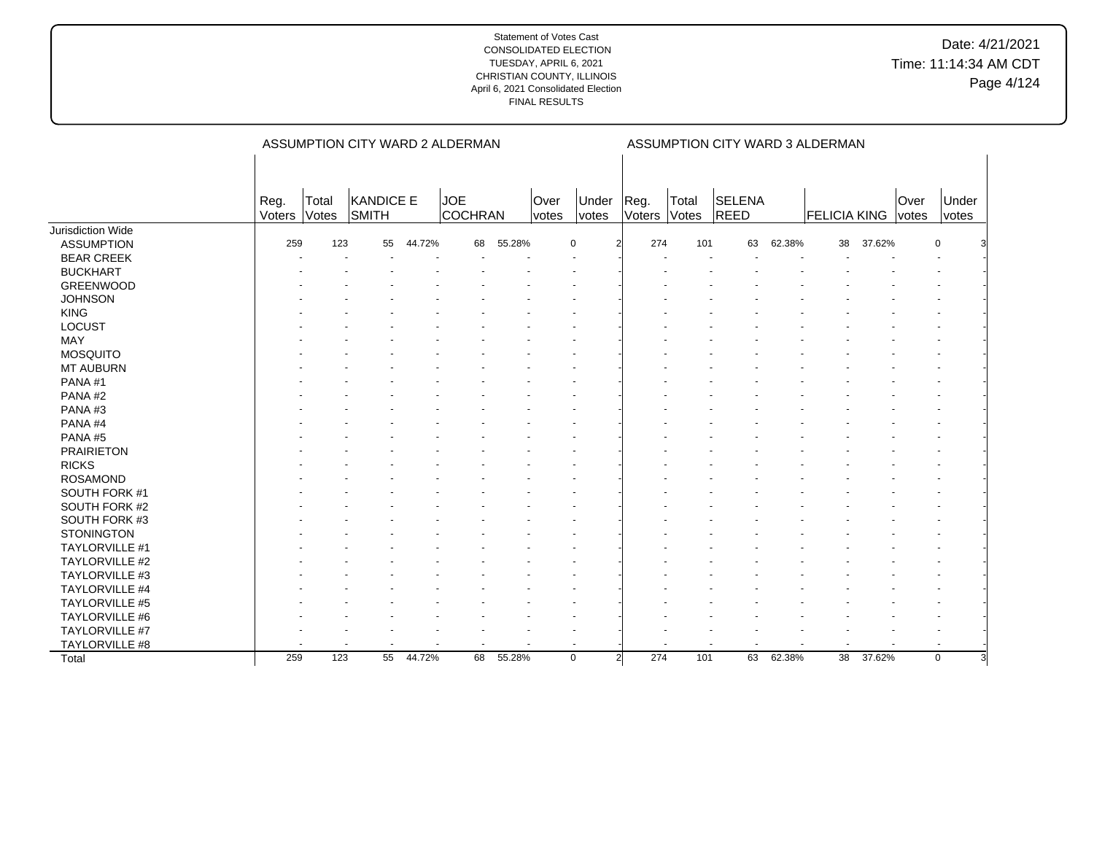|                       |                |                | ASSUMPTION CITY WARD 2 ALDERMAN |        |                |        |               |                      |                       |                | ASSUMPTION CITY WARD 3 ALDERMAN |        |                     |        |               |                |
|-----------------------|----------------|----------------|---------------------------------|--------|----------------|--------|---------------|----------------------|-----------------------|----------------|---------------------------------|--------|---------------------|--------|---------------|----------------|
|                       | Reg.<br>Voters | Total<br>Votes | <b>KANDICE E</b><br>SMITH       |        | JOE<br>COCHRAN |        | Over<br>votes | Under<br>votes       | Reg.<br>Voters        | Total<br>Votes | SELENA<br><b>REED</b>           |        | <b>FELICIA KING</b> |        | Over<br>votes | Under<br>votes |
| Jurisdiction Wide     |                |                |                                 |        |                |        |               |                      |                       |                |                                 |        |                     |        |               |                |
| <b>ASSUMPTION</b>     | 259            | 123            | 55                              | 44.72% | 68             | 55.28% |               | $\mathbf 0$          | 274                   | 101            | 63                              | 62.38% | 38                  | 37.62% |               | 0              |
| <b>BEAR CREEK</b>     |                |                |                                 |        |                |        |               |                      |                       |                |                                 |        |                     |        |               |                |
| <b>BUCKHART</b>       |                |                |                                 |        |                |        |               |                      |                       |                |                                 |        |                     |        |               |                |
| <b>GREENWOOD</b>      |                |                |                                 |        |                |        |               |                      |                       |                |                                 |        |                     |        |               |                |
| <b>JOHNSON</b>        |                |                |                                 |        |                |        |               |                      |                       |                |                                 |        |                     |        |               |                |
| <b>KING</b>           |                |                |                                 |        |                |        |               |                      |                       |                |                                 |        |                     |        |               |                |
| LOCUST                |                |                |                                 |        |                |        |               |                      |                       |                |                                 |        |                     |        |               |                |
| MAY                   |                |                |                                 |        |                |        |               |                      |                       |                |                                 |        |                     |        |               |                |
| <b>MOSQUITO</b>       |                |                |                                 |        |                |        |               |                      |                       |                |                                 |        |                     |        |               |                |
| <b>MT AUBURN</b>      |                |                |                                 |        |                |        |               |                      |                       |                |                                 |        |                     |        |               |                |
| PANA#1                |                |                |                                 |        |                |        |               |                      |                       |                |                                 |        |                     |        |               |                |
| PANA#2                |                |                |                                 |        |                |        |               |                      |                       |                |                                 |        |                     |        |               |                |
| PANA#3                |                |                |                                 |        |                |        |               |                      |                       |                |                                 |        |                     |        |               |                |
| PANA#4                |                |                |                                 |        |                |        |               |                      |                       |                |                                 |        |                     |        |               |                |
| PANA#5                |                |                |                                 |        |                |        |               |                      |                       |                |                                 |        |                     |        |               |                |
| <b>PRAIRIETON</b>     |                |                |                                 |        |                |        |               |                      |                       |                |                                 |        |                     |        |               |                |
| <b>RICKS</b>          |                |                |                                 |        |                |        |               |                      |                       |                |                                 |        |                     |        |               |                |
| <b>ROSAMOND</b>       |                |                |                                 |        |                |        |               |                      |                       |                |                                 |        |                     |        |               |                |
| SOUTH FORK #1         |                |                |                                 |        |                |        |               |                      |                       |                |                                 |        |                     |        |               |                |
| SOUTH FORK #2         |                |                |                                 |        |                |        |               |                      |                       |                |                                 |        |                     |        |               |                |
| SOUTH FORK #3         |                |                |                                 |        |                |        |               |                      |                       |                |                                 |        |                     |        |               |                |
| <b>STONINGTON</b>     |                |                |                                 |        |                |        |               |                      |                       |                |                                 |        |                     |        |               |                |
| <b>TAYLORVILLE #1</b> |                |                |                                 |        |                |        |               |                      |                       |                |                                 |        |                     |        |               |                |
| <b>TAYLORVILLE #2</b> |                |                |                                 |        |                |        |               |                      |                       |                |                                 |        |                     |        |               |                |
| TAYLORVILLE #3        |                |                |                                 |        |                |        |               |                      |                       |                |                                 |        |                     |        |               |                |
| TAYLORVILLE #4        |                |                |                                 |        |                |        |               |                      |                       |                |                                 |        |                     |        |               |                |
| TAYLORVILLE #5        |                |                |                                 |        |                |        |               |                      |                       |                |                                 |        |                     |        |               |                |
| TAYLORVILLE #6        |                |                |                                 |        |                |        |               |                      |                       |                |                                 |        |                     |        |               |                |
| TAYLORVILLE #7        |                |                |                                 |        |                |        |               |                      |                       |                |                                 |        |                     |        |               |                |
| TAYLORVILLE #8        |                |                |                                 |        | ÷              |        |               | $\ddot{\phantom{1}}$ |                       |                | $\ddot{\phantom{1}}$            |        |                     |        |               |                |
| Total                 | 259            | 123            | 55                              | 44.72% | 68             | 55.28% |               | $\mathbf 0$          | 274<br>$\overline{2}$ | 101            | 63                              | 62.38% | 38                  | 37.62% |               | $\mathbf 0$    |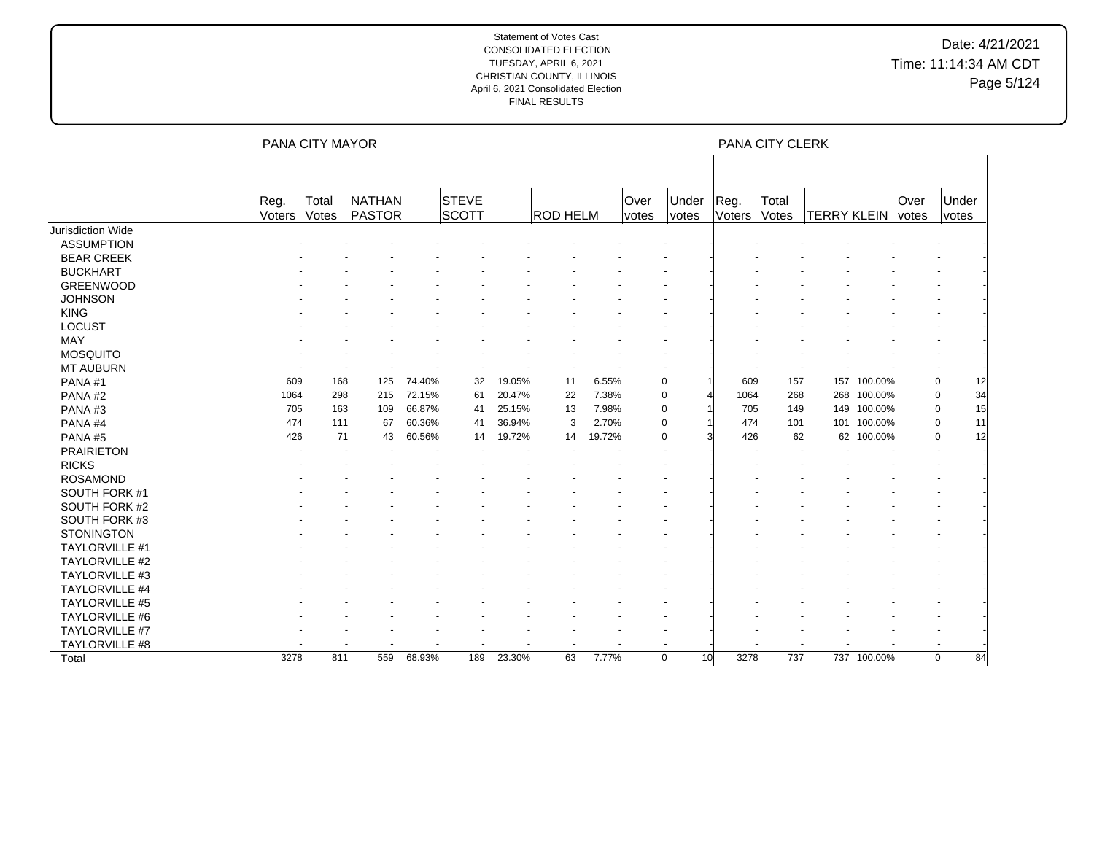|                       |        | PANA CITY MAYOR |        |        |              |        |                 |        |              |                   |        | PANA CITY CLERK          |                    |             |       |                                |
|-----------------------|--------|-----------------|--------|--------|--------------|--------|-----------------|--------|--------------|-------------------|--------|--------------------------|--------------------|-------------|-------|--------------------------------|
|                       | Reg.   | Total           | NATHAN |        | STEVE        |        |                 |        | Over         | Under             | Reg.   | Total                    |                    |             | Over  | Under                          |
| Jurisdiction Wide     | Voters | Votes           | PASTOR |        | <b>SCOTT</b> |        | <b>ROD HELM</b> |        | <i>votes</i> | votes             | Voters | Votes                    | <b>TERRY KLEIN</b> |             | votes | votes                          |
|                       |        |                 |        |        |              |        |                 |        |              |                   |        |                          |                    |             |       |                                |
| <b>ASSUMPTION</b>     |        |                 |        |        |              |        |                 |        |              |                   |        |                          |                    |             |       |                                |
| <b>BEAR CREEK</b>     |        |                 |        |        |              |        |                 |        |              |                   |        |                          |                    |             |       |                                |
| <b>BUCKHART</b>       |        |                 |        |        |              |        |                 |        |              |                   |        |                          |                    |             |       |                                |
| <b>GREENWOOD</b>      |        |                 |        |        |              |        |                 |        |              |                   |        |                          |                    |             |       |                                |
| <b>JOHNSON</b>        |        |                 |        |        |              |        |                 |        |              |                   |        |                          |                    |             |       |                                |
| <b>KING</b>           |        |                 |        |        |              |        |                 |        |              |                   |        |                          |                    |             |       |                                |
| LOCUST                |        |                 |        |        |              |        |                 |        |              |                   |        |                          |                    |             |       |                                |
| MAY                   |        |                 |        |        |              |        |                 |        |              |                   |        |                          |                    |             |       |                                |
| <b>MOSQUITO</b>       |        |                 |        |        |              |        |                 |        |              |                   |        |                          |                    |             |       |                                |
| <b>MT AUBURN</b>      |        |                 |        |        |              |        |                 |        |              |                   |        |                          |                    |             |       |                                |
| PANA#1                | 609    | 168             | 125    | 74.40% | 32           | 19.05% | 11              | 6.55%  |              | $\mathbf 0$       | 609    | 157                      | 157                | 100.00%     |       | 0<br>12                        |
| PANA#2                | 1064   | 298             | 215    | 72.15% | 61           | 20.47% | 22              | 7.38%  |              | $\mathbf 0$       | 1064   | 268                      |                    | 268 100.00% |       | 34<br>0                        |
| PANA#3                | 705    | 163             | 109    | 66.87% | 41           | 25.15% | 13              | 7.98%  |              | 0                 | 705    | 149                      | 149                | 100.00%     |       | 15<br>$\mathbf 0$              |
| PANA#4                | 474    | 111             | 67     | 60.36% | 41           | 36.94% | 3               | 2.70%  |              | $\mathbf 0$       | 474    | 101                      | 101                | 100.00%     |       | 0<br>11                        |
| PANA#5                | 426    | 71              | 43     | 60.56% | 14           | 19.72% | 14              | 19.72% |              | $\Omega$          | 426    | 62                       |                    | 62 100.00%  |       | 0<br>12                        |
| <b>PRAIRIETON</b>     |        |                 |        |        |              |        |                 |        |              |                   |        |                          |                    |             |       |                                |
| <b>RICKS</b>          |        |                 |        |        |              |        |                 |        |              |                   |        |                          |                    |             |       |                                |
| <b>ROSAMOND</b>       |        |                 |        |        |              |        |                 |        |              |                   |        |                          |                    |             |       |                                |
| SOUTH FORK #1         |        |                 |        |        |              |        |                 |        |              |                   |        |                          |                    |             |       |                                |
| SOUTH FORK #2         |        |                 |        |        |              |        |                 |        |              |                   |        |                          |                    |             |       |                                |
| SOUTH FORK #3         |        |                 |        |        |              |        |                 |        |              |                   |        |                          |                    |             |       |                                |
| <b>STONINGTON</b>     |        |                 |        |        |              |        |                 |        |              |                   |        |                          |                    |             |       |                                |
| TAYLORVILLE #1        |        |                 |        |        |              |        |                 |        |              |                   |        |                          |                    |             |       |                                |
| <b>TAYLORVILLE #2</b> |        |                 |        |        |              |        |                 |        |              |                   |        |                          |                    |             |       |                                |
| TAYLORVILLE #3        |        |                 |        |        |              |        |                 |        |              |                   |        |                          |                    |             |       |                                |
| <b>TAYLORVILLE #4</b> |        |                 |        |        |              |        |                 |        |              |                   |        |                          |                    |             |       |                                |
| <b>TAYLORVILLE #5</b> |        |                 |        |        |              |        |                 |        |              |                   |        |                          |                    |             |       |                                |
| TAYLORVILLE #6        |        |                 |        |        |              |        |                 |        |              |                   |        |                          |                    |             |       |                                |
| TAYLORVILLE #7        |        |                 |        |        |              |        |                 |        |              |                   |        |                          |                    |             |       |                                |
| <b>TAYLORVILLE #8</b> |        |                 |        |        | ÷            |        |                 |        |              |                   |        | $\overline{\phantom{a}}$ |                    |             |       |                                |
| Total                 | 3278   | 811             | 559    | 68.93% | 189          | 23.30% | 63              | 7.77%  |              | 10<br>$\mathbf 0$ | 3278   | 737                      |                    | 737 100.00% |       | $\mathbf 0$<br>$\overline{84}$ |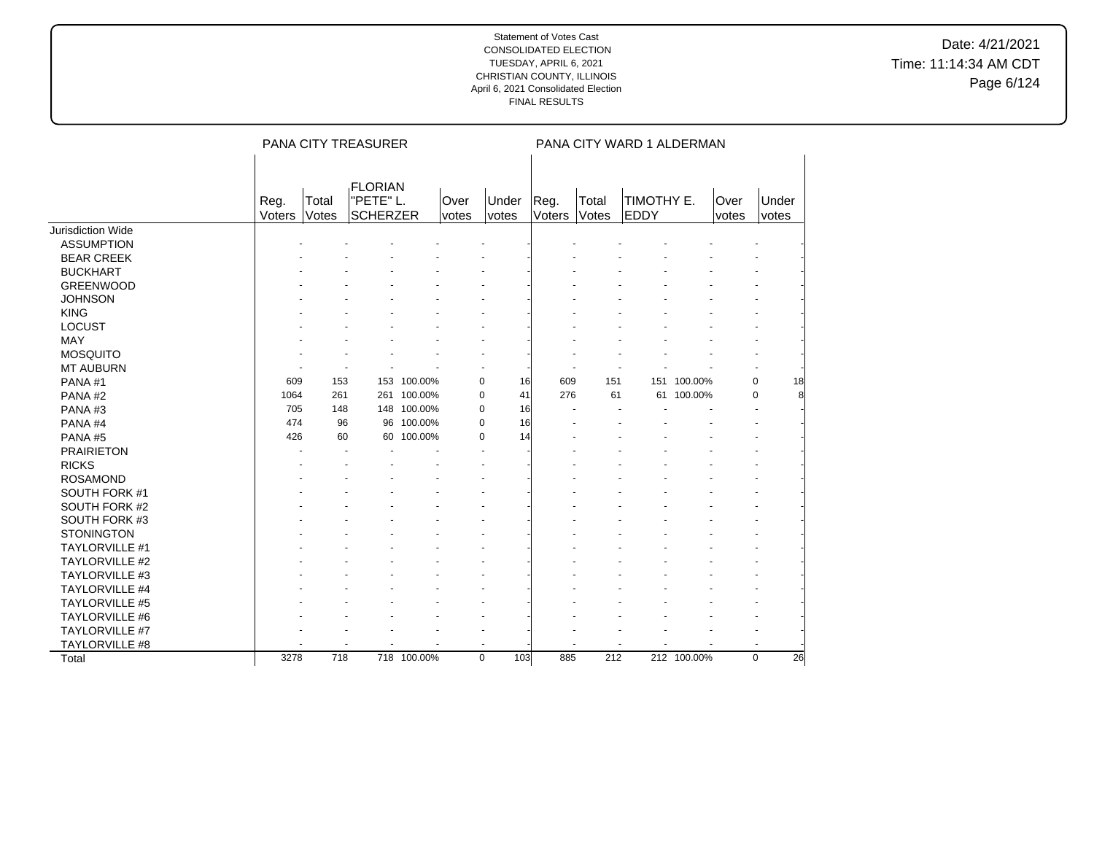Date: 4/21/2021 Time: 11:14:34 AM CDT Page 6/124

|                       |                |                | PANA CITY TREASURER                            |             |               |                          |     |                |                | PANA CITY WARD 1 ALDERMAN |             |               |                       |    |
|-----------------------|----------------|----------------|------------------------------------------------|-------------|---------------|--------------------------|-----|----------------|----------------|---------------------------|-------------|---------------|-----------------------|----|
|                       | Reg.<br>Voters | Total<br>Votes | <b>FLORIAN</b><br>"PETE" L.<br><b>SCHERZER</b> |             | Over<br>votes | Under<br>votes           |     | Reg.<br>Voters | Total<br>Votes | TIMOTHY E.<br>EDDY        |             | Over<br>votes | Under<br><i>votes</i> |    |
| Jurisdiction Wide     |                |                |                                                |             |               |                          |     |                |                |                           |             |               |                       |    |
| <b>ASSUMPTION</b>     |                |                |                                                |             |               |                          |     |                |                |                           |             |               |                       |    |
| <b>BEAR CREEK</b>     |                |                |                                                |             |               |                          |     |                |                |                           |             |               |                       |    |
| <b>BUCKHART</b>       |                |                |                                                |             |               |                          |     |                |                |                           |             |               |                       |    |
| <b>GREENWOOD</b>      |                |                |                                                |             |               |                          |     |                |                |                           |             |               |                       |    |
| <b>JOHNSON</b>        |                |                |                                                |             |               |                          |     |                |                |                           |             |               |                       |    |
| <b>KING</b>           |                |                |                                                |             |               |                          |     |                |                |                           |             |               |                       |    |
| <b>LOCUST</b>         |                |                |                                                |             |               |                          |     |                |                |                           |             |               |                       |    |
| MAY                   |                |                |                                                |             |               |                          |     |                |                |                           |             |               |                       |    |
| <b>MOSQUITO</b>       |                |                |                                                |             |               |                          |     |                |                |                           |             |               |                       |    |
| <b>MT AUBURN</b>      |                |                |                                                |             |               |                          |     |                |                |                           |             |               |                       |    |
| PANA#1                | 609            | 153            |                                                | 153 100.00% |               | 0                        | 16  | 609            | 151            |                           | 151 100.00% |               | $\mathbf 0$           | 18 |
| PANA#2                | 1064           | 261            |                                                | 261 100.00% |               | $\mathbf 0$              | 41  | 276            | 61             |                           | 61 100.00%  |               | $\mathbf 0$           | 8  |
| PANA#3                | 705            | 148            |                                                | 148 100.00% |               | $\mathbf 0$              | 16  |                |                |                           |             |               |                       |    |
| PANA#4                | 474            | 96             |                                                | 96 100.00%  |               | $\mathbf 0$              | 16  |                |                |                           |             |               |                       |    |
| PANA#5                | 426            | 60             | 60                                             | 100.00%     |               | $\mathbf 0$              | 14  |                |                |                           |             |               |                       |    |
| <b>PRAIRIETON</b>     |                |                |                                                |             |               |                          |     |                |                |                           |             |               |                       |    |
| <b>RICKS</b>          |                |                |                                                |             |               |                          |     |                |                |                           |             |               |                       |    |
| <b>ROSAMOND</b>       |                |                |                                                |             |               |                          |     |                |                |                           |             |               |                       |    |
| SOUTH FORK #1         |                |                |                                                |             |               |                          |     |                |                |                           |             |               |                       |    |
| SOUTH FORK #2         |                |                |                                                |             |               |                          |     |                |                |                           |             |               |                       |    |
| SOUTH FORK #3         |                |                |                                                |             |               |                          |     |                |                |                           |             |               |                       |    |
| <b>STONINGTON</b>     |                |                |                                                |             |               |                          |     |                |                |                           |             |               |                       |    |
| <b>TAYLORVILLE #1</b> |                |                |                                                |             |               |                          |     |                |                |                           |             |               |                       |    |
| <b>TAYLORVILLE #2</b> |                |                |                                                |             |               |                          |     |                |                |                           |             |               |                       |    |
| <b>TAYLORVILLE #3</b> |                |                |                                                |             |               |                          |     |                |                |                           |             |               |                       |    |
| TAYLORVILLE #4        |                |                |                                                |             |               |                          |     |                |                |                           |             |               |                       |    |
| <b>TAYLORVILLE #5</b> |                |                |                                                |             |               |                          |     |                |                |                           |             |               |                       |    |
| <b>TAYLORVILLE #6</b> |                |                |                                                |             |               |                          |     |                |                |                           |             |               |                       |    |
| TAYLORVILLE #7        |                |                |                                                |             |               |                          |     |                |                |                           |             |               |                       |    |
| TAYLORVILLE #8        |                |                |                                                |             |               | $\overline{\phantom{a}}$ |     |                |                |                           |             |               |                       |    |
| Total                 | 3278           | 718            |                                                | 718 100.00% |               | $\mathbf 0$              | 103 | 885            | 212            |                           | 212 100.00% |               | $\Omega$              | 26 |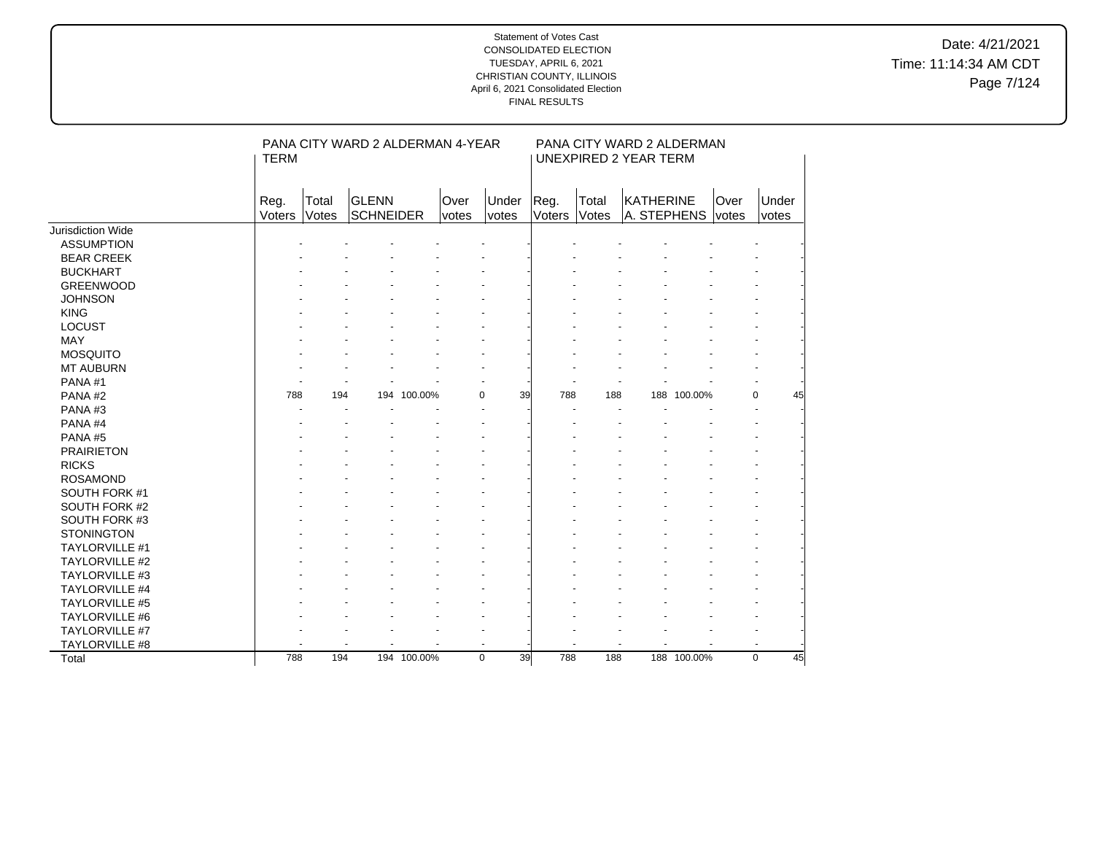Date: 4/21/2021 Time: 11:14:34 AM CDT Page 7/124

|                       | <b>TERM</b>    |                | PANA CITY WARD 2 ALDERMAN 4-YEAR |             |               |                |                |                | PANA CITY WARD 2 ALDERMAN<br><b>UNEXPIRED 2 YEAR TERM</b> |             |               |                   |  |
|-----------------------|----------------|----------------|----------------------------------|-------------|---------------|----------------|----------------|----------------|-----------------------------------------------------------|-------------|---------------|-------------------|--|
|                       | Reg.<br>Voters | Total<br>Votes | GLENN<br><b>SCHNEIDER</b>        |             | Over<br>votes | Under<br>votes | Reg.<br>Voters | Total<br>Votes | <b>KATHERINE</b><br>A. STEPHENS                           |             | Over<br>votes | Under<br>votes    |  |
| Jurisdiction Wide     |                |                |                                  |             |               |                |                |                |                                                           |             |               |                   |  |
| <b>ASSUMPTION</b>     |                |                |                                  |             |               |                |                |                |                                                           |             |               |                   |  |
| <b>BEAR CREEK</b>     |                |                |                                  |             |               |                |                |                |                                                           |             |               |                   |  |
| <b>BUCKHART</b>       |                |                |                                  |             |               |                |                |                |                                                           |             |               |                   |  |
| <b>GREENWOOD</b>      |                |                |                                  |             |               |                |                |                |                                                           |             |               |                   |  |
| <b>JOHNSON</b>        |                |                |                                  |             |               |                |                |                |                                                           |             |               |                   |  |
| <b>KING</b>           |                |                |                                  |             |               |                |                |                |                                                           |             |               |                   |  |
| <b>LOCUST</b>         |                |                |                                  |             |               |                |                |                |                                                           |             |               |                   |  |
| <b>MAY</b>            |                |                |                                  |             |               |                |                |                |                                                           |             |               |                   |  |
| <b>MOSQUITO</b>       |                |                |                                  |             |               |                |                |                |                                                           |             |               |                   |  |
| <b>MT AUBURN</b>      |                |                |                                  |             |               |                |                |                |                                                           |             |               |                   |  |
| PANA#1                |                |                |                                  |             |               |                |                |                |                                                           |             |               |                   |  |
| PANA#2                | 788            | 194            |                                  | 194 100.00% | $\Omega$      | 39             | 788            | 188            |                                                           | 188 100.00% |               | $\mathbf 0$<br>45 |  |
| PANA#3                |                |                |                                  |             |               |                |                |                |                                                           |             |               | $\overline{a}$    |  |
| PANA#4                |                |                |                                  |             |               |                |                |                |                                                           |             |               |                   |  |
| PANA#5                |                |                |                                  |             |               |                |                |                |                                                           |             |               |                   |  |
| <b>PRAIRIETON</b>     |                |                |                                  |             |               |                |                |                |                                                           |             |               |                   |  |
| <b>RICKS</b>          |                |                |                                  |             |               |                |                |                |                                                           |             |               |                   |  |
| <b>ROSAMOND</b>       |                |                |                                  |             |               |                |                |                |                                                           |             |               |                   |  |
| SOUTH FORK #1         |                |                |                                  |             |               |                |                |                |                                                           |             |               |                   |  |
| SOUTH FORK #2         |                |                |                                  |             |               |                |                |                |                                                           |             |               |                   |  |
| SOUTH FORK #3         |                |                |                                  |             |               |                |                |                |                                                           |             |               |                   |  |
| <b>STONINGTON</b>     |                |                |                                  |             |               |                |                |                |                                                           |             |               |                   |  |
| <b>TAYLORVILLE #1</b> |                |                |                                  |             |               |                |                |                |                                                           |             |               |                   |  |
| TAYLORVILLE #2        |                |                |                                  |             |               |                |                |                |                                                           |             |               |                   |  |
| TAYLORVILLE #3        |                |                |                                  |             |               |                |                |                |                                                           |             |               |                   |  |
| TAYLORVILLE #4        |                |                |                                  |             |               |                |                |                |                                                           |             |               |                   |  |
| TAYLORVILLE #5        |                |                |                                  |             |               |                |                |                |                                                           |             |               |                   |  |
| TAYLORVILLE #6        |                |                |                                  |             |               |                |                |                |                                                           |             |               |                   |  |
| TAYLORVILLE #7        |                |                |                                  |             |               |                |                |                |                                                           |             |               |                   |  |
| TAYLORVILLE #8        |                |                |                                  |             |               |                |                |                |                                                           |             |               |                   |  |
| Total                 | 788            | 194            |                                  | 194 100.00% | $\mathbf 0$   | 39             | 788            | 188            |                                                           | 188 100.00% |               | 45<br>$\mathbf 0$ |  |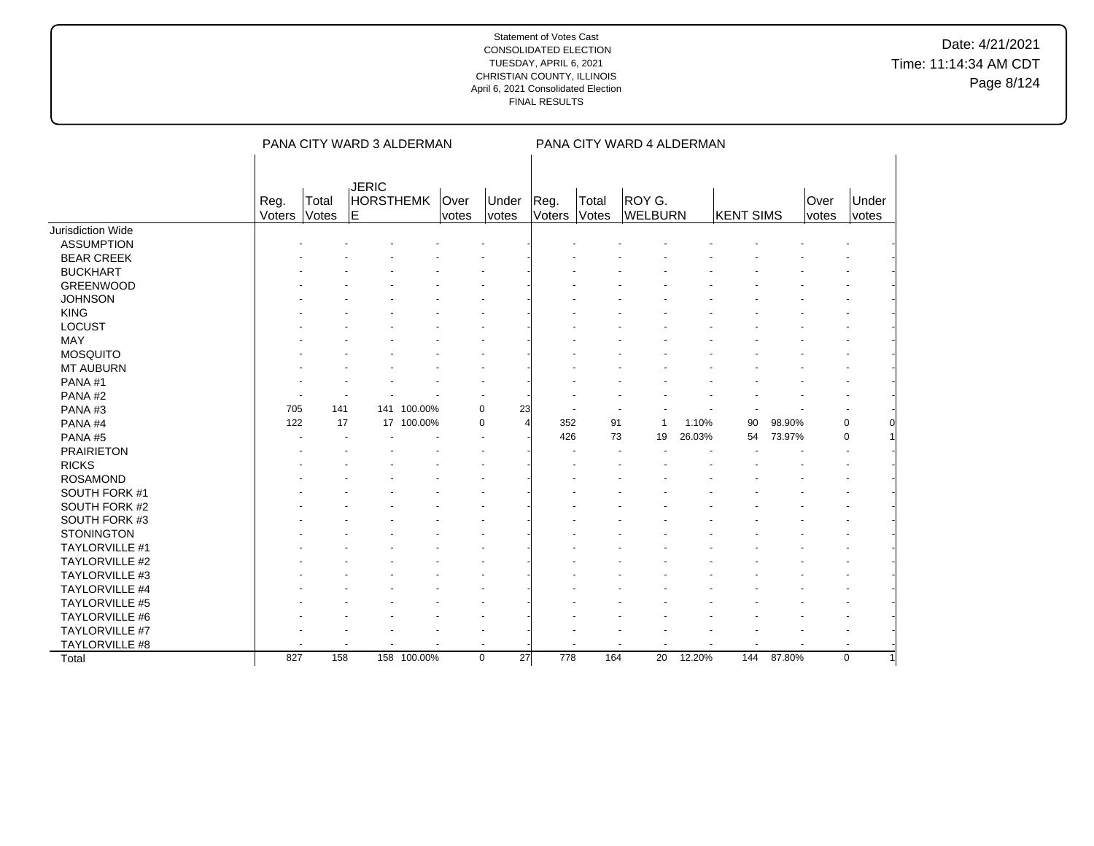# Date: 4/21/2021 Time: 11:14:34 AM CDT Page 8/124

|                       |                | PANA CITY WARD 3 ALDERMAN |                                         |             |                |                       |                |                          | PANA CITY WARD 4 ALDERMAN                  |                          |                          |        |               |                |
|-----------------------|----------------|---------------------------|-----------------------------------------|-------------|----------------|-----------------------|----------------|--------------------------|--------------------------------------------|--------------------------|--------------------------|--------|---------------|----------------|
|                       | Reg.<br>Voters | Total<br>Votes            | <b>JERIC</b><br><b>HORSTHEMK</b><br>IE. |             | Over<br>votes  | Under<br><i>votes</i> | Reg.<br>Voters | Total<br>Votes           | ROY G.<br>WELBURN                          |                          | <b>KENT SIMS</b>         |        | Over<br>votes | Under<br>votes |
| Jurisdiction Wide     |                |                           |                                         |             |                |                       |                |                          |                                            |                          |                          |        |               |                |
| <b>ASSUMPTION</b>     |                |                           |                                         |             |                |                       |                |                          |                                            |                          |                          |        |               |                |
| <b>BEAR CREEK</b>     |                |                           |                                         |             |                |                       |                |                          |                                            |                          |                          |        |               |                |
| <b>BUCKHART</b>       |                |                           |                                         |             |                |                       |                |                          |                                            |                          |                          |        |               |                |
| <b>GREENWOOD</b>      |                |                           |                                         |             |                |                       |                |                          |                                            |                          |                          |        |               |                |
| <b>JOHNSON</b>        |                |                           |                                         |             |                |                       |                |                          |                                            |                          |                          |        |               |                |
| <b>KING</b>           |                |                           |                                         |             |                |                       |                |                          |                                            |                          |                          |        |               |                |
| <b>LOCUST</b>         |                |                           |                                         |             |                |                       |                |                          |                                            |                          |                          |        |               |                |
| <b>MAY</b>            |                |                           |                                         |             |                |                       |                |                          |                                            |                          |                          |        |               |                |
| <b>MOSQUITO</b>       |                |                           |                                         |             |                |                       |                |                          |                                            |                          |                          |        |               |                |
| MT AUBURN             |                |                           |                                         |             |                |                       |                |                          |                                            |                          |                          |        |               |                |
| PANA#1                |                |                           |                                         |             |                |                       |                |                          |                                            |                          |                          |        |               |                |
| PANA#2                |                |                           |                                         |             |                |                       |                |                          |                                            |                          |                          |        |               |                |
| PANA#3                | 705            | 141                       |                                         | 141 100.00% | $\mathbf 0$    | 23                    |                |                          |                                            |                          |                          |        |               |                |
| PANA#4                | 122            | 17                        |                                         | 17 100.00%  | 0              | $\Delta$              | 352            |                          | 91<br>$\mathbf{1}$                         | 1.10%                    | 90                       | 98.90% |               | $\pmb{0}$<br>0 |
| PANA#5                |                |                           |                                         |             |                |                       | 426            |                          | 73<br>19                                   | 26.03%                   | 54                       | 73.97% |               | $\pmb{0}$      |
| <b>PRAIRIETON</b>     |                |                           |                                         |             |                |                       |                |                          |                                            |                          |                          |        |               |                |
| <b>RICKS</b>          |                |                           |                                         |             |                |                       |                |                          |                                            |                          |                          |        |               |                |
| <b>ROSAMOND</b>       |                |                           |                                         |             |                |                       |                |                          |                                            |                          |                          |        |               |                |
| SOUTH FORK #1         |                |                           |                                         |             |                |                       |                |                          |                                            |                          |                          |        |               |                |
| SOUTH FORK #2         |                |                           |                                         |             |                |                       |                |                          |                                            |                          |                          |        |               |                |
| SOUTH FORK #3         |                |                           |                                         |             |                |                       |                |                          |                                            |                          |                          |        |               |                |
| <b>STONINGTON</b>     |                |                           |                                         |             |                |                       |                |                          |                                            |                          |                          |        |               |                |
| <b>TAYLORVILLE #1</b> |                |                           |                                         |             |                |                       |                |                          |                                            |                          |                          |        |               |                |
| <b>TAYLORVILLE #2</b> |                |                           |                                         |             |                |                       |                |                          |                                            |                          |                          |        |               |                |
| TAYLORVILLE #3        |                |                           |                                         |             |                |                       |                |                          |                                            |                          |                          |        |               |                |
| TAYLORVILLE #4        |                |                           |                                         |             |                |                       |                |                          |                                            |                          |                          |        |               |                |
| <b>TAYLORVILLE #5</b> |                |                           |                                         |             |                |                       |                |                          |                                            |                          |                          |        |               |                |
| TAYLORVILLE #6        |                |                           |                                         |             |                |                       |                |                          |                                            |                          |                          |        |               |                |
| TAYLORVILLE #7        |                |                           |                                         |             |                |                       |                |                          |                                            |                          |                          |        |               |                |
| TAYLORVILLE #8        |                | $\overline{\phantom{a}}$  |                                         |             | $\blacksquare$ |                       |                | $\overline{\phantom{a}}$ | $\blacksquare$<br>$\overline{\phantom{a}}$ | $\overline{\phantom{a}}$ | $\overline{\phantom{a}}$ |        |               | $\blacksquare$ |
| Total                 | 827            | 158                       |                                         | 158 100.00% | $\mathbf 0$    | 27                    | 778            | 164                      | 20                                         | 12.20%                   | 144                      | 87.80% |               | $\mathbf 0$    |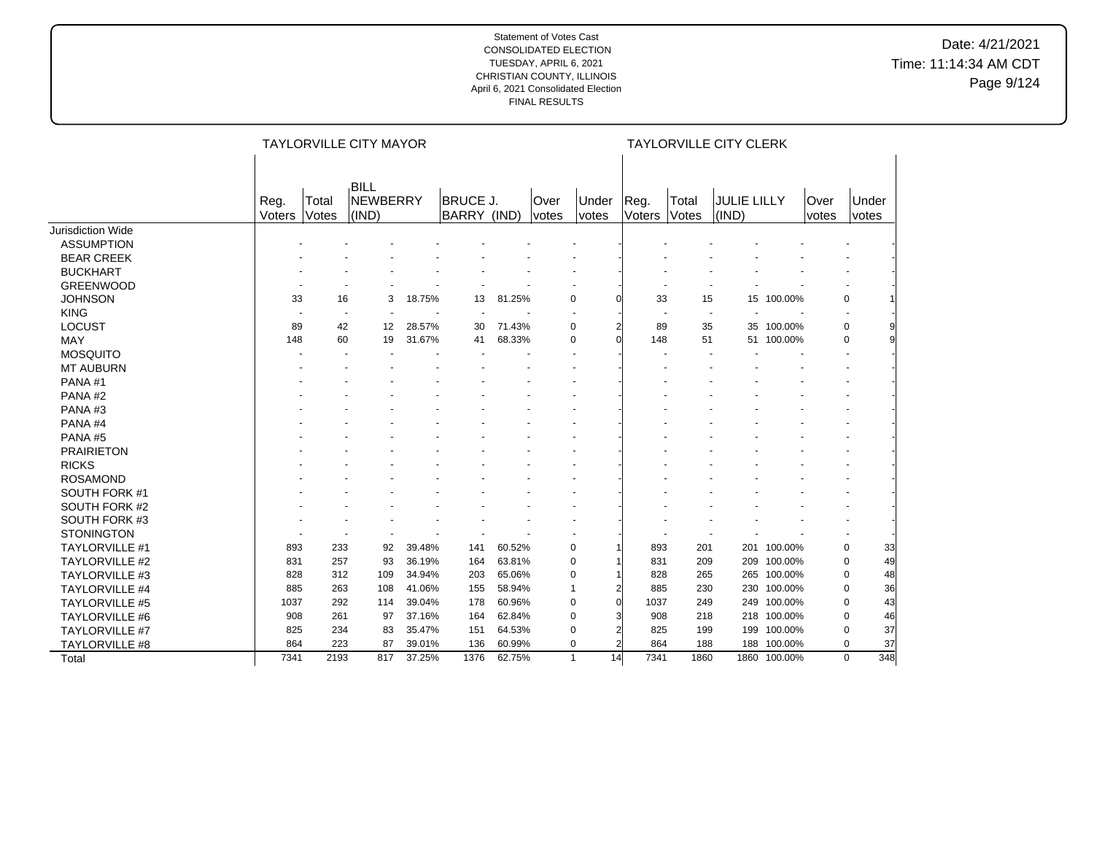|                       |                          |                          | <b>TAYLORVILLE CITY MAYOR</b>    |        |                                |        |               |                    |                        |                | <b>TAYLORVILLE CITY CLERK</b> |              |               |                |     |
|-----------------------|--------------------------|--------------------------|----------------------------------|--------|--------------------------------|--------|---------------|--------------------|------------------------|----------------|-------------------------------|--------------|---------------|----------------|-----|
|                       | Reg.<br>Voters           | Total<br>Votes           | <b>BILL</b><br>NEWBERRY<br>(IND) |        | <b>BRUCE J.</b><br>BARRY (IND) |        | Over<br>votes | Under<br>votes     | Reg.<br>Voters         | Total<br>Votes | <b>JULIE LILLY</b><br>(IND)   |              | Over<br>votes | Under<br>votes |     |
| Jurisdiction Wide     |                          |                          |                                  |        |                                |        |               |                    |                        |                |                               |              |               |                |     |
| <b>ASSUMPTION</b>     |                          |                          |                                  |        |                                |        |               |                    |                        |                |                               |              |               |                |     |
| <b>BEAR CREEK</b>     |                          |                          |                                  |        |                                |        |               |                    |                        |                |                               |              |               |                |     |
| <b>BUCKHART</b>       |                          |                          |                                  |        |                                |        |               |                    |                        |                |                               |              |               |                |     |
| <b>GREENWOOD</b>      |                          |                          |                                  |        |                                |        |               |                    |                        |                |                               |              |               |                |     |
| <b>JOHNSON</b>        | 33                       | 16                       | 3                                | 18.75% | 13                             | 81.25% |               | 0                  | 33                     | 15             |                               | 15 100.00%   |               | 0              |     |
| <b>KING</b>           | $\overline{\phantom{a}}$ | $\overline{\phantom{a}}$ |                                  |        |                                |        |               |                    |                        |                |                               |              |               |                |     |
| <b>LOCUST</b>         | 89                       | 42                       | $12 \overline{ }$                | 28.57% | 30                             | 71.43% |               | 0                  | 89                     | 35             |                               | 35 100.00%   |               | 0              |     |
| <b>MAY</b>            | 148                      | 60                       | 19                               | 31.67% | 41                             | 68.33% |               | $\Omega$           | 148<br>O               | 51             |                               | 51 100.00%   |               | 0              |     |
| <b>MOSQUITO</b>       |                          |                          |                                  |        |                                |        |               |                    |                        |                |                               |              |               |                |     |
| <b>MT AUBURN</b>      |                          |                          |                                  |        |                                |        |               |                    |                        |                |                               |              |               |                |     |
| PANA#1                |                          |                          |                                  |        |                                |        |               |                    |                        |                |                               |              |               |                |     |
| PANA#2                |                          |                          |                                  |        |                                |        |               |                    |                        |                |                               |              |               |                |     |
| PANA#3                |                          |                          |                                  |        |                                |        |               |                    |                        |                |                               |              |               |                |     |
| PANA#4                |                          |                          |                                  |        |                                |        |               |                    |                        |                |                               |              |               |                |     |
| PANA#5                |                          |                          |                                  |        |                                |        |               |                    |                        |                |                               |              |               |                |     |
| <b>PRAIRIETON</b>     |                          |                          |                                  |        |                                |        |               |                    |                        |                |                               |              |               |                |     |
| <b>RICKS</b>          |                          |                          |                                  |        |                                |        |               |                    |                        |                |                               |              |               |                |     |
| <b>ROSAMOND</b>       |                          |                          |                                  |        |                                |        |               |                    |                        |                |                               |              |               |                |     |
| SOUTH FORK #1         |                          |                          |                                  |        |                                |        |               |                    |                        |                |                               |              |               |                |     |
| SOUTH FORK #2         |                          |                          |                                  |        |                                |        |               |                    |                        |                |                               |              |               |                |     |
| SOUTH FORK #3         |                          |                          |                                  |        |                                |        |               |                    |                        |                |                               |              |               |                |     |
| <b>STONINGTON</b>     |                          | $\overline{\phantom{a}}$ |                                  |        |                                |        |               |                    |                        |                |                               |              |               |                |     |
| <b>TAYLORVILLE #1</b> | 893                      | 233                      | 92                               | 39.48% | 141                            | 60.52% |               | 0                  | 893                    | 201            |                               | 201 100.00%  |               | $\mathbf 0$    | 33  |
| <b>TAYLORVILLE #2</b> | 831                      | 257                      | 93                               | 36.19% | 164                            | 63.81% |               | 0                  | 831                    | 209            |                               | 209 100.00%  |               | 0              | 49  |
| <b>TAYLORVILLE #3</b> | 828                      | 312                      | 109                              | 34.94% | 203                            | 65.06% |               | $\mathbf 0$        | 828                    | 265            |                               | 265 100.00%  |               | $\mathbf 0$    | 48  |
| <b>TAYLORVILLE #4</b> | 885                      | 263                      | 108                              | 41.06% | 155                            | 58.94% |               | 1                  | $\overline{2}$<br>885  | 230            |                               | 230 100.00%  |               | $\mathbf 0$    | 36  |
| <b>TAYLORVILLE #5</b> | 1037                     | 292                      | 114                              | 39.04% | 178                            | 60.96% |               | $\mathbf 0$        | $\overline{0}$<br>1037 | 249            |                               | 249 100.00%  |               | $\mathbf 0$    | 43  |
| <b>TAYLORVILLE #6</b> | 908                      | 261                      | 97                               | 37.16% | 164                            | 62.84% |               | $\mathbf 0$        | 3<br>908               | 218            |                               | 218 100.00%  |               | 0              | 46  |
| <b>TAYLORVILLE #7</b> | 825                      | 234                      | 83                               | 35.47% | 151                            | 64.53% |               | 0                  | $\overline{2}$<br>825  | 199            | 199                           | 100.00%      |               | 0              | 37  |
| TAYLORVILLE #8        | 864                      | 223                      | 87                               | 39.01% | 136                            | 60.99% |               | $\mathbf 0$        | $\overline{2}$<br>864  | 188            | 188                           | 100.00%      |               | $\mathbf 0$    | 37  |
| Total                 | 7341                     | 2193                     | 817                              | 37.25% | 1376                           | 62.75% |               | $\mathbf{1}$<br>14 | 7341                   | 1860           |                               | 1860 100.00% |               | $\Omega$       | 348 |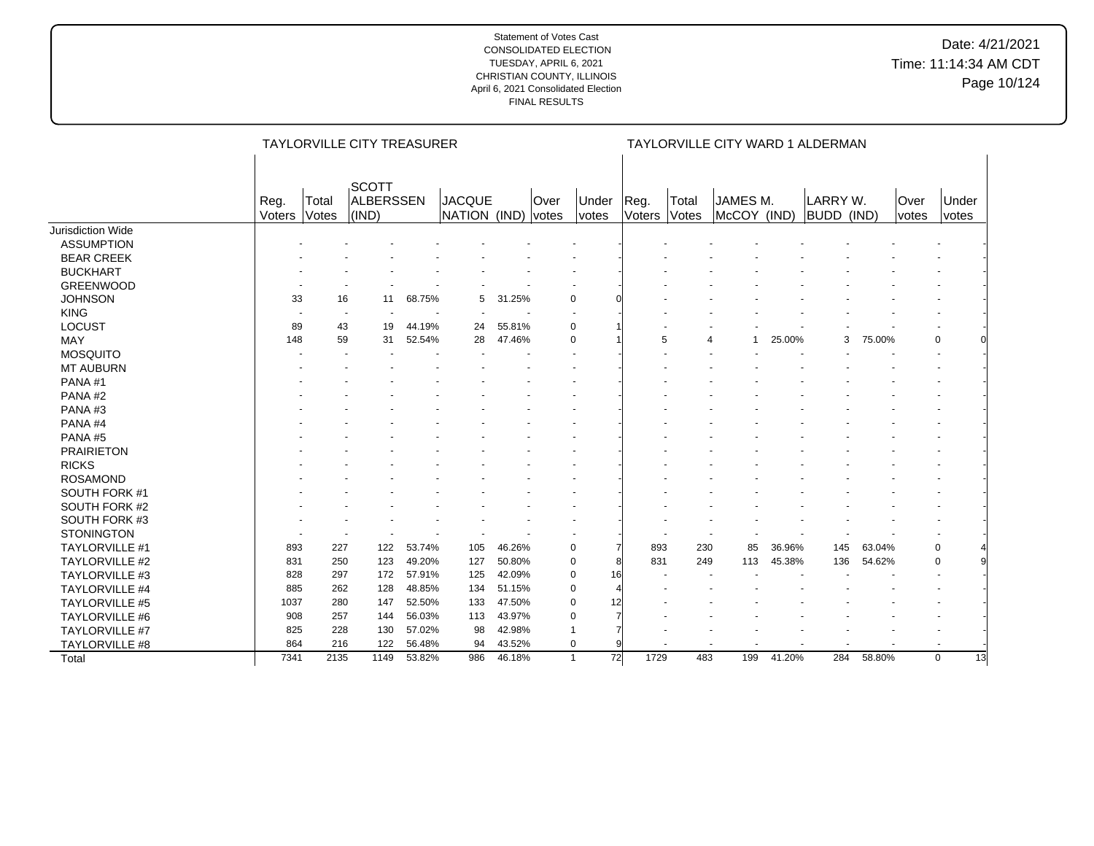|                       |                          |                | <b>TAYLORVILLE CITY TREASURER</b>  |        |                               |        |               |                       |                |                |                         |        | TAYLORVILLE CITY WARD 1 ALDERMAN |        |               |                      |  |
|-----------------------|--------------------------|----------------|------------------------------------|--------|-------------------------------|--------|---------------|-----------------------|----------------|----------------|-------------------------|--------|----------------------------------|--------|---------------|----------------------|--|
|                       | Reg.<br>Voters           | Total<br>Votes | <b>SCOTT</b><br>ALBERSSEN<br>(IND) |        | <b>JACQUE</b><br>NATION (IND) |        | Over<br>votes | Under<br><i>votes</i> | Reg.<br>Voters | Total<br>Votes | JAMES M.<br>McCOY (IND) |        | LARRY W.<br><b>BUDD (IND)</b>    |        | Over<br>votes | Under<br>votes       |  |
| Jurisdiction Wide     |                          |                |                                    |        |                               |        |               |                       |                |                |                         |        |                                  |        |               |                      |  |
| <b>ASSUMPTION</b>     |                          |                |                                    |        |                               |        |               |                       |                |                |                         |        |                                  |        |               |                      |  |
| <b>BEAR CREEK</b>     |                          |                |                                    |        |                               |        |               |                       |                |                |                         |        |                                  |        |               |                      |  |
| <b>BUCKHART</b>       |                          |                |                                    |        |                               |        |               |                       |                |                |                         |        |                                  |        |               |                      |  |
| <b>GREENWOOD</b>      | $\overline{\phantom{a}}$ |                |                                    |        |                               |        |               |                       |                |                |                         |        |                                  |        |               |                      |  |
| <b>JOHNSON</b>        | 33                       | 16             | 11                                 | 68.75% | 5                             | 31.25% |               | $\mathbf 0$           |                |                |                         |        |                                  |        |               |                      |  |
| <b>KING</b>           | $\overline{\phantom{a}}$ | $\sim$         |                                    |        |                               |        |               |                       |                |                |                         |        |                                  |        |               |                      |  |
| <b>LOCUST</b>         | 89                       | 43             | 19                                 | 44.19% | 24                            | 55.81% |               | $\mathbf 0$           |                |                |                         |        |                                  |        |               |                      |  |
| <b>MAY</b>            | 148                      | 59             | 31                                 | 52.54% | 28                            | 47.46% |               | $\Omega$              |                | 5              | 4                       | 25.00% | 3                                | 75.00% |               | 0                    |  |
| <b>MOSQUITO</b>       |                          |                |                                    |        |                               |        |               |                       |                |                |                         |        |                                  |        |               |                      |  |
| <b>MT AUBURN</b>      |                          |                |                                    |        |                               |        |               |                       |                |                |                         |        |                                  |        |               |                      |  |
| PANA#1                |                          |                |                                    |        |                               |        |               |                       |                |                |                         |        |                                  |        |               |                      |  |
| PANA#2                |                          |                |                                    |        |                               |        |               |                       |                |                |                         |        |                                  |        |               |                      |  |
| PANA#3                |                          |                |                                    |        |                               |        |               |                       |                |                |                         |        |                                  |        |               |                      |  |
| PANA#4                |                          |                |                                    |        |                               |        |               |                       |                |                |                         |        |                                  |        |               |                      |  |
| PANA#5                |                          |                |                                    |        |                               |        |               |                       |                |                |                         |        |                                  |        |               |                      |  |
| <b>PRAIRIETON</b>     |                          |                |                                    |        |                               |        |               |                       |                |                |                         |        |                                  |        |               |                      |  |
| <b>RICKS</b>          |                          |                |                                    |        |                               |        |               |                       |                |                |                         |        |                                  |        |               |                      |  |
| <b>ROSAMOND</b>       |                          |                |                                    |        |                               |        |               |                       |                |                |                         |        |                                  |        |               |                      |  |
| SOUTH FORK #1         |                          |                |                                    |        |                               |        |               |                       |                |                |                         |        |                                  |        |               |                      |  |
| SOUTH FORK #2         |                          |                |                                    |        |                               |        |               |                       |                |                |                         |        |                                  |        |               |                      |  |
| SOUTH FORK #3         |                          |                |                                    |        |                               |        |               |                       |                |                |                         |        |                                  |        |               |                      |  |
| <b>STONINGTON</b>     |                          |                |                                    |        |                               |        |               |                       |                |                |                         |        |                                  |        |               |                      |  |
| <b>TAYLORVILLE #1</b> | 893                      | 227            | 122                                | 53.74% | 105                           | 46.26% |               | $\mathbf 0$           | 893            | 230            | 85                      | 36.96% | 145                              | 63.04% |               | 0                    |  |
| <b>TAYLORVILLE #2</b> | 831                      | 250            | 123                                | 49.20% | 127                           | 50.80% |               | $\mathbf 0$           | 831            | 249            | 113                     | 45.38% | 136                              | 54.62% |               | 0                    |  |
| <b>TAYLORVILLE #3</b> | 828                      | 297            | 172                                | 57.91% | 125                           | 42.09% |               | $\mathbf 0$<br>16     |                |                |                         |        |                                  |        |               |                      |  |
| <b>TAYLORVILLE #4</b> | 885                      | 262            | 128                                | 48.85% | 134                           | 51.15% |               | $\mathbf 0$           |                |                |                         |        |                                  |        |               |                      |  |
| <b>TAYLORVILLE #5</b> | 1037                     | 280            | 147                                | 52.50% | 133                           | 47.50% |               | $\mathbf 0$<br>12     |                |                |                         |        |                                  |        |               |                      |  |
| <b>TAYLORVILLE #6</b> | 908                      | 257            | 144                                | 56.03% | 113                           | 43.97% |               | $\mathbf 0$           |                |                |                         |        |                                  |        |               |                      |  |
| <b>TAYLORVILLE #7</b> | 825                      | 228            | 130                                | 57.02% | 98                            | 42.98% |               | -1                    |                |                |                         |        |                                  |        |               |                      |  |
| TAYLORVILLE #8        | 864                      | 216            | 122                                | 56.48% | 94                            | 43.52% |               | $\mathbf 0$           |                |                |                         |        |                                  |        |               |                      |  |
| Total                 | 7341                     | 2135           | 1149                               | 53.82% | 986                           | 46.18% |               | 72<br>$\mathbf{1}$    | 1729           | 483            | 199                     | 41.20% | 284                              | 58.80% |               | $\overline{13}$<br>0 |  |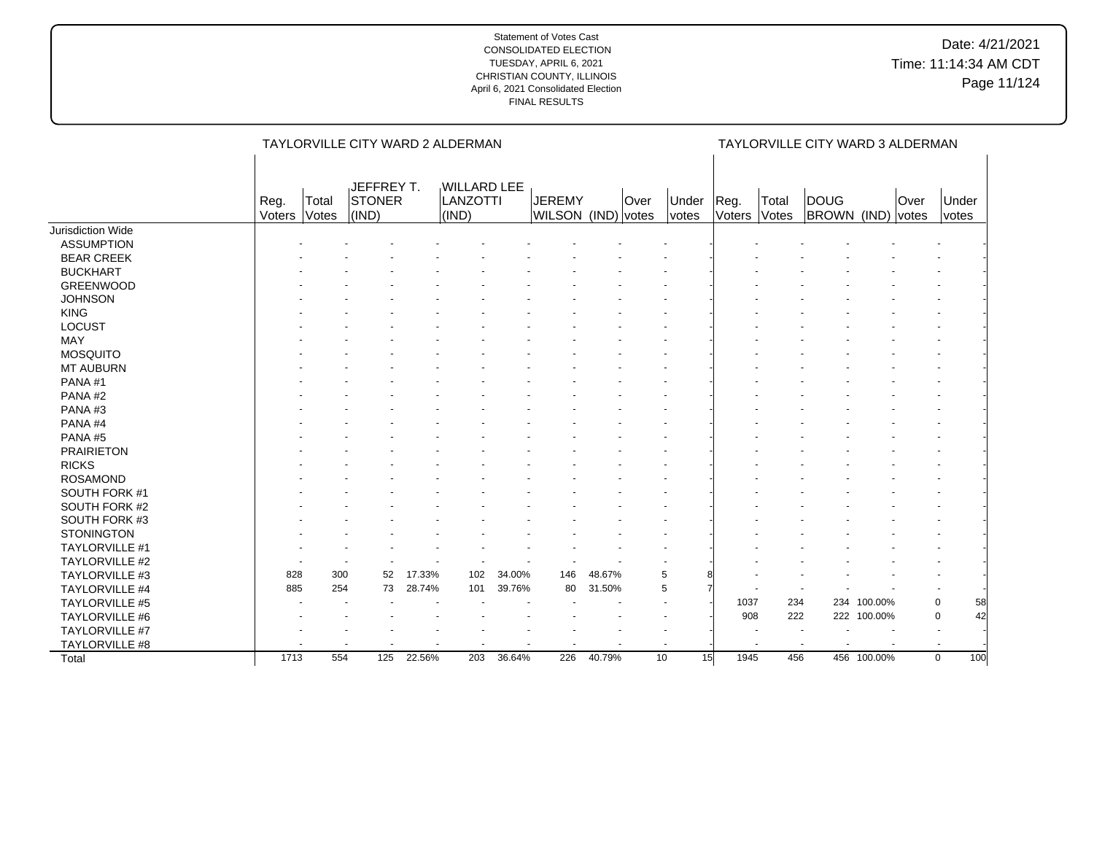|                       |                |                | TAYLORVILLE CITY WARD 2 ALDERMAN |        |                                         |        |                              |        |      |                       |                |                | TAYLORVILLE CITY WARD 3 ALDERMAN |             |      |                    |
|-----------------------|----------------|----------------|----------------------------------|--------|-----------------------------------------|--------|------------------------------|--------|------|-----------------------|----------------|----------------|----------------------------------|-------------|------|--------------------|
|                       | Reg.<br>Voters | Total<br>Votes | JEFFREY T.<br>STONER<br>(IND)    |        | <b>WILLARD LEE</b><br>LANZOTTI<br>(IND) |        | JEREMY<br>WILSON (IND) votes |        | Over | Under<br><i>votes</i> | Reg.<br>Voters | Total<br>Votes | DOUG<br>BROWN (IND) votes        |             | Over | Under<br>votes     |
| Jurisdiction Wide     |                |                |                                  |        |                                         |        |                              |        |      |                       |                |                |                                  |             |      |                    |
| <b>ASSUMPTION</b>     |                |                |                                  |        |                                         |        |                              |        |      |                       |                |                |                                  |             |      |                    |
| <b>BEAR CREEK</b>     |                |                |                                  |        |                                         |        |                              |        |      |                       |                |                |                                  |             |      |                    |
| <b>BUCKHART</b>       |                |                |                                  |        |                                         |        |                              |        |      |                       |                |                |                                  |             |      |                    |
| <b>GREENWOOD</b>      |                |                |                                  |        |                                         |        |                              |        |      |                       |                |                |                                  |             |      |                    |
| <b>JOHNSON</b>        |                |                |                                  |        |                                         |        |                              |        |      |                       |                |                |                                  |             |      |                    |
| <b>KING</b>           |                |                |                                  |        |                                         |        |                              |        |      |                       |                |                |                                  |             |      |                    |
| <b>LOCUST</b>         |                |                |                                  |        |                                         |        |                              |        |      |                       |                |                |                                  |             |      |                    |
| MAY                   |                |                |                                  |        |                                         |        |                              |        |      |                       |                |                |                                  |             |      |                    |
| <b>MOSQUITO</b>       |                |                |                                  |        |                                         |        |                              |        |      |                       |                |                |                                  |             |      |                    |
| MT AUBURN             |                |                |                                  |        |                                         |        |                              |        |      |                       |                |                |                                  |             |      |                    |
| PANA#1                |                |                |                                  |        |                                         |        |                              |        |      |                       |                |                |                                  |             |      |                    |
| PANA#2                |                |                |                                  |        |                                         |        |                              |        |      |                       |                |                |                                  |             |      |                    |
| PANA#3                |                |                |                                  |        |                                         |        |                              |        |      |                       |                |                |                                  |             |      |                    |
| PANA#4                |                |                |                                  |        |                                         |        |                              |        |      |                       |                |                |                                  |             |      |                    |
| PANA#5                |                |                |                                  |        |                                         |        |                              |        |      |                       |                |                |                                  |             |      |                    |
| <b>PRAIRIETON</b>     |                |                |                                  |        |                                         |        |                              |        |      |                       |                |                |                                  |             |      |                    |
| <b>RICKS</b>          |                |                |                                  |        |                                         |        |                              |        |      |                       |                |                |                                  |             |      |                    |
| <b>ROSAMOND</b>       |                |                |                                  |        |                                         |        |                              |        |      |                       |                |                |                                  |             |      |                    |
| SOUTH FORK #1         |                |                |                                  |        |                                         |        |                              |        |      |                       |                |                |                                  |             |      |                    |
| SOUTH FORK #2         |                |                |                                  |        |                                         |        |                              |        |      |                       |                |                |                                  |             |      |                    |
| SOUTH FORK #3         |                |                |                                  |        |                                         |        |                              |        |      |                       |                |                |                                  |             |      |                    |
| <b>STONINGTON</b>     |                |                |                                  |        |                                         |        |                              |        |      |                       |                |                |                                  |             |      |                    |
| <b>TAYLORVILLE #1</b> |                |                |                                  |        |                                         |        |                              |        |      |                       |                |                |                                  |             |      |                    |
| <b>TAYLORVILLE #2</b> |                |                |                                  |        |                                         |        |                              |        |      |                       |                |                |                                  |             |      |                    |
| TAYLORVILLE #3        | 828            | 300            | 52                               | 17.33% | 102                                     | 34.00% | 146                          | 48.67% |      | 5                     |                |                |                                  |             |      |                    |
| TAYLORVILLE #4        | 885            | 254            | 73                               | 28.74% | 101                                     | 39.76% | 80                           | 31.50% |      | 5                     |                |                |                                  |             |      |                    |
| TAYLORVILLE #5        |                |                |                                  |        |                                         |        |                              |        |      |                       | 1037           | 234            | 234                              | 100.00%     |      | $\mathbf 0$<br>58  |
| TAYLORVILLE #6        |                |                |                                  |        |                                         |        |                              |        |      |                       | 908            | 222            |                                  | 222 100.00% |      | 42<br>$\mathbf 0$  |
| TAYLORVILLE #7        |                |                |                                  |        |                                         |        |                              |        |      |                       |                |                |                                  |             |      | $\blacksquare$     |
| TAYLORVILLE #8        |                |                |                                  |        |                                         |        |                              |        |      |                       |                |                |                                  |             |      |                    |
| Total                 | 1713           | 554            | 125                              | 22.56% | 203                                     | 36.64% | 226                          | 40.79% |      | 15<br>10              | 1945           | 456            |                                  | 456 100.00% |      | 100<br>$\mathbf 0$ |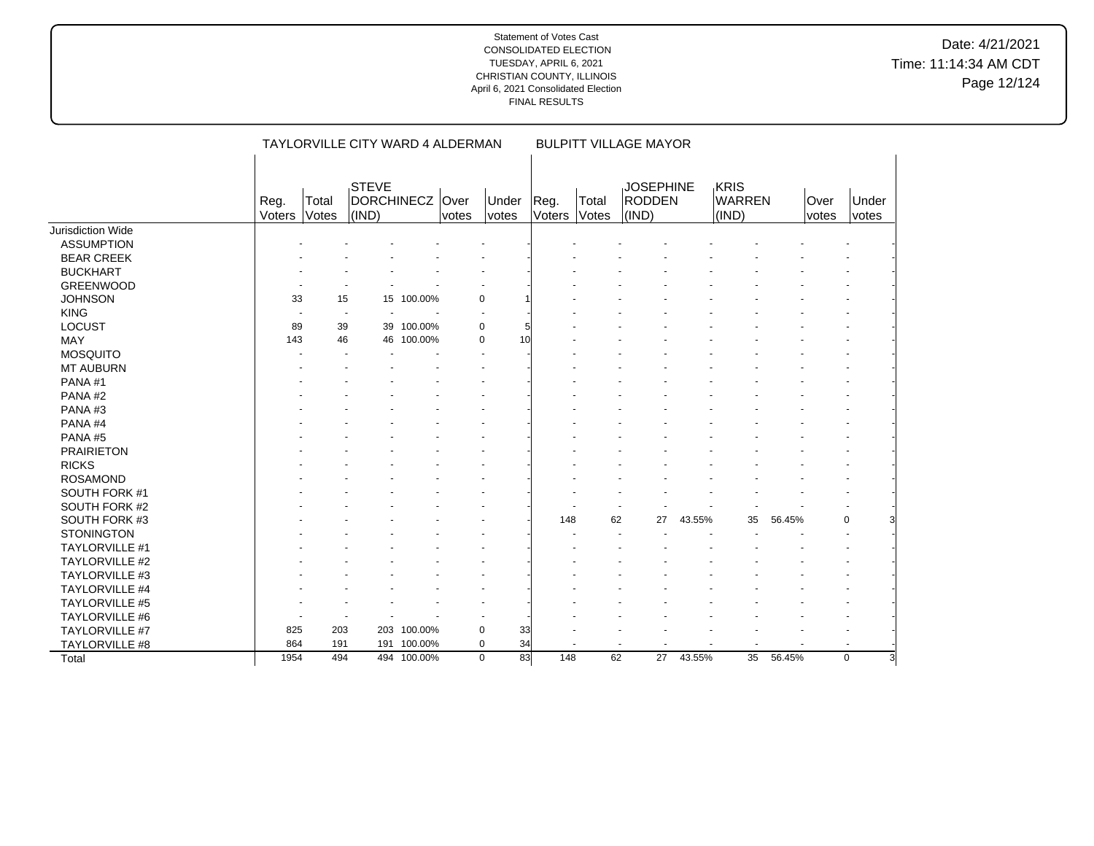Date: 4/21/2021 Time: 11:14:34 AM CDT Page 12/124

|                       |                | TAYLORVILLE CITY WARD 4 ALDERMAN |                                     |             |                          |                |                |                | <b>BULPITT VILLAGE MAYOR</b>               |        |                                |        |               |                |
|-----------------------|----------------|----------------------------------|-------------------------------------|-------------|--------------------------|----------------|----------------|----------------|--------------------------------------------|--------|--------------------------------|--------|---------------|----------------|
|                       | Reg.<br>Voters | Total<br>Votes                   | STEVE<br><b>DORCHINECZ</b><br>(IND) |             | Over<br>votes            | Under<br>votes | Reg.<br>Voters | Total<br>Votes | <b>JOSEPHINE</b><br>RODDEN<br>(IND)        |        | <b>KRIS</b><br>WARREN<br>(IND) |        | Over<br>votes | Under<br>votes |
| Jurisdiction Wide     |                |                                  |                                     |             |                          |                |                |                |                                            |        |                                |        |               |                |
| <b>ASSUMPTION</b>     |                |                                  |                                     |             |                          |                |                |                |                                            |        |                                |        |               |                |
| <b>BEAR CREEK</b>     |                |                                  |                                     |             |                          |                |                |                |                                            |        |                                |        |               |                |
| <b>BUCKHART</b>       |                |                                  |                                     |             |                          |                |                |                |                                            |        |                                |        |               |                |
| <b>GREENWOOD</b>      |                |                                  |                                     |             |                          |                |                |                |                                            |        |                                |        |               |                |
| <b>JOHNSON</b>        | 33             | 15                               |                                     | 15 100.00%  | $\mathbf 0$              |                |                |                |                                            |        |                                |        |               |                |
| <b>KING</b>           |                |                                  |                                     |             |                          |                |                |                |                                            |        |                                |        |               |                |
| LOCUST                | 89             | 39                               |                                     | 39 100.00%  | $\mathbf 0$              |                |                |                |                                            |        |                                |        |               |                |
| MAY                   | 143            | 46                               | 46                                  | 100.00%     | 0                        | 10             |                |                |                                            |        |                                |        |               |                |
| <b>MOSQUITO</b>       |                |                                  |                                     |             | $\overline{\phantom{a}}$ |                |                |                |                                            |        |                                |        |               |                |
| <b>MT AUBURN</b>      |                |                                  |                                     |             |                          |                |                |                |                                            |        |                                |        |               |                |
| PANA#1                |                |                                  |                                     |             |                          |                |                |                |                                            |        |                                |        |               |                |
| PANA#2                |                |                                  |                                     |             |                          |                |                |                |                                            |        |                                |        |               |                |
| PANA#3                |                |                                  |                                     |             |                          |                |                |                |                                            |        |                                |        |               |                |
| PANA#4                |                |                                  |                                     |             |                          |                |                |                |                                            |        |                                |        |               |                |
| PANA#5                |                |                                  |                                     |             |                          |                |                |                |                                            |        |                                |        |               |                |
| <b>PRAIRIETON</b>     |                |                                  |                                     |             |                          |                |                |                |                                            |        |                                |        |               |                |
| <b>RICKS</b>          |                |                                  |                                     |             |                          |                |                |                |                                            |        |                                |        |               |                |
| <b>ROSAMOND</b>       |                |                                  |                                     |             |                          |                |                |                |                                            |        |                                |        |               |                |
| SOUTH FORK #1         |                |                                  |                                     |             |                          |                |                |                |                                            |        |                                |        |               |                |
| SOUTH FORK #2         |                |                                  |                                     |             |                          |                |                |                |                                            |        |                                |        |               |                |
| SOUTH FORK #3         |                |                                  |                                     |             |                          |                | 148            |                | 62<br>27                                   | 43.55% | 35                             | 56.45% | 0             |                |
| <b>STONINGTON</b>     |                |                                  |                                     |             |                          |                |                |                |                                            |        |                                |        |               |                |
| TAYLORVILLE #1        |                |                                  |                                     |             |                          |                |                |                |                                            |        |                                |        |               |                |
| <b>TAYLORVILLE #2</b> |                |                                  |                                     |             |                          |                |                |                |                                            |        |                                |        |               |                |
| TAYLORVILLE #3        |                |                                  |                                     |             |                          |                |                |                |                                            |        |                                |        |               |                |
| <b>TAYLORVILLE #4</b> |                |                                  |                                     |             |                          |                |                |                |                                            |        |                                |        |               |                |
| <b>TAYLORVILLE #5</b> |                |                                  |                                     |             |                          |                |                |                |                                            |        |                                |        |               |                |
| TAYLORVILLE #6        |                |                                  |                                     |             |                          |                |                |                |                                            |        |                                |        |               |                |
| TAYLORVILLE #7        | 825            | 203                              |                                     | 203 100.00% | $\mathbf 0$              | 33             |                |                |                                            |        |                                |        |               |                |
| TAYLORVILLE #8        | 864            | 191                              |                                     | 191 100.00% | $\mathbf 0$              | 34             |                | ٠.             | $\blacksquare$<br>$\overline{\phantom{a}}$ |        |                                |        |               | $\blacksquare$ |
| Total                 | 1954           | 494                              |                                     | 494 100.00% | $\mathbf 0$              | 83             | 148            |                | 62<br>27                                   | 43.55% | 35                             | 56.45% | $\mathbf 0$   |                |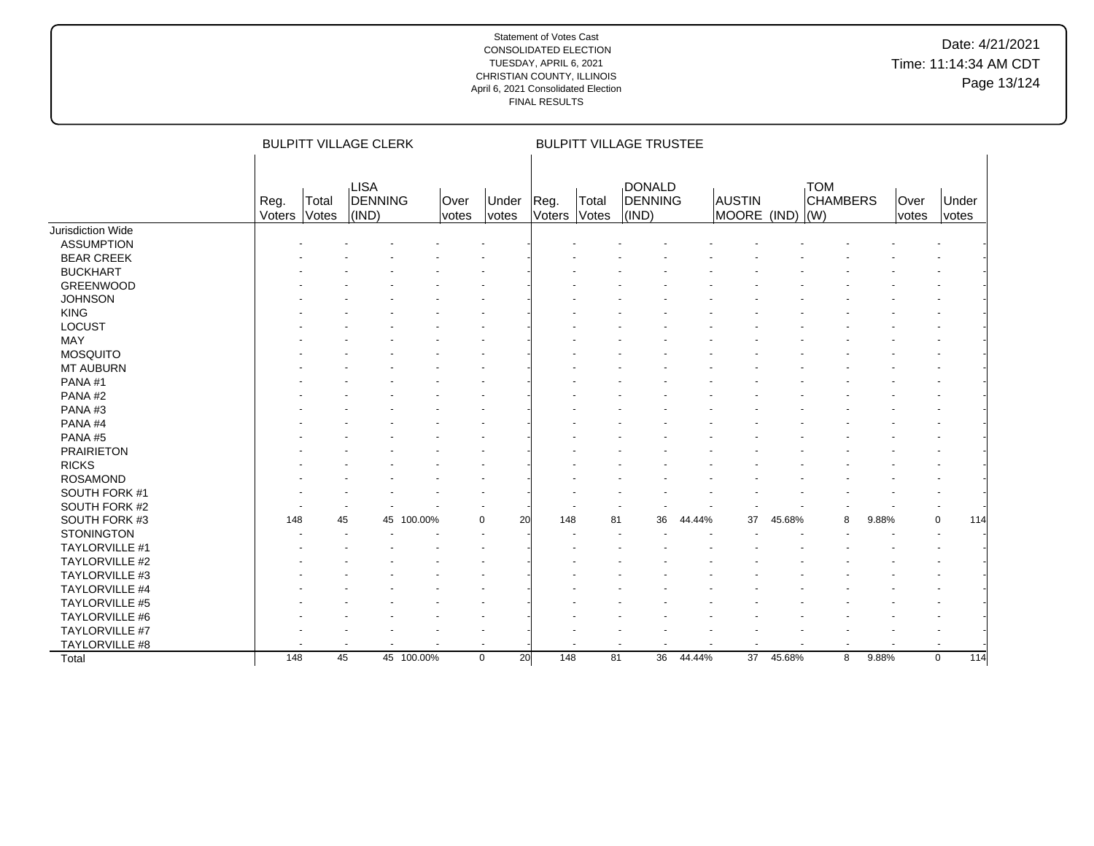# Date: 4/21/2021 Time: 11:14:34 AM CDT Page 13/124

|                       |                |                | <b>BULPITT VILLAGE CLERK</b>            |            |               |                 |                |                | <b>BULPITT VILLAGE TRUSTEE</b>    |        |                              |        |                                              |       |               |                |     |
|-----------------------|----------------|----------------|-----------------------------------------|------------|---------------|-----------------|----------------|----------------|-----------------------------------|--------|------------------------------|--------|----------------------------------------------|-------|---------------|----------------|-----|
|                       | Reg.<br>Voters | Total<br>Votes | <b>LISA</b><br>DENNING<br>$\vert$ (IND) |            | Over<br>votes | Under<br>votes  | Reg.<br>Voters | Total<br>Votes | <b>DONALD</b><br>DENNING<br>(IND) |        | <b>AUSTIN</b><br>MOORE (IND) |        | <b>TOM</b><br><b>CHAMBERS</b><br>$\vert$ (W) |       | Over<br>votes | Under<br>votes |     |
| Jurisdiction Wide     |                |                |                                         |            |               |                 |                |                |                                   |        |                              |        |                                              |       |               |                |     |
| <b>ASSUMPTION</b>     |                |                |                                         |            |               |                 |                |                |                                   |        |                              |        |                                              |       |               |                |     |
| <b>BEAR CREEK</b>     |                |                |                                         |            |               |                 |                |                |                                   |        |                              |        |                                              |       |               |                |     |
| <b>BUCKHART</b>       |                |                |                                         |            |               |                 |                |                |                                   |        |                              |        |                                              |       |               |                |     |
| <b>GREENWOOD</b>      |                |                |                                         |            |               |                 |                |                |                                   |        |                              |        |                                              |       |               |                |     |
| <b>JOHNSON</b>        |                |                |                                         |            |               |                 |                |                |                                   |        |                              |        |                                              |       |               |                |     |
| <b>KING</b>           |                |                |                                         |            |               |                 |                |                |                                   |        |                              |        |                                              |       |               |                |     |
| <b>LOCUST</b>         |                |                |                                         |            |               |                 |                |                |                                   |        |                              |        |                                              |       |               |                |     |
| MAY                   |                |                |                                         |            |               |                 |                |                |                                   |        |                              |        |                                              |       |               |                |     |
| <b>MOSQUITO</b>       |                |                |                                         |            |               |                 |                |                |                                   |        |                              |        |                                              |       |               |                |     |
| <b>MT AUBURN</b>      |                |                |                                         |            |               |                 |                |                |                                   |        |                              |        |                                              |       |               |                |     |
| PANA#1                |                |                |                                         |            |               |                 |                |                |                                   |        |                              |        |                                              |       |               |                |     |
| PANA#2                |                |                |                                         |            |               |                 |                |                |                                   |        |                              |        |                                              |       |               |                |     |
| PANA#3                |                |                |                                         |            |               |                 |                |                |                                   |        |                              |        |                                              |       |               |                |     |
| PANA#4                |                |                |                                         |            |               |                 |                |                |                                   |        |                              |        |                                              |       |               |                |     |
| PANA#5                |                |                |                                         |            |               |                 |                |                |                                   |        |                              |        |                                              |       |               |                |     |
| <b>PRAIRIETON</b>     |                |                |                                         |            |               |                 |                |                |                                   |        |                              |        |                                              |       |               |                |     |
| <b>RICKS</b>          |                |                |                                         |            |               |                 |                |                |                                   |        |                              |        |                                              |       |               |                |     |
| <b>ROSAMOND</b>       |                |                |                                         |            |               |                 |                |                |                                   |        |                              |        |                                              |       |               |                |     |
| SOUTH FORK #1         |                |                |                                         |            |               |                 |                |                |                                   |        |                              |        |                                              |       |               |                |     |
| SOUTH FORK #2         |                |                |                                         |            |               |                 |                |                |                                   |        |                              |        |                                              |       |               |                |     |
| SOUTH FORK #3         | 148            |                | 45<br>45                                | 100.00%    | $\mathbf 0$   | 20              | 148            | 81             | 36                                | 44.44% | 37                           | 45.68% | 8                                            | 9.88% |               | 0              | 114 |
| <b>STONINGTON</b>     |                |                |                                         |            |               |                 |                |                |                                   |        |                              |        |                                              |       |               |                |     |
| TAYLORVILLE #1        |                |                |                                         |            |               |                 |                |                |                                   |        |                              |        |                                              |       |               |                |     |
| <b>TAYLORVILLE #2</b> |                |                |                                         |            |               |                 |                |                |                                   |        |                              |        |                                              |       |               |                |     |
| <b>TAYLORVILLE #3</b> |                |                |                                         |            |               |                 |                |                |                                   |        |                              |        |                                              |       |               |                |     |
| TAYLORVILLE #4        |                |                |                                         |            |               |                 |                |                |                                   |        |                              |        |                                              |       |               |                |     |
| TAYLORVILLE #5        |                |                |                                         |            |               |                 |                |                |                                   |        |                              |        |                                              |       |               |                |     |
| TAYLORVILLE #6        |                |                |                                         |            |               |                 |                |                |                                   |        |                              |        |                                              |       |               |                |     |
| TAYLORVILLE #7        |                |                |                                         |            |               |                 |                |                |                                   |        |                              |        |                                              |       |               |                |     |
| TAYLORVILLE #8        |                |                |                                         |            |               |                 |                |                |                                   |        | $\ddot{\phantom{1}}$         |        |                                              |       |               |                |     |
| Total                 | 148            | 45             |                                         | 45 100.00% | $\mathbf 0$   | $\overline{20}$ | 148            | 81             | 36                                | 44.44% | $\overline{37}$              | 45.68% | 8                                            | 9.88% |               | $\mathbf 0$    | 114 |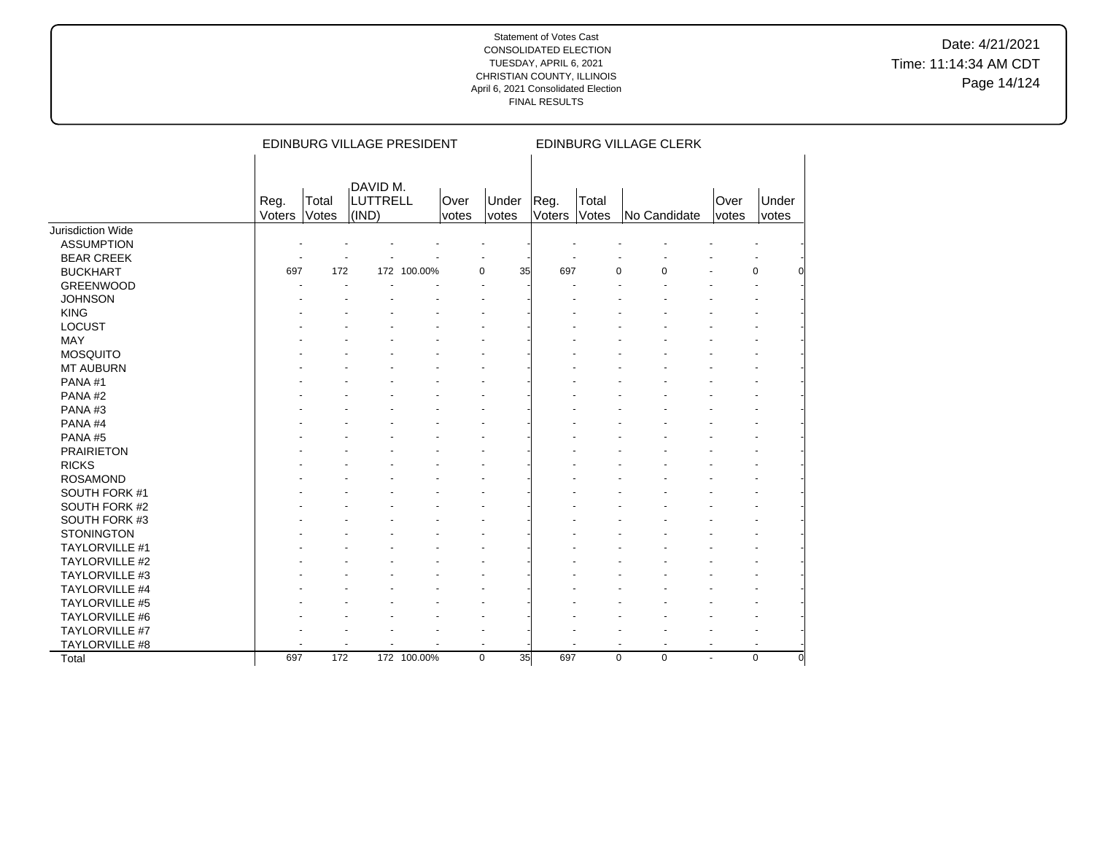|                       |                |                | EDINBURG VILLAGE PRESIDENT    |             |               |                   |                |                | EDINBURG VILLAGE CLERK     |                |                |  |
|-----------------------|----------------|----------------|-------------------------------|-------------|---------------|-------------------|----------------|----------------|----------------------------|----------------|----------------|--|
|                       | Reg.<br>Voters | Total<br>Votes | DAVID M.<br>LUTTRELL<br>(IND) |             | Over<br>votes | Under<br>votes    | Reg.<br>Voters | Total<br>Votes | No Candidate               | Over<br>votes  | Under<br>votes |  |
| Jurisdiction Wide     |                |                |                               |             |               |                   |                |                |                            |                |                |  |
| <b>ASSUMPTION</b>     |                |                |                               |             |               |                   |                |                |                            |                |                |  |
| <b>BEAR CREEK</b>     |                |                |                               |             |               |                   |                |                |                            |                |                |  |
| <b>BUCKHART</b>       | 697            | 172            |                               | 172 100.00% |               | $\mathbf 0$<br>35 | 697            |                | $\Omega$<br>$\Omega$       |                | 0              |  |
| <b>GREENWOOD</b>      |                |                |                               |             |               |                   |                |                |                            |                |                |  |
| <b>JOHNSON</b>        |                |                |                               |             |               |                   |                |                |                            |                |                |  |
| <b>KING</b>           |                |                |                               |             |               |                   |                |                |                            |                |                |  |
| <b>LOCUST</b>         |                |                |                               |             |               |                   |                |                |                            |                |                |  |
| <b>MAY</b>            |                |                |                               |             |               |                   |                |                |                            |                |                |  |
| <b>MOSQUITO</b>       |                |                |                               |             |               |                   |                |                |                            |                |                |  |
| <b>MT AUBURN</b>      |                |                |                               |             |               |                   |                |                |                            |                |                |  |
| PANA#1                |                |                |                               |             |               |                   |                |                |                            |                |                |  |
| PANA#2                |                |                |                               |             |               |                   |                |                |                            |                |                |  |
| PANA#3                |                |                |                               |             |               |                   |                |                |                            |                |                |  |
| PANA#4                |                |                |                               |             |               |                   |                |                |                            |                |                |  |
| PANA#5                |                |                |                               |             |               |                   |                |                |                            |                |                |  |
| <b>PRAIRIETON</b>     |                |                |                               |             |               |                   |                |                |                            |                |                |  |
| <b>RICKS</b>          |                |                |                               |             |               |                   |                |                |                            |                |                |  |
| <b>ROSAMOND</b>       |                |                |                               |             |               |                   |                |                |                            |                |                |  |
| SOUTH FORK #1         |                |                |                               |             |               |                   |                |                |                            |                |                |  |
| SOUTH FORK #2         |                |                |                               |             |               |                   |                |                |                            |                |                |  |
| SOUTH FORK #3         |                |                |                               |             |               |                   |                |                |                            |                |                |  |
| <b>STONINGTON</b>     |                |                |                               |             |               |                   |                |                |                            |                |                |  |
| TAYLORVILLE #1        |                |                |                               |             |               |                   |                |                |                            |                |                |  |
| <b>TAYLORVILLE #2</b> |                |                |                               |             |               |                   |                |                |                            |                |                |  |
| TAYLORVILLE #3        |                |                |                               |             |               |                   |                |                |                            |                |                |  |
| TAYLORVILLE #4        |                |                |                               |             |               |                   |                |                |                            |                |                |  |
| TAYLORVILLE #5        |                |                |                               |             |               |                   |                |                |                            |                |                |  |
| TAYLORVILLE #6        |                |                |                               |             |               |                   |                |                |                            |                |                |  |
| TAYLORVILLE #7        |                |                |                               |             |               |                   |                |                |                            |                |                |  |
| TAYLORVILLE #8        |                |                |                               |             |               | $\blacksquare$    |                |                |                            | $\blacksquare$ |                |  |
| Total                 | 697            | 172            |                               | 172 100.00% |               | $\mathbf 0$<br>35 | 697            |                | $\mathbf 0$<br>$\mathbf 0$ | $\sim$         | 0              |  |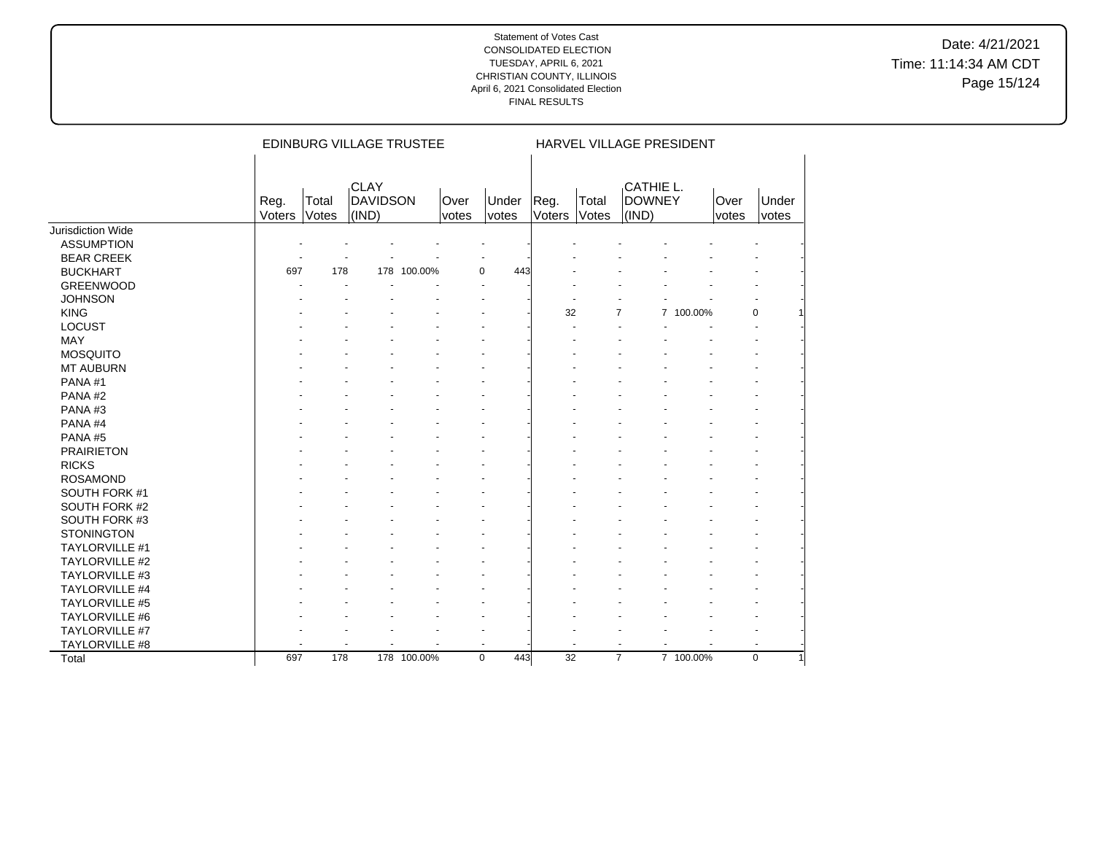Date: 4/21/2021 Time: 11:14:34 AM CDT Page 15/124

|                       |                |                | EDINBURG VILLAGE TRUSTEE                |             |               |                          |                |                |                | HARVEL VILLAGE PRESIDENT            |               |             |                |
|-----------------------|----------------|----------------|-----------------------------------------|-------------|---------------|--------------------------|----------------|----------------|----------------|-------------------------------------|---------------|-------------|----------------|
|                       | Reg.<br>Voters | Total<br>Votes | <b>CLAY</b><br><b>DAVIDSON</b><br>(IND) |             | Over<br>votes | Under<br>votes           | Reg.<br>Voters | Total<br>Votes |                | CATHIE L.<br><b>DOWNEY</b><br>(IND) | Over<br>votes |             | Under<br>votes |
| Jurisdiction Wide     |                |                |                                         |             |               |                          |                |                |                |                                     |               |             |                |
| <b>ASSUMPTION</b>     |                |                |                                         |             |               |                          |                |                |                |                                     |               |             |                |
| <b>BEAR CREEK</b>     |                |                |                                         |             |               |                          |                |                |                |                                     |               |             |                |
| <b>BUCKHART</b>       | 697            | 178            |                                         | 178 100.00% |               | 443<br>0                 |                |                |                |                                     |               |             |                |
| <b>GREENWOOD</b>      |                |                |                                         |             |               |                          |                |                |                |                                     |               |             |                |
| <b>JOHNSON</b>        |                |                |                                         |             |               |                          |                |                |                |                                     |               |             |                |
| <b>KING</b>           |                |                |                                         |             |               |                          |                | 32             | $\overline{7}$ |                                     | 7 100.00%     | $\Omega$    |                |
| LOCUST                |                |                |                                         |             |               |                          |                |                |                |                                     |               |             |                |
| MAY                   |                |                |                                         |             |               |                          |                |                |                |                                     |               |             |                |
| <b>MOSQUITO</b>       |                |                |                                         |             |               |                          |                |                |                |                                     |               |             |                |
| <b>MT AUBURN</b>      |                |                |                                         |             |               |                          |                |                |                |                                     |               |             |                |
| PANA#1                |                |                |                                         |             |               |                          |                |                |                |                                     |               |             |                |
| PANA#2                |                |                |                                         |             |               |                          |                |                |                |                                     |               |             |                |
| PANA#3                |                |                |                                         |             |               |                          |                |                |                |                                     |               |             |                |
| PANA#4                |                |                |                                         |             |               |                          |                |                |                |                                     |               |             |                |
| PANA#5                |                |                |                                         |             |               |                          |                |                |                |                                     |               |             |                |
| <b>PRAIRIETON</b>     |                |                |                                         |             |               |                          |                |                |                |                                     |               |             |                |
| <b>RICKS</b>          |                |                |                                         |             |               |                          |                |                |                |                                     |               |             |                |
| <b>ROSAMOND</b>       |                |                |                                         |             |               |                          |                |                |                |                                     |               |             |                |
| SOUTH FORK #1         |                |                |                                         |             |               |                          |                |                |                |                                     |               |             |                |
| SOUTH FORK #2         |                |                |                                         |             |               |                          |                |                |                |                                     |               |             |                |
| SOUTH FORK #3         |                |                |                                         |             |               |                          |                |                |                |                                     |               |             |                |
| <b>STONINGTON</b>     |                |                |                                         |             |               |                          |                |                |                |                                     |               |             |                |
| TAYLORVILLE #1        |                |                |                                         |             |               |                          |                |                |                |                                     |               |             |                |
| TAYLORVILLE #2        |                |                |                                         |             |               |                          |                |                |                |                                     |               |             |                |
| TAYLORVILLE #3        |                |                |                                         |             |               |                          |                |                |                |                                     |               |             |                |
| TAYLORVILLE #4        |                |                |                                         |             |               |                          |                |                |                |                                     |               |             |                |
| <b>TAYLORVILLE #5</b> |                |                |                                         |             |               |                          |                |                |                |                                     |               |             |                |
| TAYLORVILLE #6        |                |                |                                         |             |               |                          |                |                |                |                                     |               |             |                |
| TAYLORVILLE #7        |                |                |                                         |             |               |                          |                |                |                |                                     |               |             |                |
| TAYLORVILLE #8        |                |                |                                         |             |               | $\overline{\phantom{a}}$ |                |                | $\blacksquare$ |                                     |               |             |                |
| Total                 | 697            | 178            |                                         | 178 100.00% |               | $\mathbf 0$<br>443       |                | 32             | $\overline{7}$ |                                     | 7 100.00%     | $\mathbf 0$ |                |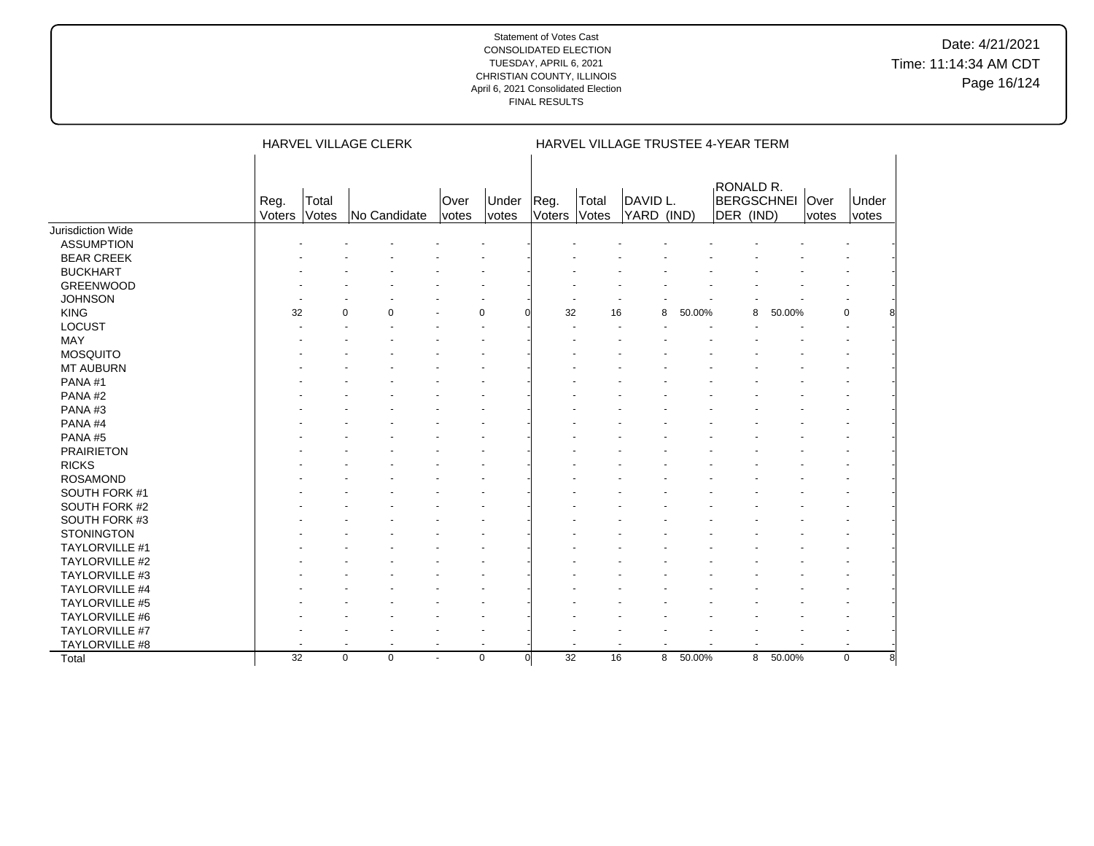# Date: 4/21/2021 Time: 11:14:34 AM CDT Page 16/124

|                       |                 |                | HARVEL VILLAGE CLERK             |                |               |                |                 |                 | HARVEL VILLAGE TRUSTEE 4-YEAR TERM |        |                                                  |        |       |                |   |
|-----------------------|-----------------|----------------|----------------------------------|----------------|---------------|----------------|-----------------|-----------------|------------------------------------|--------|--------------------------------------------------|--------|-------|----------------|---|
|                       | Reg.<br>Voters  | Total<br>Votes | No Candidate                     |                | Over<br>votes | Under<br>votes | Reg.<br>Voters  | Total<br>Votes  | DAVID L.<br>YARD (IND)             |        | RONALD R.<br><b>BERGSCHNEI</b> Over<br>DER (IND) |        | votes | Under<br>votes |   |
| Jurisdiction Wide     |                 |                |                                  |                |               |                |                 |                 |                                    |        |                                                  |        |       |                |   |
| <b>ASSUMPTION</b>     |                 |                |                                  |                |               |                |                 |                 |                                    |        |                                                  |        |       |                |   |
| <b>BEAR CREEK</b>     |                 |                |                                  |                |               |                |                 |                 |                                    |        |                                                  |        |       |                |   |
| <b>BUCKHART</b>       |                 |                |                                  |                |               |                |                 |                 |                                    |        |                                                  |        |       |                |   |
| <b>GREENWOOD</b>      |                 |                |                                  |                |               |                |                 |                 |                                    |        |                                                  |        |       |                |   |
| <b>JOHNSON</b>        |                 |                |                                  |                |               |                |                 |                 |                                    |        |                                                  |        |       |                |   |
| <b>KING</b>           | 32              |                | $\Omega$<br>$\Omega$             |                | $\mathbf 0$   |                | 32              | 16              | 8                                  | 50.00% | 8                                                | 50.00% |       | 0              |   |
| <b>LOCUST</b>         |                 |                |                                  |                |               |                |                 |                 |                                    |        |                                                  |        |       |                |   |
| MAY                   |                 |                |                                  |                |               |                |                 |                 |                                    |        |                                                  |        |       |                |   |
| <b>MOSQUITO</b>       |                 |                |                                  |                |               |                |                 |                 |                                    |        |                                                  |        |       |                |   |
| <b>MT AUBURN</b>      |                 |                |                                  |                |               |                |                 |                 |                                    |        |                                                  |        |       |                |   |
| PANA#1                |                 |                |                                  |                |               |                |                 |                 |                                    |        |                                                  |        |       |                |   |
| PANA#2                |                 |                |                                  |                |               |                |                 |                 |                                    |        |                                                  |        |       |                |   |
| PANA#3                |                 |                |                                  |                |               |                |                 |                 |                                    |        |                                                  |        |       |                |   |
| PANA#4                |                 |                |                                  |                |               |                |                 |                 |                                    |        |                                                  |        |       |                |   |
| PANA#5                |                 |                |                                  |                |               |                |                 |                 |                                    |        |                                                  |        |       |                |   |
| <b>PRAIRIETON</b>     |                 |                |                                  |                |               |                |                 |                 |                                    |        |                                                  |        |       |                |   |
| <b>RICKS</b>          |                 |                |                                  |                |               |                |                 |                 |                                    |        |                                                  |        |       |                |   |
| <b>ROSAMOND</b>       |                 |                |                                  |                |               |                |                 |                 |                                    |        |                                                  |        |       |                |   |
| SOUTH FORK #1         |                 |                |                                  |                |               |                |                 |                 |                                    |        |                                                  |        |       |                |   |
| SOUTH FORK #2         |                 |                |                                  |                |               |                |                 |                 |                                    |        |                                                  |        |       |                |   |
| SOUTH FORK #3         |                 |                |                                  |                |               |                |                 |                 |                                    |        |                                                  |        |       |                |   |
| <b>STONINGTON</b>     |                 |                |                                  |                |               |                |                 |                 |                                    |        |                                                  |        |       |                |   |
| <b>TAYLORVILLE #1</b> |                 |                |                                  |                |               |                |                 |                 |                                    |        |                                                  |        |       |                |   |
| <b>TAYLORVILLE #2</b> |                 |                |                                  |                |               |                |                 |                 |                                    |        |                                                  |        |       |                |   |
| <b>TAYLORVILLE #3</b> |                 |                |                                  |                |               |                |                 |                 |                                    |        |                                                  |        |       |                |   |
| <b>TAYLORVILLE #4</b> |                 |                |                                  |                |               |                |                 |                 |                                    |        |                                                  |        |       |                |   |
| <b>TAYLORVILLE #5</b> |                 |                |                                  |                |               |                |                 |                 |                                    |        |                                                  |        |       |                |   |
| <b>TAYLORVILLE #6</b> |                 |                |                                  |                |               |                |                 |                 |                                    |        |                                                  |        |       |                |   |
| TAYLORVILLE #7        |                 |                |                                  |                |               |                |                 |                 |                                    |        |                                                  |        |       |                |   |
| TAYLORVILLE #8        |                 | $\blacksquare$ | $\blacksquare$<br>$\blacksquare$ | $\blacksquare$ | $\sim$        |                | $\blacksquare$  |                 | $\overline{a}$<br>$\blacksquare$   |        |                                                  |        |       | $\overline{a}$ |   |
| Total                 | $\overline{32}$ |                | $\mathbf 0$<br>$\mathbf 0$       | $\sim$         | $\mathbf 0$   | $\overline{0}$ | $\overline{32}$ | $\overline{16}$ | 8                                  | 50.00% | 8                                                | 50.00% |       | $\mathbf 0$    | 8 |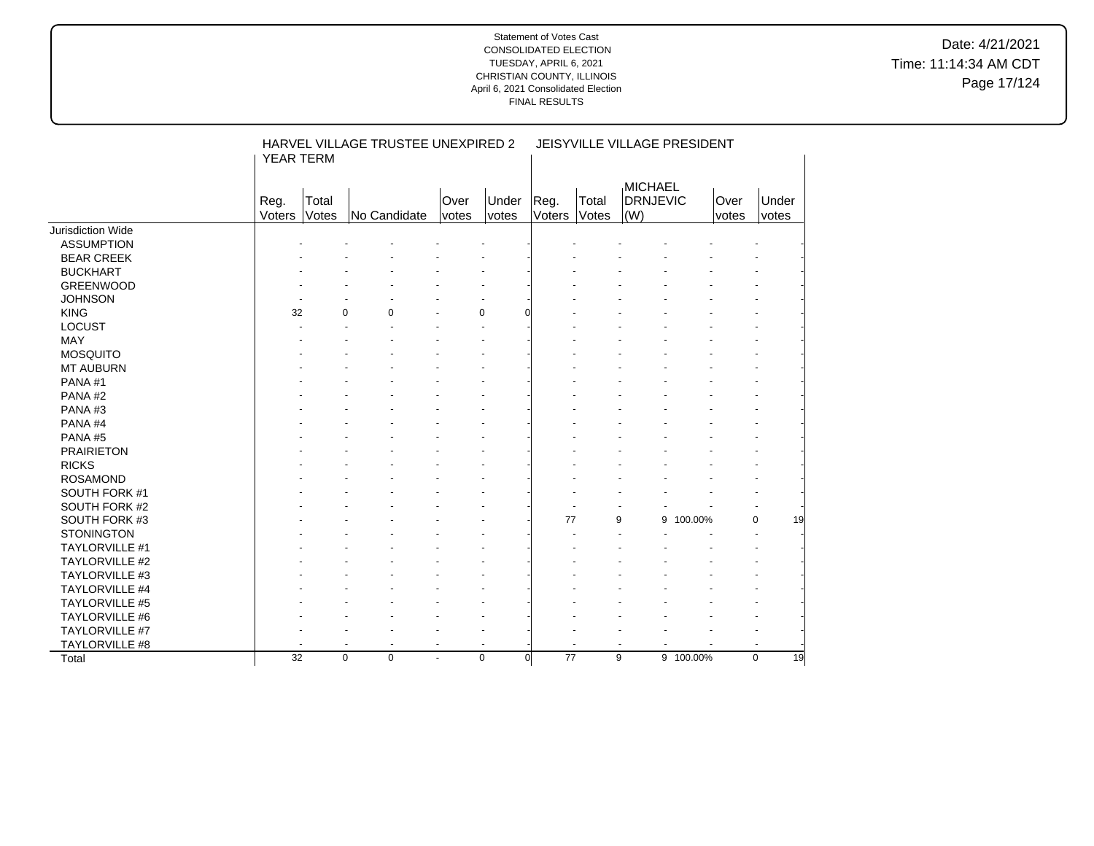Date: 4/21/2021 Time: 11:14:34 AM CDT Page 17/124

|                       | YEAR TERM      |                | HARVEL VILLAGE TRUSTEE UNEXPIRED 2     |               |                       |                |                | JEISYVILLE VILLAGE PRESIDENT      |           |               |                   |  |
|-----------------------|----------------|----------------|----------------------------------------|---------------|-----------------------|----------------|----------------|-----------------------------------|-----------|---------------|-------------------|--|
|                       | Reg.<br>Voters | Total<br>Votes | No Candidate                           | Over<br>votes | Under<br><i>votes</i> | Reg.<br>Voters | Total<br>Votes | MICHAEL<br><b>DRNJEVIC</b><br>(W) |           | Over<br>votes | Under<br>votes    |  |
| Jurisdiction Wide     |                |                |                                        |               |                       |                |                |                                   |           |               |                   |  |
| <b>ASSUMPTION</b>     |                |                |                                        |               |                       |                |                |                                   |           |               |                   |  |
| <b>BEAR CREEK</b>     |                |                |                                        |               |                       |                |                |                                   |           |               |                   |  |
| <b>BUCKHART</b>       |                |                |                                        |               |                       |                |                |                                   |           |               |                   |  |
| <b>GREENWOOD</b>      |                |                |                                        |               |                       |                |                |                                   |           |               |                   |  |
| <b>JOHNSON</b>        |                |                |                                        |               |                       |                |                |                                   |           |               |                   |  |
| <b>KING</b>           | 32             | $\Omega$       | $\Omega$                               |               | $\mathbf 0$           |                |                |                                   |           |               |                   |  |
| <b>LOCUST</b>         |                |                |                                        |               |                       |                |                |                                   |           |               |                   |  |
| MAY                   |                |                |                                        |               |                       |                |                |                                   |           |               |                   |  |
| <b>MOSQUITO</b>       |                |                |                                        |               |                       |                |                |                                   |           |               |                   |  |
| <b>MT AUBURN</b>      |                |                |                                        |               |                       |                |                |                                   |           |               |                   |  |
| PANA#1                |                |                |                                        |               |                       |                |                |                                   |           |               |                   |  |
| PANA#2                |                |                |                                        |               |                       |                |                |                                   |           |               |                   |  |
| PANA#3                |                |                |                                        |               |                       |                |                |                                   |           |               |                   |  |
| PANA#4                |                |                |                                        |               |                       |                |                |                                   |           |               |                   |  |
| PANA#5                |                |                |                                        |               |                       |                |                |                                   |           |               |                   |  |
| <b>PRAIRIETON</b>     |                |                |                                        |               |                       |                |                |                                   |           |               |                   |  |
| <b>RICKS</b>          |                |                |                                        |               |                       |                |                |                                   |           |               |                   |  |
| <b>ROSAMOND</b>       |                |                |                                        |               |                       |                |                |                                   |           |               |                   |  |
| SOUTH FORK #1         |                |                |                                        |               |                       |                |                |                                   |           |               |                   |  |
| SOUTH FORK #2         |                |                |                                        |               |                       |                |                |                                   |           |               |                   |  |
| SOUTH FORK #3         |                |                |                                        |               |                       | 77             |                | 9<br>9                            | 100.00%   |               | 19<br>$\Omega$    |  |
| <b>STONINGTON</b>     |                |                |                                        |               |                       |                |                |                                   |           |               |                   |  |
| TAYLORVILLE #1        |                |                |                                        |               |                       |                |                |                                   |           |               |                   |  |
| TAYLORVILLE #2        |                |                |                                        |               |                       |                |                |                                   |           |               |                   |  |
| TAYLORVILLE #3        |                |                |                                        |               |                       |                |                |                                   |           |               |                   |  |
| TAYLORVILLE #4        |                |                |                                        |               |                       |                |                |                                   |           |               |                   |  |
| <b>TAYLORVILLE #5</b> |                |                |                                        |               |                       |                |                |                                   |           |               |                   |  |
| TAYLORVILLE #6        |                |                |                                        |               |                       |                |                |                                   |           |               |                   |  |
| TAYLORVILLE #7        |                |                |                                        |               |                       |                |                |                                   |           |               |                   |  |
| TAYLORVILLE #8        |                |                | $\ddot{\phantom{1}}$<br>$\blacksquare$ | $\sim$        | $\overline{a}$        |                |                | $\overline{\phantom{a}}$          |           |               |                   |  |
| Total                 | 32             | $\mathbf 0$    | 0                                      | $\sim$        | $\mathbf 0$           | 77<br>$\Omega$ |                | 9                                 | 9 100.00% |               | 19<br>$\mathbf 0$ |  |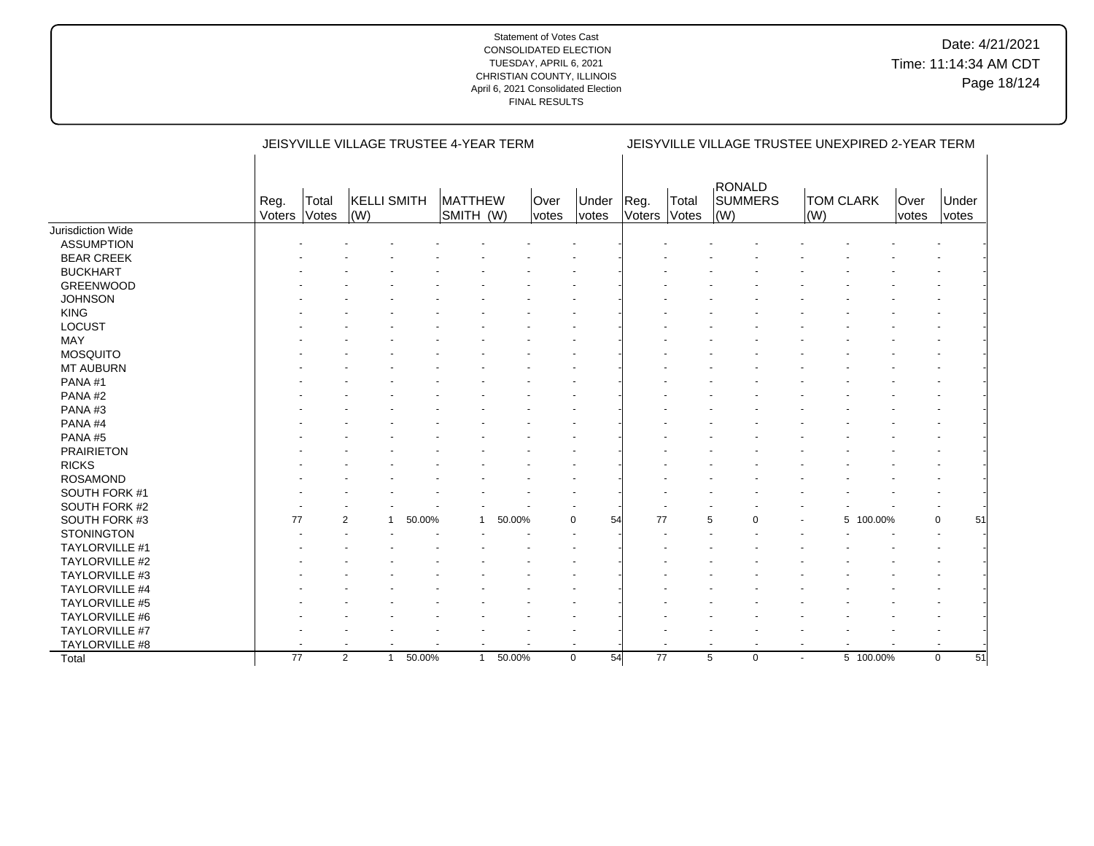|                       |                |                | JEISYVILLE VILLAGE TRUSTEE 4-YEAR TERM |        |                      |        |                      |                       |                |                | JEISYVILLE VILLAGE TRUSTEE UNEXPIRED 2-YEAR TERM |                          |                  |                      |                   |  |
|-----------------------|----------------|----------------|----------------------------------------|--------|----------------------|--------|----------------------|-----------------------|----------------|----------------|--------------------------------------------------|--------------------------|------------------|----------------------|-------------------|--|
|                       | Reg.<br>Voters | Total<br>Votes | <b>KELLI SMITH</b><br>(W)              |        | MATTHEW<br>SMITH (W) |        | Over<br><i>votes</i> | Under<br><i>votes</i> | Reg.<br>Voters | Total<br>Votes | <b>RONALD</b><br><b>SUMMERS</b><br>(W)           | (W)                      | <b>TOM CLARK</b> | Over<br><i>votes</i> | Under<br>votes    |  |
| Jurisdiction Wide     |                |                |                                        |        |                      |        |                      |                       |                |                |                                                  |                          |                  |                      |                   |  |
| <b>ASSUMPTION</b>     |                |                |                                        |        |                      |        |                      |                       |                |                |                                                  |                          |                  |                      |                   |  |
| <b>BEAR CREEK</b>     |                |                |                                        |        |                      |        |                      |                       |                |                |                                                  |                          |                  |                      |                   |  |
| <b>BUCKHART</b>       |                |                |                                        |        |                      |        |                      |                       |                |                |                                                  |                          |                  |                      |                   |  |
| <b>GREENWOOD</b>      |                |                |                                        |        |                      |        |                      |                       |                |                |                                                  |                          |                  |                      |                   |  |
| <b>JOHNSON</b>        |                |                |                                        |        |                      |        |                      |                       |                |                |                                                  |                          |                  |                      |                   |  |
| <b>KING</b>           |                |                |                                        |        |                      |        |                      |                       |                |                |                                                  |                          |                  |                      |                   |  |
| <b>LOCUST</b>         |                |                |                                        |        |                      |        |                      |                       |                |                |                                                  |                          |                  |                      |                   |  |
| MAY                   |                |                |                                        |        |                      |        |                      |                       |                |                |                                                  |                          |                  |                      |                   |  |
| <b>MOSQUITO</b>       |                |                |                                        |        |                      |        |                      |                       |                |                |                                                  |                          |                  |                      |                   |  |
| MT AUBURN             |                |                |                                        |        |                      |        |                      |                       |                |                |                                                  |                          |                  |                      |                   |  |
| PANA#1                |                |                |                                        |        |                      |        |                      |                       |                |                |                                                  |                          |                  |                      |                   |  |
| PANA#2                |                |                |                                        |        |                      |        |                      |                       |                |                |                                                  |                          |                  |                      |                   |  |
| PANA#3                |                |                |                                        |        |                      |        |                      |                       |                |                |                                                  |                          |                  |                      |                   |  |
| PANA#4                |                |                |                                        |        |                      |        |                      |                       |                |                |                                                  |                          |                  |                      |                   |  |
| PANA#5                |                |                |                                        |        |                      |        |                      |                       |                |                |                                                  |                          |                  |                      |                   |  |
| <b>PRAIRIETON</b>     |                |                |                                        |        |                      |        |                      |                       |                |                |                                                  |                          |                  |                      |                   |  |
| <b>RICKS</b>          |                |                |                                        |        |                      |        |                      |                       |                |                |                                                  |                          |                  |                      |                   |  |
| <b>ROSAMOND</b>       |                |                |                                        |        |                      |        |                      |                       |                |                |                                                  |                          |                  |                      |                   |  |
| SOUTH FORK #1         |                |                |                                        |        |                      |        |                      |                       |                |                |                                                  |                          |                  |                      |                   |  |
| SOUTH FORK #2         |                |                |                                        |        |                      |        |                      |                       |                |                |                                                  |                          |                  |                      |                   |  |
| SOUTH FORK #3         | 77             |                | $\overline{2}$                         | 50.00% |                      | 50.00% | $\Omega$             | 54                    | 77             |                | 5<br>$\Omega$                                    |                          | 100.00%<br>5     |                      | $\Omega$<br>51    |  |
| <b>STONINGTON</b>     |                |                |                                        |        |                      |        |                      |                       |                |                |                                                  |                          |                  |                      |                   |  |
| TAYLORVILLE #1        |                |                |                                        |        |                      |        |                      |                       |                |                |                                                  |                          |                  |                      |                   |  |
| TAYLORVILLE #2        |                |                |                                        |        |                      |        |                      |                       |                |                |                                                  |                          |                  |                      |                   |  |
| TAYLORVILLE #3        |                |                |                                        |        |                      |        |                      |                       |                |                |                                                  |                          |                  |                      |                   |  |
| TAYLORVILLE #4        |                |                |                                        |        |                      |        |                      |                       |                |                |                                                  |                          |                  |                      |                   |  |
| <b>TAYLORVILLE #5</b> |                |                |                                        |        |                      |        |                      |                       |                |                |                                                  |                          |                  |                      |                   |  |
| TAYLORVILLE #6        |                |                |                                        |        |                      |        |                      |                       |                |                |                                                  |                          |                  |                      |                   |  |
| TAYLORVILLE #7        |                |                |                                        |        |                      |        |                      |                       |                |                |                                                  |                          |                  |                      |                   |  |
| TAYLORVILLE #8        |                |                |                                        |        |                      |        |                      |                       |                |                | $\sim$                                           | $\overline{\phantom{a}}$ |                  |                      |                   |  |
| Total                 | 77             |                | $\overline{2}$<br>$\mathbf{1}$         | 50.00% | $\mathbf{1}$         | 50.00% | $\mathbf 0$          | 54                    | 77             |                | 5<br>$\mathbf 0$                                 | $\overline{\phantom{a}}$ | 5 100.00%        |                      | $\mathbf 0$<br>51 |  |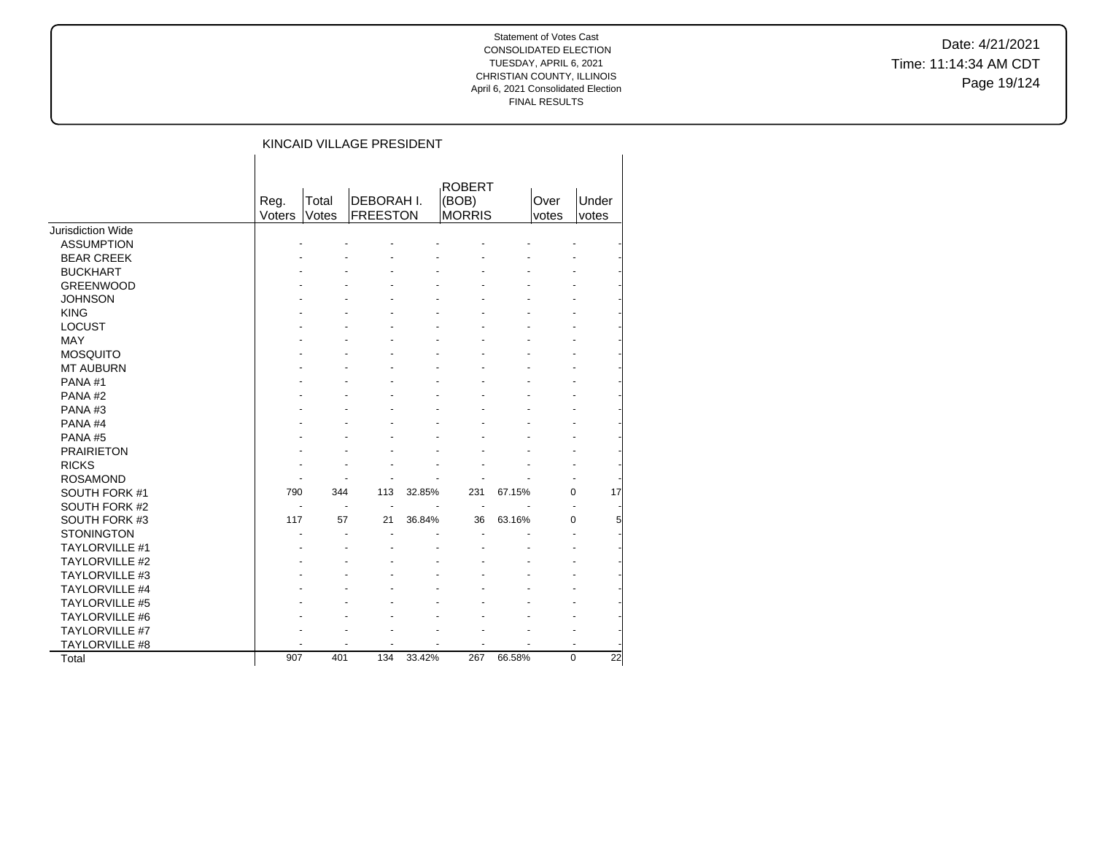Date: 4/21/2021 Time: 11:14:34 AM CDT Page 19/124

|                       |                |                | KINCAID VILLAGE PRESIDENT     |        |                                         |        |               |                |
|-----------------------|----------------|----------------|-------------------------------|--------|-----------------------------------------|--------|---------------|----------------|
|                       | Reg.<br>Voters | Total<br>Votes | DEBORAH I.<br><b>FREESTON</b> |        | <b>ROBERT</b><br>(BOB)<br><b>MORRIS</b> |        | Over<br>votes | Under<br>votes |
| Jurisdiction Wide     |                |                |                               |        |                                         |        |               |                |
| <b>ASSUMPTION</b>     |                |                |                               |        |                                         |        |               |                |
| <b>BEAR CREEK</b>     |                |                |                               |        |                                         |        |               |                |
| <b>BUCKHART</b>       |                |                |                               |        |                                         |        |               |                |
| <b>GREENWOOD</b>      |                |                |                               |        |                                         |        |               |                |
| <b>JOHNSON</b>        |                |                |                               |        |                                         |        |               |                |
| <b>KING</b>           |                |                |                               |        |                                         |        |               |                |
| <b>LOCUST</b>         |                |                |                               |        |                                         |        |               |                |
| <b>MAY</b>            |                |                |                               |        |                                         |        |               |                |
| <b>MOSQUITO</b>       |                |                |                               |        |                                         |        |               |                |
| <b>MT AUBURN</b>      |                |                |                               |        |                                         |        |               |                |
| PANA#1                |                |                |                               |        |                                         |        |               |                |
| PANA#2                |                |                |                               |        |                                         |        |               |                |
| PANA#3                |                |                |                               |        |                                         |        |               |                |
| PANA#4                |                |                |                               |        |                                         |        |               |                |
| PANA#5                |                |                |                               |        |                                         |        |               |                |
| <b>PRAIRIETON</b>     |                |                |                               |        |                                         |        |               |                |
| <b>RICKS</b>          |                |                |                               |        |                                         |        |               |                |
| <b>ROSAMOND</b>       |                |                |                               |        |                                         |        |               |                |
| SOUTH FORK #1         | 790            | 344            | 113                           | 32.85% | 231                                     | 67.15% | 0             | 17             |
| SOUTH FORK #2         |                |                | ÷<br>$\overline{a}$           |        |                                         |        |               |                |
| SOUTH FORK #3         | 117            | 57             | 21                            | 36.84% | 36                                      | 63.16% | $\Omega$      | 5              |
| <b>STONINGTON</b>     |                |                |                               |        |                                         |        |               |                |
| <b>TAYLORVILLE #1</b> |                |                |                               |        |                                         |        |               |                |
| <b>TAYLORVILLE #2</b> |                |                |                               |        |                                         |        |               |                |
| TAYLORVILLE #3        |                |                |                               |        |                                         |        |               |                |
| TAYLORVILLE #4        |                |                |                               |        |                                         |        |               |                |
| <b>TAYLORVILLE #5</b> |                |                |                               |        |                                         |        |               |                |
| TAYLORVILLE #6        |                |                |                               |        |                                         |        |               |                |
| TAYLORVILLE #7        |                |                |                               |        |                                         |        |               |                |
| TAYLORVILLE #8        |                |                |                               |        |                                         |        |               |                |
| Total                 | 907            | 401            | 134                           | 33.42% | 267                                     | 66.58% | $\mathbf 0$   | 22             |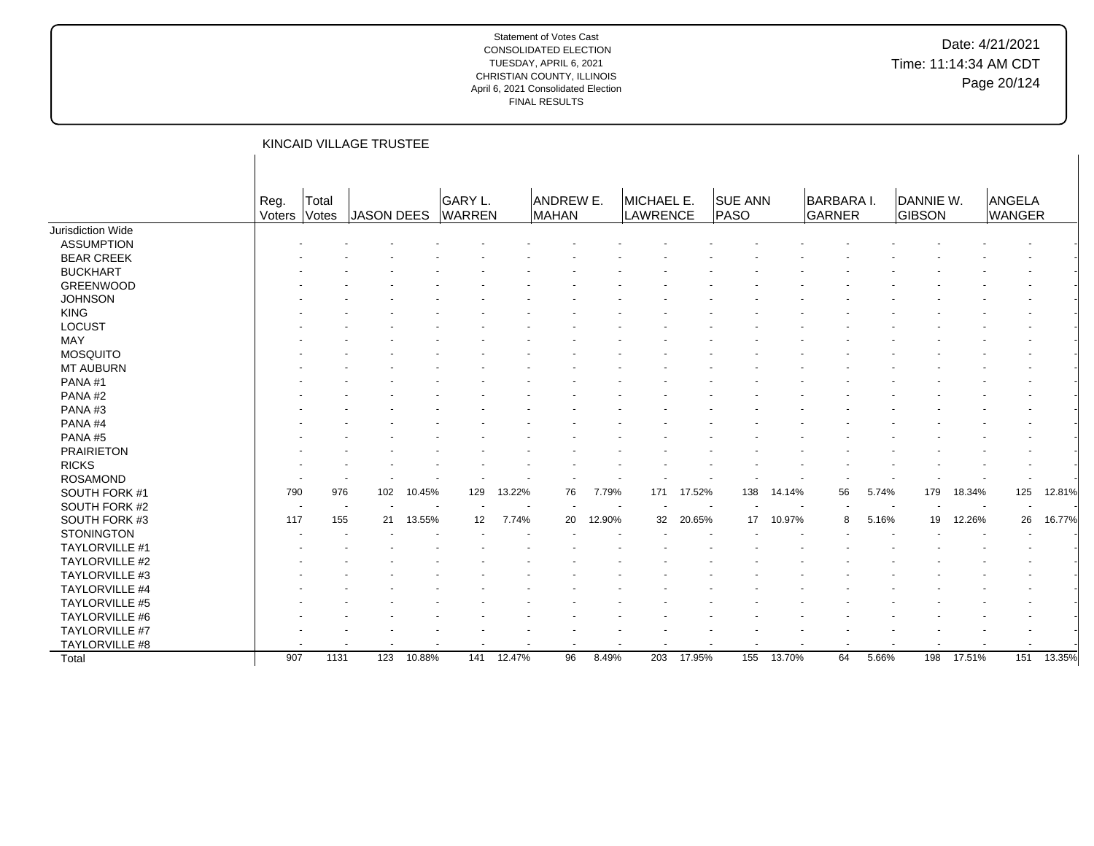# Date: 4/21/2021 Time: 11:14:34 AM CDT Page 20/124

|                       |                          |                | KINCAID VILLAGE TRUSTEE |        |                                 |        |                          |        |                        |        |                        |        |                      |       |                            |        |                          |        |
|-----------------------|--------------------------|----------------|-------------------------|--------|---------------------------------|--------|--------------------------|--------|------------------------|--------|------------------------|--------|----------------------|-------|----------------------------|--------|--------------------------|--------|
|                       | Reg.<br>Voters           | Total<br>Votes | JASON DEES              |        | <b>GARY L.</b><br><b>WARREN</b> |        | ANDREW E.<br>MAHAN       |        | MICHAEL E.<br>LAWRENCE |        | <b>SUE ANN</b><br>PASO |        | BARBARA I.<br>GARNER |       | DANNIE W.<br><b>GIBSON</b> |        | ANGELA<br>WANGER         |        |
| Jurisdiction Wide     |                          |                |                         |        |                                 |        |                          |        |                        |        |                        |        |                      |       |                            |        |                          |        |
| <b>ASSUMPTION</b>     |                          |                |                         |        |                                 |        |                          |        |                        |        |                        |        |                      |       |                            |        |                          |        |
| <b>BEAR CREEK</b>     |                          |                |                         |        |                                 |        |                          |        |                        |        |                        |        |                      |       |                            |        |                          |        |
| <b>BUCKHART</b>       |                          |                |                         |        |                                 |        |                          |        |                        |        |                        |        |                      |       |                            |        |                          |        |
| GREENWOOD             |                          |                |                         |        |                                 |        |                          |        |                        |        |                        |        |                      |       |                            |        |                          |        |
| <b>JOHNSON</b>        |                          |                |                         |        |                                 |        |                          |        |                        |        |                        |        |                      |       |                            |        |                          |        |
| <b>KING</b>           |                          |                |                         |        |                                 |        |                          |        |                        |        |                        |        |                      |       |                            |        |                          |        |
| LOCUST                |                          |                |                         |        |                                 |        |                          |        |                        |        |                        |        |                      |       |                            |        |                          |        |
| <b>MAY</b>            |                          |                |                         |        |                                 |        |                          |        |                        |        |                        |        |                      |       |                            |        |                          |        |
| <b>MOSQUITO</b>       |                          |                |                         |        |                                 |        |                          |        |                        |        |                        |        |                      |       |                            |        |                          |        |
| <b>MT AUBURN</b>      |                          |                |                         |        |                                 |        |                          |        |                        |        |                        |        |                      |       |                            |        |                          |        |
| PANA#1                |                          |                |                         |        |                                 |        |                          |        |                        |        |                        |        |                      |       |                            |        |                          |        |
| PANA#2                |                          |                |                         |        |                                 |        |                          |        |                        |        |                        |        |                      |       |                            |        |                          |        |
| PANA#3                |                          |                |                         |        |                                 |        |                          |        |                        |        |                        |        |                      |       |                            |        |                          |        |
| PANA#4                |                          |                |                         |        |                                 |        |                          |        |                        |        |                        |        |                      |       |                            |        |                          |        |
| PANA#5                |                          |                |                         |        |                                 |        |                          |        |                        |        |                        |        |                      |       |                            |        |                          |        |
| <b>PRAIRIETON</b>     |                          |                |                         |        |                                 |        |                          |        |                        |        |                        |        |                      |       |                            |        |                          |        |
| <b>RICKS</b>          |                          |                |                         |        |                                 |        |                          |        |                        |        |                        |        |                      |       |                            |        |                          |        |
| <b>ROSAMOND</b>       |                          |                |                         |        |                                 |        |                          |        |                        |        |                        |        |                      |       |                            |        |                          |        |
| SOUTH FORK #1         | 790                      | 976            | 102                     | 10.45% | 129                             | 13.22% | 76                       | 7.79%  | 171                    | 17.52% | 138                    | 14.14% | 56                   | 5.74% | 179                        | 18.34% | 125                      | 12.81% |
| SOUTH FORK #2         | $\overline{\phantom{a}}$ |                |                         |        |                                 |        |                          |        |                        |        |                        |        |                      |       |                            |        | $\overline{\phantom{a}}$ |        |
| SOUTH FORK #3         | 117                      | 155            | 21                      | 13.55% | 12                              | 7.74%  | 20                       | 12.90% | 32                     | 20.65% | 17                     | 10.97% | 8                    | 5.16% | 19                         | 12.26% | 26                       | 16.77% |
| <b>STONINGTON</b>     |                          |                |                         |        |                                 |        |                          |        |                        |        |                        |        |                      |       |                            |        |                          |        |
| <b>TAYLORVILLE #1</b> |                          |                |                         |        |                                 |        |                          |        |                        |        |                        |        |                      |       |                            |        |                          |        |
| <b>TAYLORVILLE #2</b> |                          |                |                         |        |                                 |        |                          |        |                        |        |                        |        |                      |       |                            |        |                          |        |
| <b>TAYLORVILLE #3</b> |                          |                |                         |        |                                 |        |                          |        |                        |        |                        |        |                      |       |                            |        |                          |        |
| TAYLORVILLE #4        |                          |                |                         |        |                                 |        |                          |        |                        |        |                        |        |                      |       |                            |        |                          |        |
| TAYLORVILLE #5        |                          |                |                         |        |                                 |        |                          |        |                        |        |                        |        |                      |       |                            |        |                          |        |
| <b>TAYLORVILLE #6</b> |                          |                |                         |        |                                 |        |                          |        |                        |        |                        |        |                      |       |                            |        |                          |        |
| TAYLORVILLE #7        |                          |                |                         |        |                                 |        |                          |        |                        |        |                        |        |                      |       |                            |        |                          |        |
| TAYLORVILLE #8        |                          |                |                         |        |                                 |        | $\overline{\phantom{a}}$ |        |                        |        |                        |        |                      |       |                            |        |                          |        |
| Total                 | 907                      | 1131           | 123                     | 10.88% | 141                             | 12.47% | 96                       | 8.49%  | 203                    | 17.95% | $\overline{155}$       | 13.70% | 64                   | 5.66% | 198                        | 17.51% | 151                      | 13.35% |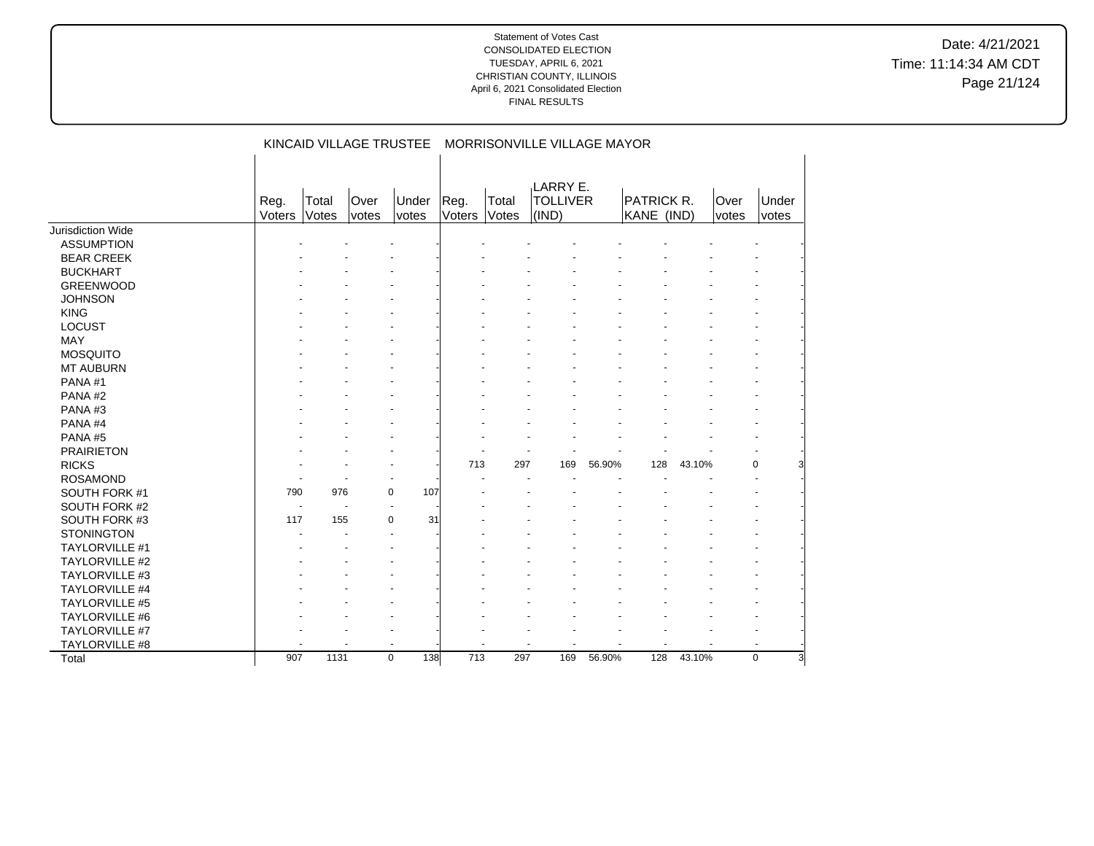Date: 4/21/2021 Time: 11:14:34 AM CDT Page 21/124

|                       |                |                |               | KINCAID VILLAGE TRUSTEE |                |                | MORRISONVILLE VILLAGE MAYOR          |        |                          |        |               |                |
|-----------------------|----------------|----------------|---------------|-------------------------|----------------|----------------|--------------------------------------|--------|--------------------------|--------|---------------|----------------|
|                       | Reg.<br>Voters | Total<br>Votes | Over<br>votes | Under<br>votes          | Reg.<br>Voters | Total<br>Votes | LARRY E.<br><b>TOLLIVER</b><br>(IND) |        | PATRICK R.<br>KANE (IND) |        | Over<br>votes | Under<br>votes |
| Jurisdiction Wide     |                |                |               |                         |                |                |                                      |        |                          |        |               |                |
| <b>ASSUMPTION</b>     |                |                |               |                         |                |                |                                      |        |                          |        |               |                |
| <b>BEAR CREEK</b>     |                |                |               |                         |                |                |                                      |        |                          |        |               |                |
| <b>BUCKHART</b>       |                |                |               |                         |                |                |                                      |        |                          |        |               |                |
| <b>GREENWOOD</b>      |                |                |               |                         |                |                |                                      |        |                          |        |               |                |
| <b>JOHNSON</b>        |                |                |               |                         |                |                |                                      |        |                          |        |               |                |
| <b>KING</b>           |                |                |               |                         |                |                |                                      |        |                          |        |               |                |
| <b>LOCUST</b>         |                |                |               |                         |                |                |                                      |        |                          |        |               |                |
| MAY                   |                |                |               |                         |                |                |                                      |        |                          |        |               |                |
| <b>MOSQUITO</b>       |                |                |               |                         |                |                |                                      |        |                          |        |               |                |
| <b>MT AUBURN</b>      |                |                |               |                         |                |                |                                      |        |                          |        |               |                |
| PANA#1                |                |                |               |                         |                |                |                                      |        |                          |        |               |                |
| PANA#2                |                |                |               |                         |                |                |                                      |        |                          |        |               |                |
| PANA#3                |                |                |               |                         |                |                |                                      |        |                          |        |               |                |
| PANA#4                |                |                |               |                         |                |                |                                      |        |                          |        |               |                |
| PANA#5                |                |                |               |                         |                |                |                                      |        |                          |        |               |                |
| <b>PRAIRIETON</b>     |                |                |               |                         |                |                |                                      |        |                          |        |               |                |
| <b>RICKS</b>          |                |                |               |                         | 713            | 297            | 169                                  | 56.90% | 128                      | 43.10% |               | 0              |
| <b>ROSAMOND</b>       |                |                |               |                         |                |                |                                      |        |                          |        |               |                |
| SOUTH FORK #1         | 790            | 976            |               | 0<br>107                |                |                |                                      |        |                          |        |               |                |
| SOUTH FORK #2         |                |                |               |                         |                |                |                                      |        |                          |        |               |                |
| SOUTH FORK #3         | 117            | 155            |               | 0<br>31                 |                |                |                                      |        |                          |        |               |                |
| <b>STONINGTON</b>     |                |                |               |                         |                |                |                                      |        |                          |        |               |                |
| TAYLORVILLE #1        |                |                |               |                         |                |                |                                      |        |                          |        |               |                |
| TAYLORVILLE #2        |                |                |               |                         |                |                |                                      |        |                          |        |               |                |
| TAYLORVILLE #3        |                |                |               |                         |                |                |                                      |        |                          |        |               |                |
| TAYLORVILLE #4        |                |                |               |                         |                |                |                                      |        |                          |        |               |                |
| <b>TAYLORVILLE #5</b> |                |                |               |                         |                |                |                                      |        |                          |        |               |                |
| TAYLORVILLE #6        |                |                |               |                         |                |                |                                      |        |                          |        |               |                |
| TAYLORVILLE #7        |                |                |               |                         |                |                |                                      |        |                          |        |               |                |
| TAYLORVILLE #8        |                |                |               |                         |                |                |                                      |        |                          |        |               |                |
| Total                 | 907            | 1131           |               | 138<br>0                | 713            | 297            | 169                                  | 56.90% | 128                      | 43.10% |               | $\mathbf 0$    |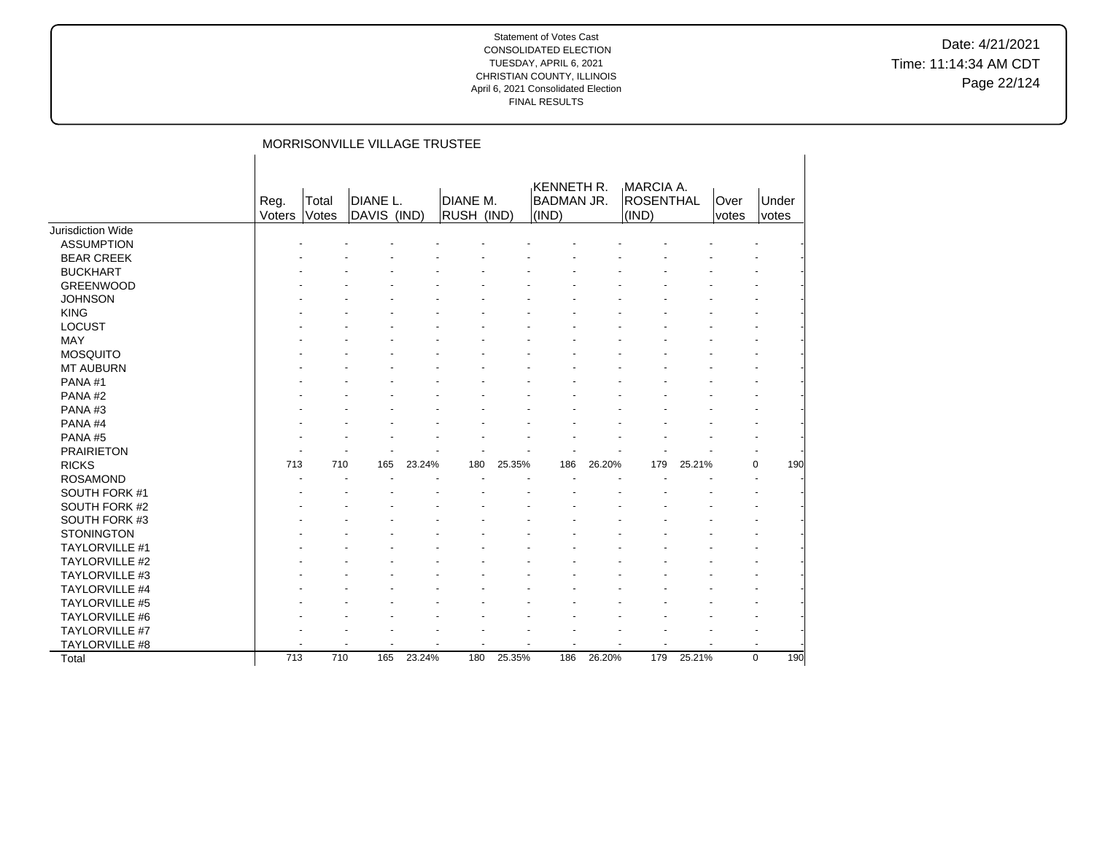Date: 4/21/2021 Time: 11:14:34 AM CDT Page 22/124

|                          |                |                | MORRISONVILLE VILLAGE TRUSTEE |        |                        |                          |                                          |        |                                 |        |               |                |
|--------------------------|----------------|----------------|-------------------------------|--------|------------------------|--------------------------|------------------------------------------|--------|---------------------------------|--------|---------------|----------------|
|                          | Reg.<br>Voters | Total<br>Votes | DIANE L.<br>DAVIS (IND)       |        | DIANE M.<br>RUSH (IND) |                          | KENNETH R.<br><b>BADMAN JR.</b><br>(IND) |        | MARCIA A.<br>ROSENTHAL<br>(IND) |        | Over<br>votes | Under<br>votes |
| <b>Jurisdiction Wide</b> |                |                |                               |        |                        |                          |                                          |        |                                 |        |               |                |
| <b>ASSUMPTION</b>        |                |                |                               |        |                        |                          |                                          |        |                                 |        |               |                |
| <b>BEAR CREEK</b>        |                |                |                               |        |                        |                          |                                          |        |                                 |        |               |                |
| <b>BUCKHART</b>          |                |                |                               |        |                        |                          |                                          |        |                                 |        |               |                |
| <b>GREENWOOD</b>         |                |                |                               |        |                        |                          |                                          |        |                                 |        |               |                |
| <b>JOHNSON</b>           |                |                |                               |        |                        |                          |                                          |        |                                 |        |               |                |
| <b>KING</b>              |                |                |                               |        |                        |                          |                                          |        |                                 |        |               |                |
| <b>LOCUST</b>            |                |                |                               |        |                        |                          |                                          |        |                                 |        |               |                |
| MAY                      |                |                |                               |        |                        |                          |                                          |        |                                 |        |               |                |
| <b>MOSQUITO</b>          |                |                |                               |        |                        |                          |                                          |        |                                 |        |               |                |
| <b>MT AUBURN</b>         |                |                |                               |        |                        |                          |                                          |        |                                 |        |               |                |
| PANA#1                   |                |                |                               |        |                        |                          |                                          |        |                                 |        |               |                |
| PANA#2                   |                |                |                               |        |                        |                          |                                          |        |                                 |        |               |                |
| PANA#3                   |                |                |                               |        |                        |                          |                                          |        |                                 |        |               |                |
| PANA#4                   |                |                |                               |        |                        |                          |                                          |        |                                 |        |               |                |
| PANA#5                   |                |                |                               |        |                        |                          |                                          |        |                                 |        |               |                |
| <b>PRAIRIETON</b>        |                |                |                               |        |                        |                          |                                          |        |                                 |        |               |                |
| <b>RICKS</b>             | 713            | 710            | 165                           | 23.24% | 180                    | 25.35%                   | 186                                      | 26.20% | 179                             | 25.21% |               | 0<br>190       |
| <b>ROSAMOND</b>          |                |                |                               |        |                        |                          |                                          |        |                                 |        |               |                |
| SOUTH FORK #1            |                |                |                               |        |                        |                          |                                          |        |                                 |        |               |                |
| SOUTH FORK #2            |                |                |                               |        |                        |                          |                                          |        |                                 |        |               |                |
| SOUTH FORK #3            |                |                |                               |        |                        |                          |                                          |        |                                 |        |               |                |
| <b>STONINGTON</b>        |                |                |                               |        |                        |                          |                                          |        |                                 |        |               |                |
| TAYLORVILLE #1           |                |                |                               |        |                        |                          |                                          |        |                                 |        |               |                |
| TAYLORVILLE #2           |                |                |                               |        |                        |                          |                                          |        |                                 |        |               |                |
| TAYLORVILLE #3           |                |                |                               |        |                        |                          |                                          |        |                                 |        |               |                |
| TAYLORVILLE #4           |                |                |                               |        |                        |                          |                                          |        |                                 |        |               |                |
| <b>TAYLORVILLE #5</b>    |                |                |                               |        |                        |                          |                                          |        |                                 |        |               |                |
| TAYLORVILLE #6           |                |                |                               |        |                        |                          |                                          |        |                                 |        |               |                |
| TAYLORVILLE #7           |                |                |                               |        |                        |                          |                                          |        |                                 |        |               |                |
| TAYLORVILLE #8           |                |                |                               |        |                        | $\overline{\phantom{a}}$ |                                          |        |                                 |        |               | $\blacksquare$ |
| Total                    | 713            | 710            | 165                           | 23.24% | 180                    | 25.35%                   | 186                                      | 26.20% | 179                             | 25.21% |               | 190<br>0       |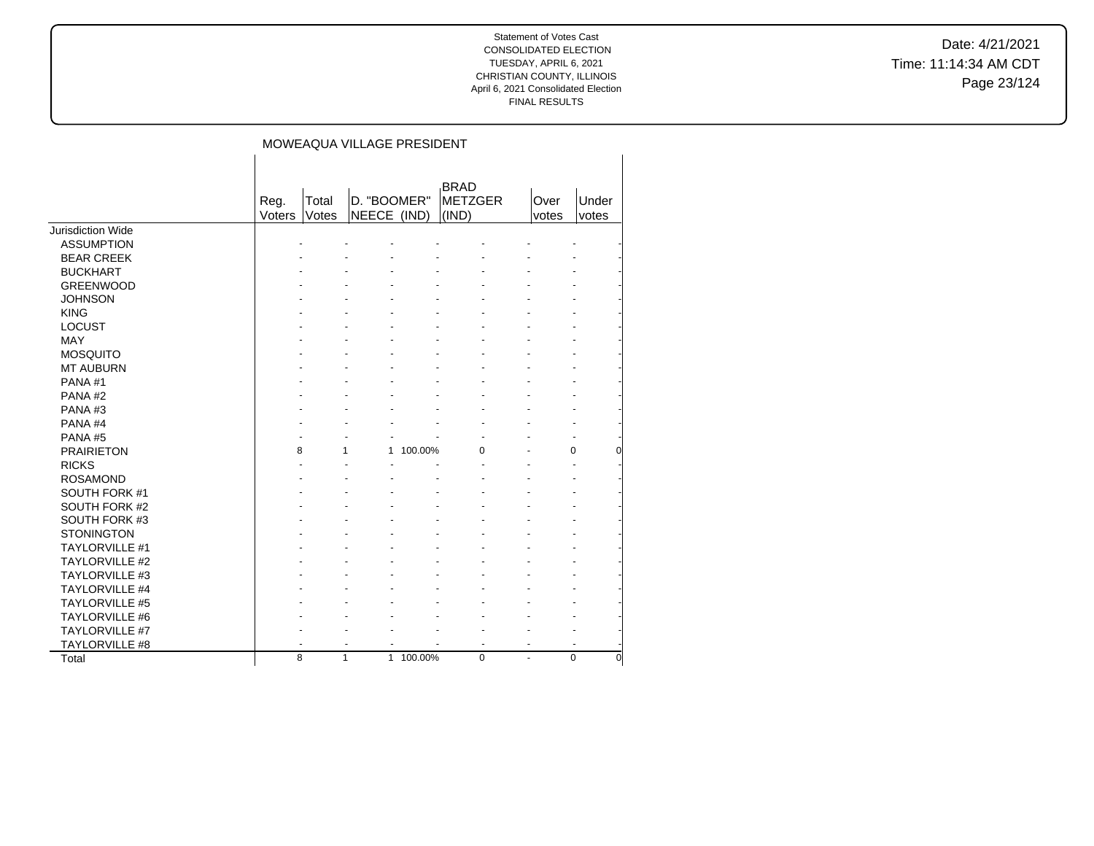Date: 4/21/2021 Time: 11:14:34 AM CDT Page 23/124

# MOWEAQUA VILLAGE PRESIDENT

|                       | Reg.<br>Voters | Total<br>Votes | D. "BOOMER"<br>NEECE (IND) |         | <b>BRAD</b><br><b>METZGER</b><br>(IND) | Over<br>votes |          | Under<br>votes |
|-----------------------|----------------|----------------|----------------------------|---------|----------------------------------------|---------------|----------|----------------|
| Jurisdiction Wide     |                |                |                            |         |                                        |               |          |                |
| <b>ASSUMPTION</b>     |                |                |                            |         |                                        |               |          |                |
| <b>BEAR CREEK</b>     |                |                |                            |         |                                        |               |          |                |
| <b>BUCKHART</b>       |                |                |                            |         |                                        |               |          |                |
| <b>GREENWOOD</b>      |                |                |                            |         |                                        |               |          |                |
| <b>JOHNSON</b>        |                |                |                            |         |                                        |               |          |                |
| <b>KING</b>           |                |                |                            |         |                                        |               |          |                |
| <b>LOCUST</b>         |                |                |                            |         |                                        |               |          |                |
| MAY                   |                |                |                            |         |                                        |               |          |                |
| <b>MOSQUITO</b>       |                |                |                            |         |                                        |               |          |                |
| <b>MT AUBURN</b>      |                |                |                            |         |                                        |               |          |                |
| PANA#1                |                |                |                            |         |                                        |               |          |                |
| PANA#2                |                |                |                            |         |                                        |               |          |                |
| PANA#3                |                |                |                            |         |                                        |               |          |                |
| PANA#4                |                |                |                            |         |                                        |               |          |                |
| PANA#5                |                |                |                            |         |                                        |               |          |                |
| <b>PRAIRIETON</b>     | 8              |                | 1<br>1                     | 100.00% | $\Omega$                               |               | 0        | 0              |
| <b>RICKS</b>          |                |                |                            |         |                                        |               |          |                |
| <b>ROSAMOND</b>       |                |                |                            |         |                                        |               |          |                |
| SOUTH FORK #1         |                |                |                            |         |                                        |               |          |                |
| <b>SOUTH FORK #2</b>  |                |                |                            |         |                                        |               |          |                |
| SOUTH FORK #3         |                |                |                            |         |                                        |               |          |                |
| <b>STONINGTON</b>     |                |                |                            |         |                                        |               |          |                |
| <b>TAYLORVILLE #1</b> |                |                |                            |         |                                        |               |          |                |
| <b>TAYLORVILLE #2</b> |                |                |                            |         |                                        |               |          |                |
| TAYLORVILLE #3        |                |                |                            |         |                                        |               |          |                |
| <b>TAYLORVILLE #4</b> |                |                |                            |         |                                        |               |          |                |
| <b>TAYLORVILLE #5</b> |                |                |                            |         |                                        |               |          |                |
| <b>TAYLORVILLE #6</b> |                |                |                            |         |                                        |               |          |                |
| <b>TAYLORVILLE #7</b> |                |                |                            |         |                                        |               |          |                |
| <b>TAYLORVILLE #8</b> |                |                |                            |         |                                        |               |          |                |
| Total                 | 8              |                | $\mathbf{1}$<br>1 100.00%  |         | $\Omega$                               | ä,            | $\Omega$ | $\Omega$       |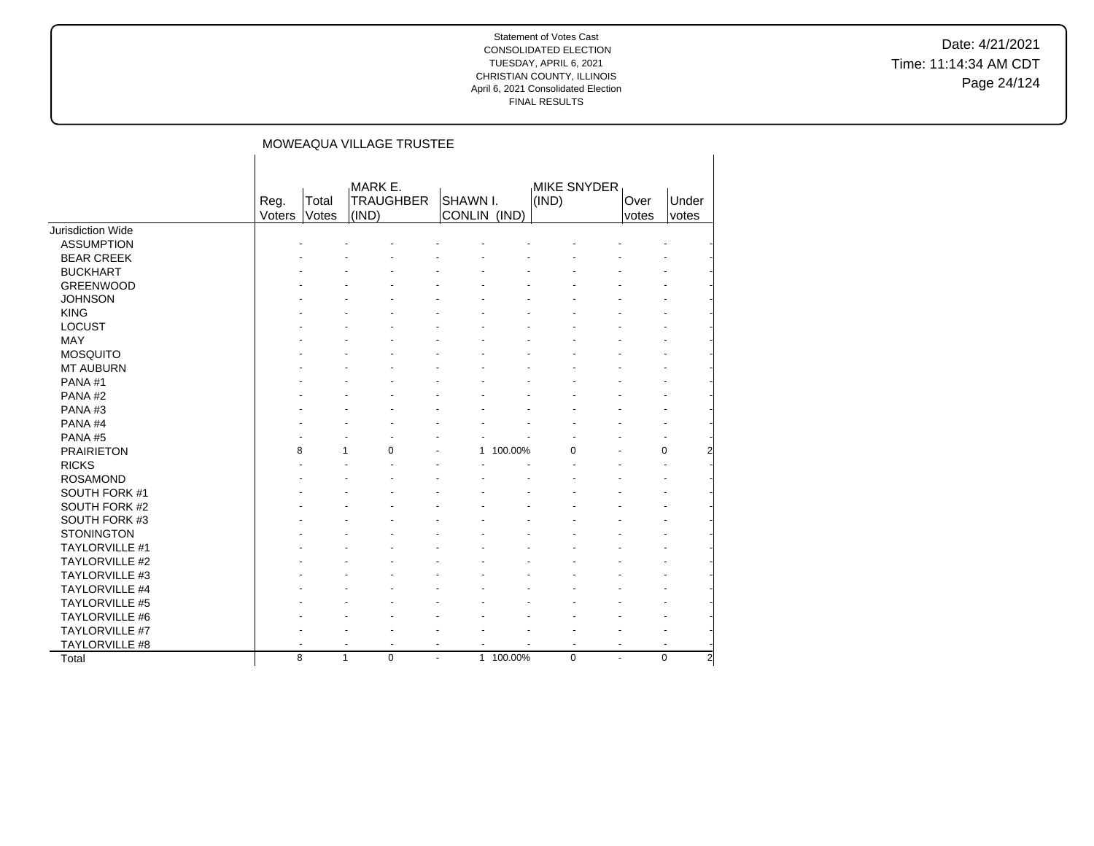Date: 4/21/2021 Time: 11:14:34 AM CDT Page 24/124

|                       |                |                | MOWEAQUA VILLAGE TRUSTEE             |    |                          |                             |                      |                |
|-----------------------|----------------|----------------|--------------------------------------|----|--------------------------|-----------------------------|----------------------|----------------|
|                       | Reg.<br>Voters | Total<br>Votes | MARK E.<br><b>TRAUGHBER</b><br>(IND) |    | SHAWN I.<br>CONLIN (IND) | <b>MIKE SNYDER</b><br>(IND) | Over<br><i>votes</i> | Under<br>votes |
| Jurisdiction Wide     |                |                |                                      |    |                          |                             |                      |                |
| <b>ASSUMPTION</b>     |                |                |                                      |    |                          |                             |                      |                |
| <b>BEAR CREEK</b>     |                |                |                                      |    |                          |                             |                      |                |
| <b>BUCKHART</b>       |                |                |                                      |    |                          |                             |                      |                |
| <b>GREENWOOD</b>      |                |                |                                      |    |                          |                             |                      |                |
| <b>JOHNSON</b>        |                |                |                                      |    |                          |                             |                      |                |
| <b>KING</b>           |                |                |                                      |    |                          |                             |                      |                |
| <b>LOCUST</b>         |                |                |                                      |    |                          |                             |                      |                |
| MAY                   |                |                |                                      |    |                          |                             |                      |                |
| <b>MOSQUITO</b>       |                |                |                                      |    |                          |                             |                      |                |
| <b>MT AUBURN</b>      |                |                |                                      |    |                          |                             |                      |                |
| PANA#1                |                |                |                                      |    |                          |                             |                      |                |
| PANA#2                |                |                |                                      |    |                          |                             |                      |                |
| PANA#3                |                |                |                                      |    |                          |                             |                      |                |
| PANA#4                |                |                |                                      |    |                          |                             |                      |                |
| PANA#5                |                |                |                                      |    |                          |                             |                      |                |
| <b>PRAIRIETON</b>     | 8              | 1              | 0                                    |    | 100.00%<br>$\mathbf{1}$  | 0                           |                      | 0              |
| <b>RICKS</b>          |                |                |                                      |    |                          |                             |                      |                |
| <b>ROSAMOND</b>       |                |                |                                      |    |                          |                             |                      |                |
| SOUTH FORK #1         |                |                |                                      |    |                          |                             |                      |                |
| SOUTH FORK #2         |                |                |                                      |    |                          |                             |                      |                |
| SOUTH FORK #3         |                |                |                                      |    |                          |                             |                      |                |
| <b>STONINGTON</b>     |                |                |                                      |    |                          |                             |                      |                |
| TAYLORVILLE #1        |                |                |                                      |    |                          |                             |                      |                |
| TAYLORVILLE #2        |                |                |                                      |    |                          |                             |                      |                |
| TAYLORVILLE #3        |                |                |                                      |    |                          |                             |                      |                |
| TAYLORVILLE #4        |                |                |                                      |    |                          |                             |                      |                |
| <b>TAYLORVILLE #5</b> |                |                |                                      |    |                          |                             |                      |                |
| TAYLORVILLE #6        |                |                |                                      |    |                          |                             |                      |                |
| TAYLORVILLE #7        |                |                |                                      |    |                          |                             |                      |                |
| TAYLORVILLE #8        |                |                | $\overline{\phantom{a}}$             | ٠  |                          | $\overline{a}$              | ٠                    |                |
| Total                 | 8              | $\mathbf{1}$   | $\mathbf 0$                          | ä, | 100.00%<br>$\mathbf{1}$  | $\mathbf 0$                 | $\blacksquare$       | 0              |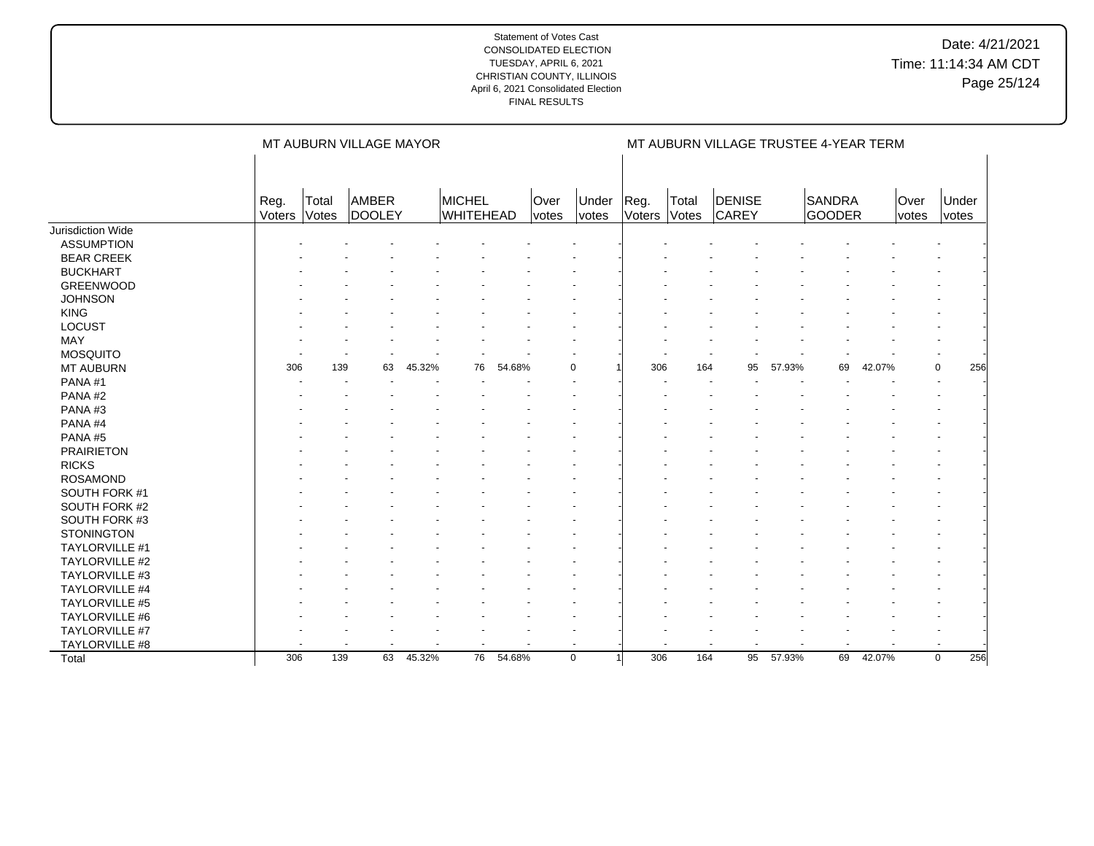|                   |                |                | MT AUBURN VILLAGE MAYOR |        |                     |        |                      |                       |                |                |                 |        | MT AUBURN VILLAGE TRUSTEE 4-YEAR TERM |        |               |                    |
|-------------------|----------------|----------------|-------------------------|--------|---------------------|--------|----------------------|-----------------------|----------------|----------------|-----------------|--------|---------------------------------------|--------|---------------|--------------------|
|                   | Reg.<br>Voters | Total<br>Votes | AMBER<br><b>DOOLEY</b>  |        | MICHEL<br>WHITEHEAD |        | Over<br><i>votes</i> | Under<br><i>votes</i> | Reg.<br>Voters | Total<br>Votes | DENISE<br>CAREY |        | SANDRA<br>GOODER                      |        | Over<br>votes | Under<br>votes     |
| Jurisdiction Wide |                |                |                         |        |                     |        |                      |                       |                |                |                 |        |                                       |        |               |                    |
| <b>ASSUMPTION</b> |                |                |                         |        |                     |        |                      |                       |                |                |                 |        |                                       |        |               |                    |
| <b>BEAR CREEK</b> |                |                |                         |        |                     |        |                      |                       |                |                |                 |        |                                       |        |               |                    |
| <b>BUCKHART</b>   |                |                |                         |        |                     |        |                      |                       |                |                |                 |        |                                       |        |               |                    |
| <b>GREENWOOD</b>  |                |                |                         |        |                     |        |                      |                       |                |                |                 |        |                                       |        |               |                    |
| <b>JOHNSON</b>    |                |                |                         |        |                     |        |                      |                       |                |                |                 |        |                                       |        |               |                    |
| <b>KING</b>       |                |                |                         |        |                     |        |                      |                       |                |                |                 |        |                                       |        |               |                    |
| LOCUST            |                |                |                         |        |                     |        |                      |                       |                |                |                 |        |                                       |        |               |                    |
| <b>MAY</b>        |                |                |                         |        |                     |        |                      |                       |                |                |                 |        |                                       |        |               |                    |
| <b>MOSQUITO</b>   |                |                |                         |        |                     |        |                      |                       |                |                |                 |        |                                       |        |               |                    |
| MT AUBURN         | 306            | 139            | 63                      | 45.32% | 76                  | 54.68% |                      | 0                     | 306            | 164            | 95              | 57.93% | 69                                    | 42.07% |               | 256<br>0           |
| PANA#1            |                |                |                         |        |                     |        |                      |                       |                |                |                 |        |                                       |        |               |                    |
| PANA#2            |                |                |                         |        |                     |        |                      |                       |                |                |                 |        |                                       |        |               |                    |
| PANA#3            |                |                |                         |        |                     |        |                      |                       |                |                |                 |        |                                       |        |               |                    |
| PANA#4            |                |                |                         |        |                     |        |                      |                       |                |                |                 |        |                                       |        |               |                    |
| PANA#5            |                |                |                         |        |                     |        |                      |                       |                |                |                 |        |                                       |        |               |                    |
| <b>PRAIRIETON</b> |                |                |                         |        |                     |        |                      |                       |                |                |                 |        |                                       |        |               |                    |
| <b>RICKS</b>      |                |                |                         |        |                     |        |                      |                       |                |                |                 |        |                                       |        |               |                    |
| <b>ROSAMOND</b>   |                |                |                         |        |                     |        |                      |                       |                |                |                 |        |                                       |        |               |                    |
| SOUTH FORK #1     |                |                |                         |        |                     |        |                      |                       |                |                |                 |        |                                       |        |               |                    |
| SOUTH FORK #2     |                |                |                         |        |                     |        |                      |                       |                |                |                 |        |                                       |        |               |                    |
| SOUTH FORK #3     |                |                |                         |        |                     |        |                      |                       |                |                |                 |        |                                       |        |               |                    |
| <b>STONINGTON</b> |                |                |                         |        |                     |        |                      |                       |                |                |                 |        |                                       |        |               |                    |
| TAYLORVILLE #1    |                |                |                         |        |                     |        |                      |                       |                |                |                 |        |                                       |        |               |                    |
| TAYLORVILLE #2    |                |                |                         |        |                     |        |                      |                       |                |                |                 |        |                                       |        |               |                    |
| TAYLORVILLE #3    |                |                |                         |        |                     |        |                      |                       |                |                |                 |        |                                       |        |               |                    |
| TAYLORVILLE #4    |                |                |                         |        |                     |        |                      |                       |                |                |                 |        |                                       |        |               |                    |
| TAYLORVILLE #5    |                |                |                         |        |                     |        |                      |                       |                |                |                 |        |                                       |        |               |                    |
| TAYLORVILLE #6    |                |                |                         |        |                     |        |                      |                       |                |                |                 |        |                                       |        |               |                    |
| TAYLORVILLE #7    |                |                |                         |        |                     |        |                      |                       |                |                |                 |        |                                       |        |               |                    |
| TAYLORVILLE #8    |                |                |                         |        | ÷                   |        |                      | $\ddot{\phantom{1}}$  |                |                |                 |        |                                       |        |               |                    |
| Total             | 306            | 139            | 63                      | 45.32% | $\overline{76}$     | 54.68% |                      | $\mathbf 0$           | 306            | 164            | $\overline{95}$ | 57.93% | 69                                    | 42.07% |               | $\mathbf 0$<br>256 |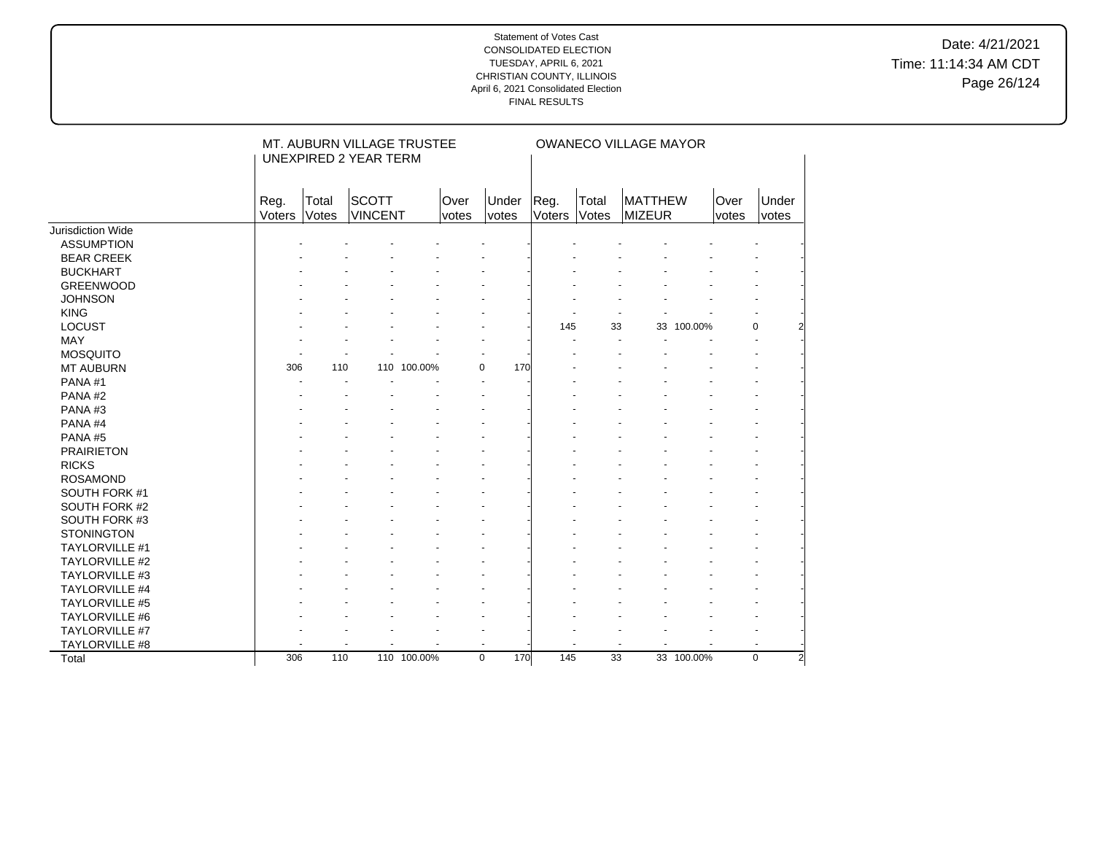|                       |        |       | MT. AUBURN VILLAGE TRUSTEE<br><b>UNEXPIRED 2 YEAR TERM</b> |             |       |                    |        |              | OWANECO VILLAGE MAYOR |            |              |          |
|-----------------------|--------|-------|------------------------------------------------------------|-------------|-------|--------------------|--------|--------------|-----------------------|------------|--------------|----------|
|                       |        |       |                                                            |             |       |                    |        |              |                       |            |              |          |
|                       | Reg.   | Total | <b>SCOTT</b>                                               |             | Over  | Under              | Reg.   | Total        | <b>MATTHEW</b>        |            | <b>Over</b>  | Under    |
|                       | Voters | Votes | <b>VINCENT</b>                                             |             | votes | <i>votes</i>       | Voters | <b>Votes</b> | MIZEUR                |            | <i>votes</i> | votes    |
| Jurisdiction Wide     |        |       |                                                            |             |       |                    |        |              |                       |            |              |          |
| <b>ASSUMPTION</b>     |        |       |                                                            |             |       |                    |        |              |                       |            |              |          |
| <b>BEAR CREEK</b>     |        |       |                                                            |             |       |                    |        |              |                       |            |              |          |
| <b>BUCKHART</b>       |        |       |                                                            |             |       |                    |        |              |                       |            |              |          |
| <b>GREENWOOD</b>      |        |       |                                                            |             |       |                    |        |              |                       |            |              |          |
| <b>JOHNSON</b>        |        |       |                                                            |             |       |                    |        |              |                       |            |              |          |
| <b>KING</b>           |        |       |                                                            |             |       |                    |        |              |                       |            |              |          |
| <b>LOCUST</b>         |        |       |                                                            |             |       |                    | 145    | 33           |                       | 33 100.00% |              | 0        |
| <b>MAY</b>            |        |       |                                                            |             |       |                    |        |              |                       |            |              |          |
| <b>MOSQUITO</b>       |        |       |                                                            |             |       |                    |        |              |                       |            |              |          |
| <b>MT AUBURN</b>      | 306    | 110   |                                                            | 110 100.00% |       | $\mathbf 0$<br>170 |        |              |                       |            |              |          |
| PANA#1                |        |       |                                                            |             |       |                    |        |              |                       |            |              |          |
| PANA#2                |        |       |                                                            |             |       |                    |        |              |                       |            |              |          |
| PANA#3                |        |       |                                                            |             |       |                    |        |              |                       |            |              |          |
| PANA#4                |        |       |                                                            |             |       |                    |        |              |                       |            |              |          |
| PANA#5                |        |       |                                                            |             |       |                    |        |              |                       |            |              |          |
| <b>PRAIRIETON</b>     |        |       |                                                            |             |       |                    |        |              |                       |            |              |          |
| <b>RICKS</b>          |        |       |                                                            |             |       |                    |        |              |                       |            |              |          |
| <b>ROSAMOND</b>       |        |       |                                                            |             |       |                    |        |              |                       |            |              |          |
| SOUTH FORK #1         |        |       |                                                            |             |       |                    |        |              |                       |            |              |          |
| SOUTH FORK #2         |        |       |                                                            |             |       |                    |        |              |                       |            |              |          |
| SOUTH FORK #3         |        |       |                                                            |             |       |                    |        |              |                       |            |              |          |
| <b>STONINGTON</b>     |        |       |                                                            |             |       |                    |        |              |                       |            |              |          |
| TAYLORVILLE #1        |        |       |                                                            |             |       |                    |        |              |                       |            |              |          |
| TAYLORVILLE #2        |        |       |                                                            |             |       |                    |        |              |                       |            |              |          |
| TAYLORVILLE #3        |        |       |                                                            |             |       |                    |        |              |                       |            |              |          |
| TAYLORVILLE #4        |        |       |                                                            |             |       |                    |        |              |                       |            |              |          |
| <b>TAYLORVILLE #5</b> |        |       |                                                            |             |       |                    |        |              |                       |            |              |          |
| TAYLORVILLE #6        |        |       |                                                            |             |       |                    |        |              |                       |            |              |          |
| TAYLORVILLE #7        |        |       |                                                            |             |       |                    |        |              |                       |            |              |          |
| TAYLORVILLE #8        |        |       |                                                            |             |       |                    |        |              |                       |            |              |          |
| Total                 | 306    | 110   |                                                            | 110 100.00% |       | $\mathbf 0$<br>170 | 145    | 33           |                       | 33 100.00% |              | $\Omega$ |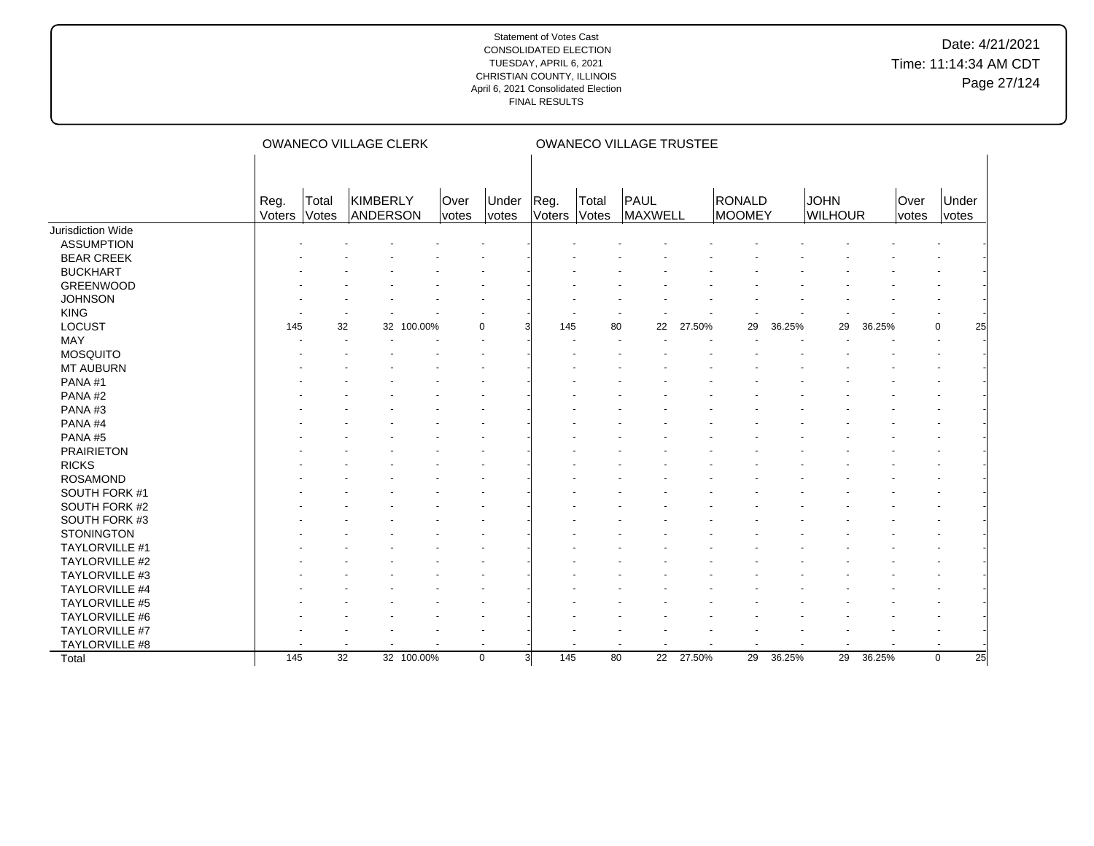# Date: 4/21/2021 Time: 11:14:34 AM CDT Page 27/124

|                       |                   |                 | OWANECO VILLAGE CLERK |               |                       |                |                |                | OWANECO VILLAGE TRUSTEE |        |                  |        |                        |        |                      |                                |
|-----------------------|-------------------|-----------------|-----------------------|---------------|-----------------------|----------------|----------------|----------------|-------------------------|--------|------------------|--------|------------------------|--------|----------------------|--------------------------------|
|                       | Reg.<br>Voters    | Total<br>Votes  | KIMBERLY<br>ANDERSON  | Over<br>votes | Under<br><b>votes</b> |                | Reg.<br>Voters | Total<br>Votes | PAUL<br>MAXWELL         |        | RONALD<br>MOOMEY |        | <b>JOHN</b><br>WILHOUR |        | Over<br><i>votes</i> | Under<br>votes                 |
| Jurisdiction Wide     |                   |                 |                       |               |                       |                |                |                |                         |        |                  |        |                        |        |                      |                                |
| <b>ASSUMPTION</b>     |                   |                 |                       |               |                       |                |                |                |                         |        |                  |        |                        |        |                      |                                |
| <b>BEAR CREEK</b>     |                   |                 |                       |               |                       |                |                |                |                         |        |                  |        |                        |        |                      |                                |
| <b>BUCKHART</b>       |                   |                 |                       |               |                       |                |                |                |                         |        |                  |        |                        |        |                      |                                |
| <b>GREENWOOD</b>      |                   |                 |                       |               |                       |                |                |                |                         |        |                  |        |                        |        |                      |                                |
| <b>JOHNSON</b>        |                   |                 |                       |               |                       |                |                |                |                         |        |                  |        |                        |        |                      |                                |
| <b>KING</b>           |                   |                 |                       |               |                       |                |                |                |                         |        |                  |        |                        |        |                      |                                |
| LOCUST                | 145               | 32              |                       | 32 100.00%    | $\mathbf 0$           |                | 145            | 80             | 22                      | 27.50% | 29               | 36.25% | 29                     | 36.25% |                      | 0<br>25                        |
| MAY                   |                   |                 |                       |               |                       |                |                |                |                         |        |                  |        |                        |        |                      |                                |
| <b>MOSQUITO</b>       |                   |                 |                       |               |                       |                |                |                |                         |        |                  |        |                        |        |                      |                                |
| <b>MT AUBURN</b>      |                   |                 |                       |               |                       |                |                |                |                         |        |                  |        |                        |        |                      |                                |
| PANA#1                |                   |                 |                       |               |                       |                |                |                |                         |        |                  |        |                        |        |                      |                                |
| PANA#2                |                   |                 |                       |               |                       |                |                |                |                         |        |                  |        |                        |        |                      |                                |
| PANA#3                |                   |                 |                       |               |                       |                |                |                |                         |        |                  |        |                        |        |                      |                                |
| PANA#4                |                   |                 |                       |               |                       |                |                |                |                         |        |                  |        |                        |        |                      |                                |
| PANA#5                |                   |                 |                       |               |                       |                |                |                |                         |        |                  |        |                        |        |                      |                                |
| <b>PRAIRIETON</b>     |                   |                 |                       |               |                       |                |                |                |                         |        |                  |        |                        |        |                      |                                |
| <b>RICKS</b>          |                   |                 |                       |               |                       |                |                |                |                         |        |                  |        |                        |        |                      |                                |
| <b>ROSAMOND</b>       |                   |                 |                       |               |                       |                |                |                |                         |        |                  |        |                        |        |                      |                                |
| SOUTH FORK #1         |                   |                 |                       |               |                       |                |                |                |                         |        |                  |        |                        |        |                      |                                |
| SOUTH FORK #2         |                   |                 |                       |               |                       |                |                |                |                         |        |                  |        |                        |        |                      |                                |
| SOUTH FORK #3         |                   |                 |                       |               |                       |                |                |                |                         |        |                  |        |                        |        |                      |                                |
| <b>STONINGTON</b>     |                   |                 |                       |               |                       |                |                |                |                         |        |                  |        |                        |        |                      |                                |
| TAYLORVILLE #1        |                   |                 |                       |               |                       |                |                |                |                         |        |                  |        |                        |        |                      |                                |
| TAYLORVILLE #2        |                   |                 |                       |               |                       |                |                |                |                         |        |                  |        |                        |        |                      |                                |
| TAYLORVILLE #3        |                   |                 |                       |               |                       |                |                |                |                         |        |                  |        |                        |        |                      |                                |
| TAYLORVILLE #4        |                   |                 |                       |               |                       |                |                |                |                         |        |                  |        |                        |        |                      |                                |
| <b>TAYLORVILLE #5</b> |                   |                 |                       |               |                       |                |                |                |                         |        |                  |        |                        |        |                      |                                |
| TAYLORVILLE #6        |                   |                 |                       |               |                       |                |                |                |                         |        |                  |        |                        |        |                      |                                |
| TAYLORVILLE #7        |                   |                 |                       |               |                       |                |                |                |                         |        |                  |        |                        |        |                      |                                |
| TAYLORVILLE #8        |                   |                 |                       |               |                       |                |                |                |                         |        |                  |        |                        |        |                      |                                |
| Total                 | $\frac{145}{145}$ | $\overline{32}$ |                       | 32 100.00%    | $\mathbf 0$           | $\overline{3}$ | 145            | 80             | $\overline{22}$         | 27.50% | $\overline{29}$  | 36.25% | $\overline{29}$        | 36.25% |                      | $\overline{25}$<br>$\mathbf 0$ |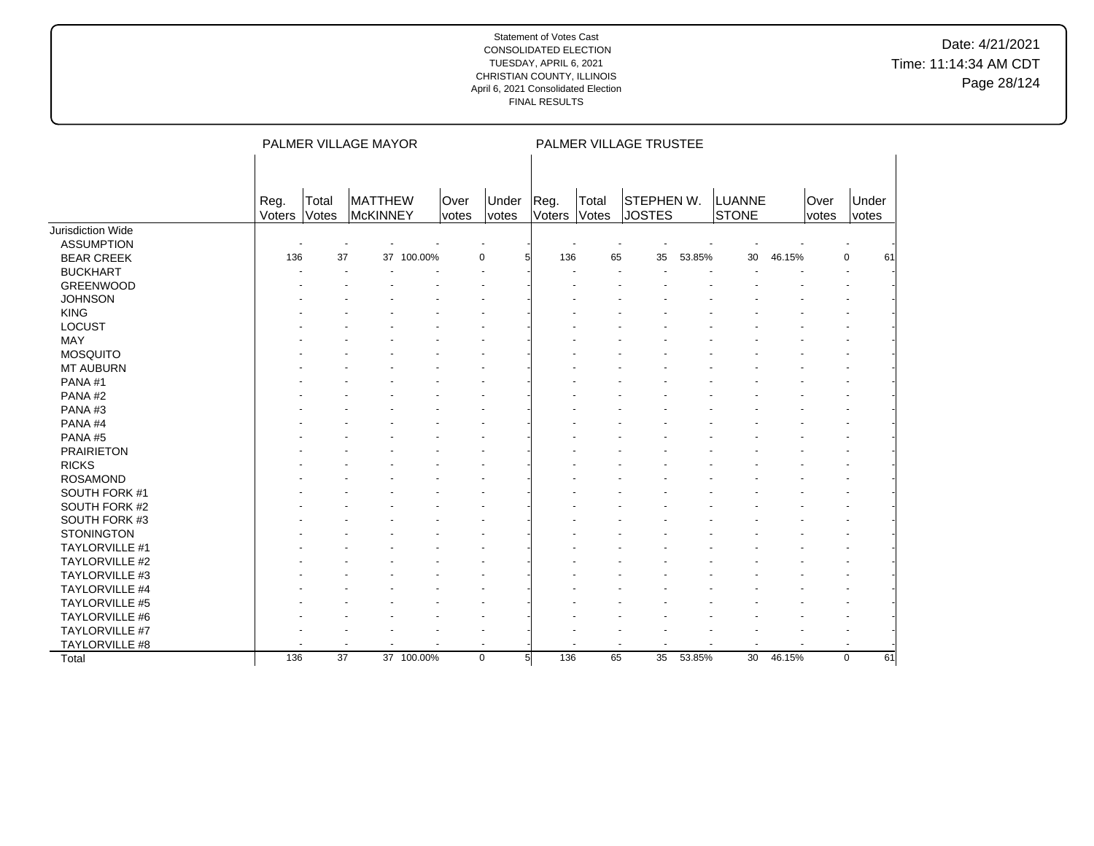# Date: 4/21/2021 Time: 11:14:34 AM CDT Page 28/124

|                       |                          |                 | PALMER VILLAGE MAYOR     |            |               |                |                       |                | PALMER VILLAGE TRUSTEE                               |        |                        |        |               |                   |  |
|-----------------------|--------------------------|-----------------|--------------------------|------------|---------------|----------------|-----------------------|----------------|------------------------------------------------------|--------|------------------------|--------|---------------|-------------------|--|
|                       |                          |                 |                          |            |               |                |                       |                |                                                      |        |                        |        |               |                   |  |
|                       | Reg.<br>Voters           | Total<br>Votes  | MATTHEW<br>McKINNEY      |            | Over<br>votes | Under<br>votes | Reg.<br>Voters        | Total<br>Votes | STEPHEN W.<br><b>JOSTES</b>                          |        | <b>LUANNE</b><br>STONE |        | Over<br>votes | Under<br>votes    |  |
| Jurisdiction Wide     |                          |                 |                          |            |               |                |                       |                |                                                      |        |                        |        |               |                   |  |
| <b>ASSUMPTION</b>     |                          |                 |                          |            |               |                |                       |                |                                                      |        |                        |        |               |                   |  |
| <b>BEAR CREEK</b>     | 136                      | 37              |                          | 37 100.00% |               | 0              | 136<br>5              | 65             | 35                                                   | 53.85% | 30                     | 46.15% |               | 0<br>61           |  |
| <b>BUCKHART</b>       |                          |                 |                          |            |               | $\sim$         |                       |                | $\sim$                                               |        |                        |        |               |                   |  |
| <b>GREENWOOD</b>      |                          |                 |                          |            |               |                |                       |                |                                                      |        |                        |        |               |                   |  |
| <b>JOHNSON</b>        |                          |                 |                          |            |               |                |                       |                |                                                      |        |                        |        |               |                   |  |
| <b>KING</b>           |                          |                 |                          |            |               |                |                       |                |                                                      |        |                        |        |               |                   |  |
| LOCUST                |                          |                 |                          |            |               |                |                       |                |                                                      |        |                        |        |               |                   |  |
| MAY                   |                          |                 |                          |            |               |                |                       |                |                                                      |        |                        |        |               |                   |  |
| <b>MOSQUITO</b>       |                          |                 |                          |            |               |                |                       |                |                                                      |        |                        |        |               |                   |  |
| <b>MT AUBURN</b>      |                          |                 |                          |            |               |                |                       |                |                                                      |        |                        |        |               |                   |  |
| PANA#1                |                          |                 |                          |            |               |                |                       |                |                                                      |        |                        |        |               |                   |  |
| PANA#2                |                          |                 |                          |            |               |                |                       |                |                                                      |        |                        |        |               |                   |  |
| PANA#3                |                          |                 |                          |            |               |                |                       |                |                                                      |        |                        |        |               |                   |  |
| PANA#4                |                          |                 |                          |            |               |                |                       |                |                                                      |        |                        |        |               |                   |  |
| PANA#5                |                          |                 |                          |            |               |                |                       |                |                                                      |        |                        |        |               |                   |  |
| <b>PRAIRIETON</b>     |                          |                 |                          |            |               |                |                       |                |                                                      |        |                        |        |               |                   |  |
| <b>RICKS</b>          |                          |                 |                          |            |               |                |                       |                |                                                      |        |                        |        |               |                   |  |
| <b>ROSAMOND</b>       |                          |                 |                          |            |               |                |                       |                |                                                      |        |                        |        |               |                   |  |
| SOUTH FORK #1         |                          |                 |                          |            |               |                |                       |                |                                                      |        |                        |        |               |                   |  |
| SOUTH FORK #2         |                          |                 |                          |            |               |                |                       |                |                                                      |        |                        |        |               |                   |  |
| SOUTH FORK #3         |                          |                 |                          |            |               |                |                       |                |                                                      |        |                        |        |               |                   |  |
| <b>STONINGTON</b>     |                          |                 |                          |            |               |                |                       |                |                                                      |        |                        |        |               |                   |  |
| TAYLORVILLE #1        |                          |                 |                          |            |               |                |                       |                |                                                      |        |                        |        |               |                   |  |
| <b>TAYLORVILLE #2</b> |                          |                 |                          |            |               |                |                       |                |                                                      |        |                        |        |               |                   |  |
| TAYLORVILLE #3        |                          |                 |                          |            |               |                |                       |                |                                                      |        |                        |        |               |                   |  |
| TAYLORVILLE #4        |                          |                 |                          |            |               |                |                       |                |                                                      |        |                        |        |               |                   |  |
| TAYLORVILLE #5        |                          |                 |                          |            |               |                |                       |                |                                                      |        |                        |        |               |                   |  |
| TAYLORVILLE #6        |                          |                 |                          |            |               |                |                       |                |                                                      |        |                        |        |               |                   |  |
| TAYLORVILLE #7        |                          |                 |                          |            |               |                |                       |                |                                                      |        |                        |        |               |                   |  |
| <b>TAYLORVILLE #8</b> | $\overline{\phantom{a}}$ |                 | $\overline{\phantom{a}}$ |            |               | $\blacksquare$ |                       |                | $\overline{\phantom{a}}$<br>$\overline{\phantom{a}}$ |        |                        |        |               |                   |  |
| Total                 | 136                      | $\overline{37}$ |                          | 37 100.00% |               | $\mathbf 0$    | 5 <sub>5</sub><br>136 | 65             | $\overline{35}$                                      | 53.85% | $\overline{30}$        | 46.15% |               | 61<br>$\mathbf 0$ |  |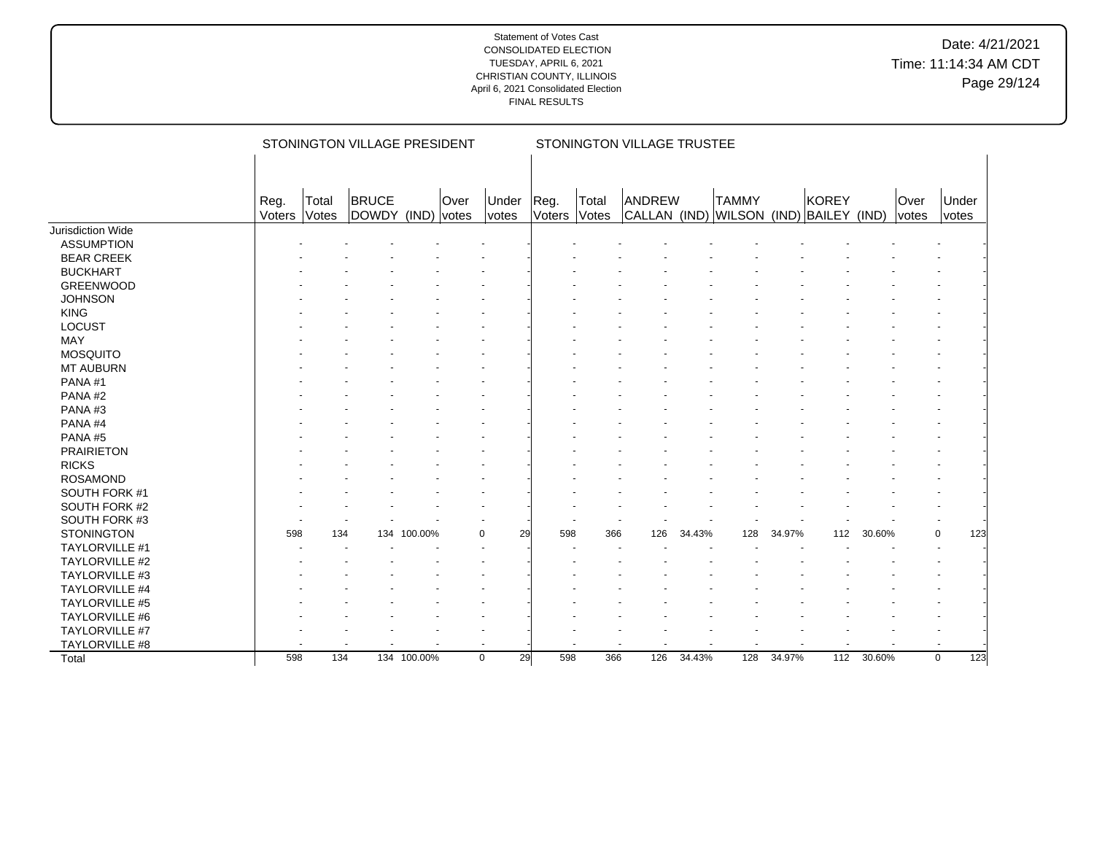|                       |                |                | STONINGTON VILLAGE PRESIDENT |             |               |                   |                |                | STONINGTON VILLAGE TRUSTEE |        |              |        |                                                 |        |               |                    |  |
|-----------------------|----------------|----------------|------------------------------|-------------|---------------|-------------------|----------------|----------------|----------------------------|--------|--------------|--------|-------------------------------------------------|--------|---------------|--------------------|--|
|                       | Reg.<br>Voters | Total<br>Votes | <b>BRUCE</b><br>DOWDY        | (IND)       | Over<br>votes | Under<br>votes    | Reg.<br>Voters | Total<br>Votes | ANDREW                     |        | <b>TAMMY</b> |        | KOREY<br>CALLAN (IND) WILSON (IND) BAILEY (IND) |        | Over<br>votes | Under<br>votes     |  |
| Jurisdiction Wide     |                |                |                              |             |               |                   |                |                |                            |        |              |        |                                                 |        |               |                    |  |
| <b>ASSUMPTION</b>     |                |                |                              |             |               |                   |                |                |                            |        |              |        |                                                 |        |               |                    |  |
| <b>BEAR CREEK</b>     |                |                |                              |             |               |                   |                |                |                            |        |              |        |                                                 |        |               |                    |  |
| <b>BUCKHART</b>       |                |                |                              |             |               |                   |                |                |                            |        |              |        |                                                 |        |               |                    |  |
| <b>GREENWOOD</b>      |                |                |                              |             |               |                   |                |                |                            |        |              |        |                                                 |        |               |                    |  |
| <b>JOHNSON</b>        |                |                |                              |             |               |                   |                |                |                            |        |              |        |                                                 |        |               |                    |  |
| <b>KING</b>           |                |                |                              |             |               |                   |                |                |                            |        |              |        |                                                 |        |               |                    |  |
| LOCUST                |                |                |                              |             |               |                   |                |                |                            |        |              |        |                                                 |        |               |                    |  |
| <b>MAY</b>            |                |                |                              |             |               |                   |                |                |                            |        |              |        |                                                 |        |               |                    |  |
| <b>MOSQUITO</b>       |                |                |                              |             |               |                   |                |                |                            |        |              |        |                                                 |        |               |                    |  |
| <b>MT AUBURN</b>      |                |                |                              |             |               |                   |                |                |                            |        |              |        |                                                 |        |               |                    |  |
| PANA#1                |                |                |                              |             |               |                   |                |                |                            |        |              |        |                                                 |        |               |                    |  |
| PANA#2                |                |                |                              |             |               |                   |                |                |                            |        |              |        |                                                 |        |               |                    |  |
| PANA#3                |                |                |                              |             |               |                   |                |                |                            |        |              |        |                                                 |        |               |                    |  |
| PANA#4                |                |                |                              |             |               |                   |                |                |                            |        |              |        |                                                 |        |               |                    |  |
| PANA#5                |                |                |                              |             |               |                   |                |                |                            |        |              |        |                                                 |        |               |                    |  |
| <b>PRAIRIETON</b>     |                |                |                              |             |               |                   |                |                |                            |        |              |        |                                                 |        |               |                    |  |
| <b>RICKS</b>          |                |                |                              |             |               |                   |                |                |                            |        |              |        |                                                 |        |               |                    |  |
| <b>ROSAMOND</b>       |                |                |                              |             |               |                   |                |                |                            |        |              |        |                                                 |        |               |                    |  |
| SOUTH FORK #1         |                |                |                              |             |               |                   |                |                |                            |        |              |        |                                                 |        |               |                    |  |
| SOUTH FORK #2         |                |                |                              |             |               |                   |                |                |                            |        |              |        |                                                 |        |               |                    |  |
| SOUTH FORK #3         |                |                |                              |             |               |                   |                |                |                            |        |              |        |                                                 |        |               |                    |  |
| <b>STONINGTON</b>     | 598            | 134            | 134                          | 100.00%     |               | $\Omega$<br>29    | 598            | 366            | 126                        | 34.43% | 128          | 34.97% | 112                                             | 30.60% |               | $\mathbf 0$<br>123 |  |
| TAYLORVILLE #1        |                |                |                              |             |               |                   |                |                |                            |        |              |        |                                                 |        |               |                    |  |
| <b>TAYLORVILLE #2</b> |                |                |                              |             |               |                   |                |                |                            |        |              |        |                                                 |        |               |                    |  |
| TAYLORVILLE #3        |                |                |                              |             |               |                   |                |                |                            |        |              |        |                                                 |        |               |                    |  |
| <b>TAYLORVILLE #4</b> |                |                |                              |             |               |                   |                |                |                            |        |              |        |                                                 |        |               |                    |  |
| TAYLORVILLE #5        |                |                |                              |             |               |                   |                |                |                            |        |              |        |                                                 |        |               |                    |  |
| <b>TAYLORVILLE #6</b> |                |                |                              |             |               |                   |                |                |                            |        |              |        |                                                 |        |               |                    |  |
| TAYLORVILLE #7        |                |                |                              |             |               |                   |                |                |                            |        |              |        |                                                 |        |               |                    |  |
| TAYLORVILLE #8        |                |                |                              |             |               |                   |                |                |                            |        |              |        |                                                 |        |               |                    |  |
| Total                 | 598            | 134            |                              | 134 100.00% |               | $\mathbf 0$<br>29 | 598            | 366            | 126                        | 34.43% | 128          | 34.97% | 112                                             | 30.60% |               | 123<br>$\mathbf 0$ |  |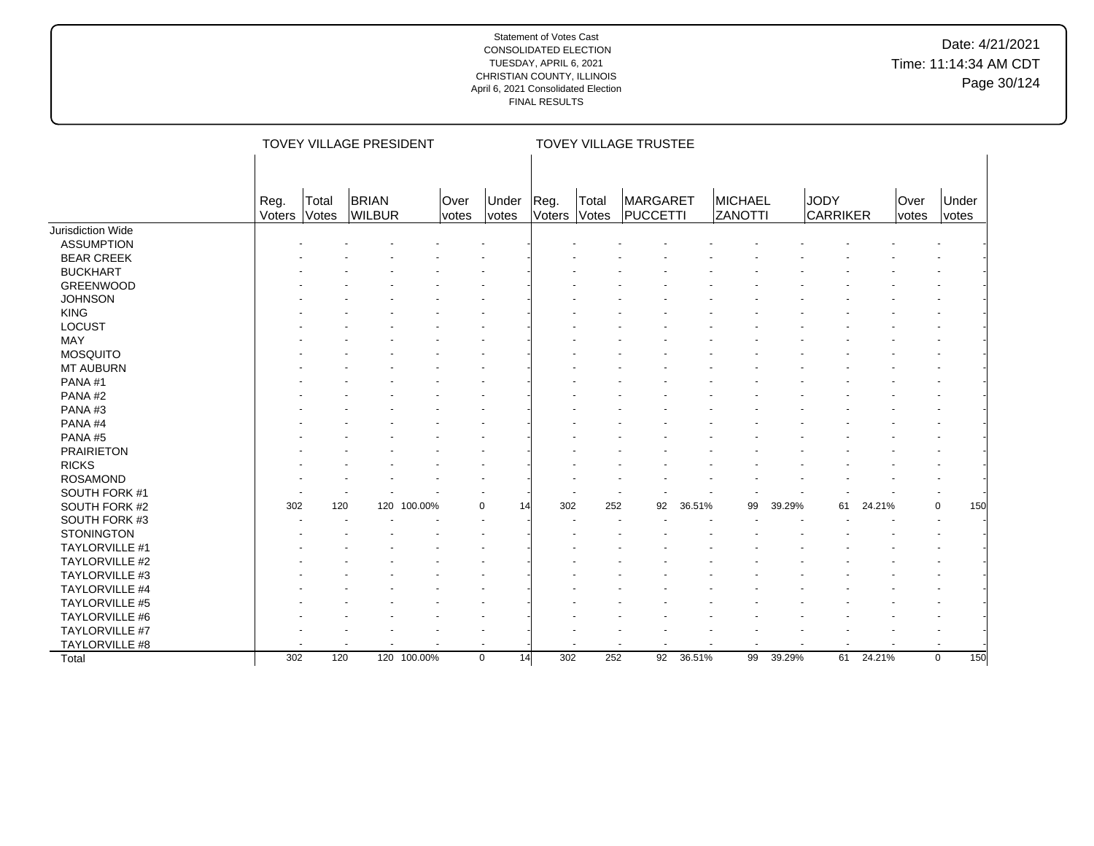# Date: 4/21/2021 Time: 11:14:34 AM CDT Page 30/124

|                         |                |                          | TOVEY VILLAGE PRESIDENT       |             |                          |                |                |                | <b>TOVEY VILLAGE TRUSTEE</b> |        |                          |        |                  |        |               |                |     |
|-------------------------|----------------|--------------------------|-------------------------------|-------------|--------------------------|----------------|----------------|----------------|------------------------------|--------|--------------------------|--------|------------------|--------|---------------|----------------|-----|
|                         |                |                          |                               |             |                          |                |                |                |                              |        |                          |        |                  |        |               |                |     |
|                         | Reg.<br>Voters | Total<br>Votes           | <b>BRIAN</b><br><b>WILBUR</b> |             | Over<br>votes            | Under<br>votes | Reg.<br>Voters | Total<br>Votes | MARGARET<br>PUCCETTI         |        | MICHAEL<br>ZANOTTI       |        | JODY<br>CARRIKER |        | Over<br>votes | Under<br>votes |     |
| Jurisdiction Wide       |                |                          |                               |             |                          |                |                |                |                              |        |                          |        |                  |        |               |                |     |
| <b>ASSUMPTION</b>       |                |                          |                               |             |                          |                |                |                |                              |        |                          |        |                  |        |               |                |     |
| <b>BEAR CREEK</b>       |                |                          |                               |             |                          |                |                |                |                              |        |                          |        |                  |        |               |                |     |
| <b>BUCKHART</b>         |                |                          |                               |             |                          |                |                |                |                              |        |                          |        |                  |        |               |                |     |
| <b>GREENWOOD</b>        |                |                          |                               |             |                          |                |                |                |                              |        |                          |        |                  |        |               |                |     |
| <b>JOHNSON</b>          |                |                          |                               |             |                          |                |                |                |                              |        |                          |        |                  |        |               |                |     |
| <b>KING</b>             |                |                          |                               |             |                          |                |                |                |                              |        |                          |        |                  |        |               |                |     |
| LOCUST                  |                |                          |                               |             |                          |                |                |                |                              |        |                          |        |                  |        |               |                |     |
| MAY                     |                |                          |                               |             |                          |                |                |                |                              |        |                          |        |                  |        |               |                |     |
| <b>MOSQUITO</b>         |                |                          |                               |             |                          |                |                |                |                              |        |                          |        |                  |        |               |                |     |
| <b>MT AUBURN</b>        |                |                          |                               |             |                          |                |                |                |                              |        |                          |        |                  |        |               |                |     |
| PANA#1                  |                |                          |                               |             |                          |                |                |                |                              |        |                          |        |                  |        |               |                |     |
| PANA#2                  |                |                          |                               |             |                          |                |                |                |                              |        |                          |        |                  |        |               |                |     |
| PANA#3                  |                |                          |                               |             |                          |                |                |                |                              |        |                          |        |                  |        |               |                |     |
| PANA#4                  |                |                          |                               |             |                          |                |                |                |                              |        |                          |        |                  |        |               |                |     |
| PANA#5                  |                |                          |                               |             |                          |                |                |                |                              |        |                          |        |                  |        |               |                |     |
| <b>PRAIRIETON</b>       |                |                          |                               |             |                          |                |                |                |                              |        |                          |        |                  |        |               |                |     |
| <b>RICKS</b>            |                |                          |                               |             |                          |                |                |                |                              |        |                          |        |                  |        |               |                |     |
| <b>ROSAMOND</b>         |                |                          |                               |             |                          |                |                |                |                              |        |                          |        |                  |        |               |                |     |
| SOUTH FORK #1           |                |                          |                               |             |                          |                |                |                |                              |        |                          |        |                  |        |               |                |     |
| SOUTH FORK #2           | 302            | 120                      | 120                           | 100.00%     | 0                        | 14             | 302            | 252            | 92                           | 36.51% | 99                       | 39.29% | 61               | 24.21% |               | 0              | 150 |
| SOUTH FORK #3           |                |                          |                               |             |                          |                |                |                |                              |        |                          |        |                  |        |               |                |     |
| <b>STONINGTON</b>       |                |                          |                               |             |                          |                |                |                |                              |        |                          |        |                  |        |               |                |     |
| TAYLORVILLE #1          |                |                          |                               |             |                          |                |                |                |                              |        |                          |        |                  |        |               |                |     |
| <b>TAYLORVILLE #2</b>   |                |                          |                               |             |                          |                |                |                |                              |        |                          |        |                  |        |               |                |     |
| TAYLORVILLE #3          |                |                          |                               |             |                          |                |                |                |                              |        |                          |        |                  |        |               |                |     |
| TAYLORVILLE #4          |                |                          |                               |             |                          |                |                |                |                              |        |                          |        |                  |        |               |                |     |
| TAYLORVILLE #5          |                |                          |                               |             |                          |                |                |                |                              |        |                          |        |                  |        |               |                |     |
| TAYLORVILLE #6          |                |                          |                               |             |                          |                |                |                |                              |        |                          |        |                  |        |               |                |     |
|                         |                |                          |                               |             |                          |                |                |                |                              |        |                          |        |                  |        |               |                |     |
| TAYLORVILLE #7          |                | $\overline{\phantom{a}}$ |                               |             | $\overline{\phantom{a}}$ |                |                |                |                              |        | $\overline{\phantom{a}}$ |        |                  |        |               |                |     |
| TAYLORVILLE #8<br>Total | 302            | 120                      |                               | 120 100.00% | $\mathbf 0$              | 14             | 302            | 252            | $\overline{92}$              | 36.51% | $\overline{99}$          | 39.29% | 61               | 24.21% |               | $\mathbf 0$    | 150 |
|                         |                |                          |                               |             |                          |                |                |                |                              |        |                          |        |                  |        |               |                |     |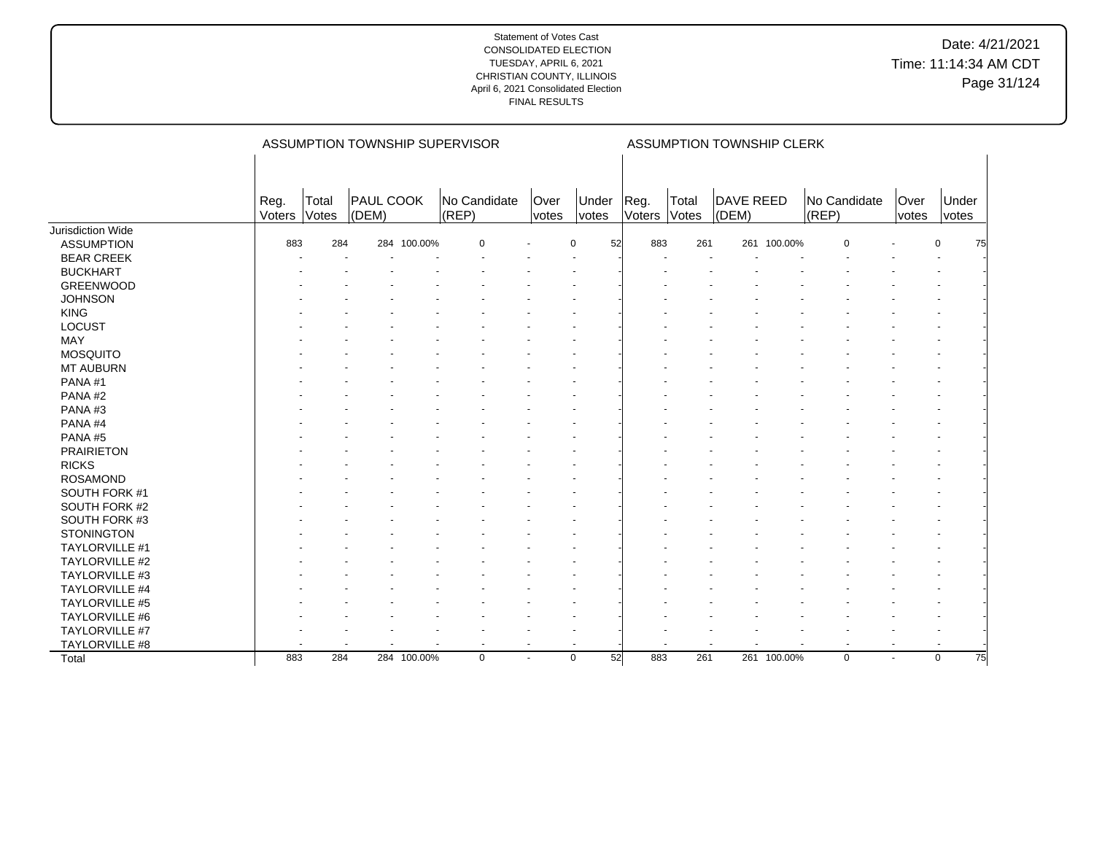|                       |                |                |                           |             | ASSUMPTION TOWNSHIP SUPERVISOR |                |                   |                |                       | ASSUMPTION TOWNSHIP CLERK |             |                           |                      |                      |
|-----------------------|----------------|----------------|---------------------------|-------------|--------------------------------|----------------|-------------------|----------------|-----------------------|---------------------------|-------------|---------------------------|----------------------|----------------------|
|                       | Reg.<br>Voters | Total<br>Votes | <b>PAUL COOK</b><br>(DEM) |             | No Candidate<br>(REP)          | Over<br>votes  | Under<br>votes    | Reg.<br>Voters | Total<br><b>Votes</b> | DAVE REED<br>(DEM)        |             | No Candidate<br>$ $ (REP) | Over<br><i>votes</i> | Under<br>votes       |
| Jurisdiction Wide     |                |                |                           |             |                                |                |                   |                |                       |                           |             |                           |                      |                      |
| <b>ASSUMPTION</b>     | 883            | 284            |                           | 284 100.00% | $\mathbf 0$                    |                | 52<br>$\mathbf 0$ | 883            | 261                   |                           | 261 100.00% | $\mathbf 0$               |                      | 0<br>75              |
| <b>BEAR CREEK</b>     |                |                |                           |             |                                |                |                   |                |                       |                           |             |                           |                      |                      |
| <b>BUCKHART</b>       |                |                |                           |             |                                |                |                   |                |                       |                           |             |                           |                      |                      |
| <b>GREENWOOD</b>      |                |                |                           |             |                                |                |                   |                |                       |                           |             |                           |                      |                      |
| <b>JOHNSON</b>        |                |                |                           |             |                                |                |                   |                |                       |                           |             |                           |                      |                      |
| <b>KING</b>           |                |                |                           |             |                                |                |                   |                |                       |                           |             |                           |                      |                      |
| LOCUST                |                |                |                           |             |                                |                |                   |                |                       |                           |             |                           |                      |                      |
| <b>MAY</b>            |                |                |                           |             |                                |                |                   |                |                       |                           |             |                           |                      |                      |
| <b>MOSQUITO</b>       |                |                |                           |             |                                |                |                   |                |                       |                           |             |                           |                      |                      |
| MT AUBURN             |                |                |                           |             |                                |                |                   |                |                       |                           |             |                           |                      |                      |
| PANA#1                |                |                |                           |             |                                |                |                   |                |                       |                           |             |                           |                      |                      |
| PANA#2                |                |                |                           |             |                                |                |                   |                |                       |                           |             |                           |                      |                      |
| PANA#3                |                |                |                           |             |                                |                |                   |                |                       |                           |             |                           |                      |                      |
| PANA#4                |                |                |                           |             |                                |                |                   |                |                       |                           |             |                           |                      |                      |
| PANA#5                |                |                |                           |             |                                |                |                   |                |                       |                           |             |                           |                      |                      |
| <b>PRAIRIETON</b>     |                |                |                           |             |                                |                |                   |                |                       |                           |             |                           |                      |                      |
| <b>RICKS</b>          |                |                |                           |             |                                |                |                   |                |                       |                           |             |                           |                      |                      |
| <b>ROSAMOND</b>       |                |                |                           |             |                                |                |                   |                |                       |                           |             |                           |                      |                      |
| SOUTH FORK #1         |                |                |                           |             |                                |                |                   |                |                       |                           |             |                           |                      |                      |
| SOUTH FORK #2         |                |                |                           |             |                                |                |                   |                |                       |                           |             |                           |                      |                      |
| SOUTH FORK #3         |                |                |                           |             |                                |                |                   |                |                       |                           |             |                           |                      |                      |
| <b>STONINGTON</b>     |                |                |                           |             |                                |                |                   |                |                       |                           |             |                           |                      |                      |
| TAYLORVILLE #1        |                |                |                           |             |                                |                |                   |                |                       |                           |             |                           |                      |                      |
| <b>TAYLORVILLE #2</b> |                |                |                           |             |                                |                |                   |                |                       |                           |             |                           |                      |                      |
| TAYLORVILLE #3        |                |                |                           |             |                                |                |                   |                |                       |                           |             |                           |                      |                      |
| TAYLORVILLE #4        |                |                |                           |             |                                |                |                   |                |                       |                           |             |                           |                      |                      |
| TAYLORVILLE #5        |                |                |                           |             |                                |                |                   |                |                       |                           |             |                           |                      |                      |
| <b>TAYLORVILLE #6</b> |                |                |                           |             |                                |                |                   |                |                       |                           |             |                           |                      |                      |
| TAYLORVILLE #7        |                |                |                           |             |                                |                |                   |                |                       |                           |             |                           |                      |                      |
| TAYLORVILLE #8        |                |                |                           |             | ÷                              | $\sim$         |                   |                |                       |                           |             |                           |                      |                      |
| Total                 | 883            | 284            |                           | 284 100.00% | $\mathbf 0$                    | $\blacksquare$ | 52<br>$\mathbf 0$ | 883            | $\overline{261}$      |                           | 261 100.00% | $\mathbf 0$               | $\ddot{\phantom{1}}$ | $\overline{75}$<br>0 |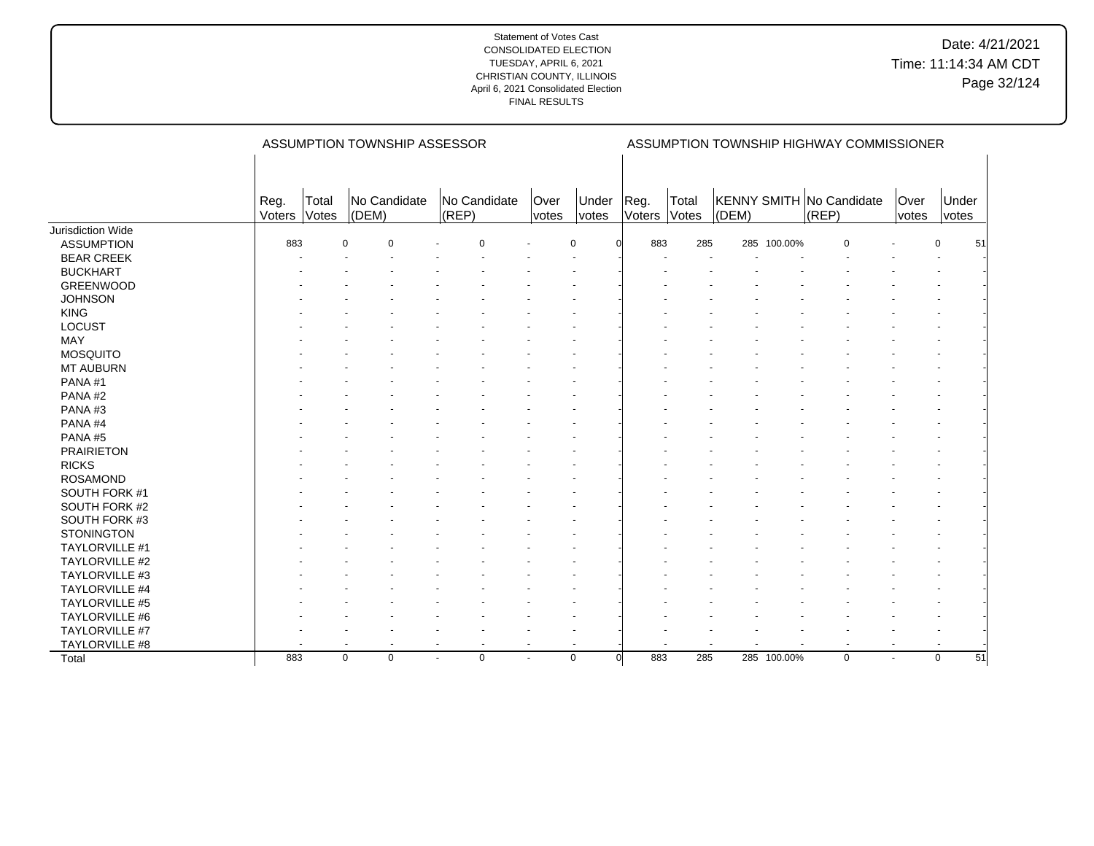|                       |                |                | ASSUMPTION TOWNSHIP ASSESSOR |                |                           |               |                          |                |                |       |             | ASSUMPTION TOWNSHIP HIGHWAY COMMISSIONER |                      |                |                 |
|-----------------------|----------------|----------------|------------------------------|----------------|---------------------------|---------------|--------------------------|----------------|----------------|-------|-------------|------------------------------------------|----------------------|----------------|-----------------|
|                       | Reg.<br>Voters | Total<br>Votes | No Candidate<br>(DEM)        |                | No Candidate<br>$ $ (REP) | Over<br>votes | Under<br>votes           | Reg.<br>Voters | Total<br>Votes | (DEM) |             | KENNY SMITH No Candidate<br>$ $ (REP)    | Over<br><i>votes</i> | Under<br>votes |                 |
| Jurisdiction Wide     |                |                |                              |                |                           |               |                          |                |                |       |             |                                          |                      |                |                 |
| <b>ASSUMPTION</b>     | 883            |                | $\mathbf 0$<br>$\Omega$      |                | $\Omega$                  |               | $\mathbf 0$              | 883            | 285            |       | 285 100.00% | $\Omega$                                 |                      | 0              | 51              |
| <b>BEAR CREEK</b>     |                |                |                              |                |                           |               |                          |                |                |       |             |                                          |                      |                |                 |
| <b>BUCKHART</b>       |                |                |                              |                |                           |               |                          |                |                |       |             |                                          |                      |                |                 |
| <b>GREENWOOD</b>      |                |                |                              |                |                           |               |                          |                |                |       |             |                                          |                      |                |                 |
| <b>JOHNSON</b>        |                |                |                              |                |                           |               |                          |                |                |       |             |                                          |                      |                |                 |
| <b>KING</b>           |                |                |                              |                |                           |               |                          |                |                |       |             |                                          |                      |                |                 |
| LOCUST                |                |                |                              |                |                           |               |                          |                |                |       |             |                                          |                      |                |                 |
| <b>MAY</b>            |                |                |                              |                |                           |               |                          |                |                |       |             |                                          |                      |                |                 |
| <b>MOSQUITO</b>       |                |                |                              |                |                           |               |                          |                |                |       |             |                                          |                      |                |                 |
| MT AUBURN             |                |                |                              |                |                           |               |                          |                |                |       |             |                                          |                      |                |                 |
| PANA#1                |                |                |                              |                |                           |               |                          |                |                |       |             |                                          |                      |                |                 |
| PANA#2                |                |                |                              |                |                           |               |                          |                |                |       |             |                                          |                      |                |                 |
| PANA#3                |                |                |                              |                |                           |               |                          |                |                |       |             |                                          |                      |                |                 |
| PANA#4                |                |                |                              |                |                           |               |                          |                |                |       |             |                                          |                      |                |                 |
| PANA#5                |                |                |                              |                |                           |               |                          |                |                |       |             |                                          |                      |                |                 |
| <b>PRAIRIETON</b>     |                |                |                              |                |                           |               |                          |                |                |       |             |                                          |                      |                |                 |
| <b>RICKS</b>          |                |                |                              |                |                           |               |                          |                |                |       |             |                                          |                      |                |                 |
| <b>ROSAMOND</b>       |                |                |                              |                |                           |               |                          |                |                |       |             |                                          |                      |                |                 |
| SOUTH FORK #1         |                |                |                              |                |                           |               |                          |                |                |       |             |                                          |                      |                |                 |
| SOUTH FORK #2         |                |                |                              |                |                           |               |                          |                |                |       |             |                                          |                      |                |                 |
| SOUTH FORK #3         |                |                |                              |                |                           |               |                          |                |                |       |             |                                          |                      |                |                 |
| <b>STONINGTON</b>     |                |                |                              |                |                           |               |                          |                |                |       |             |                                          |                      |                |                 |
| <b>TAYLORVILLE #1</b> |                |                |                              |                |                           |               |                          |                |                |       |             |                                          |                      |                |                 |
| <b>TAYLORVILLE #2</b> |                |                |                              |                |                           |               |                          |                |                |       |             |                                          |                      |                |                 |
| TAYLORVILLE #3        |                |                |                              |                |                           |               |                          |                |                |       |             |                                          |                      |                |                 |
| TAYLORVILLE #4        |                |                |                              |                |                           |               |                          |                |                |       |             |                                          |                      |                |                 |
| TAYLORVILLE #5        |                |                |                              |                |                           |               |                          |                |                |       |             |                                          |                      |                |                 |
| TAYLORVILLE #6        |                |                |                              |                |                           |               |                          |                |                |       |             |                                          |                      |                |                 |
| TAYLORVILLE #7        |                |                |                              |                |                           |               |                          |                |                |       |             |                                          |                      |                |                 |
| <b>TAYLORVILLE #8</b> |                |                |                              |                | ÷                         | $\sim$        | $\overline{\phantom{a}}$ |                |                |       |             |                                          |                      |                |                 |
| Total                 | 883            |                | $\mathbf 0$<br>$\mathbf 0$   | $\blacksquare$ | $\mathbf 0$               | $\sim$        | $\mathbf 0$<br>$\Omega$  | 883            | 285            |       | 285 100.00% | $\mathbf 0$                              | $\sim$               | 0              | $\overline{51}$ |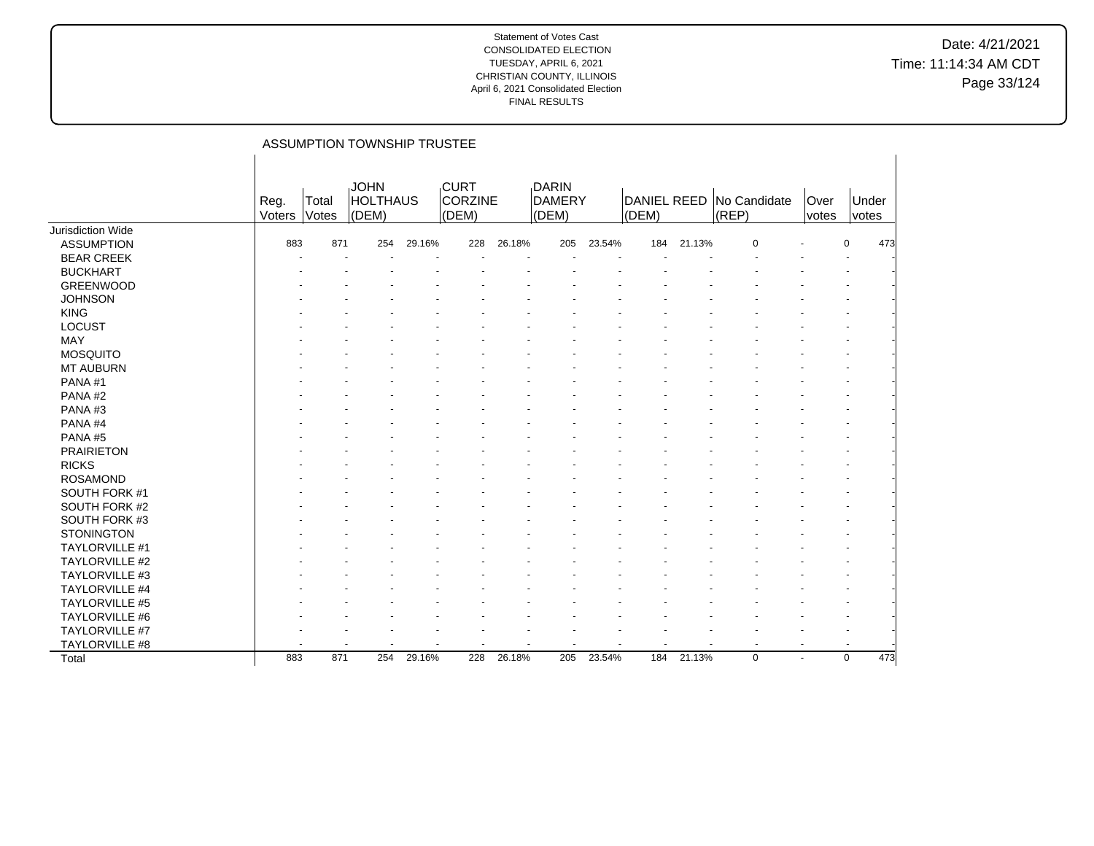# Date: 4/21/2021 Time: 11:14:34 AM CDT Page 33/124

|                       | ASSUMPTION TOWNSHIP TRUSTEE |                |                                  |        |                                 |        |                          |        |                      |        |                       |                          |                |     |
|-----------------------|-----------------------------|----------------|----------------------------------|--------|---------------------------------|--------|--------------------------|--------|----------------------|--------|-----------------------|--------------------------|----------------|-----|
|                       | Reg.<br>Voters              | Total<br>Votes | <b>JOHN</b><br>HOLTHAUS<br>(DEM) |        | <b>CURT</b><br>CORZINE<br>(DEM) |        | DARIN<br>DAMERY<br>(DEM) |        | DANIEL REED<br>(DEM) |        | No Candidate<br>(REP) | Over<br>votes            | Under<br>votes |     |
| Jurisdiction Wide     |                             |                |                                  |        |                                 |        |                          |        |                      |        |                       |                          |                |     |
| <b>ASSUMPTION</b>     | 883                         | 871            | 254                              | 29.16% | 228                             | 26.18% | 205                      | 23.54% | 184                  | 21.13% | O                     |                          | $\Omega$       | 473 |
| <b>BEAR CREEK</b>     |                             |                |                                  |        |                                 |        |                          |        |                      |        |                       |                          |                |     |
| <b>BUCKHART</b>       |                             |                |                                  |        |                                 |        |                          |        |                      |        |                       |                          |                |     |
| <b>GREENWOOD</b>      |                             |                |                                  |        |                                 |        |                          |        |                      |        |                       |                          |                |     |
| <b>JOHNSON</b>        |                             |                |                                  |        |                                 |        |                          |        |                      |        |                       |                          |                |     |
| <b>KING</b>           |                             |                |                                  |        |                                 |        |                          |        |                      |        |                       |                          |                |     |
| LOCUST                |                             |                |                                  |        |                                 |        |                          |        |                      |        |                       |                          |                |     |
| MAY                   |                             |                |                                  |        |                                 |        |                          |        |                      |        |                       |                          |                |     |
| <b>MOSQUITO</b>       |                             |                |                                  |        |                                 |        |                          |        |                      |        |                       |                          |                |     |
| MT AUBURN             |                             |                |                                  |        |                                 |        |                          |        |                      |        |                       |                          |                |     |
| PANA#1                |                             |                |                                  |        |                                 |        |                          |        |                      |        |                       |                          |                |     |
| PANA#2                |                             |                |                                  |        |                                 |        |                          |        |                      |        |                       |                          |                |     |
| PANA#3                |                             |                |                                  |        |                                 |        |                          |        |                      |        |                       |                          |                |     |
| PANA#4                |                             |                |                                  |        |                                 |        |                          |        |                      |        |                       |                          |                |     |
| PANA#5                |                             |                |                                  |        |                                 |        |                          |        |                      |        |                       |                          |                |     |
| <b>PRAIRIETON</b>     |                             |                |                                  |        |                                 |        |                          |        |                      |        |                       |                          |                |     |
| <b>RICKS</b>          |                             |                |                                  |        |                                 |        |                          |        |                      |        |                       |                          |                |     |
| <b>ROSAMOND</b>       |                             |                |                                  |        |                                 |        |                          |        |                      |        |                       |                          |                |     |
| SOUTH FORK #1         |                             |                |                                  |        |                                 |        |                          |        |                      |        |                       |                          |                |     |
| SOUTH FORK #2         |                             |                |                                  |        |                                 |        |                          |        |                      |        |                       |                          |                |     |
| SOUTH FORK #3         |                             |                |                                  |        |                                 |        |                          |        |                      |        |                       |                          |                |     |
| <b>STONINGTON</b>     |                             |                |                                  |        |                                 |        |                          |        |                      |        |                       |                          |                |     |
| TAYLORVILLE #1        |                             |                |                                  |        |                                 |        |                          |        |                      |        |                       |                          |                |     |
| TAYLORVILLE #2        |                             |                |                                  |        |                                 |        |                          |        |                      |        |                       |                          |                |     |
| TAYLORVILLE #3        |                             |                |                                  |        |                                 |        |                          |        |                      |        |                       |                          |                |     |
| TAYLORVILLE #4        |                             |                |                                  |        |                                 |        |                          |        |                      |        |                       |                          |                |     |
| <b>TAYLORVILLE #5</b> |                             |                |                                  |        |                                 |        |                          |        |                      |        |                       |                          |                |     |
| TAYLORVILLE #6        |                             |                |                                  |        |                                 |        |                          |        |                      |        |                       |                          |                |     |
| TAYLORVILLE #7        |                             |                |                                  |        |                                 |        |                          |        |                      |        |                       |                          |                |     |
| TAYLORVILLE #8        |                             |                |                                  |        |                                 |        |                          |        |                      |        |                       |                          |                |     |
| Total                 | 883                         | 871            | 254                              | 29.16% | 228                             | 26.18% | 205                      | 23.54% | 184                  | 21.13% | $\mathbf 0$           | $\overline{\phantom{a}}$ | $\mathbf 0$    | 473 |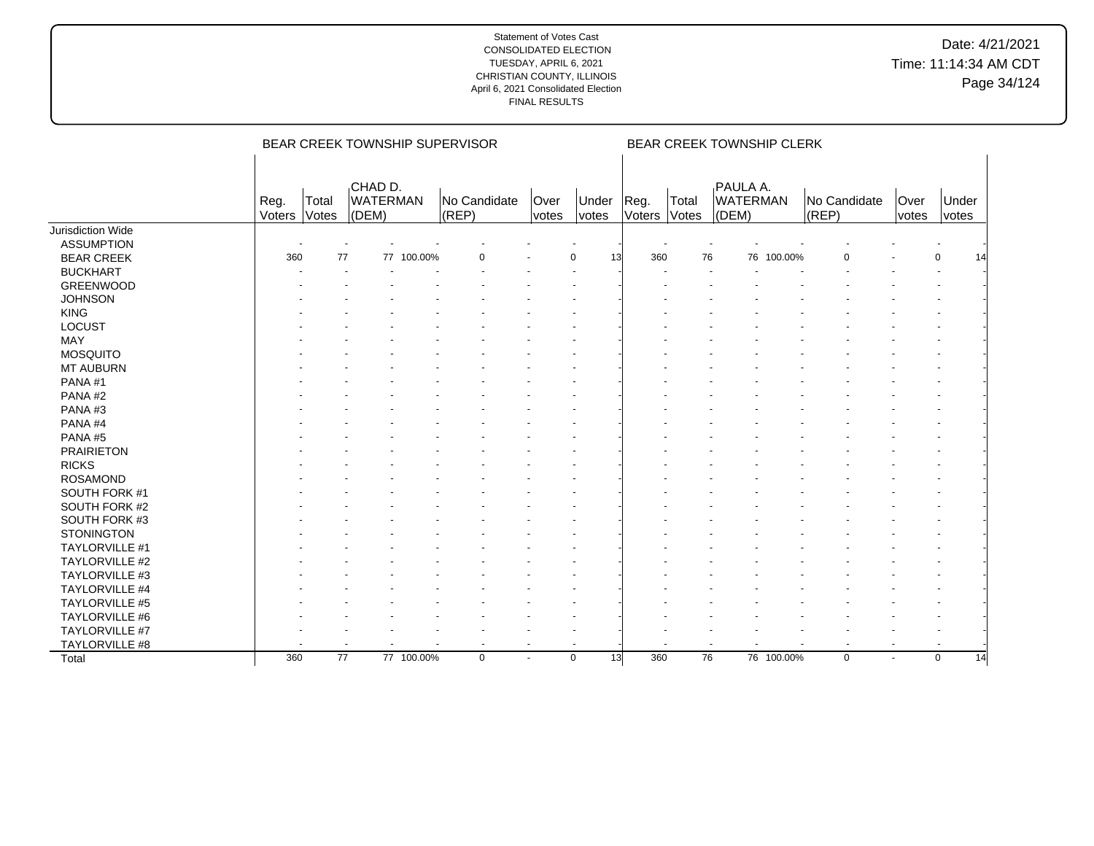|                       |                |                |                                     |            | BEAR CREEK TOWNSHIP SUPERVISOR |                      |                   |                |                 | BEAR CREEK TOWNSHIP CLERK            |            |                           |             |                      |                |    |
|-----------------------|----------------|----------------|-------------------------------------|------------|--------------------------------|----------------------|-------------------|----------------|-----------------|--------------------------------------|------------|---------------------------|-------------|----------------------|----------------|----|
|                       | Reg.<br>Voters | Total<br>Votes | CHAD D.<br><b>WATERMAN</b><br>(DEM) |            | No Candidate<br>(REP)          | Over<br><i>votes</i> | Under<br>votes    | Reg.<br>Voters | Total<br>Votes  | PAULA A.<br><b>WATERMAN</b><br>(DEM) |            | No Candidate<br>$ $ (REP) |             | Over<br><i>votes</i> | Under<br>votes |    |
| Jurisdiction Wide     |                |                |                                     |            |                                |                      |                   |                |                 |                                      |            |                           |             |                      |                |    |
| <b>ASSUMPTION</b>     |                |                |                                     |            |                                |                      |                   |                |                 |                                      |            |                           |             |                      |                |    |
| <b>BEAR CREEK</b>     | 360            | 77             |                                     | 77 100.00% |                                |                      | $\Omega$<br>13    | 360            | 76              |                                      | 76 100.00% |                           |             |                      | 0              | 14 |
| <b>BUCKHART</b>       |                |                |                                     |            |                                |                      |                   |                |                 |                                      |            |                           |             |                      |                |    |
| <b>GREENWOOD</b>      |                |                |                                     |            |                                |                      |                   |                |                 |                                      |            |                           |             |                      |                |    |
| <b>JOHNSON</b>        |                |                |                                     |            |                                |                      |                   |                |                 |                                      |            |                           |             |                      |                |    |
| <b>KING</b>           |                |                |                                     |            |                                |                      |                   |                |                 |                                      |            |                           |             |                      |                |    |
| LOCUST                |                |                |                                     |            |                                |                      |                   |                |                 |                                      |            |                           |             |                      |                |    |
| MAY                   |                |                |                                     |            |                                |                      |                   |                |                 |                                      |            |                           |             |                      |                |    |
| <b>MOSQUITO</b>       |                |                |                                     |            |                                |                      |                   |                |                 |                                      |            |                           |             |                      |                |    |
| <b>MT AUBURN</b>      |                |                |                                     |            |                                |                      |                   |                |                 |                                      |            |                           |             |                      |                |    |
| PANA#1                |                |                |                                     |            |                                |                      |                   |                |                 |                                      |            |                           |             |                      |                |    |
| PANA#2                |                |                |                                     |            |                                |                      |                   |                |                 |                                      |            |                           |             |                      |                |    |
| PANA#3                |                |                |                                     |            |                                |                      |                   |                |                 |                                      |            |                           |             |                      |                |    |
| PANA#4                |                |                |                                     |            |                                |                      |                   |                |                 |                                      |            |                           |             |                      |                |    |
| PANA#5                |                |                |                                     |            |                                |                      |                   |                |                 |                                      |            |                           |             |                      |                |    |
| <b>PRAIRIETON</b>     |                |                |                                     |            |                                |                      |                   |                |                 |                                      |            |                           |             |                      |                |    |
| <b>RICKS</b>          |                |                |                                     |            |                                |                      |                   |                |                 |                                      |            |                           |             |                      |                |    |
| <b>ROSAMOND</b>       |                |                |                                     |            |                                |                      |                   |                |                 |                                      |            |                           |             |                      |                |    |
| SOUTH FORK #1         |                |                |                                     |            |                                |                      |                   |                |                 |                                      |            |                           |             |                      |                |    |
| SOUTH FORK #2         |                |                |                                     |            |                                |                      |                   |                |                 |                                      |            |                           |             |                      |                |    |
| SOUTH FORK #3         |                |                |                                     |            |                                |                      |                   |                |                 |                                      |            |                           |             |                      |                |    |
| <b>STONINGTON</b>     |                |                |                                     |            |                                |                      |                   |                |                 |                                      |            |                           |             |                      |                |    |
| TAYLORVILLE #1        |                |                |                                     |            |                                |                      |                   |                |                 |                                      |            |                           |             |                      |                |    |
| <b>TAYLORVILLE #2</b> |                |                |                                     |            |                                |                      |                   |                |                 |                                      |            |                           |             |                      |                |    |
| TAYLORVILLE #3        |                |                |                                     |            |                                |                      |                   |                |                 |                                      |            |                           |             |                      |                |    |
| TAYLORVILLE #4        |                |                |                                     |            |                                |                      |                   |                |                 |                                      |            |                           |             |                      |                |    |
| TAYLORVILLE #5        |                |                |                                     |            |                                |                      |                   |                |                 |                                      |            |                           |             |                      |                |    |
| TAYLORVILLE #6        |                |                |                                     |            |                                |                      |                   |                |                 |                                      |            |                           |             |                      |                |    |
| TAYLORVILLE #7        |                |                |                                     |            |                                |                      |                   |                |                 |                                      |            |                           |             |                      |                |    |
| TAYLORVILLE #8        |                |                |                                     |            | ÷                              |                      |                   |                |                 |                                      |            |                           |             |                      |                |    |
| Total                 | 360            | 77             |                                     | 77 100.00% | $\mathbf 0$                    | $\sim$               | 13<br>$\mathbf 0$ | 360            | $\overline{76}$ |                                      | 76 100.00% |                           | $\mathbf 0$ | $\blacksquare$       | $\mathbf 0$    | 14 |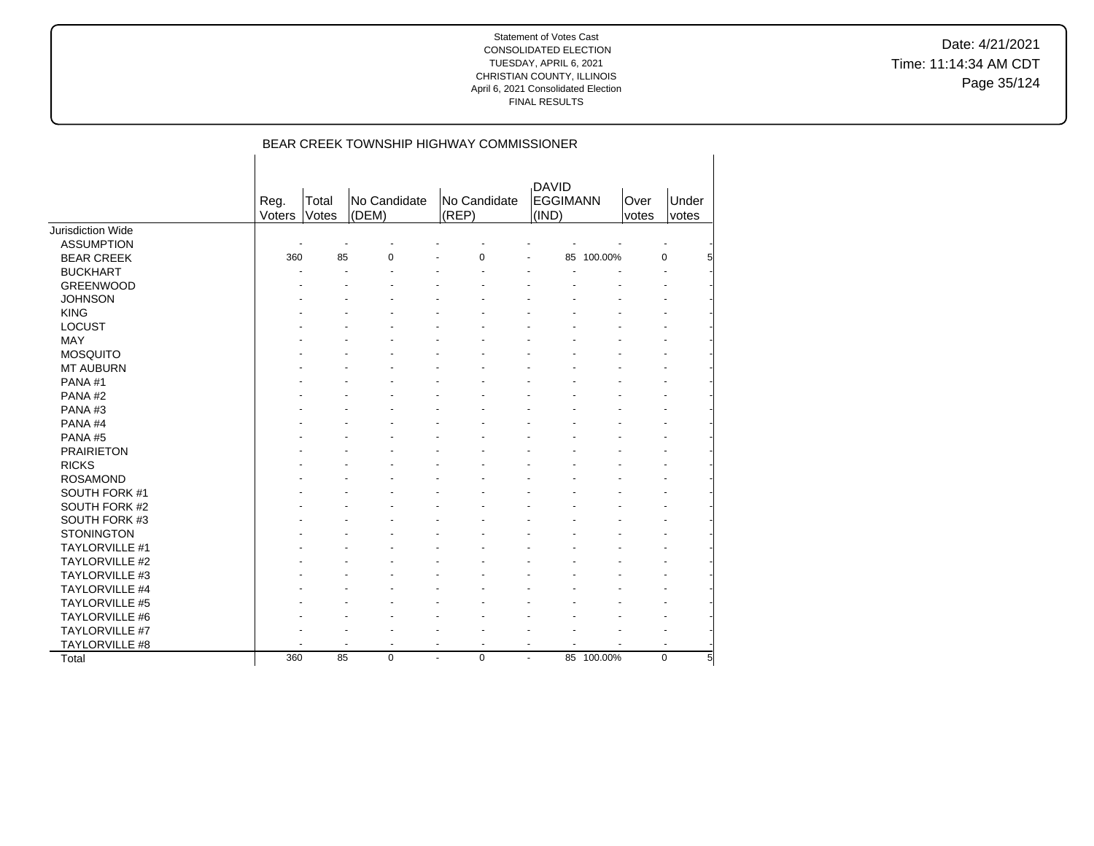Date: 4/21/2021 Time: 11:14:34 AM CDT Page 35/124

| BEAR CREEK TOWNSHIP HIGHWAY COMMISSIONER |  |
|------------------------------------------|--|
|------------------------------------------|--|

|                       | Reg.<br>Voters | Total<br>Votes | No Candidate<br>(DEM) |                | No Candidate<br>(REP)    | <b>DAVID</b><br><b>EGGIMANN</b><br>(IND) | Over<br>votes |          | Under<br>votes |
|-----------------------|----------------|----------------|-----------------------|----------------|--------------------------|------------------------------------------|---------------|----------|----------------|
| Jurisdiction Wide     |                |                |                       |                |                          |                                          |               |          |                |
| <b>ASSUMPTION</b>     |                |                |                       |                |                          |                                          |               |          |                |
| <b>BEAR CREEK</b>     | 360            | 85             | 0                     |                | $\mathbf 0$              | 85 100.00%                               |               | 0        | 5              |
| <b>BUCKHART</b>       |                |                |                       |                |                          |                                          |               |          |                |
| <b>GREENWOOD</b>      |                |                |                       |                |                          |                                          |               |          |                |
| <b>JOHNSON</b>        |                |                |                       |                |                          |                                          |               |          |                |
| <b>KING</b>           |                |                |                       |                |                          |                                          |               |          |                |
| <b>LOCUST</b>         |                |                |                       |                |                          |                                          |               |          |                |
| MAY                   |                |                |                       |                |                          |                                          |               |          |                |
| <b>MOSQUITO</b>       |                |                |                       |                |                          |                                          |               |          |                |
| <b>MT AUBURN</b>      |                |                |                       |                |                          |                                          |               |          |                |
| PANA#1                |                |                |                       |                |                          |                                          |               |          |                |
| PANA#2                |                |                |                       |                |                          |                                          |               |          |                |
| PANA#3                |                |                |                       |                |                          |                                          |               |          |                |
| PANA#4                |                |                |                       |                |                          |                                          |               |          |                |
| PANA#5                |                |                |                       |                |                          |                                          |               |          |                |
| <b>PRAIRIETON</b>     |                |                |                       |                |                          |                                          |               |          |                |
| <b>RICKS</b>          |                |                |                       |                |                          |                                          |               |          |                |
| <b>ROSAMOND</b>       |                |                |                       |                |                          |                                          |               |          |                |
| SOUTH FORK #1         |                |                |                       |                |                          |                                          |               |          |                |
| SOUTH FORK #2         |                |                |                       |                |                          |                                          |               |          |                |
| SOUTH FORK #3         |                |                |                       |                |                          |                                          |               |          |                |
| <b>STONINGTON</b>     |                |                |                       |                |                          |                                          |               |          |                |
| <b>TAYLORVILLE #1</b> |                |                |                       |                |                          |                                          |               |          |                |
| TAYLORVILLE #2        |                |                |                       |                |                          |                                          |               |          |                |
| TAYLORVILLE #3        |                |                |                       |                |                          |                                          |               |          |                |
| TAYLORVILLE #4        |                |                |                       |                |                          |                                          |               |          |                |
| TAYLORVILLE #5        |                |                |                       |                |                          |                                          |               |          |                |
| TAYLORVILLE #6        |                |                |                       |                |                          |                                          |               |          |                |
| <b>TAYLORVILLE #7</b> |                |                |                       |                |                          |                                          |               |          |                |
| TAYLORVILLE #8        |                |                |                       | $\overline{a}$ | $\overline{\phantom{a}}$ |                                          |               |          |                |
| Total                 | 360            | 85             | 0                     | $\overline{a}$ | $\mathbf 0$              | 85 100.00%<br>$\overline{a}$             |               | $\Omega$ | 5              |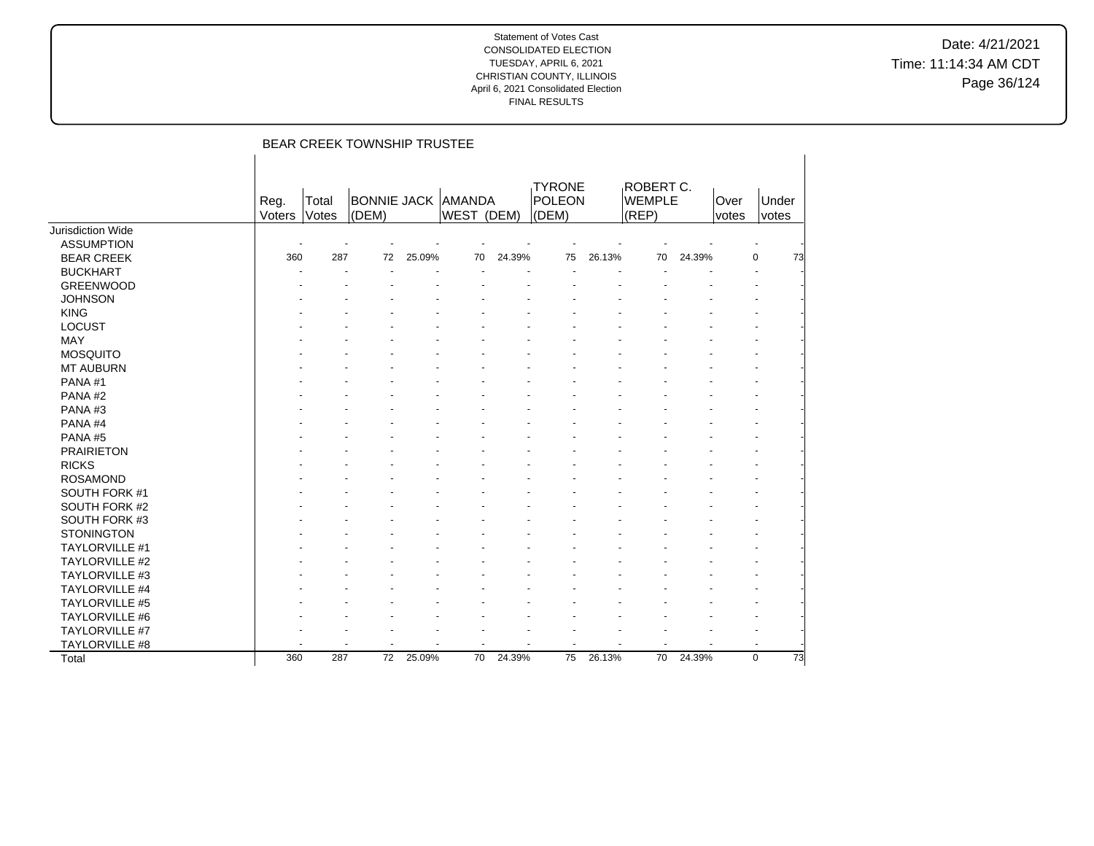Date: 4/21/2021 Time: 11:14:34 AM CDT Page 36/124

|                          | BEAR CREEK TOWNSHIP TRUSTEE      |     |                                    |        |            |        |                                         |        |                                     |        |               |                   |
|--------------------------|----------------------------------|-----|------------------------------------|--------|------------|--------|-----------------------------------------|--------|-------------------------------------|--------|---------------|-------------------|
|                          | Total<br>Reg.<br>Votes<br>Voters |     | <b>BONNIE JACK AMANDA</b><br>(DEM) |        | WEST (DEM) |        | <b>TYRONE</b><br><b>POLEON</b><br>(DEM) |        | ROBERT C.<br><b>WEMPLE</b><br>(REP) |        | Over<br>votes | Under<br>votes    |
| <b>Jurisdiction Wide</b> |                                  |     |                                    |        |            |        |                                         |        |                                     |        |               |                   |
| <b>ASSUMPTION</b>        |                                  |     |                                    |        |            |        |                                         |        |                                     |        |               |                   |
| <b>BEAR CREEK</b>        | 360                              | 287 | 72                                 | 25.09% | 70         | 24.39% | 75                                      | 26.13% | 70                                  | 24.39% |               | 0<br>73           |
| <b>BUCKHART</b>          |                                  |     |                                    |        |            |        |                                         |        |                                     |        |               |                   |
| <b>GREENWOOD</b>         |                                  |     |                                    |        |            |        |                                         |        |                                     |        |               |                   |
| <b>JOHNSON</b>           |                                  |     |                                    |        |            |        |                                         |        |                                     |        |               |                   |
| <b>KING</b>              |                                  |     |                                    |        |            |        |                                         |        |                                     |        |               |                   |
| <b>LOCUST</b>            |                                  |     |                                    |        |            |        |                                         |        |                                     |        |               |                   |
| <b>MAY</b>               |                                  |     |                                    |        |            |        |                                         |        |                                     |        |               |                   |
| <b>MOSQUITO</b>          |                                  |     |                                    |        |            |        |                                         |        |                                     |        |               |                   |
| <b>MT AUBURN</b>         |                                  |     |                                    |        |            |        |                                         |        |                                     |        |               |                   |
| PANA#1                   |                                  |     |                                    |        |            |        |                                         |        |                                     |        |               |                   |
| PANA#2                   |                                  |     |                                    |        |            |        |                                         |        |                                     |        |               |                   |
| PANA#3                   |                                  |     |                                    |        |            |        |                                         |        |                                     |        |               |                   |
| PANA#4                   |                                  |     |                                    |        |            |        |                                         |        |                                     |        |               |                   |
| PANA#5                   |                                  |     |                                    |        |            |        |                                         |        |                                     |        |               |                   |
| <b>PRAIRIETON</b>        |                                  |     |                                    |        |            |        |                                         |        |                                     |        |               |                   |
| <b>RICKS</b>             |                                  |     |                                    |        |            |        |                                         |        |                                     |        |               |                   |
| <b>ROSAMOND</b>          |                                  |     |                                    |        |            |        |                                         |        |                                     |        |               |                   |
| SOUTH FORK #1            |                                  |     |                                    |        |            |        |                                         |        |                                     |        |               |                   |
| SOUTH FORK #2            |                                  |     |                                    |        |            |        |                                         |        |                                     |        |               |                   |
| SOUTH FORK #3            |                                  |     |                                    |        |            |        |                                         |        |                                     |        |               |                   |
| <b>STONINGTON</b>        |                                  |     |                                    |        |            |        |                                         |        |                                     |        |               |                   |
| TAYLORVILLE #1           |                                  |     |                                    |        |            |        |                                         |        |                                     |        |               |                   |
| TAYLORVILLE #2           |                                  |     |                                    |        |            |        |                                         |        |                                     |        |               |                   |
| TAYLORVILLE #3           |                                  |     |                                    |        |            |        |                                         |        |                                     |        |               |                   |
| TAYLORVILLE #4           |                                  |     |                                    |        |            |        |                                         |        |                                     |        |               |                   |
| <b>TAYLORVILLE #5</b>    |                                  |     |                                    |        |            |        |                                         |        |                                     |        |               |                   |
| TAYLORVILLE #6           |                                  |     |                                    |        |            |        |                                         |        |                                     |        |               |                   |
| TAYLORVILLE #7           |                                  |     |                                    |        |            |        |                                         |        |                                     |        |               |                   |
| TAYLORVILLE #8           |                                  |     |                                    |        |            |        |                                         |        |                                     |        |               |                   |
| Total                    | 360                              | 287 | 72                                 | 25.09% | 70         | 24.39% | 75                                      | 26.13% | 70                                  | 24.39% |               | 73<br>$\mathbf 0$ |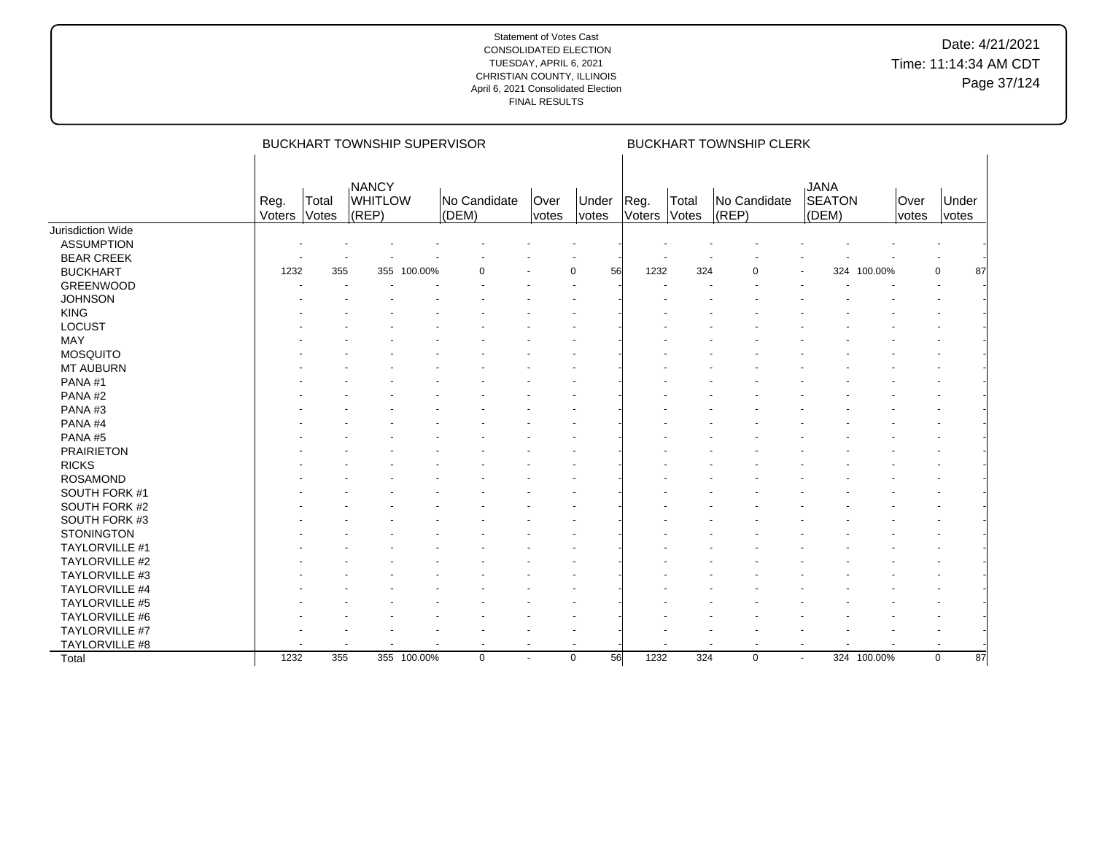|                       |                | <b>BUCKHART TOWNSHIP SUPERVISOR</b> |                                             |             |                       |               |                   |                |                | <b>BUCKHART TOWNSHIP CLERK</b> |                                       |             |               |                   |
|-----------------------|----------------|-------------------------------------|---------------------------------------------|-------------|-----------------------|---------------|-------------------|----------------|----------------|--------------------------------|---------------------------------------|-------------|---------------|-------------------|
|                       | Reg.<br>Voters | Total<br>Votes                      | <b>NANCY</b><br><b>WHITLOW</b><br>$ $ (REP) |             | No Candidate<br>(DEM) | Over<br>votes | Under<br>votes    | Reg.<br>Voters | Total<br>Votes | No Candidate<br>$ $ (REP)      | <b>JANA</b><br><b>SEATON</b><br>(DEM) |             | Over<br>votes | Under<br>votes    |
| Jurisdiction Wide     |                |                                     |                                             |             |                       |               |                   |                |                |                                |                                       |             |               |                   |
| <b>ASSUMPTION</b>     |                |                                     |                                             |             |                       |               |                   |                |                |                                |                                       |             |               |                   |
| <b>BEAR CREEK</b>     |                |                                     |                                             |             |                       |               |                   |                |                |                                |                                       |             |               |                   |
| <b>BUCKHART</b>       | 1232           | 355                                 | 355                                         | 100.00%     |                       |               | 56<br>$\Omega$    | 1232           | 324            | $\Omega$                       | 324                                   | 100.00%     |               | 0<br>87           |
| <b>GREENWOOD</b>      |                |                                     |                                             |             |                       |               |                   |                |                |                                |                                       |             |               |                   |
| <b>JOHNSON</b>        |                |                                     |                                             |             |                       |               |                   |                |                |                                |                                       |             |               |                   |
| <b>KING</b>           |                |                                     |                                             |             |                       |               |                   |                |                |                                |                                       |             |               |                   |
| LOCUST                |                |                                     |                                             |             |                       |               |                   |                |                |                                |                                       |             |               |                   |
| MAY                   |                |                                     |                                             |             |                       |               |                   |                |                |                                |                                       |             |               |                   |
| <b>MOSQUITO</b>       |                |                                     |                                             |             |                       |               |                   |                |                |                                |                                       |             |               |                   |
| <b>MT AUBURN</b>      |                |                                     |                                             |             |                       |               |                   |                |                |                                |                                       |             |               |                   |
| PANA#1                |                |                                     |                                             |             |                       |               |                   |                |                |                                |                                       |             |               |                   |
| PANA#2                |                |                                     |                                             |             |                       |               |                   |                |                |                                |                                       |             |               |                   |
| PANA#3                |                |                                     |                                             |             |                       |               |                   |                |                |                                |                                       |             |               |                   |
| PANA#4                |                |                                     |                                             |             |                       |               |                   |                |                |                                |                                       |             |               |                   |
| PANA#5                |                |                                     |                                             |             |                       |               |                   |                |                |                                |                                       |             |               |                   |
| <b>PRAIRIETON</b>     |                |                                     |                                             |             |                       |               |                   |                |                |                                |                                       |             |               |                   |
| <b>RICKS</b>          |                |                                     |                                             |             |                       |               |                   |                |                |                                |                                       |             |               |                   |
| <b>ROSAMOND</b>       |                |                                     |                                             |             |                       |               |                   |                |                |                                |                                       |             |               |                   |
| SOUTH FORK #1         |                |                                     |                                             |             |                       |               |                   |                |                |                                |                                       |             |               |                   |
| SOUTH FORK #2         |                |                                     |                                             |             |                       |               |                   |                |                |                                |                                       |             |               |                   |
| SOUTH FORK #3         |                |                                     |                                             |             |                       |               |                   |                |                |                                |                                       |             |               |                   |
| <b>STONINGTON</b>     |                |                                     |                                             |             |                       |               |                   |                |                |                                |                                       |             |               |                   |
| TAYLORVILLE #1        |                |                                     |                                             |             |                       |               |                   |                |                |                                |                                       |             |               |                   |
| <b>TAYLORVILLE #2</b> |                |                                     |                                             |             |                       |               |                   |                |                |                                |                                       |             |               |                   |
| TAYLORVILLE #3        |                |                                     |                                             |             |                       |               |                   |                |                |                                |                                       |             |               |                   |
| TAYLORVILLE #4        |                |                                     |                                             |             |                       |               |                   |                |                |                                |                                       |             |               |                   |
| TAYLORVILLE #5        |                |                                     |                                             |             |                       |               |                   |                |                |                                |                                       |             |               |                   |
| TAYLORVILLE #6        |                |                                     |                                             |             |                       |               |                   |                |                |                                |                                       |             |               |                   |
| TAYLORVILLE #7        |                |                                     |                                             |             |                       |               |                   |                |                |                                |                                       |             |               |                   |
| TAYLORVILLE #8        |                |                                     |                                             |             | $\overline{a}$        |               |                   |                |                | $\overline{\phantom{a}}$       | $\overline{\phantom{a}}$              |             |               |                   |
| Total                 | 1232           | 355                                 |                                             | 355 100.00% | $\mathbf 0$           | $\sim$        | 56<br>$\mathbf 0$ | 1232           | 324            | $\mathbf 0$                    | $\overline{\phantom{a}}$              | 324 100.00% |               | $\mathbf 0$<br>87 |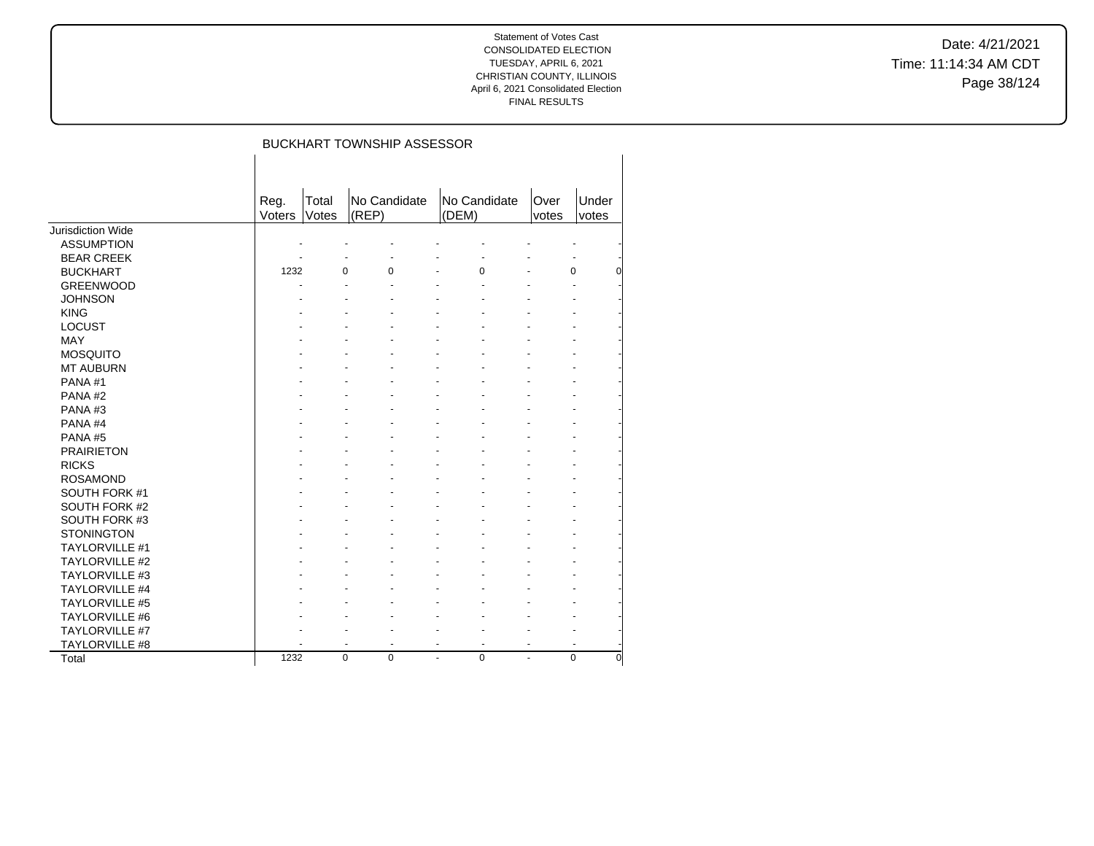Date: 4/21/2021 Time: 11:14:34 AM CDT Page 38/124

## BUCKHART TOWNSHIP ASSESSOR

|                       | Reg.<br>Voters | Total<br>Votes | No Candidate<br>(REP) |    | No Candidate<br>(DEM) | Over<br>votes | Under<br>votes       |
|-----------------------|----------------|----------------|-----------------------|----|-----------------------|---------------|----------------------|
| Jurisdiction Wide     |                |                |                       |    |                       |               |                      |
| <b>ASSUMPTION</b>     |                |                |                       |    |                       |               |                      |
| <b>BEAR CREEK</b>     |                |                |                       |    |                       |               |                      |
| <b>BUCKHART</b>       | 1232           | $\mathbf 0$    | 0                     |    | 0                     |               | 0<br>0               |
| <b>GREENWOOD</b>      |                |                |                       |    |                       |               |                      |
| <b>JOHNSON</b>        |                |                |                       |    |                       |               |                      |
| <b>KING</b>           |                |                |                       |    |                       |               |                      |
| <b>LOCUST</b>         |                |                |                       |    |                       |               |                      |
| <b>MAY</b>            |                |                |                       |    |                       |               |                      |
| <b>MOSQUITO</b>       |                |                |                       |    |                       |               |                      |
| <b>MT AUBURN</b>      |                |                |                       |    |                       |               |                      |
| PANA#1                |                |                |                       |    |                       |               |                      |
| PANA#2                |                |                |                       |    |                       |               |                      |
| PANA#3                |                |                |                       |    |                       |               |                      |
| PANA <sub>#4</sub>    |                |                |                       |    |                       |               |                      |
| PANA#5                |                |                |                       |    |                       |               |                      |
| <b>PRAIRIETON</b>     |                |                |                       |    |                       |               |                      |
| <b>RICKS</b>          |                |                |                       |    |                       |               |                      |
| <b>ROSAMOND</b>       |                |                |                       |    |                       |               |                      |
| SOUTH FORK #1         |                |                |                       |    |                       |               |                      |
| SOUTH FORK #2         |                |                |                       |    |                       |               |                      |
| SOUTH FORK #3         |                |                |                       |    |                       |               |                      |
| <b>STONINGTON</b>     |                |                |                       |    |                       |               |                      |
| TAYLORVILLE #1        |                |                |                       |    |                       |               |                      |
| <b>TAYLORVILLE #2</b> |                |                |                       |    |                       |               |                      |
| <b>TAYLORVILLE #3</b> |                |                |                       |    |                       |               |                      |
| <b>TAYLORVILLE #4</b> |                |                |                       |    |                       |               |                      |
| <b>TAYLORVILLE #5</b> |                |                |                       |    |                       |               |                      |
| <b>TAYLORVILLE #6</b> |                |                |                       |    |                       |               |                      |
| <b>TAYLORVILLE #7</b> |                |                |                       |    |                       |               |                      |
| <b>TAYLORVILLE #8</b> |                |                |                       |    |                       |               |                      |
| Total                 | 1232           | $\Omega$       | $\Omega$              | ä, | $\Omega$              | ٠             | $\Omega$<br>$\Omega$ |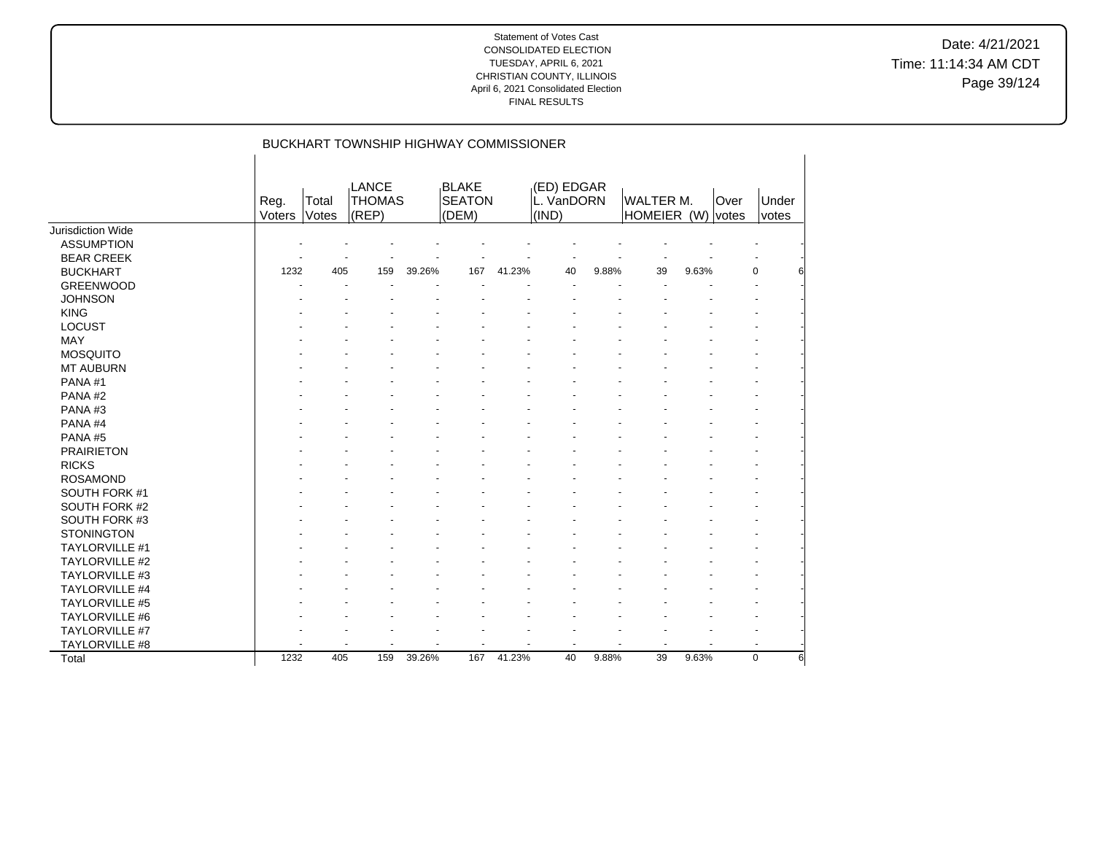Date: 4/21/2021 Time: 11:14:34 AM CDT Page 39/124

|                       |                |                | BUCKHART TOWNSHIP HIGHWAY COMMISSIONER |        |                                        |        |                                   |       |                                 |       |               |                  |
|-----------------------|----------------|----------------|----------------------------------------|--------|----------------------------------------|--------|-----------------------------------|-------|---------------------------------|-------|---------------|------------------|
|                       | Reg.<br>Voters | Total<br>Votes | LANCE<br><b>THOMAS</b><br>(REP)        |        | <b>BLAKE</b><br><b>SEATON</b><br>(DEM) |        | (ED) EDGAR<br>L. VanDORN<br>(IND) |       | <b>WALTER M.</b><br>HOMEIER (W) |       | Over<br>votes | Under<br>votes   |
| Jurisdiction Wide     |                |                |                                        |        |                                        |        |                                   |       |                                 |       |               |                  |
| <b>ASSUMPTION</b>     |                |                |                                        |        |                                        |        |                                   |       |                                 |       |               |                  |
| <b>BEAR CREEK</b>     |                |                |                                        |        |                                        |        |                                   |       |                                 |       |               |                  |
| <b>BUCKHART</b>       | 1232           | 405            | 159                                    | 39.26% | 167                                    | 41.23% | 40                                | 9.88% | 39                              | 9.63% |               | 0                |
| <b>GREENWOOD</b>      |                |                |                                        |        |                                        |        |                                   |       |                                 |       |               |                  |
| <b>JOHNSON</b>        |                |                |                                        |        |                                        |        |                                   |       |                                 |       |               |                  |
| <b>KING</b>           |                |                |                                        |        |                                        |        |                                   |       |                                 |       |               |                  |
| <b>LOCUST</b>         |                |                |                                        |        |                                        |        |                                   |       |                                 |       |               |                  |
| MAY                   |                |                |                                        |        |                                        |        |                                   |       |                                 |       |               |                  |
| <b>MOSQUITO</b>       |                |                |                                        |        |                                        |        |                                   |       |                                 |       |               |                  |
| <b>MT AUBURN</b>      |                |                |                                        |        |                                        |        |                                   |       |                                 |       |               |                  |
| PANA#1                |                |                |                                        |        |                                        |        |                                   |       |                                 |       |               |                  |
| PANA#2                |                |                |                                        |        |                                        |        |                                   |       |                                 |       |               |                  |
| PANA#3                |                |                |                                        |        |                                        |        |                                   |       |                                 |       |               |                  |
| PANA#4                |                |                |                                        |        |                                        |        |                                   |       |                                 |       |               |                  |
| PANA#5                |                |                |                                        |        |                                        |        |                                   |       |                                 |       |               |                  |
| <b>PRAIRIETON</b>     |                |                |                                        |        |                                        |        |                                   |       |                                 |       |               |                  |
| <b>RICKS</b>          |                |                |                                        |        |                                        |        |                                   |       |                                 |       |               |                  |
| <b>ROSAMOND</b>       |                |                |                                        |        |                                        |        |                                   |       |                                 |       |               |                  |
| SOUTH FORK #1         |                |                |                                        |        |                                        |        |                                   |       |                                 |       |               |                  |
| SOUTH FORK #2         |                |                |                                        |        |                                        |        |                                   |       |                                 |       |               |                  |
| SOUTH FORK #3         |                |                |                                        |        |                                        |        |                                   |       |                                 |       |               |                  |
| <b>STONINGTON</b>     |                |                |                                        |        |                                        |        |                                   |       |                                 |       |               |                  |
| TAYLORVILLE #1        |                |                |                                        |        |                                        |        |                                   |       |                                 |       |               |                  |
| <b>TAYLORVILLE #2</b> |                |                |                                        |        |                                        |        |                                   |       |                                 |       |               |                  |
| <b>TAYLORVILLE #3</b> |                |                |                                        |        |                                        |        |                                   |       |                                 |       |               |                  |
| <b>TAYLORVILLE #4</b> |                |                |                                        |        |                                        |        |                                   |       |                                 |       |               |                  |
| <b>TAYLORVILLE #5</b> |                |                |                                        |        |                                        |        |                                   |       |                                 |       |               |                  |
| <b>TAYLORVILLE #6</b> |                |                |                                        |        |                                        |        |                                   |       |                                 |       |               |                  |
| TAYLORVILLE #7        |                |                |                                        |        |                                        |        |                                   |       |                                 |       |               |                  |
| TAYLORVILLE #8        |                |                |                                        |        |                                        |        |                                   |       |                                 |       |               |                  |
| Total                 | 1232           | 405            | 159                                    | 39.26% | 167                                    | 41.23% | 40                                | 9.88% | 39                              | 9.63% |               | $\mathbf 0$<br>6 |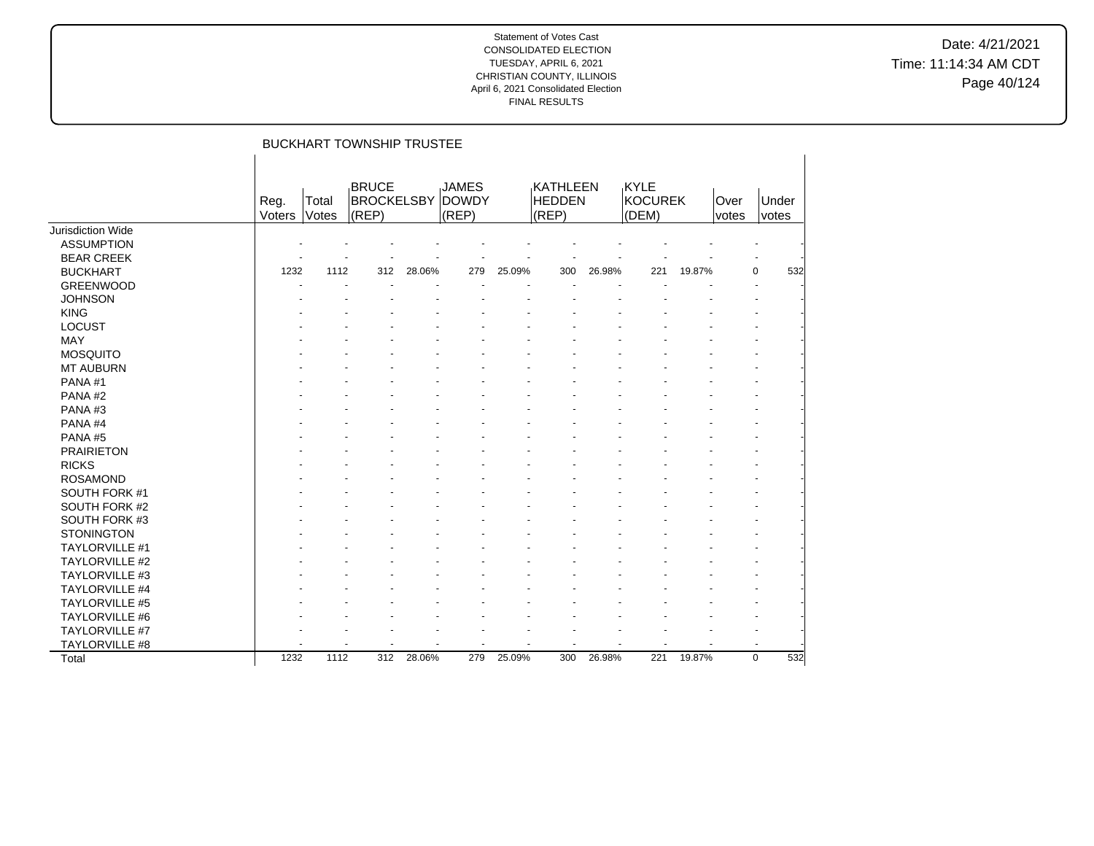Date: 4/21/2021 Time: 11:14:34 AM CDT Page 40/124

|                          | <b>BUCKHART TOWNSHIP TRUSTEE</b> |                |                                            |        |                                       |        |                                    |        |                                 |        |               |                    |
|--------------------------|----------------------------------|----------------|--------------------------------------------|--------|---------------------------------------|--------|------------------------------------|--------|---------------------------------|--------|---------------|--------------------|
|                          | Reg.<br>Voters                   | Total<br>Votes | <b>BRUCE</b><br><b>BROCKELSBY</b><br>(REP) |        | <b>JAMES</b><br><b>DOWDY</b><br>(REP) |        | KATHLEEN<br><b>HEDDEN</b><br>(REP) |        | KYLE<br><b>KOCUREK</b><br>(DEM) |        | Over<br>votes | Under<br>votes     |
| <b>Jurisdiction Wide</b> |                                  |                |                                            |        |                                       |        |                                    |        |                                 |        |               |                    |
| <b>ASSUMPTION</b>        |                                  |                |                                            |        |                                       |        |                                    |        |                                 |        |               |                    |
| <b>BEAR CREEK</b>        |                                  |                |                                            |        |                                       |        |                                    |        |                                 |        |               |                    |
| <b>BUCKHART</b>          | 1232                             | 1112           | 312                                        | 28.06% | 279                                   | 25.09% | 300                                | 26.98% | 221                             | 19.87% |               | 532<br>0           |
| <b>GREENWOOD</b>         |                                  |                |                                            |        |                                       |        |                                    |        |                                 |        |               |                    |
| <b>JOHNSON</b>           |                                  |                |                                            |        |                                       |        |                                    |        |                                 |        |               |                    |
| <b>KING</b>              |                                  |                |                                            |        |                                       |        |                                    |        |                                 |        |               |                    |
| <b>LOCUST</b>            |                                  |                |                                            |        |                                       |        |                                    |        |                                 |        |               |                    |
| MAY                      |                                  |                |                                            |        |                                       |        |                                    |        |                                 |        |               |                    |
| <b>MOSQUITO</b>          |                                  |                |                                            |        |                                       |        |                                    |        |                                 |        |               |                    |
| <b>MT AUBURN</b>         |                                  |                |                                            |        |                                       |        |                                    |        |                                 |        |               |                    |
| PANA#1                   |                                  |                |                                            |        |                                       |        |                                    |        |                                 |        |               |                    |
| PANA#2                   |                                  |                |                                            |        |                                       |        |                                    |        |                                 |        |               |                    |
| PANA#3                   |                                  |                |                                            |        |                                       |        |                                    |        |                                 |        |               |                    |
| PANA#4                   |                                  |                |                                            |        |                                       |        |                                    |        |                                 |        |               |                    |
| PANA#5                   |                                  |                |                                            |        |                                       |        |                                    |        |                                 |        |               |                    |
| <b>PRAIRIETON</b>        |                                  |                |                                            |        |                                       |        |                                    |        |                                 |        |               |                    |
| <b>RICKS</b>             |                                  |                |                                            |        |                                       |        |                                    |        |                                 |        |               |                    |
| <b>ROSAMOND</b>          |                                  |                |                                            |        |                                       |        |                                    |        |                                 |        |               |                    |
| SOUTH FORK #1            |                                  |                |                                            |        |                                       |        |                                    |        |                                 |        |               |                    |
| SOUTH FORK #2            |                                  |                |                                            |        |                                       |        |                                    |        |                                 |        |               |                    |
| SOUTH FORK #3            |                                  |                |                                            |        |                                       |        |                                    |        |                                 |        |               |                    |
| <b>STONINGTON</b>        |                                  |                |                                            |        |                                       |        |                                    |        |                                 |        |               |                    |
| TAYLORVILLE #1           |                                  |                |                                            |        |                                       |        |                                    |        |                                 |        |               |                    |
| TAYLORVILLE #2           |                                  |                |                                            |        |                                       |        |                                    |        |                                 |        |               |                    |
| TAYLORVILLE #3           |                                  |                |                                            |        |                                       |        |                                    |        |                                 |        |               |                    |
| TAYLORVILLE #4           |                                  |                |                                            |        |                                       |        |                                    |        |                                 |        |               |                    |
| <b>TAYLORVILLE #5</b>    |                                  |                |                                            |        |                                       |        |                                    |        |                                 |        |               |                    |
| TAYLORVILLE #6           |                                  |                |                                            |        |                                       |        |                                    |        |                                 |        |               |                    |
| TAYLORVILLE #7           |                                  |                |                                            |        |                                       |        |                                    |        |                                 |        |               |                    |
| TAYLORVILLE #8           |                                  |                |                                            |        |                                       |        |                                    |        |                                 |        |               |                    |
| Total                    | 1232                             | 1112           | 312                                        | 28.06% | 279                                   | 25.09% | 300                                | 26.98% | 221                             | 19.87% |               | 532<br>$\mathbf 0$ |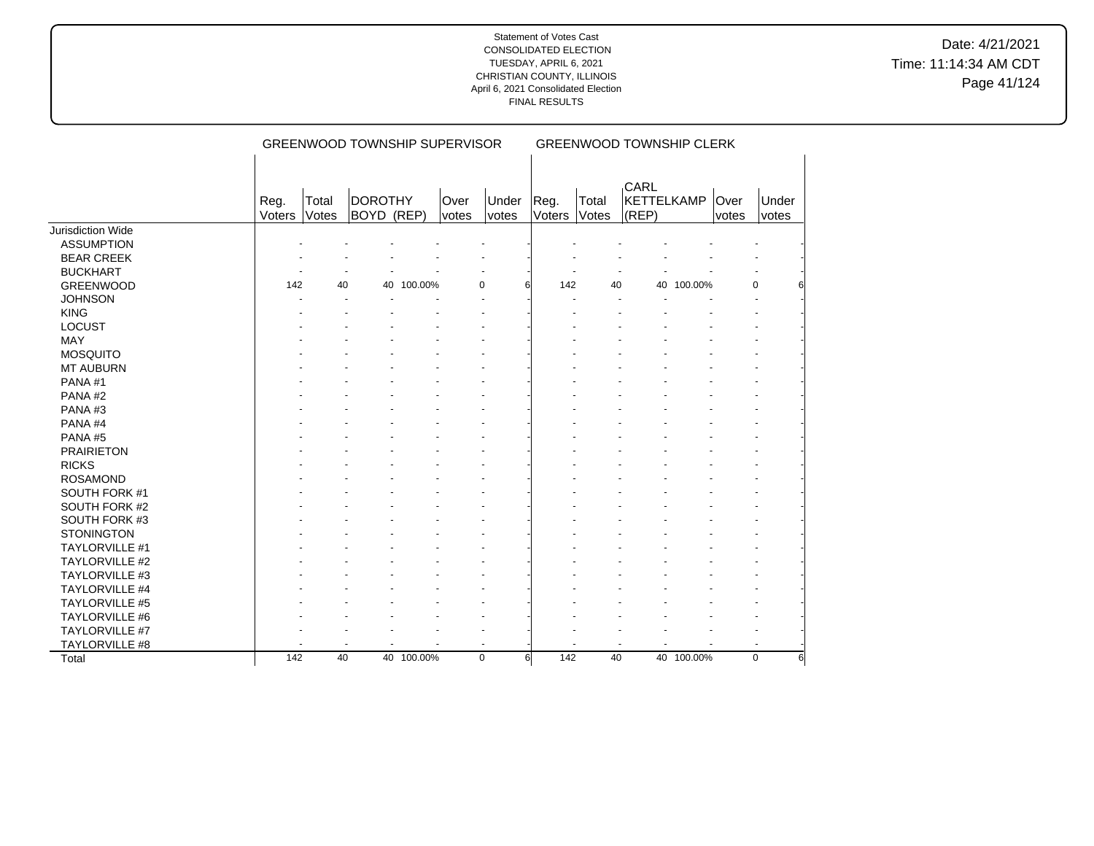Date: 4/21/2021 Time: 11:14:34 AM CDT Page 41/124

|                       |        | <b>GREENWOOD TOWNSHIP SUPERVISOR</b> |                |         |             |   |        |       | <b>GREENWOOD TOWNSHIP CLERK</b> |            |       |             |   |
|-----------------------|--------|--------------------------------------|----------------|---------|-------------|---|--------|-------|---------------------------------|------------|-------|-------------|---|
|                       |        |                                      |                |         |             |   |        |       |                                 |            |       |             |   |
|                       |        |                                      |                |         |             |   |        |       | CARL                            |            |       |             |   |
|                       |        | Total                                | <b>DOROTHY</b> | Over    |             |   |        |       | KETTELKAMP                      |            |       | Under       |   |
|                       | Reg.   |                                      |                |         | Under       |   | Reg.   | Total |                                 |            | Over  |             |   |
|                       | Voters | Votes                                | BOYD (REP)     | votes   | votes       |   | Voters | Votes | (REP)                           |            | votes | votes       |   |
| Jurisdiction Wide     |        |                                      |                |         |             |   |        |       |                                 |            |       |             |   |
| <b>ASSUMPTION</b>     |        |                                      |                |         |             |   |        |       |                                 |            |       |             |   |
| <b>BEAR CREEK</b>     |        |                                      |                |         |             |   |        |       |                                 |            |       |             |   |
| <b>BUCKHART</b>       |        |                                      |                |         |             |   |        |       |                                 |            |       |             |   |
| <b>GREENWOOD</b>      | 142    | 40                                   | 40             | 100.00% | 0           | 6 | 142    | 40    |                                 | 40 100.00% |       | $\Omega$    | 6 |
| <b>JOHNSON</b>        |        |                                      |                |         |             |   |        |       |                                 |            |       |             |   |
| <b>KING</b>           |        |                                      |                |         |             |   |        |       |                                 |            |       |             |   |
| <b>LOCUST</b>         |        |                                      |                |         |             |   |        |       |                                 |            |       |             |   |
| <b>MAY</b>            |        |                                      |                |         |             |   |        |       |                                 |            |       |             |   |
| <b>MOSQUITO</b>       |        |                                      |                |         |             |   |        |       |                                 |            |       |             |   |
| <b>MT AUBURN</b>      |        |                                      |                |         |             |   |        |       |                                 |            |       |             |   |
| PANA#1                |        |                                      |                |         |             |   |        |       |                                 |            |       |             |   |
| PANA#2                |        |                                      |                |         |             |   |        |       |                                 |            |       |             |   |
| PANA#3                |        |                                      |                |         |             |   |        |       |                                 |            |       |             |   |
| PANA#4                |        |                                      |                |         |             |   |        |       |                                 |            |       |             |   |
| PANA#5                |        |                                      |                |         |             |   |        |       |                                 |            |       |             |   |
| <b>PRAIRIETON</b>     |        |                                      |                |         |             |   |        |       |                                 |            |       |             |   |
| <b>RICKS</b>          |        |                                      |                |         |             |   |        |       |                                 |            |       |             |   |
| <b>ROSAMOND</b>       |        |                                      |                |         |             |   |        |       |                                 |            |       |             |   |
| SOUTH FORK #1         |        |                                      |                |         |             |   |        |       |                                 |            |       |             |   |
| SOUTH FORK #2         |        |                                      |                |         |             |   |        |       |                                 |            |       |             |   |
| SOUTH FORK #3         |        |                                      |                |         |             |   |        |       |                                 |            |       |             |   |
| <b>STONINGTON</b>     |        |                                      |                |         |             |   |        |       |                                 |            |       |             |   |
| TAYLORVILLE #1        |        |                                      |                |         |             |   |        |       |                                 |            |       |             |   |
| TAYLORVILLE #2        |        |                                      |                |         |             |   |        |       |                                 |            |       |             |   |
| TAYLORVILLE #3        |        |                                      |                |         |             |   |        |       |                                 |            |       |             |   |
|                       |        |                                      |                |         |             |   |        |       |                                 |            |       |             |   |
| <b>TAYLORVILLE #4</b> |        |                                      |                |         |             |   |        |       |                                 |            |       |             |   |
| TAYLORVILLE #5        |        |                                      |                |         |             |   |        |       |                                 |            |       |             |   |
| TAYLORVILLE #6        |        |                                      |                |         |             |   |        |       |                                 |            |       |             |   |
| TAYLORVILLE #7        |        |                                      |                |         |             |   |        |       |                                 |            |       |             |   |
| TAYLORVILLE #8        |        |                                      |                |         |             |   |        |       |                                 |            |       |             |   |
| Total                 | 142    | 40                                   | 40 100.00%     |         | $\mathbf 0$ | 6 | 142    | 40    |                                 | 40 100.00% |       | $\mathbf 0$ |   |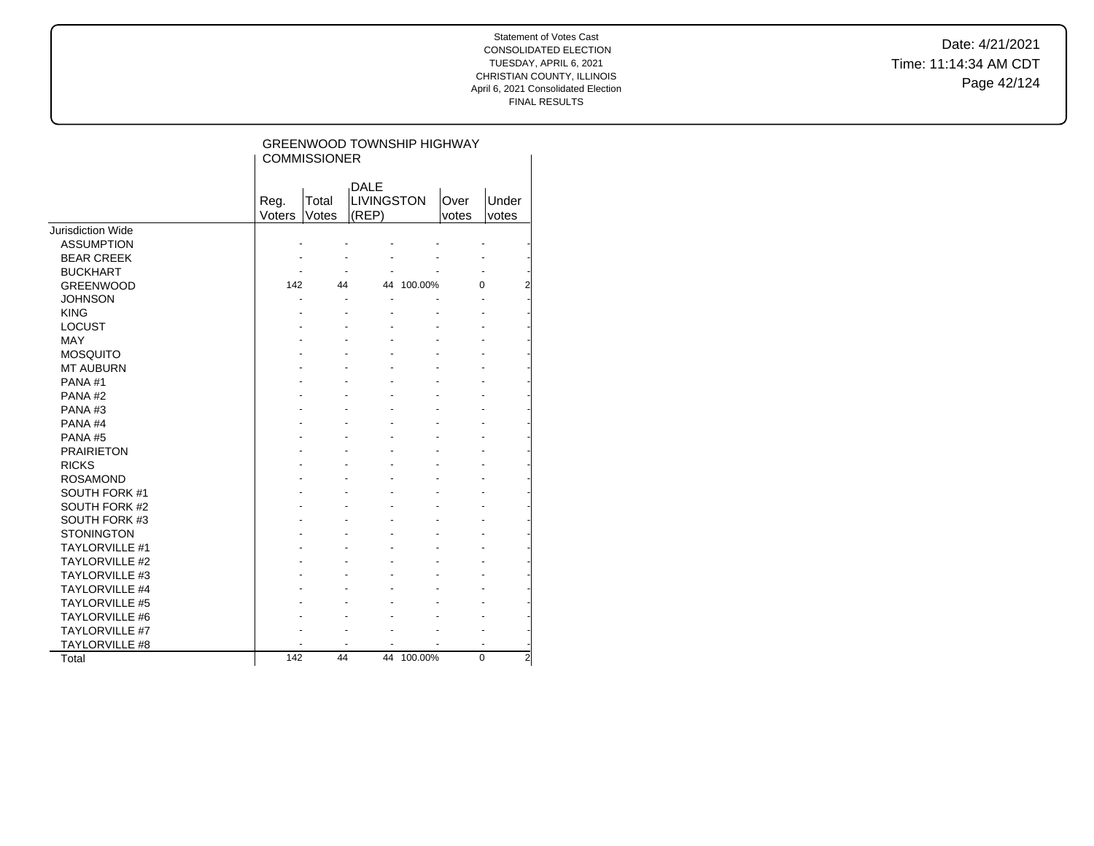Date: 4/21/2021 Time: 11:14:34 AM CDT Page 42/124

|                          |                | <b>GREENWOOD TOWNSHIP HIGHWAY</b><br><b>COMMISSIONER</b> |                                           |            |               |                |
|--------------------------|----------------|----------------------------------------------------------|-------------------------------------------|------------|---------------|----------------|
|                          | Reg.<br>Voters | Total<br>Votes                                           | <b>DALE</b><br><b>LIVINGSTON</b><br>(REP) |            | Over<br>votes | Under<br>votes |
| <b>Jurisdiction Wide</b> |                |                                                          |                                           |            |               |                |
| <b>ASSUMPTION</b>        |                |                                                          |                                           |            |               |                |
| <b>BEAR CREEK</b>        |                |                                                          |                                           |            |               |                |
| <b>BUCKHART</b>          |                |                                                          |                                           |            |               |                |
| <b>GREENWOOD</b>         | 142            | 44                                                       |                                           | 44 100.00% | 0             | $\overline{2}$ |
| <b>JOHNSON</b>           |                |                                                          |                                           |            |               |                |
| <b>KING</b>              |                |                                                          |                                           |            |               |                |
| <b>LOCUST</b>            |                |                                                          |                                           |            |               |                |
| <b>MAY</b>               |                |                                                          |                                           |            |               |                |
| <b>MOSQUITO</b>          |                |                                                          |                                           |            |               |                |
| <b>MT AUBURN</b>         |                |                                                          |                                           |            |               |                |
| PANA#1                   |                |                                                          |                                           |            |               |                |
| PANA#2                   |                |                                                          |                                           |            |               |                |
| PANA#3                   |                |                                                          |                                           |            |               |                |
| PANA#4                   |                |                                                          |                                           |            |               |                |
| PANA#5                   |                |                                                          |                                           |            |               |                |
| <b>PRAIRIETON</b>        |                |                                                          |                                           |            |               |                |
| <b>RICKS</b>             |                |                                                          |                                           |            |               |                |
| <b>ROSAMOND</b>          |                |                                                          |                                           |            |               |                |
| SOUTH FORK #1            |                |                                                          |                                           |            |               |                |
| SOUTH FORK #2            |                |                                                          |                                           |            |               |                |
| SOUTH FORK #3            |                |                                                          |                                           |            |               |                |
| <b>STONINGTON</b>        |                |                                                          |                                           |            |               |                |
| <b>TAYLORVILLE #1</b>    |                |                                                          |                                           |            |               |                |
| <b>TAYLORVILLE #2</b>    |                |                                                          |                                           |            |               |                |
| TAYLORVILLE #3           |                |                                                          |                                           |            |               |                |
| <b>TAYLORVILLE #4</b>    |                |                                                          |                                           |            |               |                |
| <b>TAYLORVILLE #5</b>    |                |                                                          |                                           |            |               |                |
| <b>TAYLORVILLE #6</b>    |                |                                                          |                                           |            |               |                |
| TAYLORVILLE #7           |                |                                                          |                                           |            |               |                |
| TAYLORVILLE #8           |                |                                                          |                                           |            |               |                |
| Total                    | 142            | 44                                                       | 44                                        | 100.00%    | $\Omega$      | $\overline{2}$ |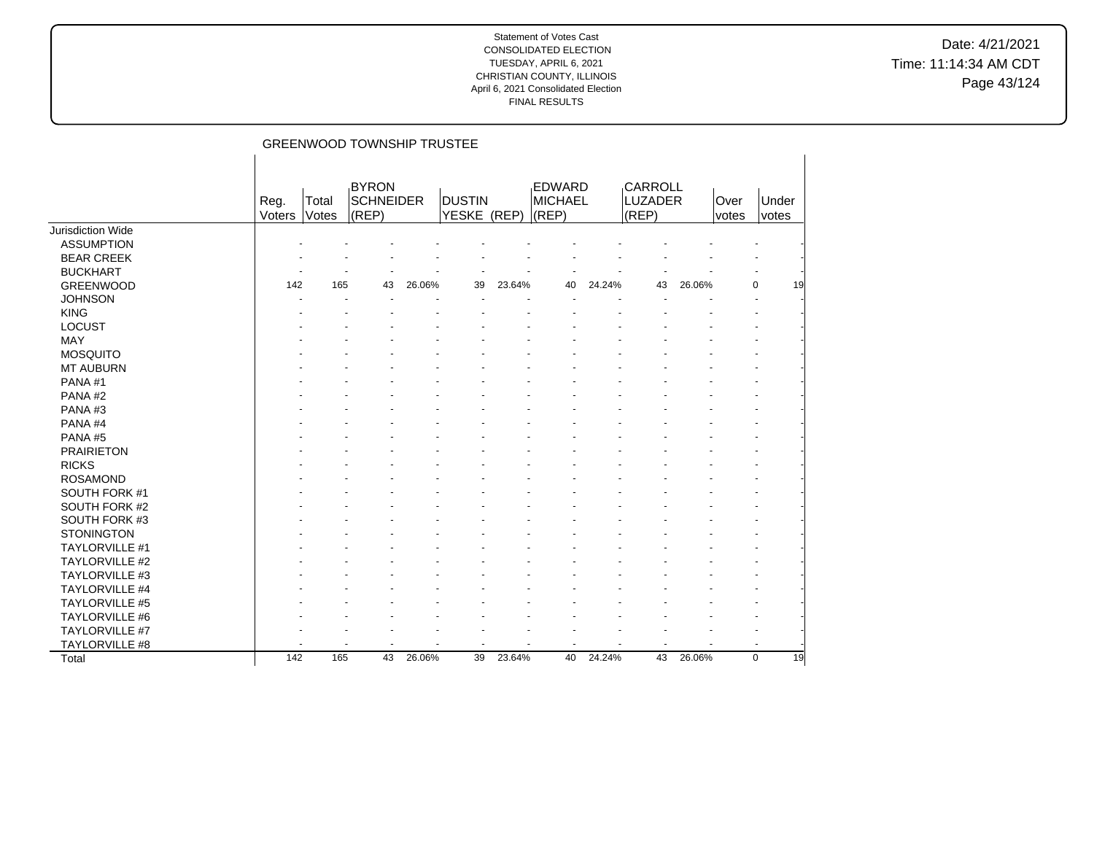Date: 4/21/2021 Time: 11:14:34 AM CDT Page 43/124

|                          |                |                | <b>GREENWOOD TOWNSHIP TRUSTEE</b>  |        |                              |        |                                   |        |                             |        |               |                |    |
|--------------------------|----------------|----------------|------------------------------------|--------|------------------------------|--------|-----------------------------------|--------|-----------------------------|--------|---------------|----------------|----|
|                          | Reg.<br>Voters | Total<br>Votes | <b>BYRON</b><br>SCHNEIDER<br>(REP) |        | <b>DUSTIN</b><br>YESKE (REP) |        | <b>EDWARD</b><br>MICHAEL<br>(REP) |        | CARROLL<br>LUZADER<br>(REP) |        | Over<br>votes | Under<br>votes |    |
| <b>Jurisdiction Wide</b> |                |                |                                    |        |                              |        |                                   |        |                             |        |               |                |    |
| <b>ASSUMPTION</b>        |                |                |                                    |        |                              |        |                                   |        |                             |        |               |                |    |
| <b>BEAR CREEK</b>        |                |                |                                    |        |                              |        |                                   |        |                             |        |               |                |    |
| <b>BUCKHART</b>          |                |                |                                    |        |                              |        |                                   |        |                             |        |               |                |    |
| <b>GREENWOOD</b>         | 142            | 165            | 43                                 | 26.06% | 39                           | 23.64% | 40                                | 24.24% | 43                          | 26.06% |               | $\mathbf 0$    | 19 |
| <b>JOHNSON</b>           |                |                |                                    |        |                              |        |                                   |        |                             |        |               |                |    |
| <b>KING</b>              |                |                |                                    |        |                              |        |                                   |        |                             |        |               |                |    |
| <b>LOCUST</b>            |                |                |                                    |        |                              |        |                                   |        |                             |        |               |                |    |
| <b>MAY</b>               |                |                |                                    |        |                              |        |                                   |        |                             |        |               |                |    |
| <b>MOSQUITO</b>          |                |                |                                    |        |                              |        |                                   |        |                             |        |               |                |    |
| <b>MT AUBURN</b>         |                |                |                                    |        |                              |        |                                   |        |                             |        |               |                |    |
| PANA#1                   |                |                |                                    |        |                              |        |                                   |        |                             |        |               |                |    |
| PANA#2                   |                |                |                                    |        |                              |        |                                   |        |                             |        |               |                |    |
| PANA#3                   |                |                |                                    |        |                              |        |                                   |        |                             |        |               |                |    |
| PANA#4                   |                |                |                                    |        |                              |        |                                   |        |                             |        |               |                |    |
| PANA#5                   |                |                |                                    |        |                              |        |                                   |        |                             |        |               |                |    |
| <b>PRAIRIETON</b>        |                |                |                                    |        |                              |        |                                   |        |                             |        |               |                |    |
| <b>RICKS</b>             |                |                |                                    |        |                              |        |                                   |        |                             |        |               |                |    |
| <b>ROSAMOND</b>          |                |                |                                    |        |                              |        |                                   |        |                             |        |               |                |    |
| SOUTH FORK #1            |                |                |                                    |        |                              |        |                                   |        |                             |        |               |                |    |
| SOUTH FORK #2            |                |                |                                    |        |                              |        |                                   |        |                             |        |               |                |    |
| SOUTH FORK #3            |                |                |                                    |        |                              |        |                                   |        |                             |        |               |                |    |
| <b>STONINGTON</b>        |                |                |                                    |        |                              |        |                                   |        |                             |        |               |                |    |
| TAYLORVILLE #1           |                |                |                                    |        |                              |        |                                   |        |                             |        |               |                |    |
| TAYLORVILLE #2           |                |                |                                    |        |                              |        |                                   |        |                             |        |               |                |    |
| TAYLORVILLE #3           |                |                |                                    |        |                              |        |                                   |        |                             |        |               |                |    |
| TAYLORVILLE #4           |                |                |                                    |        |                              |        |                                   |        |                             |        |               |                |    |
| <b>TAYLORVILLE #5</b>    |                |                |                                    |        |                              |        |                                   |        |                             |        |               |                |    |
| TAYLORVILLE #6           |                |                |                                    |        |                              |        |                                   |        |                             |        |               |                |    |
| TAYLORVILLE #7           |                |                |                                    |        |                              |        |                                   |        |                             |        |               |                |    |
| TAYLORVILLE #8           |                |                |                                    |        |                              |        | ÷                                 |        |                             |        |               |                |    |
| Total                    | 142            | 165            | 43                                 | 26.06% | 39                           | 23.64% | 40                                | 24.24% | 43                          | 26.06% |               | $\mathbf 0$    | 19 |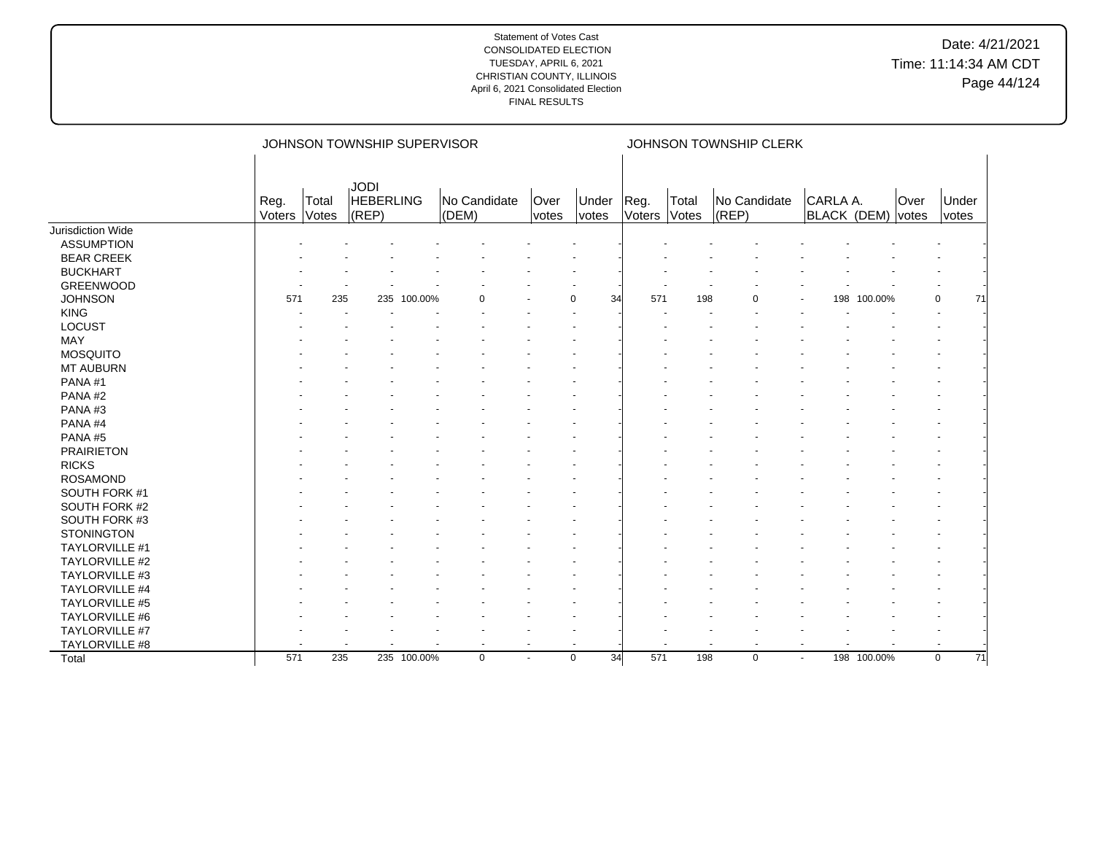|                   |                | JOHNSON TOWNSHIP SUPERVISOR |                                   |             |                          |               |                   |                |                | JOHNSON TOWNSHIP CLERK        |                          |             |               |                                |
|-------------------|----------------|-----------------------------|-----------------------------------|-------------|--------------------------|---------------|-------------------|----------------|----------------|-------------------------------|--------------------------|-------------|---------------|--------------------------------|
|                   | Reg.<br>Voters | Total<br>Votes              | <b>JODI</b><br>HEBERLING<br>(REP) |             | No Candidate<br>(DEM)    | Over<br>votes | Under<br>votes    | Reg.<br>Voters | Total<br>Votes | No Candidate<br>$ $ (REP)     | CARLA A.                 | BLACK (DEM) | Over<br>votes | Under<br>votes                 |
| Jurisdiction Wide |                |                             |                                   |             |                          |               |                   |                |                |                               |                          |             |               |                                |
| <b>ASSUMPTION</b> |                |                             |                                   |             |                          |               |                   |                |                |                               |                          |             |               |                                |
| <b>BEAR CREEK</b> |                |                             |                                   |             |                          |               |                   |                |                |                               |                          |             |               |                                |
| <b>BUCKHART</b>   |                |                             |                                   |             |                          |               |                   |                |                |                               |                          |             |               |                                |
| <b>GREENWOOD</b>  |                |                             |                                   |             |                          |               |                   |                |                |                               |                          |             |               |                                |
| <b>JOHNSON</b>    | 571            | 235                         |                                   | 235 100.00% | U                        |               | 34<br>$\Omega$    | 571            | 198            | $\Omega$                      | 198                      | 100.00%     |               | 0<br>71                        |
| <b>KING</b>       |                |                             |                                   |             |                          |               |                   |                |                |                               |                          |             |               |                                |
| LOCUST            |                |                             |                                   |             |                          |               |                   |                |                |                               |                          |             |               |                                |
| <b>MAY</b>        |                |                             |                                   |             |                          |               |                   |                |                |                               |                          |             |               |                                |
| <b>MOSQUITO</b>   |                |                             |                                   |             |                          |               |                   |                |                |                               |                          |             |               |                                |
| <b>MT AUBURN</b>  |                |                             |                                   |             |                          |               |                   |                |                |                               |                          |             |               |                                |
| PANA#1            |                |                             |                                   |             |                          |               |                   |                |                |                               |                          |             |               |                                |
| PANA#2            |                |                             |                                   |             |                          |               |                   |                |                |                               |                          |             |               |                                |
| PANA#3            |                |                             |                                   |             |                          |               |                   |                |                |                               |                          |             |               |                                |
| PANA#4            |                |                             |                                   |             |                          |               |                   |                |                |                               |                          |             |               |                                |
| PANA#5            |                |                             |                                   |             |                          |               |                   |                |                |                               |                          |             |               |                                |
| <b>PRAIRIETON</b> |                |                             |                                   |             |                          |               |                   |                |                |                               |                          |             |               |                                |
| <b>RICKS</b>      |                |                             |                                   |             |                          |               |                   |                |                |                               |                          |             |               |                                |
| <b>ROSAMOND</b>   |                |                             |                                   |             |                          |               |                   |                |                |                               |                          |             |               |                                |
| SOUTH FORK #1     |                |                             |                                   |             |                          |               |                   |                |                |                               |                          |             |               |                                |
| SOUTH FORK #2     |                |                             |                                   |             |                          |               |                   |                |                |                               |                          |             |               |                                |
| SOUTH FORK #3     |                |                             |                                   |             |                          |               |                   |                |                |                               |                          |             |               |                                |
| <b>STONINGTON</b> |                |                             |                                   |             |                          |               |                   |                |                |                               |                          |             |               |                                |
| TAYLORVILLE #1    |                |                             |                                   |             |                          |               |                   |                |                |                               |                          |             |               |                                |
| TAYLORVILLE #2    |                |                             |                                   |             |                          |               |                   |                |                |                               |                          |             |               |                                |
| TAYLORVILLE #3    |                |                             |                                   |             |                          |               |                   |                |                |                               |                          |             |               |                                |
| TAYLORVILLE #4    |                |                             |                                   |             |                          |               |                   |                |                |                               |                          |             |               |                                |
| TAYLORVILLE #5    |                |                             |                                   |             |                          |               |                   |                |                |                               |                          |             |               |                                |
| TAYLORVILLE #6    |                |                             |                                   |             |                          |               |                   |                |                |                               |                          |             |               |                                |
| TAYLORVILLE #7    |                |                             |                                   |             |                          |               |                   |                |                |                               |                          |             |               |                                |
| TAYLORVILLE #8    |                |                             |                                   |             | $\overline{\phantom{a}}$ | $\sim$        |                   |                |                | $\overline{\phantom{a}}$<br>÷ | $\overline{\phantom{a}}$ |             |               |                                |
| Total             | 571            | 235                         |                                   | 235 100.00% | $\mathbf 0$              | $\sim$        | 34<br>$\mathbf 0$ | 571            | 198            | $\mathbf 0$                   | $\overline{\phantom{a}}$ | 198 100.00% |               | $\mathbf 0$<br>$\overline{71}$ |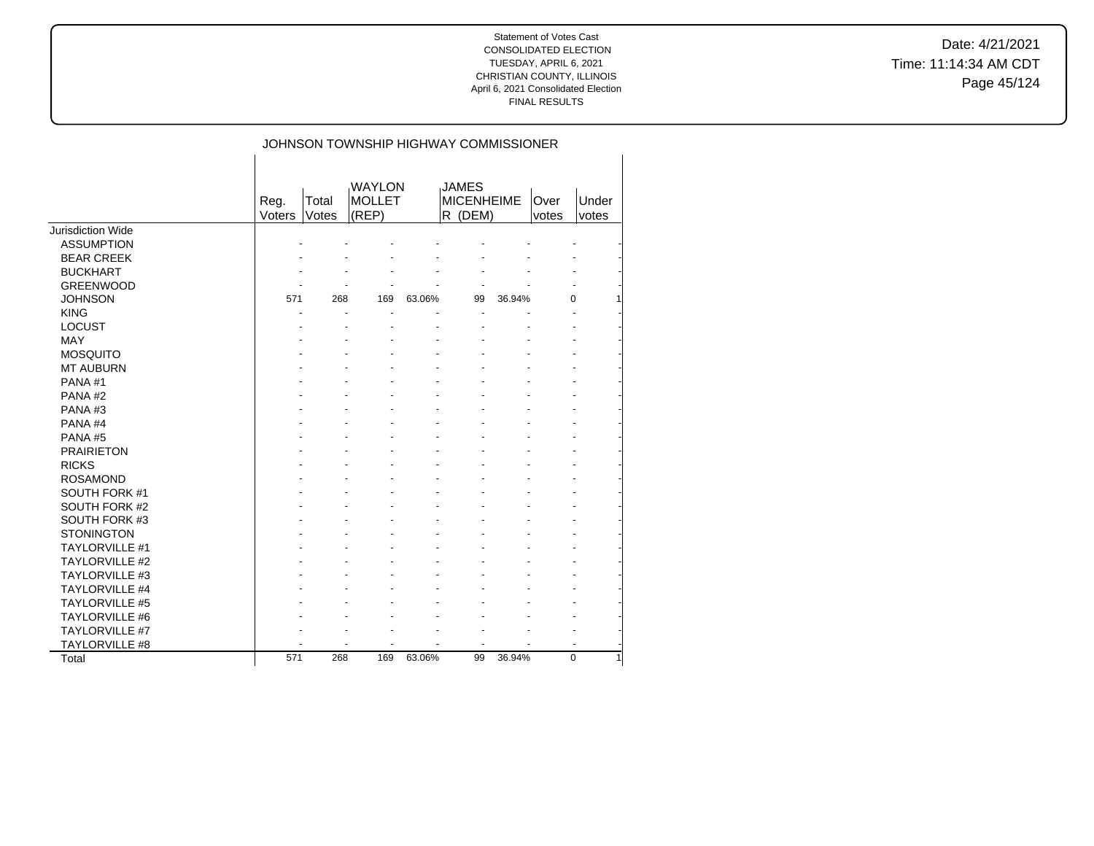$\overline{\phantom{a}}$ 

Date: 4/21/2021 Time: 11:14:34 AM CDT Page 45/124

# JOHNSON TOWNSHIP HIGHWAY COMMISSIONER

|                       |        |       | <b>WAYLON</b> |        | <b>JAMES</b>      |        |       |          |
|-----------------------|--------|-------|---------------|--------|-------------------|--------|-------|----------|
|                       | Reg.   | Total | <b>MOLLET</b> |        | <b>MICENHEIME</b> |        | Over  | Under    |
|                       | Voters | Votes | (REP)         |        | R (DEM)           |        | votes | votes    |
| Jurisdiction Wide     |        |       |               |        |                   |        |       |          |
| <b>ASSUMPTION</b>     |        |       |               |        |                   |        |       |          |
| <b>BEAR CREEK</b>     |        |       |               |        |                   |        |       |          |
| <b>BUCKHART</b>       |        |       |               |        |                   |        |       |          |
| <b>GREENWOOD</b>      |        |       |               |        |                   |        |       |          |
| <b>JOHNSON</b>        | 571    | 268   | 169           | 63.06% | 99                | 36.94% |       | 0        |
| <b>KING</b>           |        |       |               |        |                   |        |       |          |
| <b>LOCUST</b>         |        |       |               |        |                   |        |       |          |
| <b>MAY</b>            |        |       |               |        |                   |        |       |          |
| <b>MOSQUITO</b>       |        |       |               |        |                   |        |       |          |
| <b>MT AUBURN</b>      |        |       |               |        |                   |        |       |          |
| PANA#1                |        |       |               |        |                   |        |       |          |
| PANA#2                |        |       |               |        |                   |        |       |          |
| PANA#3                |        |       |               |        |                   |        |       |          |
| PANA#4                |        |       |               |        |                   |        |       |          |
| PANA#5                |        |       |               |        |                   |        |       |          |
| <b>PRAIRIETON</b>     |        |       |               |        |                   |        |       |          |
| <b>RICKS</b>          |        |       |               |        |                   |        |       |          |
| <b>ROSAMOND</b>       |        |       |               |        |                   |        |       |          |
| SOUTH FORK #1         |        |       |               |        |                   |        |       |          |
| SOUTH FORK #2         |        |       |               |        |                   |        |       |          |
| SOUTH FORK #3         |        |       |               |        |                   |        |       |          |
| <b>STONINGTON</b>     |        |       |               |        |                   |        |       |          |
| <b>TAYLORVILLE #1</b> |        |       |               |        |                   |        |       |          |
| <b>TAYLORVILLE #2</b> |        |       |               |        |                   |        |       |          |
| TAYLORVILLE #3        |        |       |               |        |                   |        |       |          |
| <b>TAYLORVILLE #4</b> |        |       |               |        |                   |        |       |          |
| <b>TAYLORVILLE #5</b> |        |       |               |        |                   |        |       |          |
| TAYLORVILLE #6        |        |       |               |        |                   |        |       |          |
| <b>TAYLORVILLE #7</b> |        |       |               |        |                   |        |       |          |
| <b>TAYLORVILLE #8</b> |        |       |               |        |                   |        |       |          |
| Total                 | 571    | 268   | 169           | 63.06% | 99                | 36.94% |       | $\Omega$ |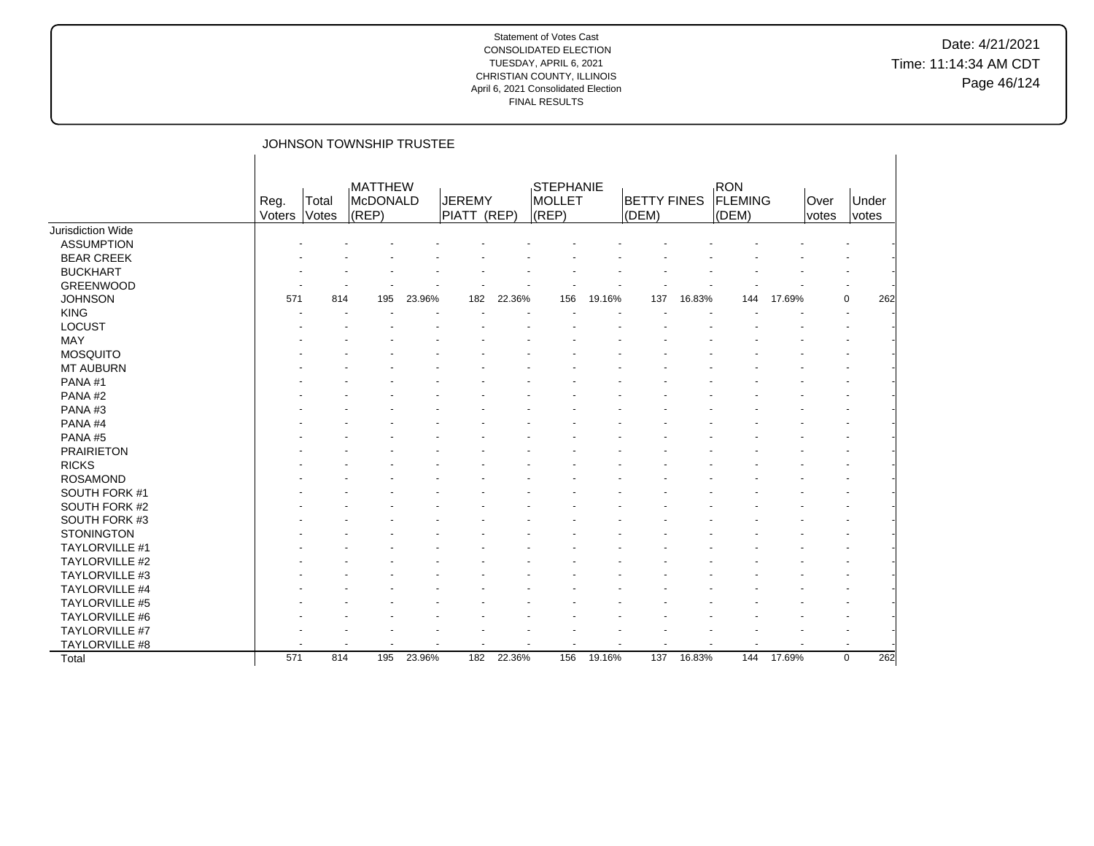## Date: 4/21/2021 Time: 11:14:34 AM CDT Page 46/124

|                          |                |                | JOHNSON TOWNSHIP TRUSTEE            |        |                              |        |                              |        |                             |        |                                |        |               |                    |
|--------------------------|----------------|----------------|-------------------------------------|--------|------------------------------|--------|------------------------------|--------|-----------------------------|--------|--------------------------------|--------|---------------|--------------------|
|                          | Reg.<br>Voters | Total<br>Votes | <b>MATTHEW</b><br>McDONALD<br>(REP) |        | <b>JEREMY</b><br>PIATT (REP) |        | STEPHANIE<br>MOLLET<br>(REP) |        | <b>BETTY FINES</b><br>(DEM) |        | <b>RON</b><br>FLEMING<br>(DEM) |        | Over<br>votes | Under<br>votes     |
| <b>Jurisdiction Wide</b> |                |                |                                     |        |                              |        |                              |        |                             |        |                                |        |               |                    |
| <b>ASSUMPTION</b>        |                |                |                                     |        |                              |        |                              |        |                             |        |                                |        |               |                    |
| <b>BEAR CREEK</b>        |                |                |                                     |        |                              |        |                              |        |                             |        |                                |        |               |                    |
| <b>BUCKHART</b>          |                |                |                                     |        |                              |        |                              |        |                             |        |                                |        |               |                    |
| <b>GREENWOOD</b>         |                |                |                                     |        |                              |        |                              |        |                             |        |                                |        |               |                    |
| <b>JOHNSON</b>           | 571            | 814            | 195                                 | 23.96% | 182                          | 22.36% | 156                          | 19.16% | 137                         | 16.83% | 144                            | 17.69% |               | 0<br>262           |
| <b>KING</b>              |                |                |                                     |        |                              |        |                              |        |                             |        |                                |        |               |                    |
| <b>LOCUST</b>            |                |                |                                     |        |                              |        |                              |        |                             |        |                                |        |               |                    |
| MAY                      |                |                |                                     |        |                              |        |                              |        |                             |        |                                |        |               |                    |
| <b>MOSQUITO</b>          |                |                |                                     |        |                              |        |                              |        |                             |        |                                |        |               |                    |
| <b>MT AUBURN</b>         |                |                |                                     |        |                              |        |                              |        |                             |        |                                |        |               |                    |
| PANA#1                   |                |                |                                     |        |                              |        |                              |        |                             |        |                                |        |               |                    |
| PANA#2                   |                |                |                                     |        |                              |        |                              |        |                             |        |                                |        |               |                    |
| PANA#3                   |                |                |                                     |        |                              |        |                              |        |                             |        |                                |        |               |                    |
| PANA#4                   |                |                |                                     |        |                              |        |                              |        |                             |        |                                |        |               |                    |
| PANA#5                   |                |                |                                     |        |                              |        |                              |        |                             |        |                                |        |               |                    |
| <b>PRAIRIETON</b>        |                |                |                                     |        |                              |        |                              |        |                             |        |                                |        |               |                    |
| <b>RICKS</b>             |                |                |                                     |        |                              |        |                              |        |                             |        |                                |        |               |                    |
| <b>ROSAMOND</b>          |                |                |                                     |        |                              |        |                              |        |                             |        |                                |        |               |                    |
| SOUTH FORK #1            |                |                |                                     |        |                              |        |                              |        |                             |        |                                |        |               |                    |
| SOUTH FORK #2            |                |                |                                     |        |                              |        |                              |        |                             |        |                                |        |               |                    |
| SOUTH FORK #3            |                |                |                                     |        |                              |        |                              |        |                             |        |                                |        |               |                    |
| <b>STONINGTON</b>        |                |                |                                     |        |                              |        |                              |        |                             |        |                                |        |               |                    |
| TAYLORVILLE #1           |                |                |                                     |        |                              |        |                              |        |                             |        |                                |        |               |                    |
| <b>TAYLORVILLE #2</b>    |                |                |                                     |        |                              |        |                              |        |                             |        |                                |        |               |                    |
| TAYLORVILLE #3           |                |                |                                     |        |                              |        |                              |        |                             |        |                                |        |               |                    |
| TAYLORVILLE #4           |                |                |                                     |        |                              |        |                              |        |                             |        |                                |        |               |                    |
| <b>TAYLORVILLE #5</b>    |                |                |                                     |        |                              |        |                              |        |                             |        |                                |        |               |                    |
| TAYLORVILLE #6           |                |                |                                     |        |                              |        |                              |        |                             |        |                                |        |               |                    |
| TAYLORVILLE #7           |                |                |                                     |        |                              |        |                              |        |                             |        |                                |        |               |                    |
| TAYLORVILLE #8           |                |                |                                     |        |                              |        |                              |        |                             |        |                                |        |               |                    |
| Total                    | 571            | 814            | 195                                 | 23.96% | 182                          | 22.36% | 156                          | 19.16% | 137                         | 16.83% | 144                            | 17.69% |               | $\mathbf 0$<br>262 |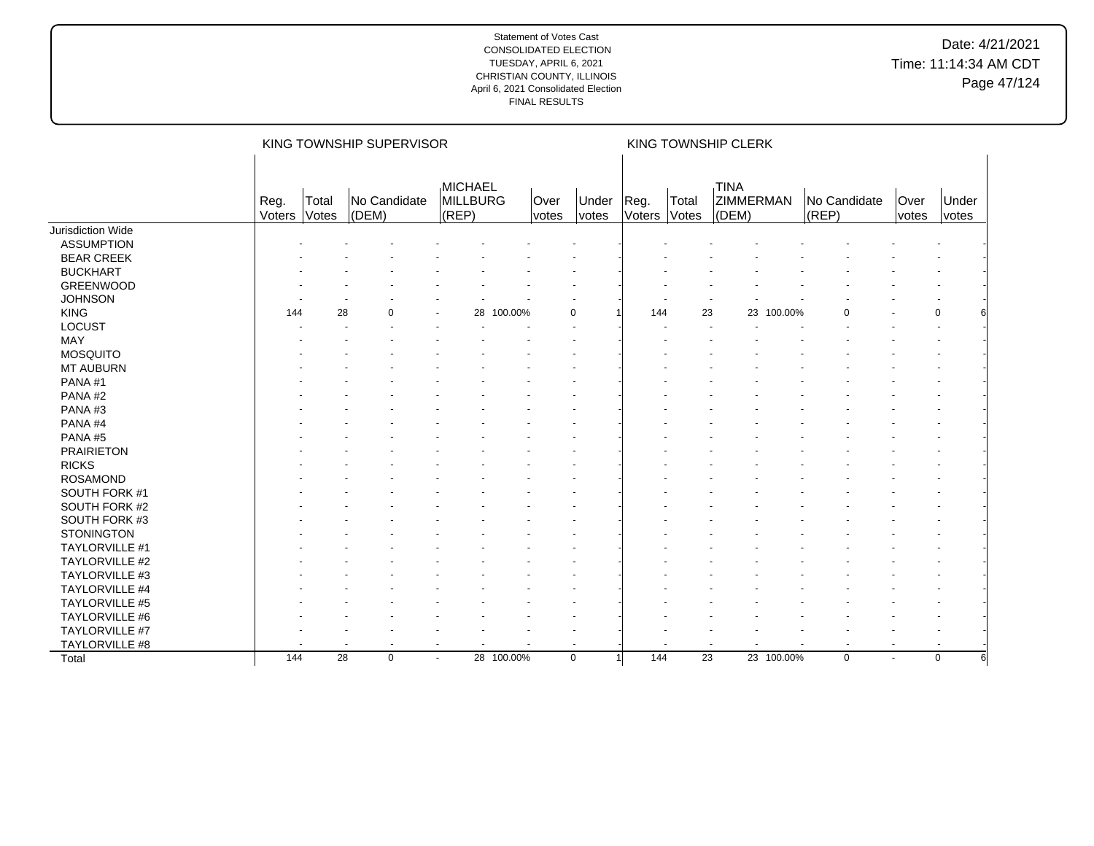|                   |                | KING TOWNSHIP SUPERVISOR                |             |                                     |               |                |                |                |                                          | KING TOWNSHIP CLERK |                           |                      |                |   |
|-------------------|----------------|-----------------------------------------|-------------|-------------------------------------|---------------|----------------|----------------|----------------|------------------------------------------|---------------------|---------------------------|----------------------|----------------|---|
|                   | Reg.<br>Voters | Total<br>No Candidate<br>Votes<br>(DEM) |             | <b>MICHAEL</b><br>MILLBURG<br>(REP) | Over<br>votes | Under<br>votes | Reg.<br>Voters | Total<br>Votes | <b>TINA</b><br><b>ZIMMERMAN</b><br>(DEM) |                     | No Candidate<br>$ $ (REP) | Over<br><i>votes</i> | Under<br>votes |   |
| Jurisdiction Wide |                |                                         |             |                                     |               |                |                |                |                                          |                     |                           |                      |                |   |
| <b>ASSUMPTION</b> |                |                                         |             |                                     |               |                |                |                |                                          |                     |                           |                      |                |   |
| <b>BEAR CREEK</b> |                |                                         |             |                                     |               |                |                |                |                                          |                     |                           |                      |                |   |
| <b>BUCKHART</b>   |                |                                         |             |                                     |               |                |                |                |                                          |                     |                           |                      |                |   |
| <b>GREENWOOD</b>  |                |                                         |             |                                     |               |                |                |                |                                          |                     |                           |                      |                |   |
| <b>JOHNSON</b>    |                |                                         |             |                                     |               |                |                |                |                                          |                     |                           |                      |                |   |
| <b>KING</b>       | 144            | 28                                      | ŋ           |                                     | 28<br>100.00% |                | $\mathbf 0$    | 144            | 23                                       |                     | 23 100.00%                |                      |                | 0 |
| LOCUST            |                |                                         |             |                                     |               |                |                |                |                                          |                     |                           |                      |                |   |
| <b>MAY</b>        |                |                                         |             |                                     |               |                |                |                |                                          |                     |                           |                      |                |   |
| <b>MOSQUITO</b>   |                |                                         |             |                                     |               |                |                |                |                                          |                     |                           |                      |                |   |
| <b>MT AUBURN</b>  |                |                                         |             |                                     |               |                |                |                |                                          |                     |                           |                      |                |   |
| PANA#1            |                |                                         |             |                                     |               |                |                |                |                                          |                     |                           |                      |                |   |
| PANA#2            |                |                                         |             |                                     |               |                |                |                |                                          |                     |                           |                      |                |   |
| PANA#3            |                |                                         |             |                                     |               |                |                |                |                                          |                     |                           |                      |                |   |
| PANA#4            |                |                                         |             |                                     |               |                |                |                |                                          |                     |                           |                      |                |   |
| PANA#5            |                |                                         |             |                                     |               |                |                |                |                                          |                     |                           |                      |                |   |
| <b>PRAIRIETON</b> |                |                                         |             |                                     |               |                |                |                |                                          |                     |                           |                      |                |   |
| <b>RICKS</b>      |                |                                         |             |                                     |               |                |                |                |                                          |                     |                           |                      |                |   |
| <b>ROSAMOND</b>   |                |                                         |             |                                     |               |                |                |                |                                          |                     |                           |                      |                |   |
| SOUTH FORK #1     |                |                                         |             |                                     |               |                |                |                |                                          |                     |                           |                      |                |   |
| SOUTH FORK #2     |                |                                         |             |                                     |               |                |                |                |                                          |                     |                           |                      |                |   |
| SOUTH FORK #3     |                |                                         |             |                                     |               |                |                |                |                                          |                     |                           |                      |                |   |
| <b>STONINGTON</b> |                |                                         |             |                                     |               |                |                |                |                                          |                     |                           |                      |                |   |
| TAYLORVILLE #1    |                |                                         |             |                                     |               |                |                |                |                                          |                     |                           |                      |                |   |
| TAYLORVILLE #2    |                |                                         |             |                                     |               |                |                |                |                                          |                     |                           |                      |                |   |
| TAYLORVILLE #3    |                |                                         |             |                                     |               |                |                |                |                                          |                     |                           |                      |                |   |
| TAYLORVILLE #4    |                |                                         |             |                                     |               |                |                |                |                                          |                     |                           |                      |                |   |
| TAYLORVILLE #5    |                |                                         |             |                                     |               |                |                |                |                                          |                     |                           |                      |                |   |
| TAYLORVILLE #6    |                |                                         |             |                                     |               |                |                |                |                                          |                     |                           |                      |                |   |
| TAYLORVILLE #7    |                |                                         |             |                                     |               |                |                |                |                                          |                     |                           |                      |                |   |
| TAYLORVILLE #8    |                |                                         |             |                                     |               |                | $\overline{a}$ |                |                                          |                     |                           |                      |                |   |
| Total             | 144            | $\overline{28}$                         | $\mathbf 0$ | $\blacksquare$                      | 28 100.00%    |                | $\mathbf 0$    | 144            | $\overline{23}$                          |                     | 23 100.00%                | $\mathbf 0$          | $\sim$         | 0 |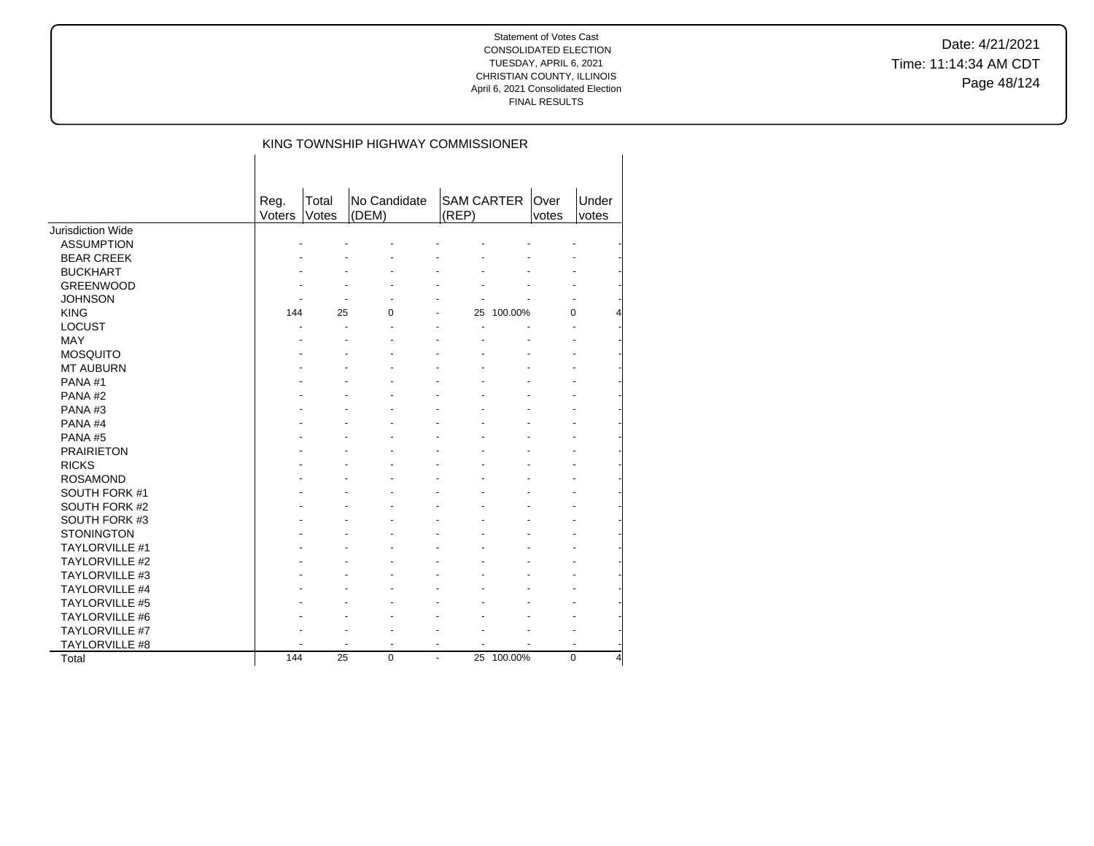Date: 4/21/2021 Time: 11:14:34 AM CDT Page 48/124

### KING TOWNSHIP HIGHWAY COMMISSIONER

|                       | Reg.<br>Voters | Total<br>Votes | No Candidate<br>(DEM) |   | <b>SAM CARTER</b><br>(REP) |         | Over<br>votes | Under<br>votes |
|-----------------------|----------------|----------------|-----------------------|---|----------------------------|---------|---------------|----------------|
| Jurisdiction Wide     |                |                |                       |   |                            |         |               |                |
| <b>ASSUMPTION</b>     |                |                |                       |   |                            |         |               |                |
| <b>BEAR CREEK</b>     |                |                |                       |   |                            |         |               |                |
| <b>BUCKHART</b>       |                |                |                       |   |                            |         |               |                |
| <b>GREENWOOD</b>      |                |                |                       |   |                            |         |               |                |
| <b>JOHNSON</b>        |                |                |                       |   |                            |         |               |                |
| <b>KING</b>           | 144            | 25             | $\Omega$              |   | 25                         | 100.00% | 0             |                |
| <b>LOCUST</b>         |                |                |                       |   |                            |         |               |                |
| MAY                   |                |                |                       |   |                            |         |               |                |
| <b>MOSQUITO</b>       |                |                |                       |   |                            |         |               |                |
| <b>MT AUBURN</b>      |                |                |                       |   |                            |         |               |                |
| PANA#1                |                |                |                       |   |                            |         |               |                |
| PANA#2                |                |                |                       |   |                            |         |               |                |
| PANA#3                |                |                |                       |   |                            |         |               |                |
| PANA <sub>#4</sub>    |                |                |                       |   |                            |         |               |                |
| PANA#5                |                |                |                       |   |                            |         |               |                |
| <b>PRAIRIETON</b>     |                |                |                       |   |                            |         |               |                |
| <b>RICKS</b>          |                |                |                       |   |                            |         |               |                |
| <b>ROSAMOND</b>       |                |                |                       |   |                            |         |               |                |
| SOUTH FORK #1         |                |                |                       |   |                            |         |               |                |
| <b>SOUTH FORK #2</b>  |                |                |                       |   |                            |         |               |                |
| SOUTH FORK #3         |                |                |                       |   |                            |         |               |                |
| <b>STONINGTON</b>     |                |                |                       |   |                            |         |               |                |
| <b>TAYLORVILLE #1</b> |                |                |                       |   |                            |         |               |                |
| <b>TAYLORVILLE #2</b> |                |                |                       |   |                            |         |               |                |
| <b>TAYLORVILLE #3</b> |                |                |                       |   |                            |         |               |                |
| <b>TAYLORVILLE #4</b> |                |                |                       |   |                            |         |               |                |
| <b>TAYLORVILLE #5</b> |                |                |                       |   |                            |         |               |                |
| <b>TAYLORVILLE #6</b> |                |                |                       |   |                            |         |               |                |
| <b>TAYLORVILLE #7</b> |                |                |                       |   |                            |         |               |                |
| <b>TAYLORVILLE #8</b> |                |                |                       |   |                            |         |               |                |
| Total                 | 144            | 25             | $\Omega$              | ٠ | 25                         | 100.00% | $\Omega$      | 4              |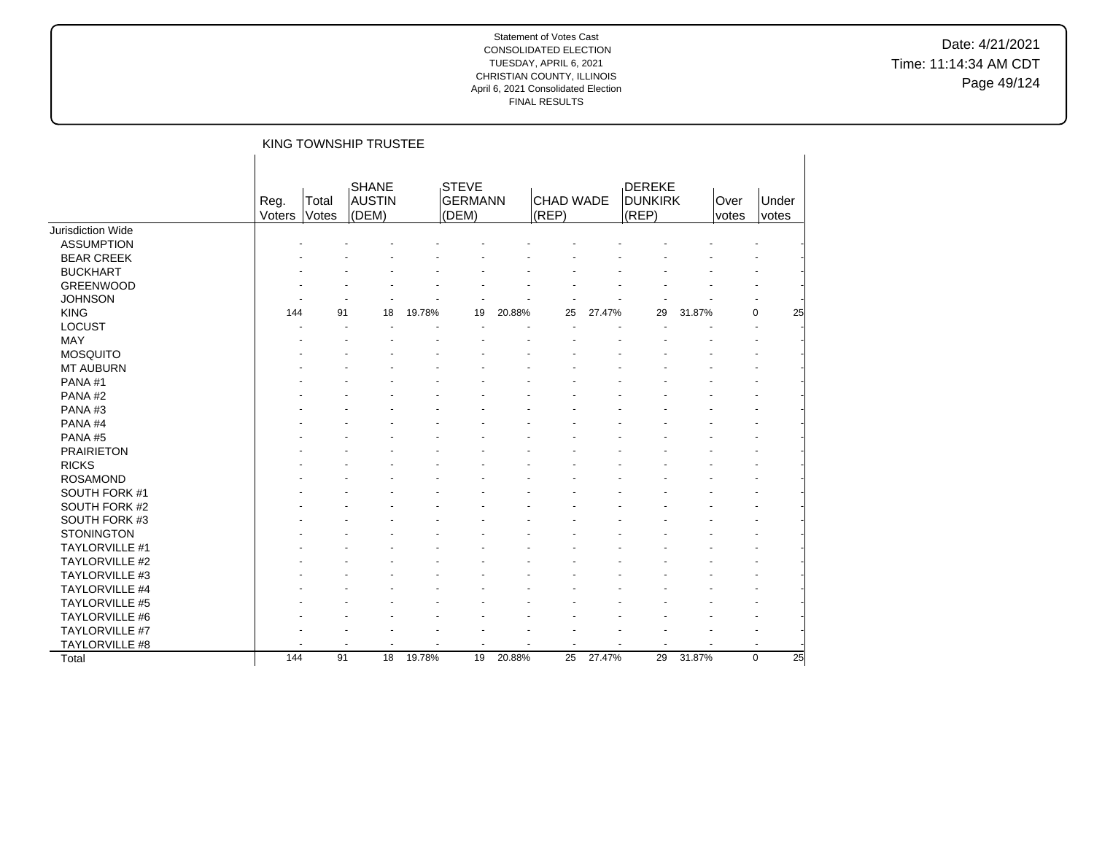Date: 4/21/2021 Time: 11:14:34 AM CDT Page 49/124

|                          |                |                | KING TOWNSHIP TRUSTEE    |        |                                  |        |                           |        |                                   |        |               |                   |
|--------------------------|----------------|----------------|--------------------------|--------|----------------------------------|--------|---------------------------|--------|-----------------------------------|--------|---------------|-------------------|
|                          | Reg.<br>Voters | Total<br>Votes | SHANE<br>AUSTIN<br>(DEM) |        | STEVE<br><b>GERMANN</b><br>(DEM) |        | <b>CHAD WADE</b><br>(REP) |        | DEREKE<br><b>DUNKIRK</b><br>(REP) |        | Over<br>votes | Under<br>votes    |
| <b>Jurisdiction Wide</b> |                |                |                          |        |                                  |        |                           |        |                                   |        |               |                   |
| <b>ASSUMPTION</b>        |                |                |                          |        |                                  |        |                           |        |                                   |        |               |                   |
| <b>BEAR CREEK</b>        |                |                |                          |        |                                  |        |                           |        |                                   |        |               |                   |
| <b>BUCKHART</b>          |                |                |                          |        |                                  |        |                           |        |                                   |        |               |                   |
| <b>GREENWOOD</b>         |                |                |                          |        |                                  |        |                           |        |                                   |        |               |                   |
| <b>JOHNSON</b>           |                |                |                          |        |                                  |        |                           |        |                                   |        |               |                   |
| <b>KING</b>              | 144            | 91             | 18                       | 19.78% | 19                               | 20.88% | 25                        | 27.47% | 29                                | 31.87% |               | 25<br>0           |
| <b>LOCUST</b>            |                |                |                          |        |                                  |        |                           |        |                                   |        |               |                   |
| <b>MAY</b>               |                |                |                          |        |                                  |        |                           |        |                                   |        |               |                   |
| <b>MOSQUITO</b>          |                |                |                          |        |                                  |        |                           |        |                                   |        |               |                   |
| MT AUBURN                |                |                |                          |        |                                  |        |                           |        |                                   |        |               |                   |
| PANA#1                   |                |                |                          |        |                                  |        |                           |        |                                   |        |               |                   |
| PANA#2                   |                |                |                          |        |                                  |        |                           |        |                                   |        |               |                   |
| PANA#3                   |                |                |                          |        |                                  |        |                           |        |                                   |        |               |                   |
| PANA#4                   |                |                |                          |        |                                  |        |                           |        |                                   |        |               |                   |
| PANA#5                   |                |                |                          |        |                                  |        |                           |        |                                   |        |               |                   |
| <b>PRAIRIETON</b>        |                |                |                          |        |                                  |        |                           |        |                                   |        |               |                   |
| <b>RICKS</b>             |                |                |                          |        |                                  |        |                           |        |                                   |        |               |                   |
| <b>ROSAMOND</b>          |                |                |                          |        |                                  |        |                           |        |                                   |        |               |                   |
| SOUTH FORK #1            |                |                |                          |        |                                  |        |                           |        |                                   |        |               |                   |
| SOUTH FORK #2            |                |                |                          |        |                                  |        |                           |        |                                   |        |               |                   |
| SOUTH FORK #3            |                |                |                          |        |                                  |        |                           |        |                                   |        |               |                   |
| <b>STONINGTON</b>        |                |                |                          |        |                                  |        |                           |        |                                   |        |               |                   |
| TAYLORVILLE #1           |                |                |                          |        |                                  |        |                           |        |                                   |        |               |                   |
| TAYLORVILLE #2           |                |                |                          |        |                                  |        |                           |        |                                   |        |               |                   |
| TAYLORVILLE #3           |                |                |                          |        |                                  |        |                           |        |                                   |        |               |                   |
| TAYLORVILLE #4           |                |                |                          |        |                                  |        |                           |        |                                   |        |               |                   |
| <b>TAYLORVILLE #5</b>    |                |                |                          |        |                                  |        |                           |        |                                   |        |               |                   |
| TAYLORVILLE #6           |                |                |                          |        |                                  |        |                           |        |                                   |        |               |                   |
| TAYLORVILLE #7           |                |                |                          |        |                                  |        |                           |        |                                   |        |               |                   |
| TAYLORVILLE #8           |                |                |                          |        |                                  |        |                           |        |                                   |        |               |                   |
| Total                    | 144            | 91             | 18                       | 19.78% | 19                               | 20.88% | 25                        | 27.47% | 29                                | 31.87% |               | 25<br>$\mathbf 0$ |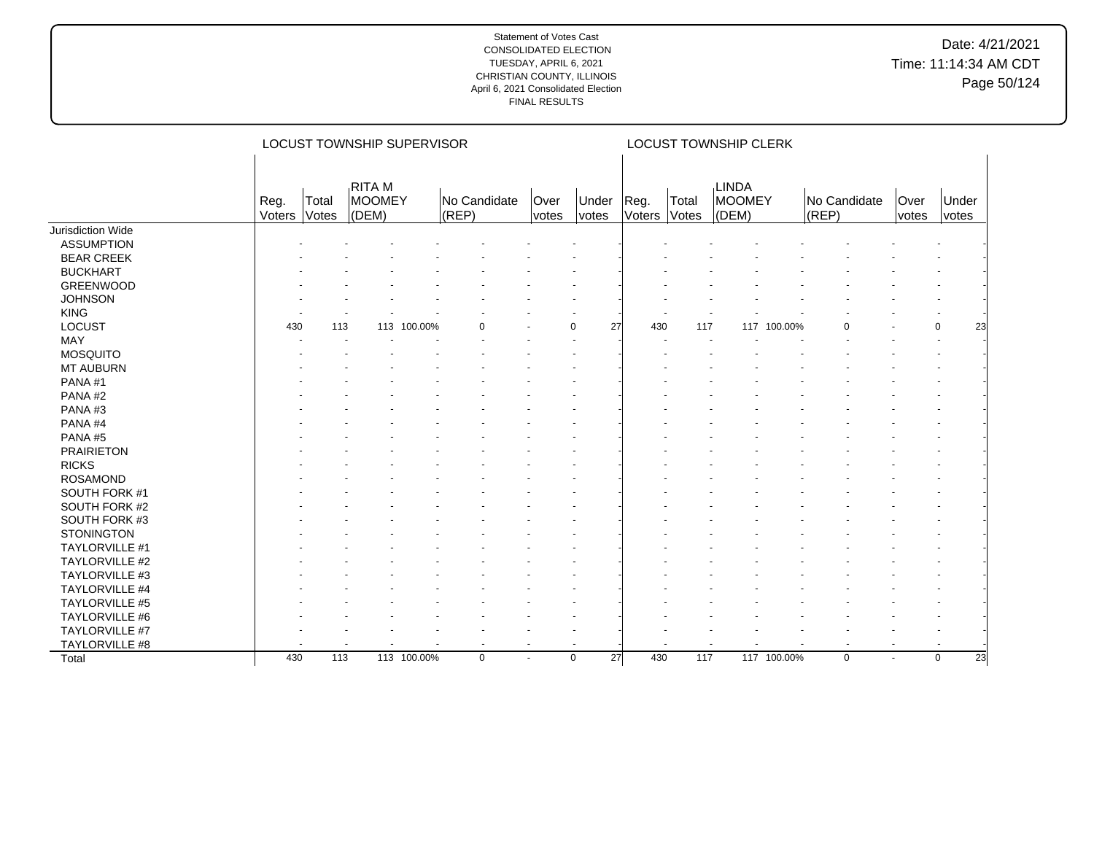|                   |                |                | LOCUST TOWNSHIP SUPERVISOR       |             |                       |               |                   |                |                | LOCUST TOWNSHIP CLERK    |             |                       |                |                                |
|-------------------|----------------|----------------|----------------------------------|-------------|-----------------------|---------------|-------------------|----------------|----------------|--------------------------|-------------|-----------------------|----------------|--------------------------------|
|                   | Reg.<br>Voters | Total<br>Votes | <b>RITA M</b><br>MOOMEY<br>(DEM) |             | No Candidate<br>(REP) | Over<br>votes | Under<br>votes    | Reg.<br>Voters | Total<br>Votes | LINDA<br>MOOMEY<br>(DEM) |             | No Candidate<br>(REP) | Over<br>votes  | Under<br>votes                 |
| Jurisdiction Wide |                |                |                                  |             |                       |               |                   |                |                |                          |             |                       |                |                                |
| <b>ASSUMPTION</b> |                |                |                                  |             |                       |               |                   |                |                |                          |             |                       |                |                                |
| <b>BEAR CREEK</b> |                |                |                                  |             |                       |               |                   |                |                |                          |             |                       |                |                                |
| <b>BUCKHART</b>   |                |                |                                  |             |                       |               |                   |                |                |                          |             |                       |                |                                |
| <b>GREENWOOD</b>  |                |                |                                  |             |                       |               |                   |                |                |                          |             |                       |                |                                |
| <b>JOHNSON</b>    |                |                |                                  |             |                       |               |                   |                |                |                          |             |                       |                |                                |
| <b>KING</b>       |                |                |                                  |             |                       |               |                   |                |                |                          |             |                       |                |                                |
| <b>LOCUST</b>     | 430            | 113            |                                  | 113 100.00% |                       |               | $\mathbf 0$<br>27 | 430            | 117            |                          | 117 100.00% |                       |                | $\mathbf 0$<br>23              |
| <b>MAY</b>        |                |                |                                  |             |                       |               |                   |                |                |                          |             |                       |                |                                |
| <b>MOSQUITO</b>   |                |                |                                  |             |                       |               |                   |                |                |                          |             |                       |                |                                |
| <b>MT AUBURN</b>  |                |                |                                  |             |                       |               |                   |                |                |                          |             |                       |                |                                |
| PANA#1            |                |                |                                  |             |                       |               |                   |                |                |                          |             |                       |                |                                |
| PANA#2            |                |                |                                  |             |                       |               |                   |                |                |                          |             |                       |                |                                |
| PANA#3            |                |                |                                  |             |                       |               |                   |                |                |                          |             |                       |                |                                |
| PANA#4            |                |                |                                  |             |                       |               |                   |                |                |                          |             |                       |                |                                |
| PANA#5            |                |                |                                  |             |                       |               |                   |                |                |                          |             |                       |                |                                |
| <b>PRAIRIETON</b> |                |                |                                  |             |                       |               |                   |                |                |                          |             |                       |                |                                |
| <b>RICKS</b>      |                |                |                                  |             |                       |               |                   |                |                |                          |             |                       |                |                                |
| <b>ROSAMOND</b>   |                |                |                                  |             |                       |               |                   |                |                |                          |             |                       |                |                                |
| SOUTH FORK #1     |                |                |                                  |             |                       |               |                   |                |                |                          |             |                       |                |                                |
| SOUTH FORK #2     |                |                |                                  |             |                       |               |                   |                |                |                          |             |                       |                |                                |
| SOUTH FORK #3     |                |                |                                  |             |                       |               |                   |                |                |                          |             |                       |                |                                |
| <b>STONINGTON</b> |                |                |                                  |             |                       |               |                   |                |                |                          |             |                       |                |                                |
| TAYLORVILLE #1    |                |                |                                  |             |                       |               |                   |                |                |                          |             |                       |                |                                |
| TAYLORVILLE #2    |                |                |                                  |             |                       |               |                   |                |                |                          |             |                       |                |                                |
| TAYLORVILLE #3    |                |                |                                  |             |                       |               |                   |                |                |                          |             |                       |                |                                |
| TAYLORVILLE #4    |                |                |                                  |             |                       |               |                   |                |                |                          |             |                       |                |                                |
| TAYLORVILLE #5    |                |                |                                  |             |                       |               |                   |                |                |                          |             |                       |                |                                |
| TAYLORVILLE #6    |                |                |                                  |             |                       |               |                   |                |                |                          |             |                       |                |                                |
| TAYLORVILLE #7    |                |                |                                  |             |                       |               |                   |                |                |                          |             |                       |                |                                |
| TAYLORVILLE #8    |                |                |                                  |             | ÷                     |               |                   |                |                |                          |             |                       |                |                                |
| Total             | 430            | 113            |                                  | 113 100.00% | $\mathbf 0$           | $\sim$        | 27<br>$\mathbf 0$ | 430            | 117            |                          | 117 100.00% | $\mathbf 0$           | $\blacksquare$ | $\overline{23}$<br>$\mathbf 0$ |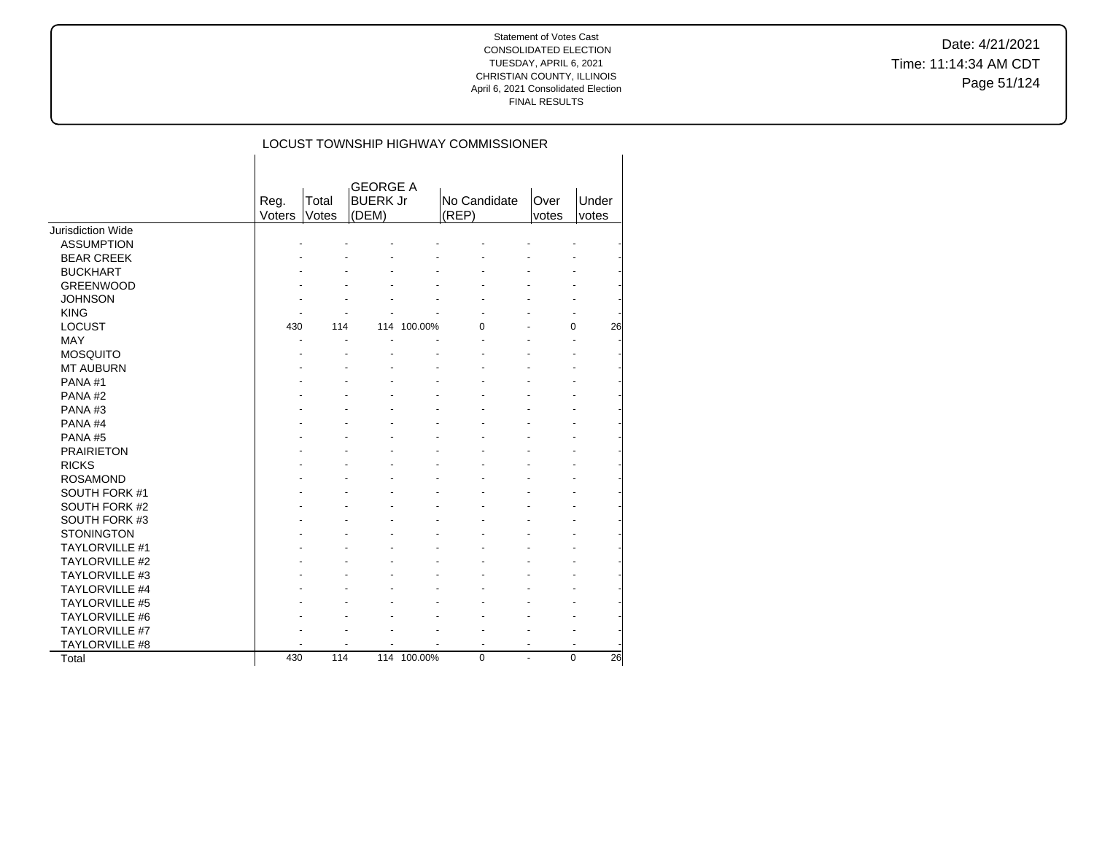$\overline{\phantom{a}}$ 

Date: 4/21/2021 Time: 11:14:34 AM CDT Page 51/124

# LOCUST TOWNSHIP HIGHWAY COMMISSIONER

|                       |        |       | <b>GEORGE A</b> |             |              |                |                |
|-----------------------|--------|-------|-----------------|-------------|--------------|----------------|----------------|
|                       | Reg.   | Total | <b>BUERK Jr</b> |             | No Candidate | Over           | Under          |
|                       | Voters | Votes | (DEM)           |             | (REP)        | votes          | votes          |
| Jurisdiction Wide     |        |       |                 |             |              |                |                |
| <b>ASSUMPTION</b>     |        |       |                 |             |              |                |                |
| <b>BEAR CREEK</b>     |        |       |                 |             |              |                |                |
| <b>BUCKHART</b>       |        |       |                 |             |              |                |                |
| <b>GREENWOOD</b>      |        |       |                 |             |              |                |                |
| <b>JOHNSON</b>        |        |       |                 |             |              |                |                |
| <b>KING</b>           |        |       |                 |             |              |                |                |
| <b>LOCUST</b>         | 430    | 114   | 114             | 100.00%     | $\Omega$     |                | 0<br>26        |
| <b>MAY</b>            |        |       |                 |             |              |                |                |
| <b>MOSQUITO</b>       |        |       |                 |             |              |                |                |
| <b>MT AUBURN</b>      |        |       |                 |             |              |                |                |
| PANA#1                |        |       |                 |             |              |                |                |
| PANA#2                |        |       |                 |             |              |                |                |
| PANA#3                |        |       |                 |             |              |                |                |
| PANA <sub>#4</sub>    |        |       |                 |             |              |                |                |
| PANA#5                |        |       |                 |             |              |                |                |
| <b>PRAIRIETON</b>     |        |       |                 |             |              |                |                |
| <b>RICKS</b>          |        |       |                 |             |              |                |                |
| <b>ROSAMOND</b>       |        |       |                 |             |              |                |                |
| SOUTH FORK #1         |        |       |                 |             |              |                |                |
| SOUTH FORK #2         |        |       |                 |             |              |                |                |
| SOUTH FORK #3         |        |       |                 |             |              |                |                |
| <b>STONINGTON</b>     |        |       |                 |             |              |                |                |
| <b>TAYLORVILLE #1</b> |        |       |                 |             |              |                |                |
| <b>TAYLORVILLE #2</b> |        |       |                 |             |              |                |                |
| <b>TAYLORVILLE #3</b> |        |       |                 |             |              |                |                |
| <b>TAYLORVILLE #4</b> |        |       |                 |             |              |                |                |
| <b>TAYLORVILLE #5</b> |        |       |                 |             |              |                |                |
| TAYLORVILLE #6        |        |       |                 |             |              |                |                |
| <b>TAYLORVILLE #7</b> |        |       |                 |             |              |                |                |
| <b>TAYLORVILLE #8</b> |        |       |                 |             |              |                |                |
| Total                 | 430    | 114   |                 | 114 100.00% | $\Omega$     | $\overline{a}$ | $\Omega$<br>26 |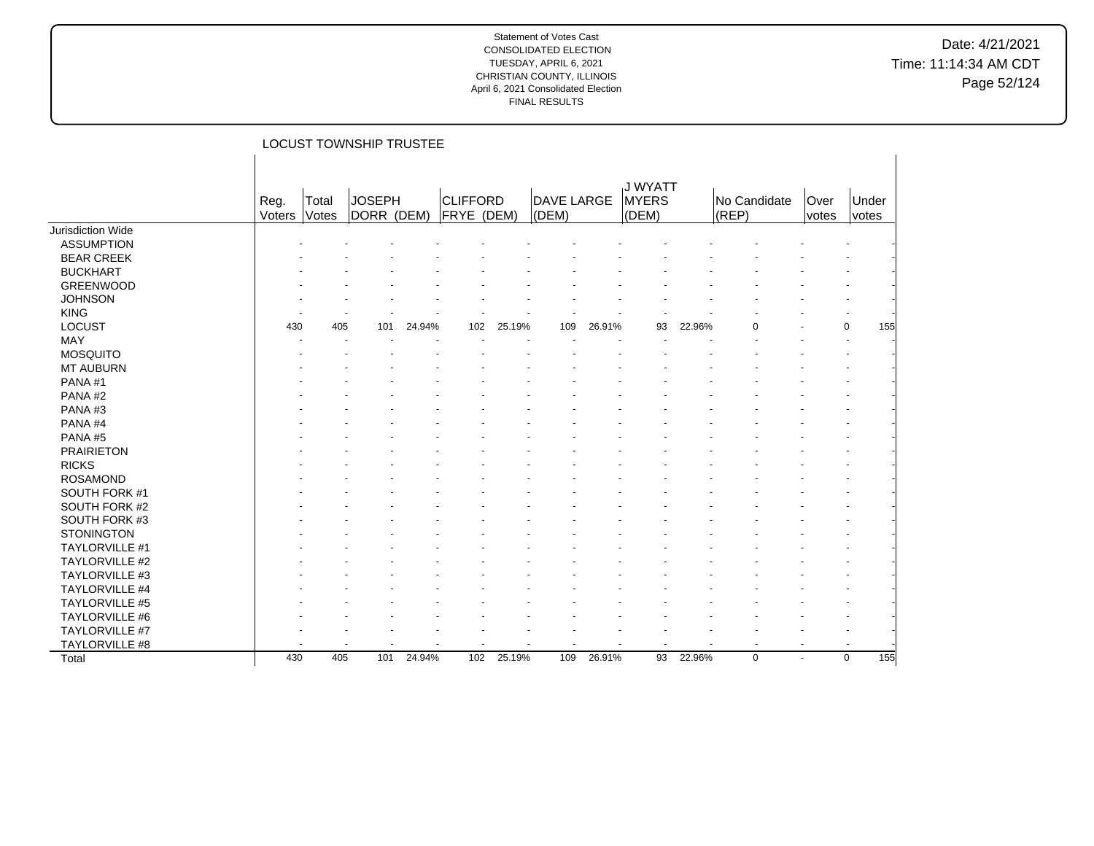Date: 4/21/2021 Time: 11:14:34 AM CDT Page 52/124

|                       |                |                |                             | LOCUST TOWNSHIP TRUSTEE |                               |        |                            |        |                                  |        |                          |                          |               |                |
|-----------------------|----------------|----------------|-----------------------------|-------------------------|-------------------------------|--------|----------------------------|--------|----------------------------------|--------|--------------------------|--------------------------|---------------|----------------|
|                       | Reg.<br>Voters | Total<br>Votes | <b>JOSEPH</b><br>DORR (DEM) |                         | <b>CLIFFORD</b><br>FRYE (DEM) |        | <b>DAVE LARGE</b><br>(DEM) |        | J WYATT<br><b>MYERS</b><br>(DEM) |        | No Candidate<br>(REP)    |                          | Over<br>votes | Under<br>votes |
| Jurisdiction Wide     |                |                |                             |                         |                               |        |                            |        |                                  |        |                          |                          |               |                |
| <b>ASSUMPTION</b>     |                |                |                             |                         |                               |        |                            |        |                                  |        |                          |                          |               |                |
| <b>BEAR CREEK</b>     |                |                |                             |                         |                               |        |                            |        |                                  |        |                          |                          |               |                |
| <b>BUCKHART</b>       |                |                |                             |                         |                               |        |                            |        |                                  |        |                          |                          |               |                |
| <b>GREENWOOD</b>      |                |                |                             |                         |                               |        |                            |        |                                  |        |                          |                          |               |                |
| <b>JOHNSON</b>        |                |                |                             |                         |                               |        |                            |        |                                  |        |                          |                          |               |                |
| <b>KING</b>           |                |                |                             |                         |                               |        |                            |        |                                  |        |                          |                          |               |                |
| LOCUST                | 430            | 405            | 101                         | 24.94%                  | 102                           | 25.19% | 109                        | 26.91% | 93                               | 22.96% | 0                        |                          | 0             | 155            |
| MAY                   |                |                |                             |                         |                               |        |                            |        |                                  |        |                          |                          |               |                |
| <b>MOSQUITO</b>       |                |                |                             |                         |                               |        |                            |        |                                  |        |                          |                          |               |                |
| MT AUBURN             |                |                |                             |                         |                               |        |                            |        |                                  |        |                          |                          |               |                |
| PANA#1                |                |                |                             |                         |                               |        |                            |        |                                  |        |                          |                          |               |                |
| PANA#2                |                |                |                             |                         |                               |        |                            |        |                                  |        |                          |                          |               |                |
| PANA#3                |                |                |                             |                         |                               |        |                            |        |                                  |        |                          |                          |               |                |
| PANA#4                |                |                |                             |                         |                               |        |                            |        |                                  |        |                          |                          |               |                |
| PANA#5                |                |                |                             |                         |                               |        |                            |        |                                  |        |                          |                          |               |                |
| <b>PRAIRIETON</b>     |                |                |                             |                         |                               |        |                            |        |                                  |        |                          |                          |               |                |
| <b>RICKS</b>          |                |                |                             |                         |                               |        |                            |        |                                  |        |                          |                          |               |                |
| <b>ROSAMOND</b>       |                |                |                             |                         |                               |        |                            |        |                                  |        |                          |                          |               |                |
| SOUTH FORK #1         |                |                |                             |                         |                               |        |                            |        |                                  |        |                          |                          |               |                |
| SOUTH FORK #2         |                |                |                             |                         |                               |        |                            |        |                                  |        |                          |                          |               |                |
| SOUTH FORK #3         |                |                |                             |                         |                               |        |                            |        |                                  |        |                          |                          |               |                |
| <b>STONINGTON</b>     |                |                |                             |                         |                               |        |                            |        |                                  |        |                          |                          |               |                |
| TAYLORVILLE #1        |                |                |                             |                         |                               |        |                            |        |                                  |        |                          |                          |               |                |
| TAYLORVILLE #2        |                |                |                             |                         |                               |        |                            |        |                                  |        |                          |                          |               |                |
|                       |                |                |                             |                         |                               |        |                            |        |                                  |        |                          |                          |               |                |
| TAYLORVILLE #3        |                |                |                             |                         |                               |        |                            |        |                                  |        |                          |                          |               |                |
| TAYLORVILLE #4        |                |                |                             |                         |                               |        |                            |        |                                  |        |                          |                          |               |                |
| <b>TAYLORVILLE #5</b> |                |                |                             |                         |                               |        |                            |        |                                  |        |                          |                          |               |                |
| TAYLORVILLE #6        |                |                |                             |                         |                               |        |                            |        |                                  |        |                          |                          |               |                |
| TAYLORVILLE #7        |                |                |                             |                         |                               |        |                            |        |                                  |        |                          |                          |               |                |
| TAYLORVILLE #8        |                |                |                             |                         |                               |        |                            |        | $\overline{\phantom{a}}$         |        | $\overline{\phantom{a}}$ | $\overline{\phantom{a}}$ |               |                |
| Total                 | 430            | 405            | 101                         | 24.94%                  | 102                           | 25.19% | 109                        | 26.91% | 93                               | 22.96% | 0                        | $\overline{a}$           | $\mathbf 0$   | 155            |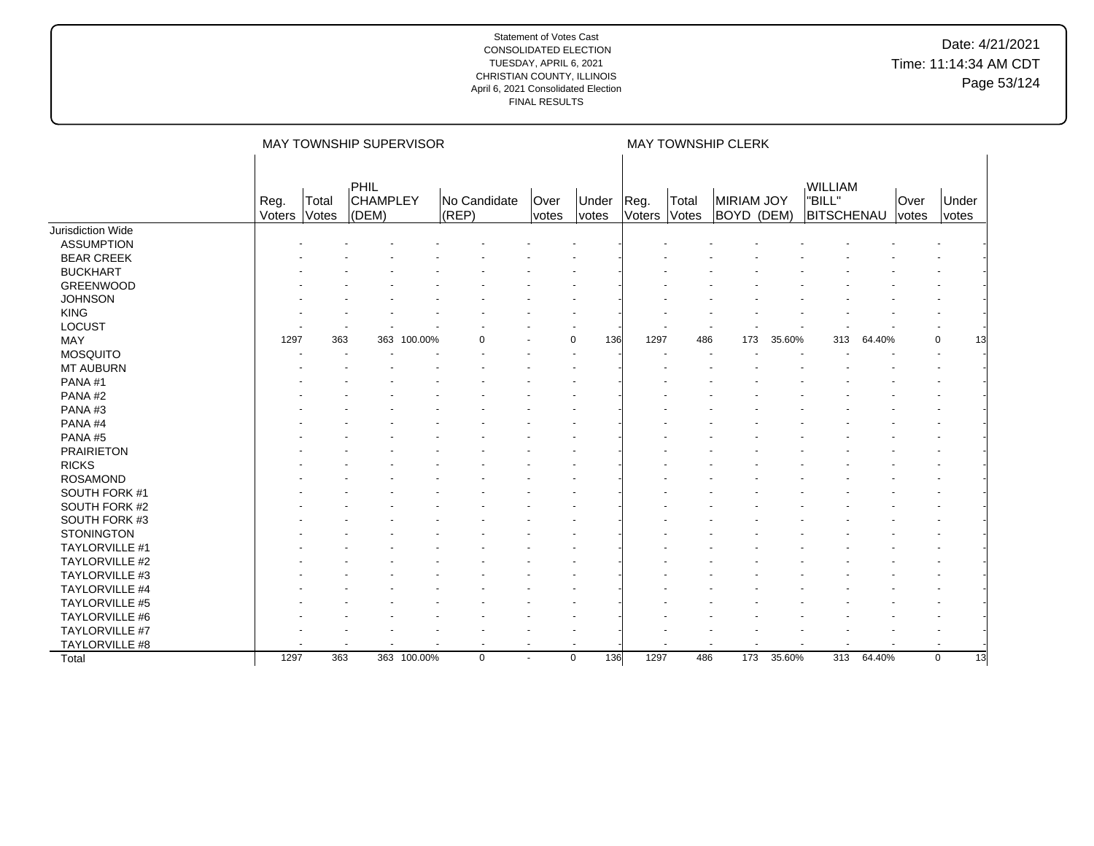|                   |                |                | MAY TOWNSHIP SUPERVISOR          |             |                           |                      |                    |                |                | MAY TOWNSHIP CLERK       |        |                                               |        |               |                   |  |
|-------------------|----------------|----------------|----------------------------------|-------------|---------------------------|----------------------|--------------------|----------------|----------------|--------------------------|--------|-----------------------------------------------|--------|---------------|-------------------|--|
|                   | Reg.<br>Voters | Total<br>Votes | PHIL<br><b>CHAMPLEY</b><br>(DEM) |             | No Candidate<br>$ $ (REP) | Over<br><i>votes</i> | Under<br>votes     | Reg.<br>Voters | Total<br>Votes | MIRIAM JOY<br>BOYD (DEM) |        | <b>WILLIAM</b><br>"BILL"<br><b>BITSCHENAU</b> |        | Over<br>votes | Under<br>votes    |  |
| Jurisdiction Wide |                |                |                                  |             |                           |                      |                    |                |                |                          |        |                                               |        |               |                   |  |
| <b>ASSUMPTION</b> |                |                |                                  |             |                           |                      |                    |                |                |                          |        |                                               |        |               |                   |  |
| <b>BEAR CREEK</b> |                |                |                                  |             |                           |                      |                    |                |                |                          |        |                                               |        |               |                   |  |
| <b>BUCKHART</b>   |                |                |                                  |             |                           |                      |                    |                |                |                          |        |                                               |        |               |                   |  |
| <b>GREENWOOD</b>  |                |                |                                  |             |                           |                      |                    |                |                |                          |        |                                               |        |               |                   |  |
| <b>JOHNSON</b>    |                |                |                                  |             |                           |                      |                    |                |                |                          |        |                                               |        |               |                   |  |
| <b>KING</b>       |                |                |                                  |             |                           |                      |                    |                |                |                          |        |                                               |        |               |                   |  |
| <b>LOCUST</b>     |                |                |                                  |             |                           |                      |                    |                |                |                          |        |                                               |        |               |                   |  |
| <b>MAY</b>        | 1297           | 363            |                                  | 363 100.00% |                           |                      | 136<br>$\mathbf 0$ | 1297           | 486            | 173                      | 35.60% | 313                                           | 64.40% |               | $\mathbf 0$<br>13 |  |
| <b>MOSQUITO</b>   |                |                |                                  |             |                           |                      |                    |                |                |                          |        |                                               |        |               |                   |  |
| <b>MT AUBURN</b>  |                |                |                                  |             |                           |                      |                    |                |                |                          |        |                                               |        |               |                   |  |
| PANA#1            |                |                |                                  |             |                           |                      |                    |                |                |                          |        |                                               |        |               |                   |  |
| PANA#2            |                |                |                                  |             |                           |                      |                    |                |                |                          |        |                                               |        |               |                   |  |
| PANA#3            |                |                |                                  |             |                           |                      |                    |                |                |                          |        |                                               |        |               |                   |  |
| PANA#4            |                |                |                                  |             |                           |                      |                    |                |                |                          |        |                                               |        |               |                   |  |
| PANA#5            |                |                |                                  |             |                           |                      |                    |                |                |                          |        |                                               |        |               |                   |  |
| <b>PRAIRIETON</b> |                |                |                                  |             |                           |                      |                    |                |                |                          |        |                                               |        |               |                   |  |
| <b>RICKS</b>      |                |                |                                  |             |                           |                      |                    |                |                |                          |        |                                               |        |               |                   |  |
| <b>ROSAMOND</b>   |                |                |                                  |             |                           |                      |                    |                |                |                          |        |                                               |        |               |                   |  |
| SOUTH FORK #1     |                |                |                                  |             |                           |                      |                    |                |                |                          |        |                                               |        |               |                   |  |
| SOUTH FORK #2     |                |                |                                  |             |                           |                      |                    |                |                |                          |        |                                               |        |               |                   |  |
| SOUTH FORK #3     |                |                |                                  |             |                           |                      |                    |                |                |                          |        |                                               |        |               |                   |  |
| <b>STONINGTON</b> |                |                |                                  |             |                           |                      |                    |                |                |                          |        |                                               |        |               |                   |  |
| TAYLORVILLE #1    |                |                |                                  |             |                           |                      |                    |                |                |                          |        |                                               |        |               |                   |  |
| TAYLORVILLE #2    |                |                |                                  |             |                           |                      |                    |                |                |                          |        |                                               |        |               |                   |  |
| TAYLORVILLE #3    |                |                |                                  |             |                           |                      |                    |                |                |                          |        |                                               |        |               |                   |  |
| TAYLORVILLE #4    |                |                |                                  |             |                           |                      |                    |                |                |                          |        |                                               |        |               |                   |  |
| TAYLORVILLE #5    |                |                |                                  |             |                           |                      |                    |                |                |                          |        |                                               |        |               |                   |  |
| TAYLORVILLE #6    |                |                |                                  |             |                           |                      |                    |                |                |                          |        |                                               |        |               |                   |  |
| TAYLORVILLE #7    |                |                |                                  |             |                           |                      |                    |                |                |                          |        |                                               |        |               |                   |  |
| TAYLORVILLE #8    |                |                |                                  |             | ÷                         |                      |                    |                |                |                          |        |                                               |        |               |                   |  |
| Total             | 1297           | 363            |                                  | 363 100.00% | $\mathbf 0$               | $\sim$               | 136<br>$\mathbf 0$ | 1297           | 486            | 173                      | 35.60% | 313                                           | 64.40% |               | $\mathbf 0$<br>13 |  |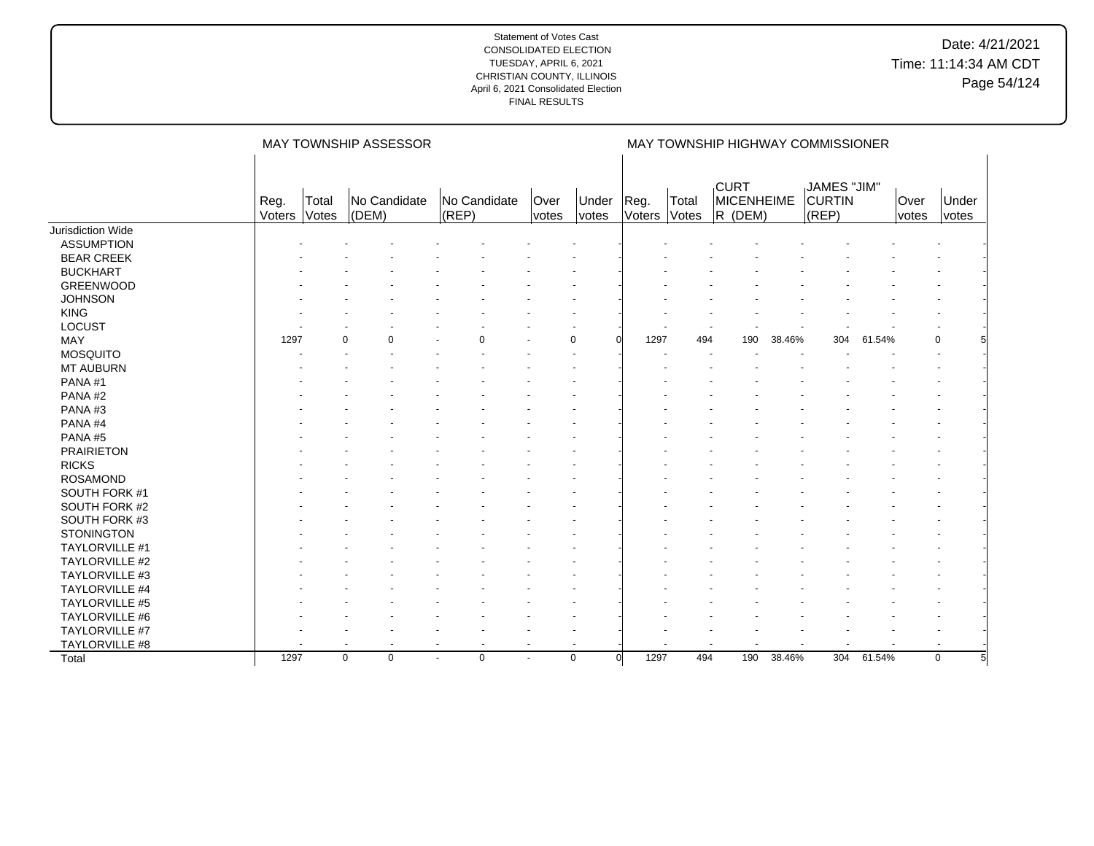|                       |                |                | MAY TOWNSHIP ASSESSOR      |                                         |                      |                          |                |                | MAY TOWNSHIP HIGHWAY COMMISSIONER      |        |                                              |        |               |                |  |
|-----------------------|----------------|----------------|----------------------------|-----------------------------------------|----------------------|--------------------------|----------------|----------------|----------------------------------------|--------|----------------------------------------------|--------|---------------|----------------|--|
|                       | Reg.<br>Voters | Total<br>Votes | No Candidate<br>(DEM)      | No Candidate<br>$ $ (REP)               | Over<br><i>votes</i> | Under<br>votes           | Reg.<br>Voters | Total<br>Votes | <b>CURT</b><br>MICENHEIME<br>$R$ (DEM) |        | <b>JAMES "JIM"</b><br><b>CURTIN</b><br>(REP) |        | Over<br>votes | Under<br>votes |  |
| Jurisdiction Wide     |                |                |                            |                                         |                      |                          |                |                |                                        |        |                                              |        |               |                |  |
| <b>ASSUMPTION</b>     |                |                |                            |                                         |                      |                          |                |                |                                        |        |                                              |        |               |                |  |
| <b>BEAR CREEK</b>     |                |                |                            |                                         |                      |                          |                |                |                                        |        |                                              |        |               |                |  |
| <b>BUCKHART</b>       |                |                |                            |                                         |                      |                          |                |                |                                        |        |                                              |        |               |                |  |
| <b>GREENWOOD</b>      |                |                |                            |                                         |                      |                          |                |                |                                        |        |                                              |        |               |                |  |
| <b>JOHNSON</b>        |                |                |                            |                                         |                      |                          |                |                |                                        |        |                                              |        |               |                |  |
| <b>KING</b>           |                |                |                            |                                         |                      |                          |                |                |                                        |        |                                              |        |               |                |  |
| LOCUST                |                |                |                            |                                         |                      |                          |                |                |                                        |        |                                              |        |               |                |  |
| <b>MAY</b>            | 1297           |                | $\Omega$<br>$\Omega$       |                                         |                      | $\mathbf 0$              | 1297           | 494            | 190                                    | 38.46% | 304                                          | 61.54% |               | 0              |  |
| <b>MOSQUITO</b>       |                |                |                            |                                         |                      |                          |                |                |                                        |        |                                              |        |               |                |  |
| <b>MT AUBURN</b>      |                |                |                            |                                         |                      |                          |                |                |                                        |        |                                              |        |               |                |  |
| PANA#1                |                |                |                            |                                         |                      |                          |                |                |                                        |        |                                              |        |               |                |  |
| PANA#2                |                |                |                            |                                         |                      |                          |                |                |                                        |        |                                              |        |               |                |  |
| PANA#3                |                |                |                            |                                         |                      |                          |                |                |                                        |        |                                              |        |               |                |  |
| PANA#4                |                |                |                            |                                         |                      |                          |                |                |                                        |        |                                              |        |               |                |  |
| PANA#5                |                |                |                            |                                         |                      |                          |                |                |                                        |        |                                              |        |               |                |  |
| <b>PRAIRIETON</b>     |                |                |                            |                                         |                      |                          |                |                |                                        |        |                                              |        |               |                |  |
| <b>RICKS</b>          |                |                |                            |                                         |                      |                          |                |                |                                        |        |                                              |        |               |                |  |
| <b>ROSAMOND</b>       |                |                |                            |                                         |                      |                          |                |                |                                        |        |                                              |        |               |                |  |
| SOUTH FORK #1         |                |                |                            |                                         |                      |                          |                |                |                                        |        |                                              |        |               |                |  |
| SOUTH FORK #2         |                |                |                            |                                         |                      |                          |                |                |                                        |        |                                              |        |               |                |  |
| SOUTH FORK #3         |                |                |                            |                                         |                      |                          |                |                |                                        |        |                                              |        |               |                |  |
| <b>STONINGTON</b>     |                |                |                            |                                         |                      |                          |                |                |                                        |        |                                              |        |               |                |  |
| TAYLORVILLE #1        |                |                |                            |                                         |                      |                          |                |                |                                        |        |                                              |        |               |                |  |
| <b>TAYLORVILLE #2</b> |                |                |                            |                                         |                      |                          |                |                |                                        |        |                                              |        |               |                |  |
| TAYLORVILLE #3        |                |                |                            |                                         |                      |                          |                |                |                                        |        |                                              |        |               |                |  |
| TAYLORVILLE #4        |                |                |                            |                                         |                      |                          |                |                |                                        |        |                                              |        |               |                |  |
| TAYLORVILLE #5        |                |                |                            |                                         |                      |                          |                |                |                                        |        |                                              |        |               |                |  |
| <b>TAYLORVILLE #6</b> |                |                |                            |                                         |                      |                          |                |                |                                        |        |                                              |        |               |                |  |
| TAYLORVILLE #7        |                |                |                            |                                         |                      |                          |                |                |                                        |        |                                              |        |               |                |  |
| <b>TAYLORVILLE #8</b> |                |                |                            | $\overline{\phantom{a}}$                |                      | $\overline{\phantom{a}}$ |                |                |                                        |        |                                              |        |               |                |  |
| Total                 | 1297           |                | $\mathbf 0$<br>$\mathbf 0$ | $\mathbf 0$<br>$\overline{\phantom{a}}$ | $\sim$               | $\mathbf 0$<br>$\Omega$  | 1297           | 494            | 190                                    | 38.46% | 304                                          | 61.54% |               | $\mathbf 0$    |  |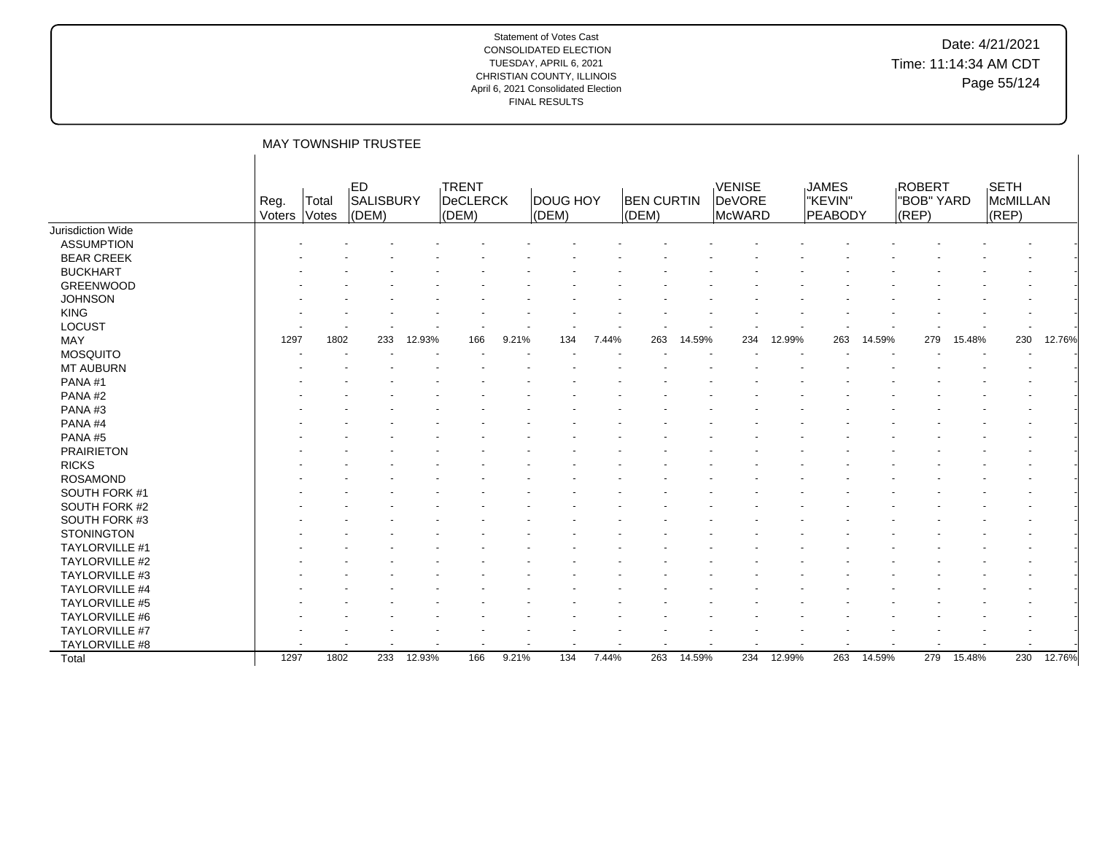## Date: 4/21/2021 Time: 11:14:34 AM CDT Page 55/124

|                       |                |                | MAY TOWNSHIP TRUSTEE      |        |                            |       |                          |       |                            |        |                            |        |                                    |        |                               |           |                           |        |
|-----------------------|----------------|----------------|---------------------------|--------|----------------------------|-------|--------------------------|-------|----------------------------|--------|----------------------------|--------|------------------------------------|--------|-------------------------------|-----------|---------------------------|--------|
|                       | Reg.<br>Voters | Total<br>Votes | ,ED<br>SALISBURY<br>(DEM) |        | TRENT<br>DeCLERCK<br>(DEM) |       | <b>DOUG HOY</b><br>(DEM) |       | <b>BEN CURTIN</b><br>(DEM) |        | VENISE<br>DeVORE<br>McWARD |        | <b>JAMES</b><br>"KEVIN"<br>PEABODY |        | ROBERT<br>"BOB" YARD<br>(REP) |           | SETH<br>McMILLAN<br>(REP) |        |
| Jurisdiction Wide     |                |                |                           |        |                            |       |                          |       |                            |        |                            |        |                                    |        |                               |           |                           |        |
| <b>ASSUMPTION</b>     |                |                |                           |        |                            |       |                          |       |                            |        |                            |        |                                    |        |                               |           |                           |        |
| <b>BEAR CREEK</b>     |                |                |                           |        |                            |       |                          |       |                            |        |                            |        |                                    |        |                               |           |                           |        |
| <b>BUCKHART</b>       |                |                |                           |        |                            |       |                          |       |                            |        |                            |        |                                    |        |                               |           |                           |        |
| <b>GREENWOOD</b>      |                |                |                           |        |                            |       |                          |       |                            |        |                            |        |                                    |        |                               |           |                           |        |
| <b>JOHNSON</b>        |                |                |                           |        |                            |       |                          |       |                            |        |                            |        |                                    |        |                               |           |                           |        |
| <b>KING</b>           |                |                |                           |        |                            |       |                          |       |                            |        |                            |        |                                    |        |                               |           |                           |        |
| <b>LOCUST</b>         |                |                |                           |        |                            |       |                          |       |                            |        |                            |        |                                    |        |                               |           |                           |        |
| MAY                   | 1297           | 1802           | 233                       | 12.93% | 166                        | 9.21% | 134                      | 7.44% | 263                        | 14.59% | 234                        | 12.99% | 263                                | 14.59% | 279                           | 15.48%    | 230                       | 12.76% |
| <b>MOSQUITO</b>       |                |                |                           |        |                            |       |                          |       |                            |        |                            |        |                                    |        |                               |           |                           |        |
| MT AUBURN             |                |                |                           |        |                            |       |                          |       |                            |        |                            |        |                                    |        |                               |           |                           |        |
| PANA#1                |                |                |                           |        |                            |       |                          |       |                            |        |                            |        |                                    |        |                               |           |                           |        |
| PANA#2                |                |                |                           |        |                            |       |                          |       |                            |        |                            |        |                                    |        |                               |           |                           |        |
| PANA#3                |                |                |                           |        |                            |       |                          |       |                            |        |                            |        |                                    |        |                               |           |                           |        |
| PANA#4                |                |                |                           |        |                            |       |                          |       |                            |        |                            |        |                                    |        |                               |           |                           |        |
| PANA#5                |                |                |                           |        |                            |       |                          |       |                            |        |                            |        |                                    |        |                               |           |                           |        |
| <b>PRAIRIETON</b>     |                |                |                           |        |                            |       |                          |       |                            |        |                            |        |                                    |        |                               |           |                           |        |
| <b>RICKS</b>          |                |                |                           |        |                            |       |                          |       |                            |        |                            |        |                                    |        |                               |           |                           |        |
| <b>ROSAMOND</b>       |                |                |                           |        |                            |       |                          |       |                            |        |                            |        |                                    |        |                               |           |                           |        |
| SOUTH FORK #1         |                |                |                           |        |                            |       |                          |       |                            |        |                            |        |                                    |        |                               |           |                           |        |
| SOUTH FORK #2         |                |                |                           |        |                            |       |                          |       |                            |        |                            |        |                                    |        |                               |           |                           |        |
| SOUTH FORK #3         |                |                |                           |        |                            |       |                          |       |                            |        |                            |        |                                    |        |                               |           |                           |        |
| <b>STONINGTON</b>     |                |                |                           |        |                            |       |                          |       |                            |        |                            |        |                                    |        |                               |           |                           |        |
| TAYLORVILLE #1        |                |                |                           |        |                            |       |                          |       |                            |        |                            |        |                                    |        |                               |           |                           |        |
| <b>TAYLORVILLE #2</b> |                |                |                           |        |                            |       |                          |       |                            |        |                            |        |                                    |        |                               |           |                           |        |
| TAYLORVILLE #3        |                |                |                           |        |                            |       |                          |       |                            |        |                            |        |                                    |        |                               |           |                           |        |
| TAYLORVILLE #4        |                |                |                           |        |                            |       |                          |       |                            |        |                            |        |                                    |        |                               |           |                           |        |
| TAYLORVILLE #5        |                |                |                           |        |                            |       |                          |       |                            |        |                            |        |                                    |        |                               |           |                           |        |
| <b>TAYLORVILLE #6</b> |                |                |                           |        |                            |       |                          |       |                            |        |                            |        |                                    |        |                               |           |                           |        |
| TAYLORVILLE #7        |                |                |                           |        |                            |       |                          |       |                            |        |                            |        |                                    |        |                               |           |                           |        |
| TAYLORVILLE #8        |                |                |                           |        |                            |       |                          |       |                            |        |                            |        |                                    |        |                               |           |                           |        |
| Total                 | 1297           | 1802           | 233                       | 12.93% | 166                        | 9.21% | 134                      | 7.44% | 263                        | 14.59% | 234                        | 12.99% | 263                                | 14.59% | 279                           | $15.48\%$ | 230                       | 12.76% |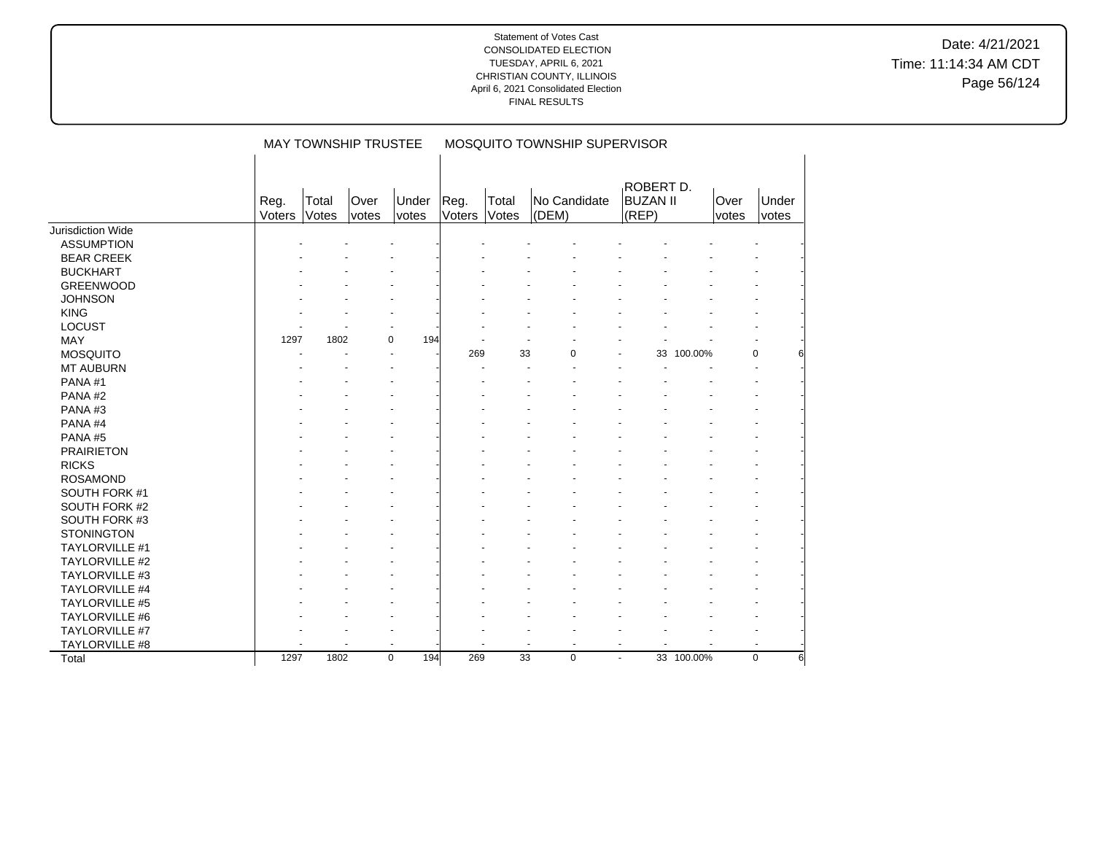Date: 4/21/2021 Time: 11:14:34 AM CDT Page 56/124

|                       |                | <b>MAY TOWNSHIP TRUSTEE</b> |               |                |                |                | MOSQUITO TOWNSHIP SUPERVISOR |                                       |               |          |                |
|-----------------------|----------------|-----------------------------|---------------|----------------|----------------|----------------|------------------------------|---------------------------------------|---------------|----------|----------------|
|                       | Reg.<br>Voters | Total<br>Votes              | Over<br>votes | Under<br>votes | Reg.<br>Voters | Total<br>Votes | No Candidate<br>(DEM)        | ROBERT D.<br><b>BUZAN II</b><br>(REP) | Over<br>votes |          | Under<br>votes |
| Jurisdiction Wide     |                |                             |               |                |                |                |                              |                                       |               |          |                |
| <b>ASSUMPTION</b>     |                |                             |               |                |                |                |                              |                                       |               |          |                |
| <b>BEAR CREEK</b>     |                |                             |               |                |                |                |                              |                                       |               |          |                |
| <b>BUCKHART</b>       |                |                             |               |                |                |                |                              |                                       |               |          |                |
| <b>GREENWOOD</b>      |                |                             |               |                |                |                |                              |                                       |               |          |                |
| <b>JOHNSON</b>        |                |                             |               |                |                |                |                              |                                       |               |          |                |
| <b>KING</b>           |                |                             |               |                |                |                |                              |                                       |               |          |                |
| <b>LOCUST</b>         |                |                             |               |                |                |                |                              |                                       |               |          |                |
| MAY                   | 1297           | 1802                        | 0             | 194            |                |                |                              |                                       |               |          |                |
| <b>MOSQUITO</b>       |                |                             | ٠             |                | 269            | 33             | 0                            |                                       | 33 100.00%    | 0        |                |
| <b>MT AUBURN</b>      |                |                             |               |                |                |                |                              |                                       |               |          |                |
| PANA#1                |                |                             |               |                |                |                |                              |                                       |               |          |                |
| PANA#2                |                |                             |               |                |                |                |                              |                                       |               |          |                |
| PANA#3                |                |                             |               |                |                |                |                              |                                       |               |          |                |
| PANA#4                |                |                             |               |                |                |                |                              |                                       |               |          |                |
| PANA#5                |                |                             |               |                |                |                |                              |                                       |               |          |                |
| <b>PRAIRIETON</b>     |                |                             |               |                |                |                |                              |                                       |               |          |                |
| <b>RICKS</b>          |                |                             |               |                |                |                |                              |                                       |               |          |                |
| <b>ROSAMOND</b>       |                |                             |               |                |                |                |                              |                                       |               |          |                |
| SOUTH FORK #1         |                |                             |               |                |                |                |                              |                                       |               |          |                |
| SOUTH FORK #2         |                |                             |               |                |                |                |                              |                                       |               |          |                |
| SOUTH FORK #3         |                |                             |               |                |                |                |                              |                                       |               |          |                |
| <b>STONINGTON</b>     |                |                             |               |                |                |                |                              |                                       |               |          |                |
| TAYLORVILLE #1        |                |                             |               |                |                |                |                              |                                       |               |          |                |
| <b>TAYLORVILLE #2</b> |                |                             |               |                |                |                |                              |                                       |               |          |                |
| TAYLORVILLE #3        |                |                             |               |                |                |                |                              |                                       |               |          |                |
| TAYLORVILLE #4        |                |                             |               |                |                |                |                              |                                       |               |          |                |
| <b>TAYLORVILLE #5</b> |                |                             |               |                |                |                |                              |                                       |               |          |                |
| TAYLORVILLE #6        |                |                             |               |                |                |                |                              |                                       |               |          |                |
| TAYLORVILLE #7        |                |                             |               |                |                |                |                              |                                       |               |          |                |
| TAYLORVILLE #8        |                |                             |               |                |                |                |                              | $\blacksquare$                        |               |          |                |
| Total                 | 1297           | 1802                        | 0             | 194            | 269            | 33             | $\mathbf 0$                  | $\sim$                                | 33 100.00%    | $\Omega$ | 61             |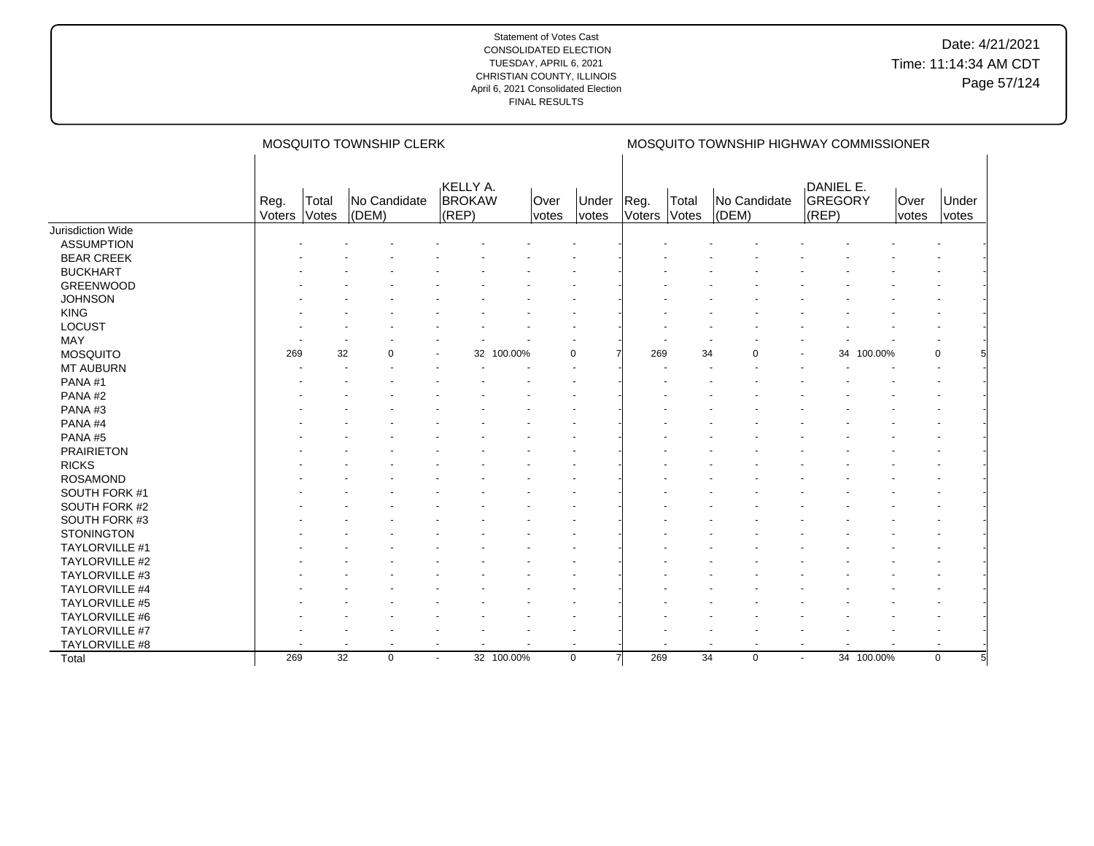|                       |                |                 | MOSQUITO TOWNSHIP CLERK |                                    |               |               |                |                |                 | MOSQUITO TOWNSHIP HIGHWAY COMMISSIONER |                          |                      |               |                |
|-----------------------|----------------|-----------------|-------------------------|------------------------------------|---------------|---------------|----------------|----------------|-----------------|----------------------------------------|--------------------------|----------------------|---------------|----------------|
|                       | Reg.<br>Voters | Total<br>Votes  | No Candidate<br>(DEM)   | KELLY A.<br><b>BROKAW</b><br>(REP) |               | Over<br>votes | Under<br>votes | Reg.<br>Voters | Total<br>Votes  | No Candidate<br>(DEM)                  | (REF)                    | DANIEL E.<br>GREGORY | Over<br>votes | Under<br>votes |
| Jurisdiction Wide     |                |                 |                         |                                    |               |               |                |                |                 |                                        |                          |                      |               |                |
| <b>ASSUMPTION</b>     |                |                 |                         |                                    |               |               |                |                |                 |                                        |                          |                      |               |                |
| <b>BEAR CREEK</b>     |                |                 |                         |                                    |               |               |                |                |                 |                                        |                          |                      |               |                |
| <b>BUCKHART</b>       |                |                 |                         |                                    |               |               |                |                |                 |                                        |                          |                      |               |                |
| <b>GREENWOOD</b>      |                |                 |                         |                                    |               |               |                |                |                 |                                        |                          |                      |               |                |
| <b>JOHNSON</b>        |                |                 |                         |                                    |               |               |                |                |                 |                                        |                          |                      |               |                |
| <b>KING</b>           |                |                 |                         |                                    |               |               |                |                |                 |                                        |                          |                      |               |                |
| LOCUST                |                |                 |                         |                                    |               |               |                |                |                 |                                        |                          |                      |               |                |
| <b>MAY</b>            |                |                 |                         |                                    |               |               |                |                |                 |                                        |                          |                      |               |                |
| <b>MOSQUITO</b>       | 269            | 32              | $\Omega$                |                                    | 32<br>100.00% |               | $\mathbf 0$    | 269            | 34              | 0                                      |                          | 34                   | 100.00%       | 0              |
| <b>MT AUBURN</b>      |                |                 |                         |                                    |               |               |                |                |                 |                                        |                          |                      |               |                |
| PANA#1                |                |                 |                         |                                    |               |               |                |                |                 |                                        |                          |                      |               |                |
| PANA#2                |                |                 |                         |                                    |               |               |                |                |                 |                                        |                          |                      |               |                |
| PANA#3                |                |                 |                         |                                    |               |               |                |                |                 |                                        |                          |                      |               |                |
| PANA#4                |                |                 |                         |                                    |               |               |                |                |                 |                                        |                          |                      |               |                |
| PANA#5                |                |                 |                         |                                    |               |               |                |                |                 |                                        |                          |                      |               |                |
| <b>PRAIRIETON</b>     |                |                 |                         |                                    |               |               |                |                |                 |                                        |                          |                      |               |                |
| <b>RICKS</b>          |                |                 |                         |                                    |               |               |                |                |                 |                                        |                          |                      |               |                |
| <b>ROSAMOND</b>       |                |                 |                         |                                    |               |               |                |                |                 |                                        |                          |                      |               |                |
| SOUTH FORK #1         |                |                 |                         |                                    |               |               |                |                |                 |                                        |                          |                      |               |                |
| SOUTH FORK #2         |                |                 |                         |                                    |               |               |                |                |                 |                                        |                          |                      |               |                |
| SOUTH FORK #3         |                |                 |                         |                                    |               |               |                |                |                 |                                        |                          |                      |               |                |
| <b>STONINGTON</b>     |                |                 |                         |                                    |               |               |                |                |                 |                                        |                          |                      |               |                |
| TAYLORVILLE #1        |                |                 |                         |                                    |               |               |                |                |                 |                                        |                          |                      |               |                |
| <b>TAYLORVILLE #2</b> |                |                 |                         |                                    |               |               |                |                |                 |                                        |                          |                      |               |                |
| TAYLORVILLE #3        |                |                 |                         |                                    |               |               |                |                |                 |                                        |                          |                      |               |                |
| TAYLORVILLE #4        |                |                 |                         |                                    |               |               |                |                |                 |                                        |                          |                      |               |                |
| TAYLORVILLE #5        |                |                 |                         |                                    |               |               |                |                |                 |                                        |                          |                      |               |                |
| <b>TAYLORVILLE #6</b> |                |                 |                         |                                    |               |               |                |                |                 |                                        |                          |                      |               |                |
| TAYLORVILLE #7        |                |                 |                         |                                    |               |               |                |                |                 |                                        |                          |                      |               |                |
| <b>TAYLORVILLE #8</b> |                |                 |                         |                                    |               |               | $\overline{a}$ |                |                 |                                        | $\overline{\phantom{a}}$ |                      |               |                |
| Total                 | 269            | $\overline{32}$ | $\mathbf 0$             | $\sim$                             | 32 100.00%    |               | $\mathbf 0$    | 269            | $\overline{34}$ | $\mathbf 0$                            | $\overline{\phantom{a}}$ | 34 100.00%           |               | $\mathbf 0$    |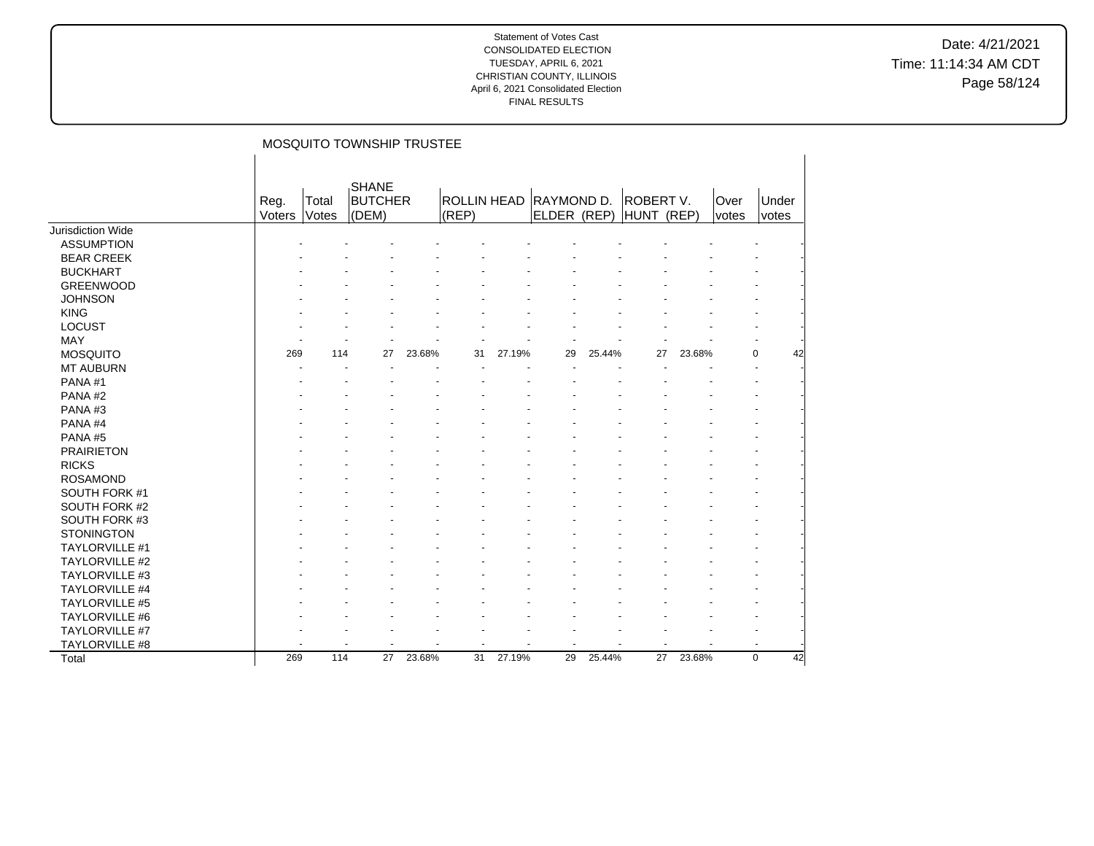Date: 4/21/2021 Time: 11:14:34 AM CDT Page 58/124

|                          |                |                | MOSQUITO TOWNSHIP TRUSTEE        |        |                             |        |                           |        |                                |        |               |                |
|--------------------------|----------------|----------------|----------------------------------|--------|-----------------------------|--------|---------------------------|--------|--------------------------------|--------|---------------|----------------|
|                          | Reg.<br>Voters | Total<br>Votes | SHANE<br><b>BUTCHER</b><br>(DEM) |        | <b>ROLLIN HEAD</b><br>(REP) |        | RAYMOND D.<br>ELDER (REP) |        | <b>ROBERT V.</b><br>HUNT (REP) |        | Over<br>votes | Under<br>votes |
| <b>Jurisdiction Wide</b> |                |                |                                  |        |                             |        |                           |        |                                |        |               |                |
| <b>ASSUMPTION</b>        |                |                |                                  |        |                             |        |                           |        |                                |        |               |                |
| <b>BEAR CREEK</b>        |                |                |                                  |        |                             |        |                           |        |                                |        |               |                |
| <b>BUCKHART</b>          |                |                |                                  |        |                             |        |                           |        |                                |        |               |                |
| <b>GREENWOOD</b>         |                |                |                                  |        |                             |        |                           |        |                                |        |               |                |
| <b>JOHNSON</b>           |                |                |                                  |        |                             |        |                           |        |                                |        |               |                |
| <b>KING</b>              |                |                |                                  |        |                             |        |                           |        |                                |        |               |                |
| <b>LOCUST</b>            |                |                |                                  |        |                             |        |                           |        |                                |        |               |                |
| <b>MAY</b>               |                |                |                                  |        |                             |        |                           |        |                                |        |               |                |
| <b>MOSQUITO</b>          | 269            | 114            | 27                               | 23.68% | 31                          | 27.19% | 29                        | 25.44% | 27                             | 23.68% |               | 0<br>42        |
| <b>MT AUBURN</b>         |                |                |                                  |        |                             |        |                           |        |                                |        |               |                |
| PANA#1                   |                |                |                                  |        |                             |        |                           |        |                                |        |               |                |
| PANA#2                   |                |                |                                  |        |                             |        |                           |        |                                |        |               |                |
| PANA#3                   |                |                |                                  |        |                             |        |                           |        |                                |        |               |                |
| PANA#4                   |                |                |                                  |        |                             |        |                           |        |                                |        |               |                |
| PANA#5                   |                |                |                                  |        |                             |        |                           |        |                                |        |               |                |
| <b>PRAIRIETON</b>        |                |                |                                  |        |                             |        |                           |        |                                |        |               |                |
| <b>RICKS</b>             |                |                |                                  |        |                             |        |                           |        |                                |        |               |                |
| <b>ROSAMOND</b>          |                |                |                                  |        |                             |        |                           |        |                                |        |               |                |
| SOUTH FORK #1            |                |                |                                  |        |                             |        |                           |        |                                |        |               |                |
| SOUTH FORK #2            |                |                |                                  |        |                             |        |                           |        |                                |        |               |                |
| SOUTH FORK #3            |                |                |                                  |        |                             |        |                           |        |                                |        |               |                |
| <b>STONINGTON</b>        |                |                |                                  |        |                             |        |                           |        |                                |        |               |                |
| TAYLORVILLE #1           |                |                |                                  |        |                             |        |                           |        |                                |        |               |                |
| TAYLORVILLE #2           |                |                |                                  |        |                             |        |                           |        |                                |        |               |                |
| TAYLORVILLE #3           |                |                |                                  |        |                             |        |                           |        |                                |        |               |                |
| TAYLORVILLE #4           |                |                |                                  |        |                             |        |                           |        |                                |        |               |                |
| TAYLORVILLE #5           |                |                |                                  |        |                             |        |                           |        |                                |        |               |                |
| TAYLORVILLE #6           |                |                |                                  |        |                             |        |                           |        |                                |        |               |                |
| TAYLORVILLE #7           |                |                |                                  |        |                             |        |                           |        |                                |        |               |                |
| TAYLORVILLE #8           |                |                |                                  |        |                             |        |                           |        |                                |        |               | $\blacksquare$ |
| Total                    | 269            | 114            | 27                               | 23.68% | 31                          | 27.19% | 29                        | 25.44% | 27                             | 23.68% |               | 0<br>42        |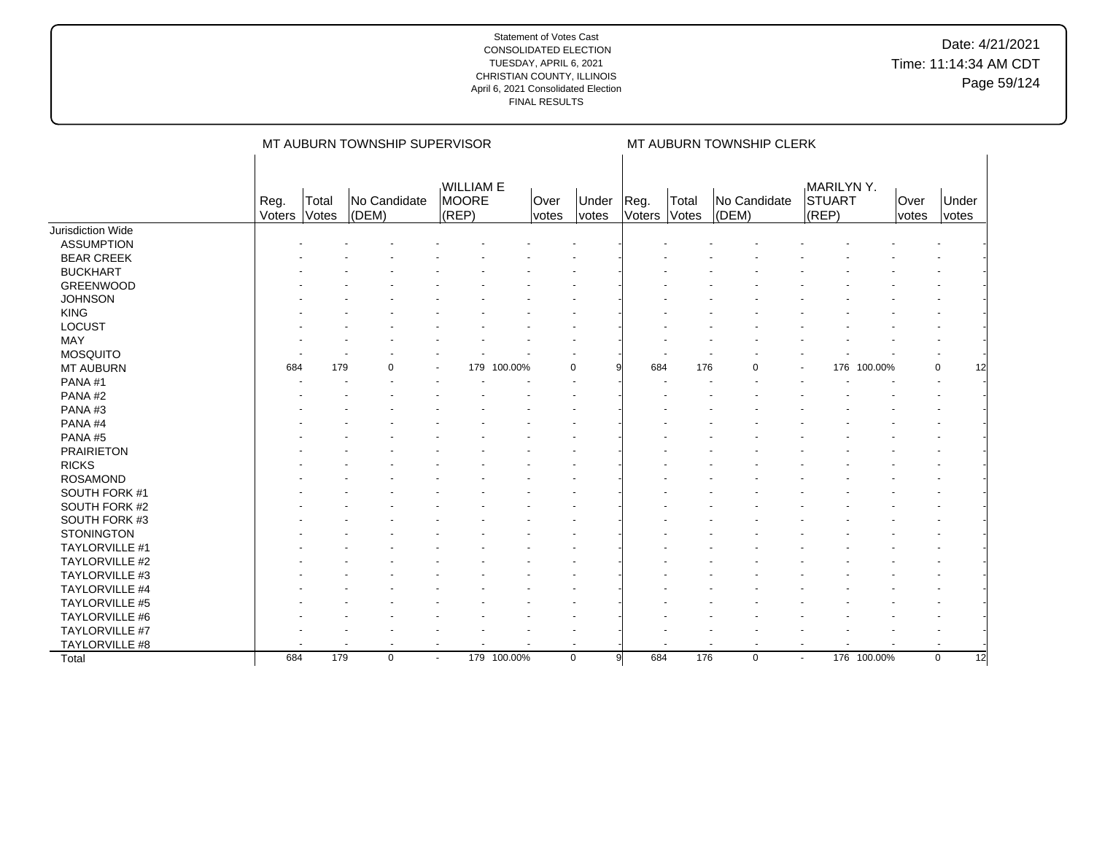|                       |                |                | MT AUBURN TOWNSHIP SUPERVISOR |        |                                        |             |                      |                       |                |                | MT AUBURN TOWNSHIP CLERK |                                  |             |                      |                |    |
|-----------------------|----------------|----------------|-------------------------------|--------|----------------------------------------|-------------|----------------------|-----------------------|----------------|----------------|--------------------------|----------------------------------|-------------|----------------------|----------------|----|
|                       | Reg.<br>Voters | Total<br>Votes | No Candidate<br>(DEM)         |        | <b>WILLIAM E</b><br>MOORE<br>$ $ (REP) |             | Over<br><i>votes</i> | Under<br><b>votes</b> | Reg.<br>Voters | Total<br>Votes | No Candidate<br>(DEM)    | MARILYNY.<br>STUART<br>$ $ (REP) |             | Over<br><i>votes</i> | Under<br>votes |    |
| Jurisdiction Wide     |                |                |                               |        |                                        |             |                      |                       |                |                |                          |                                  |             |                      |                |    |
| <b>ASSUMPTION</b>     |                |                |                               |        |                                        |             |                      |                       |                |                |                          |                                  |             |                      |                |    |
| <b>BEAR CREEK</b>     |                |                |                               |        |                                        |             |                      |                       |                |                |                          |                                  |             |                      |                |    |
| <b>BUCKHART</b>       |                |                |                               |        |                                        |             |                      |                       |                |                |                          |                                  |             |                      |                |    |
| <b>GREENWOOD</b>      |                |                |                               |        |                                        |             |                      |                       |                |                |                          |                                  |             |                      |                |    |
| <b>JOHNSON</b>        |                |                |                               |        |                                        |             |                      |                       |                |                |                          |                                  |             |                      |                |    |
| <b>KING</b>           |                |                |                               |        |                                        |             |                      |                       |                |                |                          |                                  |             |                      |                |    |
| LOCUST                |                |                |                               |        |                                        |             |                      |                       |                |                |                          |                                  |             |                      |                |    |
| MAY                   |                |                |                               |        |                                        |             |                      |                       |                |                |                          |                                  |             |                      |                |    |
| <b>MOSQUITO</b>       |                |                |                               |        |                                        |             |                      |                       |                |                |                          |                                  |             |                      |                |    |
| MT AUBURN             | 684            | 179            | $\cap$                        |        | 179                                    | 100.00%     |                      | $\Omega$              | 684            | 176            | $\Omega$                 | 176                              | 100.00%     |                      | 0              | 12 |
| PANA#1                |                |                |                               |        |                                        |             |                      |                       |                |                |                          |                                  |             |                      |                |    |
| PANA#2                |                |                |                               |        |                                        |             |                      |                       |                |                |                          |                                  |             |                      |                |    |
| PANA#3                |                |                |                               |        |                                        |             |                      |                       |                |                |                          |                                  |             |                      |                |    |
| PANA#4                |                |                |                               |        |                                        |             |                      |                       |                |                |                          |                                  |             |                      |                |    |
| PANA#5                |                |                |                               |        |                                        |             |                      |                       |                |                |                          |                                  |             |                      |                |    |
| <b>PRAIRIETON</b>     |                |                |                               |        |                                        |             |                      |                       |                |                |                          |                                  |             |                      |                |    |
| <b>RICKS</b>          |                |                |                               |        |                                        |             |                      |                       |                |                |                          |                                  |             |                      |                |    |
| <b>ROSAMOND</b>       |                |                |                               |        |                                        |             |                      |                       |                |                |                          |                                  |             |                      |                |    |
| SOUTH FORK #1         |                |                |                               |        |                                        |             |                      |                       |                |                |                          |                                  |             |                      |                |    |
| SOUTH FORK #2         |                |                |                               |        |                                        |             |                      |                       |                |                |                          |                                  |             |                      |                |    |
| SOUTH FORK #3         |                |                |                               |        |                                        |             |                      |                       |                |                |                          |                                  |             |                      |                |    |
| <b>STONINGTON</b>     |                |                |                               |        |                                        |             |                      |                       |                |                |                          |                                  |             |                      |                |    |
| TAYLORVILLE #1        |                |                |                               |        |                                        |             |                      |                       |                |                |                          |                                  |             |                      |                |    |
| TAYLORVILLE #2        |                |                |                               |        |                                        |             |                      |                       |                |                |                          |                                  |             |                      |                |    |
| TAYLORVILLE #3        |                |                |                               |        |                                        |             |                      |                       |                |                |                          |                                  |             |                      |                |    |
| TAYLORVILLE #4        |                |                |                               |        |                                        |             |                      |                       |                |                |                          |                                  |             |                      |                |    |
| <b>TAYLORVILLE #5</b> |                |                |                               |        |                                        |             |                      |                       |                |                |                          |                                  |             |                      |                |    |
| TAYLORVILLE #6        |                |                |                               |        |                                        |             |                      |                       |                |                |                          |                                  |             |                      |                |    |
| TAYLORVILLE #7        |                |                |                               |        |                                        |             |                      |                       |                |                |                          |                                  |             |                      |                |    |
| TAYLORVILLE #8        |                |                |                               |        |                                        |             |                      |                       |                |                | $\overline{\phantom{a}}$ | $\overline{\phantom{a}}$         |             |                      |                |    |
| Total                 | 684            | 179            | $\mathbf 0$                   | $\sim$ |                                        | 179 100.00% |                      | $\mathbf 0$<br>9      | 684            | 176            | 0                        | $\overline{\phantom{a}}$         | 176 100.00% |                      | $\mathbf 0$    | 12 |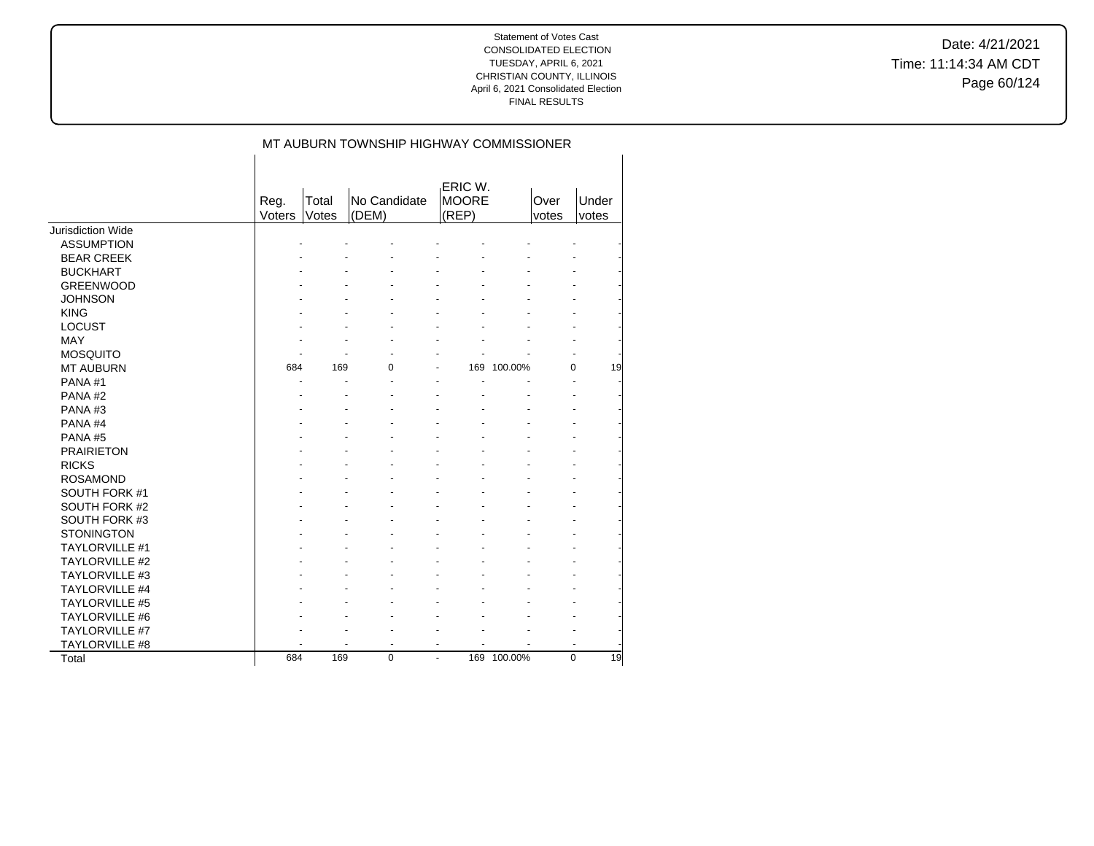Date: 4/21/2021 Time: 11:14:34 AM CDT Page 60/124

|                       |        |       |              | ERIC W.                  |             |       |       |
|-----------------------|--------|-------|--------------|--------------------------|-------------|-------|-------|
|                       | Reg.   | Total | No Candidate | <b>MOORE</b>             |             | Over  | Under |
|                       | Voters | Votes | (DEM)        | (REP)                    |             | votes | votes |
| Jurisdiction Wide     |        |       |              |                          |             |       |       |
| <b>ASSUMPTION</b>     |        |       |              |                          |             |       |       |
| <b>BEAR CREEK</b>     |        |       |              |                          |             |       |       |
| <b>BUCKHART</b>       |        |       |              |                          |             |       |       |
| <b>GREENWOOD</b>      |        |       |              |                          |             |       |       |
| <b>JOHNSON</b>        |        |       |              |                          |             |       |       |
| <b>KING</b>           |        |       |              |                          |             |       |       |
| <b>LOCUST</b>         |        |       |              |                          |             |       |       |
| <b>MAY</b>            |        |       |              |                          |             |       |       |
| <b>MOSQUITO</b>       |        |       |              |                          |             |       |       |
| <b>MT AUBURN</b>      | 684    | 169   | $\Omega$     | 169                      | 100.00%     | 0     | 19    |
| PANA#1                |        |       |              |                          |             |       |       |
| PANA#2                |        |       |              |                          |             |       |       |
| PANA#3                |        |       |              |                          |             |       |       |
| PANA#4                |        |       |              |                          |             |       |       |
| PANA#5                |        |       |              |                          |             |       |       |
| <b>PRAIRIETON</b>     |        |       |              |                          |             |       |       |
| <b>RICKS</b>          |        |       |              |                          |             |       |       |
| <b>ROSAMOND</b>       |        |       |              |                          |             |       |       |
| SOUTH FORK #1         |        |       |              |                          |             |       |       |
| SOUTH FORK #2         |        |       |              |                          |             |       |       |
| SOUTH FORK #3         |        |       |              |                          |             |       |       |
| <b>STONINGTON</b>     |        |       |              |                          |             |       |       |
| TAYLORVILLE #1        |        |       |              |                          |             |       |       |
| <b>TAYLORVILLE #2</b> |        |       |              |                          |             |       |       |
| <b>TAYLORVILLE #3</b> |        |       |              |                          |             |       |       |
| <b>TAYLORVILLE #4</b> |        |       |              |                          |             |       |       |
| <b>TAYLORVILLE #5</b> |        |       |              |                          |             |       |       |
| TAYLORVILLE #6        |        |       |              |                          |             |       |       |
| <b>TAYLORVILLE #7</b> |        |       |              |                          |             |       |       |
| TAYLORVILLE #8        |        |       | ٠            | $\overline{\phantom{a}}$ |             |       |       |
| Total                 | 684    | 169   | $\mathbf 0$  | $\blacksquare$           | 169 100.00% | 0     | 19    |
|                       |        |       |              |                          |             |       |       |

### MT AUBURN TOWNSHIP HIGHWAY COMMISSIONER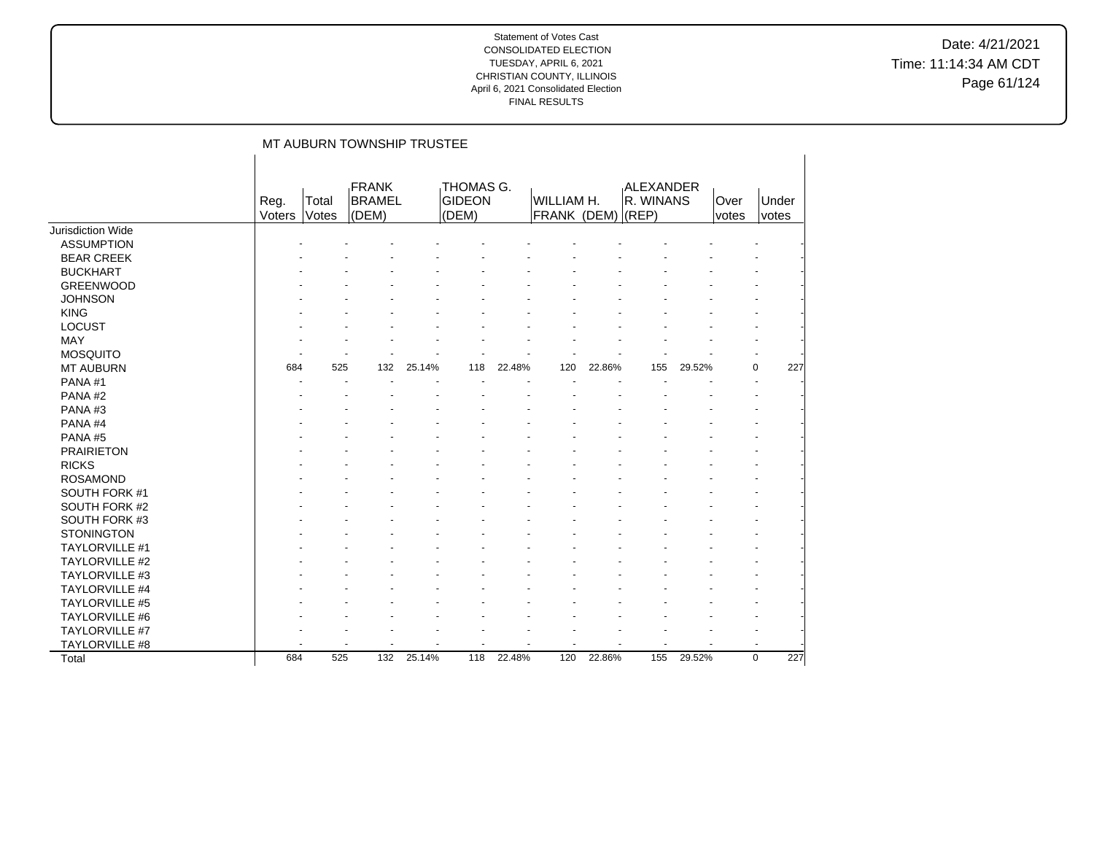Date: 4/21/2021 Time: 11:14:34 AM CDT Page 61/124

|                       |                      |                | MT AUBURN TOWNSHIP TRUSTEE             |        |                                     |        |                                 |        |                        |        |                |                      |
|-----------------------|----------------------|----------------|----------------------------------------|--------|-------------------------------------|--------|---------------------------------|--------|------------------------|--------|----------------|----------------------|
|                       | Reg.<br>Voters       | Total<br>Votes | <b>FRANK</b><br><b>BRAMEL</b><br>(DEM) |        | THOMAS G.<br><b>GIDEON</b><br>(DEM) |        | WILLIAM H.<br>FRANK (DEM) (REP) |        | ALEXANDER<br>R. WINANS |        | lOver<br>votes | Under<br>votes       |
| Jurisdiction Wide     |                      |                |                                        |        |                                     |        |                                 |        |                        |        |                |                      |
| <b>ASSUMPTION</b>     |                      |                |                                        |        |                                     |        |                                 |        |                        |        |                |                      |
| <b>BEAR CREEK</b>     |                      |                |                                        |        |                                     |        |                                 |        |                        |        |                |                      |
| <b>BUCKHART</b>       |                      |                |                                        |        |                                     |        |                                 |        |                        |        |                |                      |
| <b>GREENWOOD</b>      |                      |                |                                        |        |                                     |        |                                 |        |                        |        |                |                      |
| <b>JOHNSON</b>        |                      |                |                                        |        |                                     |        |                                 |        |                        |        |                |                      |
| <b>KING</b>           |                      |                |                                        |        |                                     |        |                                 |        |                        |        |                |                      |
| <b>LOCUST</b>         |                      |                |                                        |        |                                     |        |                                 |        |                        |        |                |                      |
| MAY                   |                      |                |                                        |        |                                     |        |                                 |        |                        |        |                |                      |
| <b>MOSQUITO</b>       |                      |                |                                        |        |                                     |        |                                 |        |                        |        |                |                      |
| <b>MT AUBURN</b>      | 684                  | 525            | 132                                    | 25.14% | 118                                 | 22.48% | 120                             | 22.86% | 155                    | 29.52% |                | 227<br>$\Omega$      |
| PANA#1                | $\ddot{\phantom{1}}$ |                |                                        |        |                                     |        |                                 |        |                        |        |                |                      |
| PANA#2                |                      |                |                                        |        |                                     |        |                                 |        |                        |        |                |                      |
| PANA#3                |                      |                |                                        |        |                                     |        |                                 |        |                        |        |                |                      |
| PANA#4                |                      |                |                                        |        |                                     |        |                                 |        |                        |        |                |                      |
| PANA#5                |                      |                |                                        |        |                                     |        |                                 |        |                        |        |                |                      |
| <b>PRAIRIETON</b>     |                      |                |                                        |        |                                     |        |                                 |        |                        |        |                |                      |
| <b>RICKS</b>          |                      |                |                                        |        |                                     |        |                                 |        |                        |        |                |                      |
| <b>ROSAMOND</b>       |                      |                |                                        |        |                                     |        |                                 |        |                        |        |                |                      |
| SOUTH FORK #1         |                      |                |                                        |        |                                     |        |                                 |        |                        |        |                |                      |
| SOUTH FORK #2         |                      |                |                                        |        |                                     |        |                                 |        |                        |        |                |                      |
| SOUTH FORK #3         |                      |                |                                        |        |                                     |        |                                 |        |                        |        |                |                      |
| <b>STONINGTON</b>     |                      |                |                                        |        |                                     |        |                                 |        |                        |        |                |                      |
| TAYLORVILLE #1        |                      |                |                                        |        |                                     |        |                                 |        |                        |        |                |                      |
| <b>TAYLORVILLE #2</b> |                      |                |                                        |        |                                     |        |                                 |        |                        |        |                |                      |
| TAYLORVILLE #3        |                      |                |                                        |        |                                     |        |                                 |        |                        |        |                |                      |
| TAYLORVILLE #4        |                      |                |                                        |        |                                     |        |                                 |        |                        |        |                |                      |
| <b>TAYLORVILLE #5</b> |                      |                |                                        |        |                                     |        |                                 |        |                        |        |                |                      |
| TAYLORVILLE #6        |                      |                |                                        |        |                                     |        |                                 |        |                        |        |                |                      |
| TAYLORVILLE #7        |                      |                |                                        |        |                                     |        |                                 |        |                        |        |                |                      |
| TAYLORVILLE #8        |                      |                |                                        |        |                                     |        |                                 |        |                        |        |                | $\ddot{\phantom{1}}$ |
| Total                 | 684                  | 525            | 132                                    | 25.14% | 118                                 | 22.48% | 120                             | 22.86% | 155                    | 29.52% |                | 227<br>$\mathbf 0$   |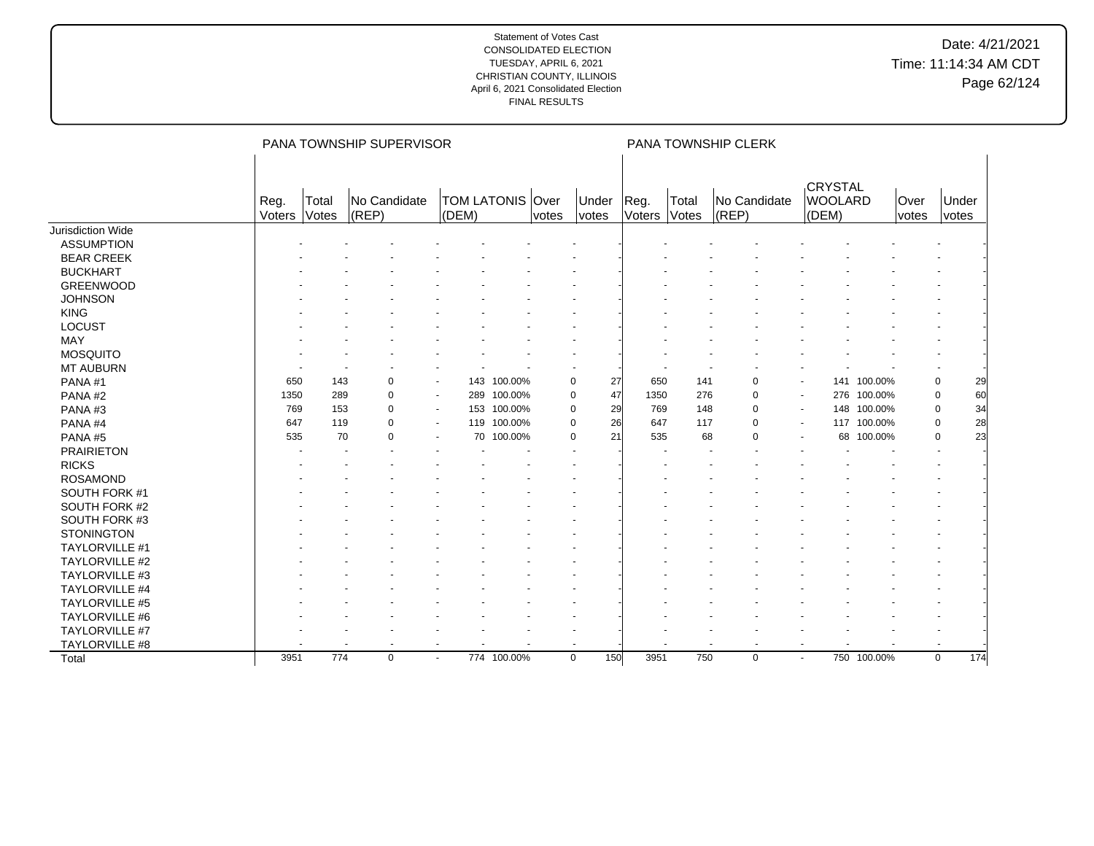|                       |                |                | PANA TOWNSHIP SUPERVISOR |                           |             |       |                       |                |                | PANA TOWNSHIP CLERK   |                                           |             |               |                    |
|-----------------------|----------------|----------------|--------------------------|---------------------------|-------------|-------|-----------------------|----------------|----------------|-----------------------|-------------------------------------------|-------------|---------------|--------------------|
|                       | Reg.<br>Voters | Total<br>Votes | No Candidate<br>(REP)    | TOM LATONIS Over<br>(DEM) |             | votes | Under<br><b>votes</b> | Reg.<br>Voters | Total<br>Votes | No Candidate<br>(REP) | <b>CRYSTAL</b><br><b>WOOLARD</b><br>(DEM) |             | Over<br>votes | Under<br>votes     |
| Jurisdiction Wide     |                |                |                          |                           |             |       |                       |                |                |                       |                                           |             |               |                    |
| <b>ASSUMPTION</b>     |                |                |                          |                           |             |       |                       |                |                |                       |                                           |             |               |                    |
| <b>BEAR CREEK</b>     |                |                |                          |                           |             |       |                       |                |                |                       |                                           |             |               |                    |
| <b>BUCKHART</b>       |                |                |                          |                           |             |       |                       |                |                |                       |                                           |             |               |                    |
| <b>GREENWOOD</b>      |                |                |                          |                           |             |       |                       |                |                |                       |                                           |             |               |                    |
| <b>JOHNSON</b>        |                |                |                          |                           |             |       |                       |                |                |                       |                                           |             |               |                    |
| <b>KING</b>           |                |                |                          |                           |             |       |                       |                |                |                       |                                           |             |               |                    |
| LOCUST                |                |                |                          |                           |             |       |                       |                |                |                       |                                           |             |               |                    |
| <b>MAY</b>            |                |                |                          |                           |             |       |                       |                |                |                       |                                           |             |               |                    |
| <b>MOSQUITO</b>       |                |                |                          |                           |             |       |                       |                |                |                       |                                           |             |               |                    |
| <b>MT AUBURN</b>      |                |                |                          |                           |             |       |                       |                |                |                       |                                           |             |               |                    |
| PANA#1                | 650            | 143            | 0                        |                           | 143 100.00% |       | 27<br>0               | 650            | 141            | $\mathbf 0$           |                                           | 141 100.00% |               | 0<br>29            |
| PANA#2                | 1350           | 289            | $\Omega$                 | 289<br>$\sim$             | 100.00%     |       | 47<br>$\mathbf 0$     | 1350           | 276            | $\pmb{0}$             | $\overline{\phantom{a}}$                  | 276 100.00% |               | 60<br>0            |
| PANA#3                | 769            | 153            | $\Omega$                 | 153<br>$\sim$             | 100.00%     |       | 29<br>$\mathbf 0$     | 769            | 148            | $\mathbf 0$           | 148<br>$\sim$                             | 100.00%     |               | 34<br>0            |
| PANA#4                | 647            | 119            | $\Omega$                 | 119<br>$\blacksquare$     | 100.00%     |       | 26<br>$\mathbf 0$     | 647            | 117            | $\mathbf 0$           | $\blacksquare$                            | 117 100.00% |               | 28<br>0            |
| PANA#5                | 535            | 70             | $\Omega$                 | 70                        | 100.00%     |       | 21<br>0               | 535            | 68             | $\mathbf 0$           | 68                                        | 100.00%     |               | 23<br>0            |
| <b>PRAIRIETON</b>     |                |                |                          |                           |             |       |                       |                |                |                       |                                           |             |               |                    |
| <b>RICKS</b>          |                |                |                          |                           |             |       |                       |                |                |                       |                                           |             |               |                    |
| <b>ROSAMOND</b>       |                |                |                          |                           |             |       |                       |                |                |                       |                                           |             |               |                    |
| SOUTH FORK #1         |                |                |                          |                           |             |       |                       |                |                |                       |                                           |             |               |                    |
| SOUTH FORK #2         |                |                |                          |                           |             |       |                       |                |                |                       |                                           |             |               |                    |
| SOUTH FORK #3         |                |                |                          |                           |             |       |                       |                |                |                       |                                           |             |               |                    |
| <b>STONINGTON</b>     |                |                |                          |                           |             |       |                       |                |                |                       |                                           |             |               |                    |
| TAYLORVILLE #1        |                |                |                          |                           |             |       |                       |                |                |                       |                                           |             |               |                    |
| <b>TAYLORVILLE #2</b> |                |                |                          |                           |             |       |                       |                |                |                       |                                           |             |               |                    |
| TAYLORVILLE #3        |                |                |                          |                           |             |       |                       |                |                |                       |                                           |             |               |                    |
| <b>TAYLORVILLE #4</b> |                |                |                          |                           |             |       |                       |                |                |                       |                                           |             |               |                    |
| <b>TAYLORVILLE #5</b> |                |                |                          |                           |             |       |                       |                |                |                       |                                           |             |               |                    |
| <b>TAYLORVILLE #6</b> |                |                |                          |                           |             |       |                       |                |                |                       |                                           |             |               |                    |
| TAYLORVILLE #7        |                |                |                          |                           |             |       |                       |                |                |                       |                                           |             |               |                    |
| TAYLORVILLE #8        |                |                |                          |                           |             |       |                       |                |                | $\blacksquare$        | $\blacksquare$                            |             |               |                    |
| Total                 | 3951           | 774            | $\mathbf 0$              | $\blacksquare$            | 774 100.00% |       | 150<br>$\mathbf 0$    | 3951           | 750            | $\mathbf 0$           | $\blacksquare$                            | 750 100.00% |               | $\mathbf 0$<br>174 |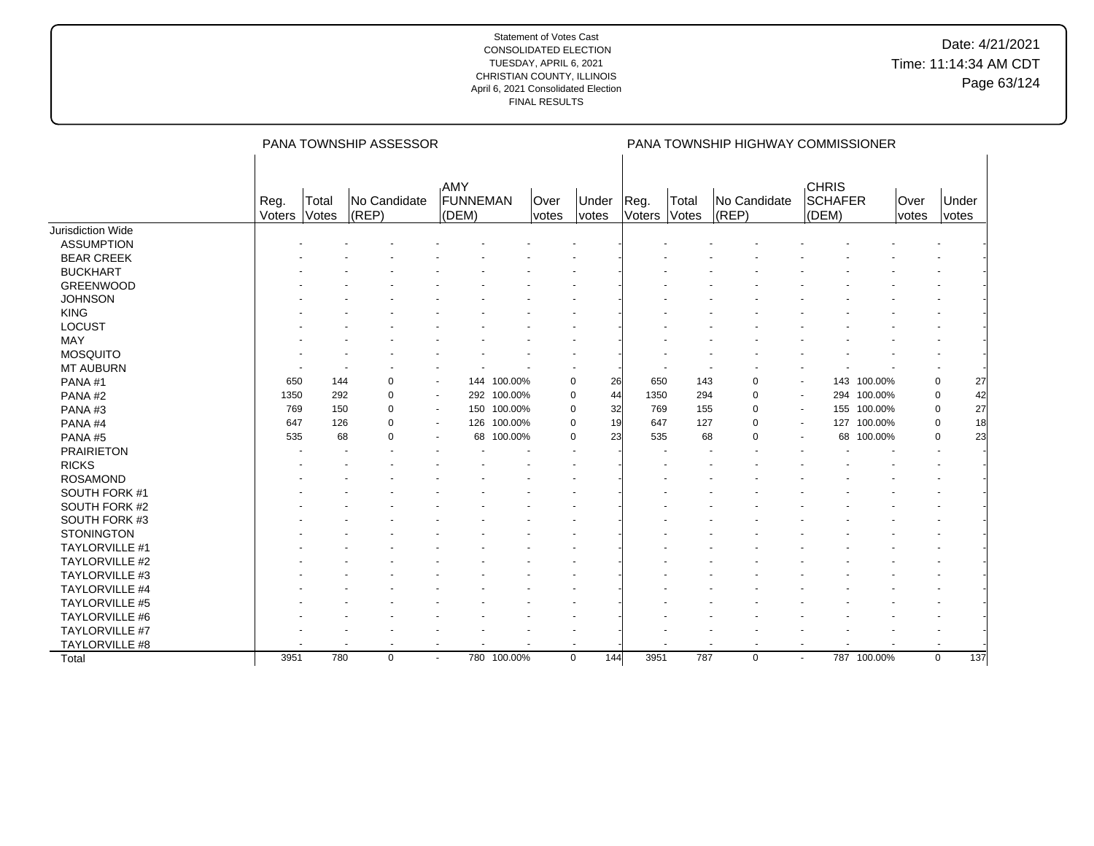|                       |                |                | PANA TOWNSHIP ASSESSOR |                          |             |                      |                          |                |                | PANA TOWNSHIP HIGHWAY COMMISSIONER |                                         |             |               |                    |
|-----------------------|----------------|----------------|------------------------|--------------------------|-------------|----------------------|--------------------------|----------------|----------------|------------------------------------|-----------------------------------------|-------------|---------------|--------------------|
|                       | Reg.<br>Voters | Total<br>Votes | No Candidate<br>(REP)  | AMY<br>FUNNEMAN<br>(DEM) |             | <b>Over</b><br>votes | Under<br><i>votes</i>    | Reg.<br>Voters | Total<br>Votes | No Candidate<br>$ $ (REP)          | <b>CHRIS</b><br><b>SCHAFER</b><br>(DEM) |             | Over<br>votes | Under<br>votes     |
| Jurisdiction Wide     |                |                |                        |                          |             |                      |                          |                |                |                                    |                                         |             |               |                    |
| <b>ASSUMPTION</b>     |                |                |                        |                          |             |                      |                          |                |                |                                    |                                         |             |               |                    |
| <b>BEAR CREEK</b>     |                |                |                        |                          |             |                      |                          |                |                |                                    |                                         |             |               |                    |
| <b>BUCKHART</b>       |                |                |                        |                          |             |                      |                          |                |                |                                    |                                         |             |               |                    |
| <b>GREENWOOD</b>      |                |                |                        |                          |             |                      |                          |                |                |                                    |                                         |             |               |                    |
| <b>JOHNSON</b>        |                |                |                        |                          |             |                      |                          |                |                |                                    |                                         |             |               |                    |
| <b>KING</b>           |                |                |                        |                          |             |                      |                          |                |                |                                    |                                         |             |               |                    |
| <b>LOCUST</b>         |                |                |                        |                          |             |                      |                          |                |                |                                    |                                         |             |               |                    |
| <b>MAY</b>            |                |                |                        |                          |             |                      |                          |                |                |                                    |                                         |             |               |                    |
| <b>MOSQUITO</b>       |                |                |                        |                          |             |                      |                          |                |                |                                    |                                         |             |               |                    |
| <b>MT AUBURN</b>      |                |                |                        |                          |             |                      |                          |                |                |                                    |                                         |             |               |                    |
| PANA#1                | 650            | 144            | 0                      | $\blacksquare$           | 144 100.00% |                      | 26<br>$\mathbf 0$        | 650            | 143            | 0                                  | $\overline{\phantom{a}}$                | 143 100.00% |               | 0<br>27            |
| PANA#2                | 1350           | 292            | $\Omega$               | $\blacksquare$           | 292 100.00% |                      | 44<br>$\mathbf 0$        | 1350           | 294            | $\mathbf 0$                        | $\blacksquare$                          | 294 100.00% |               | 42<br>0            |
| PANA#3                | 769            | 150            | $\Omega$               | $\blacksquare$           | 150 100.00% |                      | 32<br>$\mathbf 0$        | 769            | 155            | $\mathbf 0$                        | $\overline{\phantom{a}}$                | 155 100.00% |               | 27<br>0            |
| PANA#4                | 647            | 126            | $\Omega$               | $\blacksquare$           | 126 100.00% |                      | 19<br>0                  | 647            | 127            | $\mathbf 0$                        | 127<br>$\overline{\phantom{a}}$         | 100.00%     |               | 18<br>0            |
| PANA#5                | 535            | 68             | 0                      | $\blacksquare$           | 68 100.00%  |                      | 23<br>$\mathbf 0$        | 535            | 68             | $\Omega$                           | 68                                      | 100.00%     |               | 23<br>0            |
| <b>PRAIRIETON</b>     |                |                |                        |                          |             |                      |                          |                |                |                                    |                                         |             |               |                    |
| <b>RICKS</b>          |                |                |                        |                          |             |                      |                          |                |                |                                    |                                         |             |               |                    |
| <b>ROSAMOND</b>       |                |                |                        |                          |             |                      |                          |                |                |                                    |                                         |             |               |                    |
| SOUTH FORK #1         |                |                |                        |                          |             |                      |                          |                |                |                                    |                                         |             |               |                    |
| SOUTH FORK #2         |                |                |                        |                          |             |                      |                          |                |                |                                    |                                         |             |               |                    |
| SOUTH FORK #3         |                |                |                        |                          |             |                      |                          |                |                |                                    |                                         |             |               |                    |
| <b>STONINGTON</b>     |                |                |                        |                          |             |                      |                          |                |                |                                    |                                         |             |               |                    |
| <b>TAYLORVILLE #1</b> |                |                |                        |                          |             |                      |                          |                |                |                                    |                                         |             |               |                    |
| <b>TAYLORVILLE #2</b> |                |                |                        |                          |             |                      |                          |                |                |                                    |                                         |             |               |                    |
| TAYLORVILLE #3        |                |                |                        |                          |             |                      |                          |                |                |                                    |                                         |             |               |                    |
| TAYLORVILLE #4        |                |                |                        |                          |             |                      |                          |                |                |                                    |                                         |             |               |                    |
| <b>TAYLORVILLE #5</b> |                |                |                        |                          |             |                      |                          |                |                |                                    |                                         |             |               |                    |
| TAYLORVILLE #6        |                |                |                        |                          |             |                      |                          |                |                |                                    |                                         |             |               |                    |
| TAYLORVILLE #7        |                |                |                        |                          |             |                      |                          |                |                |                                    |                                         |             |               |                    |
| TAYLORVILLE #8        |                |                |                        |                          |             |                      | $\overline{\phantom{a}}$ |                |                | $\overline{\phantom{a}}$           | ٠                                       |             |               |                    |
| Total                 | 3951           | 780            | 0                      | $\blacksquare$           | 780 100.00% |                      | 144<br>$\mathbf 0$       | 3951           | 787            | $\mathbf 0$                        | $\overline{\phantom{a}}$                | 787 100.00% |               | 137<br>$\mathbf 0$ |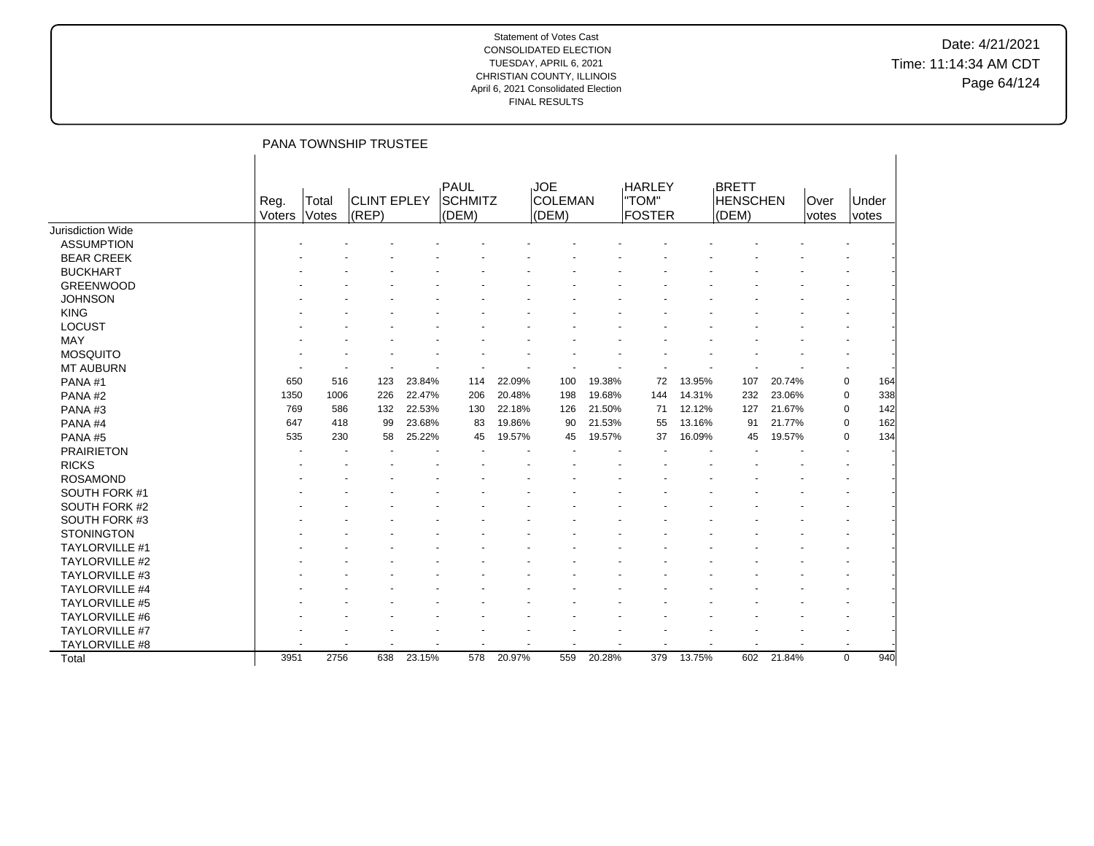## Date: 4/21/2021 Time: 11:14:34 AM CDT Page 64/124

|                       |                |                | PANA TOWNSHIP TRUSTEE       |        |                                        |        |                                |        |                                         |        |                                          |        |               |                |     |
|-----------------------|----------------|----------------|-----------------------------|--------|----------------------------------------|--------|--------------------------------|--------|-----------------------------------------|--------|------------------------------------------|--------|---------------|----------------|-----|
|                       | Reg.<br>Voters | Total<br>Votes | <b>CLINT EPLEY</b><br>(REP) |        | <b>PAUL</b><br><b>SCHMITZ</b><br>(DEM) |        | <b>JOE</b><br>COLEMAN<br>(DEM) |        | <b>HARLEY</b><br>"TOM"<br><b>FOSTER</b> |        | <b>BRETT</b><br><b>HENSCHEN</b><br>(DEM) |        | Over<br>votes | Under<br>votes |     |
| Jurisdiction Wide     |                |                |                             |        |                                        |        |                                |        |                                         |        |                                          |        |               |                |     |
| <b>ASSUMPTION</b>     |                |                |                             |        |                                        |        |                                |        |                                         |        |                                          |        |               |                |     |
| <b>BEAR CREEK</b>     |                |                |                             |        |                                        |        |                                |        |                                         |        |                                          |        |               |                |     |
| <b>BUCKHART</b>       |                |                |                             |        |                                        |        |                                |        |                                         |        |                                          |        |               |                |     |
| <b>GREENWOOD</b>      |                |                |                             |        |                                        |        |                                |        |                                         |        |                                          |        |               |                |     |
| <b>JOHNSON</b>        |                |                |                             |        |                                        |        |                                |        |                                         |        |                                          |        |               |                |     |
| <b>KING</b>           |                |                |                             |        |                                        |        |                                |        |                                         |        |                                          |        |               |                |     |
| <b>LOCUST</b>         |                |                |                             |        |                                        |        |                                |        |                                         |        |                                          |        |               |                |     |
| <b>MAY</b>            |                |                |                             |        |                                        |        |                                |        |                                         |        |                                          |        |               |                |     |
| <b>MOSQUITO</b>       |                |                |                             |        |                                        |        |                                |        |                                         |        |                                          |        |               |                |     |
| <b>MT AUBURN</b>      |                |                |                             |        |                                        |        |                                |        |                                         |        |                                          |        |               |                |     |
| PANA#1                | 650            | 516            | 123                         | 23.84% | 114                                    | 22.09% | 100                            | 19.38% | 72                                      | 13.95% | 107                                      | 20.74% |               | 0              | 164 |
| PANA#2                | 1350           | 1006           | 226                         | 22.47% | 206                                    | 20.48% | 198                            | 19.68% | 144                                     | 14.31% | 232                                      | 23.06% |               | 0              | 338 |
| PANA#3                | 769            | 586            | 132                         | 22.53% | 130                                    | 22.18% | 126                            | 21.50% | 71                                      | 12.12% | 127                                      | 21.67% |               | $\pmb{0}$      | 142 |
| PANA#4                | 647            | 418            | 99                          | 23.68% | 83                                     | 19.86% | 90                             | 21.53% | 55                                      | 13.16% | 91                                       | 21.77% |               | 0              | 162 |
| PANA#5                | 535            | 230            | 58                          | 25.22% | 45                                     | 19.57% | 45                             | 19.57% | 37                                      | 16.09% | 45                                       | 19.57% |               | 0              | 134 |
| <b>PRAIRIETON</b>     |                |                |                             |        |                                        |        |                                |        |                                         |        |                                          |        |               |                |     |
| <b>RICKS</b>          |                |                |                             |        |                                        |        |                                |        |                                         |        |                                          |        |               |                |     |
| <b>ROSAMOND</b>       |                |                |                             |        |                                        |        |                                |        |                                         |        |                                          |        |               |                |     |
| SOUTH FORK #1         |                |                |                             |        |                                        |        |                                |        |                                         |        |                                          |        |               |                |     |
| SOUTH FORK #2         |                |                |                             |        |                                        |        |                                |        |                                         |        |                                          |        |               |                |     |
| SOUTH FORK #3         |                |                |                             |        |                                        |        |                                |        |                                         |        |                                          |        |               |                |     |
| <b>STONINGTON</b>     |                |                |                             |        |                                        |        |                                |        |                                         |        |                                          |        |               |                |     |
| <b>TAYLORVILLE #1</b> |                |                |                             |        |                                        |        |                                |        |                                         |        |                                          |        |               |                |     |
| <b>TAYLORVILLE #2</b> |                |                |                             |        |                                        |        |                                |        |                                         |        |                                          |        |               |                |     |
| TAYLORVILLE #3        |                |                |                             |        |                                        |        |                                |        |                                         |        |                                          |        |               |                |     |
| TAYLORVILLE #4        |                |                |                             |        |                                        |        |                                |        |                                         |        |                                          |        |               |                |     |
| <b>TAYLORVILLE #5</b> |                |                |                             |        |                                        |        |                                |        |                                         |        |                                          |        |               |                |     |
| <b>TAYLORVILLE #6</b> |                |                |                             |        |                                        |        |                                |        |                                         |        |                                          |        |               |                |     |
| TAYLORVILLE #7        |                |                |                             |        |                                        |        |                                |        |                                         |        |                                          |        |               |                |     |
| TAYLORVILLE #8        |                |                |                             |        |                                        |        |                                |        |                                         |        |                                          |        |               |                |     |
| Total                 | 3951           | 2756           | 638                         | 23.15% | 578                                    | 20.97% | 559                            | 20.28% | 379                                     | 13.75% | 602                                      | 21.84% |               | 0              | 940 |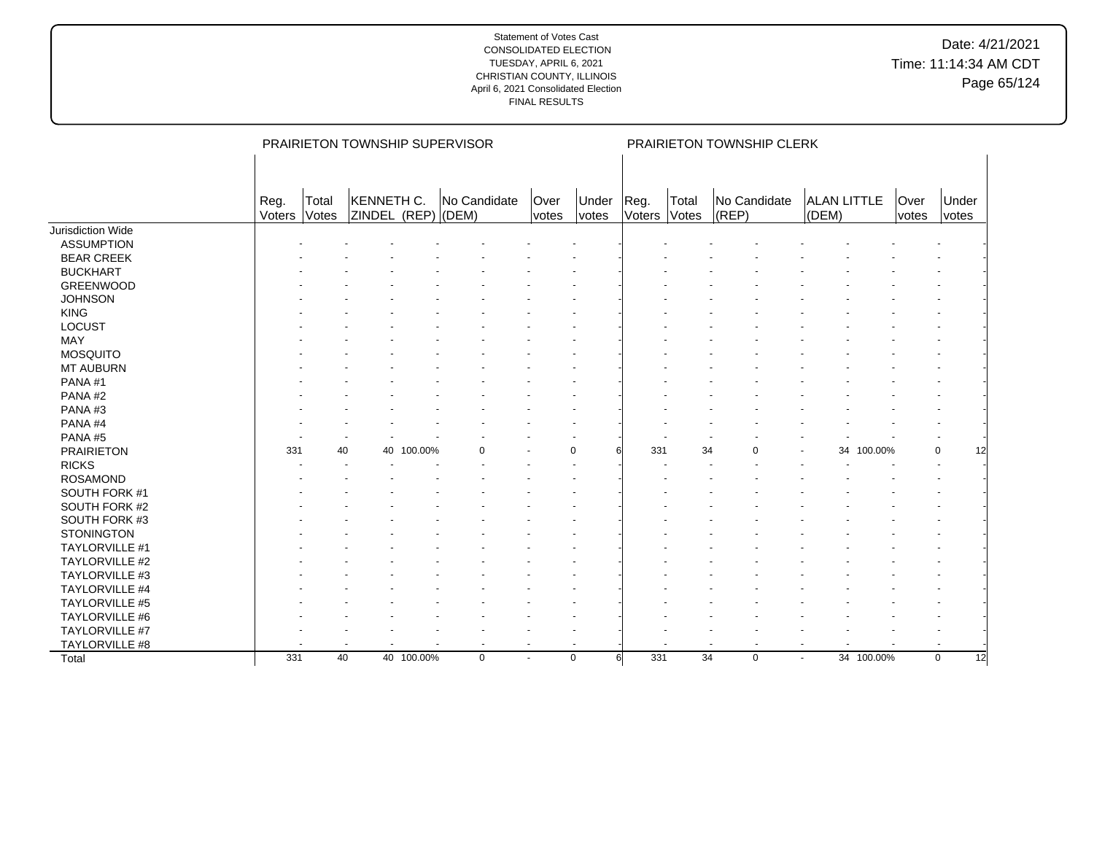|                       |                |                |                            |            | PRAIRIETON TOWNSHIP SUPERVISOR |                |                          |                |                |                 | PRAIRIETON TOWNSHIP CLERK |                |                             |            |                      |                |    |
|-----------------------|----------------|----------------|----------------------------|------------|--------------------------------|----------------|--------------------------|----------------|----------------|-----------------|---------------------------|----------------|-----------------------------|------------|----------------------|----------------|----|
|                       | Reg.<br>Voters | Total<br>Votes | KENNETH C.<br>ZINDEL (REP) |            | No Candidate<br>$ $ (DEM)      |                | Over<br><i>votes</i>     | Under<br>votes | Reg.<br>Voters | Total<br>Votes  | No Candidate<br>(REP)     |                | <b>ALAN LITTLE</b><br>(DEM) |            | Over<br><i>votes</i> | Under<br>votes |    |
| Jurisdiction Wide     |                |                |                            |            |                                |                |                          |                |                |                 |                           |                |                             |            |                      |                |    |
| <b>ASSUMPTION</b>     |                |                |                            |            |                                |                |                          |                |                |                 |                           |                |                             |            |                      |                |    |
| <b>BEAR CREEK</b>     |                |                |                            |            |                                |                |                          |                |                |                 |                           |                |                             |            |                      |                |    |
| <b>BUCKHART</b>       |                |                |                            |            |                                |                |                          |                |                |                 |                           |                |                             |            |                      |                |    |
| <b>GREENWOOD</b>      |                |                |                            |            |                                |                |                          |                |                |                 |                           |                |                             |            |                      |                |    |
| <b>JOHNSON</b>        |                |                |                            |            |                                |                |                          |                |                |                 |                           |                |                             |            |                      |                |    |
| <b>KING</b>           |                |                |                            |            |                                |                |                          |                |                |                 |                           |                |                             |            |                      |                |    |
| LOCUST                |                |                |                            |            |                                |                |                          |                |                |                 |                           |                |                             |            |                      |                |    |
| <b>MAY</b>            |                |                |                            |            |                                |                |                          |                |                |                 |                           |                |                             |            |                      |                |    |
| <b>MOSQUITO</b>       |                |                |                            |            |                                |                |                          |                |                |                 |                           |                |                             |            |                      |                |    |
| <b>MT AUBURN</b>      |                |                |                            |            |                                |                |                          |                |                |                 |                           |                |                             |            |                      |                |    |
| PANA#1                |                |                |                            |            |                                |                |                          |                |                |                 |                           |                |                             |            |                      |                |    |
| PANA#2                |                |                |                            |            |                                |                |                          |                |                |                 |                           |                |                             |            |                      |                |    |
| PANA#3                |                |                |                            |            |                                |                |                          |                |                |                 |                           |                |                             |            |                      |                |    |
| PANA#4                |                |                |                            |            |                                |                |                          |                |                |                 |                           |                |                             |            |                      |                |    |
| PANA#5                |                |                |                            |            |                                |                |                          |                |                |                 |                           |                |                             |            |                      |                |    |
| <b>PRAIRIETON</b>     | 331            | 40             |                            | 40 100.00% | $\Omega$                       |                | $\Omega$                 |                | 331            | 34              |                           | $\Omega$       | 34                          | 100.00%    |                      | 0              | 12 |
| <b>RICKS</b>          |                |                |                            |            |                                |                |                          |                |                |                 |                           |                |                             |            |                      |                |    |
| <b>ROSAMOND</b>       |                |                |                            |            |                                |                |                          |                |                |                 |                           |                |                             |            |                      |                |    |
| SOUTH FORK #1         |                |                |                            |            |                                |                |                          |                |                |                 |                           |                |                             |            |                      |                |    |
| SOUTH FORK #2         |                |                |                            |            |                                |                |                          |                |                |                 |                           |                |                             |            |                      |                |    |
| SOUTH FORK #3         |                |                |                            |            |                                |                |                          |                |                |                 |                           |                |                             |            |                      |                |    |
| <b>STONINGTON</b>     |                |                |                            |            |                                |                |                          |                |                |                 |                           |                |                             |            |                      |                |    |
| TAYLORVILLE #1        |                |                |                            |            |                                |                |                          |                |                |                 |                           |                |                             |            |                      |                |    |
| TAYLORVILLE #2        |                |                |                            |            |                                |                |                          |                |                |                 |                           |                |                             |            |                      |                |    |
| TAYLORVILLE #3        |                |                |                            |            |                                |                |                          |                |                |                 |                           |                |                             |            |                      |                |    |
| TAYLORVILLE #4        |                |                |                            |            |                                |                |                          |                |                |                 |                           |                |                             |            |                      |                |    |
| TAYLORVILLE #5        |                |                |                            |            |                                |                |                          |                |                |                 |                           |                |                             |            |                      |                |    |
| TAYLORVILLE #6        |                |                |                            |            |                                |                |                          |                |                |                 |                           |                |                             |            |                      |                |    |
| TAYLORVILLE #7        |                |                |                            |            |                                |                |                          |                |                |                 |                           |                |                             |            |                      |                |    |
| <b>TAYLORVILLE #8</b> |                |                |                            |            | ÷                              | $\blacksquare$ | $\overline{\phantom{a}}$ |                |                |                 |                           | $\blacksquare$ | $\overline{\phantom{a}}$    |            |                      |                |    |
| Total                 | 331            | 40             |                            | 40 100.00% | $\mathbf 0$                    | $\blacksquare$ | $\mathbf 0$              | 6              | 331            | $\overline{34}$ |                           | $\mathbf 0$    | $\overline{\phantom{a}}$    | 34 100.00% |                      | $\mathbf 0$    | 12 |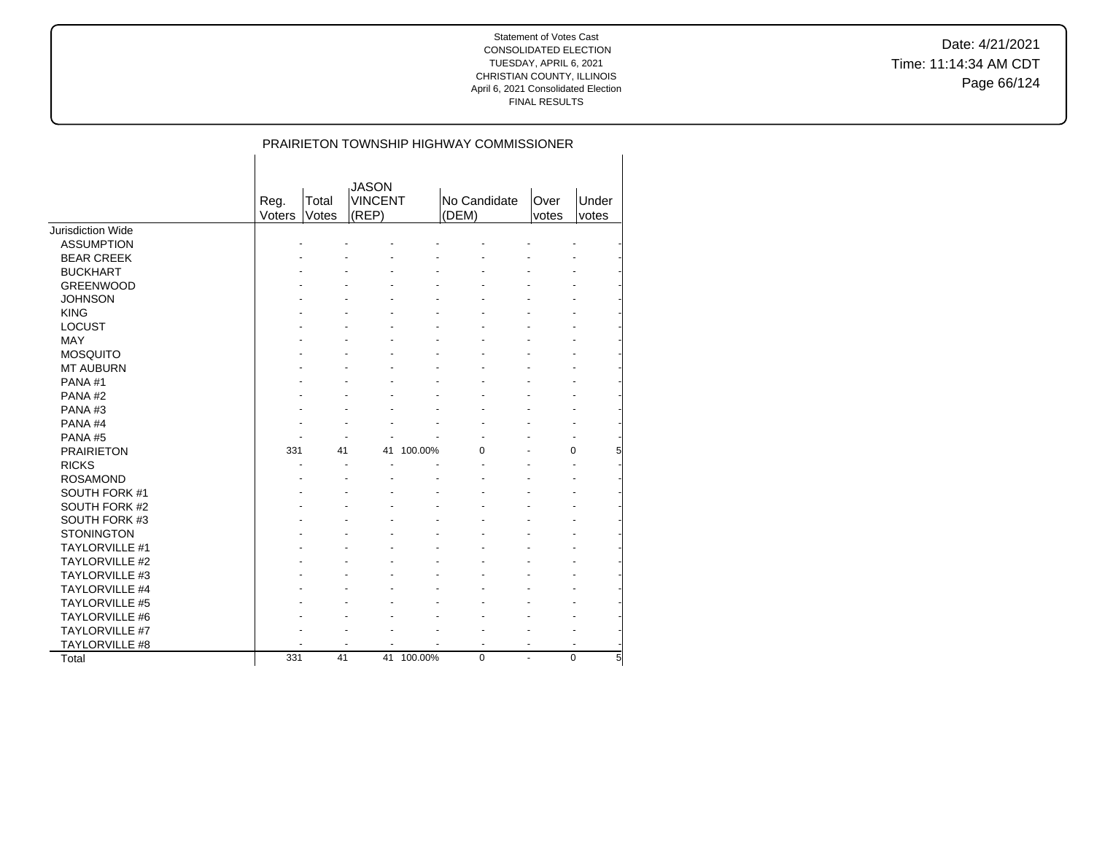Date: 4/21/2021 Time: 11:14:34 AM CDT Page 66/124

| <b>PRAIRIETON TOWNSHIP HIGHWAY COMMISSIONER</b> |
|-------------------------------------------------|
|-------------------------------------------------|

|                       |        |       | <b>JASON</b>   |         |              |       |               |
|-----------------------|--------|-------|----------------|---------|--------------|-------|---------------|
|                       | Reg.   | Total | <b>VINCENT</b> |         | No Candidate | Over  | Under         |
|                       | Voters | Votes | (REP)          |         | (DEM)        | votes | votes         |
| Jurisdiction Wide     |        |       |                |         |              |       |               |
| <b>ASSUMPTION</b>     |        |       |                |         |              |       |               |
| <b>BEAR CREEK</b>     |        |       |                |         |              |       |               |
| <b>BUCKHART</b>       |        |       |                |         |              |       |               |
| <b>GREENWOOD</b>      |        |       |                |         |              |       |               |
| <b>JOHNSON</b>        |        |       |                |         |              |       |               |
| <b>KING</b>           |        |       |                |         |              |       |               |
| <b>LOCUST</b>         |        |       |                |         |              |       |               |
| MAY                   |        |       |                |         |              |       |               |
| <b>MOSQUITO</b>       |        |       |                |         |              |       |               |
| <b>MT AUBURN</b>      |        |       |                |         |              |       |               |
| PANA#1                |        |       |                |         |              |       |               |
| PANA#2                |        |       |                |         |              |       |               |
| PANA#3                |        |       |                |         |              |       |               |
| PANA#4                |        |       |                |         |              |       |               |
| PANA#5                |        |       |                |         |              |       |               |
| <b>PRAIRIETON</b>     | 331    | 41    | 41             | 100.00% | 0            |       | 5<br>0        |
| <b>RICKS</b>          |        |       |                |         |              |       |               |
| <b>ROSAMOND</b>       |        |       |                |         |              |       |               |
| SOUTH FORK #1         |        |       |                |         |              |       |               |
| <b>SOUTH FORK #2</b>  |        |       |                |         |              |       |               |
| SOUTH FORK #3         |        |       |                |         |              |       |               |
| <b>STONINGTON</b>     |        |       |                |         |              |       |               |
| <b>TAYLORVILLE #1</b> |        |       |                |         |              |       |               |
| TAYLORVILLE #2        |        |       |                |         |              |       |               |
| <b>TAYLORVILLE #3</b> |        |       |                |         |              |       |               |
|                       |        |       |                |         |              |       |               |
| <b>TAYLORVILLE #4</b> |        |       |                |         |              |       |               |
| <b>TAYLORVILLE #5</b> |        |       |                |         |              |       |               |
| <b>TAYLORVILLE #6</b> |        |       |                |         |              |       |               |
| <b>TAYLORVILLE #7</b> |        |       |                |         |              |       |               |
| TAYLORVILLE #8        |        |       |                |         |              |       |               |
| Total                 | 331    | 41    | 41             | 100.00% | 0            | ä,    | $\Omega$<br>5 |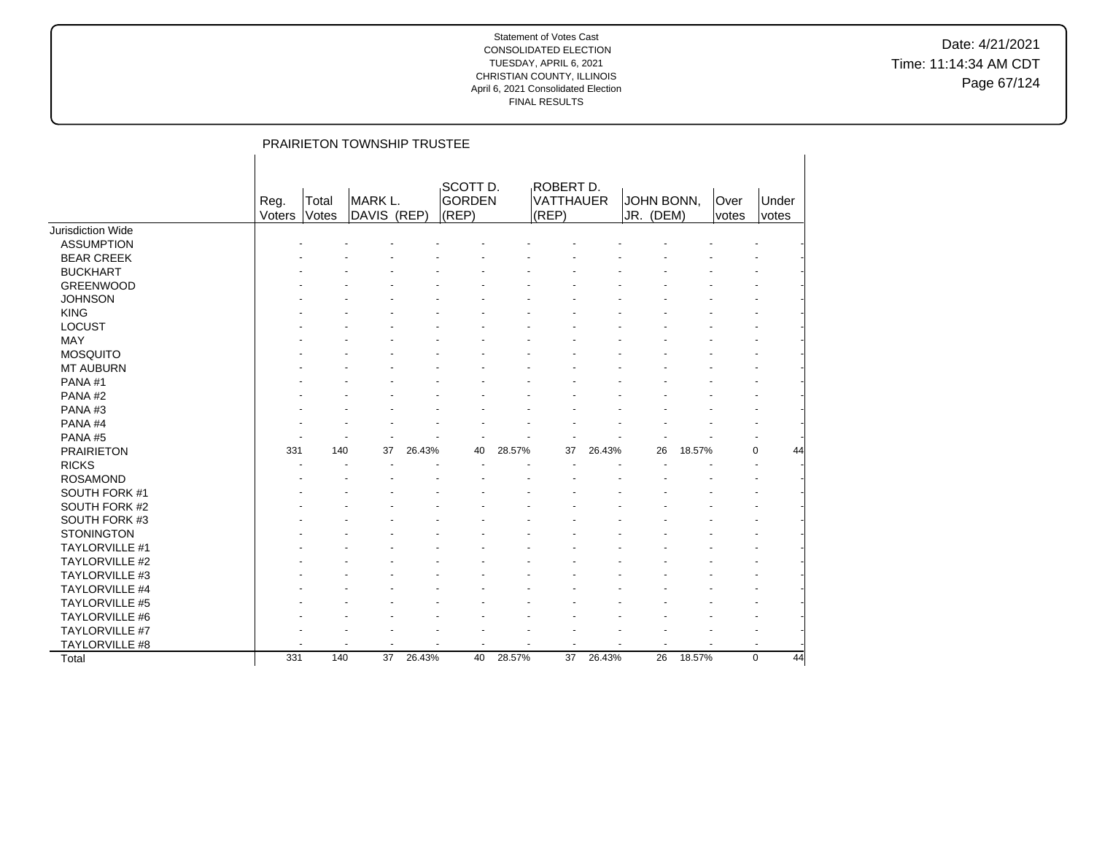Date: 4/21/2021 Time: 11:14:34 AM CDT Page 67/124

|                       |                |                | PRAIRIETON TOWNSHIP TRUSTEE |        |                                    |        |                                        |        |                         |        |               |                |    |
|-----------------------|----------------|----------------|-----------------------------|--------|------------------------------------|--------|----------------------------------------|--------|-------------------------|--------|---------------|----------------|----|
|                       | Reg.<br>Voters | Total<br>Votes | MARK L.<br>DAVIS (REP)      |        | SCOTT D.<br><b>GORDEN</b><br>(REP) |        | ROBERT D.<br><b>VATTHAUER</b><br>(REP) |        | JOHN BONN,<br>JR. (DEM) |        | Over<br>votes | Under<br>votes |    |
| Jurisdiction Wide     |                |                |                             |        |                                    |        |                                        |        |                         |        |               |                |    |
| <b>ASSUMPTION</b>     |                |                |                             |        |                                    |        |                                        |        |                         |        |               |                |    |
| <b>BEAR CREEK</b>     |                |                |                             |        |                                    |        |                                        |        |                         |        |               |                |    |
| <b>BUCKHART</b>       |                |                |                             |        |                                    |        |                                        |        |                         |        |               |                |    |
| <b>GREENWOOD</b>      |                |                |                             |        |                                    |        |                                        |        |                         |        |               |                |    |
| <b>JOHNSON</b>        |                |                |                             |        |                                    |        |                                        |        |                         |        |               |                |    |
| <b>KING</b>           |                |                |                             |        |                                    |        |                                        |        |                         |        |               |                |    |
| LOCUST                |                |                |                             |        |                                    |        |                                        |        |                         |        |               |                |    |
| MAY                   |                |                |                             |        |                                    |        |                                        |        |                         |        |               |                |    |
| <b>MOSQUITO</b>       |                |                |                             |        |                                    |        |                                        |        |                         |        |               |                |    |
| <b>MT AUBURN</b>      |                |                |                             |        |                                    |        |                                        |        |                         |        |               |                |    |
| PANA#1                |                |                |                             |        |                                    |        |                                        |        |                         |        |               |                |    |
| PANA#2                |                |                |                             |        |                                    |        |                                        |        |                         |        |               |                |    |
| PANA#3                |                |                |                             |        |                                    |        |                                        |        |                         |        |               |                |    |
| PANA#4                |                |                |                             |        |                                    |        |                                        |        |                         |        |               |                |    |
| PANA#5                |                |                |                             |        |                                    |        |                                        |        |                         |        |               |                |    |
| <b>PRAIRIETON</b>     | 331            | 140            | 37                          | 26.43% | 40                                 | 28.57% | 37                                     | 26.43% | 26                      | 18.57% |               | 0              | 44 |
| <b>RICKS</b>          |                |                |                             |        |                                    |        |                                        |        |                         |        |               |                |    |
| <b>ROSAMOND</b>       |                |                |                             |        |                                    |        |                                        |        |                         |        |               |                |    |
| SOUTH FORK #1         |                |                |                             |        |                                    |        |                                        |        |                         |        |               |                |    |
| SOUTH FORK #2         |                |                |                             |        |                                    |        |                                        |        |                         |        |               |                |    |
| SOUTH FORK #3         |                |                |                             |        |                                    |        |                                        |        |                         |        |               |                |    |
| <b>STONINGTON</b>     |                |                |                             |        |                                    |        |                                        |        |                         |        |               |                |    |
| TAYLORVILLE #1        |                |                |                             |        |                                    |        |                                        |        |                         |        |               |                |    |
| TAYLORVILLE #2        |                |                |                             |        |                                    |        |                                        |        |                         |        |               |                |    |
| TAYLORVILLE #3        |                |                |                             |        |                                    |        |                                        |        |                         |        |               |                |    |
| TAYLORVILLE #4        |                |                |                             |        |                                    |        |                                        |        |                         |        |               |                |    |
| <b>TAYLORVILLE #5</b> |                |                |                             |        |                                    |        |                                        |        |                         |        |               |                |    |
| TAYLORVILLE #6        |                |                |                             |        |                                    |        |                                        |        |                         |        |               |                |    |
| TAYLORVILLE #7        |                |                |                             |        |                                    |        |                                        |        |                         |        |               |                |    |
| TAYLORVILLE #8        |                |                |                             |        |                                    |        |                                        |        |                         |        |               |                |    |
| Total                 | 331            | 140            | 37                          | 26.43% | 40                                 | 28.57% | 37                                     | 26.43% | 26                      | 18.57% |               | $\mathbf 0$    | 44 |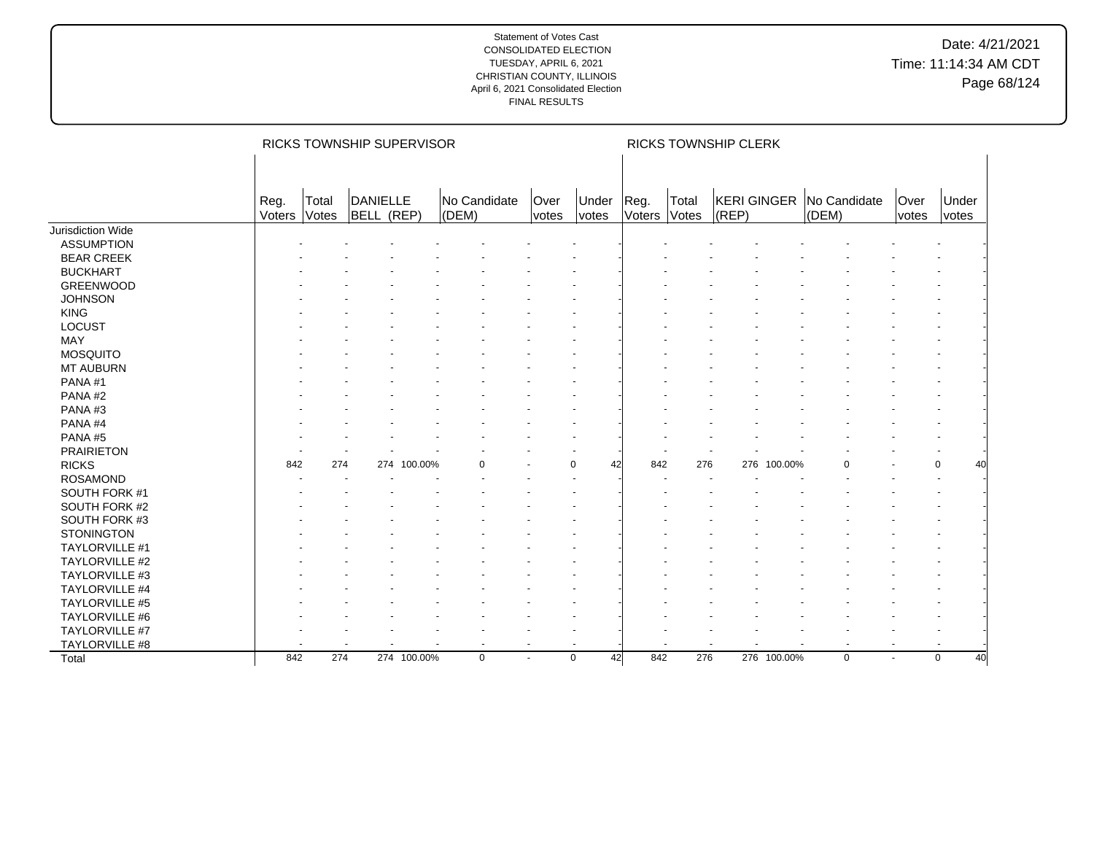|                       |                |                | RICKS TOWNSHIP SUPERVISOR |             |                       |               |                   |                |                | RICKS TOWNSHIP CLERK |             |                                     |               |                |    |
|-----------------------|----------------|----------------|---------------------------|-------------|-----------------------|---------------|-------------------|----------------|----------------|----------------------|-------------|-------------------------------------|---------------|----------------|----|
|                       | Reg.<br>Voters | Total<br>Votes | DANIELLE<br>BELL (REP)    |             | No Candidate<br>(DEM) | Over<br>votes | Under<br>votes    | Reg.<br>Voters | Total<br>Votes | $ $ (REP)            |             | KERI GINGER   No Candidate<br>(DEM) | Over<br>votes | Under<br>votes |    |
| Jurisdiction Wide     |                |                |                           |             |                       |               |                   |                |                |                      |             |                                     |               |                |    |
| <b>ASSUMPTION</b>     |                |                |                           |             |                       |               |                   |                |                |                      |             |                                     |               |                |    |
| <b>BEAR CREEK</b>     |                |                |                           |             |                       |               |                   |                |                |                      |             |                                     |               |                |    |
| <b>BUCKHART</b>       |                |                |                           |             |                       |               |                   |                |                |                      |             |                                     |               |                |    |
| <b>GREENWOOD</b>      |                |                |                           |             |                       |               |                   |                |                |                      |             |                                     |               |                |    |
| <b>JOHNSON</b>        |                |                |                           |             |                       |               |                   |                |                |                      |             |                                     |               |                |    |
| <b>KING</b>           |                |                |                           |             |                       |               |                   |                |                |                      |             |                                     |               |                |    |
| LOCUST                |                |                |                           |             |                       |               |                   |                |                |                      |             |                                     |               |                |    |
| MAY                   |                |                |                           |             |                       |               |                   |                |                |                      |             |                                     |               |                |    |
| <b>MOSQUITO</b>       |                |                |                           |             |                       |               |                   |                |                |                      |             |                                     |               |                |    |
| <b>MT AUBURN</b>      |                |                |                           |             |                       |               |                   |                |                |                      |             |                                     |               |                |    |
| PANA#1                |                |                |                           |             |                       |               |                   |                |                |                      |             |                                     |               |                |    |
| PANA#2                |                |                |                           |             |                       |               |                   |                |                |                      |             |                                     |               |                |    |
| PANA#3                |                |                |                           |             |                       |               |                   |                |                |                      |             |                                     |               |                |    |
| PANA#4                |                |                |                           |             |                       |               |                   |                |                |                      |             |                                     |               |                |    |
| PANA#5                |                |                |                           |             |                       |               |                   |                |                |                      |             |                                     |               |                |    |
| <b>PRAIRIETON</b>     |                |                |                           |             |                       |               |                   |                |                |                      |             |                                     |               |                |    |
| <b>RICKS</b>          | 842            | 274            | 274                       | 100.00%     | $\Omega$              |               | $\Omega$<br>42    | 842            | 276            | 276                  | 100.00%     |                                     |               | $\Omega$       | 40 |
| <b>ROSAMOND</b>       |                |                |                           |             |                       |               |                   |                |                |                      |             |                                     |               |                |    |
| SOUTH FORK #1         |                |                |                           |             |                       |               |                   |                |                |                      |             |                                     |               |                |    |
| SOUTH FORK #2         |                |                |                           |             |                       |               |                   |                |                |                      |             |                                     |               |                |    |
| SOUTH FORK #3         |                |                |                           |             |                       |               |                   |                |                |                      |             |                                     |               |                |    |
| <b>STONINGTON</b>     |                |                |                           |             |                       |               |                   |                |                |                      |             |                                     |               |                |    |
| <b>TAYLORVILLE #1</b> |                |                |                           |             |                       |               |                   |                |                |                      |             |                                     |               |                |    |
| <b>TAYLORVILLE #2</b> |                |                |                           |             |                       |               |                   |                |                |                      |             |                                     |               |                |    |
| <b>TAYLORVILLE #3</b> |                |                |                           |             |                       |               |                   |                |                |                      |             |                                     |               |                |    |
|                       |                |                |                           |             |                       |               |                   |                |                |                      |             |                                     |               |                |    |
| TAYLORVILLE #4        |                |                |                           |             |                       |               |                   |                |                |                      |             |                                     |               |                |    |
| TAYLORVILLE #5        |                |                |                           |             |                       |               |                   |                |                |                      |             |                                     |               |                |    |
| TAYLORVILLE #6        |                |                |                           |             |                       |               |                   |                |                |                      |             |                                     |               |                |    |
| TAYLORVILLE #7        |                |                |                           |             |                       |               |                   |                |                |                      |             |                                     |               |                |    |
| <b>TAYLORVILLE #8</b> |                |                |                           |             |                       |               |                   |                |                |                      |             |                                     |               |                |    |
| Total                 | 842            | 274            |                           | 274 100.00% | $\mathbf 0$           | $\sim$        | 42<br>$\mathbf 0$ | 842            | 276            |                      | 276 100.00% | $\mathbf 0$                         | $\sim$        | $\mathbf 0$    | 40 |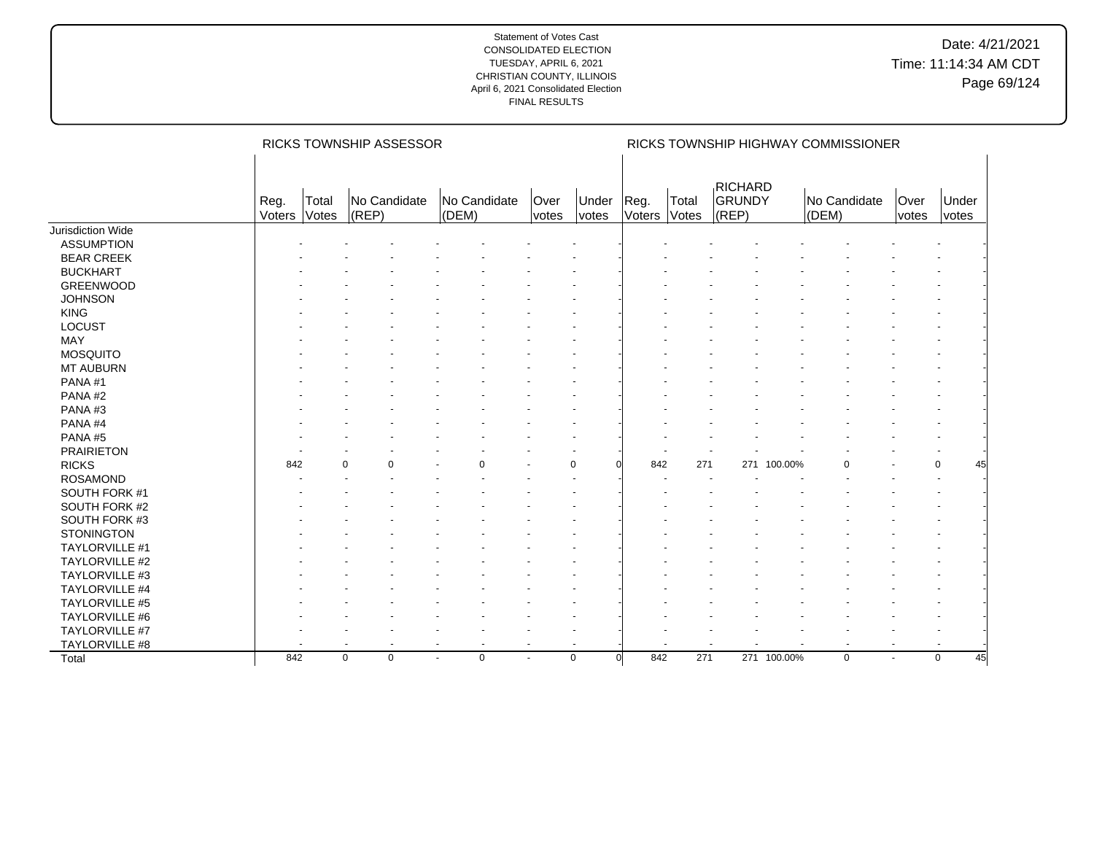|                       |                |                | RICKS TOWNSHIP ASSESSOR    |                |              |                          |                          |                 |                |                                   |             | RICKS TOWNSHIP HIGHWAY COMMISSIONER |               |                   |
|-----------------------|----------------|----------------|----------------------------|----------------|--------------|--------------------------|--------------------------|-----------------|----------------|-----------------------------------|-------------|-------------------------------------|---------------|-------------------|
|                       | Reg.<br>Voters | Total<br>Votes | No Candidate<br>(REP)      | (DEM)          | No Candidate | Over<br><i>votes</i>     | Under<br>votes           | Reg.<br>Voters  | Total<br>Votes | <b>RICHARD</b><br>GRUNDY<br>(REP) |             | No Candidate<br>(DEM)               | Over<br>votes | Under<br>votes    |
| Jurisdiction Wide     |                |                |                            |                |              |                          |                          |                 |                |                                   |             |                                     |               |                   |
| <b>ASSUMPTION</b>     |                |                |                            |                |              |                          |                          |                 |                |                                   |             |                                     |               |                   |
| <b>BEAR CREEK</b>     |                |                |                            |                |              |                          |                          |                 |                |                                   |             |                                     |               |                   |
| <b>BUCKHART</b>       |                |                |                            |                |              |                          |                          |                 |                |                                   |             |                                     |               |                   |
| <b>GREENWOOD</b>      |                |                |                            |                |              |                          |                          |                 |                |                                   |             |                                     |               |                   |
| <b>JOHNSON</b>        |                |                |                            |                |              |                          |                          |                 |                |                                   |             |                                     |               |                   |
| <b>KING</b>           |                |                |                            |                |              |                          |                          |                 |                |                                   |             |                                     |               |                   |
| LOCUST                |                |                |                            |                |              |                          |                          |                 |                |                                   |             |                                     |               |                   |
| <b>MAY</b>            |                |                |                            |                |              |                          |                          |                 |                |                                   |             |                                     |               |                   |
| <b>MOSQUITO</b>       |                |                |                            |                |              |                          |                          |                 |                |                                   |             |                                     |               |                   |
| <b>MT AUBURN</b>      |                |                |                            |                |              |                          |                          |                 |                |                                   |             |                                     |               |                   |
| PANA#1                |                |                |                            |                |              |                          |                          |                 |                |                                   |             |                                     |               |                   |
| PANA#2                |                |                |                            |                |              |                          |                          |                 |                |                                   |             |                                     |               |                   |
| PANA#3                |                |                |                            |                |              |                          |                          |                 |                |                                   |             |                                     |               |                   |
| PANA#4                |                |                |                            |                |              |                          |                          |                 |                |                                   |             |                                     |               |                   |
| PANA#5                |                |                |                            |                |              |                          |                          |                 |                |                                   |             |                                     |               |                   |
| <b>PRAIRIETON</b>     |                |                |                            |                |              |                          |                          |                 |                |                                   |             |                                     |               |                   |
| <b>RICKS</b>          | 842            |                | $\Omega$<br>O              |                | $\Omega$     |                          | $\mathbf 0$              | 842             | 271            | 271                               | 100.00%     |                                     |               | $\Omega$<br>45    |
| <b>ROSAMOND</b>       |                |                |                            |                |              |                          |                          |                 |                |                                   |             |                                     |               |                   |
| SOUTH FORK #1         |                |                |                            |                |              |                          |                          |                 |                |                                   |             |                                     |               |                   |
| SOUTH FORK #2         |                |                |                            |                |              |                          |                          |                 |                |                                   |             |                                     |               |                   |
| SOUTH FORK #3         |                |                |                            |                |              |                          |                          |                 |                |                                   |             |                                     |               |                   |
| <b>STONINGTON</b>     |                |                |                            |                |              |                          |                          |                 |                |                                   |             |                                     |               |                   |
| TAYLORVILLE #1        |                |                |                            |                |              |                          |                          |                 |                |                                   |             |                                     |               |                   |
| TAYLORVILLE #2        |                |                |                            |                |              |                          |                          |                 |                |                                   |             |                                     |               |                   |
| TAYLORVILLE #3        |                |                |                            |                |              |                          |                          |                 |                |                                   |             |                                     |               |                   |
| TAYLORVILLE #4        |                |                |                            |                |              |                          |                          |                 |                |                                   |             |                                     |               |                   |
| TAYLORVILLE #5        |                |                |                            |                |              |                          |                          |                 |                |                                   |             |                                     |               |                   |
| TAYLORVILLE #6        |                |                |                            |                |              |                          |                          |                 |                |                                   |             |                                     |               |                   |
| TAYLORVILLE #7        |                |                |                            |                |              |                          |                          |                 |                |                                   |             |                                     |               |                   |
| <b>TAYLORVILLE #8</b> |                |                |                            |                | ÷            | $\sim$                   | $\overline{\phantom{a}}$ |                 |                |                                   |             |                                     |               |                   |
| Total                 | 842            |                | $\mathbf 0$<br>$\mathbf 0$ | $\blacksquare$ | $\mathbf 0$  | $\overline{\phantom{a}}$ | $\mathbf 0$              | 842<br>$\Omega$ | 271            |                                   | 271 100.00% | $\mathbf 0$                         | $\sim$        | $\mathbf 0$<br>45 |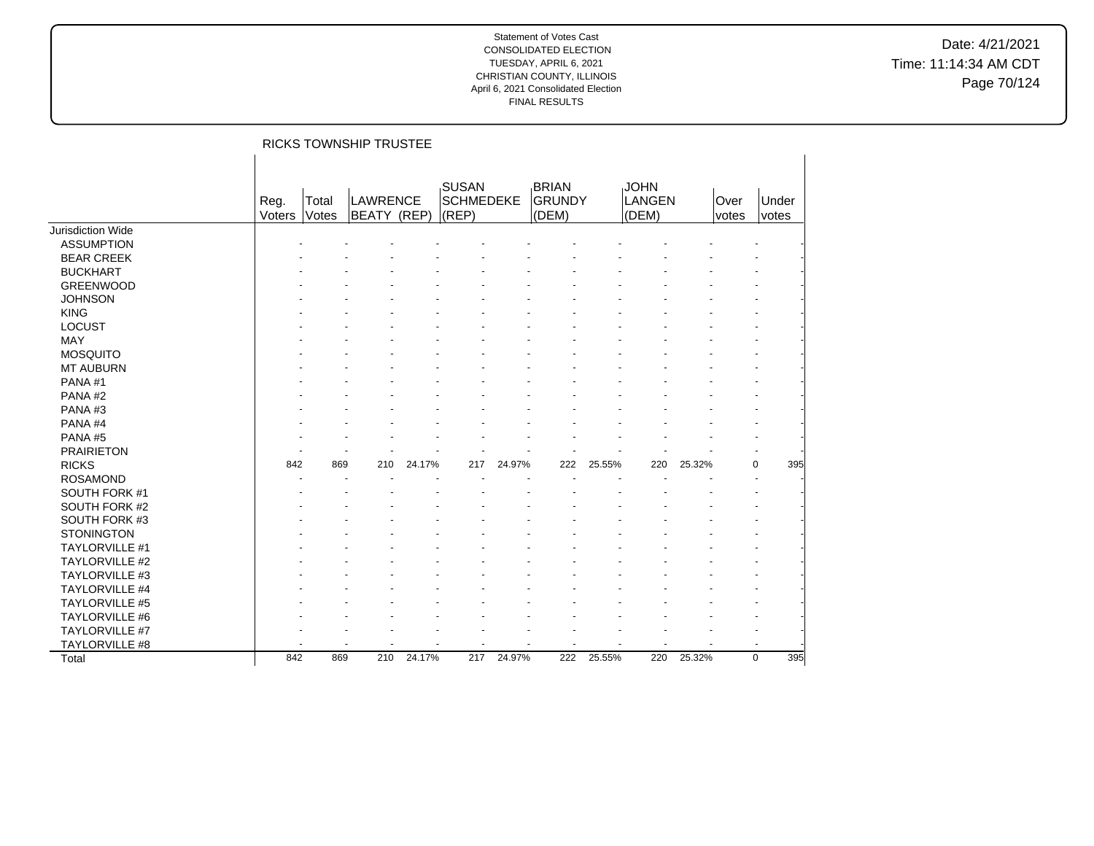Date: 4/21/2021 Time: 11:14:34 AM CDT Page 70/124

|                       |                |                | RICKS TOWNSHIP TRUSTEE  |        |                                    |        |                                        |        |                                       |        |               |                    |
|-----------------------|----------------|----------------|-------------------------|--------|------------------------------------|--------|----------------------------------------|--------|---------------------------------------|--------|---------------|--------------------|
|                       | Reg.<br>Voters | Total<br>Votes | LAWRENCE<br>BEATY (REP) |        | SUSAN<br><b>SCHMEDEKE</b><br>(REP) |        | <b>BRIAN</b><br><b>GRUNDY</b><br>(DEM) |        | <b>JOHN</b><br><b>LANGEN</b><br>(DEM) |        | Over<br>votes | Under<br>votes     |
| Jurisdiction Wide     |                |                |                         |        |                                    |        |                                        |        |                                       |        |               |                    |
| <b>ASSUMPTION</b>     |                |                |                         |        |                                    |        |                                        |        |                                       |        |               |                    |
| <b>BEAR CREEK</b>     |                |                |                         |        |                                    |        |                                        |        |                                       |        |               |                    |
| <b>BUCKHART</b>       |                |                |                         |        |                                    |        |                                        |        |                                       |        |               |                    |
| <b>GREENWOOD</b>      |                |                |                         |        |                                    |        |                                        |        |                                       |        |               |                    |
| <b>JOHNSON</b>        |                |                |                         |        |                                    |        |                                        |        |                                       |        |               |                    |
| <b>KING</b>           |                |                |                         |        |                                    |        |                                        |        |                                       |        |               |                    |
| <b>LOCUST</b>         |                |                |                         |        |                                    |        |                                        |        |                                       |        |               |                    |
| MAY                   |                |                |                         |        |                                    |        |                                        |        |                                       |        |               |                    |
| MOSQUITO              |                |                |                         |        |                                    |        |                                        |        |                                       |        |               |                    |
| <b>MT AUBURN</b>      |                |                |                         |        |                                    |        |                                        |        |                                       |        |               |                    |
| PANA#1                |                |                |                         |        |                                    |        |                                        |        |                                       |        |               |                    |
| PANA#2                |                |                |                         |        |                                    |        |                                        |        |                                       |        |               |                    |
| PANA#3                |                |                |                         |        |                                    |        |                                        |        |                                       |        |               |                    |
| PANA#4                |                |                |                         |        |                                    |        |                                        |        |                                       |        |               |                    |
| PANA#5                |                |                |                         |        |                                    |        |                                        |        |                                       |        |               |                    |
| <b>PRAIRIETON</b>     |                |                |                         |        |                                    |        |                                        |        |                                       |        |               |                    |
| <b>RICKS</b>          | 842            | 869            | 210                     | 24.17% | 217                                | 24.97% | 222                                    | 25.55% | 220                                   | 25.32% |               | 395<br>$\mathbf 0$ |
| <b>ROSAMOND</b>       |                |                |                         |        |                                    |        |                                        |        |                                       |        |               |                    |
| SOUTH FORK #1         |                |                |                         |        |                                    |        |                                        |        |                                       |        |               |                    |
| SOUTH FORK #2         |                |                |                         |        |                                    |        |                                        |        |                                       |        |               |                    |
| SOUTH FORK #3         |                |                |                         |        |                                    |        |                                        |        |                                       |        |               |                    |
| <b>STONINGTON</b>     |                |                |                         |        |                                    |        |                                        |        |                                       |        |               |                    |
| TAYLORVILLE #1        |                |                |                         |        |                                    |        |                                        |        |                                       |        |               |                    |
| TAYLORVILLE #2        |                |                |                         |        |                                    |        |                                        |        |                                       |        |               |                    |
| TAYLORVILLE #3        |                |                |                         |        |                                    |        |                                        |        |                                       |        |               |                    |
| TAYLORVILLE #4        |                |                |                         |        |                                    |        |                                        |        |                                       |        |               |                    |
| TAYLORVILLE #5        |                |                |                         |        |                                    |        |                                        |        |                                       |        |               |                    |
| <b>TAYLORVILLE #6</b> |                |                |                         |        |                                    |        |                                        |        |                                       |        |               |                    |
| TAYLORVILLE #7        |                |                |                         |        |                                    |        |                                        |        |                                       |        |               |                    |
| TAYLORVILLE #8        |                |                |                         |        |                                    |        |                                        |        |                                       |        |               |                    |
| Total                 | 842            | 869            | 210                     | 24.17% | 217                                | 24.97% | 222                                    | 25.55% | 220                                   | 25.32% |               | 395<br>$\mathbf 0$ |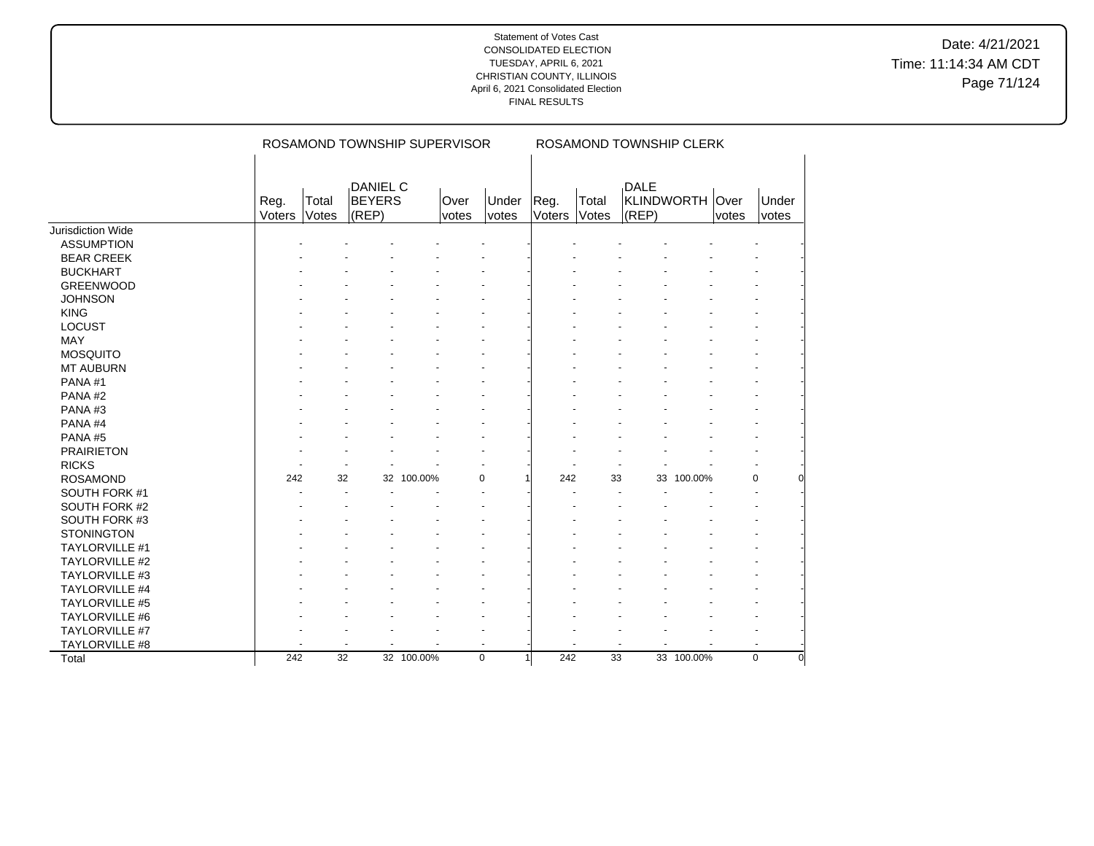Date: 4/21/2021 Time: 11:14:34 AM CDT Page 71/124

|                   |                |                | ROSAMOND TOWNSHIP SUPERVISOR              |            |               |                  |                |                 | ROSAMOND TOWNSHIP CLERK     |            |               |                |
|-------------------|----------------|----------------|-------------------------------------------|------------|---------------|------------------|----------------|-----------------|-----------------------------|------------|---------------|----------------|
|                   | Reg.<br>Voters | Total<br>Votes | <b>DANIEL C</b><br><b>BEYERS</b><br>(REP) |            | Over<br>votes | Under<br>votes   | Reg.<br>Voters | Total<br>Votes  | DALE<br>KLINDWORTH<br>(REP) |            | Over<br>votes | Under<br>votes |
| Jurisdiction Wide |                |                |                                           |            |               |                  |                |                 |                             |            |               |                |
| <b>ASSUMPTION</b> |                |                |                                           |            |               |                  |                |                 |                             |            |               |                |
| <b>BEAR CREEK</b> |                |                |                                           |            |               |                  |                |                 |                             |            |               |                |
| <b>BUCKHART</b>   |                |                |                                           |            |               |                  |                |                 |                             |            |               |                |
| GREENWOOD         |                |                |                                           |            |               |                  |                |                 |                             |            |               |                |
| <b>JOHNSON</b>    |                |                |                                           |            |               |                  |                |                 |                             |            |               |                |
| <b>KING</b>       |                |                |                                           |            |               |                  |                |                 |                             |            |               |                |
| <b>LOCUST</b>     |                |                |                                           |            |               |                  |                |                 |                             |            |               |                |
| MAY               |                |                |                                           |            |               |                  |                |                 |                             |            |               |                |
| <b>MOSQUITO</b>   |                |                |                                           |            |               |                  |                |                 |                             |            |               |                |
| <b>MT AUBURN</b>  |                |                |                                           |            |               |                  |                |                 |                             |            |               |                |
| PANA#1            |                |                |                                           |            |               |                  |                |                 |                             |            |               |                |
| PANA#2            |                |                |                                           |            |               |                  |                |                 |                             |            |               |                |
| PANA#3            |                |                |                                           |            |               |                  |                |                 |                             |            |               |                |
| PANA#4            |                |                |                                           |            |               |                  |                |                 |                             |            |               |                |
| PANA#5            |                |                |                                           |            |               |                  |                |                 |                             |            |               |                |
| <b>PRAIRIETON</b> |                |                |                                           |            |               |                  |                |                 |                             |            |               |                |
| <b>RICKS</b>      |                |                |                                           |            |               |                  |                |                 |                             |            |               |                |
| <b>ROSAMOND</b>   | 242            | 32             |                                           | 32 100.00% |               | $\mathbf 0$      | 242            | 33              |                             | 33 100.00% |               | $\Omega$       |
| SOUTH FORK #1     |                |                |                                           |            |               |                  |                |                 |                             |            |               |                |
| SOUTH FORK #2     |                |                |                                           |            |               |                  |                |                 |                             |            |               |                |
| SOUTH FORK #3     |                |                |                                           |            |               |                  |                |                 |                             |            |               |                |
| <b>STONINGTON</b> |                |                |                                           |            |               |                  |                |                 |                             |            |               |                |
| TAYLORVILLE #1    |                |                |                                           |            |               |                  |                |                 |                             |            |               |                |
| TAYLORVILLE #2    |                |                |                                           |            |               |                  |                |                 |                             |            |               |                |
| TAYLORVILLE #3    |                |                |                                           |            |               |                  |                |                 |                             |            |               |                |
| TAYLORVILLE #4    |                |                |                                           |            |               |                  |                |                 |                             |            |               |                |
| TAYLORVILLE #5    |                |                |                                           |            |               |                  |                |                 |                             |            |               |                |
| TAYLORVILLE #6    |                |                |                                           |            |               |                  |                |                 |                             |            |               |                |
| TAYLORVILLE #7    |                |                |                                           |            |               |                  |                |                 |                             |            |               |                |
| TAYLORVILLE #8    |                |                |                                           |            |               |                  |                |                 |                             |            |               |                |
| Total             | 242            | 32             |                                           | 32 100.00% |               | $\mathbf 0$<br>1 | 242            | $\overline{33}$ |                             | 33 100.00% |               | $\mathbf 0$    |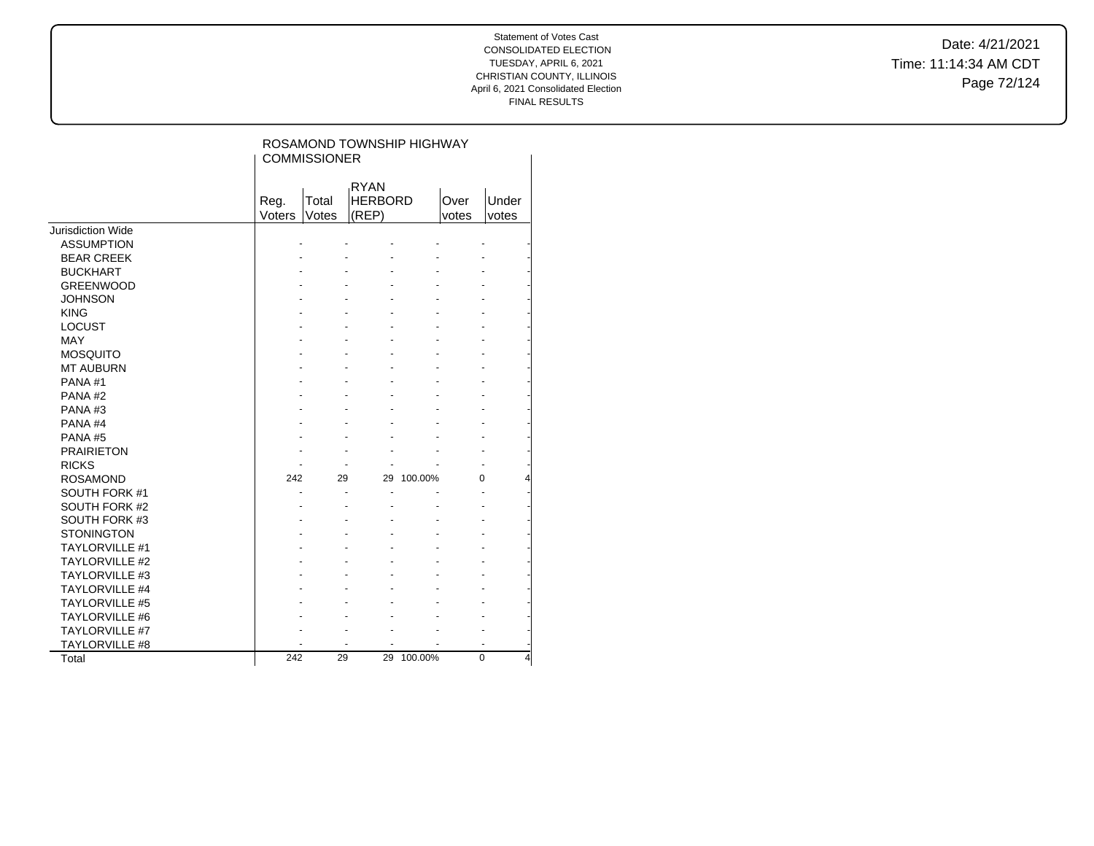Date: 4/21/2021 Time: 11:14:34 AM CDT Page 72/124

|                       | ROSAMOND TOWNSHIP HIGHWAY<br><b>COMMISSIONER</b> |                      |                                        |         |               |                |   |
|-----------------------|--------------------------------------------------|----------------------|----------------------------------------|---------|---------------|----------------|---|
|                       | Reg.<br>Voters                                   | Total<br>Votes       | <b>RYAN</b><br><b>HERBORD</b><br>(REP) |         | Over<br>votes | Under<br>votes |   |
| Jurisdiction Wide     |                                                  |                      |                                        |         |               |                |   |
| <b>ASSUMPTION</b>     |                                                  |                      |                                        |         |               |                |   |
| <b>BEAR CREEK</b>     |                                                  |                      |                                        |         |               |                |   |
| <b>BUCKHART</b>       |                                                  |                      |                                        |         |               |                |   |
| <b>GREENWOOD</b>      |                                                  |                      |                                        |         |               |                |   |
| <b>JOHNSON</b>        |                                                  |                      |                                        |         |               |                |   |
| <b>KING</b>           |                                                  |                      |                                        |         |               |                |   |
| <b>LOCUST</b>         |                                                  |                      |                                        |         |               |                |   |
| <b>MAY</b>            |                                                  |                      |                                        |         |               |                |   |
| <b>MOSQUITO</b>       |                                                  |                      |                                        |         |               |                |   |
| <b>MT AUBURN</b>      |                                                  |                      |                                        |         |               |                |   |
| PANA#1                |                                                  |                      |                                        |         |               |                |   |
| PANA#2                |                                                  |                      |                                        |         |               |                |   |
| PANA#3                |                                                  |                      |                                        |         |               |                |   |
| PANA#4                |                                                  |                      |                                        |         |               |                |   |
| PANA#5                |                                                  |                      |                                        |         |               |                |   |
| <b>PRAIRIETON</b>     |                                                  |                      |                                        |         |               |                |   |
| <b>RICKS</b>          |                                                  |                      |                                        |         |               |                |   |
| <b>ROSAMOND</b>       | 242                                              | 29                   | 29                                     | 100.00% |               | 0              | 4 |
| SOUTH FORK #1         |                                                  | $\ddot{\phantom{1}}$ | ä,<br>$\ddot{\phantom{1}}$             |         |               |                |   |
| SOUTH FORK #2         |                                                  |                      |                                        |         |               |                |   |
| SOUTH FORK #3         |                                                  |                      |                                        |         |               |                |   |
| <b>STONINGTON</b>     |                                                  |                      |                                        |         |               |                |   |
| <b>TAYLORVILLE #1</b> |                                                  |                      |                                        |         |               |                |   |
| <b>TAYLORVILLE #2</b> |                                                  |                      |                                        |         |               |                |   |
| <b>TAYLORVILLE #3</b> |                                                  |                      |                                        |         |               |                |   |
| <b>TAYLORVILLE #4</b> |                                                  |                      |                                        |         |               |                |   |
| <b>TAYLORVILLE #5</b> |                                                  |                      |                                        |         |               |                |   |
| <b>TAYLORVILLE #6</b> |                                                  |                      |                                        |         |               |                |   |
| TAYLORVILLE #7        |                                                  |                      |                                        |         |               |                |   |
| <b>TAYLORVILLE #8</b> |                                                  |                      |                                        |         |               |                |   |
| Total                 | 242                                              | 29                   | 29                                     | 100.00% |               | $\Omega$       | 4 |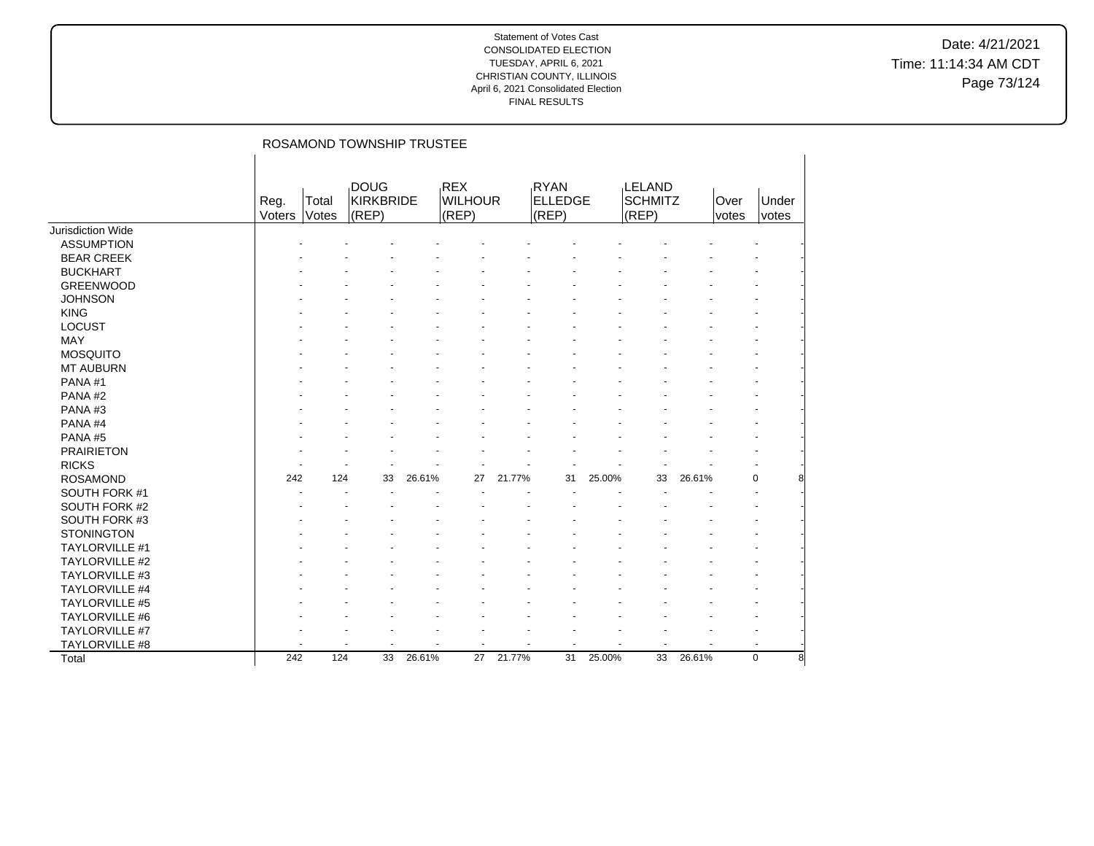Date: 4/21/2021 Time: 11:14:34 AM CDT Page 73/124

|                          |                |                | ROSAMOND TOWNSHIP TRUSTEE                |        |                                       |        |                          |        |                            |        |               |                |
|--------------------------|----------------|----------------|------------------------------------------|--------|---------------------------------------|--------|--------------------------|--------|----------------------------|--------|---------------|----------------|
|                          | Reg.<br>Voters | Total<br>Votes | <b>DOUG</b><br><b>KIRKBRIDE</b><br>(REP) |        | <b>REX</b><br><b>WILHOUR</b><br>(REP) |        | RYAN<br>ELLEDGE<br>(REP) |        | LELAND<br>SCHMITZ<br>(REP) |        | Over<br>votes | Under<br>votes |
| <b>Jurisdiction Wide</b> |                |                |                                          |        |                                       |        |                          |        |                            |        |               |                |
| <b>ASSUMPTION</b>        |                |                |                                          |        |                                       |        |                          |        |                            |        |               |                |
| <b>BEAR CREEK</b>        |                |                |                                          |        |                                       |        |                          |        |                            |        |               |                |
| <b>BUCKHART</b>          |                |                |                                          |        |                                       |        |                          |        |                            |        |               |                |
| <b>GREENWOOD</b>         |                |                |                                          |        |                                       |        |                          |        |                            |        |               |                |
| <b>JOHNSON</b>           |                |                |                                          |        |                                       |        |                          |        |                            |        |               |                |
| <b>KING</b>              |                |                |                                          |        |                                       |        |                          |        |                            |        |               |                |
| <b>LOCUST</b>            |                |                |                                          |        |                                       |        |                          |        |                            |        |               |                |
| MAY                      |                |                |                                          |        |                                       |        |                          |        |                            |        |               |                |
| <b>MOSQUITO</b>          |                |                |                                          |        |                                       |        |                          |        |                            |        |               |                |
| <b>MT AUBURN</b>         |                |                |                                          |        |                                       |        |                          |        |                            |        |               |                |
| PANA#1                   |                |                |                                          |        |                                       |        |                          |        |                            |        |               |                |
| PANA#2                   |                |                |                                          |        |                                       |        |                          |        |                            |        |               |                |
| PANA#3                   |                |                |                                          |        |                                       |        |                          |        |                            |        |               |                |
| PANA#4                   |                |                |                                          |        |                                       |        |                          |        |                            |        |               |                |
| PANA#5                   |                |                |                                          |        |                                       |        |                          |        |                            |        |               |                |
| <b>PRAIRIETON</b>        |                |                |                                          |        |                                       |        |                          |        |                            |        |               |                |
| <b>RICKS</b>             |                |                |                                          |        |                                       |        |                          |        |                            |        |               |                |
| <b>ROSAMOND</b>          | 242            | 124            | 33                                       | 26.61% | 27                                    | 21.77% | 31                       | 25.00% | 33                         | 26.61% |               | 0              |
| SOUTH FORK #1            |                |                |                                          |        |                                       |        |                          |        |                            |        |               |                |
| SOUTH FORK #2            |                |                |                                          |        |                                       |        |                          |        |                            |        |               |                |
| SOUTH FORK #3            |                |                |                                          |        |                                       |        |                          |        |                            |        |               |                |
| <b>STONINGTON</b>        |                |                |                                          |        |                                       |        |                          |        |                            |        |               |                |
| TAYLORVILLE #1           |                |                |                                          |        |                                       |        |                          |        |                            |        |               |                |
| TAYLORVILLE #2           |                |                |                                          |        |                                       |        |                          |        |                            |        |               |                |
| TAYLORVILLE #3           |                |                |                                          |        |                                       |        |                          |        |                            |        |               |                |
| TAYLORVILLE #4           |                |                |                                          |        |                                       |        |                          |        |                            |        |               |                |
| <b>TAYLORVILLE #5</b>    |                |                |                                          |        |                                       |        |                          |        |                            |        |               |                |
| TAYLORVILLE #6           |                |                |                                          |        |                                       |        |                          |        |                            |        |               |                |
| TAYLORVILLE #7           |                |                |                                          |        |                                       |        |                          |        |                            |        |               |                |
| TAYLORVILLE #8           |                |                | ÷                                        |        |                                       |        | $\overline{\phantom{a}}$ |        |                            |        |               | $\blacksquare$ |
| Total                    | 242            | 124            | 33                                       | 26.61% | 27                                    | 21.77% | 31                       | 25.00% | 33                         | 26.61% |               | 0              |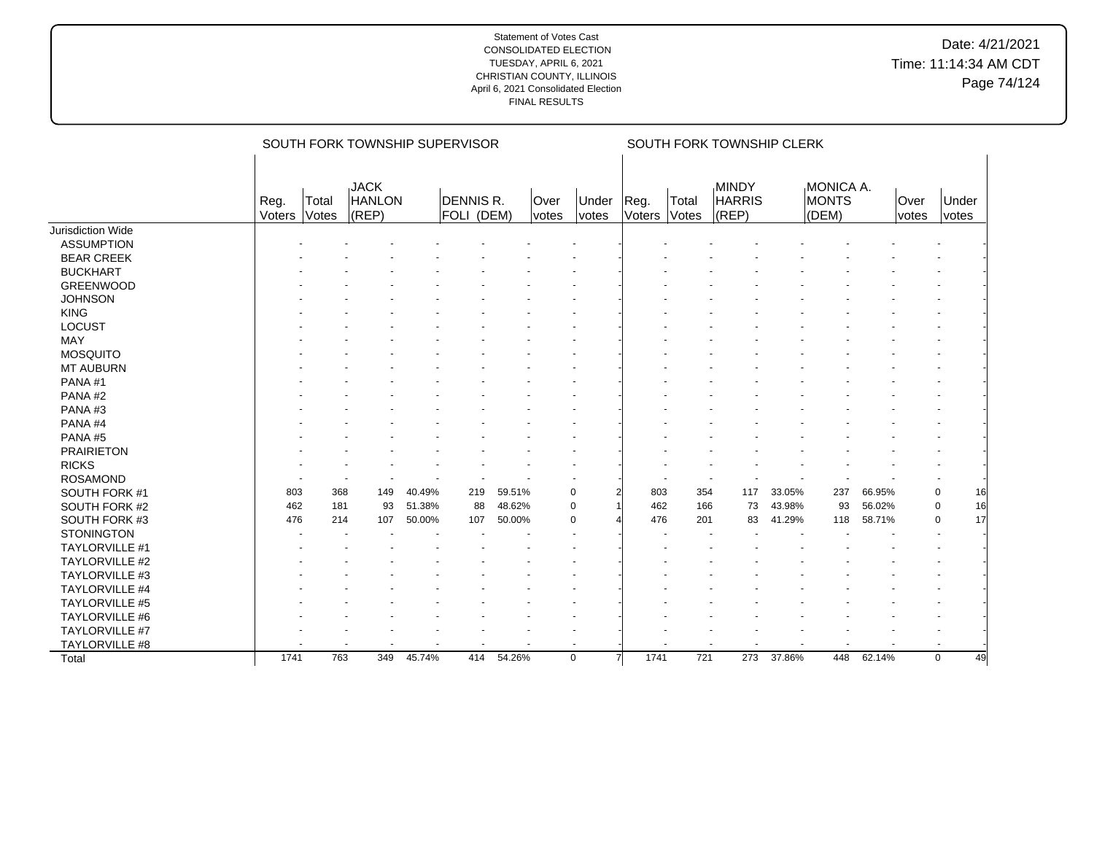|                       |                |                | SOUTH FORK TOWNSHIP SUPERVISOR        |        |                                |        |                      |                |                |                | SOUTH FORK TOWNSHIP CLERK              |        |                             |        |               |                |
|-----------------------|----------------|----------------|---------------------------------------|--------|--------------------------------|--------|----------------------|----------------|----------------|----------------|----------------------------------------|--------|-----------------------------|--------|---------------|----------------|
|                       | Reg.<br>Voters | Total<br>Votes | <b>JACK</b><br><b>HANLON</b><br>(REP) |        | <b>DENNIS R.</b><br>FOLI (DEM) |        | Over<br><i>votes</i> | Under<br>votes | Reg.<br>Voters | Total<br>Votes | <b>MINDY</b><br><b>HARRIS</b><br>(REP) |        | MONICA A.<br>MONTS<br>(DEM) |        | Over<br>votes | Under<br>votes |
| Jurisdiction Wide     |                |                |                                       |        |                                |        |                      |                |                |                |                                        |        |                             |        |               |                |
| <b>ASSUMPTION</b>     |                |                |                                       |        |                                |        |                      |                |                |                |                                        |        |                             |        |               |                |
| <b>BEAR CREEK</b>     |                |                |                                       |        |                                |        |                      |                |                |                |                                        |        |                             |        |               |                |
| <b>BUCKHART</b>       |                |                |                                       |        |                                |        |                      |                |                |                |                                        |        |                             |        |               |                |
| <b>GREENWOOD</b>      |                |                |                                       |        |                                |        |                      |                |                |                |                                        |        |                             |        |               |                |
| <b>JOHNSON</b>        |                |                |                                       |        |                                |        |                      |                |                |                |                                        |        |                             |        |               |                |
| <b>KING</b>           |                |                |                                       |        |                                |        |                      |                |                |                |                                        |        |                             |        |               |                |
| LOCUST                |                |                |                                       |        |                                |        |                      |                |                |                |                                        |        |                             |        |               |                |
| MAY                   |                |                |                                       |        |                                |        |                      |                |                |                |                                        |        |                             |        |               |                |
| <b>MOSQUITO</b>       |                |                |                                       |        |                                |        |                      |                |                |                |                                        |        |                             |        |               |                |
| <b>MT AUBURN</b>      |                |                |                                       |        |                                |        |                      |                |                |                |                                        |        |                             |        |               |                |
| PANA#1                |                |                |                                       |        |                                |        |                      |                |                |                |                                        |        |                             |        |               |                |
| PANA#2                |                |                |                                       |        |                                |        |                      |                |                |                |                                        |        |                             |        |               |                |
| PANA#3                |                |                |                                       |        |                                |        |                      |                |                |                |                                        |        |                             |        |               |                |
| PANA#4                |                |                |                                       |        |                                |        |                      |                |                |                |                                        |        |                             |        |               |                |
| PANA#5                |                |                |                                       |        |                                |        |                      |                |                |                |                                        |        |                             |        |               |                |
| <b>PRAIRIETON</b>     |                |                |                                       |        |                                |        |                      |                |                |                |                                        |        |                             |        |               |                |
| <b>RICKS</b>          |                |                |                                       |        |                                |        |                      |                |                |                |                                        |        |                             |        |               |                |
| <b>ROSAMOND</b>       |                |                |                                       |        |                                |        |                      |                |                |                |                                        |        |                             |        |               |                |
| SOUTH FORK #1         | 803            | 368            | 149                                   | 40.49% | 219                            | 59.51% |                      | $\mathbf 0$    | 803            | 354            | 117                                    | 33.05% | 237                         | 66.95% | $\mathbf 0$   | 16             |
| SOUTH FORK #2         | 462            | 181            | 93                                    | 51.38% | 88                             | 48.62% |                      | $\Omega$       | 462            | 166            | 73                                     | 43.98% | 93                          | 56.02% | $\mathbf 0$   | 16             |
| SOUTH FORK #3         | 476            | 214            | 107                                   | 50.00% | 107                            | 50.00% |                      | $\Omega$       | 476            | 201            | 83                                     | 41.29% | 118                         | 58.71% | $\mathbf 0$   | 17             |
| <b>STONINGTON</b>     |                |                |                                       |        |                                |        |                      |                |                |                |                                        |        |                             |        |               |                |
| <b>TAYLORVILLE #1</b> |                |                |                                       |        |                                |        |                      |                |                |                |                                        |        |                             |        |               |                |
| <b>TAYLORVILLE #2</b> |                |                |                                       |        |                                |        |                      |                |                |                |                                        |        |                             |        |               |                |
| TAYLORVILLE #3        |                |                |                                       |        |                                |        |                      |                |                |                |                                        |        |                             |        |               |                |
| TAYLORVILLE #4        |                |                |                                       |        |                                |        |                      |                |                |                |                                        |        |                             |        |               |                |
| <b>TAYLORVILLE #5</b> |                |                |                                       |        |                                |        |                      |                |                |                |                                        |        |                             |        |               |                |
| TAYLORVILLE #6        |                |                |                                       |        |                                |        |                      |                |                |                |                                        |        |                             |        |               |                |
| TAYLORVILLE #7        |                |                |                                       |        |                                |        |                      |                |                |                |                                        |        |                             |        |               |                |
| TAYLORVILLE #8        |                |                |                                       |        |                                |        |                      |                |                |                |                                        |        |                             |        |               |                |
| Total                 | 1741           | 763            | 349                                   | 45.74% | 414                            | 54.26% |                      | $\mathbf 0$    | 1741           | 721            | 273                                    | 37.86% | 448                         | 62.14% | $\mathbf 0$   | 49             |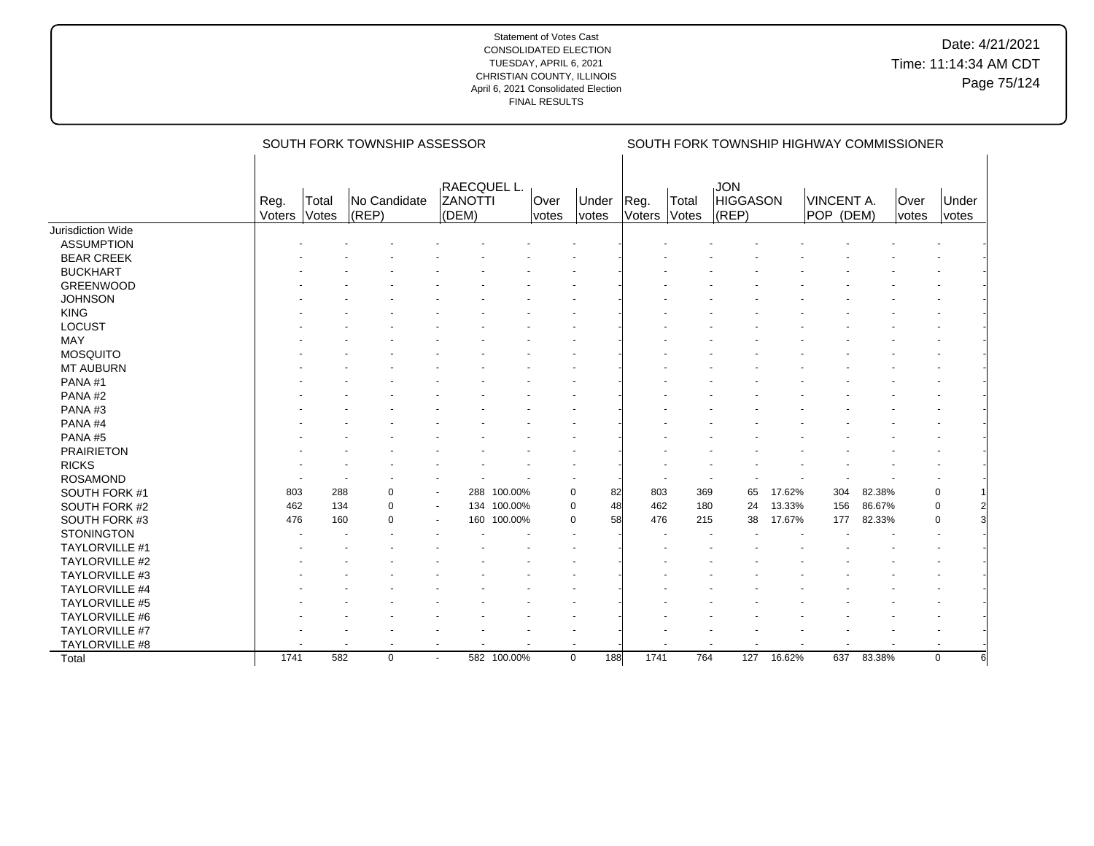|                       |                |                | SOUTH FORK TOWNSHIP ASSESSOR |                                 |                      |                       |                |                | SOUTH FORK TOWNSHIP HIGHWAY COMMISSIONER |        |                                |        |               |                |
|-----------------------|----------------|----------------|------------------------------|---------------------------------|----------------------|-----------------------|----------------|----------------|------------------------------------------|--------|--------------------------------|--------|---------------|----------------|
|                       | Reg.<br>Voters | Total<br>Votes | No Candidate<br>$ $ (REP)    | RAECQUEL L.<br>ZANOTTI<br>(DEM) | Over<br><i>votes</i> | Under<br><b>votes</b> | Reg.<br>Voters | Total<br>Votes | JON<br><b>HIGGASON</b><br>$ $ (REP)      |        | <b>VINCENT A.</b><br>POP (DEM) |        | Over<br>votes | Under<br>votes |
| Jurisdiction Wide     |                |                |                              |                                 |                      |                       |                |                |                                          |        |                                |        |               |                |
| <b>ASSUMPTION</b>     |                |                |                              |                                 |                      |                       |                |                |                                          |        |                                |        |               |                |
| <b>BEAR CREEK</b>     |                |                |                              |                                 |                      |                       |                |                |                                          |        |                                |        |               |                |
| <b>BUCKHART</b>       |                |                |                              |                                 |                      |                       |                |                |                                          |        |                                |        |               |                |
| <b>GREENWOOD</b>      |                |                |                              |                                 |                      |                       |                |                |                                          |        |                                |        |               |                |
| <b>JOHNSON</b>        |                |                |                              |                                 |                      |                       |                |                |                                          |        |                                |        |               |                |
| <b>KING</b>           |                |                |                              |                                 |                      |                       |                |                |                                          |        |                                |        |               |                |
| <b>LOCUST</b>         |                |                |                              |                                 |                      |                       |                |                |                                          |        |                                |        |               |                |
| MAY                   |                |                |                              |                                 |                      |                       |                |                |                                          |        |                                |        |               |                |
| <b>MOSQUITO</b>       |                |                |                              |                                 |                      |                       |                |                |                                          |        |                                |        |               |                |
| <b>MT AUBURN</b>      |                |                |                              |                                 |                      |                       |                |                |                                          |        |                                |        |               |                |
| PANA#1                |                |                |                              |                                 |                      |                       |                |                |                                          |        |                                |        |               |                |
| PANA#2                |                |                |                              |                                 |                      |                       |                |                |                                          |        |                                |        |               |                |
| PANA#3                |                |                |                              |                                 |                      |                       |                |                |                                          |        |                                |        |               |                |
| PANA#4                |                |                |                              |                                 |                      |                       |                |                |                                          |        |                                |        |               |                |
| PANA#5                |                |                |                              |                                 |                      |                       |                |                |                                          |        |                                |        |               |                |
| <b>PRAIRIETON</b>     |                |                |                              |                                 |                      |                       |                |                |                                          |        |                                |        |               |                |
| <b>RICKS</b>          |                |                |                              |                                 |                      |                       |                |                |                                          |        |                                |        |               |                |
| <b>ROSAMOND</b>       |                |                |                              |                                 |                      |                       |                |                |                                          |        |                                |        |               |                |
| SOUTH FORK #1         | 803            | 288            | $\Omega$                     | 288                             | 100.00%              | 0                     | 82             | 803<br>369     | 65                                       | 17.62% | 304                            | 82.38% | 0             |                |
| SOUTH FORK #2         | 462            | 134            | $\Omega$                     |                                 | 134 100.00%          | $\mathbf 0$           | 48             | 462<br>180     | 24                                       | 13.33% | 156                            | 86.67% | 0             |                |
| SOUTH FORK #3         | 476            | 160            | $\Omega$                     | 160                             | 100.00%              | $\Omega$              | 58             | 476<br>215     | 38                                       | 17.67% | 177                            | 82.33% | 0             | 3              |
| <b>STONINGTON</b>     |                |                |                              |                                 |                      |                       |                |                |                                          |        |                                |        |               |                |
| <b>TAYLORVILLE #1</b> |                |                |                              |                                 |                      |                       |                |                |                                          |        |                                |        |               |                |
| <b>TAYLORVILLE #2</b> |                |                |                              |                                 |                      |                       |                |                |                                          |        |                                |        |               |                |
| TAYLORVILLE #3        |                |                |                              |                                 |                      |                       |                |                |                                          |        |                                |        |               |                |
| <b>TAYLORVILLE #4</b> |                |                |                              |                                 |                      |                       |                |                |                                          |        |                                |        |               |                |
| TAYLORVILLE #5        |                |                |                              |                                 |                      |                       |                |                |                                          |        |                                |        |               |                |
| <b>TAYLORVILLE #6</b> |                |                |                              |                                 |                      |                       |                |                |                                          |        |                                |        |               |                |
| TAYLORVILLE #7        |                |                |                              |                                 |                      |                       |                |                |                                          |        |                                |        |               |                |
| TAYLORVILLE #8        |                |                |                              |                                 |                      |                       |                |                | ÷                                        |        |                                |        |               |                |
| Total                 | 1741           | 582            | $\mathbf 0$                  | $\sim$                          | 582 100.00%          | $\mathbf 0$           | 188<br>1741    | 764            | 127                                      | 16.62% | 637                            | 83.38% | $\mathbf 0$   |                |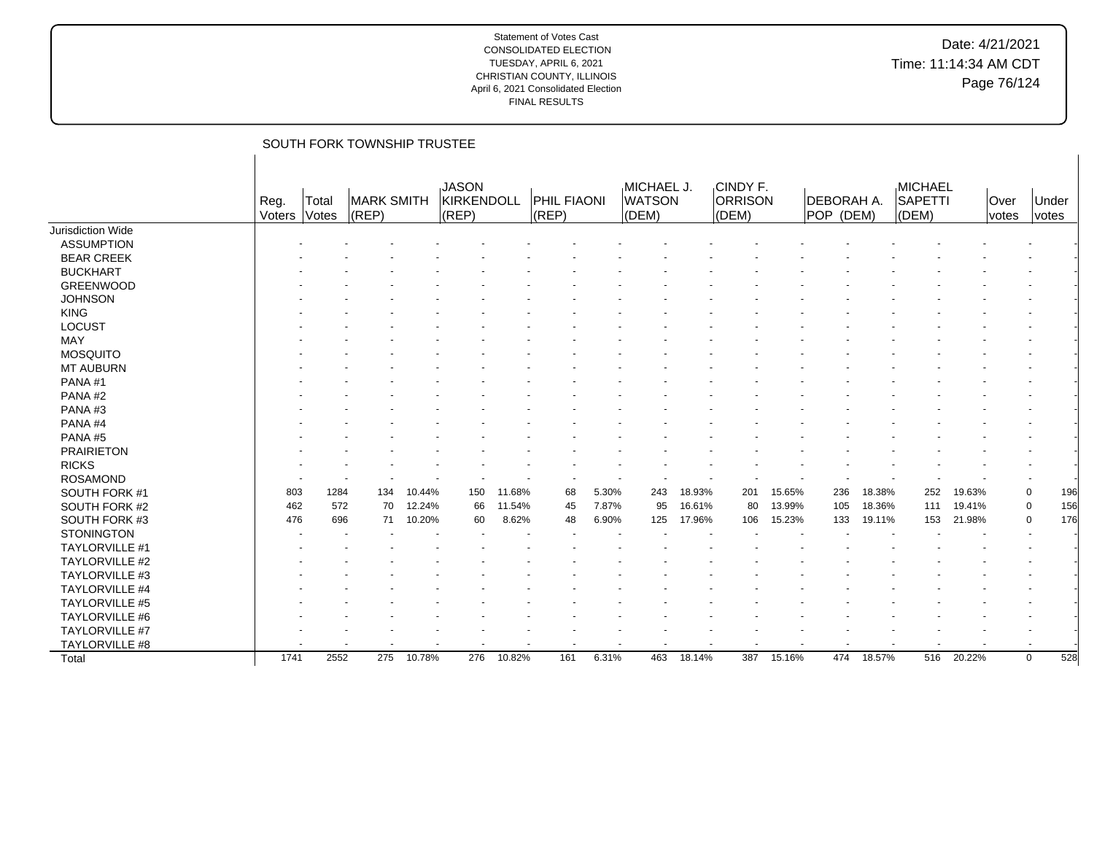# Date: 4/21/2021 Time: 11:14:34 AM CDT Page 76/124

| <b>JASON</b><br>MICHAEL J.<br>CINDY F.<br>MICHAEL<br><b>KIRKENDOLL</b><br><b>PHIL FIAONI</b><br><b>WATSON</b><br><b>ORRISON</b><br><b>SAPETTI</b><br>MARK SMITH<br><b>DEBORAH A.</b><br>Reg.<br>Under<br>Total<br>lOver<br>Voters<br>Votes<br>$ $ (REP)<br>(REP)<br>$ $ (REP)<br>(DEM)<br>(DEM)<br>POP (DEM)<br>(DEM)<br>votes<br>votes<br>Jurisdiction Wide<br><b>ASSUMPTION</b><br><b>BEAR CREEK</b><br><b>BUCKHART</b><br><b>GREENWOOD</b><br><b>JOHNSON</b><br><b>KING</b><br><b>LOCUST</b><br>MAY<br><b>MOSQUITO</b><br><b>MT AUBURN</b><br>PANA#1<br>PANA#2<br>PANA#3<br>PANA#4<br>PANA#5<br><b>PRAIRIETON</b><br><b>RICKS</b><br><b>ROSAMOND</b><br>11.68%<br>SOUTH FORK #1<br>803<br>1284<br>134<br>10.44%<br>68<br>5.30%<br>243<br>18.93%<br>201<br>15.65%<br>236<br>18.38%<br>252<br>19.63%<br>150<br>$\Omega$<br>156<br>572<br>70<br>12.24%<br>11.54%<br>7.87%<br>95<br>16.61%<br>80<br>13.99%<br>18.36%<br>SOUTH FORK #2<br>462<br>66<br>45<br>105<br>19.41%<br>$\Omega$<br>111<br>SOUTH FORK #3<br>10.20%<br>8.62%<br>17.96%<br>15.23%<br>19.11%<br>476<br>696<br>71<br>60<br>48<br>6.90%<br>125<br>106<br>133<br>153<br>21.98%<br>$\Omega$<br><b>STONINGTON</b><br>TAYLORVILLE #1<br><b>TAYLORVILLE #2</b><br><b>TAYLORVILLE #3</b><br>TAYLORVILLE #4<br><b>TAYLORVILLE #5</b><br>TAYLORVILLE #6<br><b>TAYLORVILLE #7</b><br>TAYLORVILLE #8<br>2552<br>10.78%<br>276<br>10.82%<br>6.31%<br>$18.14\%$<br>15.16%<br>18.57%<br>20.22%<br>1741<br>275<br>161<br>463<br>387<br>474<br>516<br>$\mathbf 0$<br>Total |  | SOUTH FORK TOWNSHIP TRUSTEE |  |  |  |  |  |  |  |     |
|----------------------------------------------------------------------------------------------------------------------------------------------------------------------------------------------------------------------------------------------------------------------------------------------------------------------------------------------------------------------------------------------------------------------------------------------------------------------------------------------------------------------------------------------------------------------------------------------------------------------------------------------------------------------------------------------------------------------------------------------------------------------------------------------------------------------------------------------------------------------------------------------------------------------------------------------------------------------------------------------------------------------------------------------------------------------------------------------------------------------------------------------------------------------------------------------------------------------------------------------------------------------------------------------------------------------------------------------------------------------------------------------------------------------------------------------------------------------------------------------------------------------------|--|-----------------------------|--|--|--|--|--|--|--|-----|
|                                                                                                                                                                                                                                                                                                                                                                                                                                                                                                                                                                                                                                                                                                                                                                                                                                                                                                                                                                                                                                                                                                                                                                                                                                                                                                                                                                                                                                                                                                                            |  |                             |  |  |  |  |  |  |  |     |
|                                                                                                                                                                                                                                                                                                                                                                                                                                                                                                                                                                                                                                                                                                                                                                                                                                                                                                                                                                                                                                                                                                                                                                                                                                                                                                                                                                                                                                                                                                                            |  |                             |  |  |  |  |  |  |  |     |
|                                                                                                                                                                                                                                                                                                                                                                                                                                                                                                                                                                                                                                                                                                                                                                                                                                                                                                                                                                                                                                                                                                                                                                                                                                                                                                                                                                                                                                                                                                                            |  |                             |  |  |  |  |  |  |  |     |
|                                                                                                                                                                                                                                                                                                                                                                                                                                                                                                                                                                                                                                                                                                                                                                                                                                                                                                                                                                                                                                                                                                                                                                                                                                                                                                                                                                                                                                                                                                                            |  |                             |  |  |  |  |  |  |  |     |
|                                                                                                                                                                                                                                                                                                                                                                                                                                                                                                                                                                                                                                                                                                                                                                                                                                                                                                                                                                                                                                                                                                                                                                                                                                                                                                                                                                                                                                                                                                                            |  |                             |  |  |  |  |  |  |  |     |
|                                                                                                                                                                                                                                                                                                                                                                                                                                                                                                                                                                                                                                                                                                                                                                                                                                                                                                                                                                                                                                                                                                                                                                                                                                                                                                                                                                                                                                                                                                                            |  |                             |  |  |  |  |  |  |  |     |
|                                                                                                                                                                                                                                                                                                                                                                                                                                                                                                                                                                                                                                                                                                                                                                                                                                                                                                                                                                                                                                                                                                                                                                                                                                                                                                                                                                                                                                                                                                                            |  |                             |  |  |  |  |  |  |  |     |
|                                                                                                                                                                                                                                                                                                                                                                                                                                                                                                                                                                                                                                                                                                                                                                                                                                                                                                                                                                                                                                                                                                                                                                                                                                                                                                                                                                                                                                                                                                                            |  |                             |  |  |  |  |  |  |  |     |
|                                                                                                                                                                                                                                                                                                                                                                                                                                                                                                                                                                                                                                                                                                                                                                                                                                                                                                                                                                                                                                                                                                                                                                                                                                                                                                                                                                                                                                                                                                                            |  |                             |  |  |  |  |  |  |  |     |
|                                                                                                                                                                                                                                                                                                                                                                                                                                                                                                                                                                                                                                                                                                                                                                                                                                                                                                                                                                                                                                                                                                                                                                                                                                                                                                                                                                                                                                                                                                                            |  |                             |  |  |  |  |  |  |  |     |
|                                                                                                                                                                                                                                                                                                                                                                                                                                                                                                                                                                                                                                                                                                                                                                                                                                                                                                                                                                                                                                                                                                                                                                                                                                                                                                                                                                                                                                                                                                                            |  |                             |  |  |  |  |  |  |  |     |
|                                                                                                                                                                                                                                                                                                                                                                                                                                                                                                                                                                                                                                                                                                                                                                                                                                                                                                                                                                                                                                                                                                                                                                                                                                                                                                                                                                                                                                                                                                                            |  |                             |  |  |  |  |  |  |  |     |
|                                                                                                                                                                                                                                                                                                                                                                                                                                                                                                                                                                                                                                                                                                                                                                                                                                                                                                                                                                                                                                                                                                                                                                                                                                                                                                                                                                                                                                                                                                                            |  |                             |  |  |  |  |  |  |  |     |
|                                                                                                                                                                                                                                                                                                                                                                                                                                                                                                                                                                                                                                                                                                                                                                                                                                                                                                                                                                                                                                                                                                                                                                                                                                                                                                                                                                                                                                                                                                                            |  |                             |  |  |  |  |  |  |  |     |
|                                                                                                                                                                                                                                                                                                                                                                                                                                                                                                                                                                                                                                                                                                                                                                                                                                                                                                                                                                                                                                                                                                                                                                                                                                                                                                                                                                                                                                                                                                                            |  |                             |  |  |  |  |  |  |  |     |
|                                                                                                                                                                                                                                                                                                                                                                                                                                                                                                                                                                                                                                                                                                                                                                                                                                                                                                                                                                                                                                                                                                                                                                                                                                                                                                                                                                                                                                                                                                                            |  |                             |  |  |  |  |  |  |  |     |
|                                                                                                                                                                                                                                                                                                                                                                                                                                                                                                                                                                                                                                                                                                                                                                                                                                                                                                                                                                                                                                                                                                                                                                                                                                                                                                                                                                                                                                                                                                                            |  |                             |  |  |  |  |  |  |  |     |
|                                                                                                                                                                                                                                                                                                                                                                                                                                                                                                                                                                                                                                                                                                                                                                                                                                                                                                                                                                                                                                                                                                                                                                                                                                                                                                                                                                                                                                                                                                                            |  |                             |  |  |  |  |  |  |  |     |
|                                                                                                                                                                                                                                                                                                                                                                                                                                                                                                                                                                                                                                                                                                                                                                                                                                                                                                                                                                                                                                                                                                                                                                                                                                                                                                                                                                                                                                                                                                                            |  |                             |  |  |  |  |  |  |  |     |
|                                                                                                                                                                                                                                                                                                                                                                                                                                                                                                                                                                                                                                                                                                                                                                                                                                                                                                                                                                                                                                                                                                                                                                                                                                                                                                                                                                                                                                                                                                                            |  |                             |  |  |  |  |  |  |  |     |
|                                                                                                                                                                                                                                                                                                                                                                                                                                                                                                                                                                                                                                                                                                                                                                                                                                                                                                                                                                                                                                                                                                                                                                                                                                                                                                                                                                                                                                                                                                                            |  |                             |  |  |  |  |  |  |  | 196 |
|                                                                                                                                                                                                                                                                                                                                                                                                                                                                                                                                                                                                                                                                                                                                                                                                                                                                                                                                                                                                                                                                                                                                                                                                                                                                                                                                                                                                                                                                                                                            |  |                             |  |  |  |  |  |  |  |     |
|                                                                                                                                                                                                                                                                                                                                                                                                                                                                                                                                                                                                                                                                                                                                                                                                                                                                                                                                                                                                                                                                                                                                                                                                                                                                                                                                                                                                                                                                                                                            |  |                             |  |  |  |  |  |  |  | 176 |
|                                                                                                                                                                                                                                                                                                                                                                                                                                                                                                                                                                                                                                                                                                                                                                                                                                                                                                                                                                                                                                                                                                                                                                                                                                                                                                                                                                                                                                                                                                                            |  |                             |  |  |  |  |  |  |  |     |
|                                                                                                                                                                                                                                                                                                                                                                                                                                                                                                                                                                                                                                                                                                                                                                                                                                                                                                                                                                                                                                                                                                                                                                                                                                                                                                                                                                                                                                                                                                                            |  |                             |  |  |  |  |  |  |  |     |
|                                                                                                                                                                                                                                                                                                                                                                                                                                                                                                                                                                                                                                                                                                                                                                                                                                                                                                                                                                                                                                                                                                                                                                                                                                                                                                                                                                                                                                                                                                                            |  |                             |  |  |  |  |  |  |  |     |
|                                                                                                                                                                                                                                                                                                                                                                                                                                                                                                                                                                                                                                                                                                                                                                                                                                                                                                                                                                                                                                                                                                                                                                                                                                                                                                                                                                                                                                                                                                                            |  |                             |  |  |  |  |  |  |  |     |
|                                                                                                                                                                                                                                                                                                                                                                                                                                                                                                                                                                                                                                                                                                                                                                                                                                                                                                                                                                                                                                                                                                                                                                                                                                                                                                                                                                                                                                                                                                                            |  |                             |  |  |  |  |  |  |  |     |
|                                                                                                                                                                                                                                                                                                                                                                                                                                                                                                                                                                                                                                                                                                                                                                                                                                                                                                                                                                                                                                                                                                                                                                                                                                                                                                                                                                                                                                                                                                                            |  |                             |  |  |  |  |  |  |  |     |
|                                                                                                                                                                                                                                                                                                                                                                                                                                                                                                                                                                                                                                                                                                                                                                                                                                                                                                                                                                                                                                                                                                                                                                                                                                                                                                                                                                                                                                                                                                                            |  |                             |  |  |  |  |  |  |  |     |
|                                                                                                                                                                                                                                                                                                                                                                                                                                                                                                                                                                                                                                                                                                                                                                                                                                                                                                                                                                                                                                                                                                                                                                                                                                                                                                                                                                                                                                                                                                                            |  |                             |  |  |  |  |  |  |  |     |
|                                                                                                                                                                                                                                                                                                                                                                                                                                                                                                                                                                                                                                                                                                                                                                                                                                                                                                                                                                                                                                                                                                                                                                                                                                                                                                                                                                                                                                                                                                                            |  |                             |  |  |  |  |  |  |  |     |
|                                                                                                                                                                                                                                                                                                                                                                                                                                                                                                                                                                                                                                                                                                                                                                                                                                                                                                                                                                                                                                                                                                                                                                                                                                                                                                                                                                                                                                                                                                                            |  |                             |  |  |  |  |  |  |  | 528 |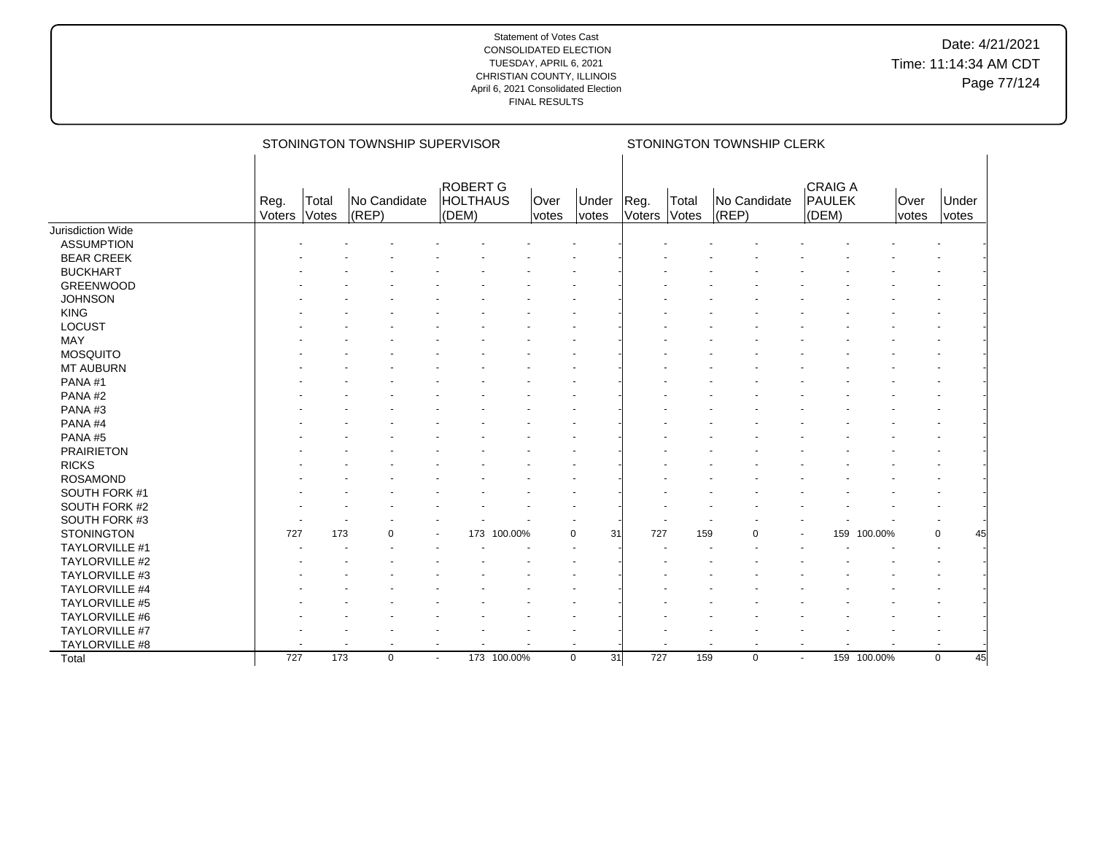|                       |                |                | STONINGTON TOWNSHIP SUPERVISOR |                          |                                             |               |             |                |                |                       | STONINGTON TOWNSHIP CLERK |                          |                                   |             |               |                   |
|-----------------------|----------------|----------------|--------------------------------|--------------------------|---------------------------------------------|---------------|-------------|----------------|----------------|-----------------------|---------------------------|--------------------------|-----------------------------------|-------------|---------------|-------------------|
|                       | Reg.<br>Voters | Total<br>Votes | No Candidate<br>$ $ (REP)      |                          | <b>ROBERT G</b><br><b>HOLTHAUS</b><br>(DEM) | Over<br>votes |             | Under<br>votes | Reg.<br>Voters | Total<br><b>Votes</b> | No Candidate<br>(REP)     |                          | <b>CRAIG A</b><br>PAULEK<br>(DEM) |             | Over<br>votes | Under<br>votes    |
| Jurisdiction Wide     |                |                |                                |                          |                                             |               |             |                |                |                       |                           |                          |                                   |             |               |                   |
| <b>ASSUMPTION</b>     |                |                |                                |                          |                                             |               |             |                |                |                       |                           |                          |                                   |             |               |                   |
| <b>BEAR CREEK</b>     |                |                |                                |                          |                                             |               |             |                |                |                       |                           |                          |                                   |             |               |                   |
| <b>BUCKHART</b>       |                |                |                                |                          |                                             |               |             |                |                |                       |                           |                          |                                   |             |               |                   |
| <b>GREENWOOD</b>      |                |                |                                |                          |                                             |               |             |                |                |                       |                           |                          |                                   |             |               |                   |
| <b>JOHNSON</b>        |                |                |                                |                          |                                             |               |             |                |                |                       |                           |                          |                                   |             |               |                   |
| <b>KING</b>           |                |                |                                |                          |                                             |               |             |                |                |                       |                           |                          |                                   |             |               |                   |
| LOCUST                |                |                |                                |                          |                                             |               |             |                |                |                       |                           |                          |                                   |             |               |                   |
| MAY                   |                |                |                                |                          |                                             |               |             |                |                |                       |                           |                          |                                   |             |               |                   |
| MOSQUITO              |                |                |                                |                          |                                             |               |             |                |                |                       |                           |                          |                                   |             |               |                   |
| MT AUBURN             |                |                |                                |                          |                                             |               |             |                |                |                       |                           |                          |                                   |             |               |                   |
| PANA#1                |                |                |                                |                          |                                             |               |             |                |                |                       |                           |                          |                                   |             |               |                   |
| PANA#2                |                |                |                                |                          |                                             |               |             |                |                |                       |                           |                          |                                   |             |               |                   |
| PANA#3                |                |                |                                |                          |                                             |               |             |                |                |                       |                           |                          |                                   |             |               |                   |
| PANA#4                |                |                |                                |                          |                                             |               |             |                |                |                       |                           |                          |                                   |             |               |                   |
| PANA#5                |                |                |                                |                          |                                             |               |             |                |                |                       |                           |                          |                                   |             |               |                   |
| <b>PRAIRIETON</b>     |                |                |                                |                          |                                             |               |             |                |                |                       |                           |                          |                                   |             |               |                   |
| <b>RICKS</b>          |                |                |                                |                          |                                             |               |             |                |                |                       |                           |                          |                                   |             |               |                   |
| <b>ROSAMOND</b>       |                |                |                                |                          |                                             |               |             |                |                |                       |                           |                          |                                   |             |               |                   |
| SOUTH FORK #1         |                |                |                                |                          |                                             |               |             |                |                |                       |                           |                          |                                   |             |               |                   |
| SOUTH FORK #2         |                |                |                                |                          |                                             |               |             |                |                |                       |                           |                          |                                   |             |               |                   |
| SOUTH FORK #3         |                |                |                                |                          |                                             |               |             |                |                |                       |                           |                          |                                   |             |               |                   |
| <b>STONINGTON</b>     | 727            | 173            | $\Omega$                       |                          | 173                                         | 100.00%       | $\mathbf 0$ | 31             | 727            | 159                   | 0                         |                          |                                   | 159 100.00% |               | $\mathbf 0$<br>45 |
| <b>TAYLORVILLE #1</b> |                |                |                                |                          |                                             |               |             |                |                |                       |                           |                          |                                   |             |               |                   |
| TAYLORVILLE #2        |                |                |                                |                          |                                             |               |             |                |                |                       |                           |                          |                                   |             |               |                   |
| TAYLORVILLE #3        |                |                |                                |                          |                                             |               |             |                |                |                       |                           |                          |                                   |             |               |                   |
| TAYLORVILLE #4        |                |                |                                |                          |                                             |               |             |                |                |                       |                           |                          |                                   |             |               |                   |
| <b>TAYLORVILLE #5</b> |                |                |                                |                          |                                             |               |             |                |                |                       |                           |                          |                                   |             |               |                   |
| TAYLORVILLE #6        |                |                |                                |                          |                                             |               |             |                |                |                       |                           |                          |                                   |             |               |                   |
| TAYLORVILLE #7        |                |                |                                |                          |                                             |               |             |                |                |                       |                           |                          |                                   |             |               |                   |
| TAYLORVILLE #8        |                |                |                                |                          |                                             |               |             |                |                |                       |                           | $\overline{\phantom{a}}$ |                                   |             |               |                   |
| Total                 | 727            | 173            | $\mathbf 0$                    | $\overline{\phantom{a}}$ |                                             | 173 100.00%   | $\mathbf 0$ | 31             | 727            | 159                   | 0                         | $\blacksquare$           |                                   | 159 100.00% |               | $\mathbf 0$<br>45 |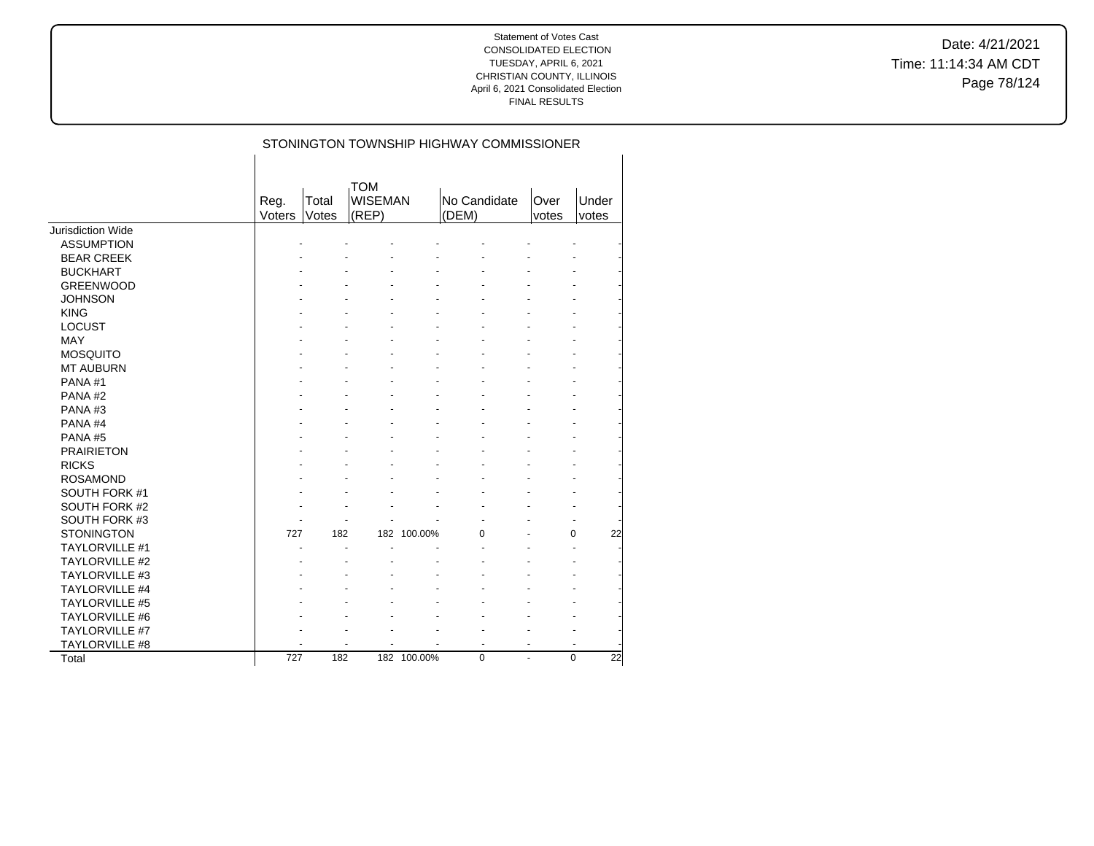Date: 4/21/2021 Time: 11:14:34 AM CDT Page 78/124

|                       |                |                |                                       |             | STONINGTON TOWNSHIP HIGHWAY COMMISSIONER |                      |                |                 |
|-----------------------|----------------|----------------|---------------------------------------|-------------|------------------------------------------|----------------------|----------------|-----------------|
|                       | Reg.<br>Voters | Total<br>Votes | <b>TOM</b><br><b>WISEMAN</b><br>(REP) |             | No Candidate<br>(DEM)                    | <b>Over</b><br>votes |                | Under<br>votes  |
| Jurisdiction Wide     |                |                |                                       |             |                                          |                      |                |                 |
| <b>ASSUMPTION</b>     |                |                |                                       |             |                                          |                      |                |                 |
| <b>BEAR CREEK</b>     |                |                |                                       |             |                                          |                      |                |                 |
| <b>BUCKHART</b>       |                |                |                                       |             |                                          |                      |                |                 |
| <b>GREENWOOD</b>      |                |                |                                       |             |                                          |                      |                |                 |
| <b>JOHNSON</b>        |                |                |                                       |             |                                          |                      |                |                 |
| <b>KING</b>           |                |                |                                       |             |                                          |                      |                |                 |
| <b>LOCUST</b>         |                |                |                                       |             |                                          |                      |                |                 |
| <b>MAY</b>            |                |                |                                       |             |                                          |                      |                |                 |
| <b>MOSQUITO</b>       |                |                |                                       |             |                                          |                      |                |                 |
| <b>MT AUBURN</b>      |                |                |                                       |             |                                          |                      |                |                 |
| PANA#1                |                |                |                                       |             |                                          |                      |                |                 |
| PANA#2                |                |                |                                       |             |                                          |                      |                |                 |
| PANA#3                |                |                |                                       |             |                                          |                      |                |                 |
| PANA#4                |                |                |                                       |             |                                          |                      |                |                 |
| PANA#5                |                |                |                                       |             |                                          |                      |                |                 |
| <b>PRAIRIETON</b>     |                |                |                                       |             |                                          |                      |                |                 |
| <b>RICKS</b>          |                |                |                                       |             |                                          |                      |                |                 |
| <b>ROSAMOND</b>       |                |                |                                       |             |                                          |                      |                |                 |
| SOUTH FORK #1         |                |                |                                       |             |                                          |                      |                |                 |
| SOUTH FORK #2         |                |                |                                       |             |                                          |                      |                |                 |
| SOUTH FORK #3         |                |                |                                       |             |                                          |                      |                |                 |
| <b>STONINGTON</b>     | 727            | 182            |                                       | 182 100.00% | $\Omega$                                 |                      | 0              | 22              |
| <b>TAYLORVILLE #1</b> |                |                |                                       |             |                                          |                      | ä,             |                 |
| <b>TAYLORVILLE #2</b> |                |                |                                       |             |                                          |                      |                |                 |
| <b>TAYLORVILLE #3</b> |                |                |                                       |             |                                          |                      |                |                 |
| TAYLORVILLE #4        |                |                |                                       |             |                                          |                      |                |                 |
| <b>TAYLORVILLE #5</b> |                |                |                                       |             |                                          |                      |                |                 |
| <b>TAYLORVILLE #6</b> |                |                |                                       |             |                                          |                      |                |                 |
| <b>TAYLORVILLE #7</b> |                |                |                                       |             |                                          |                      |                |                 |
| TAYLORVILLE #8        |                |                | $\overline{\phantom{a}}$              |             | $\overline{\phantom{a}}$                 | ٠                    | $\overline{a}$ |                 |
| Total                 | 727            | 182            |                                       | 182 100.00% | $\mathbf 0$                              |                      | 0              | $\overline{22}$ |
|                       |                |                |                                       |             |                                          |                      |                |                 |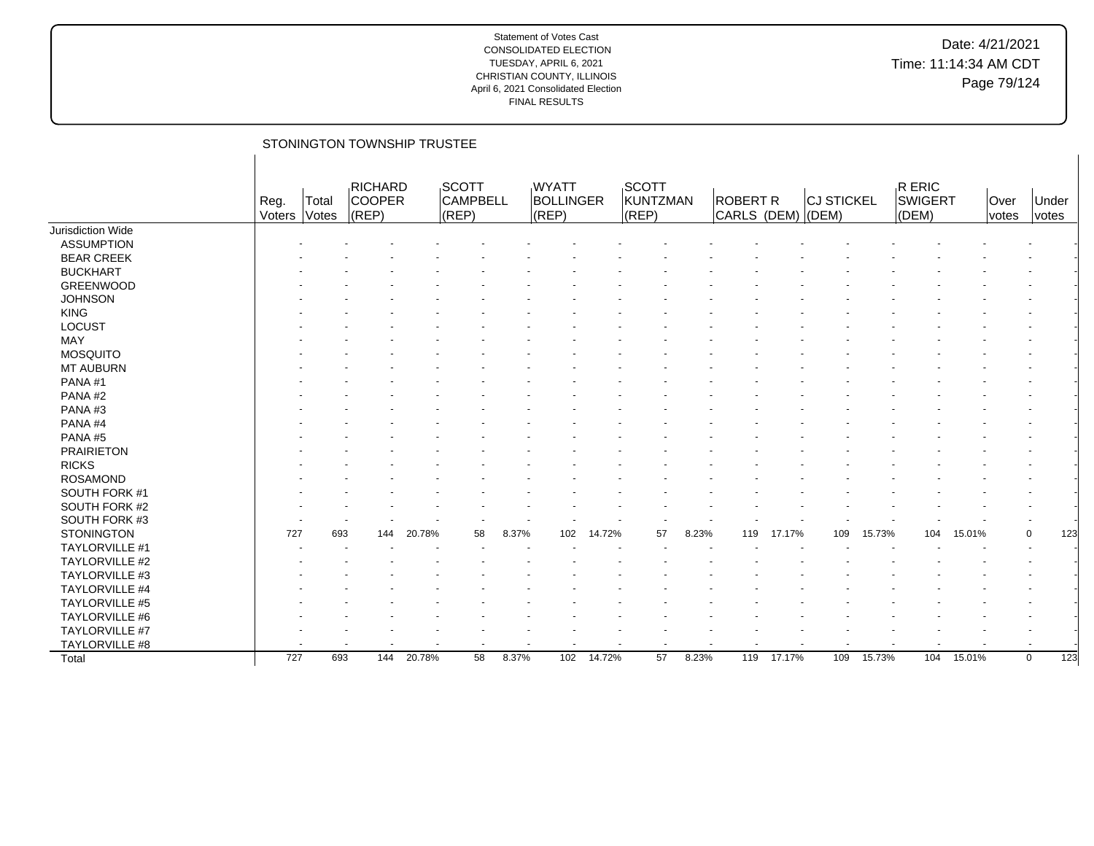# Date: 4/21/2021 Time: 11:14:34 AM CDT Page 79/124

### STONINGTON TOWNSHIP TRUSTEE

|                       | Reg.<br>Voters | Total<br>Votes | RICHARD<br><b>COOPER</b><br>(REP) |        | SCOTT<br><b>CAMPBELL</b><br>(REP) |       | <b>WYATT</b><br>BOLLINGER<br>$ $ (REP) |        | SCOTT<br>KUNTZMAN<br>(REP) |       | ROBERT R<br>CARLS (DEM) (DEM) |        | <b>CJ STICKEL</b> |        | R ERIC<br><b>SWIGERT</b><br>(DEM) |        | <b>Over</b><br>votes | Under<br>votes     |
|-----------------------|----------------|----------------|-----------------------------------|--------|-----------------------------------|-------|----------------------------------------|--------|----------------------------|-------|-------------------------------|--------|-------------------|--------|-----------------------------------|--------|----------------------|--------------------|
| Jurisdiction Wide     |                |                |                                   |        |                                   |       |                                        |        |                            |       |                               |        |                   |        |                                   |        |                      |                    |
| <b>ASSUMPTION</b>     |                |                |                                   |        |                                   |       |                                        |        |                            |       |                               |        |                   |        |                                   |        |                      |                    |
| <b>BEAR CREEK</b>     |                |                |                                   |        |                                   |       |                                        |        |                            |       |                               |        |                   |        |                                   |        |                      |                    |
| <b>BUCKHART</b>       |                |                |                                   |        |                                   |       |                                        |        |                            |       |                               |        |                   |        |                                   |        |                      |                    |
| GREENWOOD             |                |                |                                   |        |                                   |       |                                        |        |                            |       |                               |        |                   |        |                                   |        |                      |                    |
| <b>JOHNSON</b>        |                |                |                                   |        |                                   |       |                                        |        |                            |       |                               |        |                   |        |                                   |        |                      |                    |
| <b>KING</b>           |                |                |                                   |        |                                   |       |                                        |        |                            |       |                               |        |                   |        |                                   |        |                      |                    |
| LOCUST                |                |                |                                   |        |                                   |       |                                        |        |                            |       |                               |        |                   |        |                                   |        |                      |                    |
| MAY                   |                |                |                                   |        |                                   |       |                                        |        |                            |       |                               |        |                   |        |                                   |        |                      |                    |
| <b>MOSQUITO</b>       |                |                |                                   |        |                                   |       |                                        |        |                            |       |                               |        |                   |        |                                   |        |                      |                    |
| <b>MT AUBURN</b>      |                |                |                                   |        |                                   |       |                                        |        |                            |       |                               |        |                   |        |                                   |        |                      |                    |
| PANA#1                |                |                |                                   |        |                                   |       |                                        |        |                            |       |                               |        |                   |        |                                   |        |                      |                    |
| PANA#2                |                |                |                                   |        |                                   |       |                                        |        |                            |       |                               |        |                   |        |                                   |        |                      |                    |
| PANA#3                |                |                |                                   |        |                                   |       |                                        |        |                            |       |                               |        |                   |        |                                   |        |                      |                    |
| PANA#4                |                |                |                                   |        |                                   |       |                                        |        |                            |       |                               |        |                   |        |                                   |        |                      |                    |
| PANA#5                |                |                |                                   |        |                                   |       |                                        |        |                            |       |                               |        |                   |        |                                   |        |                      |                    |
| <b>PRAIRIETON</b>     |                |                |                                   |        |                                   |       |                                        |        |                            |       |                               |        |                   |        |                                   |        |                      |                    |
| <b>RICKS</b>          |                |                |                                   |        |                                   |       |                                        |        |                            |       |                               |        |                   |        |                                   |        |                      |                    |
| <b>ROSAMOND</b>       |                |                |                                   |        |                                   |       |                                        |        |                            |       |                               |        |                   |        |                                   |        |                      |                    |
| SOUTH FORK #1         |                |                |                                   |        |                                   |       |                                        |        |                            |       |                               |        |                   |        |                                   |        |                      |                    |
| SOUTH FORK #2         |                |                |                                   |        |                                   |       |                                        |        |                            |       |                               |        |                   |        |                                   |        |                      |                    |
| SOUTH FORK #3         |                |                |                                   |        |                                   |       |                                        |        |                            |       |                               |        |                   |        |                                   |        |                      |                    |
| <b>STONINGTON</b>     | 727            | 693            | 144                               | 20.78% | 58                                | 8.37% | 102                                    | 14.72% | 57                         | 8.23% | 119                           | 17.17% | 109               | 15.73% | 104                               | 15.01% | $\Omega$             | 123                |
| <b>TAYLORVILLE #1</b> |                |                |                                   |        |                                   |       |                                        |        |                            |       |                               |        |                   |        |                                   |        |                      |                    |
| TAYLORVILLE #2        |                |                |                                   |        |                                   |       |                                        |        |                            |       |                               |        |                   |        |                                   |        |                      |                    |
| TAYLORVILLE #3        |                |                |                                   |        |                                   |       |                                        |        |                            |       |                               |        |                   |        |                                   |        |                      |                    |
| <b>TAYLORVILLE #4</b> |                |                |                                   |        |                                   |       |                                        |        |                            |       |                               |        |                   |        |                                   |        |                      |                    |
| <b>TAYLORVILLE #5</b> |                |                |                                   |        |                                   |       |                                        |        |                            |       |                               |        |                   |        |                                   |        |                      |                    |
| TAYLORVILLE #6        |                |                |                                   |        |                                   |       |                                        |        |                            |       |                               |        |                   |        |                                   |        |                      |                    |
| <b>TAYLORVILLE #7</b> |                |                |                                   |        |                                   |       |                                        |        |                            |       |                               |        |                   |        |                                   |        |                      |                    |
| <b>TAYLORVILLE #8</b> |                |                |                                   |        |                                   |       |                                        |        |                            |       |                               |        |                   |        |                                   |        |                      |                    |
| Total                 | 727            | 693            | 144                               | 20.78% | 58                                | 8.37% | 102                                    | 14.72% | 57                         | 8.23% | 119                           | 17.17% | 109               | 15.73% | 104                               | 15.01% |                      | 123<br>$\mathbf 0$ |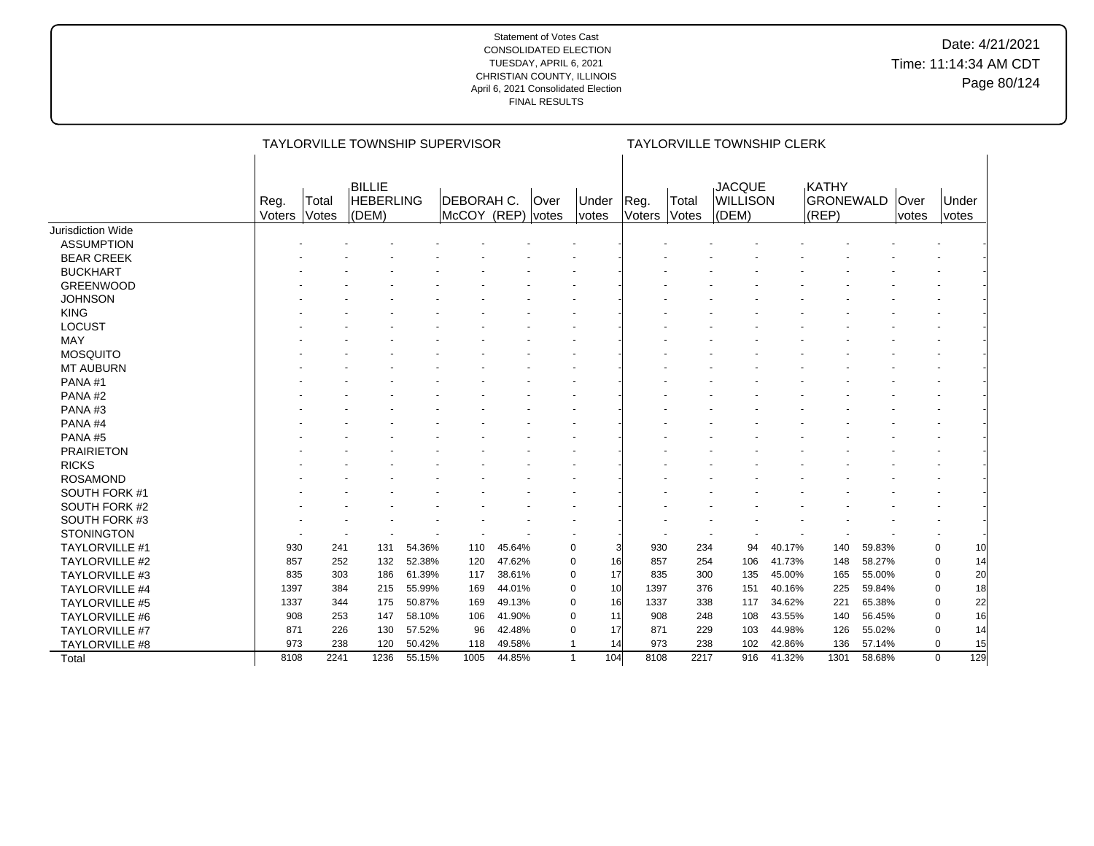|                       |                       |                | <b>TAYLORVILLE TOWNSHIP SUPERVISOR</b>     |        |                                  |        |                             |                      |                |                | <b>TAYLORVILLE TOWNSHIP CLERK</b>         |        |                                           |        |                      |                    |
|-----------------------|-----------------------|----------------|--------------------------------------------|--------|----------------------------------|--------|-----------------------------|----------------------|----------------|----------------|-------------------------------------------|--------|-------------------------------------------|--------|----------------------|--------------------|
|                       |                       |                |                                            |        |                                  |        |                             |                      |                |                |                                           |        |                                           |        |                      |                    |
|                       | Reg.<br><b>Voters</b> | Total<br>Votes | <b>BILLIE</b><br><b>HEBERLING</b><br>(DEM) |        | <b>DEBORAH C.</b><br>McCOY (REP) |        | <b>Over</b><br><i>votes</i> | Under<br>votes       | Reg.<br>Voters | Total<br>Votes | <b>JACQUE</b><br><b>WILLISON</b><br>(DEM) |        | <b>KATHY</b><br><b>GRONEWALD</b><br>(REP) |        | Over<br><i>votes</i> | Under<br>votes     |
| Jurisdiction Wide     |                       |                |                                            |        |                                  |        |                             |                      |                |                |                                           |        |                                           |        |                      |                    |
| <b>ASSUMPTION</b>     |                       |                |                                            |        |                                  |        |                             |                      |                |                |                                           |        |                                           |        |                      |                    |
| <b>BEAR CREEK</b>     |                       |                |                                            |        |                                  |        |                             |                      |                |                |                                           |        |                                           |        |                      |                    |
| <b>BUCKHART</b>       |                       |                |                                            |        |                                  |        |                             |                      |                |                |                                           |        |                                           |        |                      |                    |
| <b>GREENWOOD</b>      |                       |                |                                            |        |                                  |        |                             |                      |                |                |                                           |        |                                           |        |                      |                    |
| <b>JOHNSON</b>        |                       |                |                                            |        |                                  |        |                             |                      |                |                |                                           |        |                                           |        |                      |                    |
| <b>KING</b>           |                       |                |                                            |        |                                  |        |                             |                      |                |                |                                           |        |                                           |        |                      |                    |
| <b>LOCUST</b>         |                       |                |                                            |        |                                  |        |                             |                      |                |                |                                           |        |                                           |        |                      |                    |
| MAY                   |                       |                |                                            |        |                                  |        |                             |                      |                |                |                                           |        |                                           |        |                      |                    |
| <b>MOSQUITO</b>       |                       |                |                                            |        |                                  |        |                             |                      |                |                |                                           |        |                                           |        |                      |                    |
| <b>MT AUBURN</b>      |                       |                |                                            |        |                                  |        |                             |                      |                |                |                                           |        |                                           |        |                      |                    |
| PANA#1                |                       |                |                                            |        |                                  |        |                             |                      |                |                |                                           |        |                                           |        |                      |                    |
| PANA#2                |                       |                |                                            |        |                                  |        |                             |                      |                |                |                                           |        |                                           |        |                      |                    |
| PANA#3                |                       |                |                                            |        |                                  |        |                             |                      |                |                |                                           |        |                                           |        |                      |                    |
| PANA#4                |                       |                |                                            |        |                                  |        |                             |                      |                |                |                                           |        |                                           |        |                      |                    |
| PANA#5                |                       |                |                                            |        |                                  |        |                             |                      |                |                |                                           |        |                                           |        |                      |                    |
| <b>PRAIRIETON</b>     |                       |                |                                            |        |                                  |        |                             |                      |                |                |                                           |        |                                           |        |                      |                    |
| <b>RICKS</b>          |                       |                |                                            |        |                                  |        |                             |                      |                |                |                                           |        |                                           |        |                      |                    |
| <b>ROSAMOND</b>       |                       |                |                                            |        |                                  |        |                             |                      |                |                |                                           |        |                                           |        |                      |                    |
| SOUTH FORK #1         |                       |                |                                            |        |                                  |        |                             |                      |                |                |                                           |        |                                           |        |                      |                    |
| SOUTH FORK #2         |                       |                |                                            |        |                                  |        |                             |                      |                |                |                                           |        |                                           |        |                      |                    |
| SOUTH FORK #3         |                       |                |                                            |        |                                  |        |                             |                      |                |                |                                           |        |                                           |        |                      |                    |
| <b>STONINGTON</b>     |                       |                |                                            |        | $\overline{\phantom{a}}$         |        |                             |                      |                |                |                                           |        |                                           |        |                      |                    |
| TAYLORVILLE #1        | 930                   | 241            | 131                                        | 54.36% | 110                              | 45.64% |                             | 0                    | 3<br>930       | 234            | 94                                        | 40.17% | 140                                       | 59.83% |                      | $\mathbf 0$<br>10  |
| <b>TAYLORVILLE #2</b> | 857                   | 252            | 132                                        | 52.38% | 120                              | 47.62% |                             | $\mathbf 0$<br>16    | 857            | 254            | 106                                       | 41.73% | 148                                       | 58.27% |                      | $\mathbf 0$<br>14  |
| TAYLORVILLE #3        | 835                   | 303            | 186                                        | 61.39% | 117                              | 38.61% |                             | 17<br>0              | 835            | 300            | 135                                       | 45.00% | 165                                       | 55.00% |                      | 20<br>$\mathbf 0$  |
| <b>TAYLORVILLE #4</b> | 1397                  | 384            | 215                                        | 55.99% | 169                              | 44.01% |                             | 10 <sup>1</sup><br>0 | 1397           | 376            | 151                                       | 40.16% | 225                                       | 59.84% |                      | 18<br>$\mathbf 0$  |
| <b>TAYLORVILLE #5</b> | 1337                  | 344            | 175                                        | 50.87% | 169                              | 49.13% |                             | 16<br>$\Omega$       | 1337           | 338            | 117                                       | 34.62% | 221                                       | 65.38% |                      | $\mathbf 0$<br>22  |
| <b>TAYLORVILLE #6</b> | 908                   | 253            | 147                                        | 58.10% | 106                              | 41.90% |                             | $\Omega$<br>11       | 908            | 248            | 108                                       | 43.55% | 140                                       | 56.45% |                      | 16<br>$\mathbf 0$  |
| <b>TAYLORVILLE #7</b> | 871                   | 226            | 130                                        | 57.52% | 96                               | 42.48% |                             | 17<br>$\mathbf 0$    | 871            | 229            | 103                                       | 44.98% | 126                                       | 55.02% |                      | $\mathbf 0$<br>14  |
| TAYLORVILLE #8        | 973                   | 238            | 120                                        | 50.42% | 118                              | 49.58% |                             | 14<br>$\mathbf{1}$   | 973            | 238            | 102                                       | 42.86% | 136                                       | 57.14% |                      | $\mathbf 0$<br>15  |
| Total                 | 8108                  | 2241           | 1236                                       | 55.15% | 1005                             | 44.85% |                             | 104<br>$\mathbf{1}$  | 8108           | 2217           | 916                                       | 41.32% | 1301                                      | 58.68% |                      | 129<br>$\mathbf 0$ |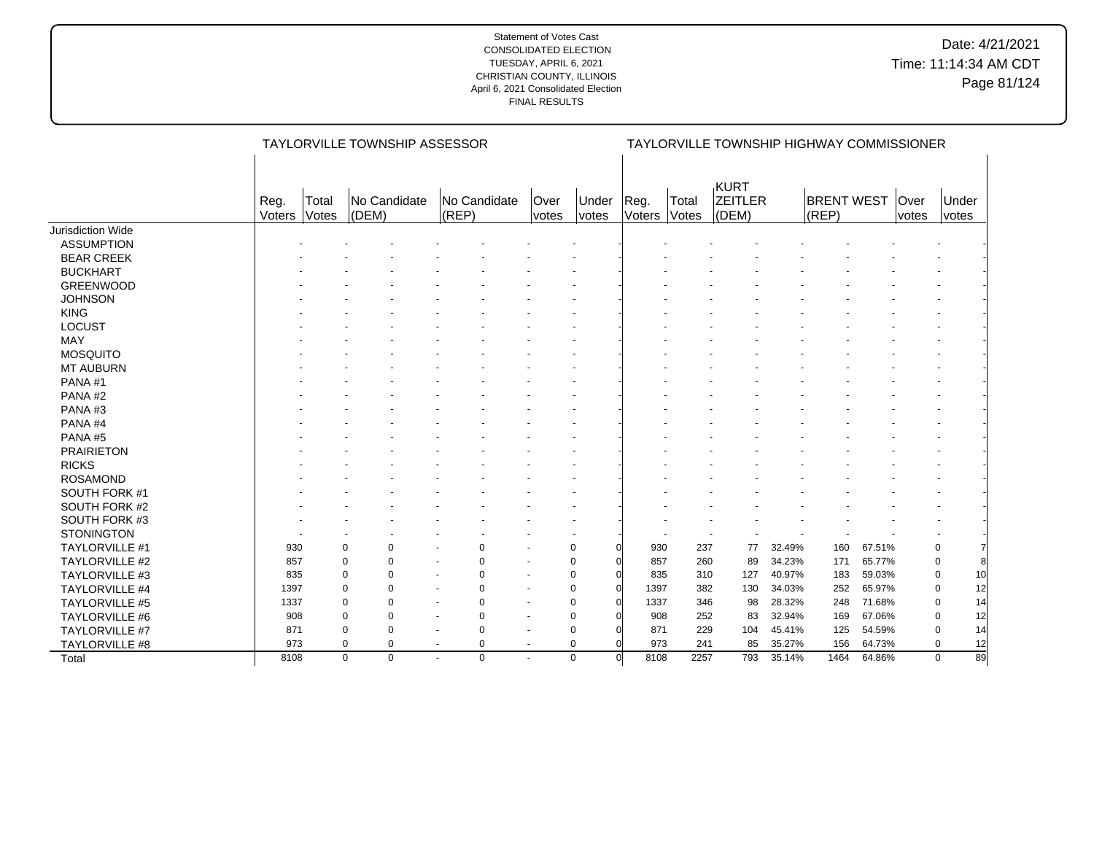|                       |                |                | TAYLORVILLE TOWNSHIP ASSESSOR |           |              |                      |                       |                |                | TAYLORVILLE TOWNSHIP HIGHWAY COMMISSIONER |        |                            |        |                      |                |    |
|-----------------------|----------------|----------------|-------------------------------|-----------|--------------|----------------------|-----------------------|----------------|----------------|-------------------------------------------|--------|----------------------------|--------|----------------------|----------------|----|
|                       | Reg.<br>Voters | Total<br>Votes | No Candidate<br>(DEM)         | $ $ (REP) | No Candidate | Over<br><i>votes</i> | Under<br><i>votes</i> | Reg.<br>Voters | Total<br>Votes | <b>KURT</b><br><b>ZEITLER</b><br>(DEM)    |        | <b>BRENT WEST</b><br>(REP) |        | <b>Over</b><br>votes | Under<br>votes |    |
| Jurisdiction Wide     |                |                |                               |           |              |                      |                       |                |                |                                           |        |                            |        |                      |                |    |
| <b>ASSUMPTION</b>     |                |                |                               |           |              |                      |                       |                |                |                                           |        |                            |        |                      |                |    |
| <b>BEAR CREEK</b>     |                |                |                               |           |              |                      |                       |                |                |                                           |        |                            |        |                      |                |    |
| <b>BUCKHART</b>       |                |                |                               |           |              |                      |                       |                |                |                                           |        |                            |        |                      |                |    |
| <b>GREENWOOD</b>      |                |                |                               |           |              |                      |                       |                |                |                                           |        |                            |        |                      |                |    |
| <b>JOHNSON</b>        |                |                |                               |           |              |                      |                       |                |                |                                           |        |                            |        |                      |                |    |
| <b>KING</b>           |                |                |                               |           |              |                      |                       |                |                |                                           |        |                            |        |                      |                |    |
| LOCUST                |                |                |                               |           |              |                      |                       |                |                |                                           |        |                            |        |                      |                |    |
| MAY                   |                |                |                               |           |              |                      |                       |                |                |                                           |        |                            |        |                      |                |    |
| <b>MOSQUITO</b>       |                |                |                               |           |              |                      |                       |                |                |                                           |        |                            |        |                      |                |    |
| <b>MT AUBURN</b>      |                |                |                               |           |              |                      |                       |                |                |                                           |        |                            |        |                      |                |    |
| PANA#1                |                |                |                               |           |              |                      |                       |                |                |                                           |        |                            |        |                      |                |    |
| PANA#2                |                |                |                               |           |              |                      |                       |                |                |                                           |        |                            |        |                      |                |    |
| PANA#3                |                |                |                               |           |              |                      |                       |                |                |                                           |        |                            |        |                      |                |    |
| PANA#4                |                |                |                               |           |              |                      |                       |                |                |                                           |        |                            |        |                      |                |    |
| PANA#5                |                |                |                               |           |              |                      |                       |                |                |                                           |        |                            |        |                      |                |    |
| <b>PRAIRIETON</b>     |                |                |                               |           |              |                      |                       |                |                |                                           |        |                            |        |                      |                |    |
| <b>RICKS</b>          |                |                |                               |           |              |                      |                       |                |                |                                           |        |                            |        |                      |                |    |
| <b>ROSAMOND</b>       |                |                |                               |           |              |                      |                       |                |                |                                           |        |                            |        |                      |                |    |
| SOUTH FORK #1         |                |                |                               |           |              |                      |                       |                |                |                                           |        |                            |        |                      |                |    |
| SOUTH FORK #2         |                |                |                               |           |              |                      |                       |                |                |                                           |        |                            |        |                      |                |    |
| SOUTH FORK #3         |                |                |                               |           |              |                      |                       |                |                |                                           |        |                            |        |                      |                |    |
| <b>STONINGTON</b>     |                |                |                               |           |              |                      |                       |                |                |                                           |        |                            |        |                      |                |    |
| <b>TAYLORVILLE #1</b> | 930            |                | $\Omega$<br>$\Omega$          |           | $\Omega$     |                      | $\Omega$              | 930            | 237            | 77                                        | 32.49% | 160                        | 67.51% |                      | 0              |    |
| <b>TAYLORVILLE #2</b> | 857            |                | 0<br>$\mathbf 0$              |           | $\Omega$     |                      | 0                     | 857            | 260            | 89                                        | 34.23% | 171                        | 65.77% |                      | $\mathbf 0$    |    |
| TAYLORVILLE #3        | 835            |                | $\Omega$<br>$\mathbf 0$       |           | $\Omega$     |                      | $\Omega$              | 835            | 310            | 127                                       | 40.97% | 183                        | 59.03% |                      | $\mathbf 0$    | 10 |
| <b>TAYLORVILLE #4</b> | 1397           |                | $\Omega$<br>$\mathbf 0$       |           | $\Omega$     |                      | $\Omega$              | 1397           | 382            | 130                                       | 34.03% | 252                        | 65.97% |                      | $\mathbf 0$    | 12 |
| <b>TAYLORVILLE #5</b> | 1337           |                | $\Omega$<br>$\Omega$          |           | $\Omega$     |                      | $\Omega$              | 1337           | 346            | 98                                        | 28.32% | 248                        | 71.68% |                      | 0              | 14 |
| <b>TAYLORVILLE #6</b> | 908            |                | $\mathbf 0$<br>$\mathbf 0$    |           | $\Omega$     | $\sim$               | $\mathbf 0$           | 908            | 252            | 83                                        | 32.94% | 169                        | 67.06% |                      | 0              | 12 |
| <b>TAYLORVILLE #7</b> | 871            |                | $\mathbf 0$<br>$\mathbf 0$    |           | $\mathbf 0$  | $\overline{a}$       | $\mathbf 0$           | 871            | 229            | 104                                       | 45.41% | 125                        | 54.59% |                      | $\mathbf 0$    | 14 |
| <b>TAYLORVILLE #8</b> | 973            |                | $\mathbf 0$<br>$\mathbf 0$    | $\sim$    | $\mathbf 0$  | $\sim$               | $\mathbf 0$           | 973            | 241            | 85                                        | 35.27% | 156                        | 64.73% |                      | $\mathbf 0$    | 12 |
| Total                 | 8108           |                | $\Omega$<br>$\Omega$          | $\sim$    | $\Omega$     | $\ddot{\phantom{1}}$ | $\Omega$              | 8108<br>O      | 2257           | 793                                       | 35.14% | 1464                       | 64.86% |                      | $\mathbf 0$    | 89 |
|                       |                |                |                               |           |              |                      |                       |                |                |                                           |        |                            |        |                      |                |    |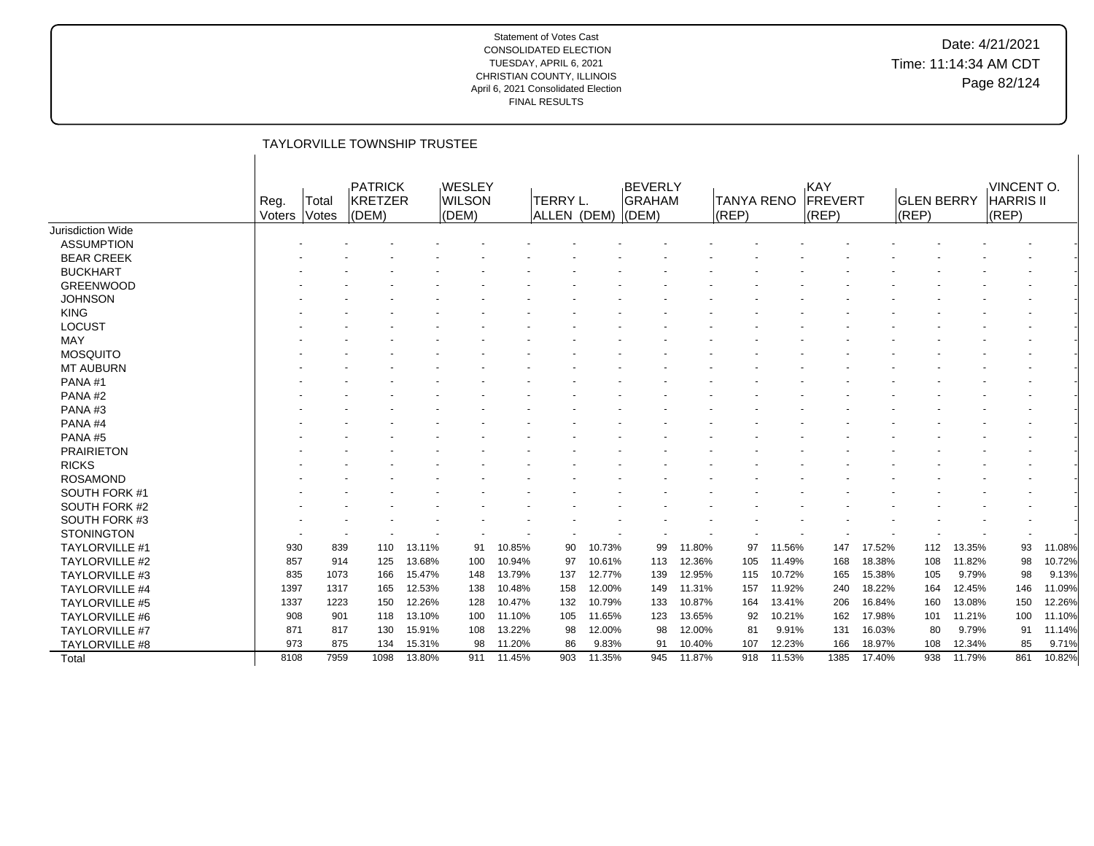# Date: 4/21/2021 Time: 11:14:34 AM CDT Page 82/124

## TAYLORVILLE TOWNSHIP TRUSTEE

|                       | Reg.<br><b>Voters</b> | Total<br><b>Votes</b> | PATRICK<br>KRETZER<br>(DEM) |        | WESLEY<br><b>WILSON</b><br>(DEM) |        | <b>TERRY L.</b><br>ALLEN (DEM) |        | <b>BEVERLY</b><br><b>GRAHAM</b><br>(DEM) |        | <b>TANYA RENO</b><br>(REP) |        | <b>KAY</b><br>FREVERT<br>$ $ (REP) |        | <b>GLEN BERRY</b><br>(REP) |        | VINCENT O.<br><b>HARRIS II</b><br>(REP) |        |
|-----------------------|-----------------------|-----------------------|-----------------------------|--------|----------------------------------|--------|--------------------------------|--------|------------------------------------------|--------|----------------------------|--------|------------------------------------|--------|----------------------------|--------|-----------------------------------------|--------|
| Jurisdiction Wide     |                       |                       |                             |        |                                  |        |                                |        |                                          |        |                            |        |                                    |        |                            |        |                                         |        |
| <b>ASSUMPTION</b>     |                       |                       |                             |        |                                  |        |                                |        |                                          |        |                            |        |                                    |        |                            |        |                                         |        |
| <b>BEAR CREEK</b>     |                       |                       |                             |        |                                  |        |                                |        |                                          |        |                            |        |                                    |        |                            |        |                                         |        |
| <b>BUCKHART</b>       |                       |                       |                             |        |                                  |        |                                |        |                                          |        |                            |        |                                    |        |                            |        |                                         |        |
| <b>GREENWOOD</b>      |                       |                       |                             |        |                                  |        |                                |        |                                          |        |                            |        |                                    |        |                            |        |                                         |        |
| <b>JOHNSON</b>        |                       |                       |                             |        |                                  |        |                                |        |                                          |        |                            |        |                                    |        |                            |        |                                         |        |
| <b>KING</b>           |                       |                       |                             |        |                                  |        |                                |        |                                          |        |                            |        |                                    |        |                            |        |                                         |        |
| LOCUST                |                       |                       |                             |        |                                  |        |                                |        |                                          |        |                            |        |                                    |        |                            |        |                                         |        |
| MAY                   |                       |                       |                             |        |                                  |        |                                |        |                                          |        |                            |        |                                    |        |                            |        |                                         |        |
| <b>MOSQUITO</b>       |                       |                       |                             |        |                                  |        |                                |        |                                          |        |                            |        |                                    |        |                            |        |                                         |        |
| <b>MT AUBURN</b>      |                       |                       |                             |        |                                  |        |                                |        |                                          |        |                            |        |                                    |        |                            |        |                                         |        |
| PANA#1                |                       |                       |                             |        |                                  |        |                                |        |                                          |        |                            |        |                                    |        |                            |        |                                         |        |
| PANA#2                |                       |                       |                             |        |                                  |        |                                |        |                                          |        |                            |        |                                    |        |                            |        |                                         |        |
| PANA#3                |                       |                       |                             |        |                                  |        |                                |        |                                          |        |                            |        |                                    |        |                            |        |                                         |        |
| PANA#4                |                       |                       |                             |        |                                  |        |                                |        |                                          |        |                            |        |                                    |        |                            |        |                                         |        |
| PANA#5                |                       |                       |                             |        |                                  |        |                                |        |                                          |        |                            |        |                                    |        |                            |        |                                         |        |
| <b>PRAIRIETON</b>     |                       |                       |                             |        |                                  |        |                                |        |                                          |        |                            |        |                                    |        |                            |        |                                         |        |
| <b>RICKS</b>          |                       |                       |                             |        |                                  |        |                                |        |                                          |        |                            |        |                                    |        |                            |        |                                         |        |
| <b>ROSAMOND</b>       |                       |                       |                             |        |                                  |        |                                |        |                                          |        |                            |        |                                    |        |                            |        |                                         |        |
| SOUTH FORK #1         |                       |                       |                             |        |                                  |        |                                |        |                                          |        |                            |        |                                    |        |                            |        |                                         |        |
| SOUTH FORK #2         |                       |                       |                             |        |                                  |        |                                |        |                                          |        |                            |        |                                    |        |                            |        |                                         |        |
| SOUTH FORK #3         |                       |                       |                             |        |                                  |        |                                |        |                                          |        |                            |        |                                    |        |                            |        |                                         |        |
| <b>STONINGTON</b>     |                       |                       |                             |        |                                  |        |                                |        |                                          |        |                            |        |                                    |        |                            |        |                                         |        |
| TAYLORVILLE #1        | 930                   | 839                   | 110                         | 13.11% | 91                               | 10.85% | 90                             | 10.73% | 99                                       | 11.80% | 97                         | 11.56% | 147                                | 17.52% | 112                        | 13.35% | 93                                      | 11.08% |
| <b>TAYLORVILLE #2</b> | 857                   | 914                   | 125                         | 13.68% | 100                              | 10.94% | 97                             | 10.61% | 113                                      | 12.36% | 105                        | 11.49% | 168                                | 18.38% | 108                        | 11.82% | 98                                      | 10.72% |
| <b>TAYLORVILLE #3</b> | 835                   | 1073                  | 166                         | 15.47% | 148                              | 13.79% | 137                            | 12.77% | 139                                      | 12.95% | 115                        | 10.72% | 165                                | 15.38% | 105                        | 9.79%  | 98                                      | 9.13%  |
| <b>TAYLORVILLE #4</b> | 1397                  | 1317                  | 165                         | 12.53% | 138                              | 10.48% | 158                            | 12.00% | 149                                      | 11.31% | 157                        | 11.92% | 240                                | 18.22% | 164                        | 12.45% | 146                                     | 11.09% |
| <b>TAYLORVILLE #5</b> | 1337                  | 1223                  | 150                         | 12.26% | 128                              | 10.47% | 132                            | 10.79% | 133                                      | 10.87% | 164                        | 13.41% | 206                                | 16.84% | 160                        | 13.08% | 150                                     | 12.26% |
| TAYLORVILLE #6        | 908                   | 901                   | 118                         | 13.10% | 100                              | 11.10% | 105                            | 11.65% | 123                                      | 13.65% | 92                         | 10.21% | 162                                | 17.98% | 101                        | 11.21% | 100                                     | 11.10% |
| <b>TAYLORVILLE #7</b> | 871                   | 817                   | 130                         | 15.91% | 108                              | 13.22% | 98                             | 12.00% | 98                                       | 12.00% | 81                         | 9.91%  | 131                                | 16.03% | 80                         | 9.79%  | 91                                      | 11.14% |
| <b>TAYLORVILLE #8</b> | 973                   | 875                   | 134                         | 15.31% | 98                               | 11.20% | 86                             | 9.83%  | 91                                       | 10.40% | 107                        | 12.23% | 166                                | 18.97% | 108                        | 12.34% | 85                                      | 9.71%  |
| Total                 | 8108                  | 7959                  | 1098                        | 13.80% | 911                              | 11.45% | 903                            | 11.35% | 945                                      | 11.87% | 918                        | 11.53% | 1385                               | 17.40% | 938                        | 11.79% | 861                                     | 10.82% |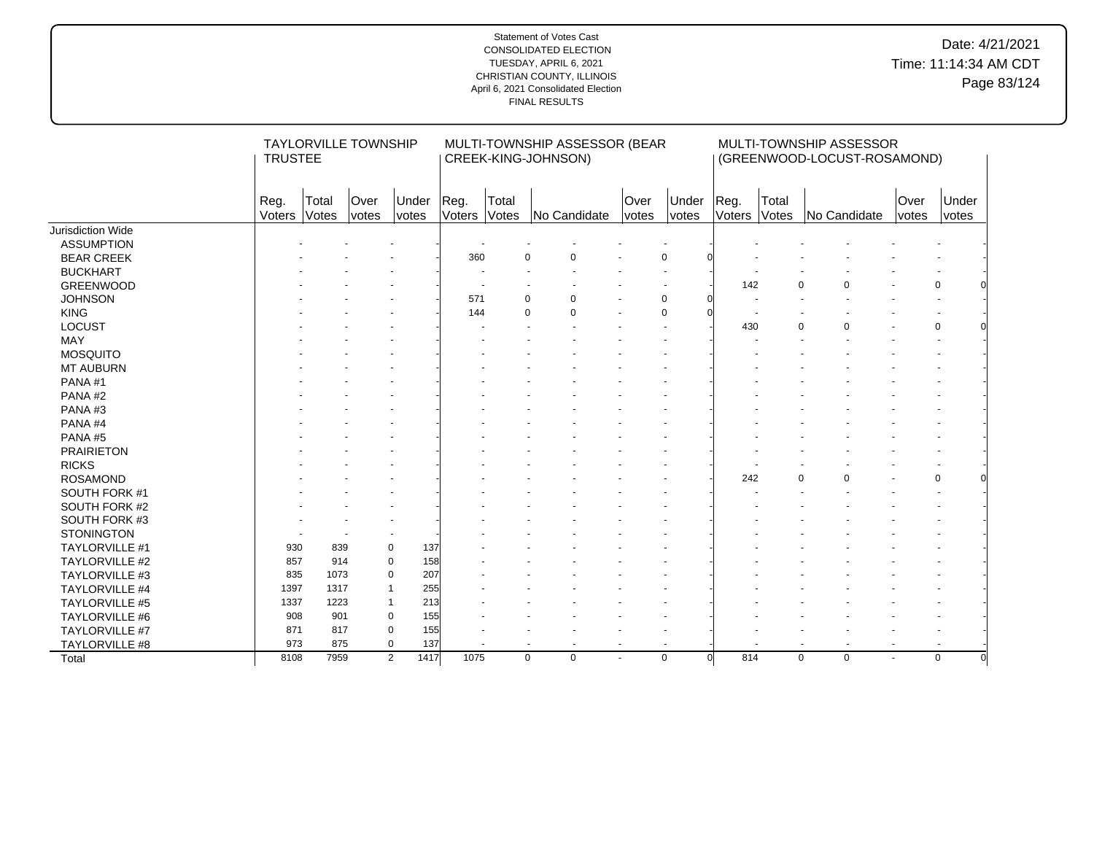|                       | <b>TRUSTEE</b> |                | <b>TAYLORVILLE TOWNSHIP</b> |                        |                |                | MULTI-TOWNSHIP ASSESSOR (BEAR<br>CREEK-KING-JOHNSON) |                |                |                       |                | MULTI-TOWNSHIP ASSESSOR<br>(GREENWOOD-LOCUST-ROSAMOND) |               |                |  |
|-----------------------|----------------|----------------|-----------------------------|------------------------|----------------|----------------|------------------------------------------------------|----------------|----------------|-----------------------|----------------|--------------------------------------------------------|---------------|----------------|--|
|                       | Reg.<br>Voters | Total<br>Votes | Over<br>votes               | Under<br><i>votes</i>  | Reg.<br>Voters | Total<br>Votes | No Candidate                                         | Over<br>votes  | Under<br>votes | Reg.<br>Voters        | Total<br>Votes | No Candidate                                           | Over<br>votes | Under<br>votes |  |
| Jurisdiction Wide     |                |                |                             |                        |                |                |                                                      |                |                |                       |                |                                                        |               |                |  |
| <b>ASSUMPTION</b>     |                |                |                             |                        |                |                |                                                      |                |                |                       |                |                                                        |               |                |  |
| <b>BEAR CREEK</b>     |                |                |                             |                        | 360            | $\Omega$       | $\Omega$                                             |                | 0              |                       |                |                                                        |               |                |  |
| <b>BUCKHART</b>       |                |                |                             |                        |                |                |                                                      |                |                |                       |                |                                                        |               |                |  |
| <b>GREENWOOD</b>      |                |                |                             |                        |                |                |                                                      |                |                | 142                   |                | $\Omega$<br>$\Omega$                                   |               | $\Omega$       |  |
| <b>JOHNSON</b>        |                |                |                             |                        | 571            | $\mathbf 0$    | $\Omega$                                             |                | $\Omega$       |                       |                |                                                        |               |                |  |
| <b>KING</b>           |                |                |                             |                        | 144            | $\Omega$       | $\Omega$                                             |                | $\Omega$       |                       |                |                                                        |               |                |  |
| LOCUST                |                |                |                             |                        |                |                |                                                      |                |                | 430                   |                | $\Omega$<br>$\Omega$                                   |               | $\mathbf 0$    |  |
| <b>MAY</b>            |                |                |                             |                        |                |                |                                                      |                |                |                       |                |                                                        |               |                |  |
| <b>MOSQUITO</b>       |                |                |                             |                        |                |                |                                                      |                |                |                       |                |                                                        |               |                |  |
| <b>MT AUBURN</b>      |                |                |                             |                        |                |                |                                                      |                |                |                       |                |                                                        |               |                |  |
| PANA#1                |                |                |                             |                        |                |                |                                                      |                |                |                       |                |                                                        |               |                |  |
| PANA#2                |                |                |                             |                        |                |                |                                                      |                |                |                       |                |                                                        |               |                |  |
| PANA#3                |                |                |                             |                        |                |                |                                                      |                |                |                       |                |                                                        |               |                |  |
| PANA#4                |                |                |                             |                        |                |                |                                                      |                |                |                       |                |                                                        |               |                |  |
| PANA#5                |                |                |                             |                        |                |                |                                                      |                |                |                       |                |                                                        |               |                |  |
| <b>PRAIRIETON</b>     |                |                |                             |                        |                |                |                                                      |                |                |                       |                |                                                        |               |                |  |
| <b>RICKS</b>          |                |                |                             |                        |                |                |                                                      |                |                |                       |                |                                                        |               |                |  |
| <b>ROSAMOND</b>       |                |                |                             |                        |                |                |                                                      |                |                | 242                   |                | $\Omega$<br>$\Omega$                                   |               | $\Omega$       |  |
| SOUTH FORK #1         |                |                |                             |                        |                |                |                                                      |                |                |                       |                |                                                        |               |                |  |
| SOUTH FORK #2         |                |                |                             |                        |                |                |                                                      |                |                |                       |                |                                                        |               |                |  |
| SOUTH FORK #3         |                |                |                             |                        |                |                |                                                      |                |                |                       |                |                                                        |               |                |  |
| <b>STONINGTON</b>     |                |                |                             |                        |                |                |                                                      |                |                |                       |                |                                                        |               |                |  |
| <b>TAYLORVILLE #1</b> | 930            | 839            |                             | 137<br>0               |                |                |                                                      |                |                |                       |                |                                                        |               |                |  |
| <b>TAYLORVILLE #2</b> | 857            | 914            |                             | 0<br>158               |                |                |                                                      |                |                |                       |                |                                                        |               |                |  |
| TAYLORVILLE #3        | 835            | 1073           |                             | 207<br>$\mathbf 0$     |                |                |                                                      |                |                |                       |                |                                                        |               |                |  |
| TAYLORVILLE #4        | 1397           | 1317           |                             | 255<br>$\overline{1}$  |                |                |                                                      |                |                |                       |                |                                                        |               |                |  |
| TAYLORVILLE #5        | 1337           | 1223           |                             | 213<br>$\overline{1}$  |                |                |                                                      |                |                |                       |                |                                                        |               |                |  |
| <b>TAYLORVILLE #6</b> | 908            | 901            |                             | $\mathbf 0$<br>155     |                |                |                                                      |                |                |                       |                |                                                        |               |                |  |
| TAYLORVILLE #7        | 871            | 817            |                             | 155<br>$\mathbf 0$     |                |                |                                                      |                |                |                       |                |                                                        |               |                |  |
| TAYLORVILLE #8        | 973            | 875            |                             | 137<br>0               |                |                | $\blacksquare$                                       |                |                |                       |                |                                                        |               |                |  |
| Total                 | 8108           | 7959           |                             | $\overline{2}$<br>1417 | 1075           | $\mathbf 0$    | $\mathbf 0$                                          | $\blacksquare$ | $\Omega$       | 814<br>$\overline{0}$ |                | $\mathbf 0$<br>$\mathbf 0$                             | $\sim$        | $\mathbf 0$    |  |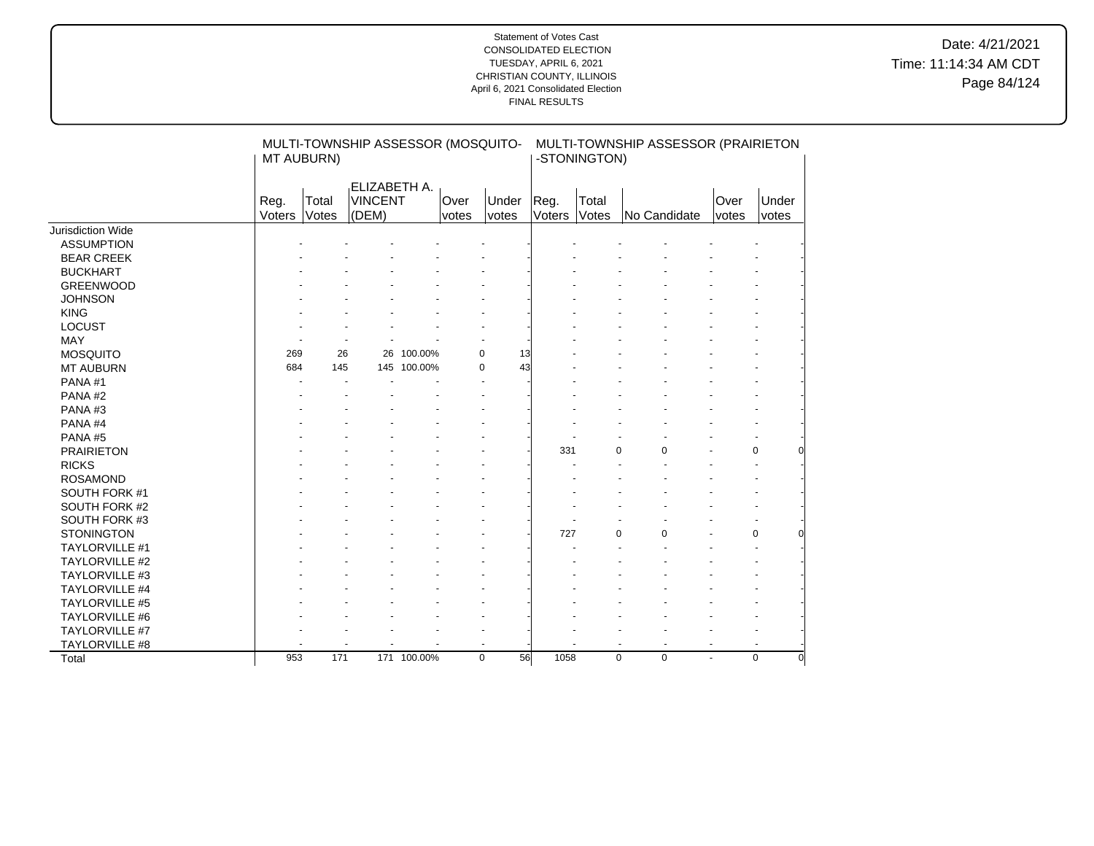Date: 4/21/2021 Time: 11:14:34 AM CDT Page 84/124

|                               |            |       | MULTI-TOWNSHIP ASSESSOR (MOSQUITO- |             |       |              |      |              |             | MULTI-TOWNSHIP ASSESSOR (PRAIRIETON |       |             |
|-------------------------------|------------|-------|------------------------------------|-------------|-------|--------------|------|--------------|-------------|-------------------------------------|-------|-------------|
|                               | MT AUBURN) |       |                                    |             |       |              |      | -STONINGTON) |             |                                     |       |             |
|                               |            |       | <b>ELIZABETH A.</b>                |             |       |              |      |              |             |                                     |       |             |
|                               | Reg.       | Total | <b>VINCENT</b>                     |             | Over  | Under        | Reg. | Total        |             |                                     | Over  | Under       |
|                               | Voters     | Votes | (DEM)                              |             | votes | <i>votes</i> |      | Voters Votes |             | No Candidate                        | votes | votes       |
| Jurisdiction Wide             |            |       |                                    |             |       |              |      |              |             |                                     |       |             |
| <b>ASSUMPTION</b>             |            |       |                                    |             |       |              |      |              |             |                                     |       |             |
| <b>BEAR CREEK</b>             |            |       |                                    |             |       |              |      |              |             |                                     |       |             |
| <b>BUCKHART</b>               |            |       |                                    |             |       |              |      |              |             |                                     |       |             |
| <b>GREENWOOD</b>              |            |       |                                    |             |       |              |      |              |             |                                     |       |             |
|                               |            |       |                                    |             |       |              |      |              |             |                                     |       |             |
| <b>JOHNSON</b><br><b>KING</b> |            |       |                                    |             |       |              |      |              |             |                                     |       |             |
|                               |            |       |                                    |             |       |              |      |              |             |                                     |       |             |
| <b>LOCUST</b>                 |            |       |                                    |             |       |              |      |              |             |                                     |       |             |
| MAY                           |            |       |                                    |             |       |              |      |              |             |                                     |       |             |
| <b>MOSQUITO</b>               | 269        | 26    |                                    | 26 100.00%  |       | $\mathbf 0$  | 13   |              |             |                                     |       |             |
| <b>MT AUBURN</b>              | 684        | 145   |                                    | 145 100.00% |       | 0            | 43   |              |             |                                     |       |             |
| PANA#1                        |            |       |                                    |             |       |              |      |              |             |                                     |       |             |
| PANA#2                        |            |       |                                    |             |       |              |      |              |             |                                     |       |             |
| PANA#3                        |            |       |                                    |             |       |              |      |              |             |                                     |       |             |
| PANA#4                        |            |       |                                    |             |       |              |      |              |             |                                     |       |             |
| PANA#5                        |            |       |                                    |             |       |              |      |              |             |                                     |       |             |
| <b>PRAIRIETON</b>             |            |       |                                    |             |       |              |      | 331          | $\Omega$    | $\Omega$                            |       | 0           |
| <b>RICKS</b>                  |            |       |                                    |             |       |              |      |              |             |                                     |       |             |
| <b>ROSAMOND</b>               |            |       |                                    |             |       |              |      |              |             |                                     |       |             |
| SOUTH FORK #1                 |            |       |                                    |             |       |              |      |              |             |                                     |       |             |
| SOUTH FORK #2                 |            |       |                                    |             |       |              |      |              |             |                                     |       |             |
| SOUTH FORK #3                 |            |       |                                    |             |       |              |      |              |             |                                     |       |             |
| <b>STONINGTON</b>             |            |       |                                    |             |       |              |      | 727          | $\Omega$    | $\Omega$                            |       | 0           |
| TAYLORVILLE #1                |            |       |                                    |             |       |              |      |              |             |                                     |       |             |
| TAYLORVILLE #2                |            |       |                                    |             |       |              |      |              |             |                                     |       |             |
| TAYLORVILLE #3                |            |       |                                    |             |       |              |      |              |             |                                     |       |             |
| TAYLORVILLE #4                |            |       |                                    |             |       |              |      |              |             |                                     |       |             |
| <b>TAYLORVILLE #5</b>         |            |       |                                    |             |       |              |      |              |             |                                     |       |             |
| TAYLORVILLE #6                |            |       |                                    |             |       |              |      |              |             |                                     |       |             |
| TAYLORVILLE #7                |            |       |                                    |             |       |              |      |              |             |                                     |       |             |
| TAYLORVILLE #8                |            |       |                                    |             |       |              |      |              |             |                                     |       |             |
| Total                         | 953        | 171   |                                    | 171 100.00% |       | $\mathbf 0$  | 56   | 1058         | $\mathbf 0$ | 0                                   | ÷.    | $\mathbf 0$ |
|                               |            |       |                                    |             |       |              |      |              |             |                                     |       |             |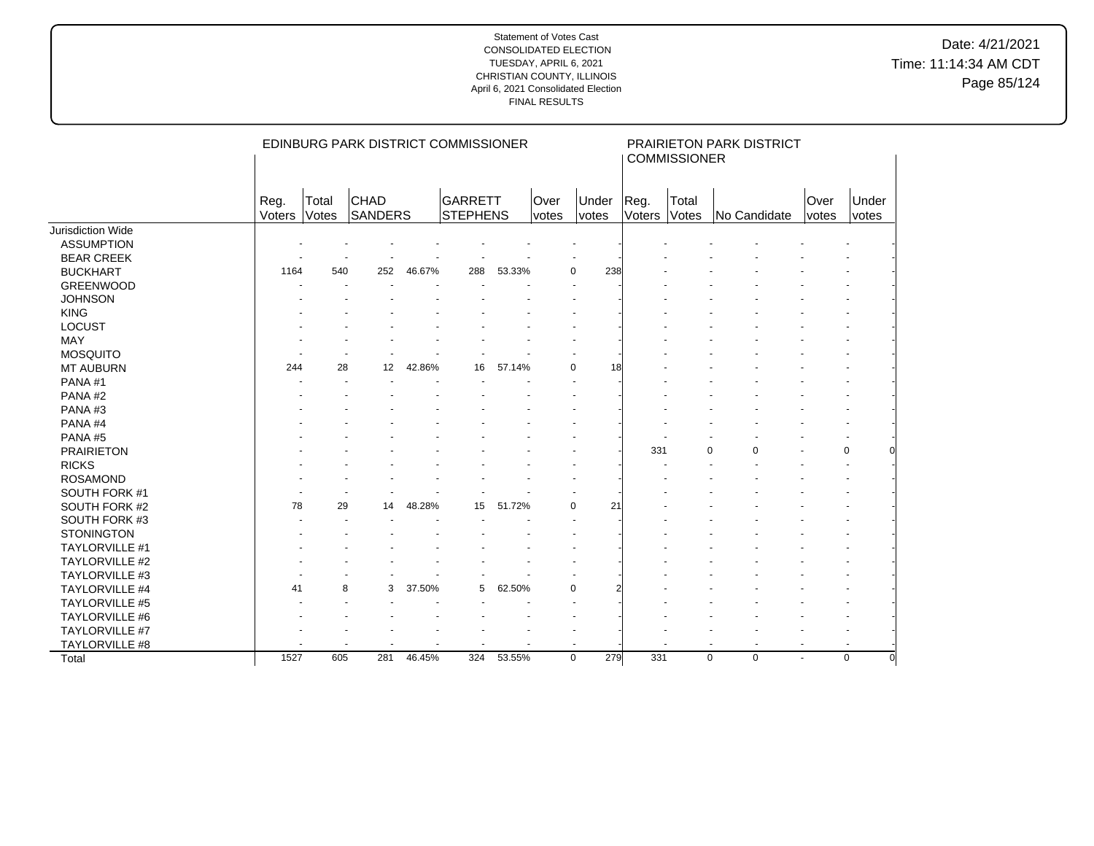|                       |                |                          | EDINBURG PARK DISTRICT COMMISSIONER |        |                     |        |               |                    |                | <b>COMMISSIONER</b> | PRAIRIETON PARK DISTRICT                             |                          |                |
|-----------------------|----------------|--------------------------|-------------------------------------|--------|---------------------|--------|---------------|--------------------|----------------|---------------------|------------------------------------------------------|--------------------------|----------------|
|                       | Reg.<br>Voters | Total<br>Votes           | <b>CHAD</b><br>SANDERS              |        | GARRETT<br>STEPHENS |        | Over<br>votes | Under<br>votes     | Reg.<br>Voters | Total<br>Votes      | No Candidate                                         | Over<br>votes            | Under<br>votes |
| Jurisdiction Wide     |                |                          |                                     |        |                     |        |               |                    |                |                     |                                                      |                          |                |
| <b>ASSUMPTION</b>     |                |                          |                                     |        |                     |        |               |                    |                |                     |                                                      |                          |                |
| <b>BEAR CREEK</b>     |                |                          |                                     |        |                     |        |               |                    |                |                     |                                                      |                          |                |
| <b>BUCKHART</b>       | 1164           | 540                      | 252                                 | 46.67% | 288                 | 53.33% |               | $\Omega$<br>238    |                |                     |                                                      |                          |                |
| <b>GREENWOOD</b>      |                |                          |                                     |        |                     |        |               |                    |                |                     |                                                      |                          |                |
| <b>JOHNSON</b>        |                |                          |                                     |        |                     |        |               |                    |                |                     |                                                      |                          |                |
| <b>KING</b>           |                |                          |                                     |        |                     |        |               |                    |                |                     |                                                      |                          |                |
| <b>LOCUST</b>         |                |                          |                                     |        |                     |        |               |                    |                |                     |                                                      |                          |                |
| MAY                   |                |                          |                                     |        |                     |        |               |                    |                |                     |                                                      |                          |                |
| <b>MOSQUITO</b>       |                |                          |                                     |        |                     |        |               |                    |                |                     |                                                      |                          |                |
| <b>MT AUBURN</b>      | 244            | 28                       | 12                                  | 42.86% | 16                  | 57.14% |               | $\mathbf 0$<br>18  |                |                     |                                                      |                          |                |
| PANA#1                |                |                          |                                     |        |                     |        |               |                    |                |                     |                                                      |                          |                |
| PANA#2                |                |                          |                                     |        |                     |        |               |                    |                |                     |                                                      |                          |                |
| PANA#3                |                |                          |                                     |        |                     |        |               |                    |                |                     |                                                      |                          |                |
| PANA#4                |                |                          |                                     |        |                     |        |               |                    |                |                     |                                                      |                          |                |
| PANA#5                |                |                          |                                     |        |                     |        |               |                    |                |                     |                                                      |                          |                |
| <b>PRAIRIETON</b>     |                |                          |                                     |        |                     |        |               |                    | 331            |                     | 0<br>$\Omega$                                        |                          | 0              |
| <b>RICKS</b>          |                |                          |                                     |        |                     |        |               |                    |                |                     |                                                      |                          |                |
| <b>ROSAMOND</b>       |                |                          |                                     |        |                     |        |               |                    |                |                     |                                                      |                          |                |
| SOUTH FORK #1         |                |                          |                                     |        |                     |        |               |                    |                |                     |                                                      |                          |                |
| SOUTH FORK #2         | 78             | 29                       | 14                                  | 48.28% | 15                  | 51.72% |               | $\mathbf 0$<br>21  |                |                     |                                                      |                          |                |
| SOUTH FORK #3         |                |                          |                                     |        |                     |        |               |                    |                |                     |                                                      |                          |                |
| <b>STONINGTON</b>     |                |                          |                                     |        |                     |        |               |                    |                |                     |                                                      |                          |                |
| <b>TAYLORVILLE #1</b> |                |                          |                                     |        |                     |        |               |                    |                |                     |                                                      |                          |                |
| <b>TAYLORVILLE #2</b> |                |                          |                                     |        |                     |        |               |                    |                |                     |                                                      |                          |                |
| TAYLORVILLE #3        |                |                          |                                     |        |                     |        |               |                    |                |                     |                                                      |                          |                |
| TAYLORVILLE #4        | 41             | 8                        | 3                                   | 37.50% | 5                   | 62.50% |               | $\mathbf 0$        |                |                     |                                                      |                          |                |
| <b>TAYLORVILLE #5</b> |                |                          |                                     |        |                     |        |               |                    |                |                     |                                                      |                          |                |
| TAYLORVILLE #6        |                |                          |                                     |        |                     |        |               |                    |                |                     |                                                      |                          |                |
| TAYLORVILLE #7        |                |                          |                                     |        |                     |        |               |                    |                |                     |                                                      |                          |                |
| TAYLORVILLE #8        | $\blacksquare$ | $\overline{\phantom{a}}$ |                                     |        |                     |        |               | $\sim$             |                |                     | $\overline{\phantom{a}}$<br>$\overline{\phantom{a}}$ | $\overline{\phantom{a}}$ |                |
| Total                 | 1527           | 605                      | 281                                 | 46.45% | 324                 | 53.55% |               | $\mathbf 0$<br>279 | 331            |                     | 0<br>0                                               | $\overline{a}$           | $\mathbf 0$    |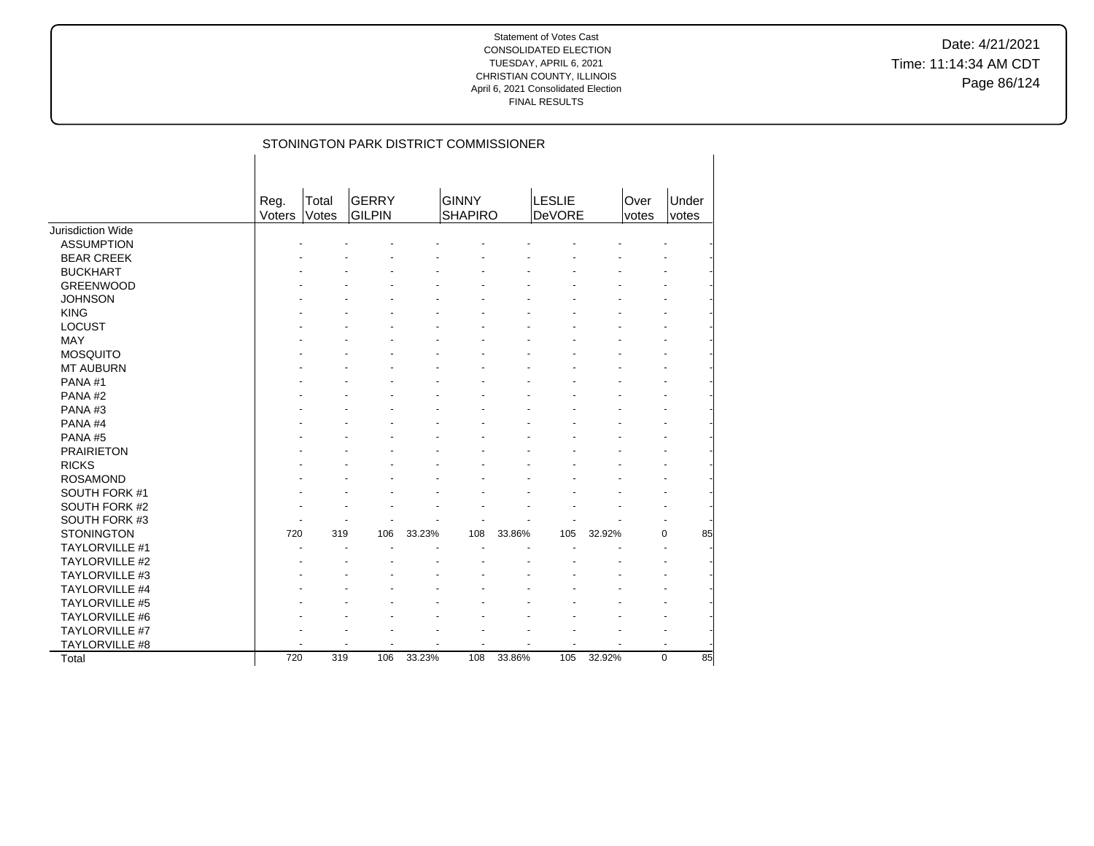Date: 4/21/2021 Time: 11:14:34 AM CDT Page 86/124

|                          |                |                | STONINGTON PARK DISTRICT COMMISSIONER |        |                                |        |                                |        |               |                          |
|--------------------------|----------------|----------------|---------------------------------------|--------|--------------------------------|--------|--------------------------------|--------|---------------|--------------------------|
|                          | Reg.<br>Voters | Total<br>Votes | <b>GERRY</b><br><b>GILPIN</b>         |        | <b>GINNY</b><br><b>SHAPIRO</b> |        | <b>LESLIE</b><br><b>DeVORE</b> |        | Over<br>votes | Under<br>votes           |
| <b>Jurisdiction Wide</b> |                |                |                                       |        |                                |        |                                |        |               |                          |
| <b>ASSUMPTION</b>        |                |                |                                       |        |                                |        |                                |        |               |                          |
| <b>BEAR CREEK</b>        |                |                |                                       |        |                                |        |                                |        |               |                          |
| <b>BUCKHART</b>          |                |                |                                       |        |                                |        |                                |        |               |                          |
| <b>GREENWOOD</b>         |                |                |                                       |        |                                |        |                                |        |               |                          |
| <b>JOHNSON</b>           |                |                |                                       |        |                                |        |                                |        |               |                          |
| <b>KING</b>              |                |                |                                       |        |                                |        |                                |        |               |                          |
| <b>LOCUST</b>            |                |                |                                       |        |                                |        |                                |        |               |                          |
| <b>MAY</b>               |                |                |                                       |        |                                |        |                                |        |               |                          |
| <b>MOSQUITO</b>          |                |                |                                       |        |                                |        |                                |        |               |                          |
| <b>MT AUBURN</b>         |                |                |                                       |        |                                |        |                                |        |               |                          |
| PANA#1                   |                |                |                                       |        |                                |        |                                |        |               |                          |
| PANA#2                   |                |                |                                       |        |                                |        |                                |        |               |                          |
| PANA#3                   |                |                |                                       |        |                                |        |                                |        |               |                          |
| PANA#4                   |                |                |                                       |        |                                |        |                                |        |               |                          |
| PANA#5                   |                |                |                                       |        |                                |        |                                |        |               |                          |
| <b>PRAIRIETON</b>        |                |                |                                       |        |                                |        |                                |        |               |                          |
| <b>RICKS</b>             |                |                |                                       |        |                                |        |                                |        |               |                          |
| <b>ROSAMOND</b>          |                |                |                                       |        |                                |        |                                |        |               |                          |
| SOUTH FORK #1            |                |                |                                       |        |                                |        |                                |        |               |                          |
| SOUTH FORK #2            |                |                |                                       |        |                                |        |                                |        |               |                          |
| SOUTH FORK #3            |                |                |                                       |        |                                |        |                                |        |               |                          |
| <b>STONINGTON</b>        | 720            | 319            | 106                                   | 33.23% | 108                            | 33.86% | 105                            | 32.92% |               | $\Omega$<br>85           |
| TAYLORVILLE #1           |                |                |                                       |        |                                |        |                                |        |               | ÷                        |
| <b>TAYLORVILLE #2</b>    |                |                |                                       |        |                                |        |                                |        |               |                          |
| TAYLORVILLE #3           |                |                |                                       |        |                                |        |                                |        |               |                          |
| <b>TAYLORVILLE #4</b>    |                |                |                                       |        |                                |        |                                |        |               |                          |
| <b>TAYLORVILLE #5</b>    |                |                |                                       |        |                                |        |                                |        |               |                          |
| TAYLORVILLE #6           |                |                |                                       |        |                                |        |                                |        |               |                          |
| TAYLORVILLE #7           |                |                |                                       |        |                                |        |                                |        |               |                          |
| TAYLORVILLE #8           |                |                | ä,                                    |        | ÷                              |        |                                |        |               | $\overline{\phantom{a}}$ |
| Total                    | 720            | 319            | 106                                   | 33.23% | 108                            | 33.86% | 105                            | 32.92% |               | 85<br>$\Omega$           |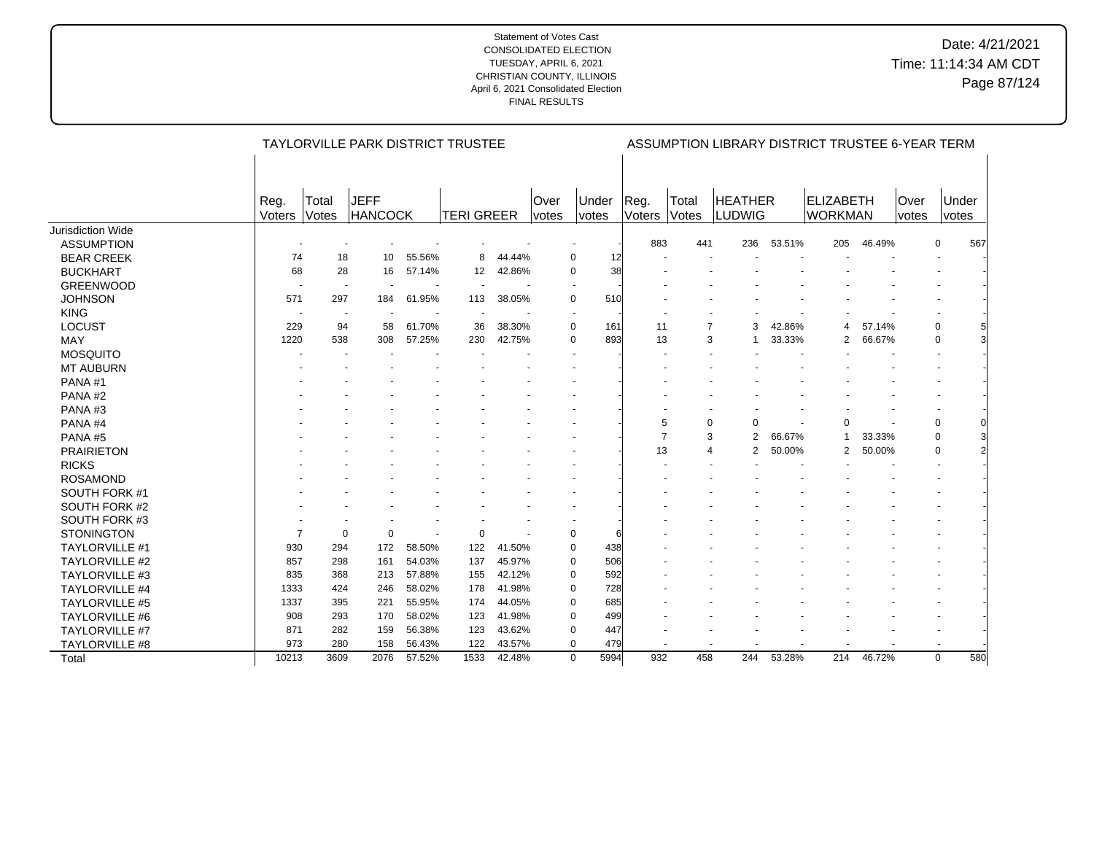|                       |                       |                                                      | <b>TAYLORVILLE PARK DISTRICT TRUSTEE</b> |        |                   |        |                      |                       |                       |                |                          |        | ASSUMPTION LIBRARY DISTRICT TRUSTEE 6-YEAR TERM |        |               |                    |                |
|-----------------------|-----------------------|------------------------------------------------------|------------------------------------------|--------|-------------------|--------|----------------------|-----------------------|-----------------------|----------------|--------------------------|--------|-------------------------------------------------|--------|---------------|--------------------|----------------|
|                       | Reg.<br><b>Voters</b> | Total<br>Votes                                       | <b>JEFF</b><br><b>HANCOCK</b>            |        | <b>TERI GREER</b> |        | Over<br><i>votes</i> | Under<br><i>votes</i> | Reg.<br><b>Voters</b> | Total<br>Votes | HEATHER<br>LUDWIG        |        | <b>ELIZABETH</b><br><b>WORKMAN</b>              |        | Over<br>votes | Under<br>votes     |                |
| Jurisdiction Wide     |                       |                                                      |                                          |        |                   |        |                      |                       |                       |                |                          |        |                                                 |        |               |                    |                |
| <b>ASSUMPTION</b>     |                       |                                                      |                                          |        |                   |        |                      |                       | 883                   | 441            | 236                      | 53.51% | 205                                             | 46.49% |               | 0<br>567           |                |
| <b>BEAR CREEK</b>     | 74                    | 18                                                   | 10                                       | 55.56% | 8                 | 44.44% |                      | 0<br>12               |                       |                |                          |        |                                                 |        |               |                    |                |
| <b>BUCKHART</b>       | 68                    | 28                                                   | 16                                       | 57.14% | 12 <sup>°</sup>   | 42.86% |                      | 38<br>$\Omega$        |                       |                |                          |        |                                                 |        |               |                    |                |
| <b>GREENWOOD</b>      |                       | $\overline{\phantom{a}}$<br>$\overline{\phantom{a}}$ |                                          |        |                   |        |                      |                       |                       |                |                          |        |                                                 |        |               |                    |                |
| <b>JOHNSON</b>        | 571                   | 297                                                  | 184                                      | 61.95% | 113               | 38.05% |                      | $\Omega$<br>510       |                       |                |                          |        |                                                 |        |               |                    |                |
| <b>KING</b>           |                       | $\overline{\phantom{a}}$<br>۰.                       |                                          |        |                   |        |                      |                       |                       |                |                          |        |                                                 |        |               |                    |                |
| LOCUST                | 229                   | 94                                                   | 58                                       | 61.70% | 36                | 38.30% |                      | $\Omega$<br>161       | 11                    |                | $\overline{7}$<br>3      | 42.86% | 4                                               | 57.14% |               | 0                  |                |
| <b>MAY</b>            | 1220                  | 538                                                  | 308                                      | 57.25% | 230               | 42.75% |                      | 893<br>$\Omega$       | 13                    |                | 3<br>1                   | 33.33% | 2                                               | 66.67% |               | 0                  |                |
| <b>MOSQUITO</b>       |                       |                                                      |                                          |        |                   |        |                      |                       |                       |                |                          |        |                                                 |        |               |                    |                |
| <b>MT AUBURN</b>      |                       |                                                      |                                          |        |                   |        |                      |                       |                       |                |                          |        |                                                 |        |               |                    |                |
| PANA#1                |                       |                                                      |                                          |        |                   |        |                      |                       |                       |                |                          |        |                                                 |        |               |                    |                |
| PANA#2                |                       |                                                      |                                          |        |                   |        |                      |                       |                       |                |                          |        |                                                 |        |               |                    |                |
| PANA#3                |                       |                                                      |                                          |        |                   |        |                      |                       |                       |                |                          |        |                                                 |        |               |                    |                |
| PANA#4                |                       |                                                      |                                          |        |                   |        |                      |                       | 5                     |                | $\Omega$<br>0            |        | O                                               |        |               | 0                  |                |
| PANA#5                |                       |                                                      |                                          |        |                   |        |                      |                       | $\overline{7}$        |                | 3<br>$\overline{2}$      | 66.67% | $\overline{1}$                                  | 33.33% |               | 0                  |                |
| <b>PRAIRIETON</b>     |                       |                                                      |                                          |        |                   |        |                      |                       | 13                    |                | $\overline{2}$<br>4      | 50.00% | $\overline{2}$                                  | 50.00% |               | 0                  | $\overline{2}$ |
| <b>RICKS</b>          |                       |                                                      |                                          |        |                   |        |                      |                       |                       |                |                          |        |                                                 |        |               |                    |                |
| <b>ROSAMOND</b>       |                       |                                                      |                                          |        |                   |        |                      |                       |                       |                |                          |        |                                                 |        |               |                    |                |
| SOUTH FORK #1         |                       |                                                      |                                          |        |                   |        |                      |                       |                       |                |                          |        |                                                 |        |               |                    |                |
| SOUTH FORK #2         |                       |                                                      |                                          |        |                   |        |                      |                       |                       |                |                          |        |                                                 |        |               |                    |                |
| SOUTH FORK #3         |                       |                                                      |                                          |        |                   |        |                      |                       |                       |                |                          |        |                                                 |        |               |                    |                |
| <b>STONINGTON</b>     | $\overline{7}$        | $\mathbf 0$                                          | $\mathbf 0$                              |        | $\mathbf 0$       |        |                      | 0                     |                       |                |                          |        |                                                 |        |               |                    |                |
| <b>TAYLORVILLE #1</b> | 930                   | 294                                                  | 172                                      | 58.50% | 122               | 41.50% |                      | $\Omega$<br>438       |                       |                |                          |        |                                                 |        |               |                    |                |
| <b>TAYLORVILLE #2</b> | 857                   | 298                                                  | 161                                      | 54.03% | 137               | 45.97% |                      | $\mathbf 0$<br>506    |                       |                |                          |        |                                                 |        |               |                    |                |
| <b>TAYLORVILLE #3</b> | 835                   | 368                                                  | 213                                      | 57.88% | 155               | 42.12% |                      | 592<br>0              |                       |                |                          |        |                                                 |        |               |                    |                |
| <b>TAYLORVILLE #4</b> | 1333                  | 424                                                  | 246                                      | 58.02% | 178               | 41.98% |                      | 728<br>$\mathbf 0$    |                       |                |                          |        |                                                 |        |               |                    |                |
| <b>TAYLORVILLE #5</b> | 1337                  | 395                                                  | 221                                      | 55.95% | 174               | 44.05% |                      | 685<br>0              |                       |                |                          |        |                                                 |        |               |                    |                |
| <b>TAYLORVILLE #6</b> | 908                   | 293                                                  | 170                                      | 58.02% | 123               | 41.98% |                      | 0<br>499              |                       |                |                          |        |                                                 |        |               |                    |                |
| TAYLORVILLE #7        | 871                   | 282                                                  | 159                                      | 56.38% | 123               | 43.62% |                      | $\Omega$<br>447       |                       |                |                          |        |                                                 |        |               |                    |                |
| TAYLORVILLE #8        | 973                   | 280                                                  | 158                                      | 56.43% | 122               | 43.57% |                      | 479<br>0              |                       |                | $\overline{\phantom{a}}$ |        |                                                 |        |               |                    |                |
| Total                 | 10213                 | 3609                                                 | 2076                                     | 57.52% | 1533              | 42.48% |                      | 5994<br>$\mathbf 0$   | 932                   | 458            | 244                      | 53.28% | 214                                             | 46.72% |               | 580<br>$\mathbf 0$ |                |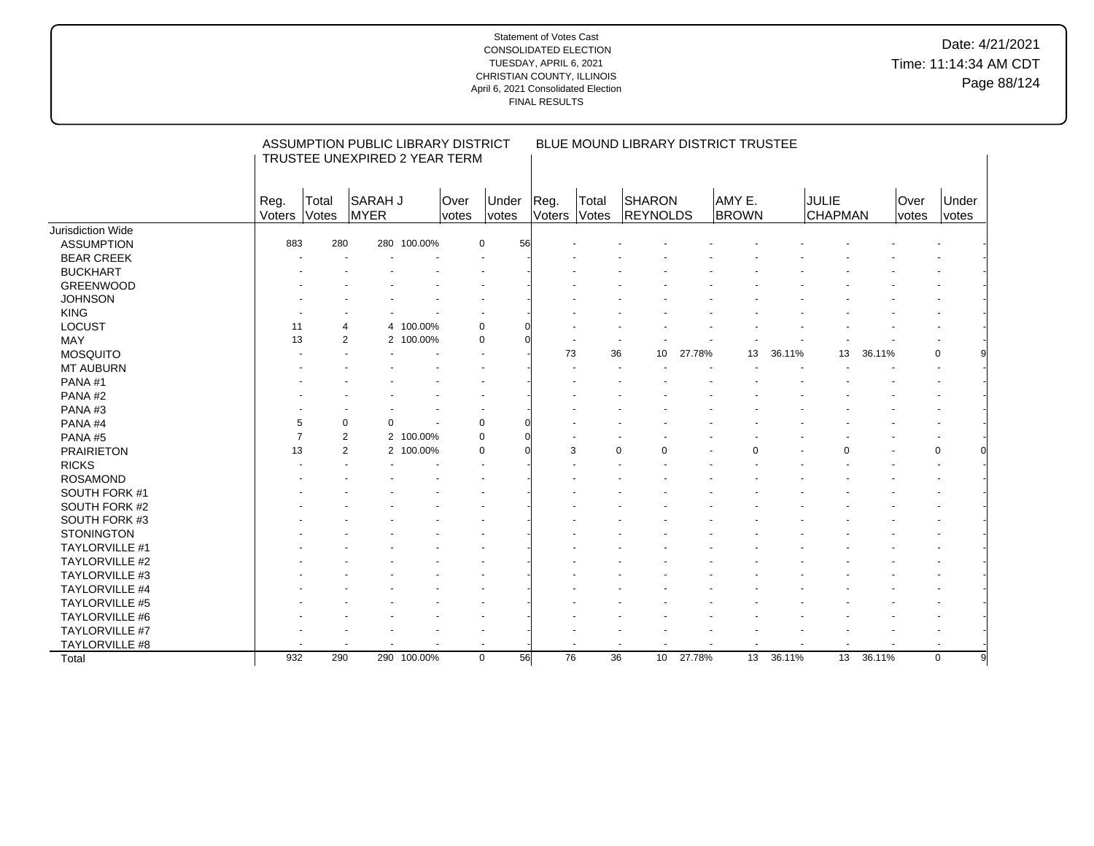|                       |                |                | ASSUMPTION PUBLIC LIBRARY DISTRICT<br>TRUSTEE UNEXPIRED 2 YEAR TERM |             |                      |                   |                |                | BLUE MOUND LIBRARY DISTRICT TRUSTEE |                 |        |                        |        |                                |        |               |                |  |
|-----------------------|----------------|----------------|---------------------------------------------------------------------|-------------|----------------------|-------------------|----------------|----------------|-------------------------------------|-----------------|--------|------------------------|--------|--------------------------------|--------|---------------|----------------|--|
|                       | Reg.<br>Voters | Total<br>Votes | SARAH J<br>MYER                                                     |             | Over<br><i>votes</i> | Under<br>votes    | Reg.<br>Voters | Total<br>Votes | SHARON<br><b>REYNOLDS</b>           |                 |        | AMY E.<br><b>BROWN</b> |        | <b>JULIE</b><br><b>CHAPMAN</b> |        | Over<br>votes | Under<br>votes |  |
| Jurisdiction Wide     |                |                |                                                                     |             |                      |                   |                |                |                                     |                 |        |                        |        |                                |        |               |                |  |
| <b>ASSUMPTION</b>     | 883            | 280            |                                                                     | 280 100.00% |                      | 56<br>$\Omega$    |                |                |                                     |                 |        |                        |        |                                |        |               |                |  |
| <b>BEAR CREEK</b>     |                |                |                                                                     |             |                      |                   |                |                |                                     |                 |        |                        |        |                                |        |               |                |  |
| <b>BUCKHART</b>       |                |                |                                                                     |             |                      |                   |                |                |                                     |                 |        |                        |        |                                |        |               |                |  |
| <b>GREENWOOD</b>      |                |                |                                                                     |             |                      |                   |                |                |                                     |                 |        |                        |        |                                |        |               |                |  |
| <b>JOHNSON</b>        |                |                |                                                                     |             |                      |                   |                |                |                                     |                 |        |                        |        |                                |        |               |                |  |
| <b>KING</b>           |                |                |                                                                     |             |                      |                   |                |                |                                     |                 |        |                        |        |                                |        |               |                |  |
| LOCUST                | 11             |                | 4                                                                   | 4 100.00%   |                      | $\mathbf 0$       |                |                |                                     |                 |        |                        |        |                                |        |               |                |  |
| MAY                   | 13             |                | $\overline{2}$                                                      | 2 100.00%   |                      | $\mathbf 0$       |                |                |                                     |                 |        |                        |        |                                |        |               |                |  |
| <b>MOSQUITO</b>       |                |                |                                                                     |             |                      |                   | 73             |                | 36                                  | 10              | 27.78% | 13                     | 36.11% | 13                             | 36.11% |               | 0              |  |
| <b>MT AUBURN</b>      |                |                |                                                                     |             |                      |                   |                |                |                                     |                 |        |                        |        |                                |        |               |                |  |
| PANA#1                |                |                |                                                                     |             |                      |                   |                |                |                                     |                 |        |                        |        |                                |        |               |                |  |
| PANA#2                |                |                |                                                                     |             |                      |                   |                |                |                                     |                 |        |                        |        |                                |        |               |                |  |
| PANA#3                |                |                |                                                                     |             |                      |                   |                |                |                                     |                 |        |                        |        |                                |        |               |                |  |
| PANA#4                |                | 5              | $\Omega$<br>$\Omega$                                                |             |                      | 0                 |                |                |                                     |                 |        |                        |        |                                |        |               |                |  |
| PANA#5                | $\overline{7}$ |                | $\overline{2}$                                                      | 2 100.00%   |                      | 0                 |                |                |                                     |                 |        |                        |        |                                |        |               |                |  |
| <b>PRAIRIETON</b>     | 13             |                | $\overline{2}$                                                      | 2 100.00%   |                      | 0                 |                | 3              | $\Omega$                            | $\Omega$        |        | O                      |        |                                |        |               | $\mathbf 0$    |  |
| <b>RICKS</b>          |                |                |                                                                     |             |                      |                   |                |                |                                     |                 |        |                        |        |                                |        |               |                |  |
| <b>ROSAMOND</b>       |                |                |                                                                     |             |                      |                   |                |                |                                     |                 |        |                        |        |                                |        |               |                |  |
| SOUTH FORK #1         |                |                |                                                                     |             |                      |                   |                |                |                                     |                 |        |                        |        |                                |        |               |                |  |
| SOUTH FORK #2         |                |                |                                                                     |             |                      |                   |                |                |                                     |                 |        |                        |        |                                |        |               |                |  |
| SOUTH FORK #3         |                |                |                                                                     |             |                      |                   |                |                |                                     |                 |        |                        |        |                                |        |               |                |  |
| <b>STONINGTON</b>     |                |                |                                                                     |             |                      |                   |                |                |                                     |                 |        |                        |        |                                |        |               |                |  |
| <b>TAYLORVILLE #1</b> |                |                |                                                                     |             |                      |                   |                |                |                                     |                 |        |                        |        |                                |        |               |                |  |
| <b>TAYLORVILLE #2</b> |                |                |                                                                     |             |                      |                   |                |                |                                     |                 |        |                        |        |                                |        |               |                |  |
| TAYLORVILLE #3        |                |                |                                                                     |             |                      |                   |                |                |                                     |                 |        |                        |        |                                |        |               |                |  |
| TAYLORVILLE #4        |                |                |                                                                     |             |                      |                   |                |                |                                     |                 |        |                        |        |                                |        |               |                |  |
| <b>TAYLORVILLE #5</b> |                |                |                                                                     |             |                      |                   |                |                |                                     |                 |        |                        |        |                                |        |               |                |  |
| <b>TAYLORVILLE #6</b> |                |                |                                                                     |             |                      |                   |                |                |                                     |                 |        |                        |        |                                |        |               |                |  |
| <b>TAYLORVILLE #7</b> |                |                |                                                                     |             |                      |                   |                |                |                                     |                 |        |                        |        |                                |        |               |                |  |
| TAYLORVILLE #8        |                |                |                                                                     |             |                      |                   |                |                |                                     |                 |        |                        |        |                                |        |               |                |  |
| Total                 | 932            | 290            |                                                                     | 290 100.00% |                      | 56<br>$\mathbf 0$ | 76             |                | 36                                  | 10 <sup>1</sup> | 27.78% | 13                     | 36.11% | 13                             | 36.11% |               | $\mathbf 0$    |  |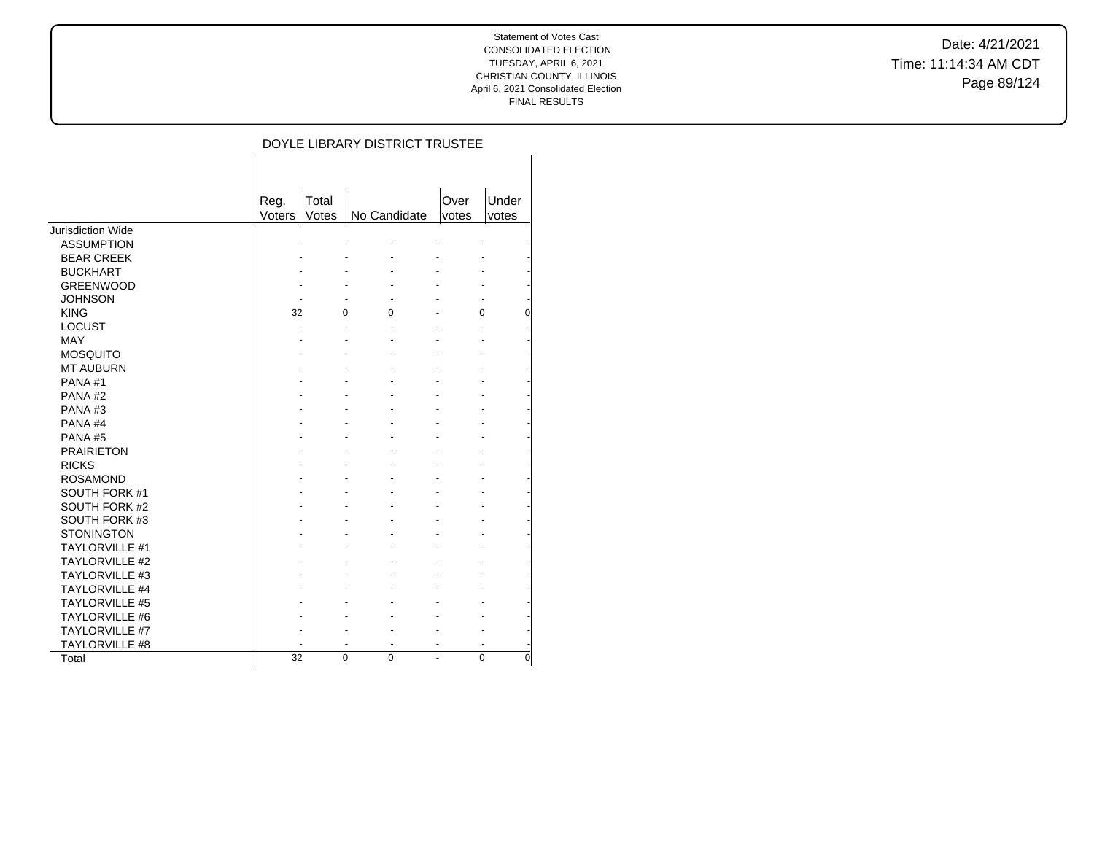Date: 4/21/2021 Time: 11:14:34 AM CDT Page 89/124

# DOYLE LIBRARY DISTRICT TRUSTEE

|                       | Reg.   | Total    |              | Over  | Under         |
|-----------------------|--------|----------|--------------|-------|---------------|
|                       | Voters | Votes    | No Candidate | votes | votes         |
| Jurisdiction Wide     |        |          |              |       |               |
| <b>ASSUMPTION</b>     |        |          |              |       |               |
| <b>BEAR CREEK</b>     |        |          |              |       |               |
| <b>BUCKHART</b>       |        |          |              |       |               |
| <b>GREENWOOD</b>      |        |          |              |       |               |
| <b>JOHNSON</b>        |        |          |              |       |               |
| <b>KING</b>           | 32     | 0        | $\Omega$     |       | 0             |
| <b>LOCUST</b>         |        |          |              |       |               |
| <b>MAY</b>            |        |          |              |       |               |
| <b>MOSQUITO</b>       |        |          |              |       |               |
| <b>MT AUBURN</b>      |        |          |              |       |               |
| PANA#1                |        |          |              |       |               |
| PANA#2                |        |          |              |       |               |
| PANA#3                |        |          |              |       |               |
| PANA#4                |        |          |              |       |               |
| PANA#5                |        |          |              |       |               |
| <b>PRAIRIETON</b>     |        |          |              |       |               |
| <b>RICKS</b>          |        |          |              |       |               |
| <b>ROSAMOND</b>       |        |          |              |       |               |
| SOUTH FORK #1         |        |          |              |       |               |
| <b>SOUTH FORK #2</b>  |        |          |              |       |               |
| SOUTH FORK #3         |        |          |              |       |               |
| <b>STONINGTON</b>     |        |          |              |       |               |
| <b>TAYLORVILLE #1</b> |        |          |              |       |               |
| TAYLORVILLE #2        |        |          |              |       |               |
| <b>TAYLORVILLE #3</b> |        |          |              |       |               |
| <b>TAYLORVILLE #4</b> |        |          |              |       |               |
| <b>TAYLORVILLE #5</b> |        |          |              |       |               |
| <b>TAYLORVILLE #6</b> |        |          |              |       |               |
| <b>TAYLORVILLE #7</b> |        |          |              |       |               |
| <b>TAYLORVILLE #8</b> |        |          |              |       |               |
| Total                 | 32     | $\Omega$ | $\Omega$     |       | $\Omega$<br>0 |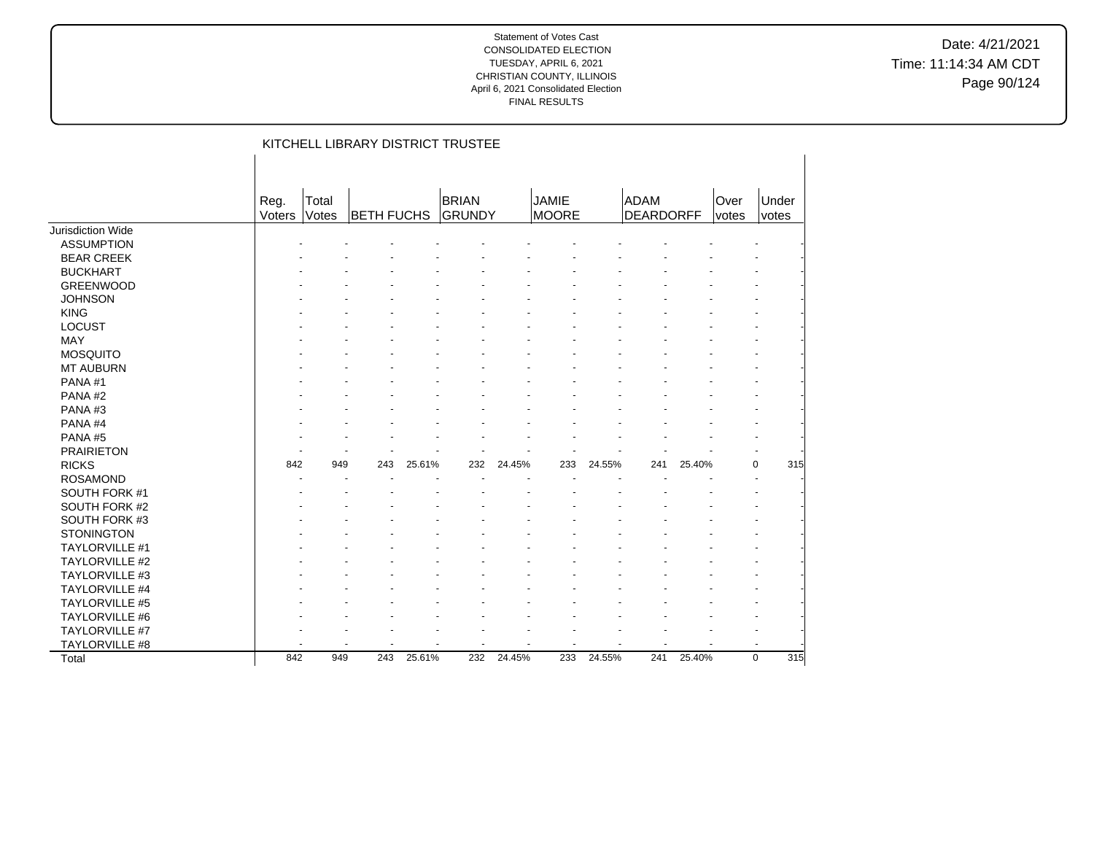Date: 4/21/2021 Time: 11:14:34 AM CDT Page 90/124

|                       |                |                | KITCHELL LIBRARY DISTRICT TRUSTEE |        |                        |        |                       |        |                          |        |               |                    |
|-----------------------|----------------|----------------|-----------------------------------|--------|------------------------|--------|-----------------------|--------|--------------------------|--------|---------------|--------------------|
|                       |                |                |                                   |        |                        |        |                       |        |                          |        |               |                    |
|                       | Reg.<br>Voters | Total<br>Votes | <b>BETH FUCHS</b>                 |        | <b>BRIAN</b><br>GRUNDY |        | <b>JAMIE</b><br>MOORE |        | ADAM<br><b>DEARDORFF</b> |        | Over<br>votes | Under<br>votes     |
| Jurisdiction Wide     |                |                |                                   |        |                        |        |                       |        |                          |        |               |                    |
| <b>ASSUMPTION</b>     |                |                |                                   |        |                        |        |                       |        |                          |        |               |                    |
| <b>BEAR CREEK</b>     |                |                |                                   |        |                        |        |                       |        |                          |        |               |                    |
| <b>BUCKHART</b>       |                |                |                                   |        |                        |        |                       |        |                          |        |               |                    |
| <b>GREENWOOD</b>      |                |                |                                   |        |                        |        |                       |        |                          |        |               |                    |
| <b>JOHNSON</b>        |                |                |                                   |        |                        |        |                       |        |                          |        |               |                    |
| <b>KING</b>           |                |                |                                   |        |                        |        |                       |        |                          |        |               |                    |
| <b>LOCUST</b>         |                |                |                                   |        |                        |        |                       |        |                          |        |               |                    |
| MAY                   |                |                |                                   |        |                        |        |                       |        |                          |        |               |                    |
| <b>MOSQUITO</b>       |                |                |                                   |        |                        |        |                       |        |                          |        |               |                    |
| <b>MT AUBURN</b>      |                |                |                                   |        |                        |        |                       |        |                          |        |               |                    |
| PANA#1                |                |                |                                   |        |                        |        |                       |        |                          |        |               |                    |
| PANA#2                |                |                |                                   |        |                        |        |                       |        |                          |        |               |                    |
| PANA#3                |                |                |                                   |        |                        |        |                       |        |                          |        |               |                    |
| PANA#4                |                |                |                                   |        |                        |        |                       |        |                          |        |               |                    |
| PANA#5                |                |                |                                   |        |                        |        |                       |        |                          |        |               |                    |
| <b>PRAIRIETON</b>     |                |                |                                   |        |                        |        |                       |        |                          |        |               |                    |
| <b>RICKS</b>          | 842            | 949            | 243                               | 25.61% | 232                    | 24.45% | 233                   | 24.55% | 241                      | 25.40% |               | 0<br>315           |
| <b>ROSAMOND</b>       |                |                |                                   |        |                        |        |                       |        |                          |        |               |                    |
| SOUTH FORK #1         |                |                |                                   |        |                        |        |                       |        |                          |        |               |                    |
| SOUTH FORK #2         |                |                |                                   |        |                        |        |                       |        |                          |        |               |                    |
| SOUTH FORK #3         |                |                |                                   |        |                        |        |                       |        |                          |        |               |                    |
| <b>STONINGTON</b>     |                |                |                                   |        |                        |        |                       |        |                          |        |               |                    |
| TAYLORVILLE #1        |                |                |                                   |        |                        |        |                       |        |                          |        |               |                    |
| TAYLORVILLE #2        |                |                |                                   |        |                        |        |                       |        |                          |        |               |                    |
| TAYLORVILLE #3        |                |                |                                   |        |                        |        |                       |        |                          |        |               |                    |
| TAYLORVILLE #4        |                |                |                                   |        |                        |        |                       |        |                          |        |               |                    |
| <b>TAYLORVILLE #5</b> |                |                |                                   |        |                        |        |                       |        |                          |        |               |                    |
| TAYLORVILLE #6        |                |                |                                   |        |                        |        |                       |        |                          |        |               |                    |
| TAYLORVILLE #7        |                |                |                                   |        |                        |        |                       |        |                          |        |               |                    |
| TAYLORVILLE #8        |                |                |                                   |        |                        |        |                       |        |                          |        |               |                    |
| Total                 | 842            | 949            | 243                               | 25.61% | 232                    | 24.45% | 233                   | 24.55% | 241                      | 25.40% |               | 315<br>$\mathbf 0$ |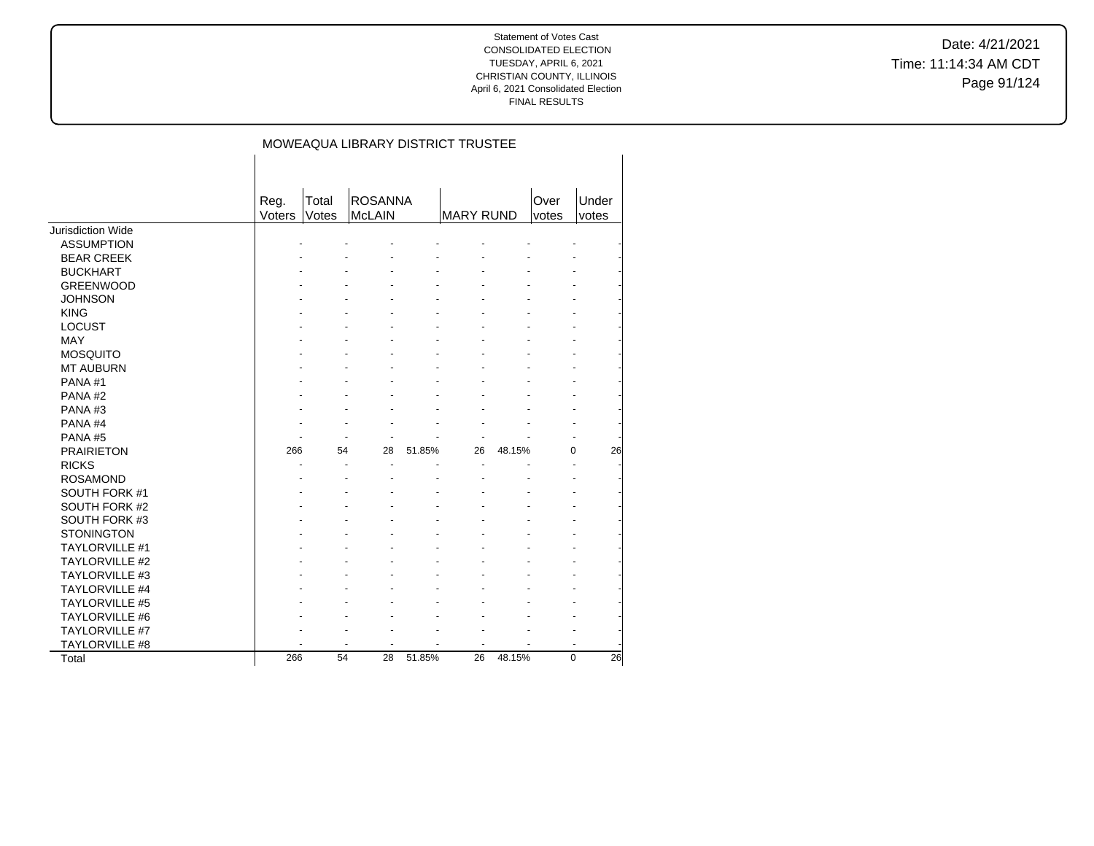Date: 4/21/2021 Time: 11:14:34 AM CDT Page 91/124

## MOWEAQUA LIBRARY DISTRICT TRUSTEE

|                       | Reg.<br>Voters | Total<br>Votes | <b>ROSANNA</b><br><b>McLAIN</b> |        | <b>MARY RUND</b> |        | Over<br>votes | Under<br>votes |
|-----------------------|----------------|----------------|---------------------------------|--------|------------------|--------|---------------|----------------|
| Jurisdiction Wide     |                |                |                                 |        |                  |        |               |                |
| <b>ASSUMPTION</b>     |                |                |                                 |        |                  |        |               |                |
| <b>BEAR CREEK</b>     |                |                |                                 |        |                  |        |               |                |
| <b>BUCKHART</b>       |                |                |                                 |        |                  |        |               |                |
| <b>GREENWOOD</b>      |                |                |                                 |        |                  |        |               |                |
| <b>JOHNSON</b>        |                |                |                                 |        |                  |        |               |                |
| <b>KING</b>           |                |                |                                 |        |                  |        |               |                |
| <b>LOCUST</b>         |                |                |                                 |        |                  |        |               |                |
| <b>MAY</b>            |                |                |                                 |        |                  |        |               |                |
| <b>MOSQUITO</b>       |                |                |                                 |        |                  |        |               |                |
| <b>MT AUBURN</b>      |                |                |                                 |        |                  |        |               |                |
| PANA#1                |                |                |                                 |        |                  |        |               |                |
| PANA#2                |                |                |                                 |        |                  |        |               |                |
| PANA#3                |                |                |                                 |        |                  |        |               |                |
| PANA#4                |                |                |                                 |        |                  |        |               |                |
| PANA#5                |                |                |                                 |        |                  |        |               |                |
| <b>PRAIRIETON</b>     | 266            | 54             | 28                              | 51.85% | 26               | 48.15% | $\Omega$      | 26             |
| <b>RICKS</b>          |                |                |                                 |        |                  |        |               |                |
| <b>ROSAMOND</b>       |                |                |                                 |        |                  |        |               |                |
| SOUTH FORK #1         |                |                |                                 |        |                  |        |               |                |
| SOUTH FORK #2         |                |                |                                 |        |                  |        |               |                |
| SOUTH FORK #3         |                |                |                                 |        |                  |        |               |                |
| <b>STONINGTON</b>     |                |                |                                 |        |                  |        |               |                |
| <b>TAYLORVILLE #1</b> |                |                |                                 |        |                  |        |               |                |
| <b>TAYLORVILLE #2</b> |                |                |                                 |        |                  |        |               |                |
| TAYLORVILLE #3        |                |                |                                 |        |                  |        |               |                |
| <b>TAYLORVILLE #4</b> |                |                |                                 |        |                  |        |               |                |
| TAYLORVILLE #5        |                |                |                                 |        |                  |        |               |                |
| <b>TAYLORVILLE #6</b> |                |                |                                 |        |                  |        |               |                |
| <b>TAYLORVILLE #7</b> |                |                |                                 |        |                  |        |               |                |
| TAYLORVILLE #8        |                |                |                                 |        |                  |        |               |                |
|                       | 266            | 54             | 28                              | 51.85% | 26               | 48.15% | 0             | 26             |
| Total                 |                |                |                                 |        |                  |        |               |                |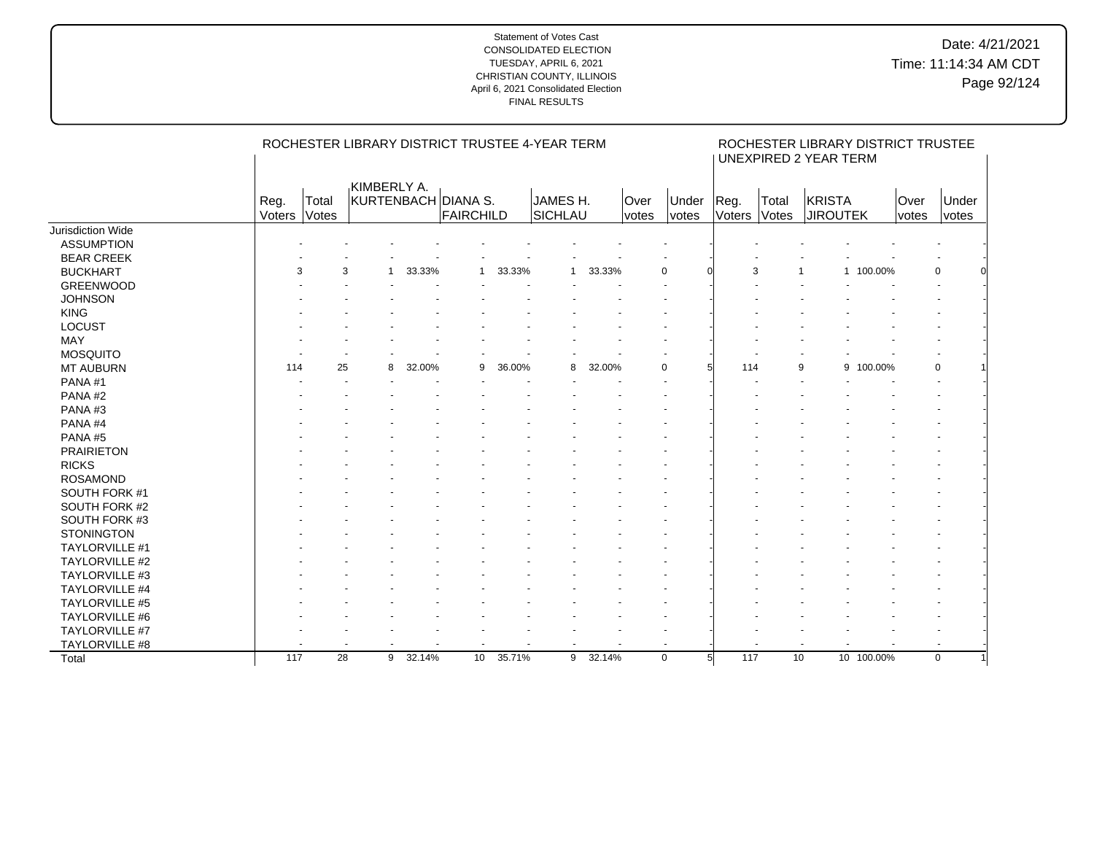|                       |                          |                | ROCHESTER LIBRARY DISTRICT TRUSTEE 4-YEAR TERM |        |                 |        |                     |        |                      |                |                       |                       | ROCHESTER LIBRARY DISTRICT TRUSTEE<br><b>UNEXPIRED 2 YEAR TERM</b> |              |                      |                       |
|-----------------------|--------------------------|----------------|------------------------------------------------|--------|-----------------|--------|---------------------|--------|----------------------|----------------|-----------------------|-----------------------|--------------------------------------------------------------------|--------------|----------------------|-----------------------|
|                       | Reg.<br>Voters           | Total<br>Votes | KIMBERLY A.<br>KURTENBACH DIANA S.             |        | FAIRCHILD       |        | JAMES H.<br>SICHLAU |        | Over<br><i>votes</i> | Under<br>votes | Reg.<br><b>Voters</b> | Total<br><b>Votes</b> | KRISTA<br><b>JIROUTEK</b>                                          |              | Over<br><i>votes</i> | Under<br><b>votes</b> |
| Jurisdiction Wide     |                          |                |                                                |        |                 |        |                     |        |                      |                |                       |                       |                                                                    |              |                      |                       |
| <b>ASSUMPTION</b>     |                          |                |                                                |        |                 |        |                     |        |                      |                |                       |                       |                                                                    |              |                      |                       |
| <b>BEAR CREEK</b>     |                          |                |                                                |        |                 |        |                     |        |                      |                |                       |                       |                                                                    |              |                      |                       |
| <b>BUCKHART</b>       | 3                        | 3              | $\mathbf{1}$                                   | 33.33% | 1               | 33.33% | $\overline{1}$      | 33.33% |                      | $\Omega$       |                       | 3                     |                                                                    | 1 100.00%    |                      | $\mathbf 0$           |
| <b>GREENWOOD</b>      |                          |                |                                                |        |                 |        |                     |        |                      |                |                       |                       |                                                                    |              |                      |                       |
| <b>JOHNSON</b>        |                          |                |                                                |        |                 |        |                     |        |                      |                |                       |                       |                                                                    |              |                      |                       |
| <b>KING</b>           |                          |                |                                                |        |                 |        |                     |        |                      |                |                       |                       |                                                                    |              |                      |                       |
| LOCUST                |                          |                |                                                |        |                 |        |                     |        |                      |                |                       |                       |                                                                    |              |                      |                       |
| <b>MAY</b>            |                          |                |                                                |        |                 |        |                     |        |                      |                |                       |                       |                                                                    |              |                      |                       |
| <b>MOSQUITO</b>       |                          |                |                                                |        |                 |        |                     |        |                      |                |                       |                       |                                                                    |              |                      |                       |
| <b>MT AUBURN</b>      | 114                      | 25             | 8                                              | 32.00% | 9               | 36.00% | 8                   | 32.00% |                      | $\Omega$       | 114                   |                       | 9                                                                  | 100.00%<br>9 |                      | 0                     |
| PANA#1                |                          |                |                                                |        |                 |        |                     |        |                      |                |                       |                       |                                                                    |              |                      |                       |
| PANA#2                |                          |                |                                                |        |                 |        |                     |        |                      |                |                       |                       |                                                                    |              |                      |                       |
| PANA#3                |                          |                |                                                |        |                 |        |                     |        |                      |                |                       |                       |                                                                    |              |                      |                       |
| PANA#4                |                          |                |                                                |        |                 |        |                     |        |                      |                |                       |                       |                                                                    |              |                      |                       |
| PANA#5                |                          |                |                                                |        |                 |        |                     |        |                      |                |                       |                       |                                                                    |              |                      |                       |
| <b>PRAIRIETON</b>     |                          |                |                                                |        |                 |        |                     |        |                      |                |                       |                       |                                                                    |              |                      |                       |
| <b>RICKS</b>          |                          |                |                                                |        |                 |        |                     |        |                      |                |                       |                       |                                                                    |              |                      |                       |
| <b>ROSAMOND</b>       |                          |                |                                                |        |                 |        |                     |        |                      |                |                       |                       |                                                                    |              |                      |                       |
| SOUTH FORK #1         |                          |                |                                                |        |                 |        |                     |        |                      |                |                       |                       |                                                                    |              |                      |                       |
| SOUTH FORK #2         |                          |                |                                                |        |                 |        |                     |        |                      |                |                       |                       |                                                                    |              |                      |                       |
| SOUTH FORK #3         |                          |                |                                                |        |                 |        |                     |        |                      |                |                       |                       |                                                                    |              |                      |                       |
| <b>STONINGTON</b>     |                          |                |                                                |        |                 |        |                     |        |                      |                |                       |                       |                                                                    |              |                      |                       |
| <b>TAYLORVILLE #1</b> |                          |                |                                                |        |                 |        |                     |        |                      |                |                       |                       |                                                                    |              |                      |                       |
| TAYLORVILLE #2        |                          |                |                                                |        |                 |        |                     |        |                      |                |                       |                       |                                                                    |              |                      |                       |
| <b>TAYLORVILLE #3</b> |                          |                |                                                |        |                 |        |                     |        |                      |                |                       |                       |                                                                    |              |                      |                       |
| TAYLORVILLE #4        |                          |                |                                                |        |                 |        |                     |        |                      |                |                       |                       |                                                                    |              |                      |                       |
| <b>TAYLORVILLE #5</b> |                          |                |                                                |        |                 |        |                     |        |                      |                |                       |                       |                                                                    |              |                      |                       |
| <b>TAYLORVILLE #6</b> |                          |                |                                                |        |                 |        |                     |        |                      |                |                       |                       |                                                                    |              |                      |                       |
| TAYLORVILLE #7        |                          |                |                                                |        |                 |        |                     |        |                      |                |                       |                       |                                                                    |              |                      |                       |
| TAYLORVILLE #8        | $\overline{\phantom{a}}$ |                |                                                |        |                 |        |                     |        |                      |                |                       | $\blacksquare$        |                                                                    |              |                      |                       |
| Total                 | 117                      | 28             | 9                                              | 32.14% | 10 <sup>°</sup> | 35.71% | 9                   | 32.14% |                      | $\Omega$       | 5 <sup>1</sup><br>117 |                       | 10                                                                 | 10 100.00%   |                      | $\mathbf 0$           |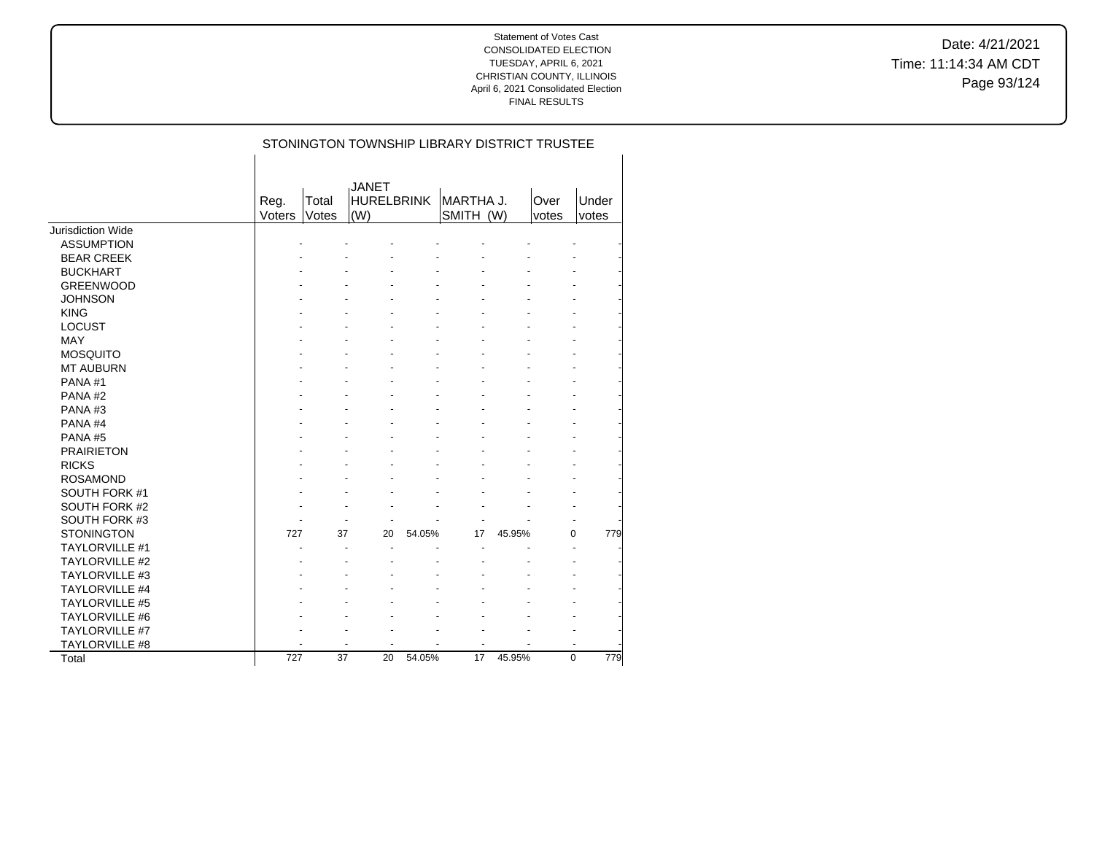Date: 4/21/2021 Time: 11:14:34 AM CDT Page 93/124

|                       |                |                 | STONINGTON TOWNSHIP LIBRARY DISTRICT TRUSTEE |                          |                        |        |                          |                |
|-----------------------|----------------|-----------------|----------------------------------------------|--------------------------|------------------------|--------|--------------------------|----------------|
|                       |                |                 |                                              |                          |                        |        |                          |                |
|                       | Reg.<br>Voters | Total<br>Votes  | <b>JANET</b><br><b>HURELBRINK</b><br>(W)     |                          | MARTHA J.<br>SMITH (W) |        | Over<br>votes            | Under<br>votes |
| Jurisdiction Wide     |                |                 |                                              |                          |                        |        |                          |                |
| <b>ASSUMPTION</b>     |                |                 |                                              |                          |                        |        |                          |                |
| <b>BEAR CREEK</b>     |                |                 |                                              |                          |                        |        |                          |                |
| <b>BUCKHART</b>       |                |                 |                                              |                          |                        |        |                          |                |
| <b>GREENWOOD</b>      |                |                 |                                              |                          |                        |        |                          |                |
| <b>JOHNSON</b>        |                |                 |                                              |                          |                        |        |                          |                |
| <b>KING</b>           |                |                 |                                              |                          |                        |        |                          |                |
| <b>LOCUST</b>         |                |                 |                                              |                          |                        |        |                          |                |
| <b>MAY</b>            |                |                 |                                              |                          |                        |        |                          |                |
| <b>MOSQUITO</b>       |                |                 |                                              |                          |                        |        |                          |                |
| <b>MT AUBURN</b>      |                |                 |                                              |                          |                        |        |                          |                |
| PANA#1                |                |                 |                                              |                          |                        |        |                          |                |
| PANA#2                |                |                 |                                              |                          |                        |        |                          |                |
| PANA#3                |                |                 |                                              |                          |                        |        |                          |                |
| PANA#4                |                |                 |                                              |                          |                        |        |                          |                |
| PANA#5                |                |                 |                                              |                          |                        |        |                          |                |
| <b>PRAIRIETON</b>     |                |                 |                                              |                          |                        |        |                          |                |
| <b>RICKS</b>          |                |                 |                                              |                          |                        |        |                          |                |
| <b>ROSAMOND</b>       |                |                 |                                              |                          |                        |        |                          |                |
| SOUTH FORK #1         |                |                 |                                              |                          |                        |        |                          |                |
| SOUTH FORK #2         |                |                 |                                              |                          |                        |        |                          |                |
| SOUTH FORK #3         |                |                 |                                              |                          |                        |        |                          |                |
| <b>STONINGTON</b>     | 727            | 37              | 20                                           | 54.05%                   | 17                     | 45.95% | $\Omega$                 | 779            |
| <b>TAYLORVILLE #1</b> |                |                 |                                              |                          |                        |        | ÷.                       |                |
| <b>TAYLORVILLE #2</b> |                |                 |                                              |                          |                        |        |                          |                |
| <b>TAYLORVILLE #3</b> |                |                 |                                              |                          |                        |        |                          |                |
| <b>TAYLORVILLE #4</b> |                |                 |                                              |                          |                        |        |                          |                |
| <b>TAYLORVILLE #5</b> |                |                 |                                              |                          |                        |        |                          |                |
| <b>TAYLORVILLE #6</b> |                |                 |                                              |                          |                        |        |                          |                |
| <b>TAYLORVILLE #7</b> |                |                 |                                              |                          |                        |        |                          |                |
| <b>TAYLORVILLE #8</b> |                |                 | $\overline{\phantom{a}}$                     | $\overline{\phantom{a}}$ | ٠                      |        | $\overline{\phantom{a}}$ |                |
| Total                 | 727            | $\overline{37}$ | 20                                           | 54.05%                   | 17                     | 45.95% | 0                        | 779            |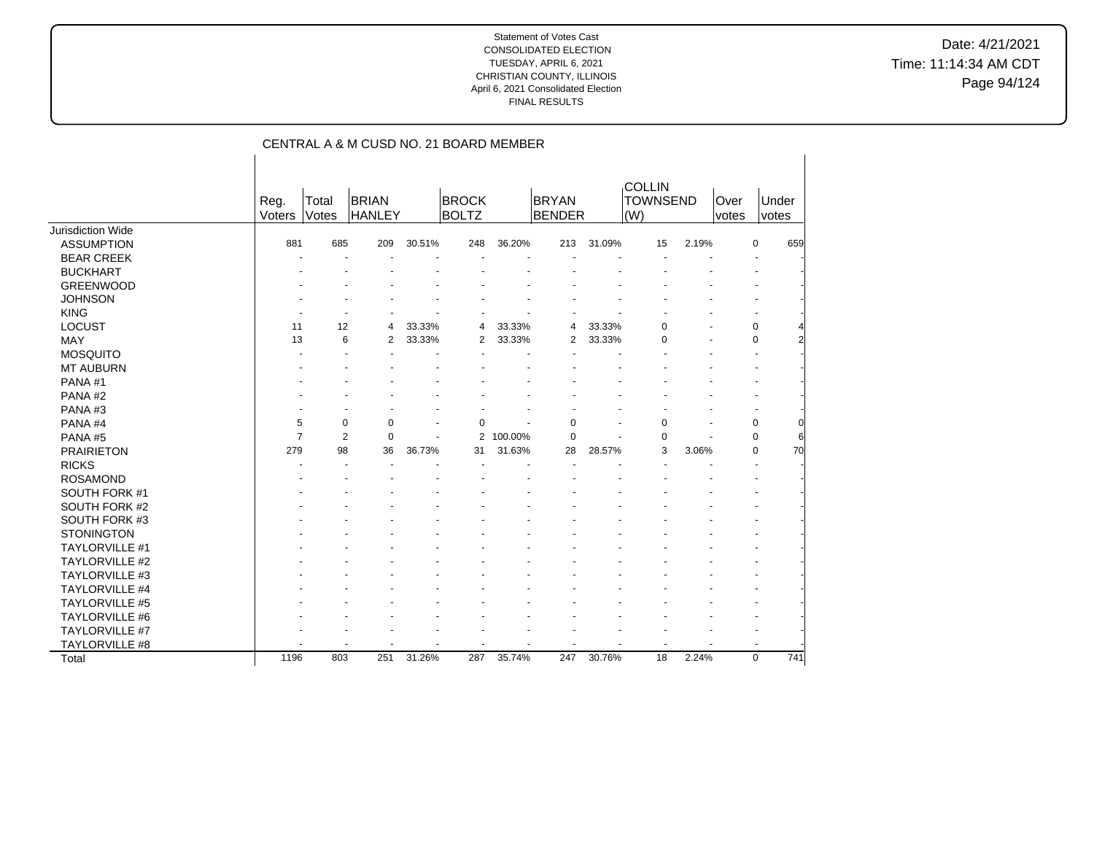Date: 4/21/2021 Time: 11:14:34 AM CDT Page 94/124

|                       |                |                | CENTRAL A & M CUSD NO. 21 BOARD MEMBER |        |                              |         |                               |        |                                         |       |               |             |       |
|-----------------------|----------------|----------------|----------------------------------------|--------|------------------------------|---------|-------------------------------|--------|-----------------------------------------|-------|---------------|-------------|-------|
|                       | Reg.<br>Voters | Total<br>Votes | <b>BRIAN</b><br>HANLEY                 |        | <b>BROCK</b><br><b>BOLTZ</b> |         | <b>BRYAN</b><br><b>BENDER</b> |        | <b>COLLIN</b><br><b>TOWNSEND</b><br>(W) |       | Over<br>votes | votes       | Under |
| Jurisdiction Wide     |                |                |                                        |        |                              |         |                               |        |                                         |       |               |             |       |
| <b>ASSUMPTION</b>     | 881            | 685            | 209                                    | 30.51% | 248                          | 36.20%  | 213                           | 31.09% | 15                                      | 2.19% |               | 0           | 659   |
| <b>BEAR CREEK</b>     |                |                |                                        |        |                              |         |                               |        |                                         |       |               |             |       |
| <b>BUCKHART</b>       |                |                |                                        |        |                              |         |                               |        |                                         |       |               |             |       |
| <b>GREENWOOD</b>      |                |                |                                        |        |                              |         |                               |        |                                         |       |               |             |       |
| <b>JOHNSON</b>        |                |                |                                        |        |                              |         |                               |        |                                         |       |               |             |       |
| <b>KING</b>           |                |                |                                        |        |                              |         |                               |        |                                         |       |               |             |       |
| <b>LOCUST</b>         | 11             | 12             | 4                                      | 33.33% | 4                            | 33.33%  | 4                             | 33.33% | 0                                       |       |               | 0           |       |
| <b>MAY</b>            | 13             |                | 6<br>2                                 | 33.33% | 2                            | 33.33%  | 2                             | 33.33% | 0                                       |       |               | 0           |       |
| <b>MOSQUITO</b>       |                |                |                                        |        |                              |         |                               |        |                                         |       |               |             |       |
| <b>MT AUBURN</b>      |                |                |                                        |        |                              |         |                               |        |                                         |       |               |             |       |
| PANA#1                |                |                |                                        |        |                              |         |                               |        |                                         |       |               |             |       |
| PANA#2                |                |                |                                        |        |                              |         |                               |        |                                         |       |               |             |       |
| PANA#3                |                |                |                                        |        |                              |         |                               |        |                                         |       |               |             |       |
| PANA#4                | 5              |                | 0<br>0                                 |        | $\Omega$                     |         | $\Omega$                      |        | $\mathbf 0$                             |       |               | 0           |       |
| PANA#5                | $\overline{7}$ |                | 2<br>0                                 |        | $\overline{2}$               | 100.00% | $\mathbf 0$                   |        | $\pmb{0}$                               |       |               | 0           | 6     |
| <b>PRAIRIETON</b>     | 279            | 98             | 36                                     | 36.73% | 31                           | 31.63%  | 28                            | 28.57% | 3                                       | 3.06% |               | $\Omega$    | 70    |
| <b>RICKS</b>          |                |                |                                        |        |                              |         |                               |        |                                         |       |               |             |       |
| <b>ROSAMOND</b>       |                |                |                                        |        |                              |         |                               |        |                                         |       |               |             |       |
| SOUTH FORK #1         |                |                |                                        |        |                              |         |                               |        |                                         |       |               |             |       |
| SOUTH FORK #2         |                |                |                                        |        |                              |         |                               |        |                                         |       |               |             |       |
| SOUTH FORK #3         |                |                |                                        |        |                              |         |                               |        |                                         |       |               |             |       |
| <b>STONINGTON</b>     |                |                |                                        |        |                              |         |                               |        |                                         |       |               |             |       |
| TAYLORVILLE #1        |                |                |                                        |        |                              |         |                               |        |                                         |       |               |             |       |
| TAYLORVILLE #2        |                |                |                                        |        |                              |         |                               |        |                                         |       |               |             |       |
| TAYLORVILLE #3        |                |                |                                        |        |                              |         |                               |        |                                         |       |               |             |       |
| TAYLORVILLE #4        |                |                |                                        |        |                              |         |                               |        |                                         |       |               |             |       |
| <b>TAYLORVILLE #5</b> |                |                |                                        |        |                              |         |                               |        |                                         |       |               |             |       |
| TAYLORVILLE #6        |                |                |                                        |        |                              |         |                               |        |                                         |       |               |             |       |
| TAYLORVILLE #7        |                |                |                                        |        |                              |         |                               |        |                                         |       |               |             |       |
| TAYLORVILLE #8        |                |                |                                        |        |                              |         |                               |        | $\sim$                                  |       |               |             |       |
| Total                 | 1196           | 803            | 251                                    | 31.26% | 287                          | 35.74%  | 247                           | 30.76% | 18                                      | 2.24% |               | $\mathbf 0$ | 741   |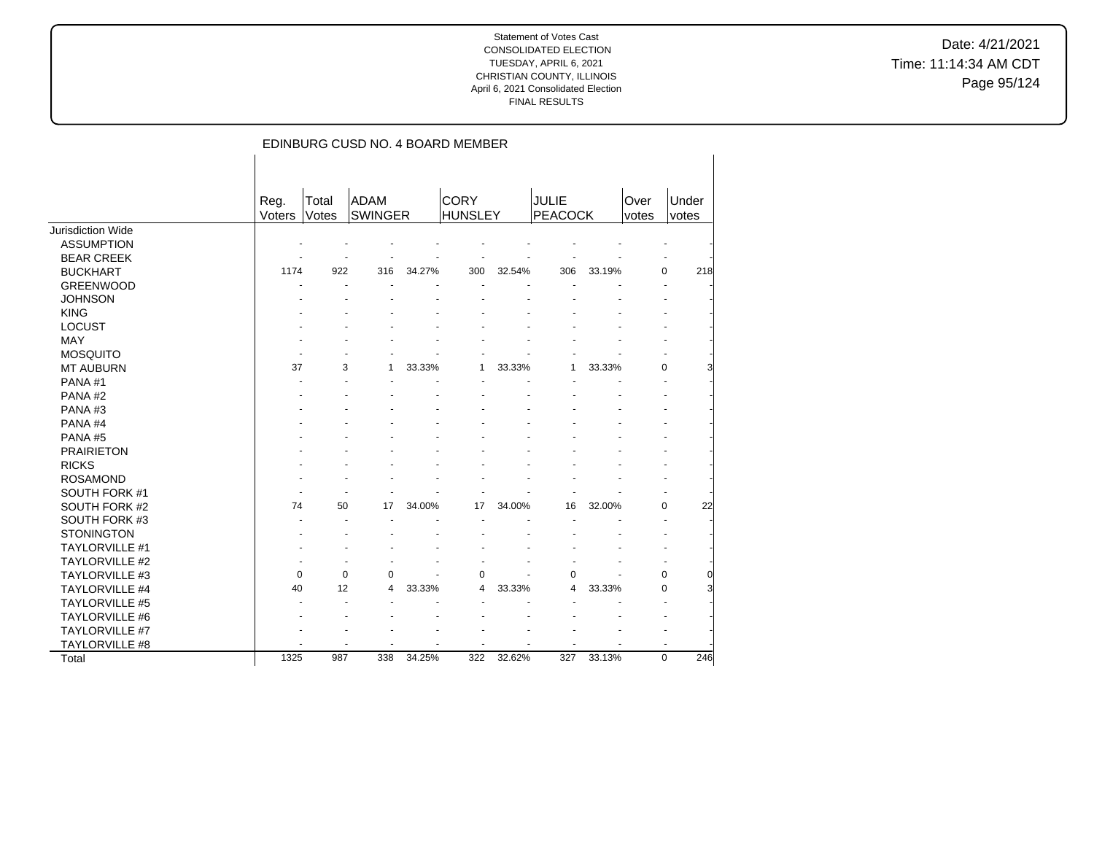Date: 4/21/2021 Time: 11:14:34 AM CDT Page 95/124

|                       | Reg.<br><b>Voters</b> | Total<br>Votes | <b>ADAM</b><br><b>SWINGER</b> |        | <b>CORY</b><br><b>HUNSLEY</b> |        | <b>JULIE</b><br><b>PEACOCK</b> |        | Over<br>votes | Under<br>votes     |
|-----------------------|-----------------------|----------------|-------------------------------|--------|-------------------------------|--------|--------------------------------|--------|---------------|--------------------|
| Jurisdiction Wide     |                       |                |                               |        |                               |        |                                |        |               |                    |
| <b>ASSUMPTION</b>     |                       |                |                               |        |                               |        |                                |        |               |                    |
| <b>BEAR CREEK</b>     |                       |                |                               |        |                               |        |                                |        |               |                    |
| <b>BUCKHART</b>       | 1174                  | 922            | 316                           | 34.27% | 300                           | 32.54% | 306                            | 33.19% |               | 0<br>218           |
| <b>GREENWOOD</b>      |                       |                |                               |        |                               |        |                                |        |               |                    |
| <b>JOHNSON</b>        |                       |                |                               |        |                               |        |                                |        |               |                    |
| <b>KING</b>           |                       |                |                               |        |                               |        |                                |        |               |                    |
| <b>LOCUST</b>         |                       |                |                               |        |                               |        |                                |        |               |                    |
| <b>MAY</b>            |                       |                |                               |        |                               |        |                                |        |               |                    |
| <b>MOSQUITO</b>       |                       |                |                               |        |                               |        |                                |        |               |                    |
| <b>MT AUBURN</b>      | 37                    | 3              | 1                             | 33.33% | 1                             | 33.33% | 1                              | 33.33% |               | 0                  |
| PANA#1                |                       |                |                               |        |                               |        |                                |        |               |                    |
| PANA#2                |                       |                |                               |        |                               |        |                                |        |               |                    |
| PANA#3                |                       |                |                               |        |                               |        |                                |        |               |                    |
| PANA#4                |                       |                |                               |        |                               |        |                                |        |               |                    |
| PANA#5                |                       |                |                               |        |                               |        |                                |        |               |                    |
| <b>PRAIRIETON</b>     |                       |                |                               |        |                               |        |                                |        |               |                    |
| <b>RICKS</b>          |                       |                |                               |        |                               |        |                                |        |               |                    |
| <b>ROSAMOND</b>       |                       |                |                               |        |                               |        |                                |        |               |                    |
| SOUTH FORK #1         |                       |                |                               |        |                               |        |                                |        |               |                    |
| SOUTH FORK #2         | 74                    | 50             | 17                            | 34.00% | 17                            | 34.00% | 16                             | 32.00% |               | 0<br>22            |
| SOUTH FORK #3         |                       |                |                               |        |                               |        |                                |        |               |                    |
| <b>STONINGTON</b>     |                       |                |                               |        |                               |        |                                |        |               |                    |
| <b>TAYLORVILLE #1</b> |                       |                |                               |        |                               |        |                                |        |               |                    |
| <b>TAYLORVILLE #2</b> |                       |                |                               |        |                               |        |                                |        |               |                    |
| <b>TAYLORVILLE #3</b> | 0                     | 0              | $\Omega$                      |        | $\Omega$                      |        | $\Omega$                       |        |               | 0<br>0             |
| <b>TAYLORVILLE #4</b> | 40                    | 12             | 4                             | 33.33% | 4                             | 33.33% | 4                              | 33.33% |               | 0<br>3             |
| <b>TAYLORVILLE #5</b> |                       |                |                               |        |                               |        |                                |        |               |                    |
| <b>TAYLORVILLE #6</b> |                       |                |                               |        |                               |        |                                |        |               |                    |
| <b>TAYLORVILLE #7</b> |                       |                |                               |        |                               |        |                                |        |               |                    |
| <b>TAYLORVILLE #8</b> |                       |                |                               |        |                               |        |                                |        |               |                    |
| Total                 | 1325                  | 987            | 338                           | 34.25% | 322                           | 32.62% | 327                            | 33.13% |               | $\mathbf 0$<br>246 |

## EDINBURG CUSD NO. 4 BOARD MEMBER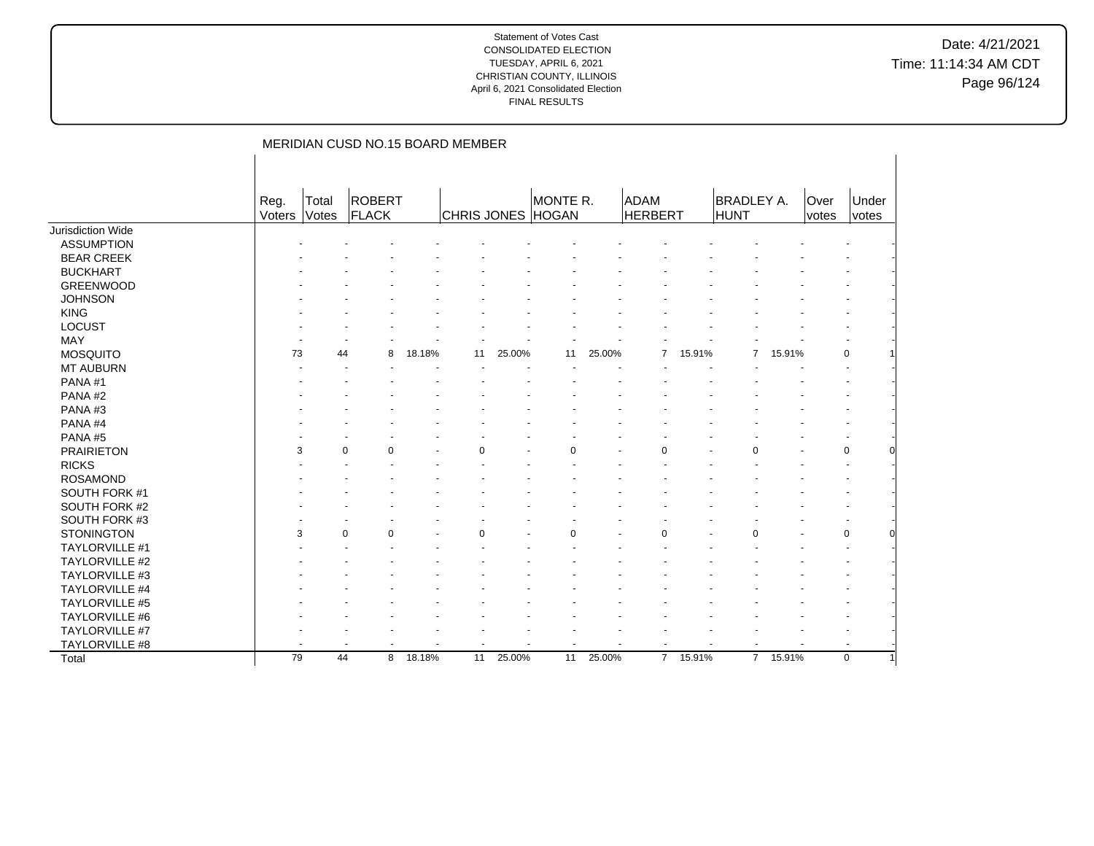Date: 4/21/2021 Time: 11:14:34 AM CDT Page 96/124

|                       |                |                | MERIDIAN CUSD NO.15 BOARD MEMBER |        |          |        |                               |        |                        |        |                           |        |               |                          |
|-----------------------|----------------|----------------|----------------------------------|--------|----------|--------|-------------------------------|--------|------------------------|--------|---------------------------|--------|---------------|--------------------------|
|                       | Reg.<br>Voters | Total<br>Votes | <b>ROBERT</b><br><b>FLACK</b>    |        |          |        | MONTE R.<br>CHRIS JONES HOGAN |        | ADAM<br><b>HERBERT</b> |        | <b>BRADLEY A.</b><br>HUNT |        | Over<br>votes | Under<br>votes           |
| Jurisdiction Wide     |                |                |                                  |        |          |        |                               |        |                        |        |                           |        |               |                          |
| <b>ASSUMPTION</b>     |                |                |                                  |        |          |        |                               |        |                        |        |                           |        |               |                          |
| <b>BEAR CREEK</b>     |                |                |                                  |        |          |        |                               |        |                        |        |                           |        |               |                          |
| <b>BUCKHART</b>       |                |                |                                  |        |          |        |                               |        |                        |        |                           |        |               |                          |
| <b>GREENWOOD</b>      |                |                |                                  |        |          |        |                               |        |                        |        |                           |        |               |                          |
| <b>JOHNSON</b>        |                |                |                                  |        |          |        |                               |        |                        |        |                           |        |               |                          |
| <b>KING</b>           |                |                |                                  |        |          |        |                               |        |                        |        |                           |        |               |                          |
| <b>LOCUST</b>         |                |                |                                  |        |          |        |                               |        |                        |        |                           |        |               |                          |
| MAY                   |                |                |                                  |        |          |        |                               |        |                        |        |                           |        |               |                          |
| <b>MOSQUITO</b>       | 73             | 44             | 8                                | 18.18% | 11       | 25.00% | 11                            | 25.00% | $\overline{7}$         | 15.91% | $\overline{7}$            | 15.91% |               | $\mathbf 0$              |
| <b>MT AUBURN</b>      |                |                |                                  |        |          |        |                               |        |                        |        |                           |        |               |                          |
| PANA#1                |                |                |                                  |        |          |        |                               |        |                        |        |                           |        |               |                          |
| PANA#2                |                |                |                                  |        |          |        |                               |        |                        |        |                           |        |               |                          |
| PANA#3                |                |                |                                  |        |          |        |                               |        |                        |        |                           |        |               |                          |
| PANA#4                |                |                |                                  |        |          |        |                               |        |                        |        |                           |        |               |                          |
| PANA#5                |                |                |                                  |        |          |        |                               |        |                        |        |                           |        |               |                          |
| <b>PRAIRIETON</b>     | 3              | $\Omega$       | $\Omega$                         |        | $\Omega$ |        | $\Omega$                      |        | $\Omega$               |        | $\mathbf 0$               |        |               | $\mathbf 0$              |
| <b>RICKS</b>          |                |                |                                  |        |          |        |                               |        |                        |        |                           |        |               |                          |
| <b>ROSAMOND</b>       |                |                |                                  |        |          |        |                               |        |                        |        |                           |        |               |                          |
| SOUTH FORK #1         |                |                |                                  |        |          |        |                               |        |                        |        |                           |        |               |                          |
| SOUTH FORK #2         |                |                |                                  |        |          |        |                               |        |                        |        |                           |        |               |                          |
| SOUTH FORK #3         |                |                |                                  |        |          |        |                               |        |                        |        |                           |        |               |                          |
| <b>STONINGTON</b>     | 3              |                | $\Omega$<br>$\Omega$             |        | $\Omega$ |        | $\Omega$                      |        | $\Omega$               |        | $\Omega$                  |        |               | $\mathbf 0$              |
| TAYLORVILLE #1        |                |                |                                  |        |          |        |                               |        |                        |        |                           |        |               |                          |
| <b>TAYLORVILLE #2</b> |                |                |                                  |        |          |        |                               |        |                        |        |                           |        |               |                          |
| TAYLORVILLE #3        |                |                |                                  |        |          |        |                               |        |                        |        |                           |        |               |                          |
| TAYLORVILLE #4        |                |                |                                  |        |          |        |                               |        |                        |        |                           |        |               |                          |
| TAYLORVILLE #5        |                |                |                                  |        |          |        |                               |        |                        |        |                           |        |               |                          |
| TAYLORVILLE #6        |                |                |                                  |        |          |        |                               |        |                        |        |                           |        |               |                          |
| TAYLORVILLE #7        |                |                |                                  |        |          |        |                               |        |                        |        |                           |        |               |                          |
| TAYLORVILLE #8        |                |                |                                  |        |          |        |                               |        |                        |        |                           |        |               | $\overline{\phantom{a}}$ |
| Total                 | 79             | 44             | 8                                | 18.18% | 11       | 25.00% | 11                            | 25.00% | $\overline{7}$         | 15.91% | $7\overline{ }$           | 15.91% |               | $\mathbf 0$              |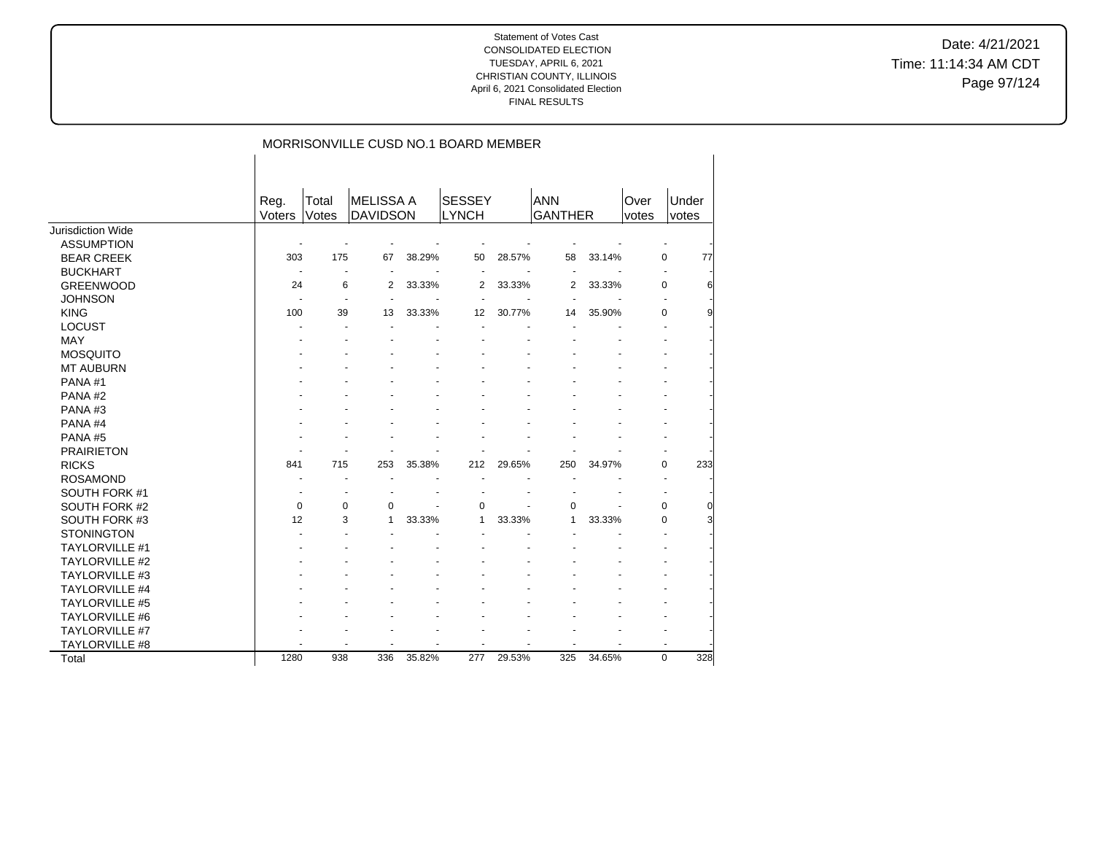Date: 4/21/2021 Time: 11:14:34 AM CDT Page 97/124

|                          |                |                |                                     |        | MORRISONVILLE CUSD NO.1 BOARD MEMBER |        |                              |        |               |                |     |
|--------------------------|----------------|----------------|-------------------------------------|--------|--------------------------------------|--------|------------------------------|--------|---------------|----------------|-----|
|                          | Reg.<br>Voters | Total<br>Votes | <b>MELISSA A</b><br><b>DAVIDSON</b> |        | <b>SESSEY</b><br><b>LYNCH</b>        |        | <b>ANN</b><br><b>GANTHER</b> |        | Over<br>votes | Under<br>votes |     |
| <b>Jurisdiction Wide</b> |                |                |                                     |        |                                      |        |                              |        |               |                |     |
| <b>ASSUMPTION</b>        |                |                |                                     |        |                                      |        |                              |        |               |                |     |
| <b>BEAR CREEK</b>        | 303            | 175            | 67                                  | 38.29% | 50                                   | 28.57% | 58                           | 33.14% |               | 0              | 77  |
| <b>BUCKHART</b>          | $\blacksquare$ | $\blacksquare$ |                                     |        | $\blacksquare$                       |        | $\blacksquare$               |        |               | ٠              |     |
| <b>GREENWOOD</b>         | 24             | 6              | $\overline{2}$                      | 33.33% | $\overline{2}$                       | 33.33% | 2                            | 33.33% |               | 0              | 6   |
| <b>JOHNSON</b>           |                | ÷,             |                                     |        |                                      |        |                              |        |               | ä,             |     |
| <b>KING</b>              | 100            | 39             | 13                                  | 33.33% | 12                                   | 30.77% | 14                           | 35.90% |               | 0              | 9   |
| <b>LOCUST</b>            |                |                |                                     |        |                                      |        |                              |        |               |                |     |
| MAY                      |                |                |                                     |        |                                      |        |                              |        |               |                |     |
| <b>MOSQUITO</b>          |                |                |                                     |        |                                      |        |                              |        |               |                |     |
| <b>MT AUBURN</b>         |                |                |                                     |        |                                      |        |                              |        |               |                |     |
| PANA#1                   |                |                |                                     |        |                                      |        |                              |        |               |                |     |
| PANA#2                   |                |                |                                     |        |                                      |        |                              |        |               |                |     |
| PANA#3                   |                |                |                                     |        |                                      |        |                              |        |               |                |     |
| PANA#4                   |                |                |                                     |        |                                      |        |                              |        |               |                |     |
| PANA#5                   |                |                |                                     |        |                                      |        |                              |        |               |                |     |
| <b>PRAIRIETON</b>        |                |                |                                     |        |                                      |        |                              |        |               |                |     |
| <b>RICKS</b>             | 841            | 715            | 253                                 | 35.38% | 212                                  | 29.65% | 250                          | 34.97% |               | 0              | 233 |
| <b>ROSAMOND</b>          |                |                |                                     |        |                                      |        |                              |        |               |                |     |
| SOUTH FORK #1            |                |                |                                     |        |                                      |        |                              |        |               |                |     |
| <b>SOUTH FORK #2</b>     | 0              | 0              | 0                                   |        | 0                                    |        | 0                            |        |               | 0              | 0   |
| SOUTH FORK #3            | 12             | 3              | 1                                   | 33.33% | 1                                    | 33.33% | 1                            | 33.33% |               | $\Omega$       |     |
| <b>STONINGTON</b>        |                |                |                                     |        |                                      |        |                              |        |               |                |     |
| TAYLORVILLE #1           |                |                |                                     |        |                                      |        |                              |        |               |                |     |
| TAYLORVILLE #2           |                |                |                                     |        |                                      |        |                              |        |               |                |     |
| TAYLORVILLE #3           |                |                |                                     |        |                                      |        |                              |        |               |                |     |
| <b>TAYLORVILLE #4</b>    |                |                |                                     |        |                                      |        |                              |        |               |                |     |
| <b>TAYLORVILLE #5</b>    |                |                |                                     |        |                                      |        |                              |        |               |                |     |
| TAYLORVILLE #6           |                |                |                                     |        |                                      |        |                              |        |               |                |     |
| TAYLORVILLE #7           |                |                |                                     |        |                                      |        |                              |        |               |                |     |
| TAYLORVILLE #8           |                |                |                                     |        |                                      |        |                              |        |               |                |     |
| Total                    | 1280           | 938            | 336                                 | 35.82% | 277                                  | 29.53% | 325                          | 34.65% |               | 0              | 328 |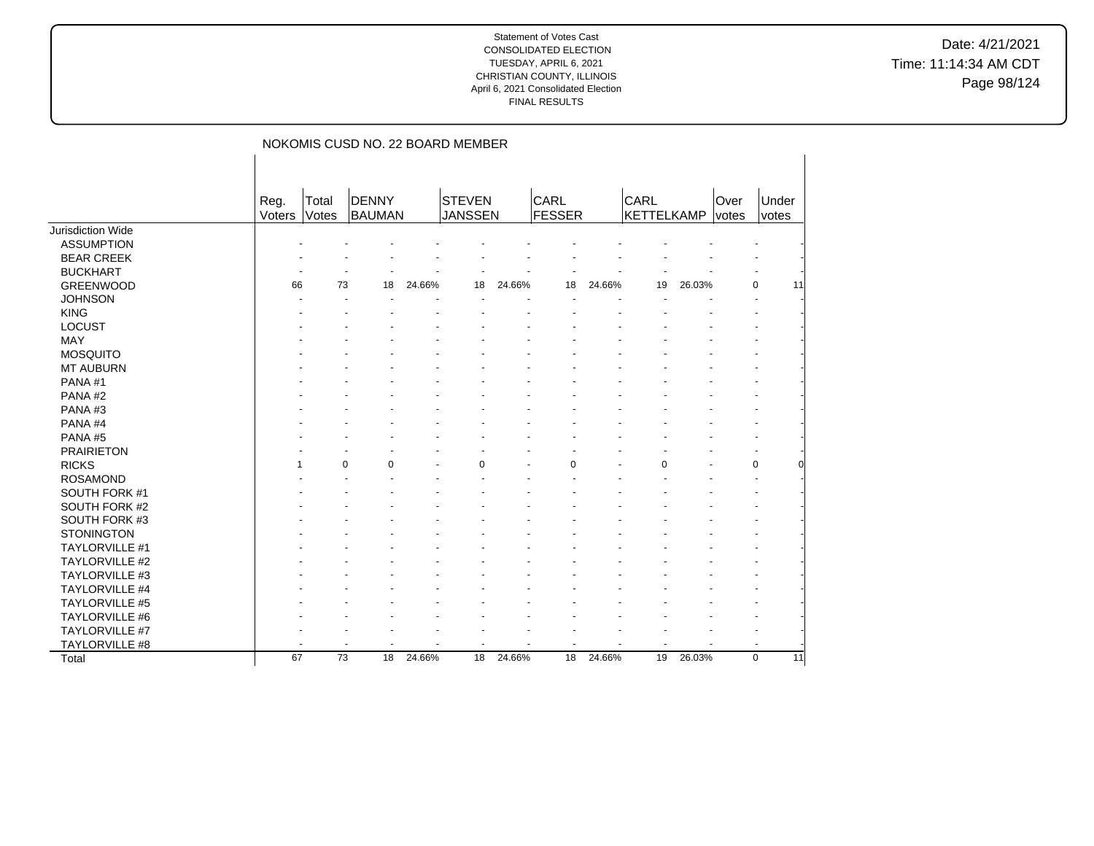Date: 4/21/2021 Time: 11:14:34 AM CDT Page 98/124

|                       |                |                | NOKOMIS CUSD NO. 22 BOARD MEMBER |        |                                 |        |                |        |                           |        |               |                   |
|-----------------------|----------------|----------------|----------------------------------|--------|---------------------------------|--------|----------------|--------|---------------------------|--------|---------------|-------------------|
|                       | Reg.<br>Voters | Total<br>Votes | DENNY<br>BAUMAN                  |        | <b>STEVEN</b><br><b>JANSSEN</b> |        | CARL<br>FESSER |        | CARL<br><b>KETTELKAMP</b> |        | Over<br>votes | Under<br>votes    |
| Jurisdiction Wide     |                |                |                                  |        |                                 |        |                |        |                           |        |               |                   |
| <b>ASSUMPTION</b>     |                |                |                                  |        |                                 |        |                |        |                           |        |               |                   |
| <b>BEAR CREEK</b>     |                |                |                                  |        |                                 |        |                |        |                           |        |               |                   |
| <b>BUCKHART</b>       |                |                |                                  |        |                                 |        |                |        |                           |        |               |                   |
| <b>GREENWOOD</b>      | 66             | 73             | 18                               | 24.66% | 18                              | 24.66% | 18             | 24.66% | 19                        | 26.03% |               | 0<br>11           |
| <b>JOHNSON</b>        |                |                |                                  |        |                                 |        |                |        |                           |        |               |                   |
| <b>KING</b>           |                |                |                                  |        |                                 |        |                |        |                           |        |               |                   |
| <b>LOCUST</b>         |                |                |                                  |        |                                 |        |                |        |                           |        |               |                   |
| MAY                   |                |                |                                  |        |                                 |        |                |        |                           |        |               |                   |
| <b>MOSQUITO</b>       |                |                |                                  |        |                                 |        |                |        |                           |        |               |                   |
| <b>MT AUBURN</b>      |                |                |                                  |        |                                 |        |                |        |                           |        |               |                   |
| PANA#1                |                |                |                                  |        |                                 |        |                |        |                           |        |               |                   |
| PANA#2                |                |                |                                  |        |                                 |        |                |        |                           |        |               |                   |
| PANA#3                |                |                |                                  |        |                                 |        |                |        |                           |        |               |                   |
| PANA#4                |                |                |                                  |        |                                 |        |                |        |                           |        |               |                   |
| PANA#5                |                |                |                                  |        |                                 |        |                |        |                           |        |               |                   |
| <b>PRAIRIETON</b>     |                |                |                                  |        |                                 |        |                |        |                           |        |               |                   |
| <b>RICKS</b>          |                | $\Omega$       | $\Omega$                         |        | 0                               |        | $\Omega$       |        | $\Omega$                  |        |               | 0                 |
| <b>ROSAMOND</b>       |                |                |                                  |        |                                 |        |                |        |                           |        |               |                   |
| SOUTH FORK #1         |                |                |                                  |        |                                 |        |                |        |                           |        |               |                   |
| SOUTH FORK #2         |                |                |                                  |        |                                 |        |                |        |                           |        |               |                   |
| SOUTH FORK #3         |                |                |                                  |        |                                 |        |                |        |                           |        |               |                   |
| <b>STONINGTON</b>     |                |                |                                  |        |                                 |        |                |        |                           |        |               |                   |
| TAYLORVILLE #1        |                |                |                                  |        |                                 |        |                |        |                           |        |               |                   |
| TAYLORVILLE #2        |                |                |                                  |        |                                 |        |                |        |                           |        |               |                   |
| TAYLORVILLE #3        |                |                |                                  |        |                                 |        |                |        |                           |        |               |                   |
| TAYLORVILLE #4        |                |                |                                  |        |                                 |        |                |        |                           |        |               |                   |
| <b>TAYLORVILLE #5</b> |                |                |                                  |        |                                 |        |                |        |                           |        |               |                   |
| TAYLORVILLE #6        |                |                |                                  |        |                                 |        |                |        |                           |        |               |                   |
| TAYLORVILLE #7        |                |                |                                  |        |                                 |        |                |        |                           |        |               |                   |
| TAYLORVILLE #8        |                |                |                                  |        |                                 |        |                |        |                           |        |               |                   |
| Total                 | 67             | 73             | 18                               | 24.66% | 18                              | 24.66% | 18             | 24.66% | 19                        | 26.03% |               | $\mathbf 0$<br>11 |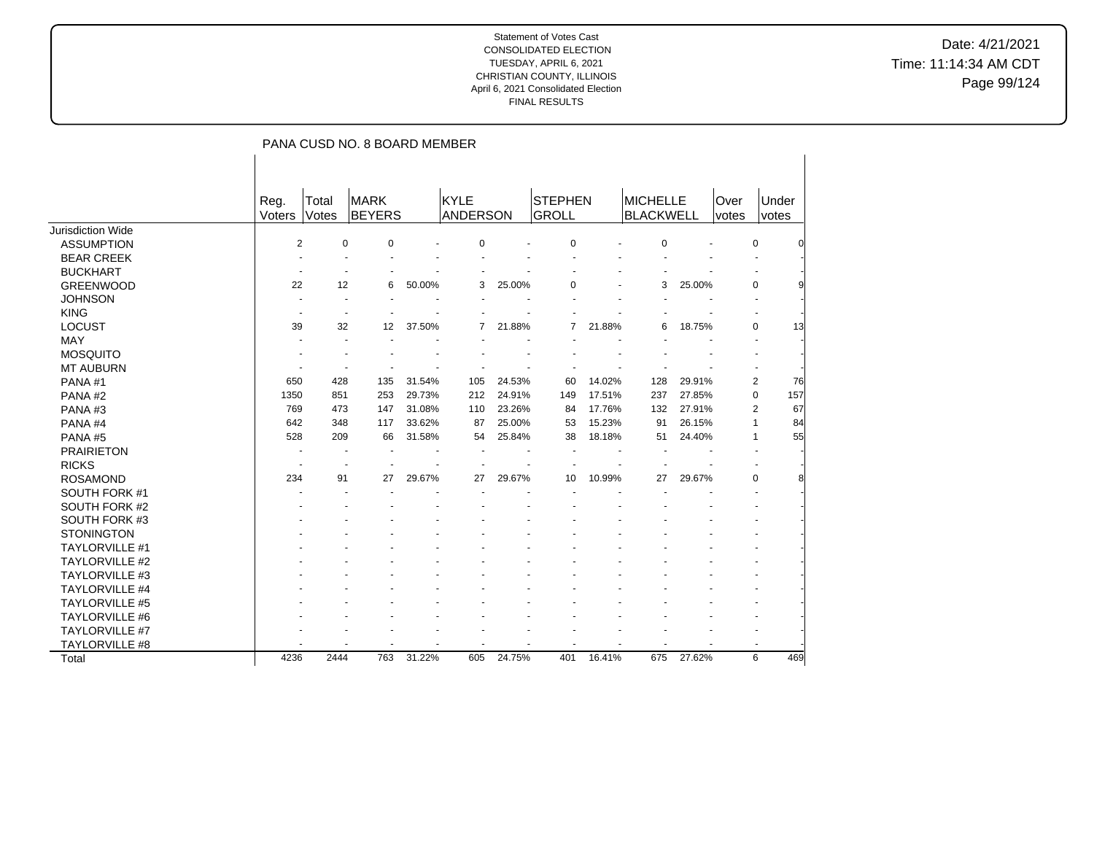Date: 4/21/2021 Time: 11:14:34 AM CDT Page 99/124

|                       |                |                | PANA CUSD NO. 8 BOARD MEMBER |        |                                |        |                                |        |                              |        |               |                |                |
|-----------------------|----------------|----------------|------------------------------|--------|--------------------------------|--------|--------------------------------|--------|------------------------------|--------|---------------|----------------|----------------|
|                       | Reg.<br>Voters | Total<br>Votes | MARK<br><b>BEYERS</b>        |        | <b>KYLE</b><br><b>ANDERSON</b> |        | <b>STEPHEN</b><br><b>GROLL</b> |        | MICHELLE<br><b>BLACKWELL</b> |        | Over<br>votes |                | Under<br>votes |
| Jurisdiction Wide     |                |                |                              |        |                                |        |                                |        |                              |        |               |                |                |
| <b>ASSUMPTION</b>     | 2              |                | 0<br>$\mathbf 0$             |        | 0                              |        | $\mathbf 0$                    |        | $\pmb{0}$                    |        |               | $\mathbf 0$    | $\Omega$       |
| <b>BEAR CREEK</b>     |                |                |                              |        |                                |        |                                |        |                              |        |               |                |                |
| <b>BUCKHART</b>       |                |                |                              |        |                                |        |                                |        |                              |        |               |                |                |
| <b>GREENWOOD</b>      | 22             | 12             | 6                            | 50.00% | 3                              | 25.00% | $\mathbf 0$                    |        | 3                            | 25.00% |               | 0              |                |
| <b>JOHNSON</b>        |                |                |                              |        |                                |        |                                |        |                              |        |               |                |                |
| <b>KING</b>           |                |                |                              |        |                                |        |                                |        |                              |        |               |                |                |
| LOCUST                | 39             | 32             | 12                           | 37.50% | 7                              | 21.88% | 7                              | 21.88% | 6                            | 18.75% |               | 0              | 13             |
| MAY                   |                |                |                              |        |                                |        |                                |        |                              |        |               |                |                |
| <b>MOSQUITO</b>       |                |                |                              |        |                                |        |                                |        |                              |        |               |                |                |
| <b>MT AUBURN</b>      |                |                |                              |        |                                |        |                                |        |                              |        |               |                |                |
| PANA#1                | 650            | 428            | 135                          | 31.54% | 105                            | 24.53% | 60                             | 14.02% | 128                          | 29.91% |               | 2              | 76             |
| PANA#2                | 1350           | 851            | 253                          | 29.73% | 212                            | 24.91% | 149                            | 17.51% | 237                          | 27.85% |               | $\Omega$       | 157            |
| PANA#3                | 769            | 473            | 147                          | 31.08% | 110                            | 23.26% | 84                             | 17.76% | 132                          | 27.91% |               | $\overline{2}$ | 67             |
| PANA#4                | 642            | 348            | 117                          | 33.62% | 87                             | 25.00% | 53                             | 15.23% | 91                           | 26.15% |               | 1              | 84             |
| PANA#5                | 528            | 209            | 66                           | 31.58% | 54                             | 25.84% | 38                             | 18.18% | 51                           | 24.40% |               |                | 55             |
| <b>PRAIRIETON</b>     |                |                |                              |        |                                |        |                                |        |                              |        |               |                |                |
| <b>RICKS</b>          |                |                |                              |        |                                |        |                                |        |                              |        |               |                |                |
| <b>ROSAMOND</b>       | 234            | 91             | 27                           | 29.67% | 27                             | 29.67% | 10                             | 10.99% | 27                           | 29.67% |               | 0              |                |
| SOUTH FORK #1         |                |                |                              |        |                                |        |                                |        |                              |        |               |                |                |
| SOUTH FORK #2         |                |                |                              |        |                                |        |                                |        |                              |        |               |                |                |
| SOUTH FORK #3         |                |                |                              |        |                                |        |                                |        |                              |        |               |                |                |
| <b>STONINGTON</b>     |                |                |                              |        |                                |        |                                |        |                              |        |               |                |                |
| <b>TAYLORVILLE #1</b> |                |                |                              |        |                                |        |                                |        |                              |        |               |                |                |
| TAYLORVILLE #2        |                |                |                              |        |                                |        |                                |        |                              |        |               |                |                |
| TAYLORVILLE #3        |                |                |                              |        |                                |        |                                |        |                              |        |               |                |                |
| TAYLORVILLE #4        |                |                |                              |        |                                |        |                                |        |                              |        |               |                |                |
| <b>TAYLORVILLE #5</b> |                |                |                              |        |                                |        |                                |        |                              |        |               |                |                |
| <b>TAYLORVILLE #6</b> |                |                |                              |        |                                |        |                                |        |                              |        |               |                |                |
| TAYLORVILLE #7        |                |                |                              |        |                                |        |                                |        |                              |        |               |                |                |
| TAYLORVILLE #8        |                |                |                              |        |                                |        |                                |        |                              |        |               |                |                |
| Total                 | 4236           | 2444           | 763                          | 31.22% | 605                            | 24.75% | 401                            | 16.41% | 675                          | 27.62% |               | 6              | 469            |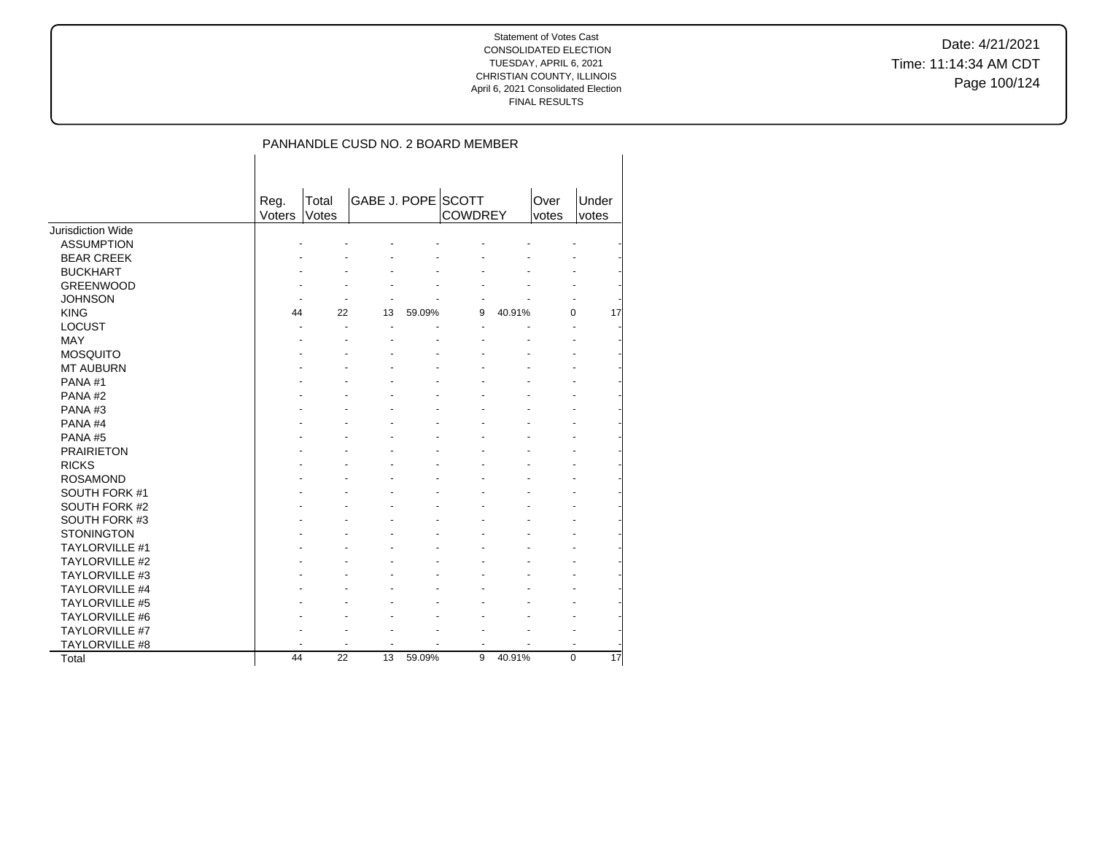Date: 4/21/2021 Time: 11:14:34 AM CDT Page 100/124

# PANHANDLE CUSD NO. 2 BOARD MEMBER

|                       | Reg.<br>Voters | Total<br>Votes | <b>GABE J. POPE SCOTT</b> |        | <b>COWDREY</b> |        | Over<br>votes | Under<br>votes |
|-----------------------|----------------|----------------|---------------------------|--------|----------------|--------|---------------|----------------|
| Jurisdiction Wide     |                |                |                           |        |                |        |               |                |
| <b>ASSUMPTION</b>     |                |                |                           |        |                |        |               |                |
| <b>BEAR CREEK</b>     |                |                |                           |        |                |        |               |                |
| <b>BUCKHART</b>       |                |                |                           |        |                |        |               |                |
| <b>GREENWOOD</b>      |                |                |                           |        |                |        |               |                |
| <b>JOHNSON</b>        |                |                |                           |        |                |        |               |                |
| <b>KING</b>           | 44             | 22             | 13                        | 59.09% | 9              | 40.91% | $\Omega$      | 17             |
| <b>LOCUST</b>         |                |                |                           |        |                |        |               |                |
| <b>MAY</b>            |                |                |                           |        |                |        |               |                |
| <b>MOSQUITO</b>       |                |                |                           |        |                |        |               |                |
| <b>MT AUBURN</b>      |                |                |                           |        |                |        |               |                |
| PANA#1                |                |                |                           |        |                |        |               |                |
| PANA#2                |                |                |                           |        |                |        |               |                |
| PANA#3                |                |                |                           |        |                |        |               |                |
| PANA#4                |                |                |                           |        |                |        |               |                |
| PANA#5                |                |                |                           |        |                |        |               |                |
| <b>PRAIRIETON</b>     |                |                |                           |        |                |        |               |                |
| <b>RICKS</b>          |                |                |                           |        |                |        |               |                |
| <b>ROSAMOND</b>       |                |                |                           |        |                |        |               |                |
| SOUTH FORK #1         |                |                |                           |        |                |        |               |                |
| SOUTH FORK #2         |                |                |                           |        |                |        |               |                |
| SOUTH FORK #3         |                |                |                           |        |                |        |               |                |
| <b>STONINGTON</b>     |                |                |                           |        |                |        |               |                |
| <b>TAYLORVILLE #1</b> |                |                |                           |        |                |        |               |                |
| <b>TAYLORVILLE #2</b> |                |                |                           |        |                |        |               |                |
| <b>TAYLORVILLE #3</b> |                |                |                           |        |                |        |               |                |
| <b>TAYLORVILLE #4</b> |                |                |                           |        |                |        |               |                |
| <b>TAYLORVILLE #5</b> |                |                |                           |        |                |        |               |                |
| <b>TAYLORVILLE #6</b> |                |                |                           |        |                |        |               |                |
| TAYLORVILLE #7        |                |                |                           |        |                |        |               |                |
| TAYLORVILLE #8        |                |                |                           |        |                |        |               |                |
| Total                 | 44             | 22             | 13                        | 59.09% | 9              | 40.91% | $\Omega$      | 17             |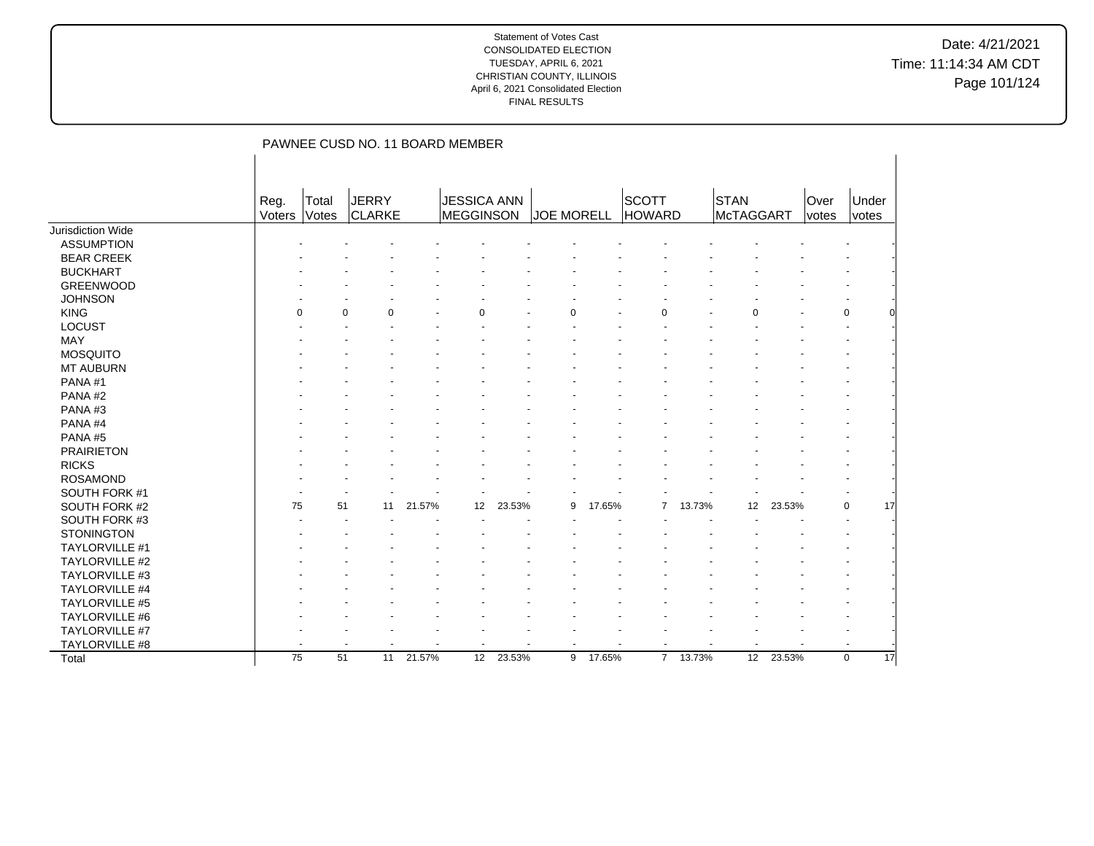|                   |                |                | PAWNEE CUSD NO. 11 BOARD MEMBER |        |                                 |        |                   |        |                        |                       |                   |        |               |                |
|-------------------|----------------|----------------|---------------------------------|--------|---------------------------------|--------|-------------------|--------|------------------------|-----------------------|-------------------|--------|---------------|----------------|
|                   |                |                |                                 |        |                                 |        |                   |        |                        |                       |                   |        |               |                |
|                   | Reg.<br>Voters | Total<br>Votes | JERRY<br><b>CLARKE</b>          |        | <b>JESSICA ANN</b><br>MEGGINSON |        | <b>JOE MORELL</b> |        | SCOTT<br><b>HOWARD</b> |                       | STAN<br>McTAGGART |        | Over<br>votes | Under<br>votes |
| Jurisdiction Wide |                |                |                                 |        |                                 |        |                   |        |                        |                       |                   |        |               |                |
| <b>ASSUMPTION</b> |                |                |                                 |        |                                 |        |                   |        |                        |                       |                   |        |               |                |
| <b>BEAR CREEK</b> |                |                |                                 |        |                                 |        |                   |        |                        |                       |                   |        |               |                |
| <b>BUCKHART</b>   |                |                |                                 |        |                                 |        |                   |        |                        |                       |                   |        |               |                |
| <b>GREENWOOD</b>  |                |                |                                 |        |                                 |        |                   |        |                        |                       |                   |        |               |                |
| <b>JOHNSON</b>    |                |                |                                 |        |                                 |        |                   |        |                        |                       |                   |        |               |                |
| <b>KING</b>       | $\Omega$       |                | $\Omega$<br>$\Omega$            |        | 0                               |        | $\Omega$          |        | O                      |                       | $\Omega$          |        |               | $\Omega$       |
| <b>LOCUST</b>     |                |                |                                 |        |                                 |        |                   |        |                        |                       |                   |        |               |                |
| <b>MAY</b>        |                |                |                                 |        |                                 |        |                   |        |                        |                       |                   |        |               |                |
| <b>MOSQUITO</b>   |                |                |                                 |        |                                 |        |                   |        |                        |                       |                   |        |               |                |
| MT AUBURN         |                |                |                                 |        |                                 |        |                   |        |                        |                       |                   |        |               |                |
| PANA#1            |                |                |                                 |        |                                 |        |                   |        |                        |                       |                   |        |               |                |
| PANA#2            |                |                |                                 |        |                                 |        |                   |        |                        |                       |                   |        |               |                |
| PANA#3            |                |                |                                 |        |                                 |        |                   |        |                        |                       |                   |        |               |                |
| PANA#4            |                |                |                                 |        |                                 |        |                   |        |                        |                       |                   |        |               |                |
| PANA#5            |                |                |                                 |        |                                 |        |                   |        |                        |                       |                   |        |               |                |
| <b>PRAIRIETON</b> |                |                |                                 |        |                                 |        |                   |        |                        |                       |                   |        |               |                |
| <b>RICKS</b>      |                |                |                                 |        |                                 |        |                   |        |                        |                       |                   |        |               |                |
| <b>ROSAMOND</b>   |                |                |                                 |        |                                 |        |                   |        |                        |                       |                   |        |               |                |
| SOUTH FORK #1     |                |                |                                 |        |                                 |        |                   |        |                        |                       |                   |        |               |                |
| SOUTH FORK #2     | 75             | 51             | 11                              | 21.57% | 12                              | 23.53% | 9                 | 17.65% | 7                      | 13.73%                | 12 <sup>°</sup>   | 23.53% |               | 0<br>17        |
| SOUTH FORK #3     |                |                |                                 |        |                                 |        |                   |        |                        |                       |                   |        |               |                |
| <b>STONINGTON</b> |                |                |                                 |        |                                 |        |                   |        |                        |                       |                   |        |               |                |
| TAYLORVILLE #1    |                |                |                                 |        |                                 |        |                   |        |                        |                       |                   |        |               |                |
| TAYLORVILLE #2    |                |                |                                 |        |                                 |        |                   |        |                        |                       |                   |        |               |                |
| TAYLORVILLE #3    |                |                |                                 |        |                                 |        |                   |        |                        |                       |                   |        |               |                |
| TAYLORVILLE #4    |                |                |                                 |        |                                 |        |                   |        |                        |                       |                   |        |               |                |
| TAYLORVILLE #5    |                |                |                                 |        |                                 |        |                   |        |                        |                       |                   |        |               |                |
| TAYLORVILLE #6    |                |                |                                 |        |                                 |        |                   |        |                        |                       |                   |        |               |                |
| TAYLORVILLE #7    |                |                |                                 |        |                                 |        |                   |        |                        |                       |                   |        |               |                |
| TAYLORVILLE #8    |                |                |                                 |        |                                 |        |                   |        |                        |                       |                   |        |               |                |
| Total             | 75             | 51             | 11                              | 21.57% | 12                              | 23.53% | 9                 | 17.65% |                        | $7^{\circ}$<br>13.73% | 12                | 23.53% |               | 17<br>0        |
|                   |                |                |                                 |        |                                 |        |                   |        |                        |                       |                   |        |               |                |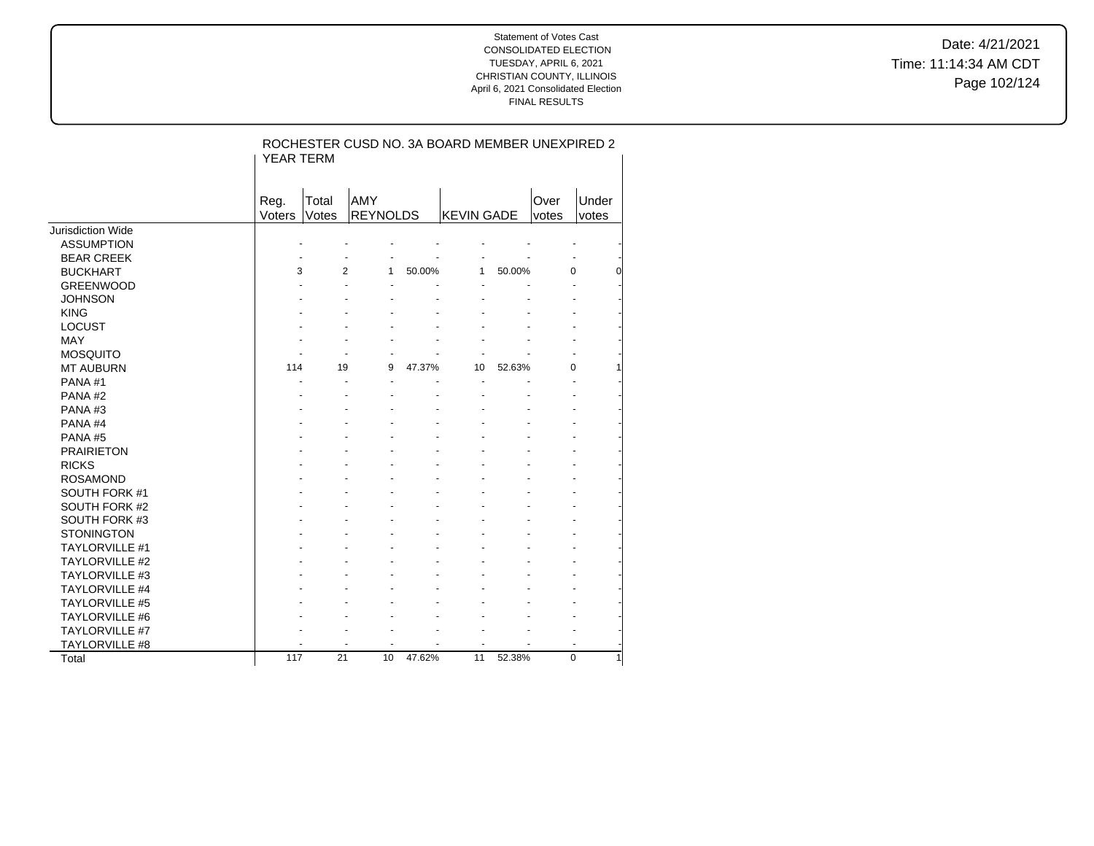Date: 4/21/2021 Time: 11:14:34 AM CDT Page 102/124

|                       | <b>YEAR TERM</b> |                | ROCHESTER CUSD NO. 3A BOARD MEMBER UNEXPIRED 2 |        |                   |        |               |                |
|-----------------------|------------------|----------------|------------------------------------------------|--------|-------------------|--------|---------------|----------------|
|                       | Reg.<br>Voters   | Total<br>Votes | <b>AMY</b><br><b>REYNOLDS</b>                  |        | <b>KEVIN GADE</b> |        | Over<br>votes | Under<br>votes |
| Jurisdiction Wide     |                  |                |                                                |        |                   |        |               |                |
| <b>ASSUMPTION</b>     |                  |                |                                                |        |                   |        |               |                |
| <b>BEAR CREEK</b>     |                  |                |                                                |        |                   |        |               |                |
| <b>BUCKHART</b>       | 3                | $\overline{2}$ | 1                                              | 50.00% | 1                 | 50.00% | 0             |                |
| <b>GREENWOOD</b>      |                  |                |                                                |        |                   |        |               |                |
| <b>JOHNSON</b>        |                  |                |                                                |        |                   |        |               |                |
| <b>KING</b>           |                  |                |                                                |        |                   |        |               |                |
| <b>LOCUST</b>         |                  |                |                                                |        |                   |        |               |                |
| <b>MAY</b>            |                  |                |                                                |        |                   |        |               |                |
| <b>MOSQUITO</b>       |                  |                |                                                |        |                   |        |               |                |
| MT AUBURN             | 114              | 19             | 9                                              | 47.37% | 10                | 52.63% | 0             |                |
| PANA#1                |                  |                |                                                |        |                   |        |               |                |
| PANA#2                |                  |                |                                                |        |                   |        |               |                |
| PANA#3                |                  |                |                                                |        |                   |        |               |                |
| PANA#4                |                  |                |                                                |        |                   |        |               |                |
| PANA#5                |                  |                |                                                |        |                   |        |               |                |
| <b>PRAIRIETON</b>     |                  |                |                                                |        |                   |        |               |                |
| <b>RICKS</b>          |                  |                |                                                |        |                   |        |               |                |
| <b>ROSAMOND</b>       |                  |                |                                                |        |                   |        |               |                |
| SOUTH FORK #1         |                  |                |                                                |        |                   |        |               |                |
| <b>SOUTH FORK #2</b>  |                  |                |                                                |        |                   |        |               |                |
| SOUTH FORK #3         |                  |                |                                                |        |                   |        |               |                |
| <b>STONINGTON</b>     |                  |                |                                                |        |                   |        |               |                |
| <b>TAYLORVILLE #1</b> |                  |                |                                                |        |                   |        |               |                |
| <b>TAYLORVILLE #2</b> |                  |                |                                                |        |                   |        |               |                |
| <b>TAYLORVILLE #3</b> |                  |                |                                                |        |                   |        |               |                |
| <b>TAYLORVILLE #4</b> |                  |                |                                                |        |                   |        |               |                |
| <b>TAYLORVILLE #5</b> |                  |                |                                                |        |                   |        |               |                |
| <b>TAYLORVILLE #6</b> |                  |                |                                                |        |                   |        |               |                |
| TAYLORVILLE #7        |                  |                |                                                |        |                   |        |               |                |
| TAYLORVILLE #8        |                  |                | ٠                                              |        |                   |        |               |                |
| Total                 | 117              | 21             | 10                                             | 47.62% | 11                | 52.38% | 0             |                |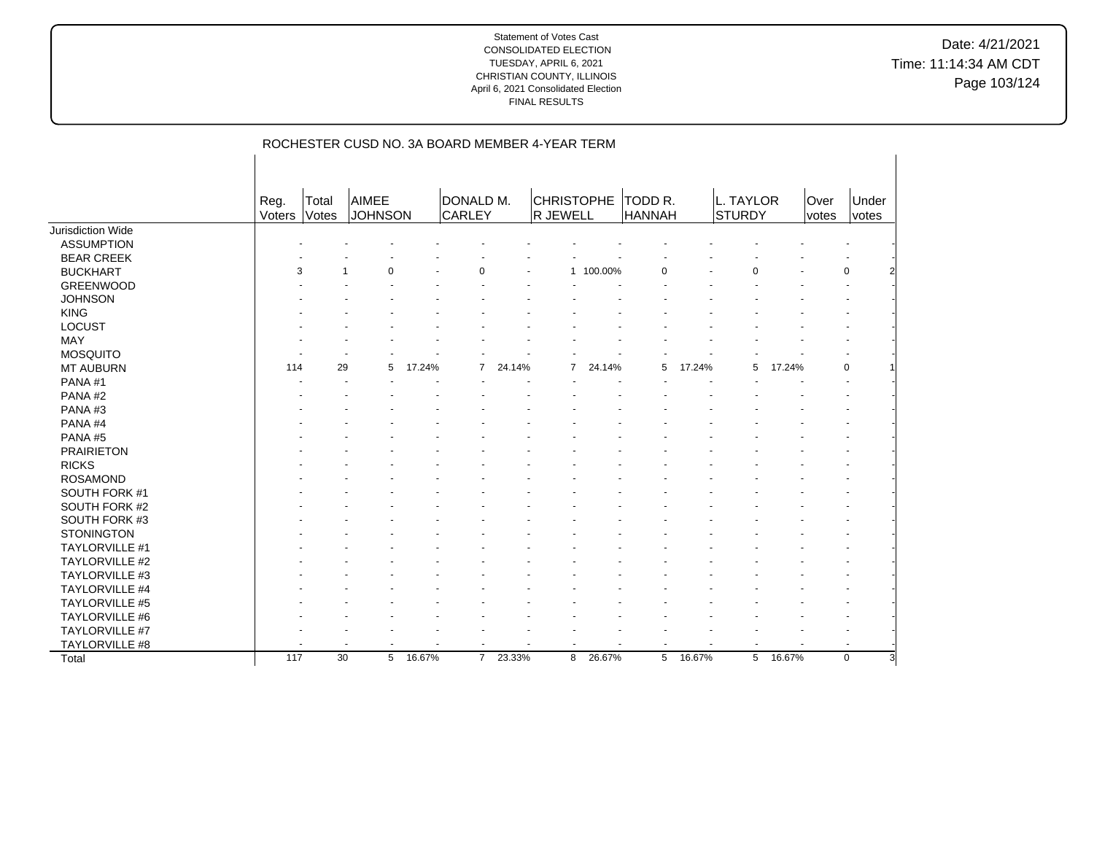|                       |                |                | ROCHESTER CUSD NO. 3A BOARD MEMBER 4-YEAR TERM |        |                            |        |                               |           |                   |        |                     |        |               |                |
|-----------------------|----------------|----------------|------------------------------------------------|--------|----------------------------|--------|-------------------------------|-----------|-------------------|--------|---------------------|--------|---------------|----------------|
|                       | Reg.<br>Voters | Total<br>Votes | <b>AIMEE</b><br><b>JOHNSON</b>                 |        | DONALD M.<br><b>CARLEY</b> |        | <b>CHRISTOPHE</b><br>R JEWELL |           | TODD R.<br>HANNAH |        | L. TAYLOR<br>STURDY |        | Over<br>votes | Under<br>votes |
| Jurisdiction Wide     |                |                |                                                |        |                            |        |                               |           |                   |        |                     |        |               |                |
| <b>ASSUMPTION</b>     |                |                |                                                |        |                            |        |                               |           |                   |        |                     |        |               |                |
| <b>BEAR CREEK</b>     |                |                |                                                |        |                            |        |                               |           |                   |        |                     |        |               |                |
| <b>BUCKHART</b>       | 3              |                | $\Omega$                                       |        | 0                          |        |                               | 1 100.00% | $\Omega$          |        | 0                   |        |               | 0              |
| <b>GREENWOOD</b>      |                |                |                                                |        |                            |        |                               |           |                   |        |                     |        |               |                |
| <b>JOHNSON</b>        |                |                |                                                |        |                            |        |                               |           |                   |        |                     |        |               |                |
| <b>KING</b>           |                |                |                                                |        |                            |        |                               |           |                   |        |                     |        |               |                |
| <b>LOCUST</b>         |                |                |                                                |        |                            |        |                               |           |                   |        |                     |        |               |                |
| MAY                   |                |                |                                                |        |                            |        |                               |           |                   |        |                     |        |               |                |
| <b>MOSQUITO</b>       |                |                |                                                |        |                            |        |                               |           |                   |        |                     |        |               |                |
| MT AUBURN             | 114            | 29             | 5                                              | 17.24% | $\overline{7}$             | 24.14% | $\overline{7}$                | 24.14%    | 5                 | 17.24% | 5                   | 17.24% |               | 0              |
| PANA#1                |                |                |                                                |        |                            |        |                               |           |                   |        |                     |        |               |                |
| PANA#2                |                |                |                                                |        |                            |        |                               |           |                   |        |                     |        |               |                |
| PANA#3                |                |                |                                                |        |                            |        |                               |           |                   |        |                     |        |               |                |
| PANA#4                |                |                |                                                |        |                            |        |                               |           |                   |        |                     |        |               |                |
| PANA#5                |                |                |                                                |        |                            |        |                               |           |                   |        |                     |        |               |                |
| <b>PRAIRIETON</b>     |                |                |                                                |        |                            |        |                               |           |                   |        |                     |        |               |                |
| <b>RICKS</b>          |                |                |                                                |        |                            |        |                               |           |                   |        |                     |        |               |                |
| <b>ROSAMOND</b>       |                |                |                                                |        |                            |        |                               |           |                   |        |                     |        |               |                |
| SOUTH FORK #1         |                |                |                                                |        |                            |        |                               |           |                   |        |                     |        |               |                |
| SOUTH FORK #2         |                |                |                                                |        |                            |        |                               |           |                   |        |                     |        |               |                |
| SOUTH FORK #3         |                |                |                                                |        |                            |        |                               |           |                   |        |                     |        |               |                |
| <b>STONINGTON</b>     |                |                |                                                |        |                            |        |                               |           |                   |        |                     |        |               |                |
| <b>TAYLORVILLE #1</b> |                |                |                                                |        |                            |        |                               |           |                   |        |                     |        |               |                |
| <b>TAYLORVILLE #2</b> |                |                |                                                |        |                            |        |                               |           |                   |        |                     |        |               |                |
| TAYLORVILLE #3        |                |                |                                                |        |                            |        |                               |           |                   |        |                     |        |               |                |
| TAYLORVILLE #4        |                |                |                                                |        |                            |        |                               |           |                   |        |                     |        |               |                |
| <b>TAYLORVILLE #5</b> |                |                |                                                |        |                            |        |                               |           |                   |        |                     |        |               |                |
| TAYLORVILLE #6        |                |                |                                                |        |                            |        |                               |           |                   |        |                     |        |               |                |
| TAYLORVILLE #7        |                |                |                                                |        |                            |        |                               |           |                   |        |                     |        |               |                |
| TAYLORVILLE #8        |                |                |                                                |        |                            |        |                               |           |                   |        |                     |        |               | $\overline{a}$ |
| Total                 | 117            | 30             | 5                                              | 16.67% | $7^{\circ}$                | 23.33% | 8                             | 26.67%    | 5                 | 16.67% | 5                   | 16.67% |               | $\mathbf 0$    |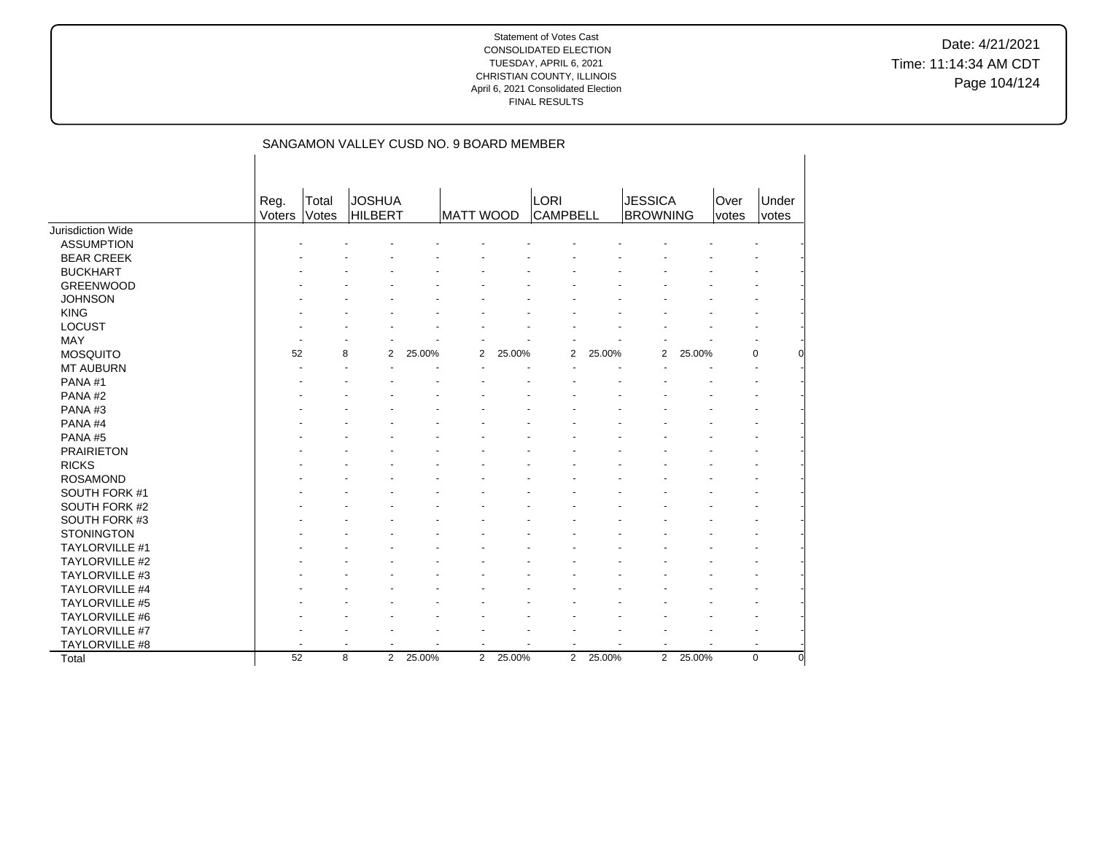Date: 4/21/2021 Time: 11:14:34 AM CDT Page 104/124

|                       |        |       | SANGAMON VALLEY CUSD NO. 9 BOARD MEMBER |        |                |        |                 |        |                 |        |       |                          |   |
|-----------------------|--------|-------|-----------------------------------------|--------|----------------|--------|-----------------|--------|-----------------|--------|-------|--------------------------|---|
|                       |        |       |                                         |        |                |        |                 |        |                 |        |       |                          |   |
|                       |        |       |                                         |        |                |        |                 |        |                 |        |       |                          |   |
|                       | Reg.   | Total | <b>JOSHUA</b>                           |        |                |        | <b>LORI</b>     |        | <b>JESSICA</b>  |        | Over  | Under                    |   |
| Jurisdiction Wide     | Voters | Votes | <b>HILBERT</b>                          |        | MATT WOOD      |        | <b>CAMPBELL</b> |        | <b>BROWNING</b> |        | votes | votes                    |   |
| <b>ASSUMPTION</b>     |        |       |                                         |        |                |        |                 |        |                 |        |       |                          |   |
|                       |        |       |                                         |        |                |        |                 |        |                 |        |       |                          |   |
| <b>BEAR CREEK</b>     |        |       |                                         |        |                |        |                 |        |                 |        |       |                          |   |
| <b>BUCKHART</b>       |        |       |                                         |        |                |        |                 |        |                 |        |       |                          |   |
| <b>GREENWOOD</b>      |        |       |                                         |        |                |        |                 |        |                 |        |       |                          |   |
| <b>JOHNSON</b>        |        |       |                                         |        |                |        |                 |        |                 |        |       |                          |   |
| <b>KING</b>           |        |       |                                         |        |                |        |                 |        |                 |        |       |                          |   |
| <b>LOCUST</b>         |        |       |                                         |        |                |        |                 |        |                 |        |       |                          |   |
| MAY                   |        |       |                                         |        |                |        |                 |        |                 |        |       |                          |   |
| <b>MOSQUITO</b>       | 52     |       | 8<br>2                                  | 25.00% | 2              | 25.00% | 2               | 25.00% | 2               | 25.00% |       | 0                        | 0 |
| MT AUBURN             |        |       |                                         |        |                |        |                 |        |                 |        |       |                          |   |
| PANA#1                |        |       |                                         |        |                |        |                 |        |                 |        |       |                          |   |
| PANA#2                |        |       |                                         |        |                |        |                 |        |                 |        |       |                          |   |
| PANA#3                |        |       |                                         |        |                |        |                 |        |                 |        |       |                          |   |
| PANA#4                |        |       |                                         |        |                |        |                 |        |                 |        |       |                          |   |
| PANA#5                |        |       |                                         |        |                |        |                 |        |                 |        |       |                          |   |
| <b>PRAIRIETON</b>     |        |       |                                         |        |                |        |                 |        |                 |        |       |                          |   |
| <b>RICKS</b>          |        |       |                                         |        |                |        |                 |        |                 |        |       |                          |   |
| <b>ROSAMOND</b>       |        |       |                                         |        |                |        |                 |        |                 |        |       |                          |   |
| SOUTH FORK #1         |        |       |                                         |        |                |        |                 |        |                 |        |       |                          |   |
| SOUTH FORK #2         |        |       |                                         |        |                |        |                 |        |                 |        |       |                          |   |
| SOUTH FORK #3         |        |       |                                         |        |                |        |                 |        |                 |        |       |                          |   |
| <b>STONINGTON</b>     |        |       |                                         |        |                |        |                 |        |                 |        |       |                          |   |
| TAYLORVILLE #1        |        |       |                                         |        |                |        |                 |        |                 |        |       |                          |   |
| TAYLORVILLE #2        |        |       |                                         |        |                |        |                 |        |                 |        |       |                          |   |
| TAYLORVILLE #3        |        |       |                                         |        |                |        |                 |        |                 |        |       |                          |   |
| TAYLORVILLE #4        |        |       |                                         |        |                |        |                 |        |                 |        |       |                          |   |
| <b>TAYLORVILLE #5</b> |        |       |                                         |        |                |        |                 |        |                 |        |       |                          |   |
| <b>TAYLORVILLE #6</b> |        |       |                                         |        |                |        |                 |        |                 |        |       |                          |   |
| TAYLORVILLE #7        |        |       |                                         |        |                |        |                 |        |                 |        |       |                          |   |
| TAYLORVILLE #8        |        |       |                                         |        |                |        |                 |        |                 |        |       | $\overline{\phantom{a}}$ |   |
| Total                 | 52     |       | 8<br>$\overline{2}$                     | 25.00% | $\overline{2}$ | 25.00% | 2               | 25.00% | $\overline{2}$  | 25.00% |       | $\mathbf 0$              | 0 |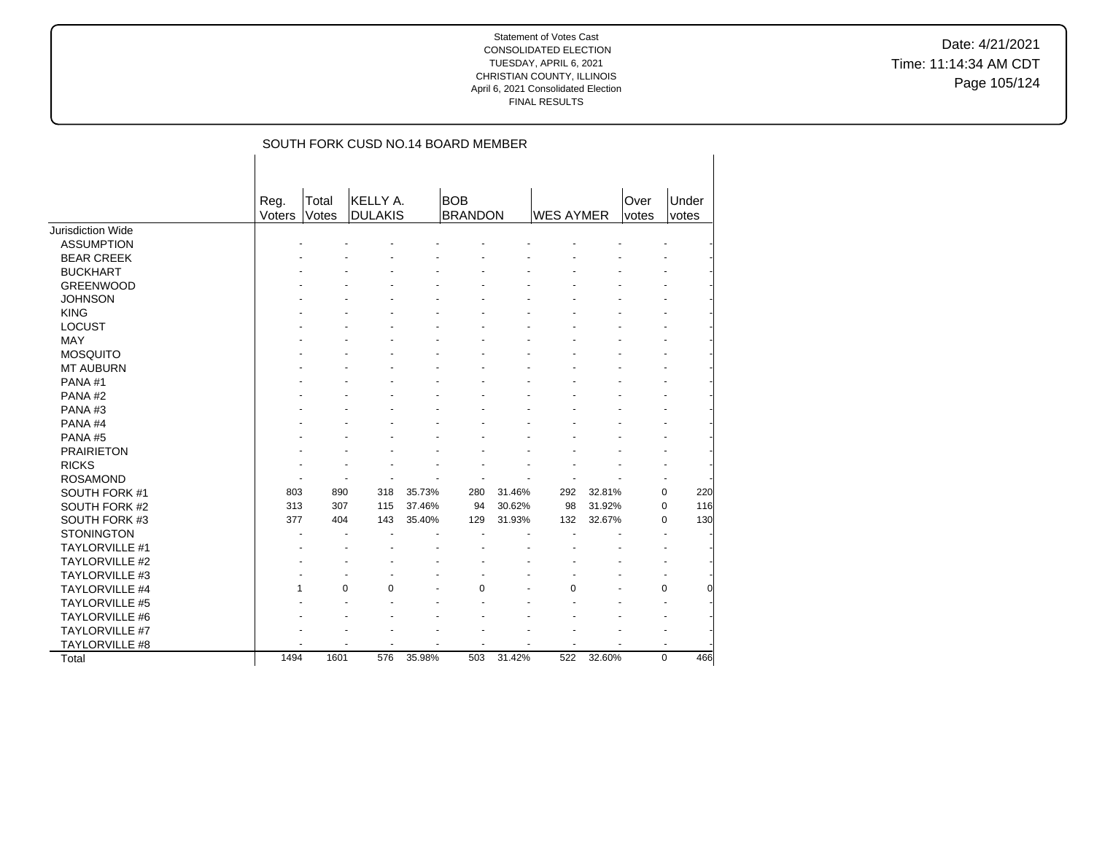Date: 4/21/2021 Time: 11:14:34 AM CDT Page 105/124

|                          |                       |                |                            |        | SOUTH FORK CUSD NO.14 BOARD MEMBER |        |                  |        |               |                    |
|--------------------------|-----------------------|----------------|----------------------------|--------|------------------------------------|--------|------------------|--------|---------------|--------------------|
|                          | Reg.<br><b>Voters</b> | Total<br>Votes | KELLY A.<br><b>DULAKIS</b> |        | <b>BOB</b><br><b>BRANDON</b>       |        | <b>WES AYMER</b> |        | Over<br>votes | Under<br>votes     |
| <b>Jurisdiction Wide</b> |                       |                |                            |        |                                    |        |                  |        |               |                    |
| <b>ASSUMPTION</b>        |                       |                |                            |        |                                    |        |                  |        |               |                    |
| <b>BEAR CREEK</b>        |                       |                |                            |        |                                    |        |                  |        |               |                    |
| <b>BUCKHART</b>          |                       |                |                            |        |                                    |        |                  |        |               |                    |
| <b>GREENWOOD</b>         |                       |                |                            |        |                                    |        |                  |        |               |                    |
| <b>JOHNSON</b>           |                       |                |                            |        |                                    |        |                  |        |               |                    |
| <b>KING</b>              |                       |                |                            |        |                                    |        |                  |        |               |                    |
| <b>LOCUST</b>            |                       |                |                            |        |                                    |        |                  |        |               |                    |
| <b>MAY</b>               |                       |                |                            |        |                                    |        |                  |        |               |                    |
| <b>MOSQUITO</b>          |                       |                |                            |        |                                    |        |                  |        |               |                    |
| <b>MT AUBURN</b>         |                       |                |                            |        |                                    |        |                  |        |               |                    |
| PANA#1                   |                       |                |                            |        |                                    |        |                  |        |               |                    |
| PANA#2                   |                       |                |                            |        |                                    |        |                  |        |               |                    |
| PANA#3                   |                       |                |                            |        |                                    |        |                  |        |               |                    |
| PANA#4                   |                       |                |                            |        |                                    |        |                  |        |               |                    |
| PANA#5                   |                       |                |                            |        |                                    |        |                  |        |               |                    |
| <b>PRAIRIETON</b>        |                       |                |                            |        |                                    |        |                  |        |               |                    |
| <b>RICKS</b>             |                       |                |                            |        |                                    |        |                  |        |               |                    |
| <b>ROSAMOND</b>          |                       |                |                            |        |                                    |        |                  |        |               |                    |
| SOUTH FORK #1            | 803                   | 890            | 318                        | 35.73% | 280                                | 31.46% | 292              | 32.81% |               | 220<br>0           |
| SOUTH FORK #2            | 313                   | 307            | 115                        | 37.46% | 94                                 | 30.62% | 98               | 31.92% |               | 116<br>$\mathbf 0$ |
| SOUTH FORK #3            | 377                   | 404            | 143                        | 35.40% | 129                                | 31.93% | 132              | 32.67% |               | 130<br>0           |
| <b>STONINGTON</b>        |                       |                |                            |        |                                    |        |                  |        |               |                    |
| <b>TAYLORVILLE #1</b>    |                       |                |                            |        |                                    |        |                  |        |               |                    |
| TAYLORVILLE #2           |                       |                |                            |        |                                    |        |                  |        |               |                    |
| <b>TAYLORVILLE #3</b>    |                       |                |                            |        |                                    |        |                  |        |               |                    |
| TAYLORVILLE #4           | 1                     | $\Omega$       | $\Omega$                   |        | $\Omega$                           |        | $\Omega$         |        |               | $\mathbf 0$        |
| <b>TAYLORVILLE #5</b>    |                       |                |                            |        |                                    |        |                  |        |               |                    |
| TAYLORVILLE #6           |                       |                |                            |        |                                    |        |                  |        |               |                    |
| TAYLORVILLE #7           |                       |                |                            |        |                                    |        |                  |        |               |                    |
| TAYLORVILLE #8           |                       |                |                            |        | ٠                                  |        |                  |        |               |                    |
| Total                    | 1494                  | 1601           | 576                        | 35.98% | 503                                | 31.42% | 522              | 32.60% |               | $\mathbf 0$<br>466 |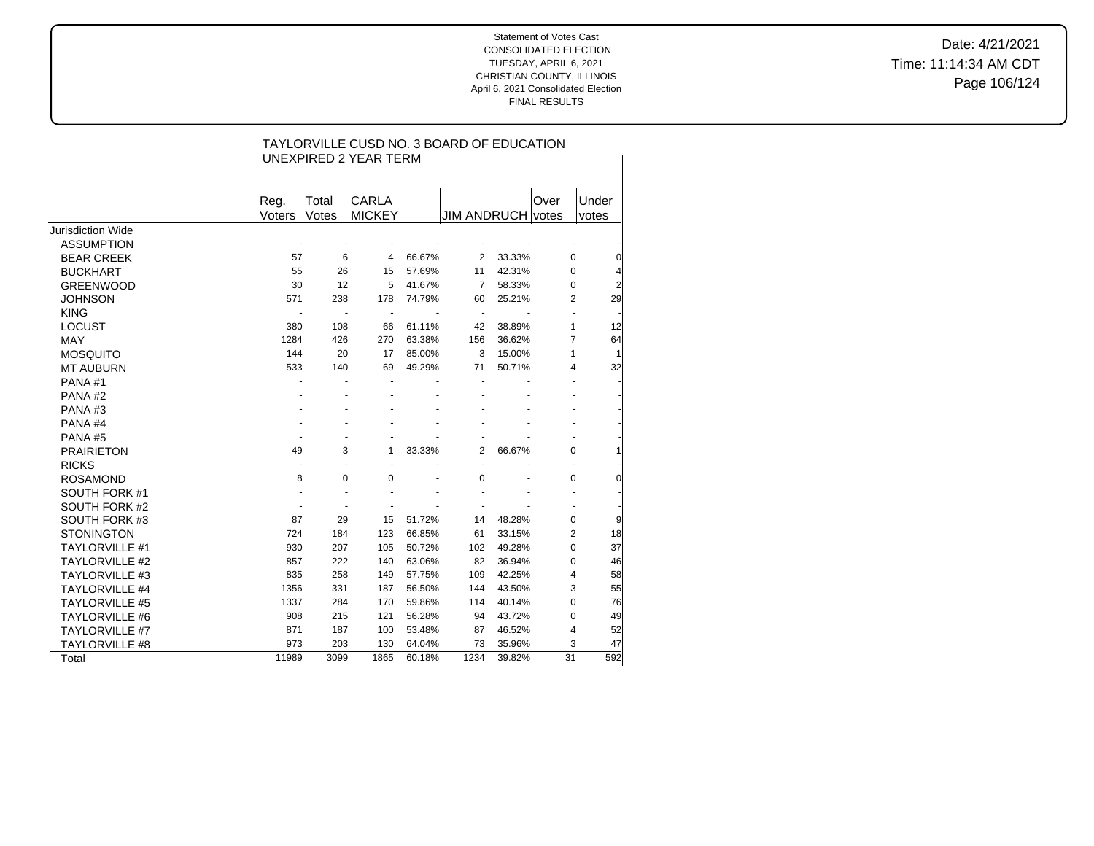Date: 4/21/2021 Time: 11:14:34 AM CDT Page 106/124

|                       | TAYLORVILLE CUSD NO. 3 BOARD OF EDUCATION<br><b>UNEXPIRED 2 YEAR TERM</b> |                |                               |        |                   |        |                |                |  |  |  |  |
|-----------------------|---------------------------------------------------------------------------|----------------|-------------------------------|--------|-------------------|--------|----------------|----------------|--|--|--|--|
|                       | Reg.<br>Voters                                                            | Total<br>Votes | <b>CARLA</b><br><b>MICKEY</b> |        | JIM ANDRUCH votes |        | Over           | Under<br>votes |  |  |  |  |
| Jurisdiction Wide     |                                                                           |                |                               |        |                   |        |                |                |  |  |  |  |
| <b>ASSUMPTION</b>     |                                                                           |                |                               |        |                   |        |                |                |  |  |  |  |
| <b>BEAR CREEK</b>     | 57                                                                        | 6              | $\overline{4}$                | 66.67% | 2                 | 33.33% | 0              | 0              |  |  |  |  |
| <b>BUCKHART</b>       | 55                                                                        | 26             | 15                            | 57.69% | 11                | 42.31% | 0              | $\overline{4}$ |  |  |  |  |
| <b>GREENWOOD</b>      | 30                                                                        | 12             | 5                             | 41.67% | $\overline{7}$    | 58.33% | 0              | $\overline{2}$ |  |  |  |  |
| <b>JOHNSON</b>        | 571                                                                       | 238            | 178                           | 74.79% | 60                | 25.21% | $\overline{2}$ | 29             |  |  |  |  |
| <b>KING</b>           |                                                                           | ٠              | $\blacksquare$                |        | $\blacksquare$    |        | ٠              |                |  |  |  |  |
| <b>LOCUST</b>         | 380                                                                       | 108            | 66                            | 61.11% | 42                | 38.89% | $\mathbf{1}$   | 12             |  |  |  |  |
| <b>MAY</b>            | 1284                                                                      | 426            | 270                           | 63.38% | 156               | 36.62% | $\overline{7}$ | 64             |  |  |  |  |
| <b>MOSQUITO</b>       | 144                                                                       | 20             | 17                            | 85.00% | 3                 | 15.00% | 1              |                |  |  |  |  |
| <b>MT AUBURN</b>      | 533                                                                       | 140            | 69                            | 49.29% | 71                | 50.71% | 4              | 32             |  |  |  |  |
| PANA#1                |                                                                           |                | $\blacksquare$                |        |                   |        |                |                |  |  |  |  |
| PANA#2                |                                                                           |                |                               |        |                   |        |                |                |  |  |  |  |
| PANA#3                |                                                                           |                |                               |        |                   |        |                |                |  |  |  |  |
| PANA <sub>#4</sub>    |                                                                           |                |                               |        |                   |        |                |                |  |  |  |  |
| PANA#5                |                                                                           |                |                               |        |                   |        |                |                |  |  |  |  |
| <b>PRAIRIETON</b>     | 49                                                                        | 3              | 1                             | 33.33% | 2                 | 66.67% | 0              |                |  |  |  |  |
| <b>RICKS</b>          |                                                                           | $\blacksquare$ | ÷                             |        | ÷,                |        | ä,             |                |  |  |  |  |
| <b>ROSAMOND</b>       | 8                                                                         | 0              | 0                             |        | 0                 |        | 0              | 0              |  |  |  |  |
| SOUTH FORK #1         |                                                                           |                |                               |        |                   |        |                |                |  |  |  |  |
| SOUTH FORK #2         |                                                                           |                |                               |        |                   |        |                |                |  |  |  |  |
| SOUTH FORK #3         | 87                                                                        | 29             | 15                            | 51.72% | 14                | 48.28% | 0              | 9              |  |  |  |  |
| <b>STONINGTON</b>     | 724                                                                       | 184            | 123                           | 66.85% | 61                | 33.15% | $\overline{2}$ | 18             |  |  |  |  |
| <b>TAYLORVILLE #1</b> | 930                                                                       | 207            | 105                           | 50.72% | 102               | 49.28% | 0              | 37             |  |  |  |  |
| <b>TAYLORVILLE #2</b> | 857                                                                       | 222            | 140                           | 63.06% | 82                | 36.94% | 0              | 46             |  |  |  |  |
| <b>TAYLORVILLE #3</b> | 835                                                                       | 258            | 149                           | 57.75% | 109               | 42.25% | 4              | 58             |  |  |  |  |
| <b>TAYLORVILLE #4</b> | 1356                                                                      | 331            | 187                           | 56.50% | 144               | 43.50% | 3              | 55             |  |  |  |  |
| <b>TAYLORVILLE #5</b> | 1337                                                                      | 284            | 170                           | 59.86% | 114               | 40.14% | 0              | 76             |  |  |  |  |
| <b>TAYLORVILLE #6</b> | 908                                                                       | 215            | 121                           | 56.28% | 94                | 43.72% | 0              | 49             |  |  |  |  |
| <b>TAYLORVILLE #7</b> | 871                                                                       | 187            | 100                           | 53.48% | 87                | 46.52% | 4              | 52             |  |  |  |  |
| <b>TAYLORVILLE #8</b> | 973                                                                       | 203            | 130                           | 64.04% | 73                | 35.96% | 3              | 47             |  |  |  |  |
| Total                 | 11989                                                                     | 3099           | 1865                          | 60.18% | 1234              | 39.82% | 31             | 592            |  |  |  |  |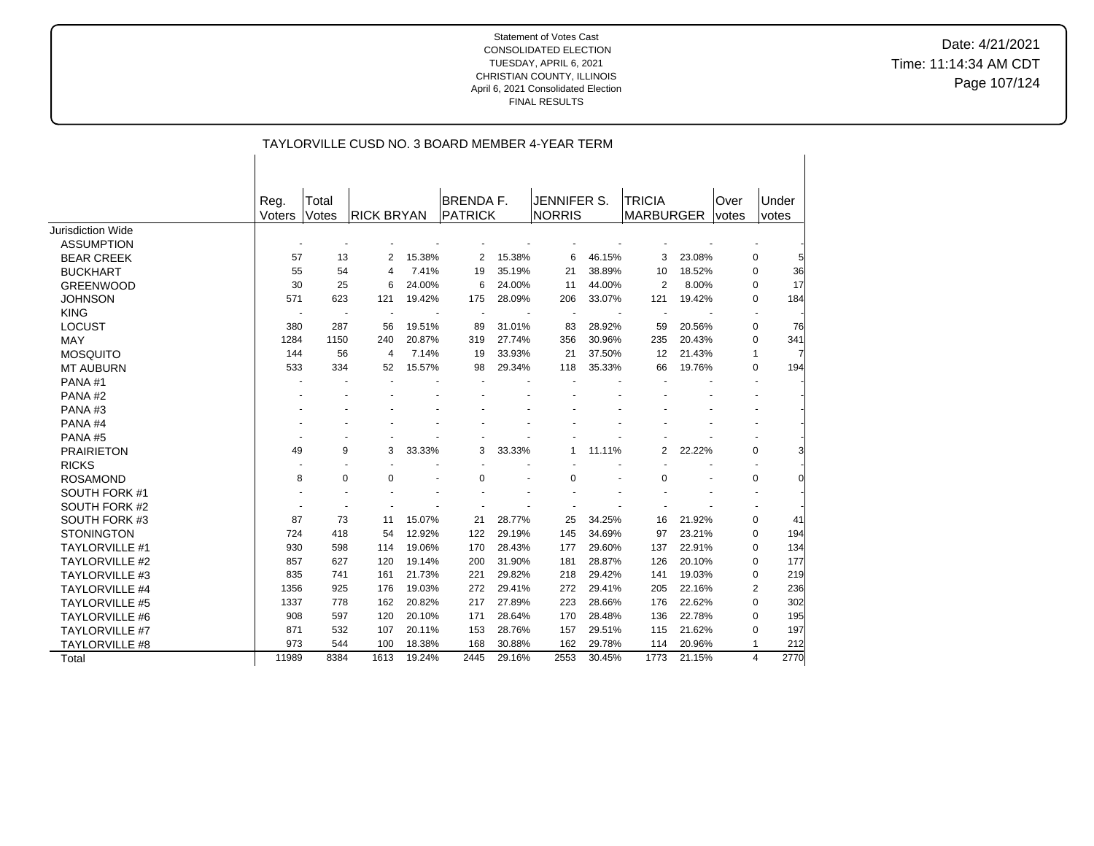Date: 4/21/2021 Time: 11:14:34 AM CDT Page 107/124

|                       |                |                | TAYLORVILLE CUSD NO. 3 BOARD MEMBER 4-YEAR TERM |        |                  |        |               |        |                  |        |       |             |       |
|-----------------------|----------------|----------------|-------------------------------------------------|--------|------------------|--------|---------------|--------|------------------|--------|-------|-------------|-------|
|                       |                |                |                                                 |        |                  |        |               |        |                  |        |       |             |       |
|                       | Reg.           | Total          |                                                 |        | <b>BRENDA F.</b> |        | JENNIFER S.   |        | <b>TRICIA</b>    |        | Over  |             | Under |
|                       | Voters         | Votes          | <b>RICK BRYAN</b>                               |        | <b>PATRICK</b>   |        | <b>NORRIS</b> |        | <b>MARBURGER</b> |        | votes | votes       |       |
| Jurisdiction Wide     |                |                |                                                 |        |                  |        |               |        |                  |        |       |             |       |
| <b>ASSUMPTION</b>     |                |                |                                                 |        |                  |        |               |        |                  |        |       |             |       |
| <b>BEAR CREEK</b>     | 57             | 13             | 2                                               | 15.38% | 2                | 15.38% | 6             | 46.15% | 3                | 23.08% |       | 0           |       |
| <b>BUCKHART</b>       | 55             | 54             | 4                                               | 7.41%  | 19               | 35.19% | 21            | 38.89% | 10               | 18.52% |       | $\mathbf 0$ | 36    |
| <b>GREENWOOD</b>      | 30             | 25             | 6                                               | 24.00% | 6                | 24.00% | 11            | 44.00% | $\overline{2}$   | 8.00%  |       | 0           | 17    |
| <b>JOHNSON</b>        | 571            | 623            | 121                                             | 19.42% | 175              | 28.09% | 206           | 33.07% | 121              | 19.42% |       | 0           | 184   |
| <b>KING</b>           | $\blacksquare$ | $\blacksquare$ |                                                 |        |                  |        |               |        |                  |        |       |             |       |
| <b>LOCUST</b>         | 380            | 287            | 56                                              | 19.51% | 89               | 31.01% | 83            | 28.92% | 59               | 20.56% |       | 0           | 76    |
| <b>MAY</b>            | 1284           | 1150           | 240                                             | 20.87% | 319              | 27.74% | 356           | 30.96% | 235              | 20.43% |       | 0           | 341   |
| <b>MOSQUITO</b>       | 144            | 56             | 4                                               | 7.14%  | 19               | 33.93% | 21            | 37.50% | 12               | 21.43% |       | 1           |       |
| <b>MT AUBURN</b>      | 533            | 334            | 52                                              | 15.57% | 98               | 29.34% | 118           | 35.33% | 66               | 19.76% |       | $\Omega$    | 194   |
| PANA#1                |                |                |                                                 |        |                  |        |               |        |                  |        |       |             |       |
| PANA#2                |                |                |                                                 |        |                  |        |               |        |                  |        |       |             |       |
| PANA#3                |                |                |                                                 |        |                  |        |               |        |                  |        |       |             |       |
| PANA#4                |                |                |                                                 |        |                  |        |               |        |                  |        |       |             |       |
| PANA#5                |                |                |                                                 |        |                  |        |               |        |                  |        |       |             |       |
| <b>PRAIRIETON</b>     | 49             | 9              | 3                                               | 33.33% | 3                | 33.33% | 1             | 11.11% | 2                | 22.22% |       | $\mathbf 0$ |       |
| <b>RICKS</b>          |                |                |                                                 |        |                  |        |               |        |                  |        |       |             |       |
| <b>ROSAMOND</b>       | 8              | $\Omega$       | $\Omega$                                        |        | $\mathbf 0$      |        | 0             |        | $\mathbf 0$      |        |       | $\mathbf 0$ |       |
| SOUTH FORK #1         |                |                |                                                 |        |                  |        |               |        |                  |        |       |             |       |
| SOUTH FORK #2         |                |                |                                                 |        |                  |        |               |        |                  |        |       |             |       |
| SOUTH FORK #3         | 87             | 73             | 11                                              | 15.07% | 21               | 28.77% | 25            | 34.25% | 16               | 21.92% |       | $\mathbf 0$ | 41    |
| <b>STONINGTON</b>     | 724            | 418            | 54                                              | 12.92% | 122              | 29.19% | 145           | 34.69% | 97               | 23.21% |       | $\pmb{0}$   | 194   |
| <b>TAYLORVILLE #1</b> | 930            | 598            | 114                                             | 19.06% | 170              | 28.43% | 177           | 29.60% | 137              | 22.91% |       | 0           | 134   |
| <b>TAYLORVILLE #2</b> | 857            | 627            | 120                                             | 19.14% | 200              | 31.90% | 181           | 28.87% | 126              | 20.10% |       | 0           | 177   |
| <b>TAYLORVILLE #3</b> | 835            | 741            | 161                                             | 21.73% | 221              | 29.82% | 218           | 29.42% | 141              | 19.03% |       | 0           | 219   |
| <b>TAYLORVILLE #4</b> | 1356           | 925            | 176                                             | 19.03% | 272              | 29.41% | 272           | 29.41% | 205              | 22.16% |       | 2           | 236   |
| <b>TAYLORVILLE #5</b> | 1337           | 778            | 162                                             | 20.82% | 217              | 27.89% | 223           | 28.66% | 176              | 22.62% |       | $\mathbf 0$ | 302   |
| <b>TAYLORVILLE #6</b> | 908            | 597            | 120                                             | 20.10% | 171              | 28.64% | 170           | 28.48% | 136              | 22.78% |       | 0           | 195   |
| <b>TAYLORVILLE #7</b> | 871            | 532            | 107                                             | 20.11% | 153              | 28.76% | 157           | 29.51% | 115              | 21.62% |       | $\mathbf 0$ | 197   |
| TAYLORVILLE #8        | 973            | 544            | 100                                             | 18.38% | 168              | 30.88% | 162           | 29.78% | 114              | 20.96% |       | 1           | 212   |
| Total                 | 11989          | 8384           | 1613                                            | 19.24% | 2445             | 29.16% | 2553          | 30.45% | 1773             | 21.15% |       | 4           | 2770  |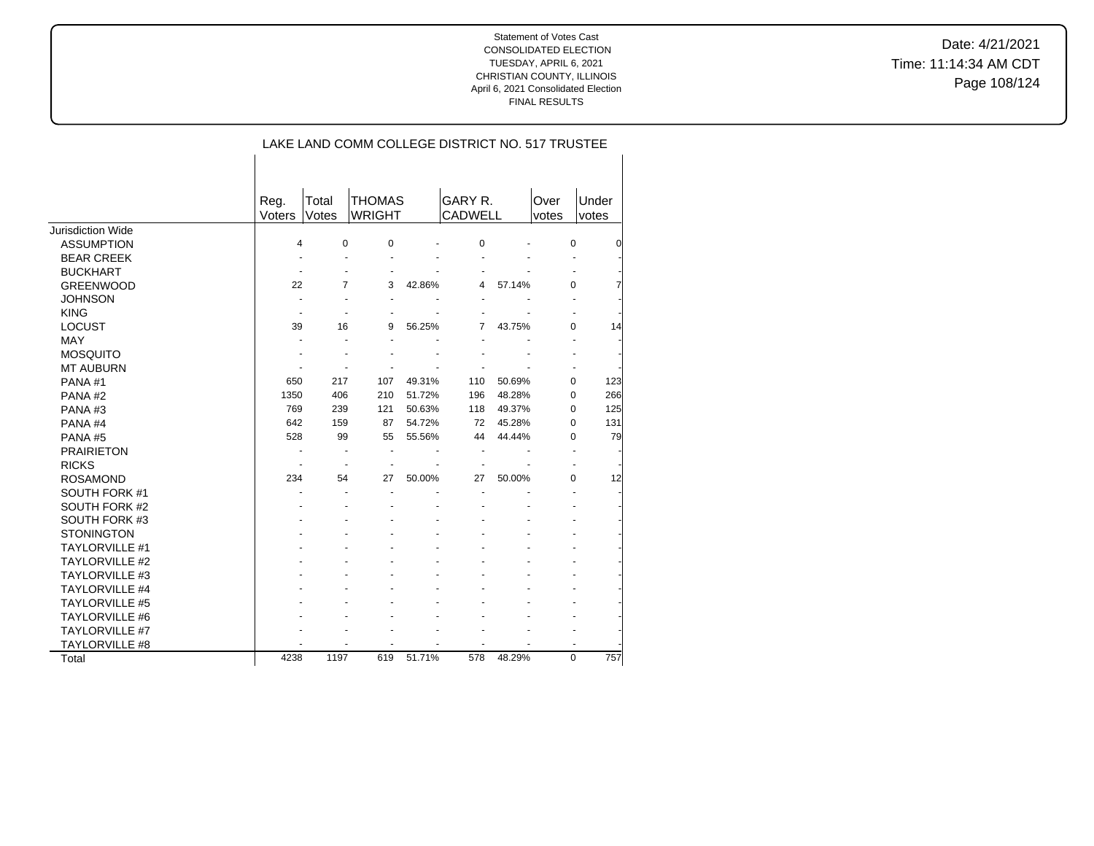Date: 4/21/2021 Time: 11:14:34 AM CDT Page 108/124

| LAKE LAND COMM COLLEGE DISTRICT NO. 517 TRUSTEE |  |  |
|-------------------------------------------------|--|--|
|                                                 |  |  |

|                       | Reg.           | Total                    | <b>THOMAS</b> |        | GARY R.        |        | Over  | Under    |          |
|-----------------------|----------------|--------------------------|---------------|--------|----------------|--------|-------|----------|----------|
|                       | Voters         | Votes                    | <b>WRIGHT</b> |        | <b>CADWELL</b> |        | votes | votes    |          |
| Jurisdiction Wide     |                |                          |               |        |                |        |       |          |          |
| <b>ASSUMPTION</b>     | 4              | 0                        | 0             |        | 0              |        |       | 0        | $\Omega$ |
| <b>BEAR CREEK</b>     | ż.             | $\blacksquare$           |               |        |                |        |       |          |          |
| <b>BUCKHART</b>       |                |                          |               |        |                |        |       |          |          |
| <b>GREENWOOD</b>      | 22             | 7                        | 3             | 42.86% | 4              | 57.14% |       | 0        |          |
| <b>JOHNSON</b>        | ÷              |                          |               |        |                |        |       |          |          |
| <b>KING</b>           |                |                          |               |        |                |        |       |          |          |
| <b>LOCUST</b>         | 39             | 16                       | 9             | 56.25% | 7              | 43.75% |       | $\Omega$ | 14       |
| <b>MAY</b>            |                |                          |               |        |                |        |       |          |          |
| <b>MOSQUITO</b>       |                |                          |               |        |                |        |       |          |          |
| <b>MT AUBURN</b>      |                |                          |               |        |                |        |       |          |          |
| PANA#1                | 650            | 217                      | 107           | 49.31% | 110            | 50.69% |       | 0        | 123      |
| PANA#2                | 1350           | 406                      | 210           | 51.72% | 196            | 48.28% |       | $\Omega$ | 266      |
| PANA#3                | 769            | 239                      | 121           | 50.63% | 118            | 49.37% |       | $\Omega$ | 125      |
| PANA#4                | 642            | 159                      | 87            | 54.72% | 72             | 45.28% |       | $\Omega$ | 131      |
| PANA#5                | 528            | 99                       | 55            | 55.56% | 44             | 44.44% |       | $\Omega$ | 79       |
| <b>PRAIRIETON</b>     | $\blacksquare$ | $\blacksquare$           | ÷.            |        |                |        |       |          |          |
| <b>RICKS</b>          | ÷              | $\overline{\phantom{a}}$ |               |        |                |        |       |          |          |
| <b>ROSAMOND</b>       | 234            | 54                       | 27            | 50.00% | 27             | 50.00% |       | $\Omega$ | 12       |
| SOUTH FORK #1         |                |                          |               |        |                |        |       |          |          |
| <b>SOUTH FORK #2</b>  |                |                          |               |        |                |        |       |          |          |
| SOUTH FORK #3         |                |                          |               |        |                |        |       |          |          |
| <b>STONINGTON</b>     |                |                          |               |        |                |        |       |          |          |
| <b>TAYLORVILLE #1</b> |                |                          |               |        |                |        |       |          |          |
| <b>TAYLORVILLE #2</b> |                |                          |               |        |                |        |       |          |          |
| <b>TAYLORVILLE #3</b> |                |                          |               |        |                |        |       |          |          |
| <b>TAYLORVILLE #4</b> |                |                          |               |        |                |        |       |          |          |
| <b>TAYLORVILLE #5</b> |                |                          |               |        |                |        |       |          |          |
| <b>TAYLORVILLE #6</b> |                |                          |               |        |                |        |       |          |          |
| <b>TAYLORVILLE #7</b> |                |                          |               |        |                |        |       |          |          |
| TAYLORVILLE #8        |                |                          |               |        |                |        |       |          |          |
| Total                 | 4238           | 1197                     | 619           | 51.71% | 578            | 48.29% |       | 0        | 757      |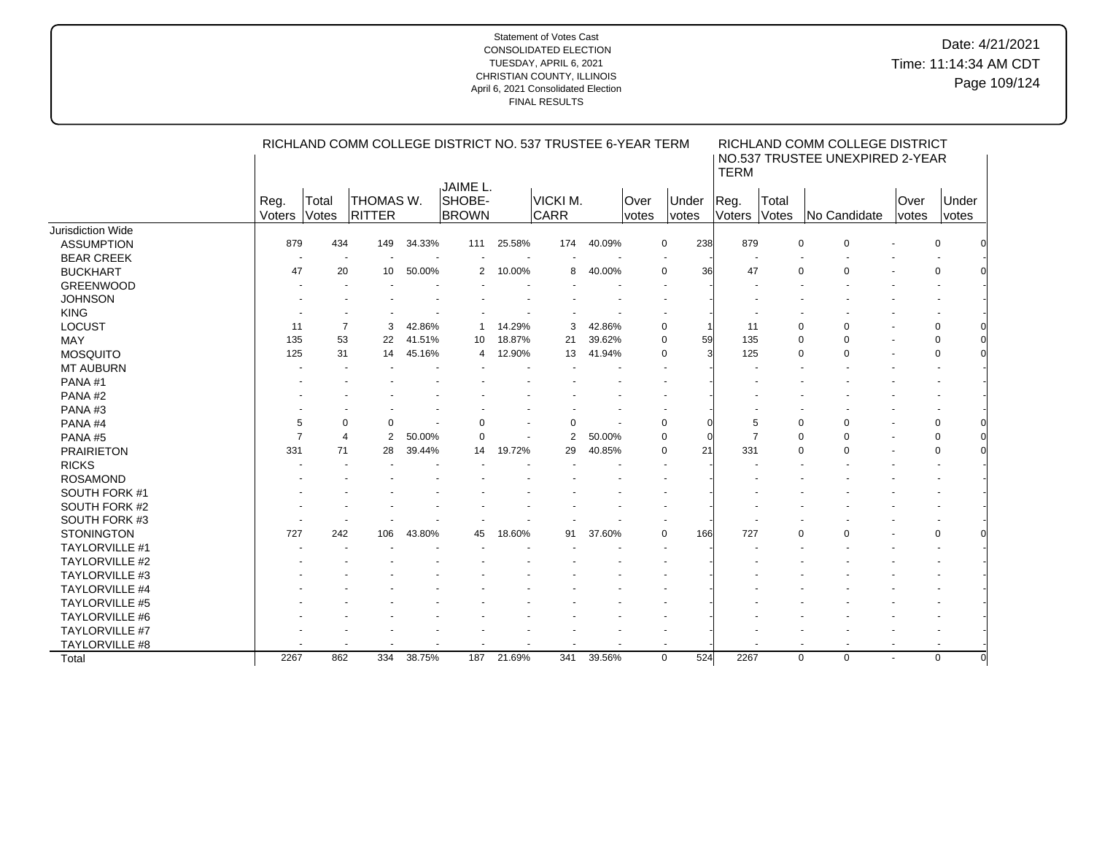|                       |                | RICHLAND COMM COLLEGE DISTRICT NO. 537 TRUSTEE 6-YEAR TERM | RICHLAND COMM COLLEGE DISTRICT<br>NO.537 TRUSTEE UNEXPIRED 2-YEAR |        |                                    |                |                         |        |                             |                 |                |                       |              |               |                          |  |
|-----------------------|----------------|------------------------------------------------------------|-------------------------------------------------------------------|--------|------------------------------------|----------------|-------------------------|--------|-----------------------------|-----------------|----------------|-----------------------|--------------|---------------|--------------------------|--|
|                       | Reg.<br>Voters | Total<br>Votes                                             | ITHOMAS W.<br><b>RITTER</b>                                       |        | JAIME L.<br>SHOBE-<br><b>BROWN</b> |                | VICKI M.<br><b>CARR</b> |        | <b>Over</b><br><i>votes</i> | Under<br>votes  | Reg.<br>Voters | Total<br><b>Votes</b> | No Candidate | Over<br>votes | Under<br>votes           |  |
| Jurisdiction Wide     |                |                                                            |                                                                   |        |                                    |                |                         |        |                             |                 |                |                       |              |               |                          |  |
| <b>ASSUMPTION</b>     | 879            | 434                                                        | 149                                                               | 34.33% | 111                                | 25.58%         | 174                     | 40.09% |                             | 238<br>0        | 879            | $\mathbf 0$           | 0            |               | $\mathbf 0$              |  |
| <b>BEAR CREEK</b>     | $\sim$         | $\sim$                                                     |                                                                   |        |                                    |                |                         |        |                             |                 |                |                       |              |               | $\overline{\phantom{a}}$ |  |
| <b>BUCKHART</b>       | 47             | 20                                                         | 10                                                                | 50.00% | 2                                  | 10.00%         | 8                       | 40.00% |                             | $\Omega$<br>36  | 47             | $\mathbf 0$           | $\Omega$     |               | $\mathbf 0$              |  |
| <b>GREENWOOD</b>      |                |                                                            |                                                                   |        |                                    |                |                         |        |                             |                 |                |                       |              |               |                          |  |
| <b>JOHNSON</b>        |                |                                                            |                                                                   |        |                                    |                |                         |        |                             |                 |                |                       |              |               |                          |  |
| <b>KING</b>           |                |                                                            |                                                                   |        |                                    |                |                         |        |                             |                 |                |                       |              |               |                          |  |
| <b>LOCUST</b>         | 11             | $\overline{7}$                                             | 3                                                                 | 42.86% | $\mathbf{1}$                       | 14.29%         | 3                       | 42.86% |                             | $\mathbf 0$     | 11             | $\mathbf 0$           | $\Omega$     |               | 0                        |  |
| <b>MAY</b>            | 135            | 53                                                         | 22                                                                | 41.51% | 10                                 | 18.87%         | 21                      | 39.62% |                             | 59<br>0         | 135            | $\mathbf 0$           | $\Omega$     |               | 0                        |  |
| <b>MOSQUITO</b>       | 125            | 31                                                         | 14                                                                | 45.16% | 4                                  | 12.90%         | 13                      | 41.94% |                             | 3<br>$\Omega$   | 125            | $\mathbf 0$           | $\Omega$     |               | $\mathbf 0$              |  |
| <b>MT AUBURN</b>      |                |                                                            |                                                                   |        |                                    |                |                         |        |                             |                 |                |                       |              |               |                          |  |
| PANA#1                |                |                                                            |                                                                   |        |                                    |                |                         |        |                             |                 |                |                       |              |               |                          |  |
| PANA#2                |                |                                                            |                                                                   |        |                                    |                |                         |        |                             |                 |                |                       |              |               |                          |  |
| PANA#3                |                |                                                            |                                                                   |        |                                    |                |                         |        |                             |                 |                |                       |              |               |                          |  |
| PANA#4                | 5              | $\mathbf 0$                                                | $\Omega$                                                          |        | 0                                  |                | $\mathbf 0$             |        |                             | 0               | 5              | 0                     | $\Omega$     |               | 0                        |  |
| PANA#5                | $\overline{7}$ | $\overline{4}$                                             | 2                                                                 | 50.00% | 0                                  | $\blacksquare$ | $\overline{2}$          | 50.00% |                             | $\Omega$<br>O   | $\overline{7}$ | $\mathbf 0$           | $\Omega$     |               | 0                        |  |
| <b>PRAIRIETON</b>     | 331            | 71                                                         | 28                                                                | 39.44% | 14                                 | 19.72%         | 29                      | 40.85% |                             | 21<br>$\Omega$  | 331            | $\mathbf 0$           | $\Omega$     |               | $\mathbf 0$              |  |
| <b>RICKS</b>          |                |                                                            |                                                                   |        |                                    |                |                         |        |                             |                 |                |                       |              |               |                          |  |
| <b>ROSAMOND</b>       |                |                                                            |                                                                   |        |                                    |                |                         |        |                             |                 |                |                       |              |               |                          |  |
| SOUTH FORK #1         |                |                                                            |                                                                   |        |                                    |                |                         |        |                             |                 |                |                       |              |               |                          |  |
| SOUTH FORK #2         |                |                                                            |                                                                   |        |                                    |                |                         |        |                             |                 |                |                       |              |               |                          |  |
| SOUTH FORK #3         |                |                                                            |                                                                   |        |                                    |                |                         |        |                             |                 |                |                       |              |               |                          |  |
| <b>STONINGTON</b>     | 727            | 242                                                        | 106                                                               | 43.80% | 45                                 | 18.60%         | 91                      | 37.60% |                             | $\Omega$<br>166 | 727            | $\Omega$              | $\Omega$     |               | 0                        |  |
| TAYLORVILLE #1        |                |                                                            |                                                                   |        |                                    |                |                         |        |                             |                 |                |                       |              |               |                          |  |
| <b>TAYLORVILLE #2</b> |                |                                                            |                                                                   |        |                                    |                |                         |        |                             |                 |                |                       |              |               |                          |  |
| <b>TAYLORVILLE #3</b> |                |                                                            |                                                                   |        |                                    |                |                         |        |                             |                 |                |                       |              |               |                          |  |
| TAYLORVILLE #4        |                |                                                            |                                                                   |        |                                    |                |                         |        |                             |                 |                |                       |              |               |                          |  |
| <b>TAYLORVILLE #5</b> |                |                                                            |                                                                   |        |                                    |                |                         |        |                             |                 |                |                       |              |               |                          |  |
| TAYLORVILLE #6        |                |                                                            |                                                                   |        |                                    |                |                         |        |                             |                 |                |                       |              |               |                          |  |
| <b>TAYLORVILLE #7</b> |                |                                                            |                                                                   |        |                                    |                |                         |        |                             |                 |                |                       |              |               |                          |  |
| TAYLORVILLE #8        |                |                                                            |                                                                   |        |                                    |                |                         |        |                             |                 |                |                       |              |               |                          |  |
| Total                 | 2267           | 862                                                        | 334                                                               | 38.75% | 187                                | 21.69%         | 341                     | 39.56% |                             | 524<br>$\Omega$ | 2267           | 0                     | 0            | $\mathbf{r}$  | $\Omega$                 |  |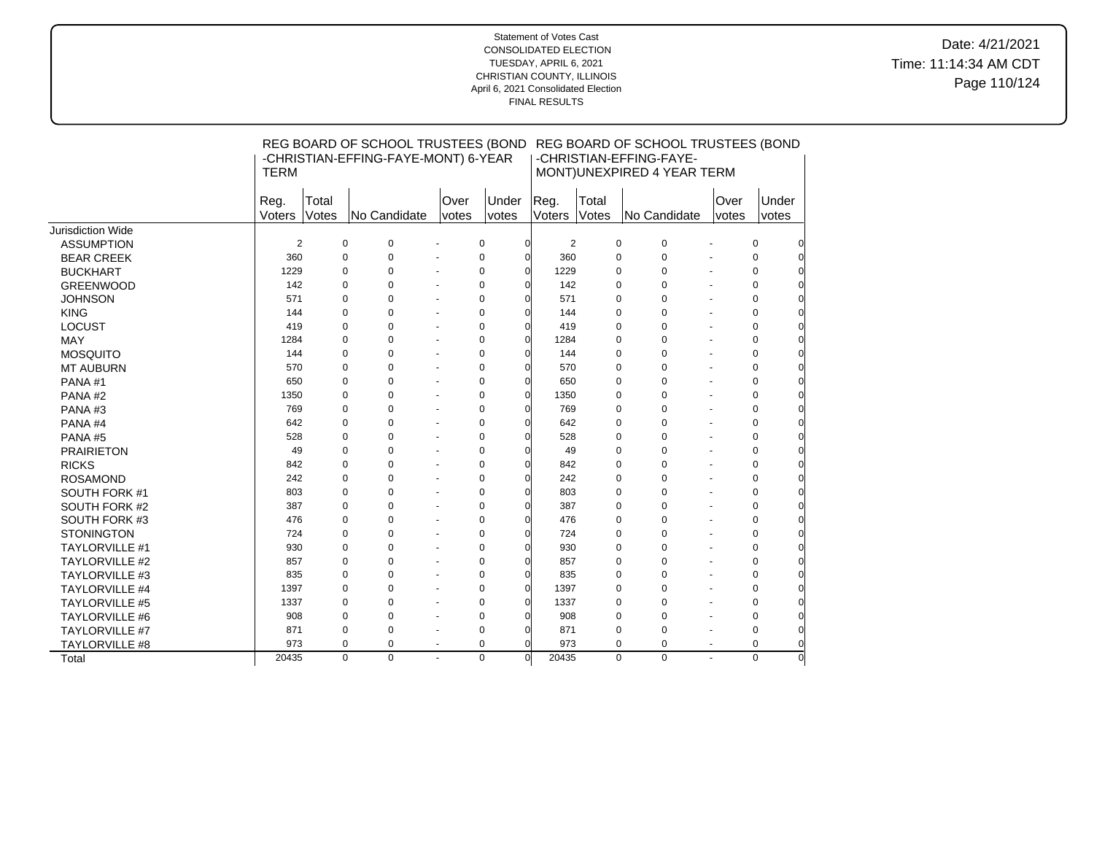# Date: 4/21/2021 Time: 11:14:34 AM CDT Page 110/124

|                       |                |                       | REG BOARD OF SCHOOL TRUSTEES (BOND  |                      |                |          |                |                         |             |                            |                      | REG BOARD OF SCHOOL TRUSTEES (BOND |
|-----------------------|----------------|-----------------------|-------------------------------------|----------------------|----------------|----------|----------------|-------------------------|-------------|----------------------------|----------------------|------------------------------------|
|                       | <b>TERM</b>    |                       | -CHRISTIAN-EFFING-FAYE-MONT) 6-YEAR |                      |                |          |                | -CHRISTIAN-EFFING-FAYE- |             | MONT)UNEXPIRED 4 YEAR TERM |                      |                                    |
|                       | Reg.<br>Voters | Total<br><b>Votes</b> | No Candidate                        | Over<br>votes        | Under<br>votes |          | Reg.<br>Voters | Total<br>Votes          |             | No Candidate               | Over<br>votes        | Under<br>votes                     |
| Jurisdiction Wide     |                |                       |                                     |                      |                |          |                |                         |             |                            |                      |                                    |
| <b>ASSUMPTION</b>     | 2              |                       | $\mathbf 0$<br>$\pmb{0}$            |                      | 0              |          | $\overline{2}$ |                         | $\mathbf 0$ | 0                          |                      | 0                                  |
| <b>BEAR CREEK</b>     | 360            |                       | $\mathbf 0$<br>$\mathbf 0$          |                      | 0              |          | 360            |                         | $\mathbf 0$ | 0                          |                      | $\mathbf 0$                        |
| <b>BUCKHART</b>       | 1229           |                       | $\mathbf 0$<br>$\mathbf 0$          |                      | $\pmb{0}$      | ŋ        | 1229           |                         | $\mathbf 0$ | 0                          |                      | 0<br>$\Omega$                      |
| <b>GREENWOOD</b>      | 142            |                       | $\Omega$<br>$\Omega$                |                      | $\mathbf 0$    |          | 142            |                         | $\Omega$    | $\Omega$                   |                      | $\mathbf 0$<br>$\Omega$            |
| <b>JOHNSON</b>        | 571            |                       | $\mathbf 0$<br>$\mathbf 0$          |                      | $\mathbf 0$    |          | 571            |                         | $\mathbf 0$ | 0                          |                      | $\pmb{0}$<br>$\Omega$              |
| <b>KING</b>           | 144            |                       | $\mathbf 0$<br>$\mathbf 0$          |                      | 0              |          | 144            |                         | $\mathbf 0$ | 0                          |                      | 0<br>$\Omega$                      |
| <b>LOCUST</b>         | 419            |                       | $\mathbf 0$<br>$\mathbf 0$          |                      | 0              | O        | 419            |                         | $\mathbf 0$ | 0                          |                      | 0<br>$\Omega$                      |
| MAY                   | 1284           |                       | $\mathbf 0$<br>$\mathbf 0$          | ÷.                   | $\mathbf 0$    | $\Omega$ | 1284           |                         | $\mathbf 0$ | 0                          |                      | 0<br>$\Omega$                      |
| <b>MOSQUITO</b>       | 144            |                       | $\Omega$<br>$\Omega$                |                      | 0              | U        | 144            |                         | $\Omega$    | $\Omega$                   |                      | $\mathbf 0$<br>$\Omega$            |
| <b>MT AUBURN</b>      | 570            | $\mathbf 0$           | $\mathbf 0$                         | $\ddot{\phantom{1}}$ | $\pmb{0}$      |          | 570            |                         | $\mathbf 0$ | 0                          |                      | 0<br>$\Omega$                      |
| PANA#1                | 650            | $\Omega$              | $\Omega$                            |                      | 0              | ∩        | 650            |                         | $\Omega$    | 0                          |                      | 0<br>$\Omega$                      |
| PANA#2                | 1350           | $\Omega$              | $\Omega$                            |                      | 0              |          | 1350           |                         | $\Omega$    | $\Omega$                   |                      | $\mathbf 0$                        |
| PANA#3                | 769            |                       | $\Omega$<br>$\mathbf 0$             |                      | $\pmb{0}$      |          | 769            |                         | $\Omega$    | $\Omega$                   |                      | 0                                  |
| PANA#4                | 642            |                       | $\Omega$<br>$\Omega$                |                      | 0              |          | 642            |                         | $\Omega$    | $\Omega$                   |                      | $\mathbf 0$<br>O                   |
| PANA#5                | 528            |                       | $\Omega$<br>$\mathbf 0$             | ä,                   | 0              |          | 528            |                         | $\mathbf 0$ | 0                          |                      | $\mathbf 0$<br>O                   |
| <b>PRAIRIETON</b>     | 49             | 0                     | $\Omega$                            | $\blacksquare$       | 0              |          | 49             |                         | $\Omega$    | 0                          |                      | $\mathbf 0$<br>$\Omega$            |
| <b>RICKS</b>          | 842            | $\Omega$              | $\Omega$                            | $\ddot{\phantom{1}}$ | 0              |          | 842            |                         | $\Omega$    | $\Omega$                   |                      | $\mathbf 0$                        |
| <b>ROSAMOND</b>       | 242            |                       | $\Omega$<br>$\mathbf 0$             | $\ddot{\phantom{1}}$ | 0              |          | 242            |                         | $\Omega$    | $\Omega$                   |                      | 0                                  |
| SOUTH FORK #1         | 803            |                       | $\Omega$<br>$\Omega$                |                      | 0              |          | 803            |                         | $\Omega$    | $\Omega$                   |                      | 0                                  |
| SOUTH FORK #2         | 387            |                       | $\Omega$<br>$\mathbf 0$             |                      | 0              |          | 387            |                         | $\mathbf 0$ | $\Omega$                   |                      | 0                                  |
| SOUTH FORK #3         | 476            | $\mathbf 0$           | $\Omega$                            | $\ddot{\phantom{1}}$ | 0              |          | 476            |                         | $\Omega$    | $\Omega$                   |                      | 0                                  |
| <b>STONINGTON</b>     | 724            | $\Omega$              | $\Omega$                            |                      | 0              |          | 724            |                         | $\Omega$    | $\Omega$                   |                      | $\mathbf 0$                        |
| <b>TAYLORVILLE #1</b> | 930            | $\mathbf 0$           | $\mathbf 0$                         |                      | 0              |          | 930            |                         | $\mathbf 0$ | $\mathbf 0$                |                      | 0                                  |
| TAYLORVILLE #2        | 857            | $\mathbf 0$           | $\mathbf 0$                         |                      | 0              |          | 857            |                         | $\mathbf 0$ | $\Omega$                   |                      | 0                                  |
| TAYLORVILLE #3        | 835            |                       | $\mathbf 0$<br>$\mathbf 0$          | ÷.                   | 0              |          | 835            |                         | $\mathbf 0$ | 0                          |                      | $\mathbf 0$<br>$\Omega$            |
| <b>TAYLORVILLE #4</b> | 1397           |                       | $\mathbf 0$<br>$\overline{0}$       | $\ddot{\phantom{1}}$ | 0              | ∩        | 1397           |                         | $\mathbf 0$ | $\mathbf 0$                |                      | 0<br>$\Omega$                      |
| <b>TAYLORVILLE #5</b> | 1337           |                       | $\mathbf 0$<br>$\mathbf 0$          | $\ddot{\phantom{1}}$ | 0              |          | 1337           |                         | $\mathbf 0$ | 0                          | $\ddot{\phantom{1}}$ | 0<br>$\Omega$                      |
| <b>TAYLORVILLE #6</b> | 908            |                       | $\mathbf 0$<br>$\mathbf 0$          | ÷.                   | 0              |          | 908            |                         | $\mathbf 0$ | $\overline{0}$             | ÷.                   | $\pmb{0}$<br>$\Omega$              |
| TAYLORVILLE #7        | 871            |                       | $\mathbf 0$<br>0                    | $\blacksquare$       | 0              |          | 871            |                         | $\mathbf 0$ | 0                          | $\blacksquare$       | 0<br>$\Omega$                      |
| TAYLORVILLE #8        | 973            |                       | 0<br>0                              | $\blacksquare$       | 0              |          | 973            |                         | $\mathbf 0$ | 0                          | $\sim$               | 0                                  |
| Total                 | 20435          |                       | $\Omega$<br>$\Omega$                |                      | 0              | $\Omega$ | 20435          |                         | $\Omega$    | $\Omega$                   | ÷.                   | $\mathbf 0$                        |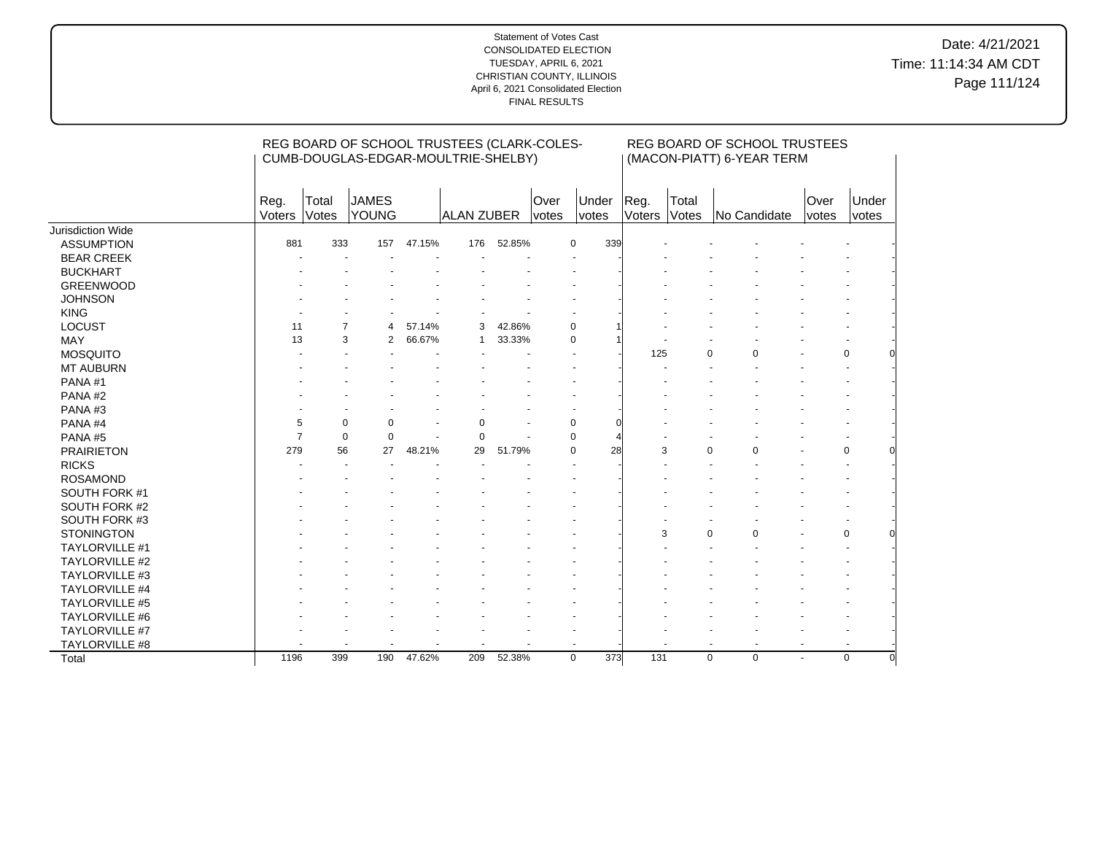Date: 4/21/2021 Time: 11:14:34 AM CDT Page 111/124

|                       |                |                | REG BOARD OF SCHOOL TRUSTEES (CLARK-COLES- |        |            |        |       | REG BOARD OF SCHOOL TRUSTEES |        |       |                            |                |                |
|-----------------------|----------------|----------------|--------------------------------------------|--------|------------|--------|-------|------------------------------|--------|-------|----------------------------|----------------|----------------|
|                       |                |                | CUMB-DOUGLAS-EDGAR-MOULTRIE-SHELBY)        |        |            |        |       |                              |        |       | (MACON-PIATT) 6-YEAR TERM  |                |                |
|                       |                |                |                                            |        |            |        |       |                              |        |       |                            |                |                |
|                       |                |                |                                            |        |            |        |       |                              |        |       |                            |                |                |
|                       | Reg.           | Total          | <b>JAMES</b>                               |        |            |        | Over  | Under                        | Reg.   | Total |                            | Over           | Under          |
|                       | Voters         | Votes          | <b>YOUNG</b>                               |        | ALAN ZUBER |        | votes | votes                        | Voters | Votes | No Candidate               | votes          | votes          |
| Jurisdiction Wide     |                |                |                                            |        |            |        |       |                              |        |       |                            |                |                |
| <b>ASSUMPTION</b>     | 881            | 333            | 157                                        | 47.15% | 176        | 52.85% |       | 339<br>$\Omega$              |        |       |                            |                |                |
| <b>BEAR CREEK</b>     |                |                |                                            |        |            |        |       |                              |        |       |                            |                |                |
| <b>BUCKHART</b>       |                |                |                                            |        |            |        |       |                              |        |       |                            |                |                |
| <b>GREENWOOD</b>      |                |                |                                            |        |            |        |       |                              |        |       |                            |                |                |
| <b>JOHNSON</b>        |                |                |                                            |        |            |        |       |                              |        |       |                            |                |                |
| <b>KING</b>           |                |                |                                            |        |            |        |       |                              |        |       |                            |                |                |
| <b>LOCUST</b>         | 11             | $\overline{7}$ | 4                                          | 57.14% | 3          | 42.86% |       | $\mathbf 0$                  |        |       |                            |                |                |
| MAY                   | 13             | 3              | 2                                          | 66.67% |            | 33.33% |       | $\Omega$                     |        |       |                            |                |                |
| <b>MOSQUITO</b>       |                |                |                                            |        |            |        |       |                              | 125    |       | $\Omega$<br>$\Omega$       |                | $\mathbf 0$    |
| <b>MT AUBURN</b>      |                |                |                                            |        |            |        |       |                              |        |       |                            |                |                |
| PANA#1                |                |                |                                            |        |            |        |       |                              |        |       |                            |                |                |
| PANA#2                |                |                |                                            |        |            |        |       |                              |        |       |                            |                |                |
| PANA#3                |                |                |                                            |        |            |        |       |                              |        |       |                            |                |                |
| PANA#4                | 5              | 0              | 0                                          |        | $\Omega$   |        |       | 0                            |        |       |                            |                |                |
| PANA#5                | $\overline{7}$ | $\mathbf 0$    | $\mathbf 0$                                |        | 0          |        |       | $\mathbf 0$                  |        |       |                            |                |                |
| <b>PRAIRIETON</b>     | 279            | 56             | 27                                         | 48.21% | 29         | 51.79% |       | 28<br>$\Omega$               | 3      |       | $\Omega$<br>$\Omega$       |                | 0              |
| <b>RICKS</b>          |                |                |                                            |        |            |        |       |                              |        |       |                            |                |                |
| <b>ROSAMOND</b>       |                |                |                                            |        |            |        |       |                              |        |       |                            |                |                |
| SOUTH FORK #1         |                |                |                                            |        |            |        |       |                              |        |       |                            |                |                |
| SOUTH FORK #2         |                |                |                                            |        |            |        |       |                              |        |       |                            |                |                |
| SOUTH FORK #3         |                |                |                                            |        |            |        |       |                              |        |       |                            |                |                |
| <b>STONINGTON</b>     |                |                |                                            |        |            |        |       |                              | 3      |       | $\Omega$<br>$\Omega$       |                | $\mathbf 0$    |
| <b>TAYLORVILLE #1</b> |                |                |                                            |        |            |        |       |                              |        |       |                            |                |                |
| <b>TAYLORVILLE #2</b> |                |                |                                            |        |            |        |       |                              |        |       |                            |                |                |
| TAYLORVILLE #3        |                |                |                                            |        |            |        |       |                              |        |       |                            |                |                |
| TAYLORVILLE #4        |                |                |                                            |        |            |        |       |                              |        |       |                            |                |                |
| TAYLORVILLE #5        |                |                |                                            |        |            |        |       |                              |        |       |                            |                |                |
| <b>TAYLORVILLE #6</b> |                |                |                                            |        |            |        |       |                              |        |       |                            |                |                |
| <b>TAYLORVILLE #7</b> |                |                |                                            |        |            |        |       |                              |        |       |                            |                |                |
| TAYLORVILLE #8        |                |                | $\blacksquare$                             |        |            |        |       |                              |        |       | $\overline{\phantom{a}}$   | $\blacksquare$ | $\blacksquare$ |
| Total                 | 1196           | 399            | 190                                        | 47.62% | 209        | 52.38% |       | 373<br>$\mathbf 0$           | 131    |       | $\mathbf 0$<br>$\mathbf 0$ | $\blacksquare$ | $\mathbf 0$    |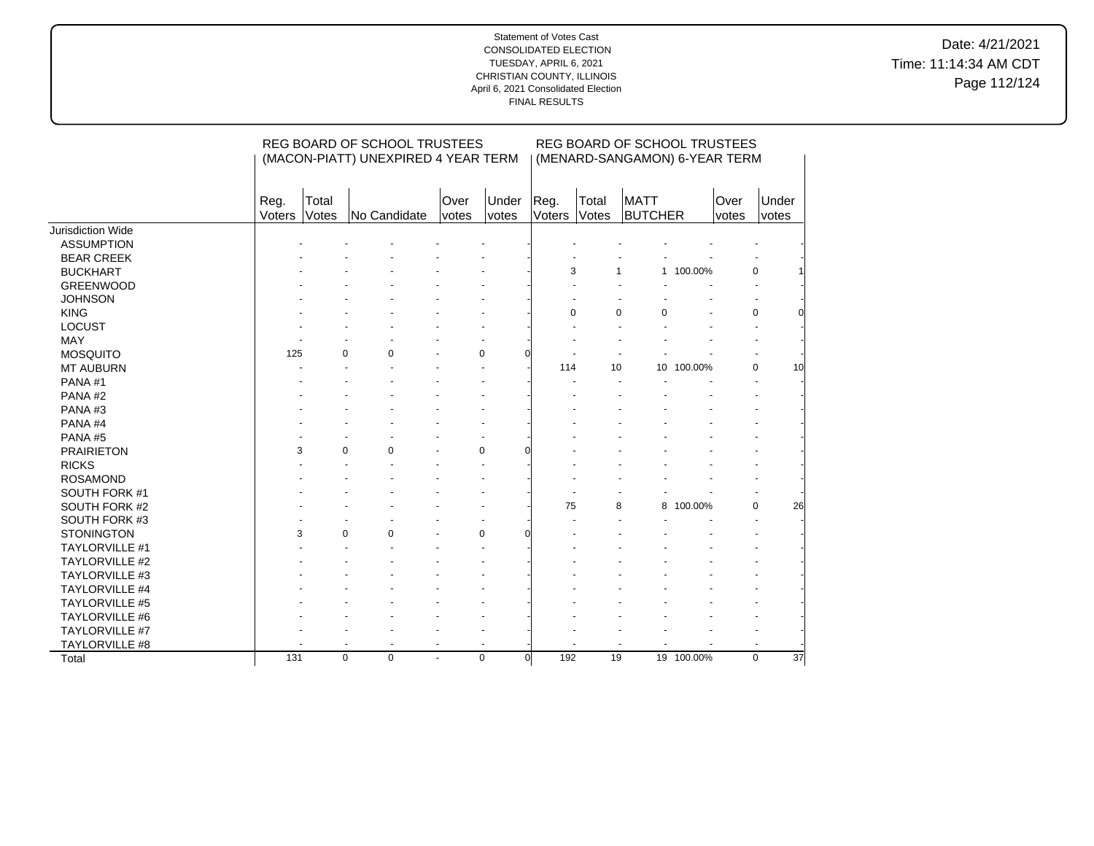Date: 4/21/2021 Time: 11:14:34 AM CDT Page 112/124

|                          |                       |                | REG BOARD OF SCHOOL TRUSTEES        |                |       | REG BOARD OF SCHOOL TRUSTEES |                               |                         |            |       |          |    |
|--------------------------|-----------------------|----------------|-------------------------------------|----------------|-------|------------------------------|-------------------------------|-------------------------|------------|-------|----------|----|
|                          |                       |                | (MACON-PIATT) UNEXPIRED 4 YEAR TERM |                |       |                              | (MENARD-SANGAMON) 6-YEAR TERM |                         |            |       |          |    |
|                          |                       |                |                                     |                |       |                              |                               |                         |            |       |          |    |
|                          |                       |                |                                     |                |       |                              |                               |                         |            |       |          |    |
|                          | Reg.<br><b>Voters</b> | Total<br>Votes | No Candidate                        | Over           | Under | Reg.                         | Total<br>Votes                | MATT<br><b>BUTCHER</b>  |            | Over  | Under    |    |
| <b>Jurisdiction Wide</b> |                       |                |                                     | votes          | votes | Voters                       |                               |                         |            | votes | votes    |    |
|                          |                       |                |                                     |                |       |                              |                               |                         |            |       |          |    |
| <b>ASSUMPTION</b>        |                       |                |                                     |                |       |                              |                               |                         |            |       |          |    |
| <b>BEAR CREEK</b>        |                       |                |                                     |                |       |                              |                               | $\mathbf{1}$            |            |       | $\Omega$ |    |
| <b>BUCKHART</b>          |                       |                |                                     |                |       |                              | 3                             |                         | 1 100.00%  |       |          |    |
| <b>GREENWOOD</b>         |                       |                |                                     |                |       |                              |                               |                         |            |       |          |    |
| <b>JOHNSON</b>           |                       |                |                                     |                |       |                              |                               |                         |            |       |          |    |
| <b>KING</b>              |                       |                |                                     |                |       |                              | 0                             | $\mathbf 0$<br>$\Omega$ |            |       | $\Omega$ |    |
| <b>LOCUST</b>            |                       |                |                                     |                |       |                              |                               |                         |            |       |          |    |
| <b>MAY</b>               |                       |                |                                     |                |       |                              |                               |                         |            |       |          |    |
| <b>MOSQUITO</b>          | 125                   | $\Omega$       | $\Omega$                            |                | 0     |                              |                               |                         |            |       |          |    |
| <b>MT AUBURN</b>         |                       |                |                                     |                | ÷     |                              | 114<br>10                     |                         | 10 100.00% |       | $\Omega$ | 10 |
| PANA#1                   |                       |                |                                     |                |       |                              |                               |                         |            |       |          |    |
| PANA#2                   |                       |                |                                     |                |       |                              |                               |                         |            |       |          |    |
| PANA#3                   |                       |                |                                     |                |       |                              |                               |                         |            |       |          |    |
| PANA#4                   |                       |                |                                     |                |       |                              |                               |                         |            |       |          |    |
| PANA#5                   |                       |                |                                     |                |       |                              |                               |                         |            |       |          |    |
| <b>PRAIRIETON</b>        | 3                     | 0              | 0                                   |                | 0     |                              |                               |                         |            |       |          |    |
| <b>RICKS</b>             |                       |                |                                     |                |       |                              |                               |                         |            |       |          |    |
| <b>ROSAMOND</b>          |                       |                |                                     |                |       |                              |                               |                         |            |       |          |    |
| SOUTH FORK #1            |                       |                |                                     |                |       |                              |                               |                         |            |       |          |    |
| SOUTH FORK #2            |                       |                |                                     |                |       |                              | 75                            | 8                       | 8 100.00%  |       | $\Omega$ | 26 |
| SOUTH FORK #3            |                       |                |                                     |                |       |                              |                               |                         |            |       |          |    |
| <b>STONINGTON</b>        | 3                     | $\Omega$       | $\Omega$                            |                | 0     |                              |                               |                         |            |       |          |    |
| <b>TAYLORVILLE #1</b>    |                       |                |                                     |                |       |                              |                               |                         |            |       |          |    |
| TAYLORVILLE #2           |                       |                |                                     |                |       |                              |                               |                         |            |       |          |    |
| TAYLORVILLE #3           |                       |                |                                     |                |       |                              |                               |                         |            |       |          |    |
| TAYLORVILLE #4           |                       |                |                                     |                |       |                              |                               |                         |            |       |          |    |
| <b>TAYLORVILLE #5</b>    |                       |                |                                     |                |       |                              |                               |                         |            |       |          |    |
| TAYLORVILLE #6           |                       |                |                                     |                |       |                              |                               |                         |            |       |          |    |
| TAYLORVILLE #7           |                       |                |                                     |                |       |                              |                               |                         |            |       |          |    |
| TAYLORVILLE #8           |                       |                |                                     | $\overline{a}$ |       |                              |                               |                         |            |       |          |    |
| Total                    | 131                   | $\mathbf 0$    | $\mathbf 0$                         | $\overline{a}$ | 0     | $\Omega$                     | 192<br>19                     |                         | 19 100.00% |       | $\Omega$ | 37 |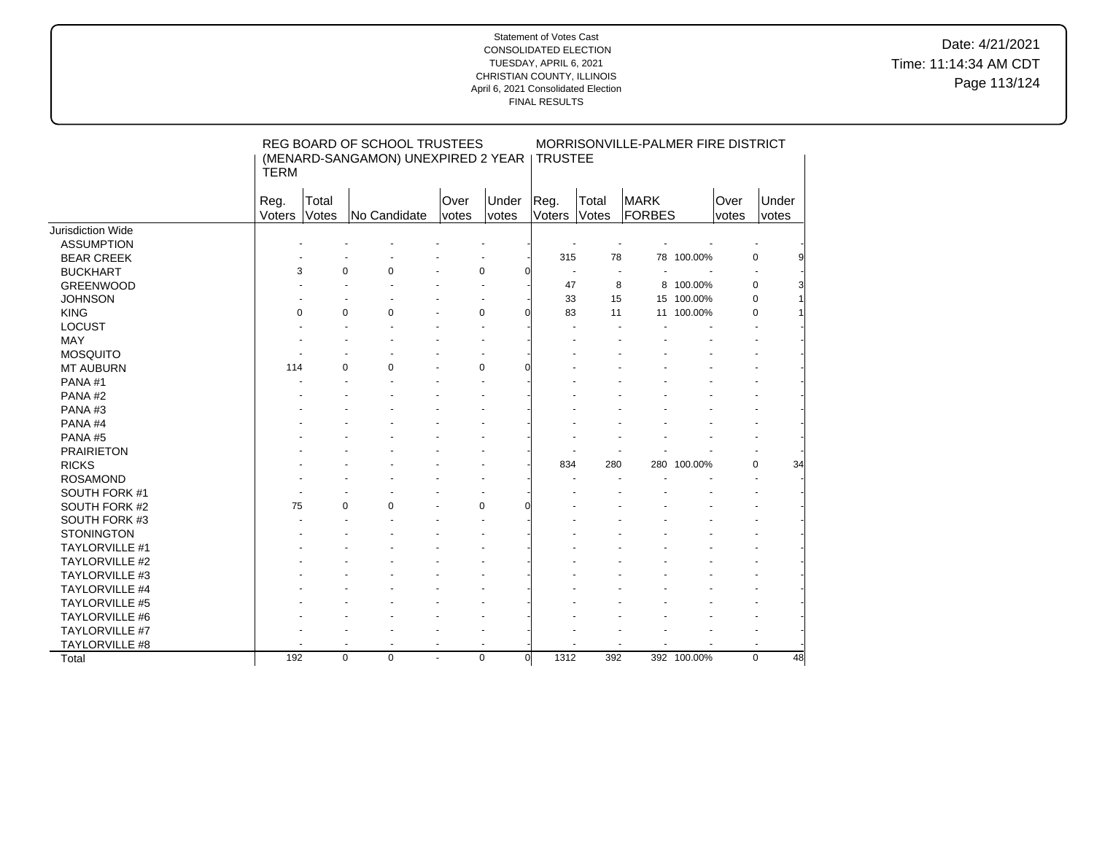# Date: 4/21/2021 Time: 11:14:34 AM CDT Page 113/124

|                       | <b>TERM</b>    |                | <b>REG BOARD OF SCHOOL TRUSTEES</b><br>(MENARD-SANGAMON) UNEXPIRED 2 YEAR |               | <b>TRUSTEE</b> |                  | MORRISONVILLE-PALMER FIRE DISTRICT |                |             |               |                |
|-----------------------|----------------|----------------|---------------------------------------------------------------------------|---------------|----------------|------------------|------------------------------------|----------------|-------------|---------------|----------------|
|                       | Reg.<br>Voters | Total<br>Votes | No Candidate                                                              | Over<br>votes | Under<br>votes | Reg.<br>Voters   | Total<br>Votes                     | MARK<br>FORBES |             | Over<br>votes | Under<br>votes |
| Jurisdiction Wide     |                |                |                                                                           |               |                |                  |                                    |                |             |               |                |
| <b>ASSUMPTION</b>     |                |                |                                                                           |               |                |                  |                                    |                |             |               |                |
| <b>BEAR CREEK</b>     |                |                |                                                                           |               |                | 315              | 78                                 |                | 78 100.00%  | $\mathbf 0$   |                |
| <b>BUCKHART</b>       | 3              | $\Omega$       | 0                                                                         |               | $\mathbf 0$    | $\blacksquare$   |                                    |                |             |               |                |
| <b>GREENWOOD</b>      |                |                |                                                                           |               |                | 47               | 8                                  |                | 8 100.00%   | $\Omega$      |                |
| <b>JOHNSON</b>        |                |                |                                                                           |               |                | 33               | 15                                 |                | 15 100.00%  | $\mathbf 0$   |                |
| <b>KING</b>           | $\Omega$       | $\Omega$       | $\Omega$                                                                  |               | $\mathbf 0$    | 83               | 11                                 |                | 11 100.00%  | $\Omega$      |                |
| <b>LOCUST</b>         |                |                |                                                                           |               |                |                  |                                    |                |             |               |                |
| <b>MAY</b>            |                |                |                                                                           |               |                |                  |                                    |                |             |               |                |
| <b>MOSQUITO</b>       |                |                |                                                                           |               |                |                  |                                    |                |             |               |                |
| <b>MT AUBURN</b>      | 114            | $\Omega$       | $\Omega$                                                                  |               | $\mathbf 0$    |                  |                                    |                |             |               |                |
| PANA#1                |                |                |                                                                           |               |                |                  |                                    |                |             |               |                |
| PANA#2                |                |                |                                                                           |               |                |                  |                                    |                |             |               |                |
| PANA#3                |                |                |                                                                           |               |                |                  |                                    |                |             |               |                |
| PANA#4                |                |                |                                                                           |               |                |                  |                                    |                |             |               |                |
| PANA#5                |                |                |                                                                           |               |                |                  |                                    |                |             |               |                |
| <b>PRAIRIETON</b>     |                |                |                                                                           |               |                |                  |                                    |                |             |               |                |
| <b>RICKS</b>          |                |                |                                                                           |               |                | 834              | 280                                |                | 280 100.00% |               | 34<br>0        |
| <b>ROSAMOND</b>       |                |                |                                                                           |               |                |                  |                                    |                |             |               |                |
| SOUTH FORK #1         |                |                |                                                                           |               |                |                  |                                    |                |             |               |                |
| SOUTH FORK #2         | 75             | $\Omega$       | $\Omega$                                                                  |               | $\mathbf 0$    |                  |                                    |                |             |               |                |
| SOUTH FORK #3         |                |                |                                                                           |               |                |                  |                                    |                |             |               |                |
| <b>STONINGTON</b>     |                |                |                                                                           |               |                |                  |                                    |                |             |               |                |
| <b>TAYLORVILLE #1</b> |                |                |                                                                           |               |                |                  |                                    |                |             |               |                |
| <b>TAYLORVILLE #2</b> |                |                |                                                                           |               |                |                  |                                    |                |             |               |                |
| TAYLORVILLE #3        |                |                |                                                                           |               |                |                  |                                    |                |             |               |                |
| TAYLORVILLE #4        |                |                |                                                                           |               |                |                  |                                    |                |             |               |                |
| TAYLORVILLE #5        |                |                |                                                                           |               |                |                  |                                    |                |             |               |                |
| TAYLORVILLE #6        |                |                |                                                                           |               |                |                  |                                    |                |             |               |                |
| TAYLORVILLE #7        |                |                |                                                                           |               |                |                  |                                    |                |             |               |                |
| TAYLORVILLE #8        |                | ÷.             | $\ddot{\phantom{1}}$                                                      | $\sim$        |                |                  |                                    |                |             |               |                |
| Total                 | 192            | 0              | 0                                                                         | $\sim$        | $\mathbf 0$    | 1312<br>$\Omega$ | 392                                |                | 392 100.00% | $\Omega$      | 48             |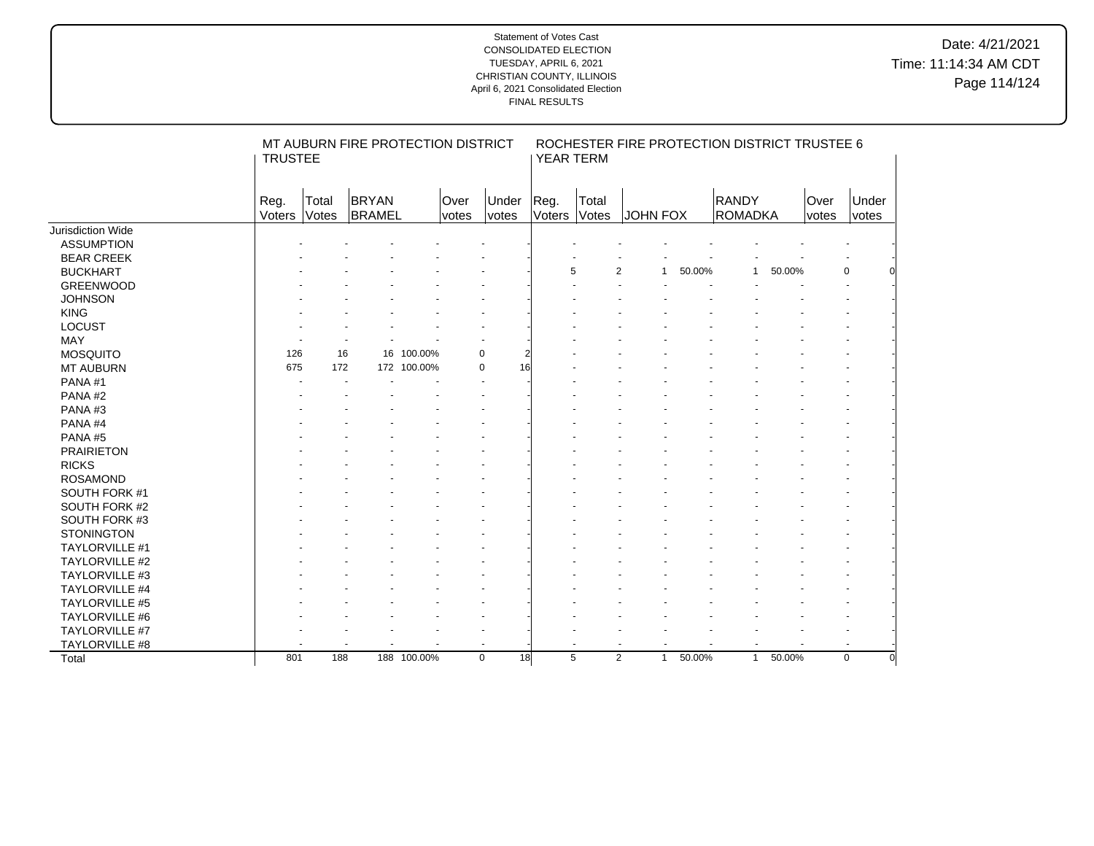# Date: 4/21/2021 Time: 11:14:34 AM CDT Page 114/124

|                       | <b>TRUSTEE</b> |                          | MT AUBURN FIRE PROTECTION DISTRICT |             |               |                       |                       | YEAR TERM      |                |                        | ROCHESTER FIRE PROTECTION DISTRICT TRUSTEE 6 |        |               |                |
|-----------------------|----------------|--------------------------|------------------------------------|-------------|---------------|-----------------------|-----------------------|----------------|----------------|------------------------|----------------------------------------------|--------|---------------|----------------|
|                       | Reg.<br>Voters | Total<br>Votes           | <b>BRYAN</b><br>BRAMEL             |             | Over<br>votes | Under<br><i>votes</i> | Reg.<br><b>Voters</b> | Total<br>Votes | JOHN FOX       |                        | RANDY<br>ROMADKA                             |        | Over<br>votes | Under<br>votes |
| Jurisdiction Wide     |                |                          |                                    |             |               |                       |                       |                |                |                        |                                              |        |               |                |
| <b>ASSUMPTION</b>     |                |                          |                                    |             |               |                       |                       |                |                |                        |                                              |        |               |                |
| <b>BEAR CREEK</b>     |                |                          |                                    |             |               |                       |                       |                |                |                        |                                              |        |               |                |
| <b>BUCKHART</b>       |                |                          |                                    |             |               |                       |                       | 5              | 2              | 50.00%<br>1            | 1                                            | 50.00% |               | 0              |
| <b>GREENWOOD</b>      |                |                          |                                    |             |               |                       |                       |                |                |                        |                                              |        |               |                |
| <b>JOHNSON</b>        |                |                          |                                    |             |               |                       |                       |                |                |                        |                                              |        |               |                |
| <b>KING</b>           |                |                          |                                    |             |               |                       |                       |                |                |                        |                                              |        |               |                |
| <b>LOCUST</b>         |                |                          |                                    |             |               |                       |                       |                |                |                        |                                              |        |               |                |
| <b>MAY</b>            |                |                          |                                    |             |               |                       |                       |                |                |                        |                                              |        |               |                |
| <b>MOSQUITO</b>       | 126            | 16                       |                                    | 16 100.00%  |               | $\mathbf 0$           |                       |                |                |                        |                                              |        |               |                |
| MT AUBURN             | 675            | 172                      |                                    | 172 100.00% |               | 16<br>$\mathbf 0$     |                       |                |                |                        |                                              |        |               |                |
| PANA#1                |                |                          |                                    |             |               |                       |                       |                |                |                        |                                              |        |               |                |
| PANA#2                |                |                          |                                    |             |               |                       |                       |                |                |                        |                                              |        |               |                |
| PANA#3                |                |                          |                                    |             |               |                       |                       |                |                |                        |                                              |        |               |                |
| PANA#4                |                |                          |                                    |             |               |                       |                       |                |                |                        |                                              |        |               |                |
| PANA#5                |                |                          |                                    |             |               |                       |                       |                |                |                        |                                              |        |               |                |
| <b>PRAIRIETON</b>     |                |                          |                                    |             |               |                       |                       |                |                |                        |                                              |        |               |                |
| <b>RICKS</b>          |                |                          |                                    |             |               |                       |                       |                |                |                        |                                              |        |               |                |
| <b>ROSAMOND</b>       |                |                          |                                    |             |               |                       |                       |                |                |                        |                                              |        |               |                |
| SOUTH FORK #1         |                |                          |                                    |             |               |                       |                       |                |                |                        |                                              |        |               |                |
| SOUTH FORK #2         |                |                          |                                    |             |               |                       |                       |                |                |                        |                                              |        |               |                |
| SOUTH FORK #3         |                |                          |                                    |             |               |                       |                       |                |                |                        |                                              |        |               |                |
| <b>STONINGTON</b>     |                |                          |                                    |             |               |                       |                       |                |                |                        |                                              |        |               |                |
| <b>TAYLORVILLE #1</b> |                |                          |                                    |             |               |                       |                       |                |                |                        |                                              |        |               |                |
| <b>TAYLORVILLE #2</b> |                |                          |                                    |             |               |                       |                       |                |                |                        |                                              |        |               |                |
| TAYLORVILLE #3        |                |                          |                                    |             |               |                       |                       |                |                |                        |                                              |        |               |                |
| TAYLORVILLE #4        |                |                          |                                    |             |               |                       |                       |                |                |                        |                                              |        |               |                |
| <b>TAYLORVILLE #5</b> |                |                          |                                    |             |               |                       |                       |                |                |                        |                                              |        |               |                |
| TAYLORVILLE #6        |                |                          |                                    |             |               |                       |                       |                |                |                        |                                              |        |               |                |
| TAYLORVILLE #7        |                |                          |                                    |             |               |                       |                       |                |                |                        |                                              |        |               |                |
| TAYLORVILLE #8        |                | $\overline{\phantom{a}}$ |                                    |             |               | $\blacksquare$        |                       | $\blacksquare$ | $\blacksquare$ |                        |                                              |        |               | $\blacksquare$ |
| Total                 | 801            | 188                      |                                    | 188 100.00% |               | 18<br>$\mathbf 0$     |                       | 5              | $\overline{2}$ | 50.00%<br>$\mathbf{1}$ | $\mathbf{1}$                                 | 50.00% |               | $\mathbf 0$    |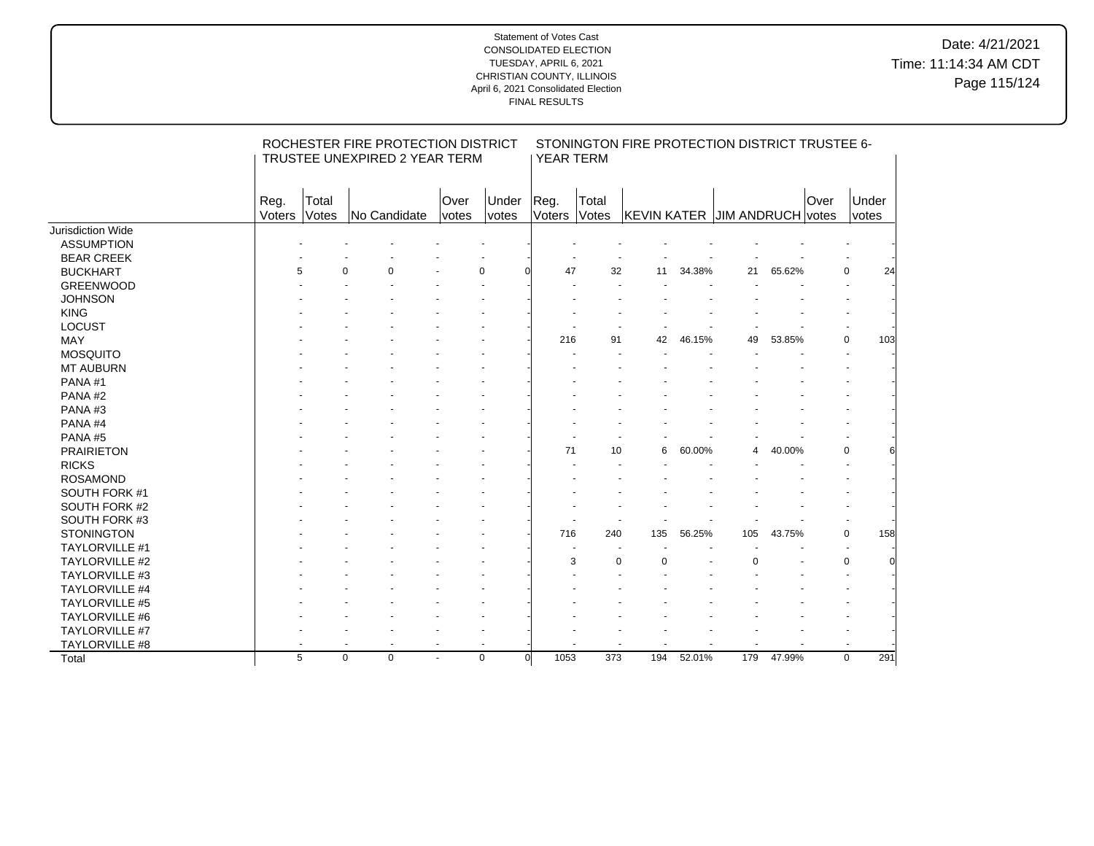## Date: 4/21/2021 Time: 11:14:34 AM CDT Page 115/124

|                       |        |       | ROCHESTER FIRE PROTECTION DISTRICT                   |                          |                          |          |        |                          |          |        | STONINGTON FIRE PROTECTION DISTRICT TRUSTEE 6- |        |             |             |          |
|-----------------------|--------|-------|------------------------------------------------------|--------------------------|--------------------------|----------|--------|--------------------------|----------|--------|------------------------------------------------|--------|-------------|-------------|----------|
|                       |        |       | TRUSTEE UNEXPIRED 2 YEAR TERM                        |                          |                          |          |        | <b>YEAR TERM</b>         |          |        |                                                |        |             |             |          |
|                       |        |       |                                                      |                          |                          |          |        |                          |          |        |                                                |        |             |             |          |
|                       |        |       |                                                      |                          |                          |          |        |                          |          |        |                                                |        |             |             |          |
|                       | Reg.   | Total |                                                      | Over                     | Under                    |          | Reg.   | Total                    |          |        |                                                |        | <b>Over</b> | Under       |          |
|                       | Voters | Votes | No Candidate                                         | votes                    | votes                    |          | Voters | Votes                    |          |        | KEVIN KATER JIM ANDRUCH votes                  |        |             | votes       |          |
| Jurisdiction Wide     |        |       |                                                      |                          |                          |          |        |                          |          |        |                                                |        |             |             |          |
| <b>ASSUMPTION</b>     |        |       |                                                      |                          |                          |          |        |                          |          |        |                                                |        |             |             |          |
| <b>BEAR CREEK</b>     |        |       |                                                      |                          |                          |          |        |                          |          |        |                                                |        |             |             |          |
| <b>BUCKHART</b>       | 5      |       | $\Omega$<br>$\Omega$                                 |                          | $\Omega$                 |          | 47     | 32                       | 11       | 34.38% | 21                                             | 65.62% |             | 0           | 24       |
| <b>GREENWOOD</b>      |        |       |                                                      |                          |                          |          |        |                          |          |        |                                                |        |             |             |          |
| <b>JOHNSON</b>        |        |       |                                                      |                          |                          |          |        |                          |          |        |                                                |        |             |             |          |
| <b>KING</b>           |        |       |                                                      |                          |                          |          |        |                          |          |        |                                                |        |             |             |          |
| LOCUST                |        |       |                                                      |                          |                          |          |        |                          |          |        |                                                |        |             |             |          |
| MAY                   |        |       |                                                      |                          |                          |          | 216    | 91                       | 42       | 46.15% | 49                                             | 53.85% |             | 0           | 103      |
| <b>MOSQUITO</b>       |        |       |                                                      |                          |                          |          |        |                          |          |        |                                                |        |             |             |          |
| <b>MT AUBURN</b>      |        |       |                                                      |                          |                          |          |        |                          |          |        |                                                |        |             |             |          |
| PANA#1                |        |       |                                                      |                          |                          |          |        |                          |          |        |                                                |        |             |             |          |
| PANA#2                |        |       |                                                      |                          |                          |          |        |                          |          |        |                                                |        |             |             |          |
| PANA#3                |        |       |                                                      |                          |                          |          |        |                          |          |        |                                                |        |             |             |          |
| PANA#4                |        |       |                                                      |                          |                          |          |        |                          |          |        |                                                |        |             |             |          |
| PANA#5                |        |       |                                                      |                          |                          |          |        |                          |          |        |                                                |        |             |             |          |
| <b>PRAIRIETON</b>     |        |       |                                                      |                          |                          |          | 71     | 10                       | 6        | 60.00% | 4                                              | 40.00% |             | 0           |          |
| <b>RICKS</b>          |        |       |                                                      |                          |                          |          |        |                          |          |        |                                                |        |             |             |          |
| <b>ROSAMOND</b>       |        |       |                                                      |                          |                          |          |        |                          |          |        |                                                |        |             |             |          |
| SOUTH FORK #1         |        |       |                                                      |                          |                          |          |        |                          |          |        |                                                |        |             |             |          |
| SOUTH FORK #2         |        |       |                                                      |                          |                          |          |        |                          |          |        |                                                |        |             |             |          |
| SOUTH FORK #3         |        |       |                                                      |                          |                          |          |        |                          |          |        |                                                |        |             |             |          |
| <b>STONINGTON</b>     |        |       |                                                      |                          |                          |          | 716    | 240                      | 135      | 56.25% | 105                                            | 43.75% |             | 0           | 158      |
| <b>TAYLORVILLE #1</b> |        |       |                                                      |                          |                          |          |        |                          |          |        |                                                |        |             |             |          |
| <b>TAYLORVILLE #2</b> |        |       |                                                      |                          |                          |          | 3      | 0                        | $\Omega$ |        | $\Omega$                                       |        |             | 0           | $\Omega$ |
| TAYLORVILLE #3        |        |       |                                                      |                          |                          |          |        |                          |          |        |                                                |        |             |             |          |
| <b>TAYLORVILLE #4</b> |        |       |                                                      |                          |                          |          |        |                          |          |        |                                                |        |             |             |          |
| <b>TAYLORVILLE #5</b> |        |       |                                                      |                          |                          |          |        |                          |          |        |                                                |        |             |             |          |
| TAYLORVILLE #6        |        |       |                                                      |                          |                          |          |        |                          |          |        |                                                |        |             |             |          |
| TAYLORVILLE #7        |        |       |                                                      |                          |                          |          |        |                          |          |        |                                                |        |             |             |          |
| TAYLORVILLE #8        |        |       | $\overline{\phantom{a}}$<br>$\overline{\phantom{a}}$ | $\overline{\phantom{a}}$ | $\overline{\phantom{a}}$ |          |        | $\overline{\phantom{a}}$ |          |        |                                                |        |             |             |          |
| Total                 | 5      |       | $\mathbf 0$<br>$\mathbf 0$                           | $\blacksquare$           | $\mathbf 0$              | $\Omega$ | 1053   | 373                      | 194      | 52.01% | 179                                            | 47.99% |             | $\mathbf 0$ | 291      |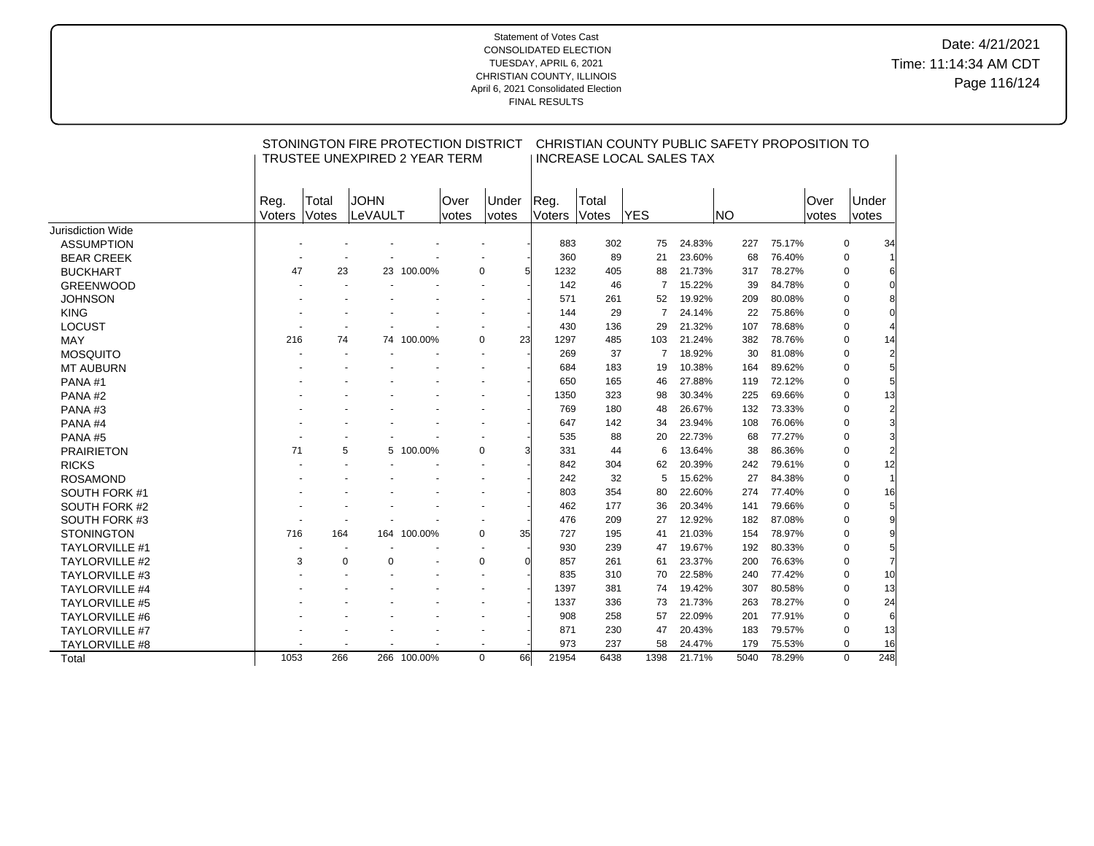## Date: 4/21/2021 Time: 11:14:34 AM CDT Page 116/124

|                       |        |             | STONINGTON FIRE PROTECTION DISTRICT  |             |       |                          |               |       | CHRISTIAN COUNTY PUBLIC SAFETY PROPOSITION TO |        |      |        |       |          |     |
|-----------------------|--------|-------------|--------------------------------------|-------------|-------|--------------------------|---------------|-------|-----------------------------------------------|--------|------|--------|-------|----------|-----|
|                       |        |             | <b>TRUSTEE UNEXPIRED 2 YEAR TERM</b> |             |       |                          |               |       | <b>INCREASE LOCAL SALES TAX</b>               |        |      |        |       |          |     |
|                       |        |             |                                      |             |       |                          |               |       |                                               |        |      |        |       |          |     |
|                       | Reg.   | Total       | <b>JOHN</b>                          |             | Over  | Under                    | Reg.          | Total |                                               |        |      |        | Over  | Under    |     |
|                       | Voters | Votes       | <b>LeVAULT</b>                       |             | votes | votes                    | <b>Voters</b> | Votes | <b>YES</b>                                    |        | NO)  |        | votes | votes    |     |
| Jurisdiction Wide     |        |             |                                      |             |       |                          |               |       |                                               |        |      |        |       |          |     |
| <b>ASSUMPTION</b>     |        |             |                                      |             |       |                          | 883           | 302   | 75                                            | 24.83% | 227  | 75.17% |       | 0        | 34  |
| <b>BEAR CREEK</b>     |        |             |                                      |             |       |                          | 360           | 89    | 21                                            | 23.60% | 68   | 76.40% |       | 0        |     |
| <b>BUCKHART</b>       | 47     | 23          |                                      | 23 100.00%  |       | 0                        | 1232<br>5     | 405   | 88                                            | 21.73% | 317  | 78.27% |       | 0        | 6   |
| <b>GREENWOOD</b>      |        |             |                                      |             |       |                          | 142           | 46    | $\overline{7}$                                | 15.22% | 39   | 84.78% |       | 0        | 0   |
| <b>JOHNSON</b>        |        |             |                                      |             |       |                          | 571           | 261   | 52                                            | 19.92% | 209  | 80.08% |       | $\Omega$ | 8   |
| <b>KING</b>           |        |             |                                      |             |       |                          | 144           | 29    | $\overline{7}$                                | 24.14% | 22   | 75.86% |       | 0        | 0   |
| <b>LOCUST</b>         |        |             |                                      |             |       |                          | 430           | 136   | 29                                            | 21.32% | 107  | 78.68% |       | 0        |     |
| MAY                   | 216    | 74          |                                      | 74 100.00%  |       | $\mathbf 0$<br>23        | 1297          | 485   | 103                                           | 21.24% | 382  | 78.76% |       | 0        | 14  |
| <b>MOSQUITO</b>       |        |             |                                      |             |       |                          | 269           | 37    | $\overline{7}$                                | 18.92% | 30   | 81.08% |       | 0        |     |
| <b>MT AUBURN</b>      |        |             |                                      |             |       |                          | 684           | 183   | 19                                            | 10.38% | 164  | 89.62% |       | 0        | 5   |
| PANA#1                |        |             |                                      |             |       |                          | 650           | 165   | 46                                            | 27.88% | 119  | 72.12% |       | 0        |     |
| PANA#2                |        |             |                                      |             |       |                          | 1350          | 323   | 98                                            | 30.34% | 225  | 69.66% |       | 0        | 13  |
| PANA#3                |        |             |                                      |             |       |                          | 769           | 180   | 48                                            | 26.67% | 132  | 73.33% |       | $\Omega$ |     |
| PANA#4                |        |             |                                      |             |       |                          | 647           | 142   | 34                                            | 23.94% | 108  | 76.06% |       | $\Omega$ | 3   |
| PANA#5                |        |             |                                      |             |       |                          | 535           | 88    | 20                                            | 22.73% | 68   | 77.27% |       | 0        | 3   |
| <b>PRAIRIETON</b>     | 71     | 5           |                                      | 5 100.00%   |       | $\mathbf 0$              | 331           | 44    | 6                                             | 13.64% | 38   | 86.36% |       | $\Omega$ |     |
| <b>RICKS</b>          |        |             |                                      |             |       |                          | 842           | 304   | 62                                            | 20.39% | 242  | 79.61% |       | $\Omega$ | 12  |
| <b>ROSAMOND</b>       |        |             |                                      |             |       |                          | 242           | 32    | 5                                             | 15.62% | 27   | 84.38% |       | 0        |     |
| SOUTH FORK #1         |        |             |                                      |             |       |                          | 803           | 354   | 80                                            | 22.60% | 274  | 77.40% |       | 0        | 16  |
| SOUTH FORK #2         |        |             |                                      |             |       |                          | 462           | 177   | 36                                            | 20.34% | 141  | 79.66% |       | 0        |     |
| SOUTH FORK #3         |        |             |                                      |             |       |                          | 476           | 209   | 27                                            | 12.92% | 182  | 87.08% |       | $\Omega$ |     |
| <b>STONINGTON</b>     | 716    | 164         |                                      | 164 100.00% |       | 35<br>0                  | 727           | 195   | 41                                            | 21.03% | 154  | 78.97% |       | 0        | 9   |
| <b>TAYLORVILLE #1</b> |        |             |                                      |             |       |                          | 930           | 239   | 47                                            | 19.67% | 192  | 80.33% |       | 0        | 5   |
| <b>TAYLORVILLE #2</b> | 3      | $\mathbf 0$ | 0                                    |             |       | $\mathbf 0$              | 857           | 261   | 61                                            | 23.37% | 200  | 76.63% |       | 0        |     |
| <b>TAYLORVILLE #3</b> |        |             |                                      |             |       |                          | 835           | 310   | 70                                            | 22.58% | 240  | 77.42% |       | 0        | 10  |
| <b>TAYLORVILLE #4</b> |        |             |                                      |             |       |                          | 1397          | 381   | 74                                            | 19.42% | 307  | 80.58% |       | 0        | 13  |
| <b>TAYLORVILLE #5</b> |        |             |                                      |             |       |                          | 1337          | 336   | 73                                            | 21.73% | 263  | 78.27% |       | 0        | 24  |
| <b>TAYLORVILLE #6</b> |        |             |                                      |             |       |                          | 908           | 258   | 57                                            | 22.09% | 201  | 77.91% |       | 0        | 6   |
| <b>TAYLORVILLE #7</b> |        |             |                                      |             |       |                          | 871           | 230   | 47                                            | 20.43% | 183  | 79.57% |       | 0        | 13  |
| TAYLORVILLE #8        |        |             |                                      |             |       | $\overline{\phantom{a}}$ | 973           | 237   | 58                                            | 24.47% | 179  | 75.53% |       | 0        | 16  |
| Total                 | 1053   | 266         |                                      | 266 100.00% |       | $\Omega$<br>66           | 21954         | 6438  | 1398                                          | 21.71% | 5040 | 78.29% |       | $\Omega$ | 248 |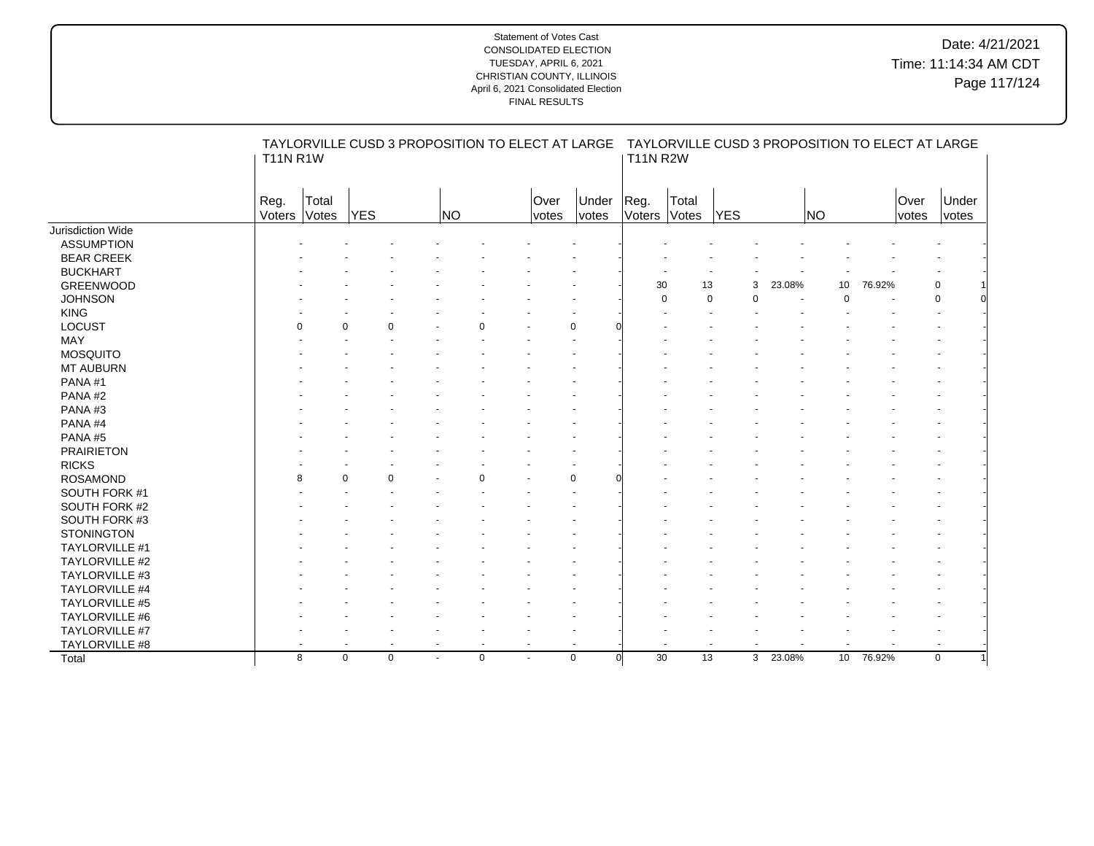|                   | <b>T11N R1W</b> |                          |             |             |     | TAYLORVILLE CUSD 3 PROPOSITION TO ELECT AT LARGE |                          |                         | <b>T11N R2W</b> |                |             |             |           |                           |               | TAYLORVILLE CUSD 3 PROPOSITION TO ELECT AT LARGE |
|-------------------|-----------------|--------------------------|-------------|-------------|-----|--------------------------------------------------|--------------------------|-------------------------|-----------------|----------------|-------------|-------------|-----------|---------------------------|---------------|--------------------------------------------------|
|                   | Reg.<br>Voters  | Total<br>Votes           | <b>YES</b>  |             | NO) |                                                  | Over<br><i>votes</i>     | Under<br><b>votes</b>   | Reg.<br>Voters  | Total<br>Votes | <b>YES</b>  |             | <b>NO</b> |                           | Over<br>votes | Under<br>votes                                   |
| Jurisdiction Wide |                 |                          |             |             |     |                                                  |                          |                         |                 |                |             |             |           |                           |               |                                                  |
| <b>ASSUMPTION</b> |                 |                          |             |             |     |                                                  |                          |                         |                 |                |             |             |           |                           |               |                                                  |
| <b>BEAR CREEK</b> |                 |                          |             |             |     |                                                  |                          |                         |                 |                |             |             |           |                           |               |                                                  |
| <b>BUCKHART</b>   |                 |                          |             |             |     |                                                  |                          |                         |                 |                |             |             |           |                           |               |                                                  |
| GREENWOOD         |                 |                          |             |             |     |                                                  |                          |                         | 30              | 13             |             | 23.08%<br>3 |           | 10<br>76.92%              |               | $\mathbf 0$                                      |
| <b>JOHNSON</b>    |                 |                          |             |             |     |                                                  |                          |                         | $\Omega$        |                | $\mathbf 0$ | $\Omega$    |           | $\Omega$                  |               | $\mathbf 0$                                      |
| <b>KING</b>       |                 |                          |             |             |     |                                                  |                          |                         |                 |                |             |             |           |                           |               |                                                  |
| <b>LOCUST</b>     | $\Omega$        | $\Omega$                 |             |             |     | $\Omega$                                         |                          | $\Omega$                |                 |                |             |             |           |                           |               |                                                  |
| MAY               |                 |                          |             |             |     |                                                  |                          |                         |                 |                |             |             |           |                           |               |                                                  |
| <b>MOSQUITO</b>   |                 |                          |             |             |     |                                                  |                          |                         |                 |                |             |             |           |                           |               |                                                  |
| MT AUBURN         |                 |                          |             |             |     |                                                  |                          |                         |                 |                |             |             |           |                           |               |                                                  |
| PANA#1            |                 |                          |             |             |     |                                                  |                          |                         |                 |                |             |             |           |                           |               |                                                  |
| PANA#2            |                 |                          |             |             |     |                                                  |                          |                         |                 |                |             |             |           |                           |               |                                                  |
| PANA#3            |                 |                          |             |             |     |                                                  |                          |                         |                 |                |             |             |           |                           |               |                                                  |
| PANA#4            |                 |                          |             |             |     |                                                  |                          |                         |                 |                |             |             |           |                           |               |                                                  |
| PANA#5            |                 |                          |             |             |     |                                                  |                          |                         |                 |                |             |             |           |                           |               |                                                  |
| <b>PRAIRIETON</b> |                 |                          |             |             |     |                                                  |                          |                         |                 |                |             |             |           |                           |               |                                                  |
| <b>RICKS</b>      |                 |                          |             |             |     |                                                  |                          |                         |                 |                |             |             |           |                           |               |                                                  |
| <b>ROSAMOND</b>   | 8               | $\Omega$                 |             |             |     | $\Omega$                                         |                          | $\Omega$                |                 |                |             |             |           |                           |               |                                                  |
| SOUTH FORK #1     |                 |                          |             |             |     |                                                  |                          |                         |                 |                |             |             |           |                           |               |                                                  |
| SOUTH FORK #2     |                 |                          |             |             |     |                                                  |                          |                         |                 |                |             |             |           |                           |               |                                                  |
| SOUTH FORK #3     |                 |                          |             |             |     |                                                  |                          |                         |                 |                |             |             |           |                           |               |                                                  |
| <b>STONINGTON</b> |                 |                          |             |             |     |                                                  |                          |                         |                 |                |             |             |           |                           |               |                                                  |
| TAYLORVILLE #1    |                 |                          |             |             |     |                                                  |                          |                         |                 |                |             |             |           |                           |               |                                                  |
| TAYLORVILLE #2    |                 |                          |             |             |     |                                                  |                          |                         |                 |                |             |             |           |                           |               |                                                  |
| TAYLORVILLE #3    |                 |                          |             |             |     |                                                  |                          |                         |                 |                |             |             |           |                           |               |                                                  |
| TAYLORVILLE #4    |                 |                          |             |             |     |                                                  |                          |                         |                 |                |             |             |           |                           |               |                                                  |
| TAYLORVILLE #5    |                 |                          |             |             |     |                                                  |                          |                         |                 |                |             |             |           |                           |               |                                                  |
| TAYLORVILLE #6    |                 |                          |             |             |     |                                                  |                          |                         |                 |                |             |             |           |                           |               |                                                  |
| TAYLORVILLE #7    |                 |                          |             |             |     |                                                  |                          |                         |                 |                |             |             |           |                           |               |                                                  |
| TAYLORVILLE #8    |                 | $\overline{\phantom{0}}$ |             |             |     |                                                  | $\blacksquare$           |                         |                 |                |             |             |           |                           |               |                                                  |
| Total             |                 | 8                        | $\mathbf 0$ | $\mathbf 0$ |     | $\pmb{0}$                                        | $\overline{\phantom{a}}$ | $\mathbf 0$<br>$\Omega$ | 30              | 13             |             | 23.08%<br>3 |           | 10 <sup>°</sup><br>76.92% |               | $\mathbf 0$                                      |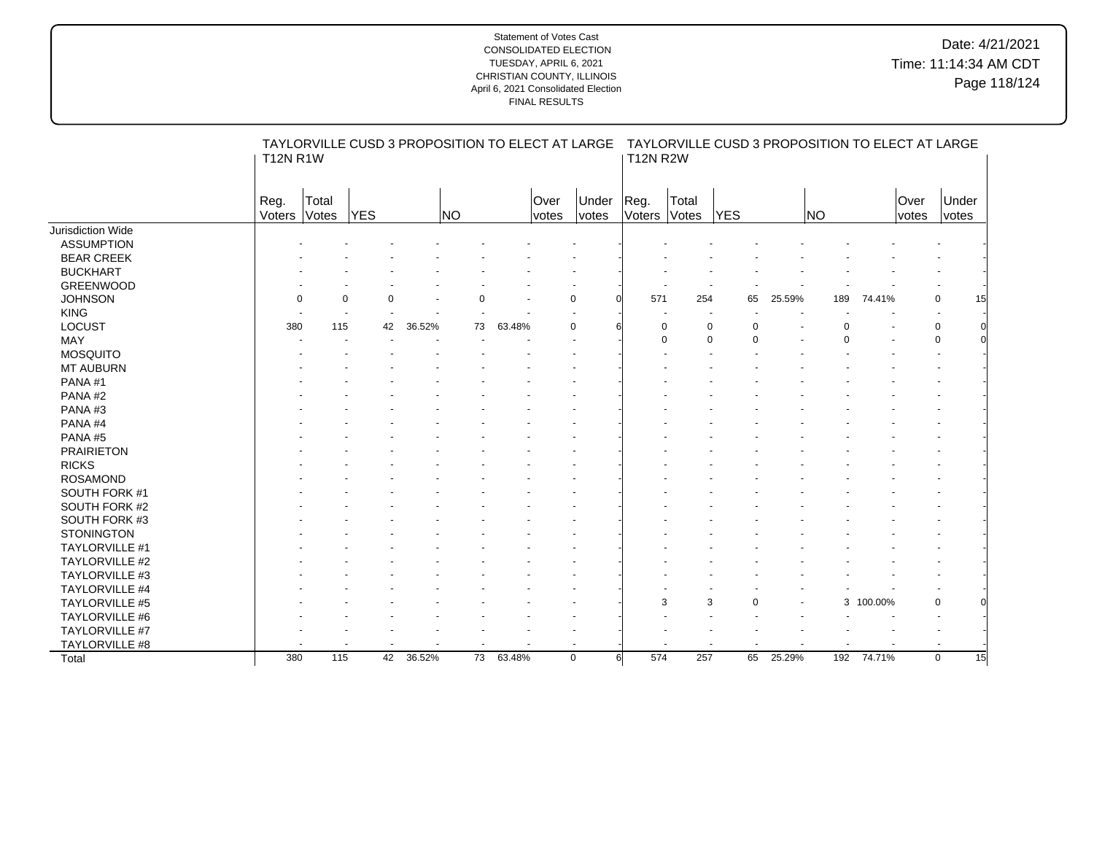|                       | <b>T12N R1W</b> |                |            |        | TAYLORVILLE CUSD 3 PROPOSITION TO ELECT AT LARGE |        |               |                       | <b>T12N R2W</b> |                | TAYLORVILLE CUSD 3 PROPOSITION TO ELECT AT LARGE |        |           |         |               |                |    |
|-----------------------|-----------------|----------------|------------|--------|--------------------------------------------------|--------|---------------|-----------------------|-----------------|----------------|--------------------------------------------------|--------|-----------|---------|---------------|----------------|----|
|                       | Reg.<br>Voters  | Total<br>Votes | <b>YES</b> |        | NO)                                              |        | Over<br>votes | Under<br><i>votes</i> | Reg.<br>Voters  | Total<br>Votes | <b>YES</b>                                       |        | <b>NO</b> |         | Over<br>votes | Under<br>votes |    |
| Jurisdiction Wide     |                 |                |            |        |                                                  |        |               |                       |                 |                |                                                  |        |           |         |               |                |    |
| <b>ASSUMPTION</b>     |                 |                |            |        |                                                  |        |               |                       |                 |                |                                                  |        |           |         |               |                |    |
| <b>BEAR CREEK</b>     |                 |                |            |        |                                                  |        |               |                       |                 |                |                                                  |        |           |         |               |                |    |
| <b>BUCKHART</b>       |                 |                |            |        |                                                  |        |               |                       |                 |                |                                                  |        |           |         |               |                |    |
| <b>GREENWOOD</b>      |                 |                |            |        |                                                  |        |               |                       |                 |                |                                                  |        |           |         |               |                |    |
| <b>JOHNSON</b>        | $\Omega$        | $\Omega$       |            |        |                                                  |        |               | $\Omega$              | 571             | 254            | 65                                               | 25.59% | 189       | 74.41%  |               | $\mathbf 0$    | 15 |
| <b>KING</b>           |                 |                |            |        |                                                  |        |               |                       |                 |                |                                                  |        |           |         |               |                |    |
| LOCUST                | 380             | 115            | 42         | 36.52% | 73                                               | 63.48% |               | $\Omega$              | $\mathbf 0$     | $\pmb{0}$      | $\mathbf 0$                                      |        |           |         |               | $\pmb{0}$      |    |
| MAY                   |                 |                |            |        |                                                  |        |               |                       | $\Omega$        | $\mathbf 0$    | $\Omega$                                         |        |           |         |               | $\Omega$       |    |
| <b>MOSQUITO</b>       |                 |                |            |        |                                                  |        |               |                       |                 |                |                                                  |        |           |         |               |                |    |
| <b>MT AUBURN</b>      |                 |                |            |        |                                                  |        |               |                       |                 |                |                                                  |        |           |         |               |                |    |
| PANA#1                |                 |                |            |        |                                                  |        |               |                       |                 |                |                                                  |        |           |         |               |                |    |
| PANA#2                |                 |                |            |        |                                                  |        |               |                       |                 |                |                                                  |        |           |         |               |                |    |
| PANA#3                |                 |                |            |        |                                                  |        |               |                       |                 |                |                                                  |        |           |         |               |                |    |
| PANA#4                |                 |                |            |        |                                                  |        |               |                       |                 |                |                                                  |        |           |         |               |                |    |
| PANA#5                |                 |                |            |        |                                                  |        |               |                       |                 |                |                                                  |        |           |         |               |                |    |
| <b>PRAIRIETON</b>     |                 |                |            |        |                                                  |        |               |                       |                 |                |                                                  |        |           |         |               |                |    |
| <b>RICKS</b>          |                 |                |            |        |                                                  |        |               |                       |                 |                |                                                  |        |           |         |               |                |    |
| <b>ROSAMOND</b>       |                 |                |            |        |                                                  |        |               |                       |                 |                |                                                  |        |           |         |               |                |    |
| SOUTH FORK #1         |                 |                |            |        |                                                  |        |               |                       |                 |                |                                                  |        |           |         |               |                |    |
| SOUTH FORK #2         |                 |                |            |        |                                                  |        |               |                       |                 |                |                                                  |        |           |         |               |                |    |
| SOUTH FORK #3         |                 |                |            |        |                                                  |        |               |                       |                 |                |                                                  |        |           |         |               |                |    |
| <b>STONINGTON</b>     |                 |                |            |        |                                                  |        |               |                       |                 |                |                                                  |        |           |         |               |                |    |
| TAYLORVILLE #1        |                 |                |            |        |                                                  |        |               |                       |                 |                |                                                  |        |           |         |               |                |    |
| <b>TAYLORVILLE #2</b> |                 |                |            |        |                                                  |        |               |                       |                 |                |                                                  |        |           |         |               |                |    |
| TAYLORVILLE #3        |                 |                |            |        |                                                  |        |               |                       |                 |                |                                                  |        |           |         |               |                |    |
| TAYLORVILLE #4        |                 |                |            |        |                                                  |        |               |                       |                 |                |                                                  |        |           |         |               |                |    |
| TAYLORVILLE #5        |                 |                |            |        |                                                  |        |               |                       | 3               | 3              | $\Omega$                                         |        | 3         | 100.00% |               | 0              |    |
| TAYLORVILLE #6        |                 |                |            |        |                                                  |        |               |                       |                 |                |                                                  |        |           |         |               |                |    |
| <b>TAYLORVILLE #7</b> |                 |                |            |        |                                                  |        |               |                       |                 |                |                                                  |        |           |         |               |                |    |
| TAYLORVILLE #8        |                 |                |            |        |                                                  |        |               |                       |                 |                |                                                  |        |           |         |               |                |    |
| Total                 | 380             | 115            | 42         | 36.52% | 73                                               | 63.48% |               | $\mathbf 0$           | 574<br>6        | 257            | 65                                               | 25.29% | 192       | 74.71%  |               | $\mathbf 0$    | 15 |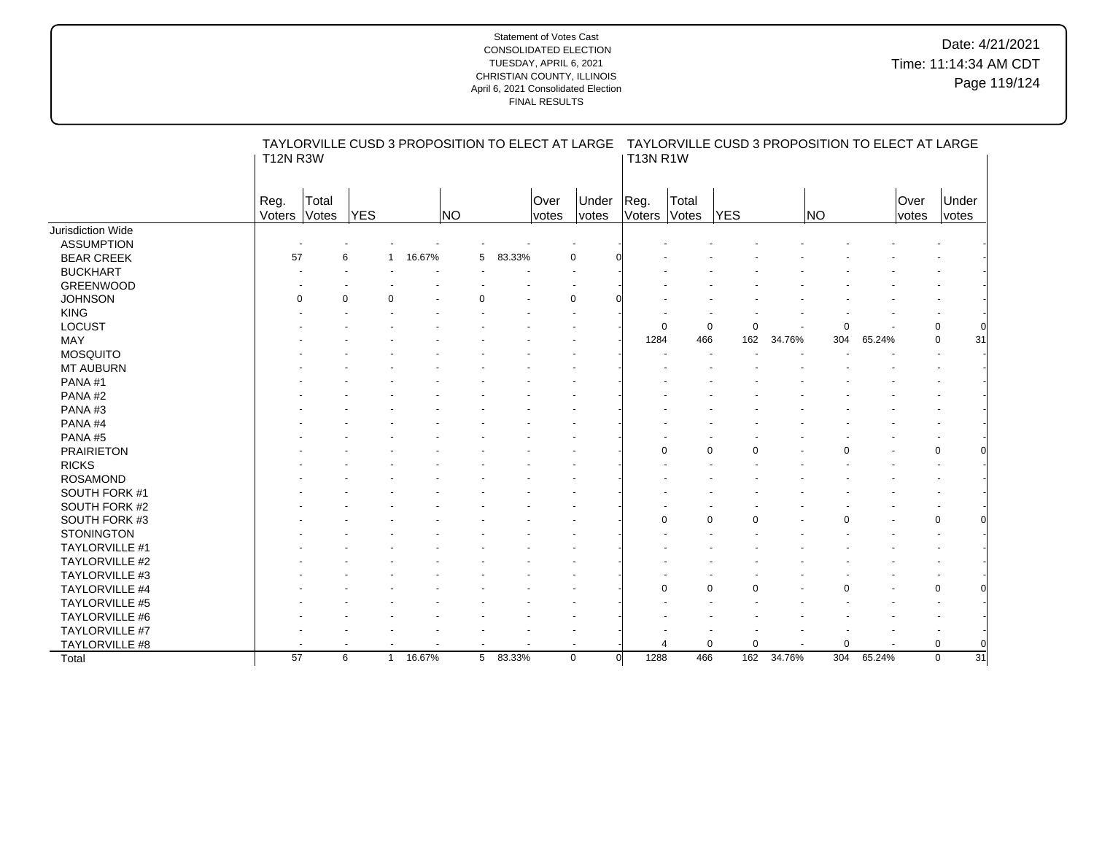|                   | <b>T12N R3W</b> |                |            |                        | TAYLORVILLE CUSD 3 PROPOSITION TO ELECT AT LARGE |        |                      |                         | <b>T13N R1W</b> |                | TAYLORVILLE CUSD 3 PROPOSITION TO ELECT AT LARGE |        |             |        |               |                                |
|-------------------|-----------------|----------------|------------|------------------------|--------------------------------------------------|--------|----------------------|-------------------------|-----------------|----------------|--------------------------------------------------|--------|-------------|--------|---------------|--------------------------------|
|                   | Reg.<br>Voters  | Total<br>Votes | <b>YES</b> |                        | <b>NO</b>                                        |        | Over<br><i>votes</i> | Under<br><i>votes</i>   | Reg.<br>Voters  | Total<br>Votes | <b>YES</b>                                       |        | <b>NO</b>   |        | Over<br>votes | Under<br>votes                 |
| Jurisdiction Wide |                 |                |            |                        |                                                  |        |                      |                         |                 |                |                                                  |        |             |        |               |                                |
| <b>ASSUMPTION</b> |                 |                |            |                        |                                                  |        |                      |                         |                 |                |                                                  |        |             |        |               |                                |
| <b>BEAR CREEK</b> | 57              | 6              |            | 16.67%                 | 5                                                | 83.33% |                      | $\mathbf 0$             |                 |                |                                                  |        |             |        |               |                                |
| <b>BUCKHART</b>   |                 |                |            |                        |                                                  |        |                      |                         |                 |                |                                                  |        |             |        |               |                                |
| <b>GREENWOOD</b>  |                 |                |            |                        |                                                  |        |                      |                         |                 |                |                                                  |        |             |        |               |                                |
| <b>JOHNSON</b>    | 0               | $\Omega$       |            |                        |                                                  |        |                      | $\Omega$                |                 |                |                                                  |        |             |        |               |                                |
| <b>KING</b>       |                 |                |            |                        |                                                  |        |                      |                         |                 |                |                                                  |        |             |        |               |                                |
| <b>LOCUST</b>     |                 |                |            |                        |                                                  |        |                      |                         | $\Omega$        | $\mathbf 0$    | $\Omega$                                         |        | $\Omega$    |        |               | 0                              |
| MAY               |                 |                |            |                        |                                                  |        |                      |                         | 1284            | 466            | 162                                              | 34.76% | 304         | 65.24% |               | 31<br>0                        |
| <b>MOSQUITO</b>   |                 |                |            |                        |                                                  |        |                      |                         |                 |                |                                                  |        |             |        |               |                                |
| MT AUBURN         |                 |                |            |                        |                                                  |        |                      |                         |                 |                |                                                  |        |             |        |               |                                |
| PANA#1            |                 |                |            |                        |                                                  |        |                      |                         |                 |                |                                                  |        |             |        |               |                                |
| PANA#2            |                 |                |            |                        |                                                  |        |                      |                         |                 |                |                                                  |        |             |        |               |                                |
| PANA#3            |                 |                |            |                        |                                                  |        |                      |                         |                 |                |                                                  |        |             |        |               |                                |
| PANA#4            |                 |                |            |                        |                                                  |        |                      |                         |                 |                |                                                  |        |             |        |               |                                |
| PANA#5            |                 |                |            |                        |                                                  |        |                      |                         |                 |                |                                                  |        |             |        |               |                                |
| <b>PRAIRIETON</b> |                 |                |            |                        |                                                  |        |                      |                         |                 | $\Omega$       | $\Omega$                                         |        |             |        |               | $\Omega$                       |
| <b>RICKS</b>      |                 |                |            |                        |                                                  |        |                      |                         |                 |                |                                                  |        |             |        |               |                                |
| <b>ROSAMOND</b>   |                 |                |            |                        |                                                  |        |                      |                         |                 |                |                                                  |        |             |        |               |                                |
| SOUTH FORK #1     |                 |                |            |                        |                                                  |        |                      |                         |                 |                |                                                  |        |             |        |               |                                |
| SOUTH FORK #2     |                 |                |            |                        |                                                  |        |                      |                         |                 |                |                                                  |        |             |        |               |                                |
| SOUTH FORK #3     |                 |                |            |                        |                                                  |        |                      |                         |                 | ∩              |                                                  |        |             |        |               | $\Omega$                       |
| <b>STONINGTON</b> |                 |                |            |                        |                                                  |        |                      |                         |                 |                |                                                  |        |             |        |               |                                |
| TAYLORVILLE #1    |                 |                |            |                        |                                                  |        |                      |                         |                 |                |                                                  |        |             |        |               |                                |
| TAYLORVILLE #2    |                 |                |            |                        |                                                  |        |                      |                         |                 |                |                                                  |        |             |        |               |                                |
| TAYLORVILLE #3    |                 |                |            |                        |                                                  |        |                      |                         |                 |                |                                                  |        |             |        |               |                                |
| TAYLORVILLE #4    |                 |                |            |                        |                                                  |        |                      |                         |                 | $\Omega$       | $\Omega$                                         |        |             |        |               | 0                              |
| TAYLORVILLE #5    |                 |                |            |                        |                                                  |        |                      |                         |                 |                |                                                  |        |             |        |               |                                |
| TAYLORVILLE #6    |                 |                |            |                        |                                                  |        |                      |                         |                 |                |                                                  |        |             |        |               |                                |
| TAYLORVILLE #7    |                 |                |            |                        |                                                  |        |                      |                         |                 |                |                                                  |        |             |        |               |                                |
| TAYLORVILLE #8    |                 |                |            |                        |                                                  |        |                      |                         |                 | $\mathbf 0$    | $\mathbf 0$                                      |        | $\mathbf 0$ |        |               | 0                              |
| Total             | $\overline{57}$ |                | 6          | 16.67%<br>$\mathbf{1}$ | 5                                                | 83.33% |                      | $\mathbf 0$<br>$\Omega$ | 1288            | 466            | 162                                              | 34.76% | 304         | 65.24% |               | $\overline{31}$<br>$\mathbf 0$ |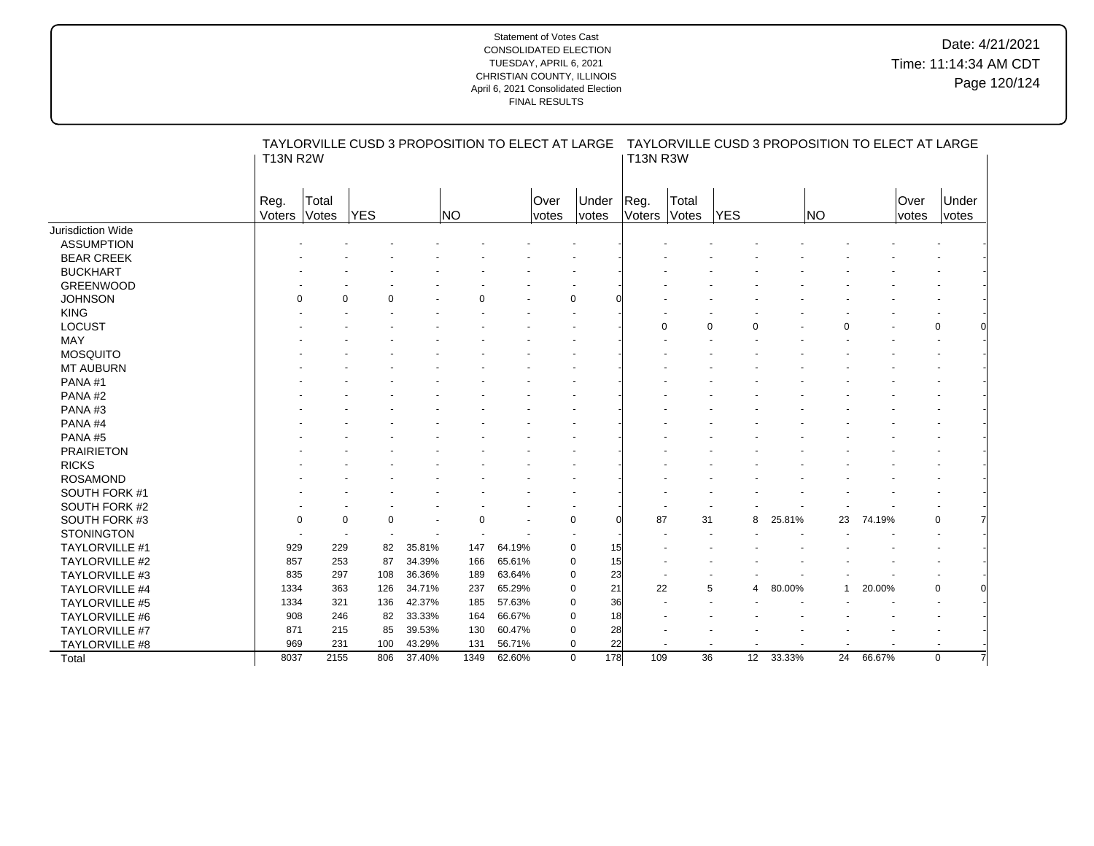|                       | <b>T13N R2W</b> |          | TAYLORVILLE CUSD 3 PROPOSITION TO ELECT AT LARGE |        |           |        |       |                    | <b>T13N R3W</b> |       | TAYLORVILLE CUSD 3 PROPOSITION TO ELECT AT LARGE |        |           |        |             |             |  |
|-----------------------|-----------------|----------|--------------------------------------------------|--------|-----------|--------|-------|--------------------|-----------------|-------|--------------------------------------------------|--------|-----------|--------|-------------|-------------|--|
|                       | Reg.            | Total    |                                                  |        |           |        | Over  | Under              | Reg.            | Total |                                                  |        |           |        | <b>Over</b> | Under       |  |
|                       | Voters          | Votes    | <b>YES</b>                                       |        | <b>NO</b> |        | votes | votes              | Voters          | Votes | <b>YES</b>                                       |        | <b>NO</b> |        | votes       | votes       |  |
| Jurisdiction Wide     |                 |          |                                                  |        |           |        |       |                    |                 |       |                                                  |        |           |        |             |             |  |
| <b>ASSUMPTION</b>     |                 |          |                                                  |        |           |        |       |                    |                 |       |                                                  |        |           |        |             |             |  |
| <b>BEAR CREEK</b>     |                 |          |                                                  |        |           |        |       |                    |                 |       |                                                  |        |           |        |             |             |  |
| <b>BUCKHART</b>       |                 |          |                                                  |        |           |        |       |                    |                 |       |                                                  |        |           |        |             |             |  |
| <b>GREENWOOD</b>      |                 |          |                                                  |        |           |        |       |                    |                 |       |                                                  |        |           |        |             |             |  |
| <b>JOHNSON</b>        |                 | $\Omega$ | $\Omega$<br>n                                    |        | $\Omega$  |        |       | $\mathbf 0$        |                 |       |                                                  |        |           |        |             |             |  |
| <b>KING</b>           |                 |          |                                                  |        |           |        |       |                    |                 |       |                                                  |        |           |        |             |             |  |
| LOCUST                |                 |          |                                                  |        |           |        |       |                    | $\Omega$        |       | $\Omega$<br>$\Omega$                             |        |           |        |             | $\mathbf 0$ |  |
| MAY                   |                 |          |                                                  |        |           |        |       |                    |                 |       |                                                  |        |           |        |             |             |  |
| <b>MOSQUITO</b>       |                 |          |                                                  |        |           |        |       |                    |                 |       |                                                  |        |           |        |             |             |  |
| MT AUBURN             |                 |          |                                                  |        |           |        |       |                    |                 |       |                                                  |        |           |        |             |             |  |
| PANA#1                |                 |          |                                                  |        |           |        |       |                    |                 |       |                                                  |        |           |        |             |             |  |
| PANA#2                |                 |          |                                                  |        |           |        |       |                    |                 |       |                                                  |        |           |        |             |             |  |
| PANA#3                |                 |          |                                                  |        |           |        |       |                    |                 |       |                                                  |        |           |        |             |             |  |
| PANA#4                |                 |          |                                                  |        |           |        |       |                    |                 |       |                                                  |        |           |        |             |             |  |
| PANA#5                |                 |          |                                                  |        |           |        |       |                    |                 |       |                                                  |        |           |        |             |             |  |
| <b>PRAIRIETON</b>     |                 |          |                                                  |        |           |        |       |                    |                 |       |                                                  |        |           |        |             |             |  |
| <b>RICKS</b>          |                 |          |                                                  |        |           |        |       |                    |                 |       |                                                  |        |           |        |             |             |  |
| <b>ROSAMOND</b>       |                 |          |                                                  |        |           |        |       |                    |                 |       |                                                  |        |           |        |             |             |  |
| SOUTH FORK #1         |                 |          |                                                  |        |           |        |       |                    |                 |       |                                                  |        |           |        |             |             |  |
| SOUTH FORK #2         |                 |          |                                                  |        |           |        |       |                    |                 |       |                                                  |        |           |        |             |             |  |
| SOUTH FORK #3         |                 | $\Omega$ | $\Omega$<br>$\Omega$                             |        | $\Omega$  |        |       | $\mathbf 0$        | 87              | 31    | 8                                                | 25.81% | 23        | 74.19% |             | $\mathbf 0$ |  |
| <b>STONINGTON</b>     |                 |          |                                                  |        |           |        |       |                    |                 |       |                                                  |        |           |        |             |             |  |
| <b>TAYLORVILLE #1</b> | 929             | 229      | 82                                               | 35.81% | 147       | 64.19% |       | $\mathbf 0$<br>15  |                 |       |                                                  |        |           |        |             |             |  |
| <b>TAYLORVILLE #2</b> | 857             | 253      | 87                                               | 34.39% | 166       | 65.61% |       | $\mathbf 0$<br>15  |                 |       |                                                  |        |           |        |             |             |  |
| TAYLORVILLE #3        | 835             | 297      | 108                                              | 36.36% | 189       | 63.64% |       | 23<br>$\mathbf 0$  |                 |       |                                                  |        |           |        |             |             |  |
| TAYLORVILLE #4        | 1334            | 363      | 126                                              | 34.71% | 237       | 65.29% |       | 21<br>$\mathbf 0$  | 22              |       | 5<br>$\overline{4}$                              | 80.00% |           | 20.00% |             | 0           |  |
| <b>TAYLORVILLE #5</b> | 1334            | 321      | 136                                              | 42.37% | 185       | 57.63% |       | 36<br>$\mathbf 0$  |                 |       |                                                  |        |           |        |             |             |  |
| <b>TAYLORVILLE #6</b> | 908             | 246      | 82                                               | 33.33% | 164       | 66.67% |       | 18<br>$\mathbf 0$  |                 |       |                                                  |        |           |        |             |             |  |
| TAYLORVILLE #7        | 871             | 215      | 85                                               | 39.53% | 130       | 60.47% |       | 28<br>$\mathbf 0$  |                 |       |                                                  |        |           |        |             |             |  |
| TAYLORVILLE #8        | 969             | 231      | 100                                              | 43.29% | 131       | 56.71% |       | $\mathbf 0$<br>22  |                 |       |                                                  |        |           |        |             |             |  |
| Total                 | 8037            | 2155     | 806                                              | 37.40% | 1349      | 62.60% |       | 178<br>$\mathbf 0$ | 109             | 36    | 12                                               | 33.33% | 24        | 66.67% |             | $\mathbf 0$ |  |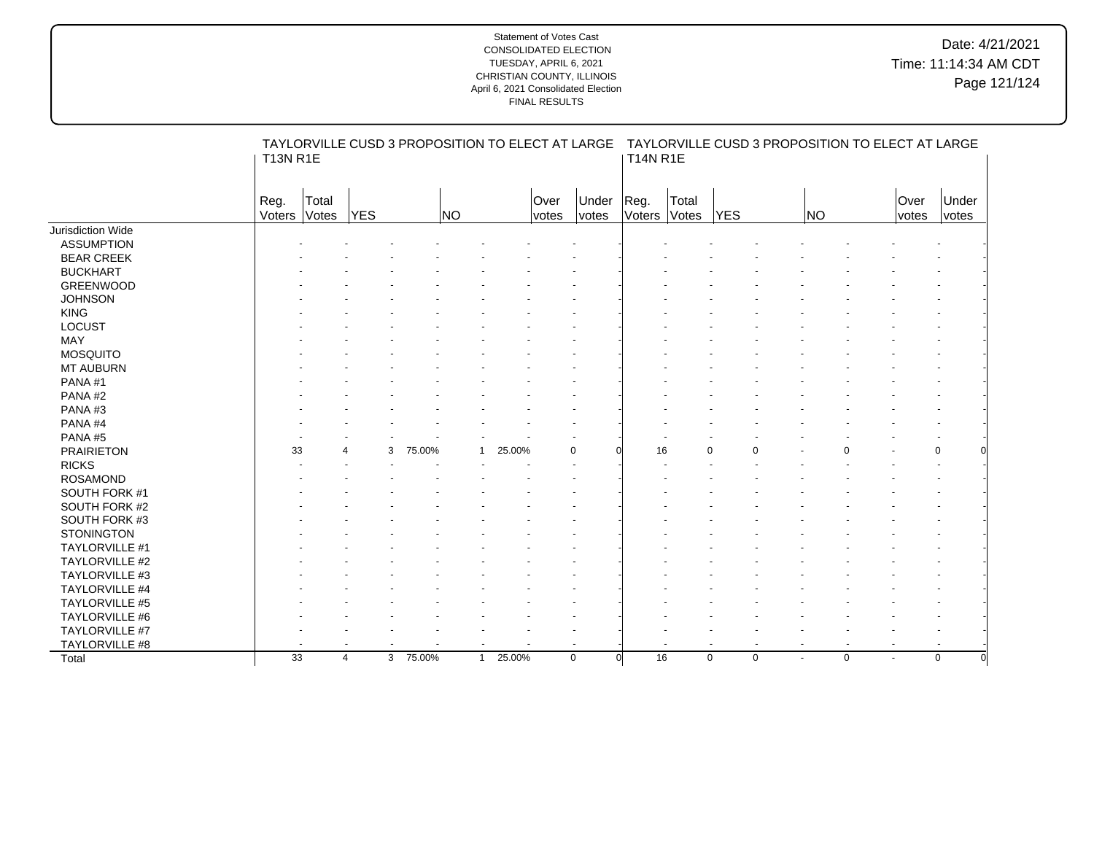|                   | <b>T13N R1E</b> |                             | TAYLORVILLE CUSD 3 PROPOSITION TO ELECT AT LARGE |        |                |        |               | TAYLORVILLE CUSD 3 PROPOSITION TO ELECT AT LARGE<br><b>T14N R1E</b> |                |                |             |                          |                |             |               |                |  |  |
|-------------------|-----------------|-----------------------------|--------------------------------------------------|--------|----------------|--------|---------------|---------------------------------------------------------------------|----------------|----------------|-------------|--------------------------|----------------|-------------|---------------|----------------|--|--|
|                   | Reg.<br>Voters  | Total<br>Votes              | <b>YES</b>                                       |        | <b>NO</b>      |        | Over<br>votes | Under<br><i>votes</i>                                               | Reg.<br>Voters | Total<br>Votes | <b>YES</b>  |                          | <b>NO</b>      |             | Over<br>votes | Under<br>votes |  |  |
| Jurisdiction Wide |                 |                             |                                                  |        |                |        |               |                                                                     |                |                |             |                          |                |             |               |                |  |  |
| <b>ASSUMPTION</b> |                 |                             |                                                  |        |                |        |               |                                                                     |                |                |             |                          |                |             |               |                |  |  |
| <b>BEAR CREEK</b> |                 |                             |                                                  |        |                |        |               |                                                                     |                |                |             |                          |                |             |               |                |  |  |
| <b>BUCKHART</b>   |                 |                             |                                                  |        |                |        |               |                                                                     |                |                |             |                          |                |             |               |                |  |  |
| <b>GREENWOOD</b>  |                 |                             |                                                  |        |                |        |               |                                                                     |                |                |             |                          |                |             |               |                |  |  |
| <b>JOHNSON</b>    |                 |                             |                                                  |        |                |        |               |                                                                     |                |                |             |                          |                |             |               |                |  |  |
| <b>KING</b>       |                 |                             |                                                  |        |                |        |               |                                                                     |                |                |             |                          |                |             |               |                |  |  |
| LOCUST            |                 |                             |                                                  |        |                |        |               |                                                                     |                |                |             |                          |                |             |               |                |  |  |
| MAY               |                 |                             |                                                  |        |                |        |               |                                                                     |                |                |             |                          |                |             |               |                |  |  |
| <b>MOSQUITO</b>   |                 |                             |                                                  |        |                |        |               |                                                                     |                |                |             |                          |                |             |               |                |  |  |
| MT AUBURN         |                 |                             |                                                  |        |                |        |               |                                                                     |                |                |             |                          |                |             |               |                |  |  |
| PANA#1            |                 |                             |                                                  |        |                |        |               |                                                                     |                |                |             |                          |                |             |               |                |  |  |
| PANA#2            |                 |                             |                                                  |        |                |        |               |                                                                     |                |                |             |                          |                |             |               |                |  |  |
| PANA#3            |                 |                             |                                                  |        |                |        |               |                                                                     |                |                |             |                          |                |             |               |                |  |  |
| PANA#4            |                 |                             |                                                  |        |                |        |               |                                                                     |                |                |             |                          |                |             |               |                |  |  |
| PANA#5            |                 |                             |                                                  |        |                |        |               |                                                                     |                |                |             |                          |                |             |               |                |  |  |
| <b>PRAIRIETON</b> | 33              | $\boldsymbol{\vartriangle}$ | 3                                                | 75.00% |                | 25.00% |               | $\mathbf 0$                                                         | 16             |                | 0           | $\Omega$                 |                |             |               | $\Omega$       |  |  |
| <b>RICKS</b>      |                 |                             |                                                  |        |                |        |               |                                                                     |                |                |             |                          |                |             |               |                |  |  |
| <b>ROSAMOND</b>   |                 |                             |                                                  |        |                |        |               |                                                                     |                |                |             |                          |                |             |               |                |  |  |
| SOUTH FORK #1     |                 |                             |                                                  |        |                |        |               |                                                                     |                |                |             |                          |                |             |               |                |  |  |
| SOUTH FORK #2     |                 |                             |                                                  |        |                |        |               |                                                                     |                |                |             |                          |                |             |               |                |  |  |
| SOUTH FORK #3     |                 |                             |                                                  |        |                |        |               |                                                                     |                |                |             |                          |                |             |               |                |  |  |
| <b>STONINGTON</b> |                 |                             |                                                  |        |                |        |               |                                                                     |                |                |             |                          |                |             |               |                |  |  |
| TAYLORVILLE #1    |                 |                             |                                                  |        |                |        |               |                                                                     |                |                |             |                          |                |             |               |                |  |  |
| TAYLORVILLE #2    |                 |                             |                                                  |        |                |        |               |                                                                     |                |                |             |                          |                |             |               |                |  |  |
| TAYLORVILLE #3    |                 |                             |                                                  |        |                |        |               |                                                                     |                |                |             |                          |                |             |               |                |  |  |
| TAYLORVILLE #4    |                 |                             |                                                  |        |                |        |               |                                                                     |                |                |             |                          |                |             |               |                |  |  |
| TAYLORVILLE #5    |                 |                             |                                                  |        |                |        |               |                                                                     |                |                |             |                          |                |             |               |                |  |  |
| TAYLORVILLE #6    |                 |                             |                                                  |        |                |        |               |                                                                     |                |                |             |                          |                |             |               |                |  |  |
| TAYLORVILLE #7    |                 |                             |                                                  |        |                |        |               |                                                                     |                |                |             |                          |                |             |               |                |  |  |
| TAYLORVILLE #8    |                 |                             |                                                  |        |                |        |               | $\blacksquare$                                                      |                |                |             | $\overline{\phantom{a}}$ |                |             |               |                |  |  |
| Total             | 33              |                             | $\overline{4}$<br>3                              | 75.00% | $\overline{1}$ | 25.00% |               | $\mathbf 0$<br>$\Omega$                                             | 16             |                | $\mathbf 0$ | $\mathbf 0$              | $\overline{a}$ | $\mathbf 0$ |               | $\mathbf 0$    |  |  |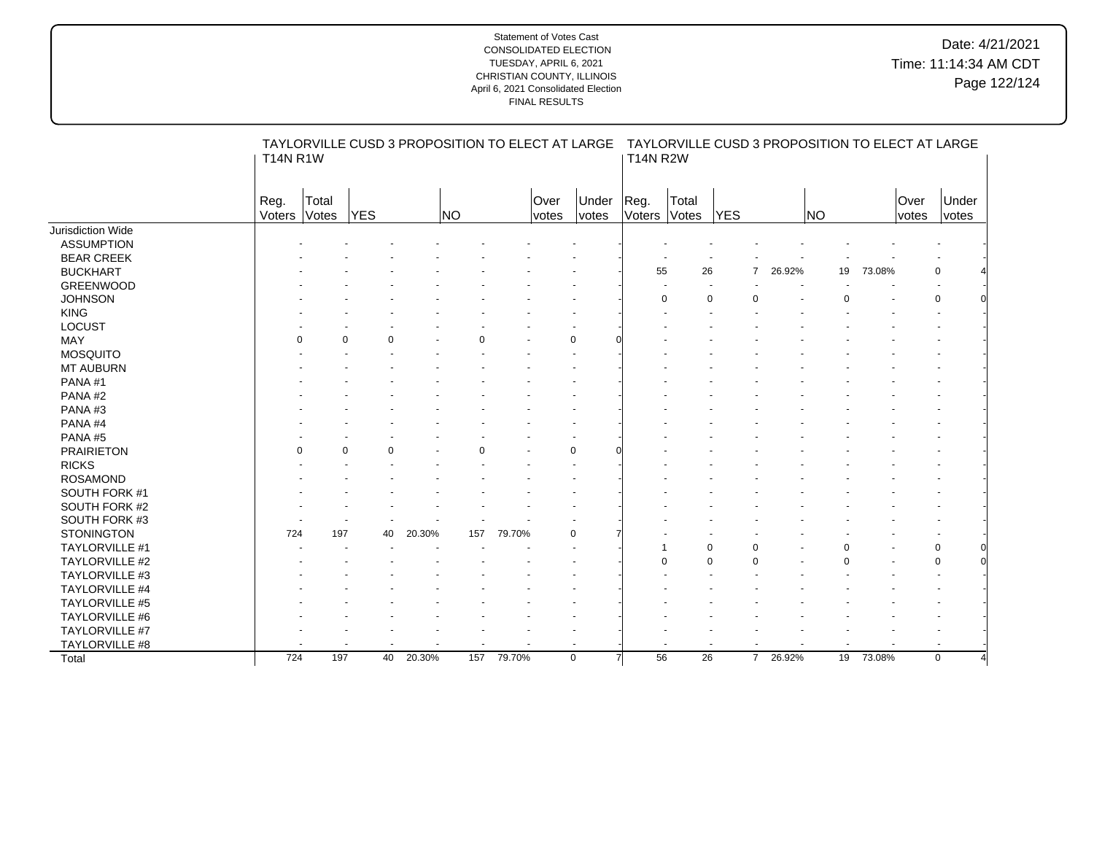|                       | <b>T14N R1W</b> |                | TAYLORVILLE CUSD 3 PROPOSITION TO ELECT AT LARGE |        |           |        |               | TAYLORVILLE CUSD 3 PROPOSITION TO ELECT AT LARGE<br><b>T14N R2W</b> |                |                |             |             |        |           |        |               |                |  |
|-----------------------|-----------------|----------------|--------------------------------------------------|--------|-----------|--------|---------------|---------------------------------------------------------------------|----------------|----------------|-------------|-------------|--------|-----------|--------|---------------|----------------|--|
|                       | Reg.<br>Voters  | Total<br>Votes | <b>YES</b>                                       |        | <b>NO</b> |        | Over<br>votes | Under<br><b>votes</b>                                               | Reg.<br>Voters | Total<br>Votes | YES         |             |        | <b>NO</b> |        | Over<br>votes | Under<br>votes |  |
| Jurisdiction Wide     |                 |                |                                                  |        |           |        |               |                                                                     |                |                |             |             |        |           |        |               |                |  |
| <b>ASSUMPTION</b>     |                 |                |                                                  |        |           |        |               |                                                                     |                |                |             |             |        |           |        |               |                |  |
| <b>BEAR CREEK</b>     |                 |                |                                                  |        |           |        |               |                                                                     |                |                |             |             |        |           |        |               |                |  |
| <b>BUCKHART</b>       |                 |                |                                                  |        |           |        |               |                                                                     | 55             | 26             |             | 7           | 26.92% | 19        | 73.08% |               | $\mathbf 0$    |  |
| <b>GREENWOOD</b>      |                 |                |                                                  |        |           |        |               |                                                                     |                |                |             |             |        |           |        |               |                |  |
| <b>JOHNSON</b>        |                 |                |                                                  |        |           |        |               |                                                                     |                | $\Omega$       | $\mathbf 0$ | $\Omega$    |        |           |        |               | $\mathbf 0$    |  |
| <b>KING</b>           |                 |                |                                                  |        |           |        |               |                                                                     |                |                |             |             |        |           |        |               |                |  |
| LOCUST                |                 |                |                                                  |        |           |        |               |                                                                     |                |                |             |             |        |           |        |               |                |  |
| MAY                   |                 | 0              |                                                  |        | O         |        |               | $\mathbf 0$                                                         |                |                |             |             |        |           |        |               |                |  |
| <b>MOSQUITO</b>       |                 |                |                                                  |        |           |        |               |                                                                     |                |                |             |             |        |           |        |               |                |  |
| MT AUBURN             |                 |                |                                                  |        |           |        |               |                                                                     |                |                |             |             |        |           |        |               |                |  |
| PANA#1                |                 |                |                                                  |        |           |        |               |                                                                     |                |                |             |             |        |           |        |               |                |  |
| PANA#2                |                 |                |                                                  |        |           |        |               |                                                                     |                |                |             |             |        |           |        |               |                |  |
| PANA#3                |                 |                |                                                  |        |           |        |               |                                                                     |                |                |             |             |        |           |        |               |                |  |
| PANA#4                |                 |                |                                                  |        |           |        |               |                                                                     |                |                |             |             |        |           |        |               |                |  |
| PANA#5                |                 |                |                                                  |        |           |        |               |                                                                     |                |                |             |             |        |           |        |               |                |  |
| <b>PRAIRIETON</b>     |                 | 0              | $\Omega$                                         |        | ŋ         |        |               | $\Omega$                                                            |                |                |             |             |        |           |        |               |                |  |
| <b>RICKS</b>          |                 |                |                                                  |        |           |        |               |                                                                     |                |                |             |             |        |           |        |               |                |  |
| <b>ROSAMOND</b>       |                 |                |                                                  |        |           |        |               |                                                                     |                |                |             |             |        |           |        |               |                |  |
| SOUTH FORK #1         |                 |                |                                                  |        |           |        |               |                                                                     |                |                |             |             |        |           |        |               |                |  |
| SOUTH FORK #2         |                 |                |                                                  |        |           |        |               |                                                                     |                |                |             |             |        |           |        |               |                |  |
| SOUTH FORK #3         |                 |                |                                                  |        |           |        |               |                                                                     |                |                |             |             |        |           |        |               |                |  |
| <b>STONINGTON</b>     | 724             | 197            | 40                                               | 20.30% | 157       | 79.70% |               | $\mathbf 0$                                                         |                |                |             |             |        |           |        |               |                |  |
| TAYLORVILLE #1        |                 |                |                                                  |        |           |        |               |                                                                     |                |                | $\Omega$    | $\Omega$    |        |           |        |               | $\mathbf 0$    |  |
| TAYLORVILLE #2        |                 |                |                                                  |        |           |        |               |                                                                     |                | $\Omega$       | $\mathbf 0$ | $\Omega$    |        |           |        |               | $\Omega$       |  |
| TAYLORVILLE #3        |                 |                |                                                  |        |           |        |               |                                                                     |                |                |             |             |        |           |        |               |                |  |
| TAYLORVILLE #4        |                 |                |                                                  |        |           |        |               |                                                                     |                |                |             |             |        |           |        |               |                |  |
| <b>TAYLORVILLE #5</b> |                 |                |                                                  |        |           |        |               |                                                                     |                |                |             |             |        |           |        |               |                |  |
| TAYLORVILLE #6        |                 |                |                                                  |        |           |        |               |                                                                     |                |                |             |             |        |           |        |               |                |  |
| TAYLORVILLE #7        |                 |                |                                                  |        |           |        |               |                                                                     |                |                |             |             |        |           |        |               |                |  |
| TAYLORVILLE #8        |                 |                |                                                  |        |           |        |               |                                                                     |                |                |             |             |        |           |        |               |                |  |
| Total                 | 724             | 197            | 40                                               | 20.30% | 157       | 79.70% |               | $\mathbf 0$                                                         | 56<br>7        | 26             |             | $7^{\circ}$ | 26.92% | 19        | 73.08% |               | $\mathbf 0$    |  |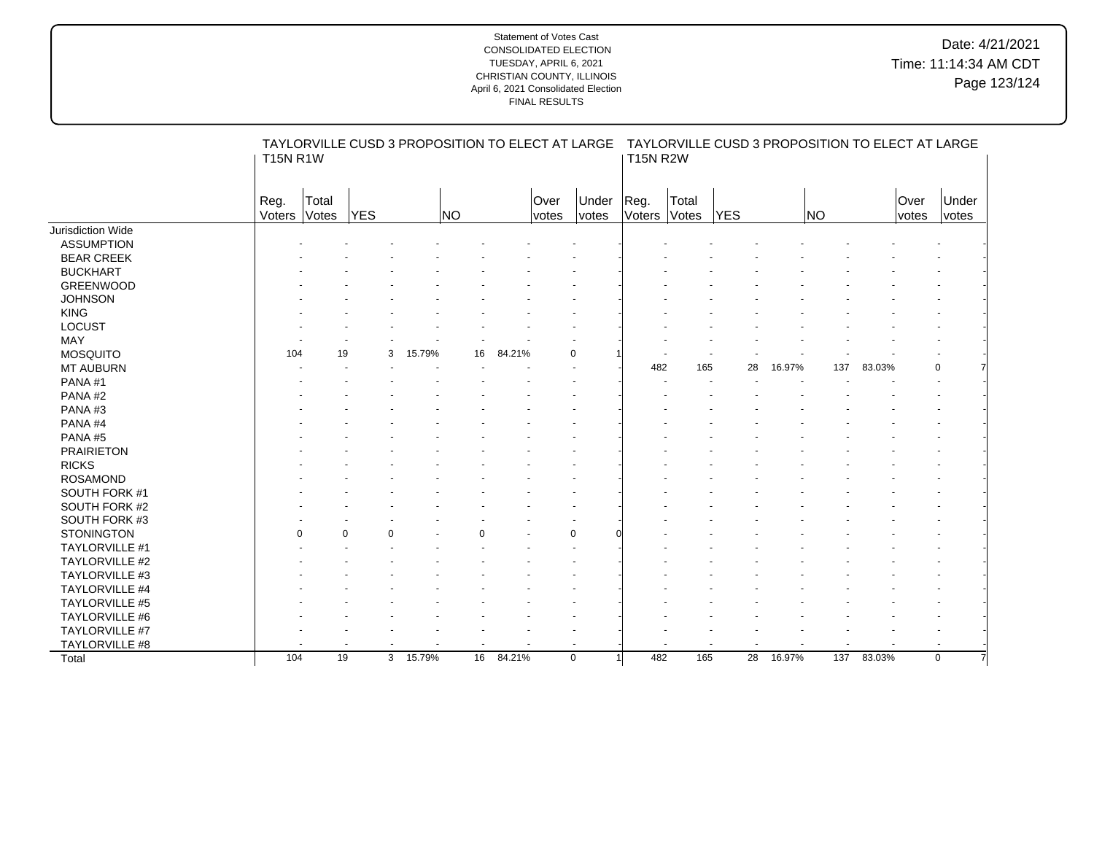| <b>T15N R1W</b><br>Total<br>Reg.<br>Total<br>Over<br>Under<br>Reg.<br>Over<br>Under<br>Voters<br><b>YES</b><br>NO<br><b>YES</b><br><b>NO</b><br>Votes<br>Voters<br>Votes<br>votes<br>votes<br>votes<br>votes<br>Jurisdiction Wide<br><b>ASSUMPTION</b><br><b>BEAR CREEK</b><br><b>BUCKHART</b><br><b>GREENWOOD</b><br><b>JOHNSON</b><br><b>KING</b><br>LOCUST<br>MAY<br><b>MOSQUITO</b><br>15.79%<br>84.21%<br>$\mathbf 0$<br>104<br>19<br>3<br>16<br>16.97%<br>MT AUBURN<br>482<br>165<br>28<br>137<br>83.03%<br>$\mathbf 0$<br>PANA#1<br>PANA#2<br>PANA#3<br>PANA#4<br>PANA#5<br><b>PRAIRIETON</b><br><b>RICKS</b><br><b>ROSAMOND</b><br>SOUTH FORK #1<br>SOUTH FORK #2<br>SOUTH FORK #3<br><b>STONINGTON</b><br>$\Omega$<br>$\Omega$<br>$\Omega$<br>TAYLORVILLE #1<br>TAYLORVILLE #2<br>TAYLORVILLE #3 |  |  | TAYLORVILLE CUSD 3 PROPOSITION TO ELECT AT LARGE |  |  |                 |  |  | TAYLORVILLE CUSD 3 PROPOSITION TO ELECT AT LARGE |  |  |  |  |  |  |  |
|-----------------------------------------------------------------------------------------------------------------------------------------------------------------------------------------------------------------------------------------------------------------------------------------------------------------------------------------------------------------------------------------------------------------------------------------------------------------------------------------------------------------------------------------------------------------------------------------------------------------------------------------------------------------------------------------------------------------------------------------------------------------------------------------------------------|--|--|--------------------------------------------------|--|--|-----------------|--|--|--------------------------------------------------|--|--|--|--|--|--|--|
|                                                                                                                                                                                                                                                                                                                                                                                                                                                                                                                                                                                                                                                                                                                                                                                                           |  |  |                                                  |  |  | <b>T15N R2W</b> |  |  |                                                  |  |  |  |  |  |  |  |
|                                                                                                                                                                                                                                                                                                                                                                                                                                                                                                                                                                                                                                                                                                                                                                                                           |  |  |                                                  |  |  |                 |  |  |                                                  |  |  |  |  |  |  |  |
|                                                                                                                                                                                                                                                                                                                                                                                                                                                                                                                                                                                                                                                                                                                                                                                                           |  |  |                                                  |  |  |                 |  |  |                                                  |  |  |  |  |  |  |  |
|                                                                                                                                                                                                                                                                                                                                                                                                                                                                                                                                                                                                                                                                                                                                                                                                           |  |  |                                                  |  |  |                 |  |  |                                                  |  |  |  |  |  |  |  |
|                                                                                                                                                                                                                                                                                                                                                                                                                                                                                                                                                                                                                                                                                                                                                                                                           |  |  |                                                  |  |  |                 |  |  |                                                  |  |  |  |  |  |  |  |
|                                                                                                                                                                                                                                                                                                                                                                                                                                                                                                                                                                                                                                                                                                                                                                                                           |  |  |                                                  |  |  |                 |  |  |                                                  |  |  |  |  |  |  |  |
|                                                                                                                                                                                                                                                                                                                                                                                                                                                                                                                                                                                                                                                                                                                                                                                                           |  |  |                                                  |  |  |                 |  |  |                                                  |  |  |  |  |  |  |  |
|                                                                                                                                                                                                                                                                                                                                                                                                                                                                                                                                                                                                                                                                                                                                                                                                           |  |  |                                                  |  |  |                 |  |  |                                                  |  |  |  |  |  |  |  |
|                                                                                                                                                                                                                                                                                                                                                                                                                                                                                                                                                                                                                                                                                                                                                                                                           |  |  |                                                  |  |  |                 |  |  |                                                  |  |  |  |  |  |  |  |
|                                                                                                                                                                                                                                                                                                                                                                                                                                                                                                                                                                                                                                                                                                                                                                                                           |  |  |                                                  |  |  |                 |  |  |                                                  |  |  |  |  |  |  |  |
|                                                                                                                                                                                                                                                                                                                                                                                                                                                                                                                                                                                                                                                                                                                                                                                                           |  |  |                                                  |  |  |                 |  |  |                                                  |  |  |  |  |  |  |  |
|                                                                                                                                                                                                                                                                                                                                                                                                                                                                                                                                                                                                                                                                                                                                                                                                           |  |  |                                                  |  |  |                 |  |  |                                                  |  |  |  |  |  |  |  |
|                                                                                                                                                                                                                                                                                                                                                                                                                                                                                                                                                                                                                                                                                                                                                                                                           |  |  |                                                  |  |  |                 |  |  |                                                  |  |  |  |  |  |  |  |
|                                                                                                                                                                                                                                                                                                                                                                                                                                                                                                                                                                                                                                                                                                                                                                                                           |  |  |                                                  |  |  |                 |  |  |                                                  |  |  |  |  |  |  |  |
|                                                                                                                                                                                                                                                                                                                                                                                                                                                                                                                                                                                                                                                                                                                                                                                                           |  |  |                                                  |  |  |                 |  |  |                                                  |  |  |  |  |  |  |  |
|                                                                                                                                                                                                                                                                                                                                                                                                                                                                                                                                                                                                                                                                                                                                                                                                           |  |  |                                                  |  |  |                 |  |  |                                                  |  |  |  |  |  |  |  |
|                                                                                                                                                                                                                                                                                                                                                                                                                                                                                                                                                                                                                                                                                                                                                                                                           |  |  |                                                  |  |  |                 |  |  |                                                  |  |  |  |  |  |  |  |
|                                                                                                                                                                                                                                                                                                                                                                                                                                                                                                                                                                                                                                                                                                                                                                                                           |  |  |                                                  |  |  |                 |  |  |                                                  |  |  |  |  |  |  |  |
|                                                                                                                                                                                                                                                                                                                                                                                                                                                                                                                                                                                                                                                                                                                                                                                                           |  |  |                                                  |  |  |                 |  |  |                                                  |  |  |  |  |  |  |  |
|                                                                                                                                                                                                                                                                                                                                                                                                                                                                                                                                                                                                                                                                                                                                                                                                           |  |  |                                                  |  |  |                 |  |  |                                                  |  |  |  |  |  |  |  |
|                                                                                                                                                                                                                                                                                                                                                                                                                                                                                                                                                                                                                                                                                                                                                                                                           |  |  |                                                  |  |  |                 |  |  |                                                  |  |  |  |  |  |  |  |
|                                                                                                                                                                                                                                                                                                                                                                                                                                                                                                                                                                                                                                                                                                                                                                                                           |  |  |                                                  |  |  |                 |  |  |                                                  |  |  |  |  |  |  |  |
|                                                                                                                                                                                                                                                                                                                                                                                                                                                                                                                                                                                                                                                                                                                                                                                                           |  |  |                                                  |  |  |                 |  |  |                                                  |  |  |  |  |  |  |  |
|                                                                                                                                                                                                                                                                                                                                                                                                                                                                                                                                                                                                                                                                                                                                                                                                           |  |  |                                                  |  |  |                 |  |  |                                                  |  |  |  |  |  |  |  |
|                                                                                                                                                                                                                                                                                                                                                                                                                                                                                                                                                                                                                                                                                                                                                                                                           |  |  |                                                  |  |  |                 |  |  |                                                  |  |  |  |  |  |  |  |
|                                                                                                                                                                                                                                                                                                                                                                                                                                                                                                                                                                                                                                                                                                                                                                                                           |  |  |                                                  |  |  |                 |  |  |                                                  |  |  |  |  |  |  |  |
|                                                                                                                                                                                                                                                                                                                                                                                                                                                                                                                                                                                                                                                                                                                                                                                                           |  |  |                                                  |  |  |                 |  |  |                                                  |  |  |  |  |  |  |  |
|                                                                                                                                                                                                                                                                                                                                                                                                                                                                                                                                                                                                                                                                                                                                                                                                           |  |  |                                                  |  |  |                 |  |  |                                                  |  |  |  |  |  |  |  |
|                                                                                                                                                                                                                                                                                                                                                                                                                                                                                                                                                                                                                                                                                                                                                                                                           |  |  |                                                  |  |  |                 |  |  |                                                  |  |  |  |  |  |  |  |
|                                                                                                                                                                                                                                                                                                                                                                                                                                                                                                                                                                                                                                                                                                                                                                                                           |  |  |                                                  |  |  |                 |  |  |                                                  |  |  |  |  |  |  |  |
|                                                                                                                                                                                                                                                                                                                                                                                                                                                                                                                                                                                                                                                                                                                                                                                                           |  |  |                                                  |  |  |                 |  |  |                                                  |  |  |  |  |  |  |  |
| TAYLORVILLE #4                                                                                                                                                                                                                                                                                                                                                                                                                                                                                                                                                                                                                                                                                                                                                                                            |  |  |                                                  |  |  |                 |  |  |                                                  |  |  |  |  |  |  |  |
| TAYLORVILLE #5                                                                                                                                                                                                                                                                                                                                                                                                                                                                                                                                                                                                                                                                                                                                                                                            |  |  |                                                  |  |  |                 |  |  |                                                  |  |  |  |  |  |  |  |
| TAYLORVILLE #6                                                                                                                                                                                                                                                                                                                                                                                                                                                                                                                                                                                                                                                                                                                                                                                            |  |  |                                                  |  |  |                 |  |  |                                                  |  |  |  |  |  |  |  |
| TAYLORVILLE #7                                                                                                                                                                                                                                                                                                                                                                                                                                                                                                                                                                                                                                                                                                                                                                                            |  |  |                                                  |  |  |                 |  |  |                                                  |  |  |  |  |  |  |  |
| TAYLORVILLE #8<br>$\overline{\phantom{a}}$                                                                                                                                                                                                                                                                                                                                                                                                                                                                                                                                                                                                                                                                                                                                                                |  |  |                                                  |  |  |                 |  |  |                                                  |  |  |  |  |  |  |  |
| 104<br>19<br>15.79%<br>16<br>84.21%<br>482<br>165<br>16.97%<br>137<br>83.03%<br>3<br>$\mathbf 0$<br>28<br>$\mathbf 0$<br>Total                                                                                                                                                                                                                                                                                                                                                                                                                                                                                                                                                                                                                                                                            |  |  |                                                  |  |  |                 |  |  |                                                  |  |  |  |  |  |  |  |